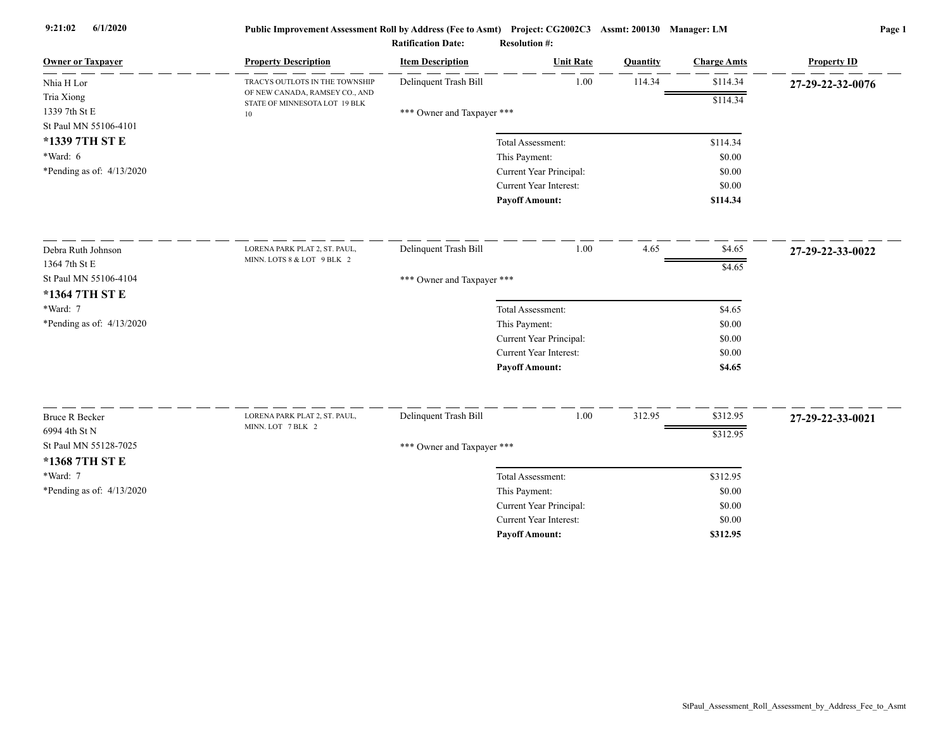| <b>Owner or Taxpayer</b>                             | <b>Property Description</b>                                           | <b>Item Description</b>    | <b>Unit Rate</b>              | Quantity | <b>Charge Amts</b> | <b>Property ID</b> |
|------------------------------------------------------|-----------------------------------------------------------------------|----------------------------|-------------------------------|----------|--------------------|--------------------|
| Nhia H Lor                                           | TRACYS OUTLOTS IN THE TOWNSHIP                                        | Delinquent Trash Bill      | 1.00                          | 114.34   | \$114.34           | 27-29-22-32-0076   |
| Tria Xiong<br>1339 7th St E<br>St Paul MN 55106-4101 | OF NEW CANADA, RAMSEY CO., AND<br>STATE OF MINNESOTA LOT 19 BLK<br>10 | *** Owner and Taxpayer *** |                               |          | \$114.34           |                    |
| *1339 7TH ST E                                       |                                                                       |                            | Total Assessment:             |          | \$114.34           |                    |
| *Ward: 6                                             |                                                                       |                            | This Payment:                 |          | \$0.00             |                    |
| *Pending as of: $4/13/2020$                          |                                                                       |                            | Current Year Principal:       |          | \$0.00             |                    |
|                                                      |                                                                       |                            | Current Year Interest:        |          | \$0.00             |                    |
|                                                      |                                                                       |                            | <b>Payoff Amount:</b>         |          | \$114.34           |                    |
| Debra Ruth Johnson                                   | LORENA PARK PLAT 2, ST. PAUL,                                         | Delinquent Trash Bill      | $1.00\,$                      | 4.65     | \$4.65             | 27-29-22-33-0022   |
| 1364 7th St E                                        | MINN. LOTS 8 & LOT 9 BLK 2                                            |                            |                               |          | \$4.65             |                    |
| St Paul MN 55106-4104<br>*1364 7TH ST E              |                                                                       | *** Owner and Taxpayer *** |                               |          |                    |                    |
| *Ward: 7                                             |                                                                       |                            | Total Assessment:             |          | \$4.65             |                    |
| *Pending as of: 4/13/2020                            |                                                                       |                            | This Payment:                 |          | \$0.00             |                    |
|                                                      |                                                                       |                            | Current Year Principal:       |          | \$0.00             |                    |
|                                                      |                                                                       |                            | Current Year Interest:        |          | \$0.00             |                    |
|                                                      |                                                                       |                            | <b>Payoff Amount:</b>         |          | \$4.65             |                    |
| <b>Bruce R Becker</b>                                | LORENA PARK PLAT 2, ST. PAUL,                                         | Delinquent Trash Bill      | 1.00                          | 312.95   | \$312.95           | 27-29-22-33-0021   |
| 6994 4th St N                                        | MINN. LOT 7 BLK 2                                                     |                            |                               |          | \$312.95           |                    |
| St Paul MN 55128-7025                                |                                                                       | *** Owner and Taxpayer *** |                               |          |                    |                    |
| *1368 7TH ST E                                       |                                                                       |                            |                               |          |                    |                    |
| *Ward: 7                                             |                                                                       |                            | Total Assessment:             |          | \$312.95           |                    |
| *Pending as of: 4/13/2020                            |                                                                       |                            | This Payment:                 |          | \$0.00             |                    |
|                                                      |                                                                       |                            | Current Year Principal:       |          | \$0.00             |                    |
|                                                      |                                                                       |                            | <b>Current Year Interest:</b> |          | \$0.00             |                    |
|                                                      |                                                                       |                            | <b>Pavoff Amount:</b>         |          | \$312.95           |                    |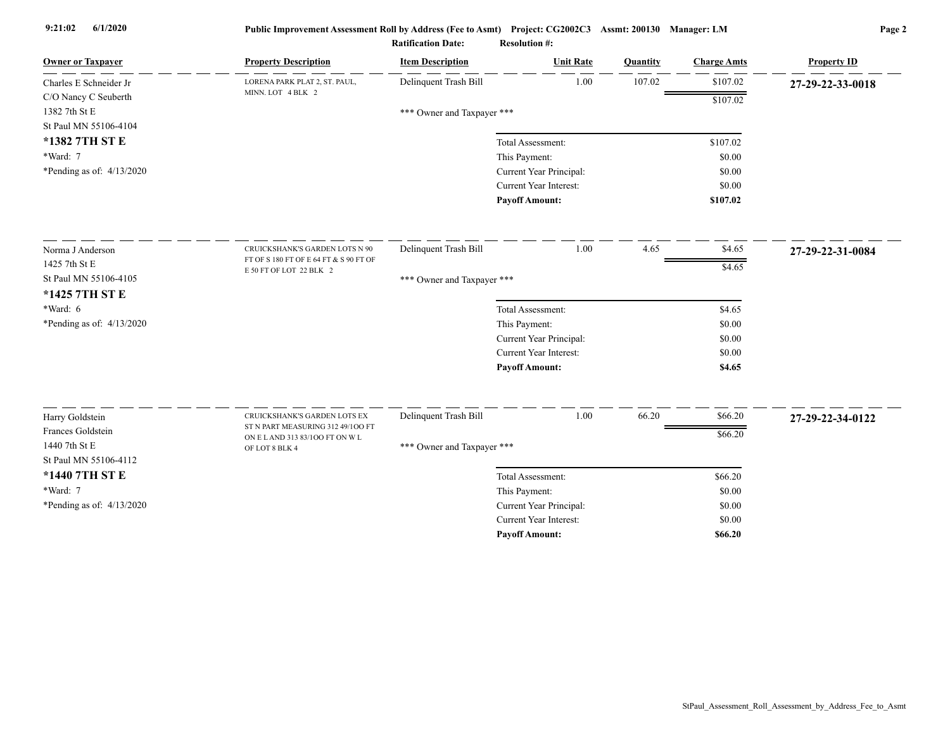| <b>Owner or Taxpayer</b>               | <b>Property Description</b>                                       | <b>Item Description</b>    | <b>Unit Rate</b>        | Quantity | <b>Charge Amts</b> | <b>Property ID</b> |
|----------------------------------------|-------------------------------------------------------------------|----------------------------|-------------------------|----------|--------------------|--------------------|
| Charles E Schneider Jr                 | LORENA PARK PLAT 2, ST. PAUL,                                     | Delinquent Trash Bill      | 1.00                    | 107.02   | \$107.02           | 27-29-22-33-0018   |
| C/O Nancy C Seuberth                   | MINN. LOT 4 BLK 2                                                 |                            |                         |          | \$107.02           |                    |
| 1382 7th St E<br>St Paul MN 55106-4104 |                                                                   | *** Owner and Taxpayer *** |                         |          |                    |                    |
| *1382 7TH ST E                         |                                                                   |                            | Total Assessment:       |          | \$107.02           |                    |
| *Ward: 7                               |                                                                   |                            | This Payment:           |          | \$0.00             |                    |
| *Pending as of: $4/13/2020$            |                                                                   |                            | Current Year Principal: |          | \$0.00             |                    |
|                                        |                                                                   |                            | Current Year Interest:  |          | \$0.00             |                    |
|                                        |                                                                   |                            | <b>Payoff Amount:</b>   |          | \$107.02           |                    |
| Norma J Anderson                       | CRUICKSHANK'S GARDEN LOTS N 90                                    | Delinquent Trash Bill      | 1.00                    | 4.65     | \$4.65             |                    |
| 1425 7th St E                          | FT OF S 180 FT OF E 64 FT & S 90 FT OF                            |                            |                         |          |                    | 27-29-22-31-0084   |
| St Paul MN 55106-4105                  | E 50 FT OF LOT 22 BLK 2                                           | *** Owner and Taxpayer *** |                         |          | \$4.65             |                    |
| *1425 7TH ST E                         |                                                                   |                            |                         |          |                    |                    |
| *Ward: 6                               |                                                                   |                            | Total Assessment:       |          | \$4.65             |                    |
| *Pending as of: 4/13/2020              |                                                                   |                            | This Payment:           |          | \$0.00             |                    |
|                                        |                                                                   |                            | Current Year Principal: |          | \$0.00             |                    |
|                                        |                                                                   |                            | Current Year Interest:  |          | \$0.00             |                    |
|                                        |                                                                   |                            | <b>Payoff Amount:</b>   |          | \$4.65             |                    |
|                                        |                                                                   |                            |                         |          |                    |                    |
| Harry Goldstein<br>Frances Goldstein   | CRUICKSHANK'S GARDEN LOTS EX<br>ST N PART MEASURING 312 49/100 FT | Delinquent Trash Bill      | 1.00                    | 66.20    | \$66.20            | 27-29-22-34-0122   |
| 1440 7th St E                          | ON E L AND 313 83/100 FT ON W L                                   |                            |                         |          | \$66.20            |                    |
| St Paul MN 55106-4112                  | OF LOT 8 BLK 4                                                    | *** Owner and Taxpayer *** |                         |          |                    |                    |
| *1440 7TH ST E                         |                                                                   |                            | Total Assessment:       |          | \$66.20            |                    |
| *Ward: 7                               |                                                                   |                            | This Payment:           |          | \$0.00             |                    |
| *Pending as of: $4/13/2020$            |                                                                   |                            | Current Year Principal: |          | \$0.00             |                    |
|                                        |                                                                   |                            | Current Year Interest:  |          | \$0.00             |                    |
|                                        |                                                                   |                            | <b>Payoff Amount:</b>   |          | \$66.20            |                    |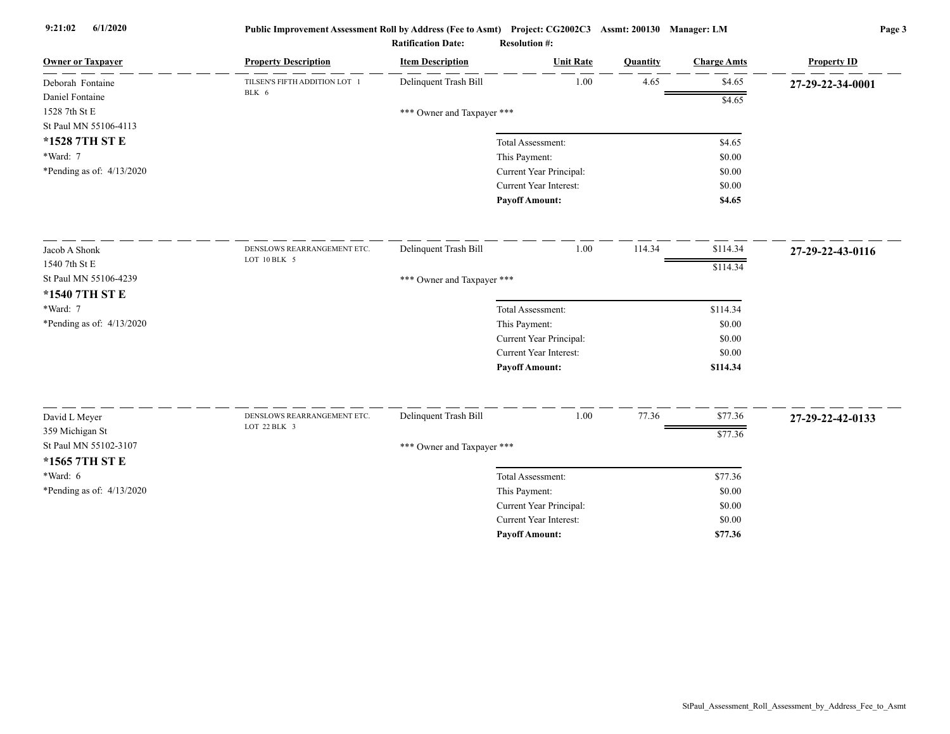| <b>Owner or Taxpayer</b>  | <b>Property Description</b>                 | <b>Item Description</b>    | <b>Unit Rate</b>        | Quantity | <b>Charge Amts</b> | <b>Property ID</b> |
|---------------------------|---------------------------------------------|----------------------------|-------------------------|----------|--------------------|--------------------|
| Deborah Fontaine          | TILSEN'S FIFTH ADDITION LOT 1<br>BLK 6      | Delinquent Trash Bill      | 1.00                    | 4.65     | \$4.65             | 27-29-22-34-0001   |
| Daniel Fontaine           |                                             |                            |                         |          | \$4.65             |                    |
| 1528 7th St E             |                                             | *** Owner and Taxpayer *** |                         |          |                    |                    |
| St Paul MN 55106-4113     |                                             |                            |                         |          |                    |                    |
| *1528 7TH ST E            |                                             |                            | Total Assessment:       |          | \$4.65             |                    |
| *Ward: 7                  |                                             |                            | This Payment:           |          | \$0.00             |                    |
| *Pending as of: 4/13/2020 |                                             |                            | Current Year Principal: |          | \$0.00             |                    |
|                           |                                             |                            | Current Year Interest:  |          | \$0.00             |                    |
|                           |                                             |                            | <b>Payoff Amount:</b>   |          | \$4.65             |                    |
| Jacob A Shonk             | DENSLOWS REARRANGEMENT ETC.                 | Delinquent Trash Bill      | 1.00                    | 114.34   | \$114.34           | 27-29-22-43-0116   |
| 1540 7th St E             | LOT 10 BLK 5                                |                            |                         |          | \$114.34           |                    |
| St Paul MN 55106-4239     |                                             | *** Owner and Taxpayer *** |                         |          |                    |                    |
| *1540 7TH ST E            |                                             |                            |                         |          |                    |                    |
| *Ward: 7                  |                                             |                            | Total Assessment:       |          | \$114.34           |                    |
| *Pending as of: 4/13/2020 |                                             |                            | This Payment:           |          | \$0.00             |                    |
|                           |                                             |                            | Current Year Principal: |          | \$0.00             |                    |
|                           |                                             |                            | Current Year Interest:  |          | \$0.00             |                    |
|                           |                                             |                            | <b>Payoff Amount:</b>   |          | \$114.34           |                    |
|                           |                                             |                            |                         |          |                    |                    |
| David L Meyer             | DENSLOWS REARRANGEMENT ETC.<br>LOT 22 BLK 3 | Delinquent Trash Bill      | 1.00                    | 77.36    | \$77.36            | 27-29-22-42-0133   |
| 359 Michigan St           |                                             |                            |                         |          | \$77.36            |                    |
| St Paul MN 55102-3107     |                                             | *** Owner and Taxpayer *** |                         |          |                    |                    |
| *1565 7TH ST E            |                                             |                            |                         |          |                    |                    |
| *Ward: 6                  |                                             |                            | Total Assessment:       |          | \$77.36            |                    |
| *Pending as of: 4/13/2020 |                                             |                            | This Payment:           |          | \$0.00             |                    |
|                           |                                             |                            | Current Year Principal: |          | \$0.00             |                    |
|                           |                                             |                            | Current Year Interest:  |          | \$0.00             |                    |
|                           |                                             |                            | <b>Payoff Amount:</b>   |          | \$77.36            |                    |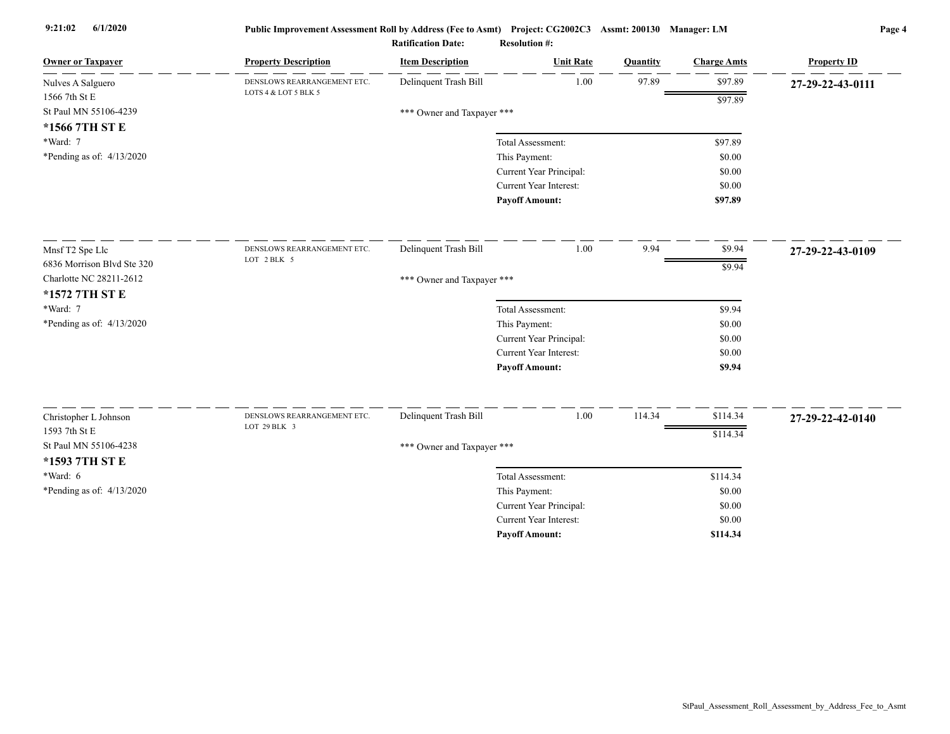| <b>Owner or Taxpayer</b>    | <b>Property Description</b>                 | <b>Item Description</b>    | <b>Unit Rate</b>              | Quantity | <b>Charge Amts</b> | <b>Property ID</b> |
|-----------------------------|---------------------------------------------|----------------------------|-------------------------------|----------|--------------------|--------------------|
| Nulves A Salguero           | DENSLOWS REARRANGEMENT ETC.                 | Delinquent Trash Bill      | 1.00                          | 97.89    | \$97.89            | 27-29-22-43-0111   |
| 1566 7th St E               | LOTS 4 & LOT 5 BLK 5                        |                            |                               |          | \$97.89            |                    |
| St Paul MN 55106-4239       |                                             | *** Owner and Taxpayer *** |                               |          |                    |                    |
| *1566 7TH ST E              |                                             |                            |                               |          |                    |                    |
| *Ward: 7                    |                                             |                            | Total Assessment:             |          | \$97.89            |                    |
| *Pending as of: $4/13/2020$ |                                             |                            | This Payment:                 |          | \$0.00             |                    |
|                             |                                             |                            | Current Year Principal:       |          | \$0.00             |                    |
|                             |                                             |                            | Current Year Interest:        |          | \$0.00             |                    |
|                             |                                             |                            | <b>Payoff Amount:</b>         |          | \$97.89            |                    |
| Mnsf T2 Spe Llc             | DENSLOWS REARRANGEMENT ETC.                 | Delinquent Trash Bill      | 1.00                          | 9.94     | \$9.94             | 27-29-22-43-0109   |
| 6836 Morrison Blvd Ste 320  | LOT 2 BLK 5                                 |                            |                               |          | \$9.94             |                    |
| Charlotte NC 28211-2612     |                                             | *** Owner and Taxpayer *** |                               |          |                    |                    |
| *1572 7TH ST E              |                                             |                            |                               |          |                    |                    |
| *Ward: 7                    |                                             |                            | Total Assessment:             |          | \$9.94             |                    |
| *Pending as of: 4/13/2020   |                                             |                            | This Payment:                 |          | \$0.00             |                    |
|                             |                                             |                            | Current Year Principal:       |          | \$0.00             |                    |
|                             |                                             |                            | Current Year Interest:        |          | \$0.00             |                    |
|                             |                                             |                            | <b>Payoff Amount:</b>         |          | \$9.94             |                    |
|                             |                                             |                            |                               |          |                    |                    |
| Christopher L Johnson       | DENSLOWS REARRANGEMENT ETC.<br>LOT 29 BLK 3 | Delinquent Trash Bill      | 1.00                          | 114.34   | \$114.34           | 27-29-22-42-0140   |
| 1593 7th St E               |                                             |                            |                               |          | \$114.34           |                    |
| St Paul MN 55106-4238       |                                             | *** Owner and Taxpayer *** |                               |          |                    |                    |
| *1593 7TH ST E              |                                             |                            |                               |          |                    |                    |
| $*Ward: 6$                  |                                             |                            | Total Assessment:             |          | \$114.34           |                    |
| *Pending as of: 4/13/2020   |                                             |                            | This Payment:                 |          | \$0.00             |                    |
|                             |                                             |                            | Current Year Principal:       |          | \$0.00             |                    |
|                             |                                             |                            | <b>Current Year Interest:</b> |          | \$0.00             |                    |
|                             |                                             |                            | <b>Pavoff Amount:</b>         |          | \$114.34           |                    |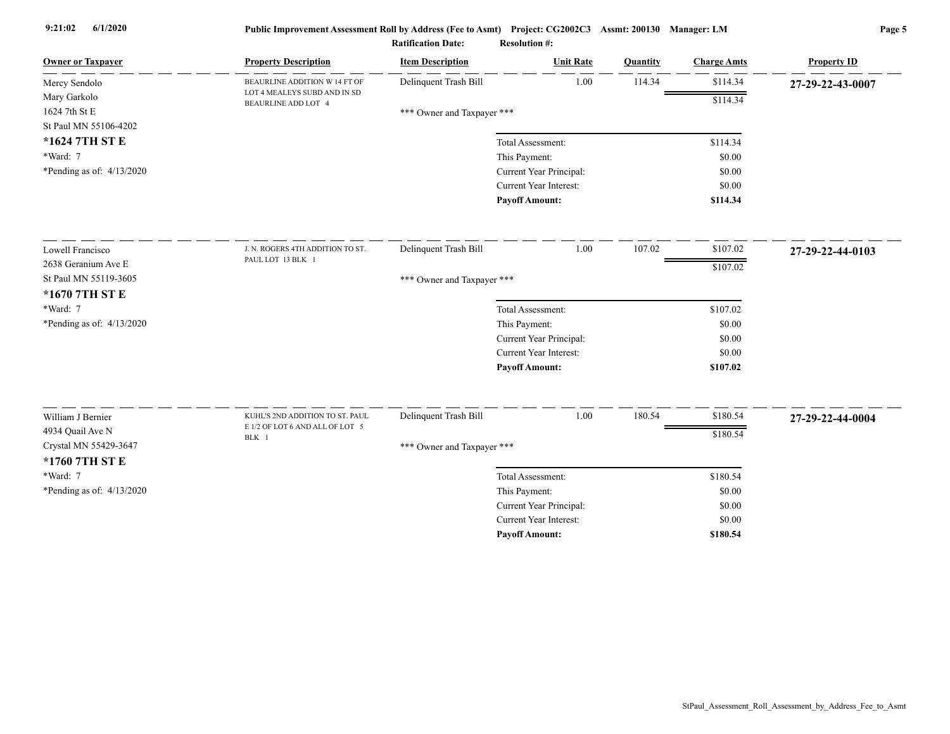| <b>Owner or Taxpayer</b>    | <b>Property Description</b>                         | <b>Item Description</b>    | <b>Unit Rate</b>              | Quantity | <b>Charge Amts</b> | <b>Property ID</b> |
|-----------------------------|-----------------------------------------------------|----------------------------|-------------------------------|----------|--------------------|--------------------|
| Mercy Sendolo               | BEAURLINE ADDITION W 14 FT OF                       | Delinquent Trash Bill      | 1.00                          | 114.34   | \$114.34           | 27-29-22-43-0007   |
| Mary Garkolo                | LOT 4 MEALEYS SUBD AND IN SD<br>BEAURLINE ADD LOT 4 |                            |                               |          | \$114.34           |                    |
| 1624 7th St E               |                                                     | *** Owner and Taxpayer *** |                               |          |                    |                    |
| St Paul MN 55106-4202       |                                                     |                            |                               |          |                    |                    |
| *1624 7TH ST E              |                                                     |                            | Total Assessment:             |          | \$114.34           |                    |
| *Ward: 7                    |                                                     |                            | This Payment:                 |          | \$0.00             |                    |
| *Pending as of: 4/13/2020   |                                                     |                            | Current Year Principal:       |          | \$0.00             |                    |
|                             |                                                     |                            | Current Year Interest:        |          | \$0.00             |                    |
|                             |                                                     |                            | <b>Payoff Amount:</b>         |          | \$114.34           |                    |
| Lowell Francisco            | J. N. ROGERS 4TH ADDITION TO ST.                    | Delinquent Trash Bill      | 1.00                          | 107.02   | \$107.02           | 27-29-22-44-0103   |
| 2638 Geranium Ave E         | PAUL LOT 13 BLK 1                                   |                            |                               |          | \$107.02           |                    |
| St Paul MN 55119-3605       |                                                     | *** Owner and Taxpayer *** |                               |          |                    |                    |
| *1670 7TH ST E              |                                                     |                            |                               |          |                    |                    |
| *Ward: 7                    |                                                     |                            | Total Assessment:             |          | \$107.02           |                    |
| *Pending as of: $4/13/2020$ |                                                     |                            | This Payment:                 |          | \$0.00             |                    |
|                             |                                                     |                            | Current Year Principal:       |          | \$0.00             |                    |
|                             |                                                     |                            | <b>Current Year Interest:</b> |          | \$0.00             |                    |
|                             |                                                     |                            | <b>Payoff Amount:</b>         |          | \$107.02           |                    |
| William J Bernier           | KUHL'S 2ND ADDITION TO ST. PAUL                     | Delinquent Trash Bill      | 1.00                          | 180.54   | \$180.54           |                    |
| 4934 Quail Ave N            | E 1/2 OF LOT 6 AND ALL OF LOT 5                     |                            |                               |          |                    | 27-29-22-44-0004   |
| Crystal MN 55429-3647       | BLK 1                                               |                            |                               |          | \$180.54           |                    |
| *1760 7TH ST E              |                                                     | *** Owner and Taxpayer *** |                               |          |                    |                    |
| *Ward: 7                    |                                                     |                            | Total Assessment:             |          | \$180.54           |                    |
| *Pending as of: 4/13/2020   |                                                     |                            | This Payment:                 |          | \$0.00             |                    |
|                             |                                                     |                            | Current Year Principal:       |          | \$0.00             |                    |
|                             |                                                     |                            | Current Year Interest:        |          | \$0.00             |                    |
|                             |                                                     |                            | <b>Payoff Amount:</b>         |          | \$180.54           |                    |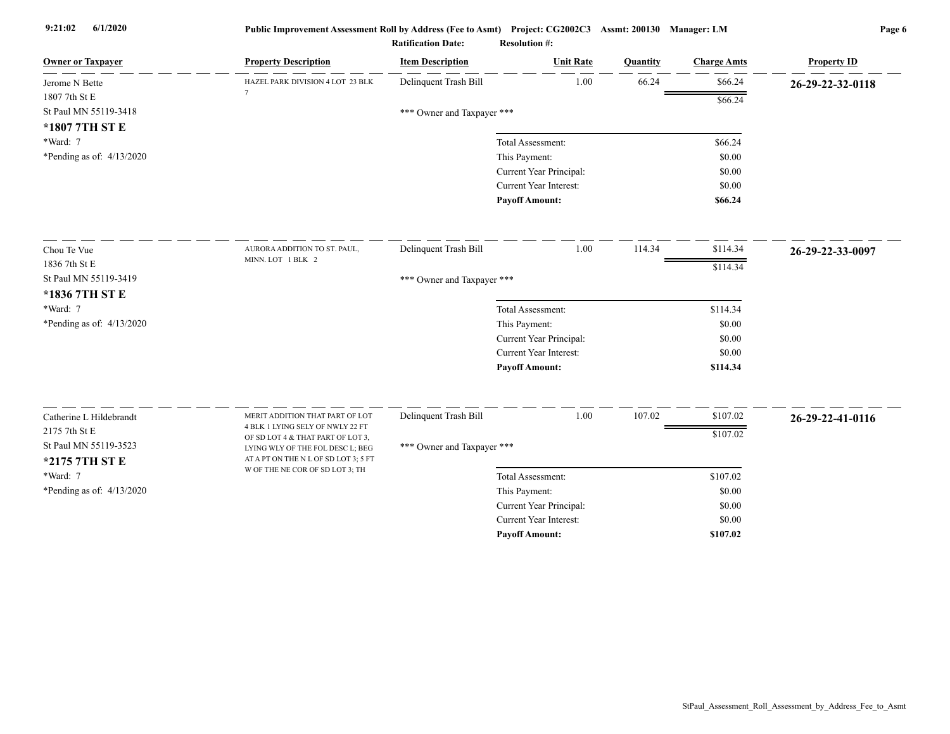| <b>Owner or Taxpayer</b>    | <b>Property Description</b>                                             | <b>Item Description</b>    | <b>Unit Rate</b>        | Quantity | <b>Charge Amts</b> | <b>Property ID</b> |
|-----------------------------|-------------------------------------------------------------------------|----------------------------|-------------------------|----------|--------------------|--------------------|
| Jerome N Bette              | HAZEL PARK DIVISION 4 LOT 23 BLK                                        | Delinquent Trash Bill      | 1.00                    | 66.24    | \$66.24            | 26-29-22-32-0118   |
| 1807 7th St E               |                                                                         |                            |                         |          | \$66.24            |                    |
| St Paul MN 55119-3418       |                                                                         | *** Owner and Taxpayer *** |                         |          |                    |                    |
| *1807 7TH ST E              |                                                                         |                            |                         |          |                    |                    |
| *Ward: 7                    |                                                                         |                            | Total Assessment:       |          | \$66.24            |                    |
| *Pending as of: 4/13/2020   |                                                                         |                            | This Payment:           |          | \$0.00             |                    |
|                             |                                                                         |                            | Current Year Principal: |          | \$0.00             |                    |
|                             |                                                                         |                            | Current Year Interest:  |          | \$0.00             |                    |
|                             |                                                                         |                            | <b>Payoff Amount:</b>   |          | \$66.24            |                    |
| Chou Te Vue                 | AURORA ADDITION TO ST. PAUL,                                            | Delinquent Trash Bill      | 1.00                    | 114.34   | \$114.34           | 26-29-22-33-0097   |
| 1836 7th St E               | MINN. LOT 1 BLK 2                                                       |                            |                         |          | \$114.34           |                    |
| St Paul MN 55119-3419       |                                                                         | *** Owner and Taxpayer *** |                         |          |                    |                    |
| *1836 7TH ST E              |                                                                         |                            |                         |          |                    |                    |
| *Ward: 7                    |                                                                         |                            | Total Assessment:       |          | \$114.34           |                    |
| *Pending as of: 4/13/2020   |                                                                         |                            | This Payment:           |          | \$0.00             |                    |
|                             |                                                                         |                            | Current Year Principal: |          | \$0.00             |                    |
|                             |                                                                         |                            | Current Year Interest:  |          | \$0.00             |                    |
|                             |                                                                         |                            | <b>Payoff Amount:</b>   |          | \$114.34           |                    |
|                             |                                                                         |                            |                         |          |                    |                    |
| Catherine L Hildebrandt     | MERIT ADDITION THAT PART OF LOT<br>4 BLK 1 LYING SELY OF NWLY 22 FT     | Delinquent Trash Bill      | 1.00                    | 107.02   | \$107.02           | 26-29-22-41-0116   |
| 2175 7th St E               | OF SD LOT 4 & THAT PART OF LOT 3,                                       |                            |                         |          | \$107.02           |                    |
| St Paul MN 55119-3523       | LYING WLY OF THE FOL DESC L; BEG                                        | *** Owner and Taxpayer *** |                         |          |                    |                    |
| *2175 7TH ST E              | AT A PT ON THE N L OF SD LOT 3; 5 FT<br>W OF THE NE COR OF SD LOT 3; TH |                            |                         |          |                    |                    |
| *Ward: 7                    |                                                                         |                            | Total Assessment:       |          | \$107.02           |                    |
| *Pending as of: $4/13/2020$ |                                                                         |                            | This Payment:           |          | \$0.00             |                    |
|                             |                                                                         |                            | Current Year Principal: |          | \$0.00             |                    |
|                             |                                                                         |                            | Current Year Interest:  |          | \$0.00             |                    |
|                             |                                                                         |                            | <b>Payoff Amount:</b>   |          | \$107.02           |                    |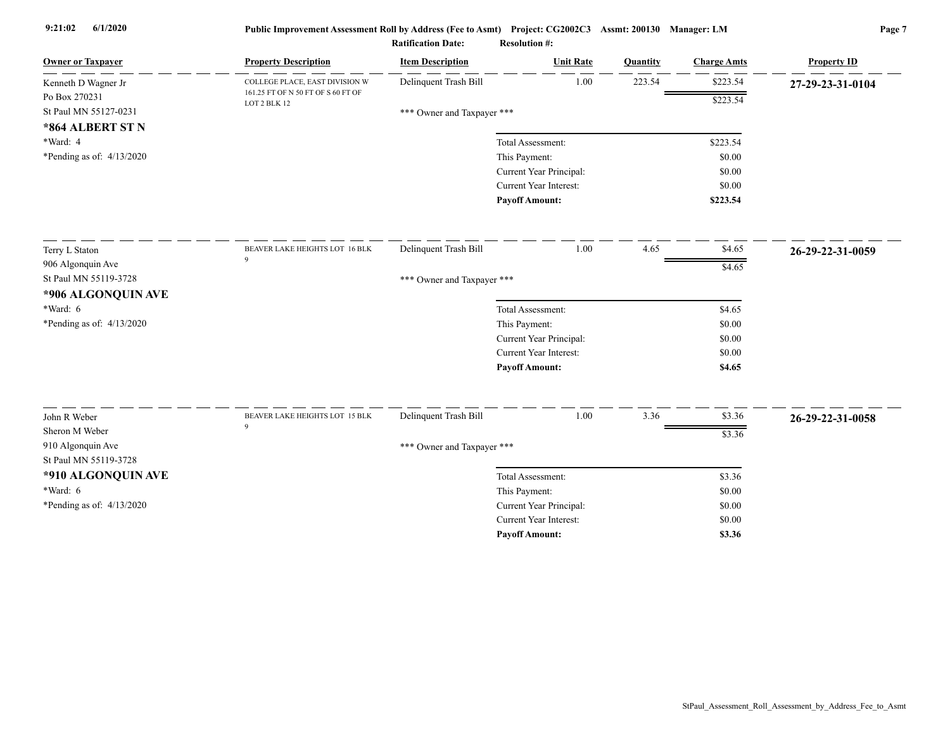| <b>Owner or Taxpayer</b>                   | <b>Property Description</b>                        | <b>Item Description</b>    | <b>Unit Rate</b>        | Quantity | <b>Charge Amts</b> | <b>Property ID</b> |
|--------------------------------------------|----------------------------------------------------|----------------------------|-------------------------|----------|--------------------|--------------------|
| Kenneth D Wagner Jr                        | COLLEGE PLACE, EAST DIVISION W                     | Delinquent Trash Bill      | 1.00                    | 223.54   | \$223.54           | 27-29-23-31-0104   |
| Po Box 270231                              | 161.25 FT OF N 50 FT OF S 60 FT OF<br>LOT 2 BLK 12 |                            |                         |          | \$223.54           |                    |
| St Paul MN 55127-0231                      |                                                    | *** Owner and Taxpayer *** |                         |          |                    |                    |
| *864 ALBERT ST N                           |                                                    |                            |                         |          |                    |                    |
| *Ward: 4                                   |                                                    |                            | Total Assessment:       |          | \$223.54           |                    |
| *Pending as of: $4/13/2020$                |                                                    |                            | This Payment:           |          | \$0.00             |                    |
|                                            |                                                    |                            | Current Year Principal: |          | \$0.00             |                    |
|                                            |                                                    |                            | Current Year Interest:  |          | \$0.00             |                    |
|                                            |                                                    |                            | <b>Payoff Amount:</b>   |          | \$223.54           |                    |
| Terry L Staton                             | BEAVER LAKE HEIGHTS LOT 16 BLK                     | Delinquent Trash Bill      | 1.00                    | 4.65     | \$4.65             | 26-29-22-31-0059   |
| 906 Algonquin Ave                          | $\mathbf Q$                                        |                            |                         |          | \$4.65             |                    |
| St Paul MN 55119-3728                      |                                                    | *** Owner and Taxpayer *** |                         |          |                    |                    |
| *906 ALGONQUIN AVE                         |                                                    |                            |                         |          |                    |                    |
| $*Ward: 6$                                 |                                                    |                            | Total Assessment:       |          | \$4.65             |                    |
| *Pending as of: $4/13/2020$                |                                                    |                            | This Payment:           |          | \$0.00             |                    |
|                                            |                                                    |                            | Current Year Principal: |          | \$0.00             |                    |
|                                            |                                                    |                            | Current Year Interest:  |          | \$0.00             |                    |
|                                            |                                                    |                            | <b>Payoff Amount:</b>   |          | \$4.65             |                    |
|                                            |                                                    |                            | 1.00                    |          |                    |                    |
| John R Weber                               | BEAVER LAKE HEIGHTS LOT 15 BLK<br>$\mathbf Q$      | Delinquent Trash Bill      |                         | 3.36     | \$3.36             | 26-29-22-31-0058   |
| Sheron M Weber                             |                                                    |                            |                         |          | \$3.36             |                    |
| 910 Algonquin Ave<br>St Paul MN 55119-3728 |                                                    | *** Owner and Taxpayer *** |                         |          |                    |                    |
| *910 ALGONQUIN AVE                         |                                                    |                            | Total Assessment:       |          | \$3.36             |                    |
| $*Ward: 6$                                 |                                                    |                            | This Payment:           |          | \$0.00             |                    |
| *Pending as of: 4/13/2020                  |                                                    |                            | Current Year Principal: |          | \$0.00             |                    |
|                                            |                                                    |                            | Current Year Interest:  |          | \$0.00             |                    |
|                                            |                                                    |                            | <b>Payoff Amount:</b>   |          | \$3.36             |                    |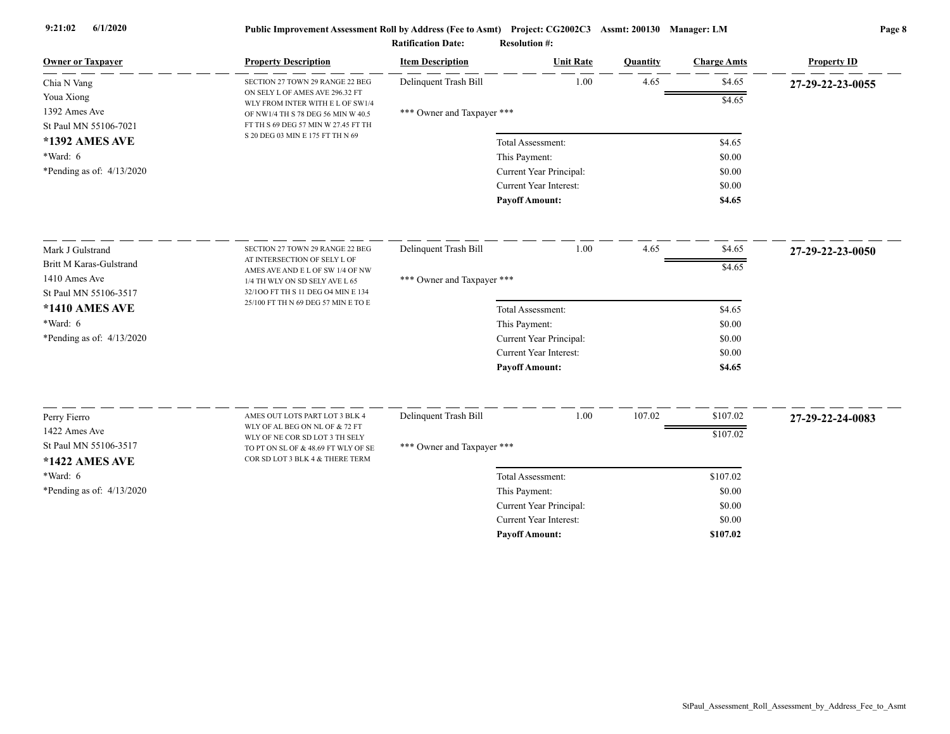| <b>Owner or Taxpayer</b>                                                                           | <b>Property Description</b>                                             | <b>Item Description</b>    | <b>Unit Rate</b>        | Quantity | <b>Charge Amts</b> | <b>Property ID</b> |
|----------------------------------------------------------------------------------------------------|-------------------------------------------------------------------------|----------------------------|-------------------------|----------|--------------------|--------------------|
| Chia N Vang                                                                                        | SECTION 27 TOWN 29 RANGE 22 BEG                                         | Delinquent Trash Bill      | 1.00                    | 4.65     | \$4.65             | 27-29-22-23-0055   |
| Youa Xiong                                                                                         | ON SELY L OF AMES AVE 296.32 FT<br>WLY FROM INTER WITH E L OF SW1/4     |                            |                         |          | \$4.65             |                    |
| 1392 Ames Ave                                                                                      | OF NW1/4 TH S 78 DEG 56 MIN W 40.5                                      | *** Owner and Taxpayer *** |                         |          |                    |                    |
| St Paul MN 55106-7021                                                                              | FT TH S 69 DEG 57 MIN W 27.45 FT TH<br>S 20 DEG 03 MIN E 175 FT TH N 69 |                            |                         |          |                    |                    |
| *1392 AMES AVE                                                                                     |                                                                         |                            | Total Assessment:       |          | \$4.65             |                    |
| *Ward: 6                                                                                           |                                                                         |                            | This Payment:           |          | \$0.00             |                    |
| *Pending as of: $4/13/2020$                                                                        |                                                                         |                            | Current Year Principal: |          | \$0.00             |                    |
|                                                                                                    |                                                                         |                            | Current Year Interest:  |          | \$0.00             |                    |
|                                                                                                    |                                                                         |                            | <b>Payoff Amount:</b>   |          | \$4.65             |                    |
| Mark J Gulstrand                                                                                   | SECTION 27 TOWN 29 RANGE 22 BEG                                         | Delinquent Trash Bill      | 1.00                    | 4.65     | \$4.65             | 27-29-22-23-0050   |
| <b>Britt M Karas-Gulstrand</b>                                                                     | AT INTERSECTION OF SELY L OF<br>AMES AVE AND E L OF SW 1/4 OF NW        |                            |                         |          | \$4.65             |                    |
| 1410 Ames Ave<br>1/4 TH WLY ON SD SELY AVE L 65                                                    |                                                                         | *** Owner and Taxpayer *** |                         |          |                    |                    |
| St Paul MN 55106-3517<br>32/100 FT TH S 11 DEG 04 MIN E 134<br>25/100 FT TH N 69 DEG 57 MIN E TO E |                                                                         |                            |                         |          |                    |                    |
| *1410 AMES AVE                                                                                     |                                                                         |                            | Total Assessment:       |          | \$4.65             |                    |
| *Ward: 6                                                                                           |                                                                         |                            | This Payment:           |          | \$0.00             |                    |
| *Pending as of: $4/13/2020$                                                                        |                                                                         |                            | Current Year Principal: |          | \$0.00             |                    |
|                                                                                                    |                                                                         |                            | Current Year Interest:  |          | \$0.00             |                    |
|                                                                                                    |                                                                         |                            | <b>Payoff Amount:</b>   |          | \$4.65             |                    |
| Perry Fierro                                                                                       | AMES OUT LOTS PART LOT 3 BLK 4                                          | Delinquent Trash Bill      | 1.00                    | 107.02   | \$107.02           | 27-29-22-24-0083   |
| 1422 Ames Ave                                                                                      | WLY OF AL BEG ON NL OF & 72 FT                                          |                            |                         |          | \$107.02           |                    |
| St Paul MN 55106-3517                                                                              | WLY OF NE COR SD LOT 3 TH SELY<br>TO PT ON SL OF & 48.69 FT WLY OF SE   | *** Owner and Taxpayer *** |                         |          |                    |                    |
| *1422 AMES AVE                                                                                     | COR SD LOT 3 BLK 4 & THERE TERM                                         |                            |                         |          |                    |                    |
| *Ward: 6                                                                                           |                                                                         |                            | Total Assessment:       |          | \$107.02           |                    |
| *Pending as of: $4/13/2020$                                                                        |                                                                         |                            | This Payment:           |          | \$0.00             |                    |
|                                                                                                    |                                                                         |                            | Current Year Principal: |          | \$0.00             |                    |
|                                                                                                    |                                                                         |                            | Current Year Interest:  |          | \$0.00             |                    |
|                                                                                                    |                                                                         |                            | <b>Pavoff Amount:</b>   |          | \$107.02           |                    |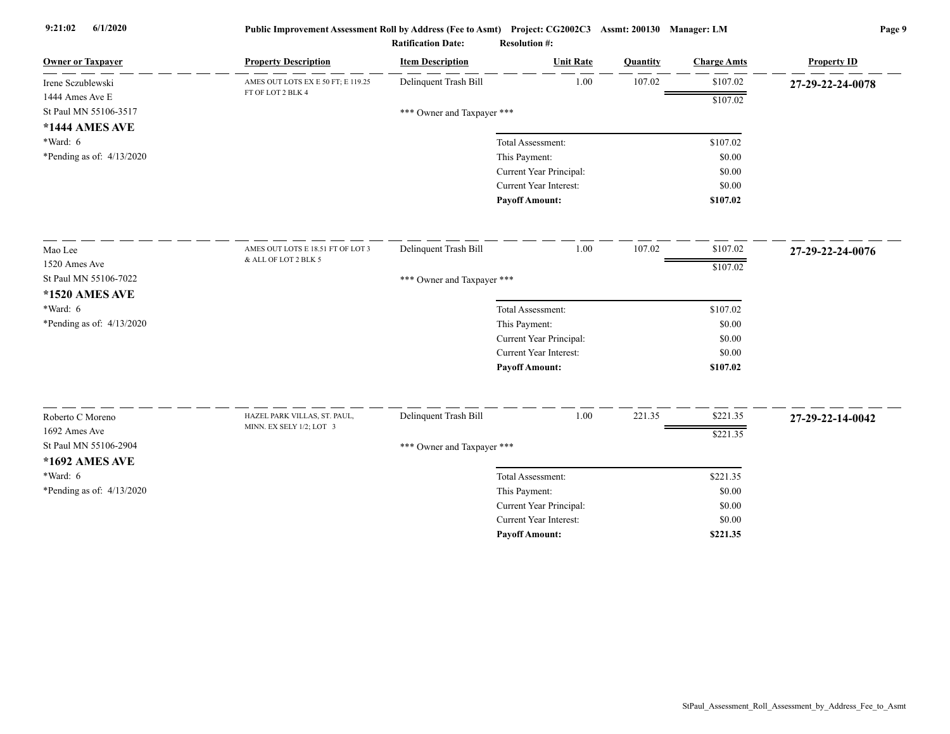| <b>Owner or Taxpayer</b>    | <b>Property Description</b>        | <b>Item Description</b>    | <b>Unit Rate</b>                         | Quantity | <b>Charge Amts</b> | <b>Property ID</b> |
|-----------------------------|------------------------------------|----------------------------|------------------------------------------|----------|--------------------|--------------------|
| Irene Sczublewski           | AMES OUT LOTS EX E 50 FT; E 119.25 | Delinquent Trash Bill      | 1.00                                     | 107.02   | \$107.02           | 27-29-22-24-0078   |
| 1444 Ames Ave E             | FT OF LOT 2 BLK 4                  |                            |                                          |          | \$107.02           |                    |
| St Paul MN 55106-3517       |                                    | *** Owner and Taxpayer *** |                                          |          |                    |                    |
| *1444 AMES AVE              |                                    |                            |                                          |          |                    |                    |
| *Ward: 6                    |                                    |                            | Total Assessment:                        |          | \$107.02           |                    |
| *Pending as of: 4/13/2020   |                                    |                            | This Payment:                            |          | \$0.00             |                    |
|                             |                                    |                            | Current Year Principal:                  |          | \$0.00             |                    |
|                             |                                    |                            | Current Year Interest:                   |          | \$0.00             |                    |
|                             |                                    |                            | <b>Payoff Amount:</b>                    |          | \$107.02           |                    |
| Mao Lee                     | AMES OUT LOTS E 18.51 FT OF LOT 3  | Delinquent Trash Bill      | 1.00                                     | 107.02   | \$107.02           | 27-29-22-24-0076   |
| 1520 Ames Ave               | & ALL OF LOT 2 BLK 5               |                            |                                          |          | \$107.02           |                    |
| St Paul MN 55106-7022       |                                    |                            |                                          |          |                    |                    |
| <b>*1520 AMES AVE</b>       |                                    | *** Owner and Taxpayer *** |                                          |          |                    |                    |
| $*Ward: 6$                  |                                    |                            | Total Assessment:                        |          | \$107.02           |                    |
| *Pending as of: 4/13/2020   |                                    |                            | This Payment:                            |          | \$0.00             |                    |
|                             |                                    |                            | Current Year Principal:                  |          | \$0.00             |                    |
|                             |                                    |                            | <b>Current Year Interest:</b>            |          | \$0.00             |                    |
|                             |                                    |                            | <b>Payoff Amount:</b>                    |          | \$107.02           |                    |
| Roberto C Moreno            | HAZEL PARK VILLAS, ST. PAUL,       | Delinquent Trash Bill      | 1.00                                     | 221.35   | \$221.35           |                    |
| 1692 Ames Ave               | MINN. EX SELY 1/2; LOT 3           |                            |                                          |          |                    | 27-29-22-14-0042   |
| St Paul MN 55106-2904       |                                    |                            |                                          |          | \$221.35           |                    |
| *1692 AMES AVE              |                                    | *** Owner and Taxpayer *** |                                          |          |                    |                    |
| $*Ward: 6$                  |                                    |                            | Total Assessment:                        |          | \$221.35           |                    |
|                             |                                    |                            |                                          |          | \$0.00             |                    |
| *Pending as of: $4/13/2020$ |                                    |                            | This Payment:<br>Current Year Principal: |          | \$0.00             |                    |
|                             |                                    |                            | Current Year Interest:                   |          | \$0.00             |                    |
|                             |                                    |                            | <b>Pavoff Amount:</b>                    |          | \$221.35           |                    |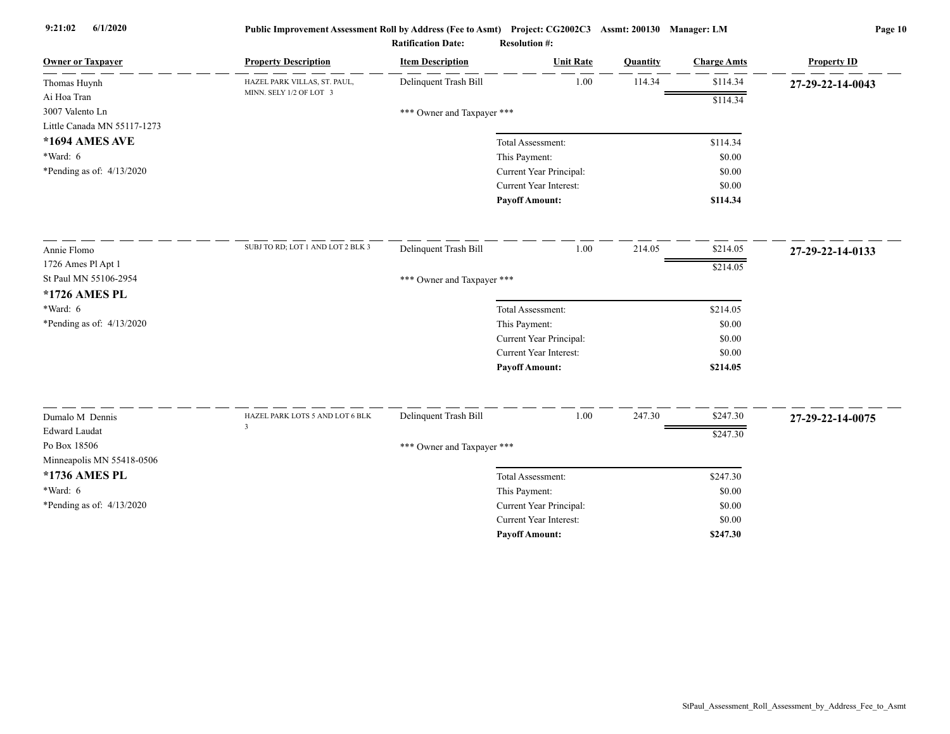| <b>Owner or Taxpayer</b>    | <b>Property Description</b>                       | <b>Item Description</b>    | <b>Unit Rate</b>              | Quantity | <b>Charge Amts</b> | <b>Property ID</b> |
|-----------------------------|---------------------------------------------------|----------------------------|-------------------------------|----------|--------------------|--------------------|
| Thomas Huynh                | HAZEL PARK VILLAS, ST. PAUL,                      | Delinquent Trash Bill      | 1.00                          | 114.34   | \$114.34           | 27-29-22-14-0043   |
| Ai Hoa Tran                 | MINN. SELY 1/2 OF LOT 3                           |                            |                               |          | \$114.34           |                    |
| 3007 Valento Ln             |                                                   | *** Owner and Taxpayer *** |                               |          |                    |                    |
| Little Canada MN 55117-1273 |                                                   |                            |                               |          |                    |                    |
| *1694 AMES AVE              |                                                   |                            | Total Assessment:             |          | \$114.34           |                    |
| $*Ward: 6$                  |                                                   |                            | This Payment:                 |          | \$0.00             |                    |
| *Pending as of: $4/13/2020$ |                                                   |                            | Current Year Principal:       |          | \$0.00             |                    |
|                             |                                                   |                            | Current Year Interest:        |          | \$0.00             |                    |
|                             |                                                   |                            | <b>Payoff Amount:</b>         |          | \$114.34           |                    |
| Annie Flomo                 | SUBJ TO RD; LOT 1 AND LOT 2 BLK 3                 | Delinquent Trash Bill      | 1.00                          | 214.05   | \$214.05           | 27-29-22-14-0133   |
| 1726 Ames Pl Apt 1          |                                                   |                            |                               |          |                    |                    |
| St Paul MN 55106-2954       |                                                   | *** Owner and Taxpayer *** |                               |          | \$214.05           |                    |
| *1726 AMES PL               |                                                   |                            |                               |          |                    |                    |
| $*Ward: 6$                  |                                                   |                            | Total Assessment:             |          | \$214.05           |                    |
| *Pending as of: $4/13/2020$ |                                                   |                            | This Payment:                 |          | \$0.00             |                    |
|                             |                                                   |                            | Current Year Principal:       |          | \$0.00             |                    |
|                             |                                                   |                            | <b>Current Year Interest:</b> |          | \$0.00             |                    |
|                             |                                                   |                            | <b>Payoff Amount:</b>         |          | \$214.05           |                    |
|                             |                                                   |                            |                               |          |                    |                    |
| Dumalo M Dennis             | HAZEL PARK LOTS 5 AND LOT 6 BLK<br>$\overline{3}$ | Delinquent Trash Bill      | 1.00                          | 247.30   | \$247.30           | 27-29-22-14-0075   |
| <b>Edward Laudat</b>        |                                                   |                            |                               |          | \$247.30           |                    |
| Po Box 18506                |                                                   | *** Owner and Taxpayer *** |                               |          |                    |                    |
| Minneapolis MN 55418-0506   |                                                   |                            |                               |          |                    |                    |
| *1736 AMES PL               |                                                   |                            | Total Assessment:             |          | \$247.30           |                    |
| *Ward: $6$                  |                                                   |                            | This Payment:                 |          | \$0.00             |                    |
| *Pending as of: 4/13/2020   |                                                   |                            | Current Year Principal:       |          | \$0.00             |                    |
|                             |                                                   |                            | Current Year Interest:        |          | \$0.00             |                    |
|                             |                                                   |                            | <b>Payoff Amount:</b>         |          | \$247.30           |                    |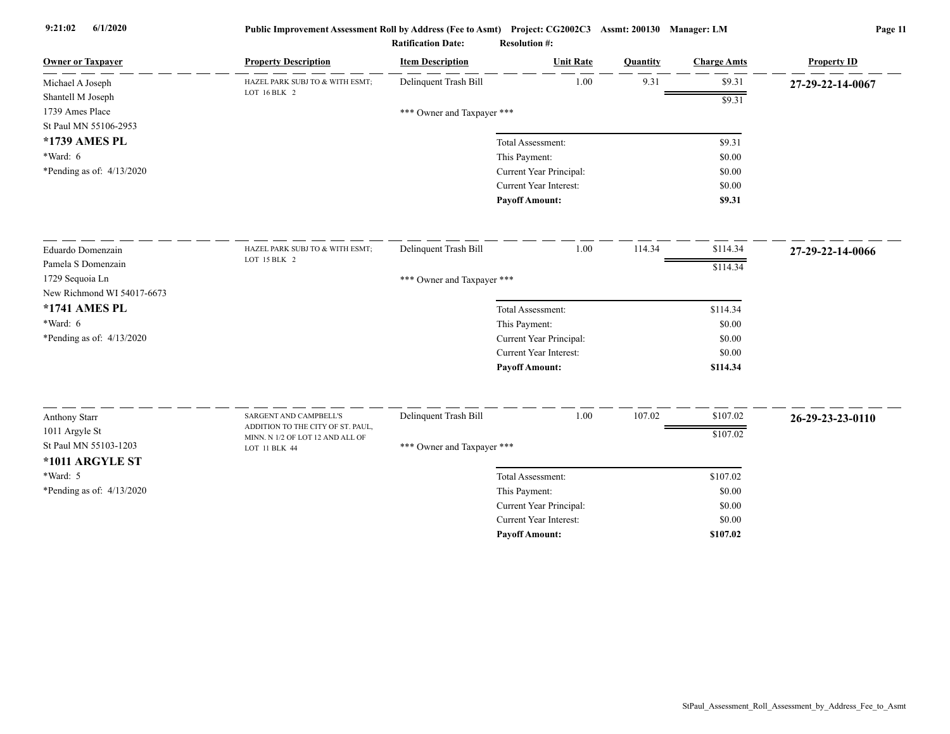| <b>Owner or Taxpayer</b>    | <b>Property Description</b>                                 | <b>Item Description</b>    | <b>Unit Rate</b>        | Quantity | <b>Charge Amts</b> | <b>Property ID</b> |
|-----------------------------|-------------------------------------------------------------|----------------------------|-------------------------|----------|--------------------|--------------------|
| Michael A Joseph            | HAZEL PARK SUBJ TO & WITH ESMT;<br>LOT 16 BLK 2             | Delinquent Trash Bill      | 1.00                    | 9.31     | \$9.31             | 27-29-22-14-0067   |
| Shantell M Joseph           |                                                             |                            |                         |          | \$9.31             |                    |
| 1739 Ames Place             |                                                             | *** Owner and Taxpayer *** |                         |          |                    |                    |
| St Paul MN 55106-2953       |                                                             |                            |                         |          |                    |                    |
| *1739 AMES PL               |                                                             |                            | Total Assessment:       |          | \$9.31             |                    |
| $*Ward: 6$                  |                                                             |                            | This Payment:           |          | \$0.00             |                    |
| *Pending as of: 4/13/2020   |                                                             |                            | Current Year Principal: |          | \$0.00             |                    |
|                             |                                                             |                            | Current Year Interest:  |          | \$0.00             |                    |
|                             |                                                             |                            | <b>Payoff Amount:</b>   |          | \$9.31             |                    |
| Eduardo Domenzain           | HAZEL PARK SUBJ TO & WITH ESMT;                             | Delinquent Trash Bill      | 1.00                    | 114.34   | \$114.34           | 27-29-22-14-0066   |
| Pamela S Domenzain          | LOT 15 BLK 2                                                |                            |                         |          | \$114.34           |                    |
| 1729 Sequoia Ln             |                                                             | *** Owner and Taxpayer *** |                         |          |                    |                    |
| New Richmond WI 54017-6673  |                                                             |                            |                         |          |                    |                    |
| *1741 AMES PL               |                                                             |                            | Total Assessment:       |          | \$114.34           |                    |
| *Ward: 6                    |                                                             |                            | This Payment:           |          | \$0.00             |                    |
| *Pending as of: $4/13/2020$ |                                                             |                            | Current Year Principal: |          | \$0.00             |                    |
|                             |                                                             |                            | Current Year Interest:  |          | \$0.00             |                    |
|                             |                                                             |                            | <b>Payoff Amount:</b>   |          | \$114.34           |                    |
|                             |                                                             |                            |                         |          |                    |                    |
| Anthony Starr               | SARGENT AND CAMPBELL'S<br>ADDITION TO THE CITY OF ST. PAUL, | Delinquent Trash Bill      | 1.00                    | 107.02   | \$107.02           | 26-29-23-23-0110   |
| 1011 Argyle St              | MINN. N 1/2 OF LOT 12 AND ALL OF                            |                            |                         |          | \$107.02           |                    |
| St Paul MN 55103-1203       | LOT 11 BLK 44                                               | *** Owner and Taxpayer *** |                         |          |                    |                    |
| *1011 ARGYLE ST             |                                                             |                            |                         |          |                    |                    |
| *Ward: 5                    |                                                             |                            | Total Assessment:       |          | \$107.02           |                    |
| *Pending as of: 4/13/2020   |                                                             |                            | This Payment:           |          | \$0.00             |                    |
|                             |                                                             |                            | Current Year Principal: |          | \$0.00             |                    |
|                             |                                                             |                            | Current Year Interest:  |          | \$0.00             |                    |
|                             |                                                             |                            | <b>Payoff Amount:</b>   |          | \$107.02           |                    |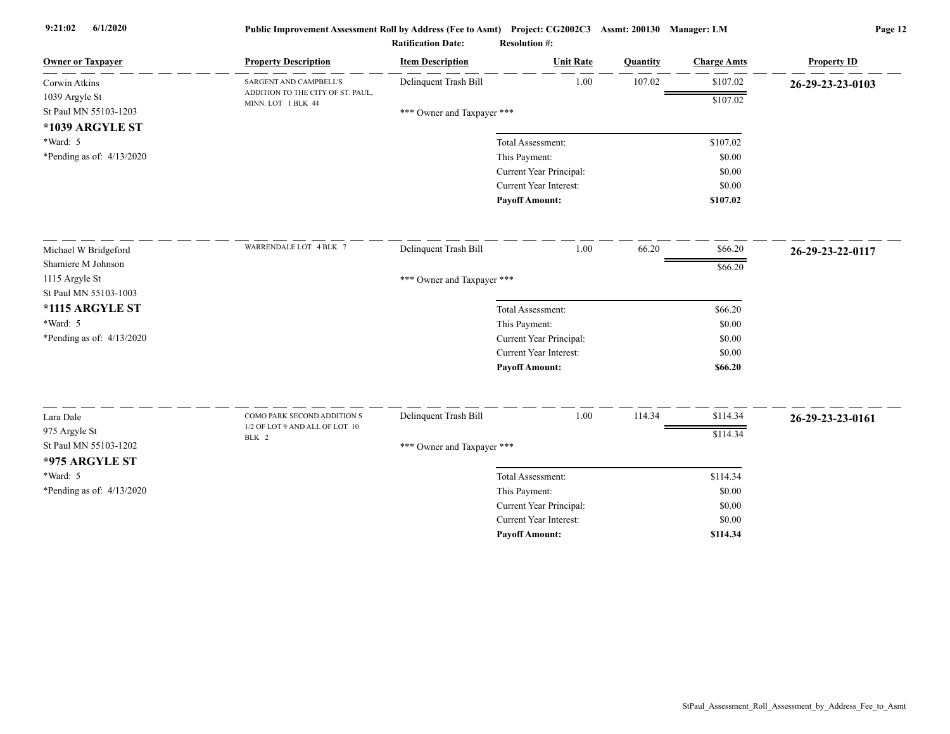| <b>Owner or Taxpayer</b>               | <b>Property Description</b>                             | <b>Item Description</b>    | <b>Unit Rate</b>                         | Quantity | <b>Charge Amts</b> | <b>Property ID</b> |
|----------------------------------------|---------------------------------------------------------|----------------------------|------------------------------------------|----------|--------------------|--------------------|
| Corwin Atkins                          | SARGENT AND CAMPBELL'S                                  | Delinquent Trash Bill      | 1.00                                     | 107.02   | \$107.02           | 26-29-23-23-0103   |
| 1039 Argyle St                         | ADDITION TO THE CITY OF ST. PAUL,<br>MINN. LOT 1 BLK 44 |                            |                                          |          | \$107.02           |                    |
| St Paul MN 55103-1203                  |                                                         | *** Owner and Taxpayer *** |                                          |          |                    |                    |
| *1039 ARGYLE ST                        |                                                         |                            |                                          |          |                    |                    |
| *Ward: 5                               |                                                         |                            | Total Assessment:                        |          | \$107.02           |                    |
| *Pending as of: $4/13/2020$            |                                                         |                            | This Payment:                            |          | \$0.00             |                    |
|                                        |                                                         |                            | Current Year Principal:                  |          | \$0.00             |                    |
|                                        |                                                         |                            | Current Year Interest:                   |          | \$0.00             |                    |
|                                        |                                                         |                            | <b>Payoff Amount:</b>                    |          | \$107.02           |                    |
| Michael W Bridgeford                   | WARRENDALE LOT 4 BLK 7                                  | Delinquent Trash Bill      | 1.00                                     | 66.20    | \$66.20            | 26-29-23-22-0117   |
| Shamiere M Johnson                     |                                                         |                            |                                          |          | \$66.20            |                    |
| 1115 Argyle St                         |                                                         | *** Owner and Taxpayer *** |                                          |          |                    |                    |
| St Paul MN 55103-1003                  |                                                         |                            |                                          |          |                    |                    |
| *1115 ARGYLE ST                        |                                                         |                            | Total Assessment:                        |          | \$66.20            |                    |
| *Ward: 5                               |                                                         |                            | This Payment:                            |          | \$0.00             |                    |
| *Pending as of: $4/13/2020$            |                                                         |                            | Current Year Principal:                  |          | \$0.00             |                    |
|                                        |                                                         |                            | Current Year Interest:                   |          | \$0.00             |                    |
|                                        |                                                         |                            | <b>Payoff Amount:</b>                    |          | \$66.20            |                    |
| Lara Dale                              | COMO PARK SECOND ADDITION S                             | Delinquent Trash Bill      | 1.00                                     | 114.34   | \$114.34           |                    |
|                                        | 1/2 OF LOT 9 AND ALL OF LOT 10                          |                            |                                          |          |                    | 26-29-23-23-0161   |
| 975 Argyle St<br>St Paul MN 55103-1202 | BLK 2                                                   |                            |                                          |          | \$114.34           |                    |
| *975 ARGYLE ST                         |                                                         | *** Owner and Taxpayer *** |                                          |          |                    |                    |
| *Ward: 5                               |                                                         |                            | Total Assessment:                        |          | \$114.34           |                    |
|                                        |                                                         |                            |                                          |          |                    |                    |
| *Pending as of: $4/13/2020$            |                                                         |                            | This Payment:<br>Current Year Principal: |          | \$0.00<br>\$0.00   |                    |
|                                        |                                                         |                            | <b>Current Year Interest:</b>            |          | \$0.00             |                    |
|                                        |                                                         |                            | <b>Payoff Amount:</b>                    |          | \$114.34           |                    |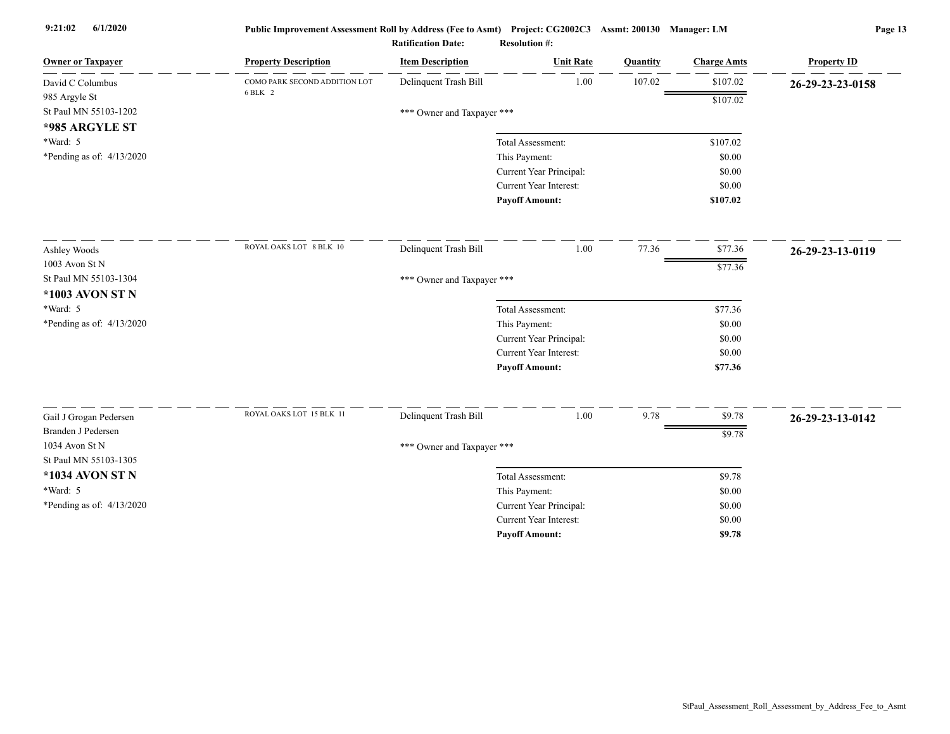| <b>Owner or Taxpayer</b>                | <b>Property Description</b>   | <b>Item Description</b>    | <b>Unit Rate</b>              | <b>Quantity</b> | <b>Charge Amts</b> | <b>Property ID</b> |  |  |  |
|-----------------------------------------|-------------------------------|----------------------------|-------------------------------|-----------------|--------------------|--------------------|--|--|--|
| David C Columbus                        | COMO PARK SECOND ADDITION LOT | Delinquent Trash Bill      | 1.00                          | 107.02          | \$107.02           | 26-29-23-23-0158   |  |  |  |
| 985 Argyle St                           | 6 BLK 2                       |                            |                               |                 | \$107.02           |                    |  |  |  |
| St Paul MN 55103-1202                   |                               | *** Owner and Taxpayer *** |                               |                 |                    |                    |  |  |  |
| *985 ARGYLE ST                          |                               |                            |                               |                 |                    |                    |  |  |  |
| *Ward: 5                                |                               |                            | Total Assessment:             |                 | \$107.02           |                    |  |  |  |
| *Pending as of: $4/13/2020$             |                               |                            | This Payment:                 |                 | \$0.00             |                    |  |  |  |
|                                         |                               |                            | Current Year Principal:       |                 | \$0.00             |                    |  |  |  |
|                                         |                               |                            | <b>Current Year Interest:</b> |                 | \$0.00             |                    |  |  |  |
|                                         |                               |                            | <b>Payoff Amount:</b>         |                 | \$107.02           |                    |  |  |  |
| Ashley Woods                            | ROYAL OAKS LOT 8 BLK 10       | Delinquent Trash Bill      | 1.00                          | 77.36           | \$77.36            | 26-29-23-13-0119   |  |  |  |
| 1003 Avon St N                          |                               |                            |                               |                 | \$77.36            |                    |  |  |  |
| St Paul MN 55103-1304                   |                               |                            | *** Owner and Taxpayer ***    |                 |                    |                    |  |  |  |
| *1003 AVON ST N                         |                               |                            |                               |                 |                    |                    |  |  |  |
| *Ward: 5                                |                               |                            | Total Assessment:             |                 | \$77.36            |                    |  |  |  |
| *Pending as of: 4/13/2020               |                               |                            | This Payment:                 |                 | \$0.00             |                    |  |  |  |
|                                         |                               |                            | Current Year Principal:       |                 | \$0.00             |                    |  |  |  |
|                                         |                               |                            | <b>Current Year Interest:</b> |                 | \$0.00             |                    |  |  |  |
|                                         |                               |                            | <b>Payoff Amount:</b>         |                 | \$77.36            |                    |  |  |  |
|                                         | ROYAL OAKS LOT 15 BLK 11      |                            |                               |                 |                    |                    |  |  |  |
| Gail J Grogan Pedersen                  |                               | Delinquent Trash Bill      | 1.00                          | 9.78            | \$9.78             | 26-29-23-13-0142   |  |  |  |
| Branden J Pedersen                      |                               |                            |                               |                 | \$9.78             |                    |  |  |  |
| 1034 Avon St N<br>St Paul MN 55103-1305 |                               | *** Owner and Taxpayer *** |                               |                 |                    |                    |  |  |  |
| *1034 AVON ST N                         |                               |                            | Total Assessment:             |                 | \$9.78             |                    |  |  |  |
| *Ward: 5                                |                               |                            | This Payment:                 |                 | \$0.00             |                    |  |  |  |
| *Pending as of: 4/13/2020               |                               |                            | Current Year Principal:       |                 | \$0.00             |                    |  |  |  |
|                                         |                               |                            | <b>Current Year Interest:</b> |                 | \$0.00             |                    |  |  |  |
|                                         |                               |                            | <b>Pavoff Amount:</b>         |                 | \$9.78             |                    |  |  |  |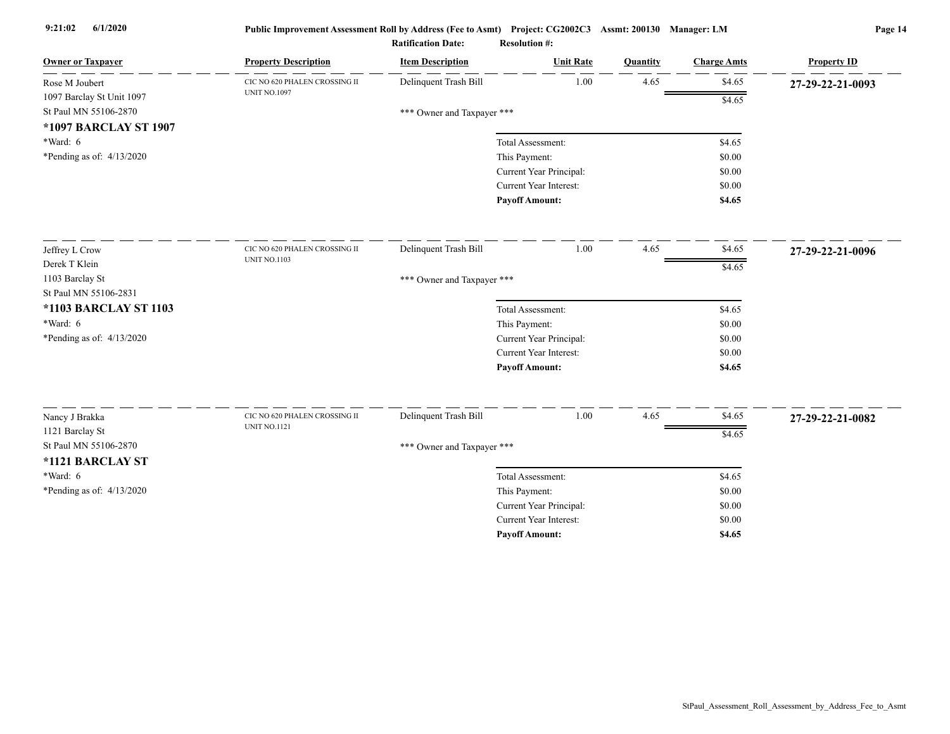| <b>Owner or Taxpayer</b>          | <b>Property Description</b>   | <b>Item Description</b>    | <b>Unit Rate</b>                                  | <b>Quantity</b> | <b>Charge Amts</b> | <b>Property ID</b> |
|-----------------------------------|-------------------------------|----------------------------|---------------------------------------------------|-----------------|--------------------|--------------------|
| Rose M Joubert                    | CIC NO 620 PHALEN CROSSING II | Delinquent Trash Bill      | 1.00                                              | 4.65            | \$4.65             | 27-29-22-21-0093   |
| 1097 Barclay St Unit 1097         | <b>UNIT NO.1097</b>           |                            |                                                   |                 | \$4.65             |                    |
| St Paul MN 55106-2870             |                               | *** Owner and Taxpayer *** |                                                   |                 |                    |                    |
| *1097 BARCLAY ST 1907             |                               |                            |                                                   |                 |                    |                    |
| $*Ward: 6$                        |                               |                            | Total Assessment:                                 |                 | \$4.65             |                    |
| *Pending as of: $4/13/2020$       |                               |                            | This Payment:                                     |                 | \$0.00             |                    |
|                                   |                               |                            | Current Year Principal:<br>Current Year Interest: |                 | \$0.00<br>\$0.00   |                    |
|                                   |                               |                            | <b>Payoff Amount:</b>                             |                 | \$4.65             |                    |
|                                   |                               |                            |                                                   |                 |                    |                    |
| Jeffrey L Crow                    | CIC NO 620 PHALEN CROSSING II | Delinquent Trash Bill      | 1.00                                              | 4.65            | \$4.65             | 27-29-22-21-0096   |
| Derek T Klein                     | <b>UNIT NO.1103</b>           |                            |                                                   |                 | \$4.65             |                    |
| 1103 Barclay St                   |                               | *** Owner and Taxpayer *** |                                                   |                 |                    |                    |
| St Paul MN 55106-2831             |                               |                            |                                                   |                 |                    |                    |
| <b>*1103 BARCLAY ST 1103</b>      |                               |                            | Total Assessment:                                 |                 | \$4.65             |                    |
| $*Ward: 6$                        |                               |                            | This Payment:                                     |                 | \$0.00             |                    |
| *Pending as of: $4/13/2020$       |                               |                            | Current Year Principal:                           |                 | \$0.00             |                    |
|                                   |                               |                            | <b>Current Year Interest:</b>                     |                 | \$0.00             |                    |
|                                   |                               |                            | <b>Payoff Amount:</b>                             |                 | \$4.65             |                    |
|                                   | CIC NO 620 PHALEN CROSSING II | Delinquent Trash Bill      | 1.00                                              | 4.65            | \$4.65             |                    |
| Nancy J Brakka<br>1121 Barclay St | <b>UNIT NO.1121</b>           |                            |                                                   |                 |                    | 27-29-22-21-0082   |
| St Paul MN 55106-2870             |                               |                            |                                                   |                 | \$4.65             |                    |
| *1121 BARCLAY ST                  |                               | *** Owner and Taxpayer *** |                                                   |                 |                    |                    |
| *Ward: 6                          |                               |                            | Total Assessment:                                 |                 | \$4.65             |                    |
| *Pending as of: 4/13/2020         |                               |                            | This Payment:                                     |                 | \$0.00             |                    |
|                                   |                               |                            | Current Year Principal:                           |                 | \$0.00             |                    |
|                                   |                               |                            | <b>Current Year Interest:</b>                     |                 | \$0.00             |                    |
|                                   |                               |                            | <b>Pavoff Amount:</b>                             |                 | \$4.65             |                    |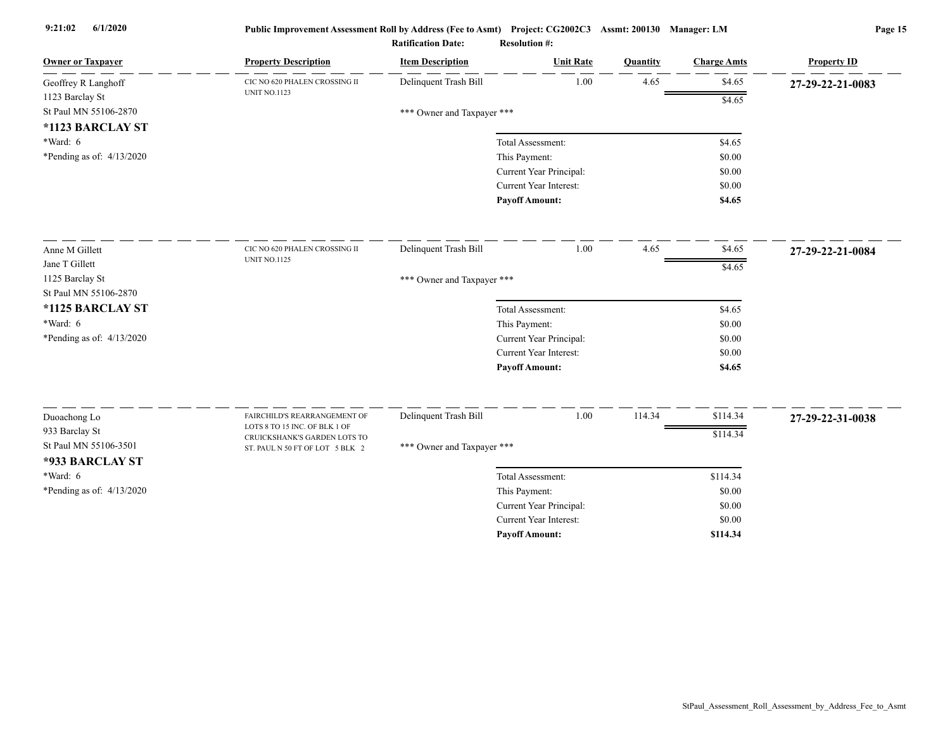| <b>Owner or Taxpayer</b>    | <b>Property Description</b>                                   | <b>Item Description</b>    | <b>Unit Rate</b>              | Quantity | <b>Charge Amts</b> | <b>Property ID</b> |
|-----------------------------|---------------------------------------------------------------|----------------------------|-------------------------------|----------|--------------------|--------------------|
| Geoffrey R Langhoff         | CIC NO 620 PHALEN CROSSING II                                 | Delinquent Trash Bill      | 1.00                          | 4.65     | \$4.65             | 27-29-22-21-0083   |
| 1123 Barclay St             | <b>UNIT NO.1123</b>                                           |                            |                               |          | \$4.65             |                    |
| St Paul MN 55106-2870       |                                                               | *** Owner and Taxpayer *** |                               |          |                    |                    |
| *1123 BARCLAY ST            |                                                               |                            |                               |          |                    |                    |
| *Ward: 6                    |                                                               |                            | Total Assessment:             |          | \$4.65             |                    |
| *Pending as of: $4/13/2020$ |                                                               |                            | This Payment:                 |          | \$0.00             |                    |
|                             |                                                               |                            | Current Year Principal:       |          | \$0.00             |                    |
|                             |                                                               |                            | Current Year Interest:        |          | \$0.00             |                    |
|                             |                                                               |                            | <b>Payoff Amount:</b>         |          | \$4.65             |                    |
| Anne M Gillett              | CIC NO 620 PHALEN CROSSING II                                 | Delinquent Trash Bill      | 1.00                          | 4.65     | \$4.65             | 27-29-22-21-0084   |
| Jane T Gillett              | <b>UNIT NO.1125</b>                                           |                            |                               |          | \$4.65             |                    |
| 1125 Barclay St             |                                                               | *** Owner and Taxpayer *** |                               |          |                    |                    |
| St Paul MN 55106-2870       |                                                               |                            |                               |          |                    |                    |
| *1125 BARCLAY ST            |                                                               |                            | Total Assessment:             |          | \$4.65             |                    |
| *Ward: 6                    |                                                               |                            | This Payment:                 |          | \$0.00             |                    |
| *Pending as of: 4/13/2020   |                                                               |                            | Current Year Principal:       |          | \$0.00             |                    |
|                             |                                                               |                            | Current Year Interest:        |          | \$0.00             |                    |
|                             |                                                               |                            | <b>Payoff Amount:</b>         |          | \$4.65             |                    |
|                             |                                                               |                            |                               |          |                    |                    |
| Duoachong Lo                | FAIRCHILD'S REARRANGEMENT OF<br>LOTS 8 TO 15 INC. OF BLK 1 OF | Delinquent Trash Bill      | 1.00                          | 114.34   | \$114.34           | 27-29-22-31-0038   |
| 933 Barclay St              | CRUICKSHANK'S GARDEN LOTS TO                                  |                            |                               |          | \$114.34           |                    |
| St Paul MN 55106-3501       | ST. PAUL N 50 FT OF LOT 5 BLK 2                               | *** Owner and Taxpayer *** |                               |          |                    |                    |
| *933 BARCLAY ST             |                                                               |                            |                               |          |                    |                    |
| *Ward: 6                    |                                                               |                            | Total Assessment:             |          | \$114.34           |                    |
| *Pending as of: $4/13/2020$ |                                                               |                            | This Payment:                 |          | \$0.00             |                    |
|                             |                                                               |                            | Current Year Principal:       |          | \$0.00             |                    |
|                             |                                                               |                            | <b>Current Year Interest:</b> |          | \$0.00             |                    |
|                             |                                                               |                            | <b>Payoff Amount:</b>         |          | \$114.34           |                    |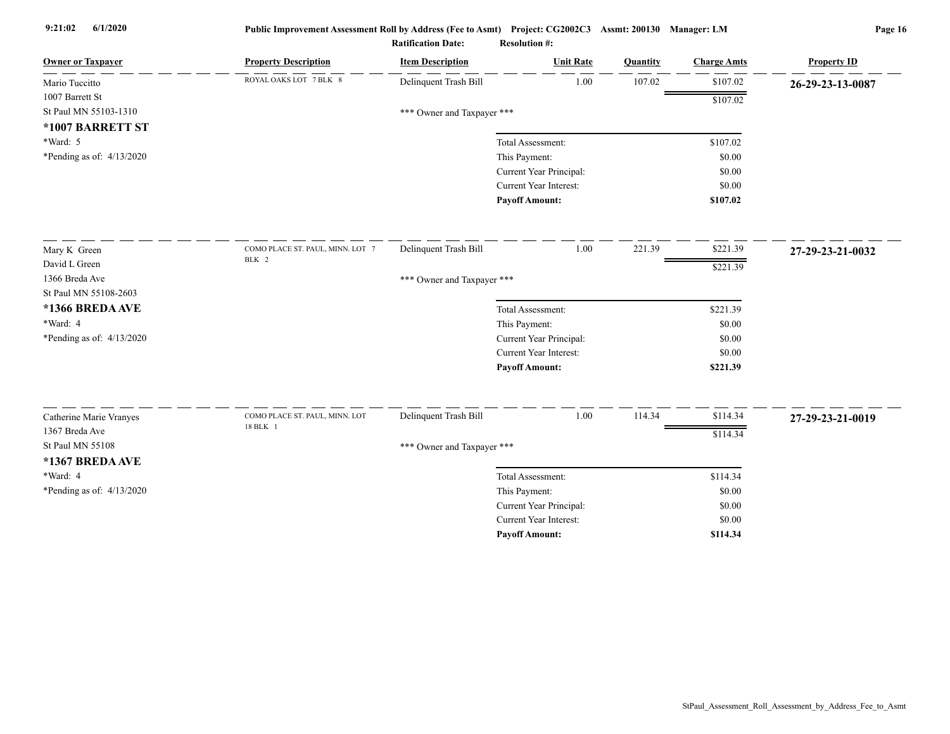| <b>Owner or Taxpayer</b>    | <b>Property Description</b>      | <b>Item Description</b>    | <b>Unit Rate</b>              | Quantity | <b>Charge Amts</b> | <b>Property ID</b> |
|-----------------------------|----------------------------------|----------------------------|-------------------------------|----------|--------------------|--------------------|
| Mario Tuccitto              | ROYAL OAKS LOT 7 BLK 8           | Delinquent Trash Bill      | 1.00                          | 107.02   | \$107.02           | 26-29-23-13-0087   |
| 1007 Barrett St             |                                  |                            |                               |          | \$107.02           |                    |
| St Paul MN 55103-1310       |                                  | *** Owner and Taxpayer *** |                               |          |                    |                    |
| *1007 BARRETT ST            |                                  |                            |                               |          |                    |                    |
| *Ward: 5                    |                                  |                            | Total Assessment:             |          | \$107.02           |                    |
| *Pending as of: $4/13/2020$ |                                  |                            | This Payment:                 |          | \$0.00             |                    |
|                             |                                  |                            | Current Year Principal:       |          | \$0.00             |                    |
|                             |                                  |                            | <b>Current Year Interest:</b> |          | \$0.00             |                    |
|                             |                                  |                            | <b>Payoff Amount:</b>         |          | \$107.02           |                    |
| Mary K Green                | COMO PLACE ST. PAUL, MINN. LOT 7 | Delinquent Trash Bill      | 1.00                          | 221.39   | \$221.39           | 27-29-23-21-0032   |
| David L Green               | BLK 2                            |                            |                               |          | \$221.39           |                    |
| 1366 Breda Ave              |                                  | *** Owner and Taxpayer *** |                               |          |                    |                    |
| St Paul MN 55108-2603       |                                  |                            |                               |          |                    |                    |
| *1366 BREDA AVE             |                                  |                            | Total Assessment:             |          | \$221.39           |                    |
| *Ward: 4                    |                                  |                            | This Payment:                 |          | \$0.00             |                    |
| *Pending as of: 4/13/2020   |                                  |                            | Current Year Principal:       |          | \$0.00             |                    |
|                             |                                  |                            | Current Year Interest:        |          | \$0.00             |                    |
|                             |                                  |                            | <b>Payoff Amount:</b>         |          | \$221.39           |                    |
| Catherine Marie Vranyes     | COMO PLACE ST. PAUL, MINN. LOT   | Delinquent Trash Bill      | 1.00                          | 114.34   | \$114.34           | 27-29-23-21-0019   |
| 1367 Breda Ave              | 18 BLK 1                         |                            |                               |          | \$114.34           |                    |
| St Paul MN 55108            |                                  | *** Owner and Taxpayer *** |                               |          |                    |                    |
| *1367 BREDA AVE             |                                  |                            |                               |          |                    |                    |
| *Ward: 4                    |                                  |                            | Total Assessment:             |          | \$114.34           |                    |
| *Pending as of: 4/13/2020   |                                  |                            | This Payment:                 |          | \$0.00             |                    |
|                             |                                  |                            | Current Year Principal:       |          | \$0.00             |                    |
|                             |                                  |                            | <b>Current Year Interest:</b> |          | \$0.00             |                    |
|                             |                                  |                            | <b>Payoff Amount:</b>         |          | \$114.34           |                    |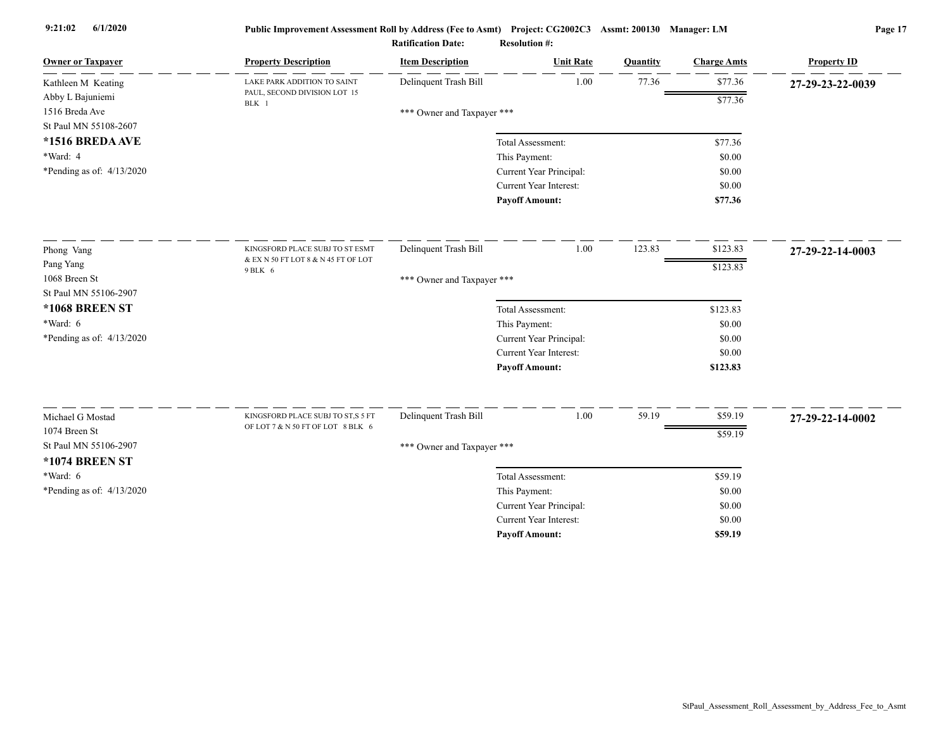| <b>Owner or Taxpayer</b>  | <b>Property Description</b>                                            | <b>Item Description</b>    | <b>Unit Rate</b>        | Quantity | <b>Charge Amts</b> | <b>Property ID</b> |
|---------------------------|------------------------------------------------------------------------|----------------------------|-------------------------|----------|--------------------|--------------------|
| Kathleen M Keating        | LAKE PARK ADDITION TO SAINT                                            | Delinquent Trash Bill      | 1.00                    | 77.36    | \$77.36            | 27-29-23-22-0039   |
| Abby L Bajuniemi          | PAUL, SECOND DIVISION LOT 15<br>BLK 1                                  |                            |                         |          | \$77.36            |                    |
| 1516 Breda Ave            |                                                                        | *** Owner and Taxpayer *** |                         |          |                    |                    |
| St Paul MN 55108-2607     |                                                                        |                            |                         |          |                    |                    |
| *1516 BREDA AVE           |                                                                        |                            | Total Assessment:       |          | \$77.36            |                    |
| *Ward: 4                  |                                                                        |                            | This Payment:           |          | \$0.00             |                    |
| *Pending as of: 4/13/2020 |                                                                        |                            | Current Year Principal: |          | \$0.00             |                    |
|                           |                                                                        |                            | Current Year Interest:  |          | \$0.00             |                    |
|                           |                                                                        |                            | <b>Payoff Amount:</b>   |          | \$77.36            |                    |
| Phong Vang                | KINGSFORD PLACE SUBJ TO ST ESMT                                        | Delinquent Trash Bill      | 1.00                    | 123.83   | \$123.83           | 27-29-22-14-0003   |
| Pang Yang                 | & EX N 50 FT LOT 8 & N 45 FT OF LOT                                    |                            |                         |          | \$123.83           |                    |
| 1068 Breen St             | 9 BLK 6                                                                | *** Owner and Taxpayer *** |                         |          |                    |                    |
| St Paul MN 55106-2907     |                                                                        |                            |                         |          |                    |                    |
| <b>*1068 BREEN ST</b>     |                                                                        |                            | Total Assessment:       |          | \$123.83           |                    |
| $*Ward: 6$                |                                                                        |                            | This Payment:           |          | \$0.00             |                    |
| *Pending as of: 4/13/2020 |                                                                        |                            | Current Year Principal: |          | \$0.00             |                    |
|                           |                                                                        |                            | Current Year Interest:  |          | \$0.00             |                    |
|                           |                                                                        |                            | <b>Payoff Amount:</b>   |          | \$123.83           |                    |
|                           |                                                                        |                            |                         |          |                    |                    |
| Michael G Mostad          | KINGSFORD PLACE SUBJ TO ST,S 5 FT<br>OF LOT 7 & N 50 FT OF LOT 8 BLK 6 | Delinquent Trash Bill      | 1.00                    | 59.19    | \$59.19            | 27-29-22-14-0002   |
| 1074 Breen St             |                                                                        |                            |                         |          | \$59.19            |                    |
| St Paul MN 55106-2907     |                                                                        | *** Owner and Taxpayer *** |                         |          |                    |                    |
| <b>*1074 BREEN ST</b>     |                                                                        |                            |                         |          |                    |                    |
| *Ward: 6                  |                                                                        |                            | Total Assessment:       |          | \$59.19            |                    |
| *Pending as of: 4/13/2020 |                                                                        |                            | This Payment:           |          | \$0.00             |                    |
|                           |                                                                        |                            | Current Year Principal: |          | \$0.00             |                    |
|                           |                                                                        |                            | Current Year Interest:  |          | \$0.00             |                    |
|                           |                                                                        |                            | <b>Pavoff Amount:</b>   |          | \$59.19            |                    |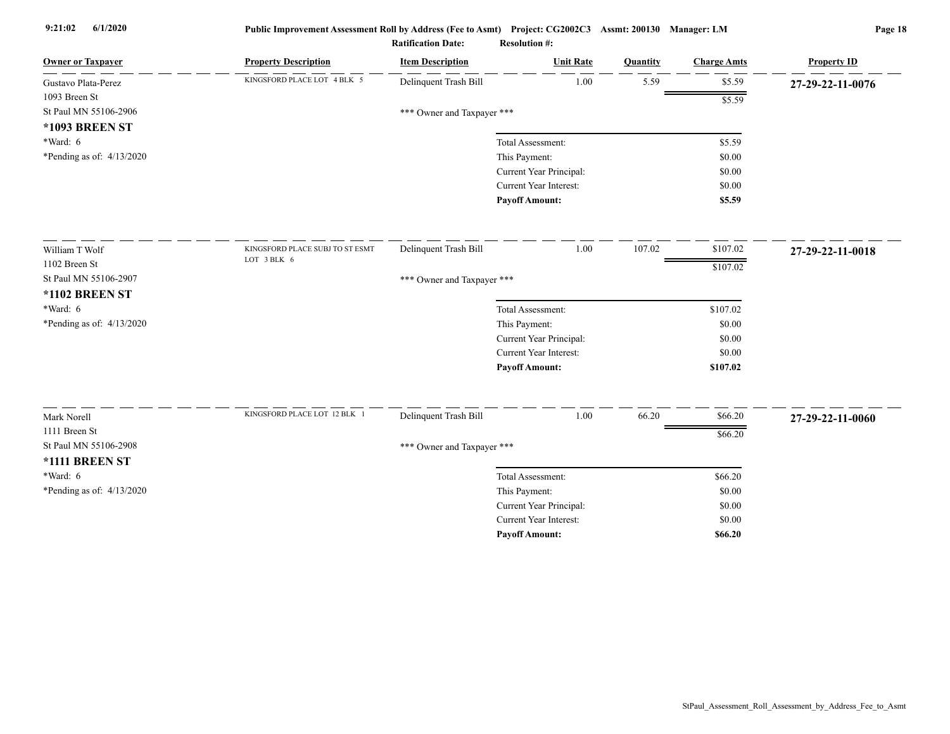| <b>Owner or Taxpayer</b>    | <b>Property Description</b>     | <b>Item Description</b>    | <b>Unit Rate</b>        | Quantity | <b>Charge Amts</b> | <b>Property ID</b> |
|-----------------------------|---------------------------------|----------------------------|-------------------------|----------|--------------------|--------------------|
| Gustavo Plata-Perez         | KINGSFORD PLACE LOT 4 BLK 5     | Delinquent Trash Bill      | 1.00                    | 5.59     | \$5.59             | 27-29-22-11-0076   |
| 1093 Breen St               |                                 |                            |                         |          | \$5.59             |                    |
| St Paul MN 55106-2906       |                                 | *** Owner and Taxpayer *** |                         |          |                    |                    |
| <b>*1093 BREEN ST</b>       |                                 |                            |                         |          |                    |                    |
| *Ward: 6                    |                                 |                            | Total Assessment:       |          | \$5.59             |                    |
| *Pending as of: $4/13/2020$ |                                 |                            | This Payment:           |          | \$0.00             |                    |
|                             |                                 |                            | Current Year Principal: |          | \$0.00             |                    |
|                             |                                 |                            | Current Year Interest:  |          | \$0.00             |                    |
|                             |                                 |                            | <b>Payoff Amount:</b>   |          | \$5.59             |                    |
| William T Wolf              | KINGSFORD PLACE SUBJ TO ST ESMT | Delinquent Trash Bill      | 1.00                    | 107.02   | \$107.02           | 27-29-22-11-0018   |
| 1102 Breen St               | LOT 3 BLK 6                     |                            |                         |          | \$107.02           |                    |
| St Paul MN 55106-2907       |                                 | *** Owner and Taxpayer *** |                         |          |                    |                    |
| <b>*1102 BREEN ST</b>       |                                 |                            |                         |          |                    |                    |
| *Ward: 6                    |                                 |                            | Total Assessment:       |          | \$107.02           |                    |
| *Pending as of: $4/13/2020$ |                                 |                            | This Payment:           |          | \$0.00             |                    |
|                             |                                 |                            | Current Year Principal: |          | \$0.00             |                    |
|                             |                                 |                            | Current Year Interest:  |          | \$0.00             |                    |
|                             |                                 |                            | <b>Payoff Amount:</b>   |          | \$107.02           |                    |
|                             | KINGSFORD PLACE LOT 12 BLK 1    |                            | 1.00                    |          |                    |                    |
| Mark Norell                 |                                 | Delinquent Trash Bill      |                         | 66.20    | \$66.20            | 27-29-22-11-0060   |
| 1111 Breen St               |                                 |                            |                         |          | \$66.20            |                    |
| St Paul MN 55106-2908       |                                 | *** Owner and Taxpayer *** |                         |          |                    |                    |
| *1111 BREEN ST              |                                 |                            |                         |          |                    |                    |
| $*Ward: 6$                  |                                 |                            | Total Assessment:       |          | \$66.20            |                    |
| *Pending as of: $4/13/2020$ |                                 |                            | This Payment:           |          | \$0.00             |                    |
|                             |                                 |                            | Current Year Principal: |          | \$0.00             |                    |
|                             |                                 |                            | Current Year Interest:  |          | \$0.00             |                    |
|                             |                                 |                            | <b>Payoff Amount:</b>   |          | \$66.20            |                    |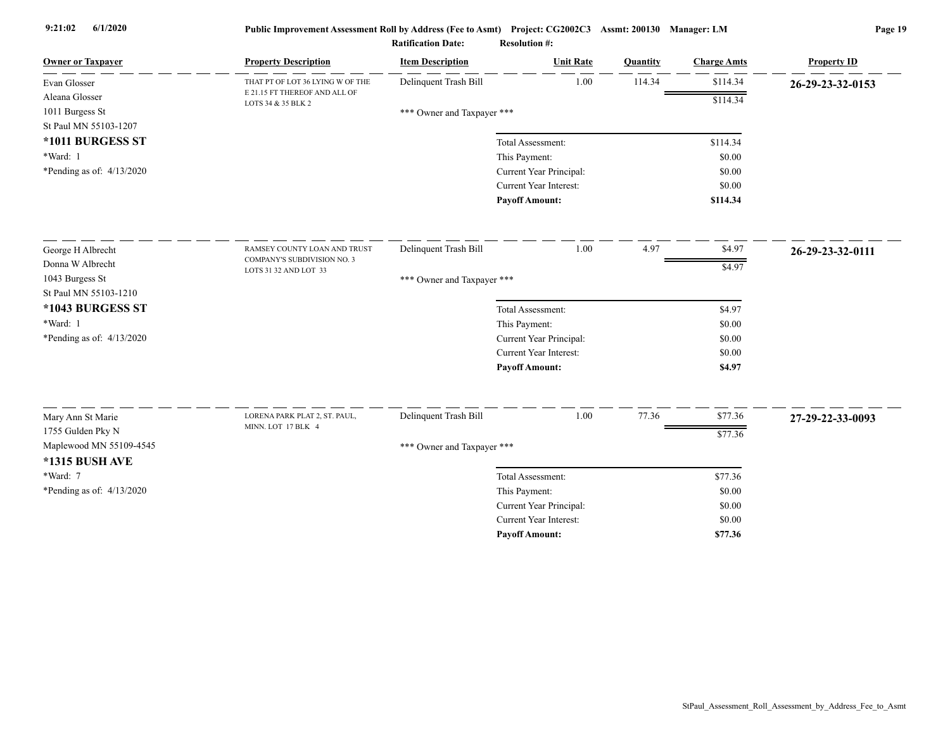| <b>Owner or Taxpayer</b>    | <b>Property Description</b>                         | <b>Item Description</b>    | <b>Unit Rate</b>        | Quantity | <b>Charge Amts</b> | <b>Property ID</b> |
|-----------------------------|-----------------------------------------------------|----------------------------|-------------------------|----------|--------------------|--------------------|
| Evan Glosser                | THAT PT OF LOT 36 LYING W OF THE                    | Delinquent Trash Bill      | 1.00                    | 114.34   | \$114.34           | 26-29-23-32-0153   |
| Aleana Glosser              | E 21.15 FT THEREOF AND ALL OF<br>LOTS 34 & 35 BLK 2 |                            |                         |          | \$114.34           |                    |
| 1011 Burgess St             |                                                     | *** Owner and Taxpayer *** |                         |          |                    |                    |
| St Paul MN 55103-1207       |                                                     |                            |                         |          |                    |                    |
| *1011 BURGESS ST            |                                                     |                            | Total Assessment:       |          | \$114.34           |                    |
| *Ward: 1                    |                                                     |                            | This Payment:           |          | \$0.00             |                    |
| *Pending as of: $4/13/2020$ |                                                     |                            | Current Year Principal: |          | \$0.00             |                    |
|                             |                                                     |                            | Current Year Interest:  |          | \$0.00             |                    |
|                             |                                                     |                            | <b>Pavoff Amount:</b>   |          | \$114.34           |                    |
| George H Albrecht           | RAMSEY COUNTY LOAN AND TRUST                        | Delinquent Trash Bill      | 1.00                    | 4.97     | \$4.97             | 26-29-23-32-0111   |
| Donna W Albrecht            | COMPANY'S SUBDIVISION NO. 3                         |                            |                         |          | \$4.97             |                    |
| 1043 Burgess St             | LOTS 31 32 AND LOT 33                               | *** Owner and Taxpayer *** |                         |          |                    |                    |
| St Paul MN 55103-1210       |                                                     |                            |                         |          |                    |                    |
| *1043 BURGESS ST            |                                                     |                            | Total Assessment:       |          | \$4.97             |                    |
| *Ward: 1                    |                                                     |                            | This Payment:           |          | \$0.00             |                    |
| *Pending as of: 4/13/2020   |                                                     |                            | Current Year Principal: |          | \$0.00             |                    |
|                             |                                                     |                            | Current Year Interest:  |          | \$0.00             |                    |
|                             |                                                     |                            | <b>Payoff Amount:</b>   |          | \$4.97             |                    |
|                             |                                                     |                            |                         |          |                    |                    |
| Mary Ann St Marie           | LORENA PARK PLAT 2, ST. PAUL,                       | Delinquent Trash Bill      | 1.00                    | 77.36    | \$77.36            | 27-29-22-33-0093   |
| 1755 Gulden Pky N           | MINN. LOT 17 BLK 4                                  |                            |                         |          | \$77.36            |                    |
| Maplewood MN 55109-4545     |                                                     | *** Owner and Taxpayer *** |                         |          |                    |                    |
| *1315 BUSH AVE              |                                                     |                            |                         |          |                    |                    |
| *Ward: 7                    |                                                     |                            | Total Assessment:       |          | \$77.36            |                    |
| *Pending as of: 4/13/2020   |                                                     |                            | This Payment:           |          | \$0.00             |                    |
|                             |                                                     |                            | Current Year Principal: |          | \$0.00             |                    |
|                             |                                                     |                            | Current Year Interest:  |          | \$0.00             |                    |
|                             |                                                     |                            | <b>Payoff Amount:</b>   |          | \$77.36            |                    |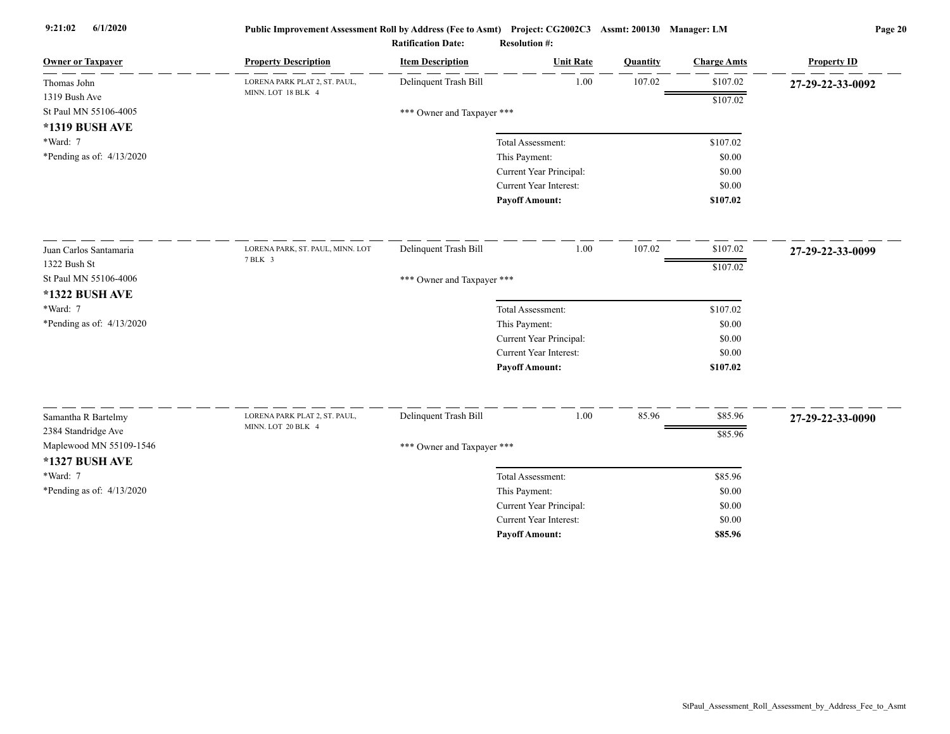| <b>Owner or Taxpayer</b>                  | <b>Property Description</b>                         | <b>Item Description</b>    | <b>Unit Rate</b>              | Quantity | <b>Charge Amts</b> | <b>Property ID</b> |
|-------------------------------------------|-----------------------------------------------------|----------------------------|-------------------------------|----------|--------------------|--------------------|
| Thomas John                               | LORENA PARK PLAT 2, ST. PAUL,                       | Delinquent Trash Bill      | 1.00                          | 107.02   | \$107.02           | 27-29-22-33-0092   |
| 1319 Bush Ave                             | MINN. LOT 18 BLK 4                                  |                            |                               |          | \$107.02           |                    |
| St Paul MN 55106-4005                     |                                                     | *** Owner and Taxpayer *** |                               |          |                    |                    |
| *1319 BUSH AVE                            |                                                     |                            |                               |          |                    |                    |
| *Ward: 7                                  |                                                     |                            | Total Assessment:             |          | \$107.02           |                    |
| *Pending as of: $4/13/2020$               |                                                     |                            | This Payment:                 |          | \$0.00             |                    |
|                                           |                                                     |                            | Current Year Principal:       |          | \$0.00             |                    |
|                                           |                                                     |                            | Current Year Interest:        |          | \$0.00             |                    |
|                                           |                                                     |                            | <b>Payoff Amount:</b>         |          | \$107.02           |                    |
| Juan Carlos Santamaria                    | LORENA PARK, ST. PAUL, MINN. LOT                    | Delinquent Trash Bill      | 1.00                          | 107.02   | \$107.02           | 27-29-22-33-0099   |
| 1322 Bush St                              | 7 BLK 3                                             |                            |                               |          | \$107.02           |                    |
| St Paul MN 55106-4006                     |                                                     | *** Owner and Taxpayer *** |                               |          |                    |                    |
| *1322 BUSH AVE                            |                                                     |                            |                               |          |                    |                    |
| *Ward: 7                                  |                                                     |                            | Total Assessment:             |          | \$107.02           |                    |
| *Pending as of: 4/13/2020                 |                                                     |                            | This Payment:                 |          | \$0.00             |                    |
|                                           |                                                     |                            | Current Year Principal:       |          | \$0.00             |                    |
|                                           |                                                     |                            | <b>Current Year Interest:</b> |          | \$0.00             |                    |
|                                           |                                                     |                            | <b>Payoff Amount:</b>         |          | \$107.02           |                    |
|                                           |                                                     |                            |                               |          |                    |                    |
| Samantha R Bartelmy                       | LORENA PARK PLAT 2, ST. PAUL,<br>MINN. LOT 20 BLK 4 | Delinquent Trash Bill      | 1.00                          | 85.96    | \$85.96            | 27-29-22-33-0090   |
| 2384 Standridge Ave                       |                                                     |                            |                               |          | \$85.96            |                    |
| Maplewood MN 55109-1546<br>*1327 BUSH AVE |                                                     | *** Owner and Taxpayer *** |                               |          |                    |                    |
| *Ward: 7                                  |                                                     |                            | Total Assessment:             |          | \$85.96            |                    |
| *Pending as of: 4/13/2020                 |                                                     |                            | This Payment:                 |          | \$0.00             |                    |
|                                           |                                                     |                            | Current Year Principal:       |          | \$0.00             |                    |
|                                           |                                                     |                            | <b>Current Year Interest:</b> |          | \$0.00             |                    |
|                                           |                                                     |                            | <b>Pavoff Amount:</b>         |          | \$85.96            |                    |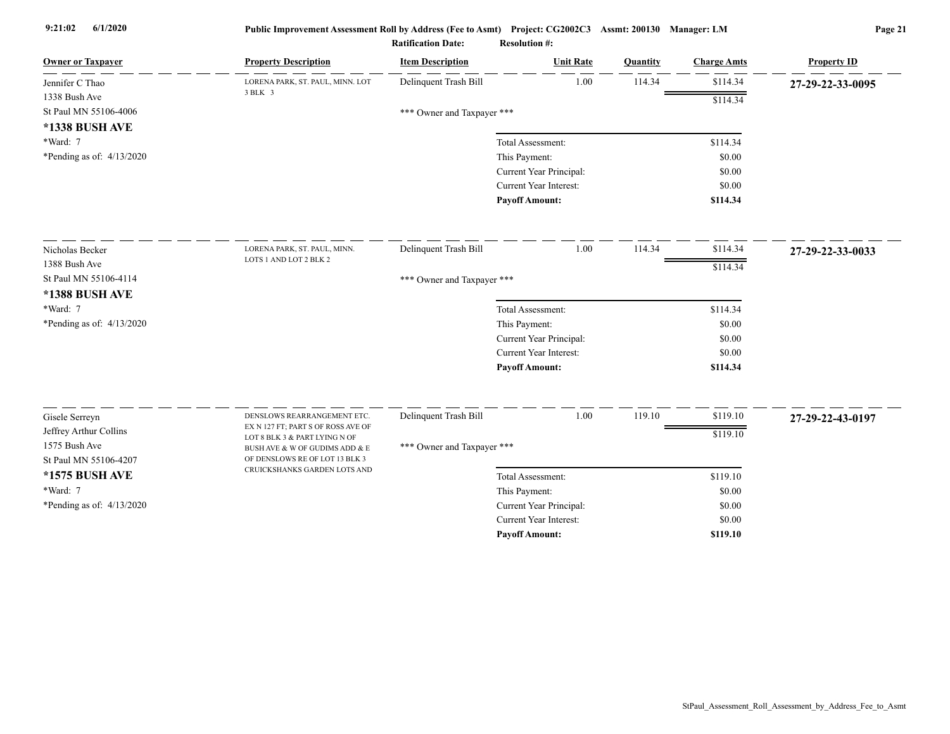| <b>Owner or Taxpayer</b>    | <b>Property Description</b>                                      | <b>Item Description</b>    | <b>Unit Rate</b>                         | Quantity | <b>Charge Amts</b> | <b>Property ID</b> |
|-----------------------------|------------------------------------------------------------------|----------------------------|------------------------------------------|----------|--------------------|--------------------|
| Jennifer C Thao             | LORENA PARK, ST. PAUL, MINN. LOT                                 | Delinquent Trash Bill      | 1.00                                     | 114.34   | \$114.34           | 27-29-22-33-0095   |
| 1338 Bush Ave               | 3 BLK 3                                                          |                            |                                          |          | \$114.34           |                    |
| St Paul MN 55106-4006       |                                                                  | *** Owner and Taxpayer *** |                                          |          |                    |                    |
| *1338 BUSH AVE              |                                                                  |                            |                                          |          |                    |                    |
| *Ward: 7                    |                                                                  |                            | Total Assessment:                        |          | \$114.34           |                    |
| *Pending as of: $4/13/2020$ |                                                                  |                            | This Payment:                            |          | \$0.00             |                    |
|                             |                                                                  |                            | Current Year Principal:                  |          | \$0.00             |                    |
|                             |                                                                  |                            | <b>Current Year Interest:</b>            |          | \$0.00             |                    |
|                             |                                                                  |                            | <b>Payoff Amount:</b>                    |          | \$114.34           |                    |
| Nicholas Becker             | LORENA PARK, ST. PAUL, MINN.                                     | Delinquent Trash Bill      | 1.00                                     | 114.34   | \$114.34           | 27-29-22-33-0033   |
| 1388 Bush Ave               | LOTS 1 AND LOT 2 BLK 2                                           |                            |                                          |          | \$114.34           |                    |
| St Paul MN 55106-4114       |                                                                  | *** Owner and Taxpayer *** |                                          |          |                    |                    |
| *1388 BUSH AVE              |                                                                  |                            |                                          |          |                    |                    |
| *Ward: 7                    |                                                                  |                            | Total Assessment:                        |          | \$114.34           |                    |
| *Pending as of: 4/13/2020   |                                                                  |                            | This Payment:                            |          | \$0.00             |                    |
|                             |                                                                  |                            | Current Year Principal:                  |          | \$0.00             |                    |
|                             |                                                                  |                            | <b>Current Year Interest:</b>            |          | \$0.00             |                    |
|                             |                                                                  |                            | <b>Payoff Amount:</b>                    |          | \$114.34           |                    |
| Gisele Serreyn              | DENSLOWS REARRANGEMENT ETC.                                      | Delinquent Trash Bill      | $1.00\,$                                 | 119.10   | \$119.10           |                    |
| Jeffrey Arthur Collins      | EX N 127 FT; PART S OF ROSS AVE OF                               |                            |                                          |          |                    | 27-29-22-43-0197   |
| 1575 Bush Ave               | LOT 8 BLK 3 & PART LYING N OF                                    |                            |                                          |          | \$119.10           |                    |
| St Paul MN 55106-4207       | BUSH AVE & W OF GUDIMS ADD & E<br>OF DENSLOWS RE OF LOT 13 BLK 3 | *** Owner and Taxpayer *** |                                          |          |                    |                    |
| *1575 BUSH AVE              | CRUICKSHANKS GARDEN LOTS AND                                     |                            | Total Assessment:                        |          |                    |                    |
| *Ward: 7                    |                                                                  |                            |                                          |          | \$119.10<br>\$0.00 |                    |
| *Pending as of: $4/13/2020$ |                                                                  |                            | This Payment:<br>Current Year Principal: |          | \$0.00             |                    |
|                             |                                                                  |                            | Current Year Interest:                   |          | \$0.00             |                    |
|                             |                                                                  |                            | <b>Payoff Amount:</b>                    |          | \$119.10           |                    |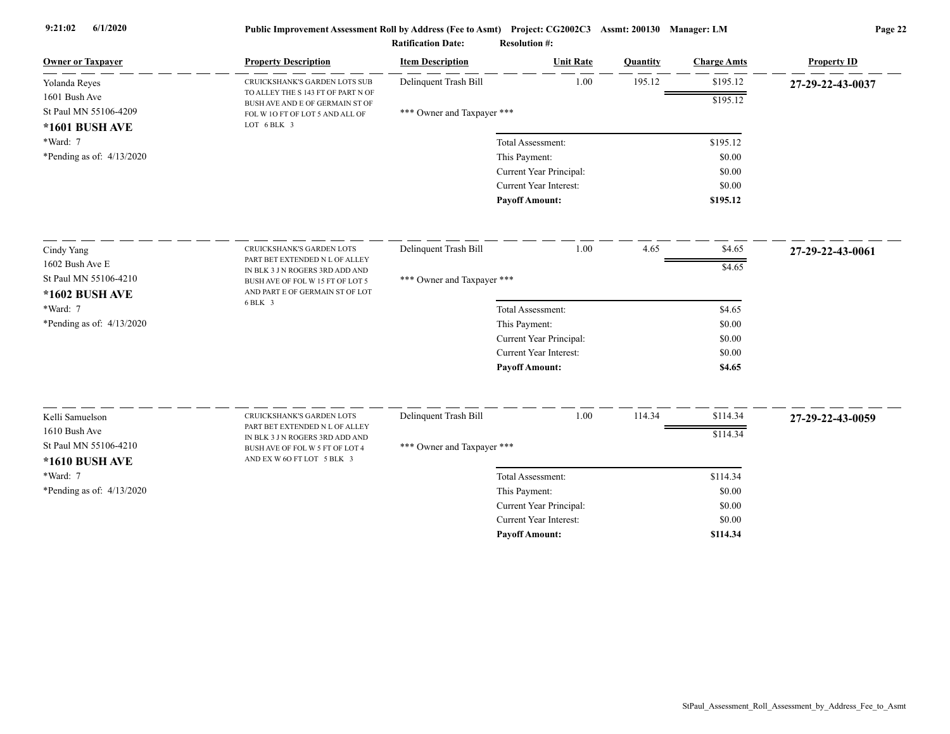| \$195.12<br>Delinquent Trash Bill<br>1.00<br>195.12<br>Yolanda Reyes<br>CRUICKSHANK'S GARDEN LOTS SUB<br>27-29-22-43-0037<br>TO ALLEY THE S 143 FT OF PART N OF<br>1601 Bush Ave<br>\$195.12<br>BUSH AVE AND E OF GERMAIN ST OF<br>St Paul MN 55106-4209<br>*** Owner and Taxpayer ***<br>FOL W 10 FT OF LOT 5 AND ALL OF<br>LOT 6 BLK 3<br>*1601 BUSH AVE<br>*Ward: 7<br>\$195.12<br>Total Assessment:<br>*Pending as of: $4/13/2020$<br>This Payment:<br>\$0.00<br>Current Year Principal:<br>\$0.00<br>Current Year Interest:<br>\$0.00<br><b>Payoff Amount:</b><br>\$195.12<br>1.00<br>Delinquent Trash Bill<br>4.65<br>\$4.65<br>Cindy Yang<br>CRUICKSHANK'S GARDEN LOTS<br>27-29-22-43-0061<br>PART BET EXTENDED N L OF ALLEY<br>1602 Bush Ave E<br>\$4.65<br>IN BLK 3 J N ROGERS 3RD ADD AND<br>St Paul MN 55106-4210<br>*** Owner and Taxpayer ***<br>BUSH AVE OF FOL W 15 FT OF LOT 5<br>AND PART E OF GERMAIN ST OF LOT<br>*1602 BUSH AVE<br>6 BLK 3<br>*Ward: 7<br>Total Assessment:<br>\$4.65<br>*Pending as of: 4/13/2020<br>This Payment:<br>\$0.00<br>Current Year Principal:<br>\$0.00<br>Current Year Interest:<br>\$0.00<br><b>Payoff Amount:</b><br>\$4.65<br>Delinquent Trash Bill<br>1.00<br>114.34<br>\$114.34<br>Kelli Samuelson<br>CRUICKSHANK'S GARDEN LOTS<br>27-29-22-43-0059<br>PART BET EXTENDED N L OF ALLEY<br>1610 Bush Ave<br>\$114.34<br>IN BLK 3 J N ROGERS 3RD ADD AND<br>St Paul MN 55106-4210<br>*** Owner and Taxpayer ***<br>BUSH AVE OF FOL W 5 FT OF LOT 4<br>AND EX W 6O FT LOT 5 BLK 3<br>*1610 BUSH AVE<br>*Ward: 7<br>\$114.34<br>Total Assessment:<br>*Pending as of: $4/13/2020$<br>This Payment:<br>\$0.00<br>Current Year Principal:<br>\$0.00<br>Current Year Interest:<br>\$0.00 | <b>Owner or Taxpayer</b> | <b>Property Description</b> | <b>Item Description</b> | <b>Unit Rate</b>      | Quantity | <b>Charge Amts</b> | <b>Property ID</b> |
|--------------------------------------------------------------------------------------------------------------------------------------------------------------------------------------------------------------------------------------------------------------------------------------------------------------------------------------------------------------------------------------------------------------------------------------------------------------------------------------------------------------------------------------------------------------------------------------------------------------------------------------------------------------------------------------------------------------------------------------------------------------------------------------------------------------------------------------------------------------------------------------------------------------------------------------------------------------------------------------------------------------------------------------------------------------------------------------------------------------------------------------------------------------------------------------------------------------------------------------------------------------------------------------------------------------------------------------------------------------------------------------------------------------------------------------------------------------------------------------------------------------------------------------------------------------------------------------------------------------------------------------------------------------------------------------------------------------------------------------|--------------------------|-----------------------------|-------------------------|-----------------------|----------|--------------------|--------------------|
|                                                                                                                                                                                                                                                                                                                                                                                                                                                                                                                                                                                                                                                                                                                                                                                                                                                                                                                                                                                                                                                                                                                                                                                                                                                                                                                                                                                                                                                                                                                                                                                                                                                                                                                                      |                          |                             |                         |                       |          |                    |                    |
|                                                                                                                                                                                                                                                                                                                                                                                                                                                                                                                                                                                                                                                                                                                                                                                                                                                                                                                                                                                                                                                                                                                                                                                                                                                                                                                                                                                                                                                                                                                                                                                                                                                                                                                                      |                          |                             |                         |                       |          |                    |                    |
|                                                                                                                                                                                                                                                                                                                                                                                                                                                                                                                                                                                                                                                                                                                                                                                                                                                                                                                                                                                                                                                                                                                                                                                                                                                                                                                                                                                                                                                                                                                                                                                                                                                                                                                                      |                          |                             |                         |                       |          |                    |                    |
|                                                                                                                                                                                                                                                                                                                                                                                                                                                                                                                                                                                                                                                                                                                                                                                                                                                                                                                                                                                                                                                                                                                                                                                                                                                                                                                                                                                                                                                                                                                                                                                                                                                                                                                                      |                          |                             |                         |                       |          |                    |                    |
|                                                                                                                                                                                                                                                                                                                                                                                                                                                                                                                                                                                                                                                                                                                                                                                                                                                                                                                                                                                                                                                                                                                                                                                                                                                                                                                                                                                                                                                                                                                                                                                                                                                                                                                                      |                          |                             |                         |                       |          |                    |                    |
|                                                                                                                                                                                                                                                                                                                                                                                                                                                                                                                                                                                                                                                                                                                                                                                                                                                                                                                                                                                                                                                                                                                                                                                                                                                                                                                                                                                                                                                                                                                                                                                                                                                                                                                                      |                          |                             |                         |                       |          |                    |                    |
|                                                                                                                                                                                                                                                                                                                                                                                                                                                                                                                                                                                                                                                                                                                                                                                                                                                                                                                                                                                                                                                                                                                                                                                                                                                                                                                                                                                                                                                                                                                                                                                                                                                                                                                                      |                          |                             |                         |                       |          |                    |                    |
|                                                                                                                                                                                                                                                                                                                                                                                                                                                                                                                                                                                                                                                                                                                                                                                                                                                                                                                                                                                                                                                                                                                                                                                                                                                                                                                                                                                                                                                                                                                                                                                                                                                                                                                                      |                          |                             |                         |                       |          |                    |                    |
|                                                                                                                                                                                                                                                                                                                                                                                                                                                                                                                                                                                                                                                                                                                                                                                                                                                                                                                                                                                                                                                                                                                                                                                                                                                                                                                                                                                                                                                                                                                                                                                                                                                                                                                                      |                          |                             |                         |                       |          |                    |                    |
|                                                                                                                                                                                                                                                                                                                                                                                                                                                                                                                                                                                                                                                                                                                                                                                                                                                                                                                                                                                                                                                                                                                                                                                                                                                                                                                                                                                                                                                                                                                                                                                                                                                                                                                                      |                          |                             |                         |                       |          |                    |                    |
|                                                                                                                                                                                                                                                                                                                                                                                                                                                                                                                                                                                                                                                                                                                                                                                                                                                                                                                                                                                                                                                                                                                                                                                                                                                                                                                                                                                                                                                                                                                                                                                                                                                                                                                                      |                          |                             |                         |                       |          |                    |                    |
|                                                                                                                                                                                                                                                                                                                                                                                                                                                                                                                                                                                                                                                                                                                                                                                                                                                                                                                                                                                                                                                                                                                                                                                                                                                                                                                                                                                                                                                                                                                                                                                                                                                                                                                                      |                          |                             |                         |                       |          |                    |                    |
|                                                                                                                                                                                                                                                                                                                                                                                                                                                                                                                                                                                                                                                                                                                                                                                                                                                                                                                                                                                                                                                                                                                                                                                                                                                                                                                                                                                                                                                                                                                                                                                                                                                                                                                                      |                          |                             |                         |                       |          |                    |                    |
|                                                                                                                                                                                                                                                                                                                                                                                                                                                                                                                                                                                                                                                                                                                                                                                                                                                                                                                                                                                                                                                                                                                                                                                                                                                                                                                                                                                                                                                                                                                                                                                                                                                                                                                                      |                          |                             |                         |                       |          |                    |                    |
|                                                                                                                                                                                                                                                                                                                                                                                                                                                                                                                                                                                                                                                                                                                                                                                                                                                                                                                                                                                                                                                                                                                                                                                                                                                                                                                                                                                                                                                                                                                                                                                                                                                                                                                                      |                          |                             |                         |                       |          |                    |                    |
|                                                                                                                                                                                                                                                                                                                                                                                                                                                                                                                                                                                                                                                                                                                                                                                                                                                                                                                                                                                                                                                                                                                                                                                                                                                                                                                                                                                                                                                                                                                                                                                                                                                                                                                                      |                          |                             |                         |                       |          |                    |                    |
|                                                                                                                                                                                                                                                                                                                                                                                                                                                                                                                                                                                                                                                                                                                                                                                                                                                                                                                                                                                                                                                                                                                                                                                                                                                                                                                                                                                                                                                                                                                                                                                                                                                                                                                                      |                          |                             |                         |                       |          |                    |                    |
|                                                                                                                                                                                                                                                                                                                                                                                                                                                                                                                                                                                                                                                                                                                                                                                                                                                                                                                                                                                                                                                                                                                                                                                                                                                                                                                                                                                                                                                                                                                                                                                                                                                                                                                                      |                          |                             |                         |                       |          |                    |                    |
|                                                                                                                                                                                                                                                                                                                                                                                                                                                                                                                                                                                                                                                                                                                                                                                                                                                                                                                                                                                                                                                                                                                                                                                                                                                                                                                                                                                                                                                                                                                                                                                                                                                                                                                                      |                          |                             |                         |                       |          |                    |                    |
|                                                                                                                                                                                                                                                                                                                                                                                                                                                                                                                                                                                                                                                                                                                                                                                                                                                                                                                                                                                                                                                                                                                                                                                                                                                                                                                                                                                                                                                                                                                                                                                                                                                                                                                                      |                          |                             |                         |                       |          |                    |                    |
|                                                                                                                                                                                                                                                                                                                                                                                                                                                                                                                                                                                                                                                                                                                                                                                                                                                                                                                                                                                                                                                                                                                                                                                                                                                                                                                                                                                                                                                                                                                                                                                                                                                                                                                                      |                          |                             |                         |                       |          |                    |                    |
|                                                                                                                                                                                                                                                                                                                                                                                                                                                                                                                                                                                                                                                                                                                                                                                                                                                                                                                                                                                                                                                                                                                                                                                                                                                                                                                                                                                                                                                                                                                                                                                                                                                                                                                                      |                          |                             |                         |                       |          |                    |                    |
|                                                                                                                                                                                                                                                                                                                                                                                                                                                                                                                                                                                                                                                                                                                                                                                                                                                                                                                                                                                                                                                                                                                                                                                                                                                                                                                                                                                                                                                                                                                                                                                                                                                                                                                                      |                          |                             |                         |                       |          |                    |                    |
|                                                                                                                                                                                                                                                                                                                                                                                                                                                                                                                                                                                                                                                                                                                                                                                                                                                                                                                                                                                                                                                                                                                                                                                                                                                                                                                                                                                                                                                                                                                                                                                                                                                                                                                                      |                          |                             |                         |                       |          |                    |                    |
|                                                                                                                                                                                                                                                                                                                                                                                                                                                                                                                                                                                                                                                                                                                                                                                                                                                                                                                                                                                                                                                                                                                                                                                                                                                                                                                                                                                                                                                                                                                                                                                                                                                                                                                                      |                          |                             |                         |                       |          |                    |                    |
|                                                                                                                                                                                                                                                                                                                                                                                                                                                                                                                                                                                                                                                                                                                                                                                                                                                                                                                                                                                                                                                                                                                                                                                                                                                                                                                                                                                                                                                                                                                                                                                                                                                                                                                                      |                          |                             |                         |                       |          |                    |                    |
|                                                                                                                                                                                                                                                                                                                                                                                                                                                                                                                                                                                                                                                                                                                                                                                                                                                                                                                                                                                                                                                                                                                                                                                                                                                                                                                                                                                                                                                                                                                                                                                                                                                                                                                                      |                          |                             |                         | <b>Pavoff Amount:</b> |          | \$114.34           |                    |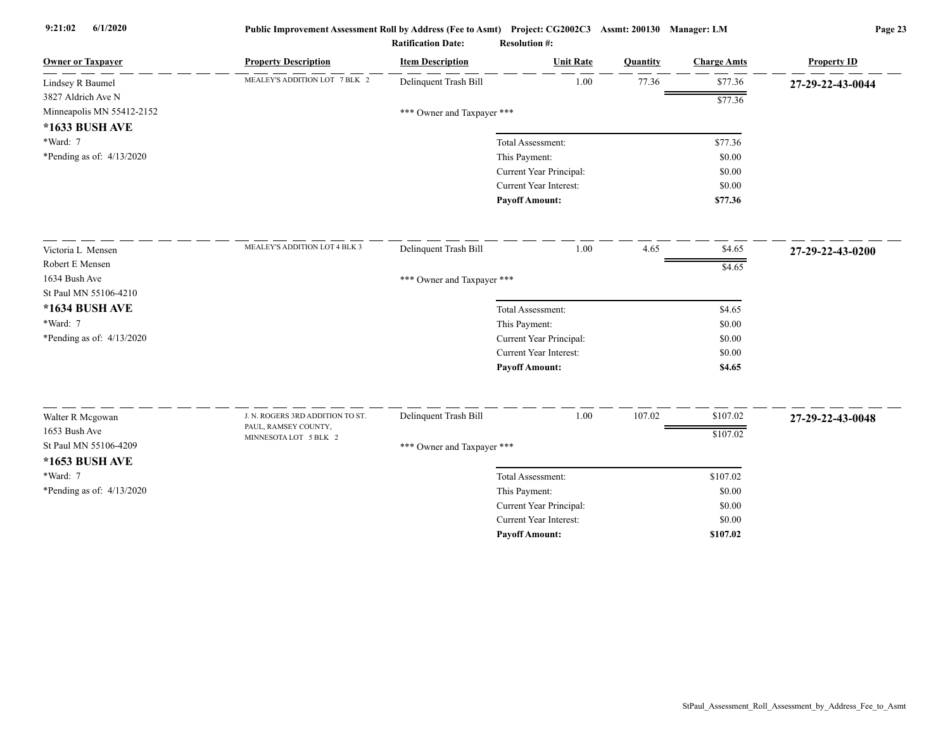| <b>Owner or Taxpayer</b>    | <b>Property Description</b>                              | <b>Item Description</b>    | <b>Unit Rate</b>              | Quantity | <b>Charge Amts</b> | <b>Property ID</b> |
|-----------------------------|----------------------------------------------------------|----------------------------|-------------------------------|----------|--------------------|--------------------|
| Lindsey R Baumel            | MEALEY'S ADDITION LOT 7 BLK 2                            | Delinquent Trash Bill      | 1.00                          | 77.36    | \$77.36            | 27-29-22-43-0044   |
| 3827 Aldrich Ave N          |                                                          |                            |                               |          | \$77.36            |                    |
| Minneapolis MN 55412-2152   |                                                          | *** Owner and Taxpayer *** |                               |          |                    |                    |
| *1633 BUSH AVE              |                                                          |                            |                               |          |                    |                    |
| *Ward: 7                    |                                                          |                            | Total Assessment:             |          | \$77.36            |                    |
| *Pending as of: $4/13/2020$ |                                                          |                            | This Payment:                 |          | \$0.00             |                    |
|                             |                                                          |                            | Current Year Principal:       |          | \$0.00             |                    |
|                             |                                                          |                            | Current Year Interest:        |          | \$0.00             |                    |
|                             |                                                          |                            | <b>Payoff Amount:</b>         |          | \$77.36            |                    |
| Victoria L Mensen           | MEALEY'S ADDITION LOT 4 BLK 3                            | Delinquent Trash Bill      | 1.00                          | 4.65     | \$4.65             | 27-29-22-43-0200   |
| Robert E Mensen             |                                                          |                            |                               |          | \$4.65             |                    |
| 1634 Bush Ave               |                                                          | *** Owner and Taxpayer *** |                               |          |                    |                    |
| St Paul MN 55106-4210       |                                                          |                            |                               |          |                    |                    |
| *1634 BUSH AVE              |                                                          |                            | Total Assessment:             |          | \$4.65             |                    |
| *Ward: 7                    |                                                          |                            | This Payment:                 |          | \$0.00             |                    |
| *Pending as of: $4/13/2020$ |                                                          |                            | Current Year Principal:       |          | \$0.00             |                    |
|                             |                                                          |                            | Current Year Interest:        |          | \$0.00             |                    |
|                             |                                                          |                            | <b>Payoff Amount:</b>         |          | \$4.65             |                    |
|                             |                                                          |                            |                               |          |                    |                    |
| Walter R Mcgowan            | J. N. ROGERS 3RD ADDITION TO ST.<br>PAUL, RAMSEY COUNTY, | Delinquent Trash Bill      | 1.00                          | 107.02   | \$107.02           | 27-29-22-43-0048   |
| 1653 Bush Ave               | MINNESOTA LOT 5 BLK 2                                    |                            |                               |          | \$107.02           |                    |
| St Paul MN 55106-4209       |                                                          | *** Owner and Taxpayer *** |                               |          |                    |                    |
| *1653 BUSH AVE              |                                                          |                            |                               |          |                    |                    |
| *Ward: 7                    |                                                          |                            | Total Assessment:             |          | \$107.02           |                    |
| *Pending as of: 4/13/2020   |                                                          |                            | This Payment:                 |          | \$0.00             |                    |
|                             |                                                          |                            | Current Year Principal:       |          | \$0.00             |                    |
|                             |                                                          |                            | <b>Current Year Interest:</b> |          | \$0.00             |                    |
|                             |                                                          |                            | <b>Payoff Amount:</b>         |          | \$107.02           |                    |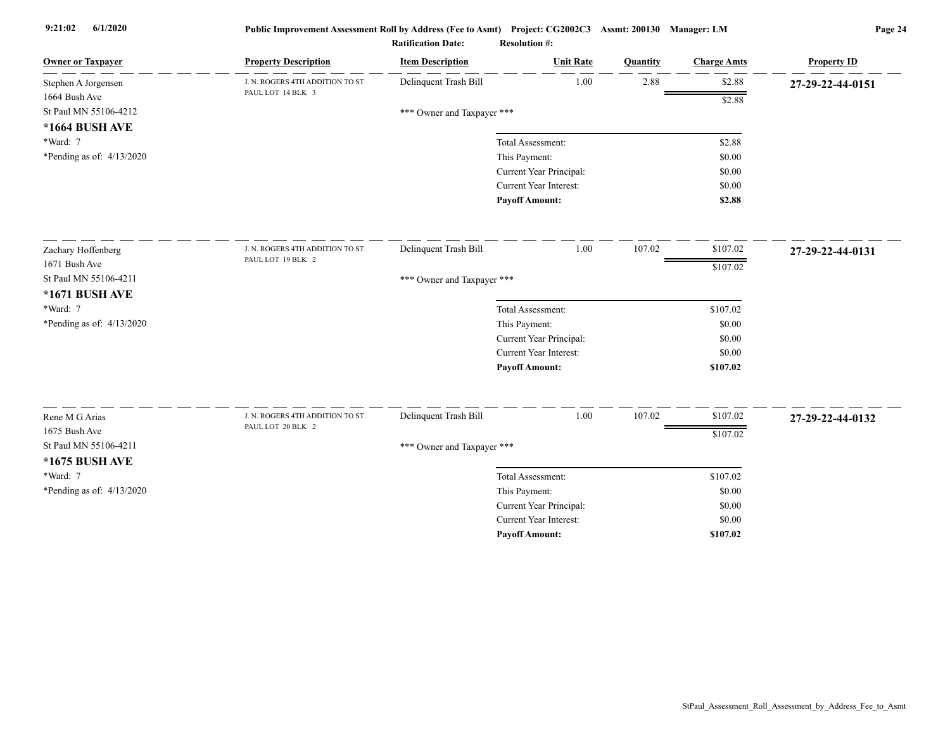| <b>Owner or Taxpayer</b>    | <b>Property Description</b>                           | <b>Item Description</b>    | <b>Unit Rate</b>              | Quantity | <b>Charge Amts</b> | <b>Property ID</b> |
|-----------------------------|-------------------------------------------------------|----------------------------|-------------------------------|----------|--------------------|--------------------|
| Stephen A Jorgensen         | J. N. ROGERS 4TH ADDITION TO ST.                      | Delinquent Trash Bill      | 1.00                          | 2.88     | \$2.88             | 27-29-22-44-0151   |
| 1664 Bush Ave               | PAUL LOT 14 BLK 3                                     |                            |                               |          | \$2.88             |                    |
| St Paul MN 55106-4212       |                                                       | *** Owner and Taxpayer *** |                               |          |                    |                    |
| *1664 BUSH AVE              |                                                       |                            |                               |          |                    |                    |
| *Ward: 7                    |                                                       |                            | Total Assessment:             |          | \$2.88             |                    |
| *Pending as of: $4/13/2020$ |                                                       |                            | This Payment:                 |          | \$0.00             |                    |
|                             |                                                       |                            | Current Year Principal:       |          | \$0.00             |                    |
|                             |                                                       |                            | Current Year Interest:        |          | \$0.00             |                    |
|                             |                                                       |                            | <b>Payoff Amount:</b>         |          | \$2.88             |                    |
| Zachary Hoffenberg          | J. N. ROGERS 4TH ADDITION TO ST.                      | Delinquent Trash Bill      | 1.00                          | 107.02   | \$107.02           | 27-29-22-44-0131   |
| 1671 Bush Ave               | PAUL LOT 19 BLK 2                                     |                            |                               |          | \$107.02           |                    |
| St Paul MN 55106-4211       |                                                       | *** Owner and Taxpayer *** |                               |          |                    |                    |
| *1671 BUSH AVE              |                                                       |                            |                               |          |                    |                    |
| *Ward: 7                    |                                                       |                            | Total Assessment:             |          | \$107.02           |                    |
| *Pending as of: 4/13/2020   |                                                       |                            | This Payment:                 |          | \$0.00             |                    |
|                             |                                                       |                            | Current Year Principal:       |          | \$0.00             |                    |
|                             |                                                       |                            | <b>Current Year Interest:</b> |          | \$0.00             |                    |
|                             |                                                       |                            | <b>Payoff Amount:</b>         |          | \$107.02           |                    |
|                             |                                                       |                            |                               |          |                    |                    |
| Rene M G Arias              | J. N. ROGERS 4TH ADDITION TO ST.<br>PAUL LOT 20 BLK 2 | Delinquent Trash Bill      | $1.00\,$                      | 107.02   | \$107.02           | 27-29-22-44-0132   |
| 1675 Bush Ave               |                                                       |                            |                               |          | \$107.02           |                    |
| St Paul MN 55106-4211       |                                                       | *** Owner and Taxpayer *** |                               |          |                    |                    |
| *1675 BUSH AVE              |                                                       |                            |                               |          |                    |                    |
| *Ward: 7                    |                                                       |                            | Total Assessment:             |          | \$107.02           |                    |
| *Pending as of: 4/13/2020   |                                                       |                            | This Payment:                 |          | \$0.00             |                    |
|                             |                                                       |                            | Current Year Principal:       |          | \$0.00             |                    |
|                             |                                                       |                            | <b>Current Year Interest:</b> |          | \$0.00             |                    |
|                             |                                                       |                            | <b>Pavoff Amount:</b>         |          | \$107.02           |                    |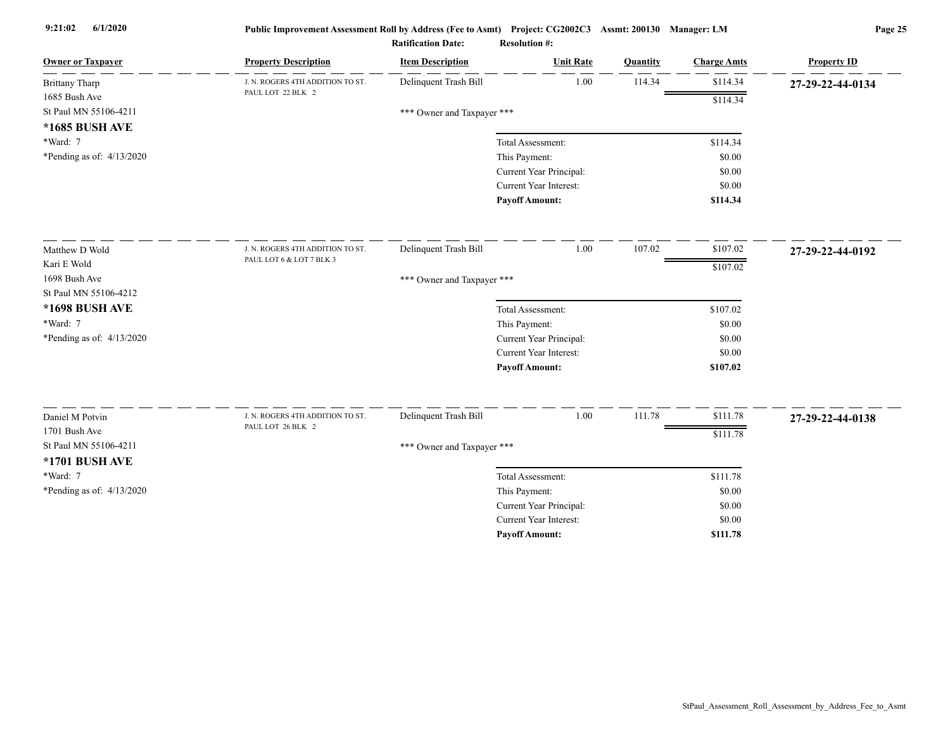| Delinquent Trash Bill<br>\$114.34<br>1.00<br>114.34<br>J. N. ROGERS 4TH ADDITION TO ST.<br>27-29-22-44-0134<br>PAUL LOT 22 BLK 2<br>\$114.34<br>St Paul MN 55106-4211<br>*** Owner and Taxpayer ***<br>*1685 BUSH AVE<br>\$114.34<br>Total Assessment:<br>*Pending as of: $4/13/2020$<br>This Payment:<br>\$0.00<br>Current Year Principal:<br>\$0.00<br>Current Year Interest:<br>\$0.00<br><b>Payoff Amount:</b><br>\$114.34<br>Delinquent Trash Bill<br>1.00<br>107.02<br>\$107.02<br>J. N. ROGERS 4TH ADDITION TO ST.<br>27-29-22-44-0192<br>PAUL LOT 6 & LOT 7 BLK 3<br>\$107.02<br>*** Owner and Taxpayer ***<br>\$107.02<br>Total Assessment:<br>This Payment:<br>\$0.00<br>Current Year Principal:<br>\$0.00<br>Current Year Interest:<br>\$0.00<br><b>Payoff Amount:</b><br>\$107.02<br>Delinquent Trash Bill<br>1.00<br>111.78<br>\$111.78<br>J. N. ROGERS 4TH ADDITION TO ST.<br>Daniel M Potvin<br>27-29-22-44-0138<br>PAUL LOT 26 BLK 2<br>1701 Bush Ave<br>\$111.78<br>St Paul MN 55106-4211<br>*** Owner and Taxpayer ***<br>*1701 BUSH AVE<br>*Ward: 7<br>Total Assessment:<br>\$111.78<br>*Pending as of: 4/13/2020<br>This Payment:<br>\$0.00<br>Current Year Principal:<br>\$0.00<br>Current Year Interest:<br>\$0.00 | <b>Owner or Taxpayer</b>  | <b>Property Description</b> | <b>Item Description</b> | <b>Unit Rate</b>      | Quantity | <b>Charge Amts</b> | <b>Property ID</b> |
|------------------------------------------------------------------------------------------------------------------------------------------------------------------------------------------------------------------------------------------------------------------------------------------------------------------------------------------------------------------------------------------------------------------------------------------------------------------------------------------------------------------------------------------------------------------------------------------------------------------------------------------------------------------------------------------------------------------------------------------------------------------------------------------------------------------------------------------------------------------------------------------------------------------------------------------------------------------------------------------------------------------------------------------------------------------------------------------------------------------------------------------------------------------------------------------------------------------------------------------|---------------------------|-----------------------------|-------------------------|-----------------------|----------|--------------------|--------------------|
|                                                                                                                                                                                                                                                                                                                                                                                                                                                                                                                                                                                                                                                                                                                                                                                                                                                                                                                                                                                                                                                                                                                                                                                                                                          | <b>Brittany Tharp</b>     |                             |                         |                       |          |                    |                    |
|                                                                                                                                                                                                                                                                                                                                                                                                                                                                                                                                                                                                                                                                                                                                                                                                                                                                                                                                                                                                                                                                                                                                                                                                                                          | 1685 Bush Ave             |                             |                         |                       |          |                    |                    |
|                                                                                                                                                                                                                                                                                                                                                                                                                                                                                                                                                                                                                                                                                                                                                                                                                                                                                                                                                                                                                                                                                                                                                                                                                                          |                           |                             |                         |                       |          |                    |                    |
|                                                                                                                                                                                                                                                                                                                                                                                                                                                                                                                                                                                                                                                                                                                                                                                                                                                                                                                                                                                                                                                                                                                                                                                                                                          |                           |                             |                         |                       |          |                    |                    |
|                                                                                                                                                                                                                                                                                                                                                                                                                                                                                                                                                                                                                                                                                                                                                                                                                                                                                                                                                                                                                                                                                                                                                                                                                                          | *Ward: 7                  |                             |                         |                       |          |                    |                    |
|                                                                                                                                                                                                                                                                                                                                                                                                                                                                                                                                                                                                                                                                                                                                                                                                                                                                                                                                                                                                                                                                                                                                                                                                                                          |                           |                             |                         |                       |          |                    |                    |
|                                                                                                                                                                                                                                                                                                                                                                                                                                                                                                                                                                                                                                                                                                                                                                                                                                                                                                                                                                                                                                                                                                                                                                                                                                          |                           |                             |                         |                       |          |                    |                    |
|                                                                                                                                                                                                                                                                                                                                                                                                                                                                                                                                                                                                                                                                                                                                                                                                                                                                                                                                                                                                                                                                                                                                                                                                                                          |                           |                             |                         |                       |          |                    |                    |
|                                                                                                                                                                                                                                                                                                                                                                                                                                                                                                                                                                                                                                                                                                                                                                                                                                                                                                                                                                                                                                                                                                                                                                                                                                          |                           |                             |                         |                       |          |                    |                    |
|                                                                                                                                                                                                                                                                                                                                                                                                                                                                                                                                                                                                                                                                                                                                                                                                                                                                                                                                                                                                                                                                                                                                                                                                                                          | Matthew D Wold            |                             |                         |                       |          |                    |                    |
|                                                                                                                                                                                                                                                                                                                                                                                                                                                                                                                                                                                                                                                                                                                                                                                                                                                                                                                                                                                                                                                                                                                                                                                                                                          | Kari E Wold               |                             |                         |                       |          |                    |                    |
|                                                                                                                                                                                                                                                                                                                                                                                                                                                                                                                                                                                                                                                                                                                                                                                                                                                                                                                                                                                                                                                                                                                                                                                                                                          | 1698 Bush Ave             |                             |                         |                       |          |                    |                    |
|                                                                                                                                                                                                                                                                                                                                                                                                                                                                                                                                                                                                                                                                                                                                                                                                                                                                                                                                                                                                                                                                                                                                                                                                                                          | St Paul MN 55106-4212     |                             |                         |                       |          |                    |                    |
|                                                                                                                                                                                                                                                                                                                                                                                                                                                                                                                                                                                                                                                                                                                                                                                                                                                                                                                                                                                                                                                                                                                                                                                                                                          | *1698 BUSH AVE            |                             |                         |                       |          |                    |                    |
|                                                                                                                                                                                                                                                                                                                                                                                                                                                                                                                                                                                                                                                                                                                                                                                                                                                                                                                                                                                                                                                                                                                                                                                                                                          | *Ward: 7                  |                             |                         |                       |          |                    |                    |
|                                                                                                                                                                                                                                                                                                                                                                                                                                                                                                                                                                                                                                                                                                                                                                                                                                                                                                                                                                                                                                                                                                                                                                                                                                          | *Pending as of: 4/13/2020 |                             |                         |                       |          |                    |                    |
|                                                                                                                                                                                                                                                                                                                                                                                                                                                                                                                                                                                                                                                                                                                                                                                                                                                                                                                                                                                                                                                                                                                                                                                                                                          |                           |                             |                         |                       |          |                    |                    |
|                                                                                                                                                                                                                                                                                                                                                                                                                                                                                                                                                                                                                                                                                                                                                                                                                                                                                                                                                                                                                                                                                                                                                                                                                                          |                           |                             |                         |                       |          |                    |                    |
|                                                                                                                                                                                                                                                                                                                                                                                                                                                                                                                                                                                                                                                                                                                                                                                                                                                                                                                                                                                                                                                                                                                                                                                                                                          |                           |                             |                         |                       |          |                    |                    |
|                                                                                                                                                                                                                                                                                                                                                                                                                                                                                                                                                                                                                                                                                                                                                                                                                                                                                                                                                                                                                                                                                                                                                                                                                                          |                           |                             |                         |                       |          |                    |                    |
|                                                                                                                                                                                                                                                                                                                                                                                                                                                                                                                                                                                                                                                                                                                                                                                                                                                                                                                                                                                                                                                                                                                                                                                                                                          |                           |                             |                         |                       |          |                    |                    |
|                                                                                                                                                                                                                                                                                                                                                                                                                                                                                                                                                                                                                                                                                                                                                                                                                                                                                                                                                                                                                                                                                                                                                                                                                                          |                           |                             |                         |                       |          |                    |                    |
|                                                                                                                                                                                                                                                                                                                                                                                                                                                                                                                                                                                                                                                                                                                                                                                                                                                                                                                                                                                                                                                                                                                                                                                                                                          |                           |                             |                         |                       |          |                    |                    |
|                                                                                                                                                                                                                                                                                                                                                                                                                                                                                                                                                                                                                                                                                                                                                                                                                                                                                                                                                                                                                                                                                                                                                                                                                                          |                           |                             |                         |                       |          |                    |                    |
|                                                                                                                                                                                                                                                                                                                                                                                                                                                                                                                                                                                                                                                                                                                                                                                                                                                                                                                                                                                                                                                                                                                                                                                                                                          |                           |                             |                         |                       |          |                    |                    |
|                                                                                                                                                                                                                                                                                                                                                                                                                                                                                                                                                                                                                                                                                                                                                                                                                                                                                                                                                                                                                                                                                                                                                                                                                                          |                           |                             |                         |                       |          |                    |                    |
|                                                                                                                                                                                                                                                                                                                                                                                                                                                                                                                                                                                                                                                                                                                                                                                                                                                                                                                                                                                                                                                                                                                                                                                                                                          |                           |                             |                         | <b>Payoff Amount:</b> |          | \$111.78           |                    |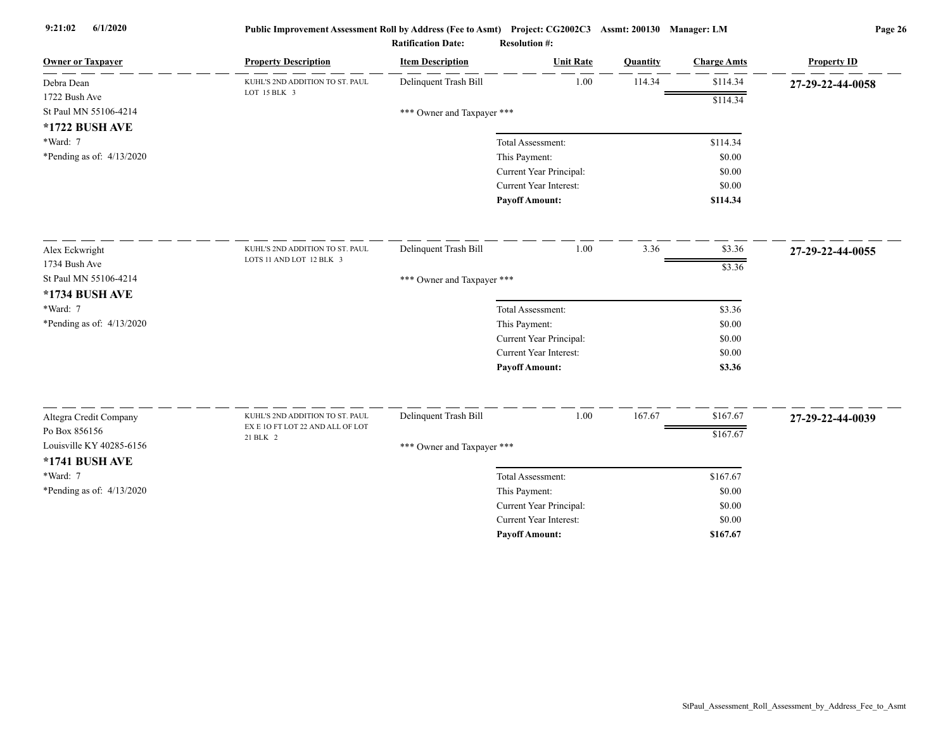| 1.00<br>Delinquent Trash Bill<br>114.34<br>\$114.34<br>KUHL'S 2ND ADDITION TO ST. PAUL<br>Debra Dean<br>27-29-22-44-0058<br>LOT 15 BLK 3<br>1722 Bush Ave<br>\$114.34<br>St Paul MN 55106-4214<br>*** Owner and Taxpayer ***<br>*1722 BUSH AVE<br>*Ward: 7<br>Total Assessment:<br>\$114.34<br>*Pending as of: 4/13/2020<br>This Payment:<br>\$0.00<br>Current Year Principal:<br>\$0.00<br>Current Year Interest:<br>\$0.00<br><b>Payoff Amount:</b><br>\$114.34<br>1.00<br>3.36<br>Delinquent Trash Bill<br>\$3.36<br>KUHL'S 2ND ADDITION TO ST. PAUL<br>Alex Eckwright<br>27-29-22-44-0055<br>LOTS 11 AND LOT 12 BLK 3<br>1734 Bush Ave<br>\$3.36<br>St Paul MN 55106-4214<br>*** Owner and Taxpayer ***<br>*1734 BUSH AVE<br>*Ward: 7<br>Total Assessment:<br>\$3.36<br>*Pending as of: 4/13/2020<br>This Payment:<br>\$0.00<br>Current Year Principal:<br>\$0.00<br><b>Current Year Interest:</b><br>\$0.00<br><b>Payoff Amount:</b><br>\$3.36<br>Delinquent Trash Bill<br>1.00<br>167.67<br>\$167.67<br>Altegra Credit Company<br>KUHL'S 2ND ADDITION TO ST. PAUL<br>27-29-22-44-0039<br>EX E 10 FT LOT 22 AND ALL OF LOT<br>Po Box 856156<br>\$167.67<br>21 BLK 2<br>Louisville KY 40285-6156<br>*** Owner and Taxpayer ***<br>*1741 BUSH AVE<br>*Ward: 7<br>Total Assessment:<br>\$167.67<br>*Pending as of: 4/13/2020<br>This Payment:<br>\$0.00 | <b>Owner or Taxpayer</b> | <b>Property Description</b> | <b>Item Description</b> | <b>Unit Rate</b> | Quantity | <b>Charge Amts</b> | <b>Property ID</b> |
|-----------------------------------------------------------------------------------------------------------------------------------------------------------------------------------------------------------------------------------------------------------------------------------------------------------------------------------------------------------------------------------------------------------------------------------------------------------------------------------------------------------------------------------------------------------------------------------------------------------------------------------------------------------------------------------------------------------------------------------------------------------------------------------------------------------------------------------------------------------------------------------------------------------------------------------------------------------------------------------------------------------------------------------------------------------------------------------------------------------------------------------------------------------------------------------------------------------------------------------------------------------------------------------------------------------------------------------------------------------|--------------------------|-----------------------------|-------------------------|------------------|----------|--------------------|--------------------|
|                                                                                                                                                                                                                                                                                                                                                                                                                                                                                                                                                                                                                                                                                                                                                                                                                                                                                                                                                                                                                                                                                                                                                                                                                                                                                                                                                           |                          |                             |                         |                  |          |                    |                    |
|                                                                                                                                                                                                                                                                                                                                                                                                                                                                                                                                                                                                                                                                                                                                                                                                                                                                                                                                                                                                                                                                                                                                                                                                                                                                                                                                                           |                          |                             |                         |                  |          |                    |                    |
|                                                                                                                                                                                                                                                                                                                                                                                                                                                                                                                                                                                                                                                                                                                                                                                                                                                                                                                                                                                                                                                                                                                                                                                                                                                                                                                                                           |                          |                             |                         |                  |          |                    |                    |
|                                                                                                                                                                                                                                                                                                                                                                                                                                                                                                                                                                                                                                                                                                                                                                                                                                                                                                                                                                                                                                                                                                                                                                                                                                                                                                                                                           |                          |                             |                         |                  |          |                    |                    |
|                                                                                                                                                                                                                                                                                                                                                                                                                                                                                                                                                                                                                                                                                                                                                                                                                                                                                                                                                                                                                                                                                                                                                                                                                                                                                                                                                           |                          |                             |                         |                  |          |                    |                    |
|                                                                                                                                                                                                                                                                                                                                                                                                                                                                                                                                                                                                                                                                                                                                                                                                                                                                                                                                                                                                                                                                                                                                                                                                                                                                                                                                                           |                          |                             |                         |                  |          |                    |                    |
|                                                                                                                                                                                                                                                                                                                                                                                                                                                                                                                                                                                                                                                                                                                                                                                                                                                                                                                                                                                                                                                                                                                                                                                                                                                                                                                                                           |                          |                             |                         |                  |          |                    |                    |
|                                                                                                                                                                                                                                                                                                                                                                                                                                                                                                                                                                                                                                                                                                                                                                                                                                                                                                                                                                                                                                                                                                                                                                                                                                                                                                                                                           |                          |                             |                         |                  |          |                    |                    |
|                                                                                                                                                                                                                                                                                                                                                                                                                                                                                                                                                                                                                                                                                                                                                                                                                                                                                                                                                                                                                                                                                                                                                                                                                                                                                                                                                           |                          |                             |                         |                  |          |                    |                    |
|                                                                                                                                                                                                                                                                                                                                                                                                                                                                                                                                                                                                                                                                                                                                                                                                                                                                                                                                                                                                                                                                                                                                                                                                                                                                                                                                                           |                          |                             |                         |                  |          |                    |                    |
|                                                                                                                                                                                                                                                                                                                                                                                                                                                                                                                                                                                                                                                                                                                                                                                                                                                                                                                                                                                                                                                                                                                                                                                                                                                                                                                                                           |                          |                             |                         |                  |          |                    |                    |
|                                                                                                                                                                                                                                                                                                                                                                                                                                                                                                                                                                                                                                                                                                                                                                                                                                                                                                                                                                                                                                                                                                                                                                                                                                                                                                                                                           |                          |                             |                         |                  |          |                    |                    |
|                                                                                                                                                                                                                                                                                                                                                                                                                                                                                                                                                                                                                                                                                                                                                                                                                                                                                                                                                                                                                                                                                                                                                                                                                                                                                                                                                           |                          |                             |                         |                  |          |                    |                    |
|                                                                                                                                                                                                                                                                                                                                                                                                                                                                                                                                                                                                                                                                                                                                                                                                                                                                                                                                                                                                                                                                                                                                                                                                                                                                                                                                                           |                          |                             |                         |                  |          |                    |                    |
|                                                                                                                                                                                                                                                                                                                                                                                                                                                                                                                                                                                                                                                                                                                                                                                                                                                                                                                                                                                                                                                                                                                                                                                                                                                                                                                                                           |                          |                             |                         |                  |          |                    |                    |
|                                                                                                                                                                                                                                                                                                                                                                                                                                                                                                                                                                                                                                                                                                                                                                                                                                                                                                                                                                                                                                                                                                                                                                                                                                                                                                                                                           |                          |                             |                         |                  |          |                    |                    |
|                                                                                                                                                                                                                                                                                                                                                                                                                                                                                                                                                                                                                                                                                                                                                                                                                                                                                                                                                                                                                                                                                                                                                                                                                                                                                                                                                           |                          |                             |                         |                  |          |                    |                    |
|                                                                                                                                                                                                                                                                                                                                                                                                                                                                                                                                                                                                                                                                                                                                                                                                                                                                                                                                                                                                                                                                                                                                                                                                                                                                                                                                                           |                          |                             |                         |                  |          |                    |                    |
|                                                                                                                                                                                                                                                                                                                                                                                                                                                                                                                                                                                                                                                                                                                                                                                                                                                                                                                                                                                                                                                                                                                                                                                                                                                                                                                                                           |                          |                             |                         |                  |          |                    |                    |
|                                                                                                                                                                                                                                                                                                                                                                                                                                                                                                                                                                                                                                                                                                                                                                                                                                                                                                                                                                                                                                                                                                                                                                                                                                                                                                                                                           |                          |                             |                         |                  |          |                    |                    |
|                                                                                                                                                                                                                                                                                                                                                                                                                                                                                                                                                                                                                                                                                                                                                                                                                                                                                                                                                                                                                                                                                                                                                                                                                                                                                                                                                           |                          |                             |                         |                  |          |                    |                    |
|                                                                                                                                                                                                                                                                                                                                                                                                                                                                                                                                                                                                                                                                                                                                                                                                                                                                                                                                                                                                                                                                                                                                                                                                                                                                                                                                                           |                          |                             |                         |                  |          |                    |                    |
|                                                                                                                                                                                                                                                                                                                                                                                                                                                                                                                                                                                                                                                                                                                                                                                                                                                                                                                                                                                                                                                                                                                                                                                                                                                                                                                                                           |                          |                             |                         |                  |          |                    |                    |
|                                                                                                                                                                                                                                                                                                                                                                                                                                                                                                                                                                                                                                                                                                                                                                                                                                                                                                                                                                                                                                                                                                                                                                                                                                                                                                                                                           |                          |                             |                         |                  |          |                    |                    |
|                                                                                                                                                                                                                                                                                                                                                                                                                                                                                                                                                                                                                                                                                                                                                                                                                                                                                                                                                                                                                                                                                                                                                                                                                                                                                                                                                           |                          |                             |                         |                  |          |                    |                    |
| Current Year Principal:<br>\$0.00<br><b>Current Year Interest:</b><br>\$0.00                                                                                                                                                                                                                                                                                                                                                                                                                                                                                                                                                                                                                                                                                                                                                                                                                                                                                                                                                                                                                                                                                                                                                                                                                                                                              |                          |                             |                         |                  |          |                    |                    |
| \$167.67<br><b>Pavoff Amount:</b>                                                                                                                                                                                                                                                                                                                                                                                                                                                                                                                                                                                                                                                                                                                                                                                                                                                                                                                                                                                                                                                                                                                                                                                                                                                                                                                         |                          |                             |                         |                  |          |                    |                    |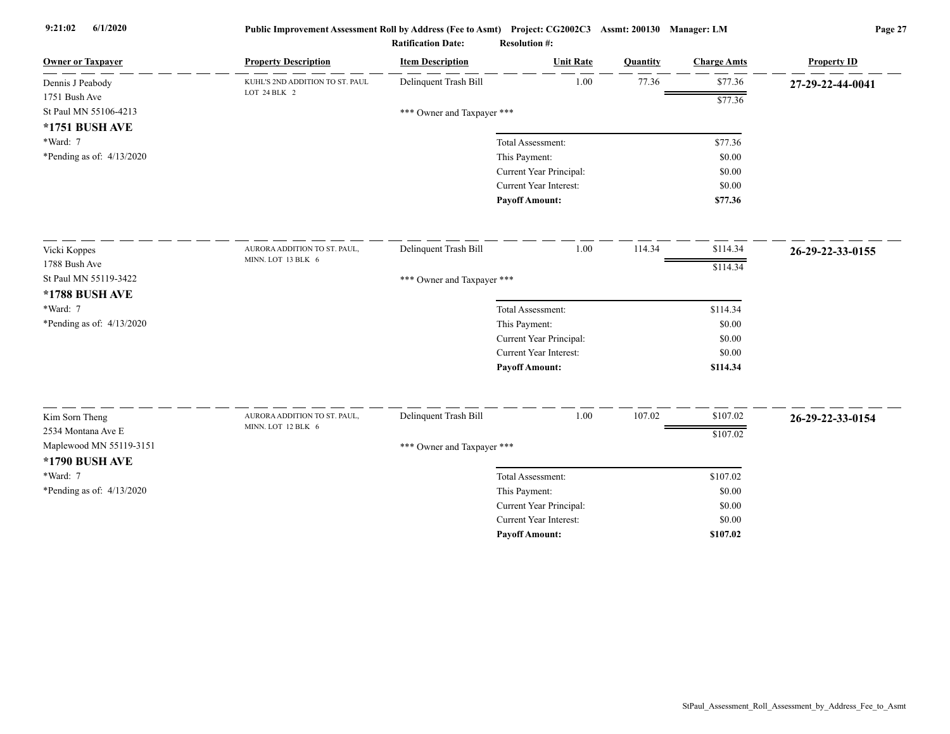| <b>Owner or Taxpayer</b>    | <b>Property Description</b>                        | <b>Item Description</b>    | <b>Unit Rate</b>              | Quantity | <b>Charge Amts</b> | <b>Property ID</b> |
|-----------------------------|----------------------------------------------------|----------------------------|-------------------------------|----------|--------------------|--------------------|
| Dennis J Peabody            | KUHL'S 2ND ADDITION TO ST. PAUL                    | Delinquent Trash Bill      | 1.00                          | 77.36    | \$77.36            | 27-29-22-44-0041   |
| 1751 Bush Ave               | LOT 24 BLK 2                                       |                            |                               |          | \$77.36            |                    |
| St Paul MN 55106-4213       |                                                    | *** Owner and Taxpayer *** |                               |          |                    |                    |
| *1751 BUSH AVE              |                                                    |                            |                               |          |                    |                    |
| *Ward: 7                    |                                                    |                            | Total Assessment:             |          | \$77.36            |                    |
| *Pending as of: $4/13/2020$ |                                                    |                            | This Payment:                 |          | \$0.00             |                    |
|                             |                                                    |                            | Current Year Principal:       |          | \$0.00             |                    |
|                             |                                                    |                            | Current Year Interest:        |          | \$0.00             |                    |
|                             |                                                    |                            | <b>Payoff Amount:</b>         |          | \$77.36            |                    |
| Vicki Koppes                | AURORA ADDITION TO ST. PAUL,                       | Delinquent Trash Bill      | 1.00                          | 114.34   | \$114.34           | 26-29-22-33-0155   |
| 1788 Bush Ave               | MINN. LOT 13 BLK 6                                 |                            |                               |          | \$114.34           |                    |
| St Paul MN 55119-3422       |                                                    | *** Owner and Taxpayer *** |                               |          |                    |                    |
| *1788 BUSH AVE              |                                                    |                            |                               |          |                    |                    |
| *Ward: 7                    |                                                    |                            | Total Assessment:             |          | \$114.34           |                    |
| *Pending as of: 4/13/2020   |                                                    |                            | This Payment:                 |          | \$0.00             |                    |
|                             |                                                    |                            | Current Year Principal:       |          | \$0.00             |                    |
|                             |                                                    |                            | Current Year Interest:        |          | \$0.00             |                    |
|                             |                                                    |                            | <b>Payoff Amount:</b>         |          | \$114.34           |                    |
|                             |                                                    | Delinquent Trash Bill      | $1.00\,$                      | 107.02   |                    |                    |
| Kim Sorn Theng              | AURORA ADDITION TO ST. PAUL,<br>MINN. LOT 12 BLK 6 |                            |                               |          | \$107.02           | 26-29-22-33-0154   |
| 2534 Montana Ave E          |                                                    |                            |                               |          | \$107.02           |                    |
| Maplewood MN 55119-3151     |                                                    | *** Owner and Taxpayer *** |                               |          |                    |                    |
| *1790 BUSH AVE              |                                                    |                            |                               |          |                    |                    |
| *Ward: 7                    |                                                    |                            | Total Assessment:             |          | \$107.02           |                    |
| *Pending as of: 4/13/2020   |                                                    |                            | This Payment:                 |          | \$0.00             |                    |
|                             |                                                    |                            | Current Year Principal:       |          | \$0.00             |                    |
|                             |                                                    |                            | <b>Current Year Interest:</b> |          | \$0.00             |                    |
|                             |                                                    |                            | <b>Pavoff Amount:</b>         |          | \$107.02           |                    |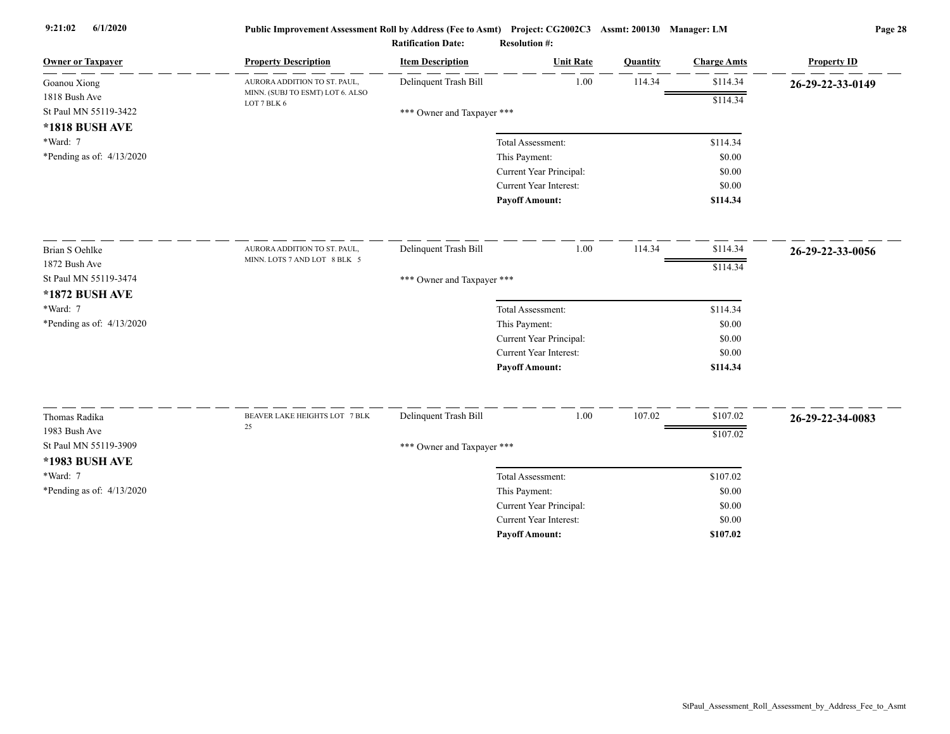| <b>Owner or Taxpayer</b>    | <b>Property Description</b>                     | <b>Item Description</b>    | <b>Unit Rate</b>                                  | Quantity | <b>Charge Amts</b> | <b>Property ID</b> |
|-----------------------------|-------------------------------------------------|----------------------------|---------------------------------------------------|----------|--------------------|--------------------|
| Goanou Xiong                | AURORA ADDITION TO ST. PAUL,                    | Delinquent Trash Bill      | 1.00                                              | 114.34   | \$114.34           | 26-29-22-33-0149   |
| 1818 Bush Ave               | MINN. (SUBJ TO ESMT) LOT 6. ALSO<br>LOT 7 BLK 6 |                            |                                                   |          | \$114.34           |                    |
| St Paul MN 55119-3422       |                                                 | *** Owner and Taxpayer *** |                                                   |          |                    |                    |
| *1818 BUSH AVE              |                                                 |                            |                                                   |          |                    |                    |
| *Ward: 7                    |                                                 |                            | Total Assessment:                                 |          | \$114.34           |                    |
| *Pending as of: 4/13/2020   |                                                 |                            | This Payment:                                     |          | \$0.00             |                    |
|                             |                                                 |                            | Current Year Principal:                           |          | \$0.00             |                    |
|                             |                                                 |                            | Current Year Interest:                            |          | \$0.00             |                    |
|                             |                                                 |                            | <b>Payoff Amount:</b>                             |          | \$114.34           |                    |
| Brian S Oehlke              | AURORA ADDITION TO ST. PAUL,                    | Delinquent Trash Bill      | 1.00                                              | 114.34   | \$114.34           | 26-29-22-33-0056   |
| 1872 Bush Ave               | MINN. LOTS 7 AND LOT 8 BLK 5                    |                            |                                                   |          |                    |                    |
| St Paul MN 55119-3474       |                                                 | *** Owner and Taxpayer *** |                                                   |          | \$114.34           |                    |
| *1872 BUSH AVE              |                                                 |                            |                                                   |          |                    |                    |
| *Ward: 7                    |                                                 |                            | Total Assessment:                                 |          | \$114.34           |                    |
| *Pending as of: $4/13/2020$ |                                                 |                            | This Payment:                                     |          | \$0.00             |                    |
|                             |                                                 |                            | Current Year Principal:                           |          | \$0.00             |                    |
|                             |                                                 |                            | Current Year Interest:                            |          | \$0.00             |                    |
|                             |                                                 |                            | <b>Payoff Amount:</b>                             |          | \$114.34           |                    |
|                             |                                                 |                            |                                                   |          |                    |                    |
| Thomas Radika               | BEAVER LAKE HEIGHTS LOT 7 BLK<br>25             | Delinquent Trash Bill      | 1.00                                              | 107.02   | \$107.02           | 26-29-22-34-0083   |
| 1983 Bush Ave               |                                                 |                            |                                                   |          | \$107.02           |                    |
| St Paul MN 55119-3909       |                                                 | *** Owner and Taxpayer *** |                                                   |          |                    |                    |
| *1983 BUSH AVE              |                                                 |                            |                                                   |          |                    |                    |
| *Ward: 7                    |                                                 |                            | Total Assessment:                                 |          | \$107.02           |                    |
| *Pending as of: 4/13/2020   |                                                 |                            | This Payment:                                     |          | \$0.00             |                    |
|                             |                                                 |                            | Current Year Principal:<br>Current Year Interest: |          | \$0.00             |                    |
|                             |                                                 |                            |                                                   |          | \$0.00             |                    |
|                             |                                                 |                            | <b>Pavoff Amount:</b>                             |          | \$107.02           |                    |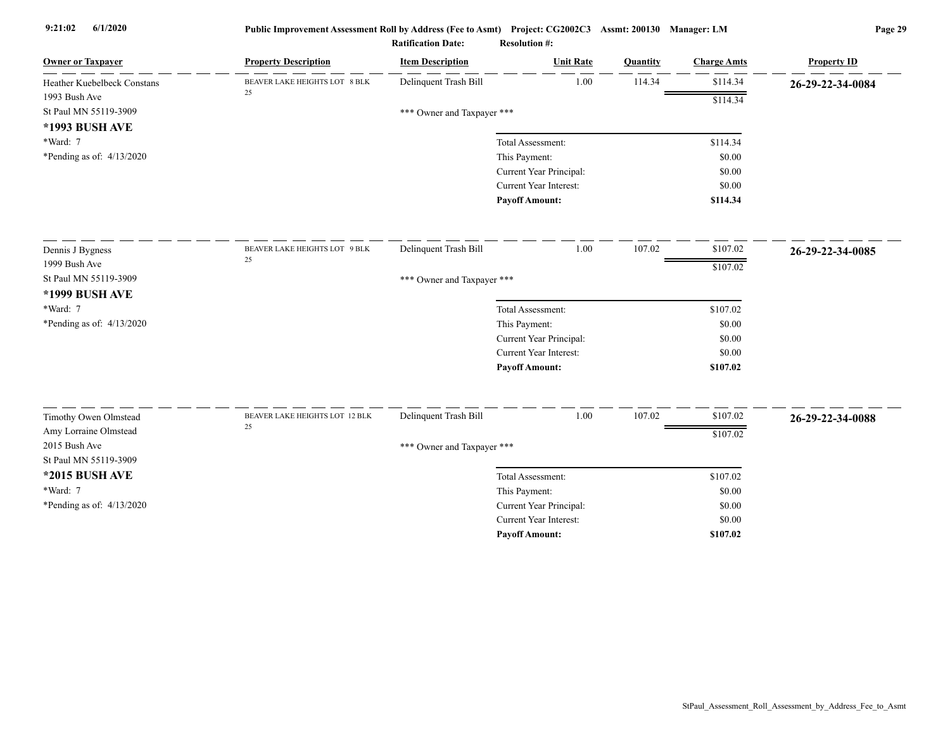| <b>Owner or Taxpayer</b>    | <b>Property Description</b>    | <b>Item Description</b>    | <b>Unit Rate</b>              | <b>Ouantity</b> | <b>Charge Amts</b> | <b>Property ID</b> |
|-----------------------------|--------------------------------|----------------------------|-------------------------------|-----------------|--------------------|--------------------|
| Heather Kuebelbeck Constans | BEAVER LAKE HEIGHTS LOT 8 BLK  | Delinquent Trash Bill      | 1.00                          | 114.34          | \$114.34           | 26-29-22-34-0084   |
| 1993 Bush Ave               | 25                             |                            |                               |                 | \$114.34           |                    |
| St Paul MN 55119-3909       |                                | *** Owner and Taxpayer *** |                               |                 |                    |                    |
| *1993 BUSH AVE              |                                |                            |                               |                 |                    |                    |
| *Ward: 7                    |                                |                            | Total Assessment:             |                 | \$114.34           |                    |
| *Pending as of: 4/13/2020   |                                |                            | This Payment:                 |                 | \$0.00             |                    |
|                             |                                |                            | Current Year Principal:       |                 | \$0.00             |                    |
|                             |                                |                            | <b>Current Year Interest:</b> |                 | \$0.00             |                    |
|                             |                                |                            | <b>Payoff Amount:</b>         |                 | \$114.34           |                    |
| Dennis J Bygness            | BEAVER LAKE HEIGHTS LOT 9 BLK  | Delinquent Trash Bill      | 1.00                          | 107.02          | \$107.02           | 26-29-22-34-0085   |
| 1999 Bush Ave               | 25                             |                            |                               |                 | \$107.02           |                    |
| St Paul MN 55119-3909       |                                | *** Owner and Taxpayer *** |                               |                 |                    |                    |
| *1999 BUSH AVE              |                                |                            |                               |                 |                    |                    |
| *Ward: 7                    |                                |                            | Total Assessment:             |                 | \$107.02           |                    |
| *Pending as of: 4/13/2020   |                                |                            | This Payment:                 |                 | \$0.00             |                    |
|                             |                                |                            | Current Year Principal:       |                 | \$0.00             |                    |
|                             |                                |                            | Current Year Interest:        |                 | \$0.00             |                    |
|                             |                                |                            | <b>Payoff Amount:</b>         |                 | \$107.02           |                    |
| Timothy Owen Olmstead       | BEAVER LAKE HEIGHTS LOT 12 BLK | Delinquent Trash Bill      | 1.00                          | 107.02          | \$107.02           | 26-29-22-34-0088   |
| Amy Lorraine Olmstead       | 25                             |                            |                               |                 |                    |                    |
| 2015 Bush Ave               |                                | *** Owner and Taxpayer *** |                               |                 | \$107.02           |                    |
| St Paul MN 55119-3909       |                                |                            |                               |                 |                    |                    |
| *2015 BUSH AVE              |                                |                            | Total Assessment:             |                 | \$107.02           |                    |
| *Ward: 7                    |                                |                            | This Payment:                 |                 | \$0.00             |                    |
| *Pending as of: $4/13/2020$ |                                |                            | Current Year Principal:       |                 | \$0.00             |                    |
|                             |                                |                            | <b>Current Year Interest:</b> |                 | \$0.00             |                    |
|                             |                                |                            | <b>Payoff Amount:</b>         |                 | \$107.02           |                    |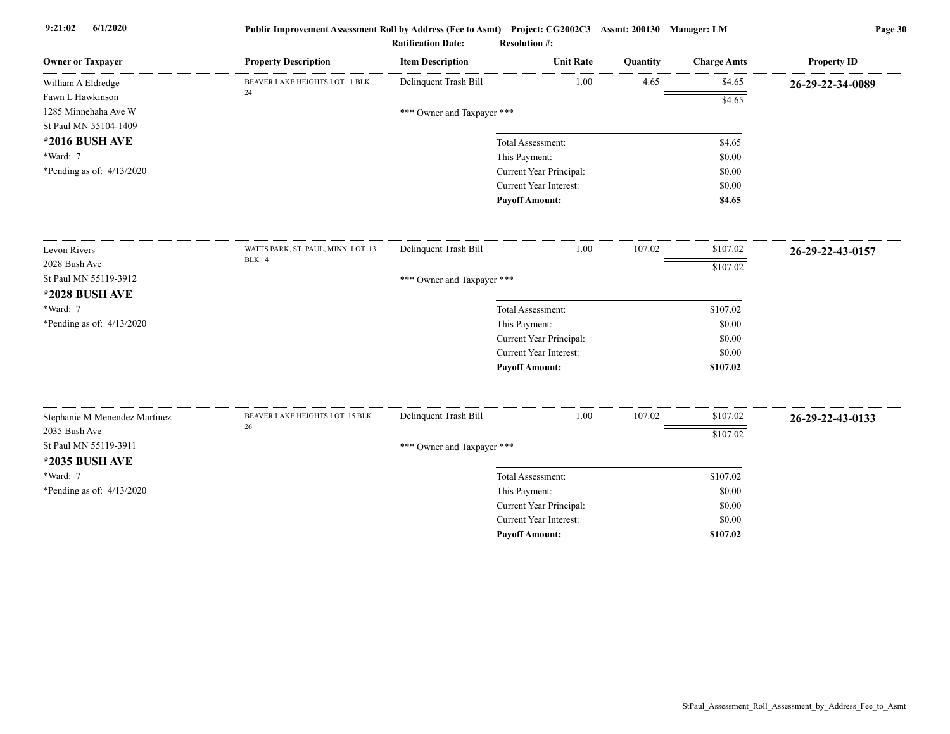| <b>Owner or Taxpayer</b>                       | <b>Property Description</b>        | <b>Item Description</b>    | <b>Unit Rate</b>                         | Quantity | <b>Charge Amts</b> | <b>Property ID</b> |
|------------------------------------------------|------------------------------------|----------------------------|------------------------------------------|----------|--------------------|--------------------|
| William A Eldredge                             | BEAVER LAKE HEIGHTS LOT 1 BLK      | Delinquent Trash Bill      | 1.00                                     | 4.65     | \$4.65             | 26-29-22-34-0089   |
| Fawn L Hawkinson                               | 24                                 |                            |                                          |          | \$4.65             |                    |
| 1285 Minnehaha Ave W                           |                                    | *** Owner and Taxpayer *** |                                          |          |                    |                    |
| St Paul MN 55104-1409                          |                                    |                            |                                          |          |                    |                    |
| *2016 BUSH AVE                                 |                                    |                            | Total Assessment:                        |          | \$4.65             |                    |
| *Ward: 7                                       |                                    |                            | This Payment:                            |          | \$0.00             |                    |
| *Pending as of: $4/13/2020$                    |                                    |                            | Current Year Principal:                  |          | \$0.00             |                    |
|                                                |                                    |                            | <b>Current Year Interest:</b>            |          | \$0.00             |                    |
|                                                |                                    |                            | <b>Payoff Amount:</b>                    |          | \$4.65             |                    |
| Levon Rivers                                   | WATTS PARK, ST. PAUL, MINN. LOT 13 | Delinquent Trash Bill      | 1.00                                     | 107.02   | \$107.02           | 26-29-22-43-0157   |
| 2028 Bush Ave                                  | BLK 4                              |                            |                                          |          | \$107.02           |                    |
| St Paul MN 55119-3912                          |                                    | *** Owner and Taxpayer *** |                                          |          |                    |                    |
| <b>*2028 BUSH AVE</b>                          |                                    |                            |                                          |          |                    |                    |
| *Ward: 7                                       |                                    |                            | Total Assessment:                        |          | \$107.02           |                    |
| *Pending as of: 4/13/2020                      |                                    |                            | This Payment:                            |          | \$0.00             |                    |
|                                                |                                    |                            | Current Year Principal:                  |          | \$0.00             |                    |
|                                                |                                    |                            | <b>Current Year Interest:</b>            |          | \$0.00             |                    |
|                                                |                                    |                            | <b>Payoff Amount:</b>                    |          | \$107.02           |                    |
|                                                | BEAVER LAKE HEIGHTS LOT 15 BLK     | Delinquent Trash Bill      | 1.00                                     | 107.02   | \$107.02           |                    |
| Stephanie M Menendez Martinez<br>2035 Bush Ave | 26                                 |                            |                                          |          |                    | 26-29-22-43-0133   |
| St Paul MN 55119-3911                          |                                    |                            |                                          |          | \$107.02           |                    |
| *2035 BUSH AVE                                 |                                    | *** Owner and Taxpayer *** |                                          |          |                    |                    |
| *Ward: 7                                       |                                    |                            |                                          |          |                    |                    |
|                                                |                                    |                            | Total Assessment:                        |          | \$107.02           |                    |
| *Pending as of: $4/13/2020$                    |                                    |                            | This Payment:<br>Current Year Principal: |          | \$0.00<br>\$0.00   |                    |
|                                                |                                    |                            | Current Year Interest:                   |          | \$0.00             |                    |
|                                                |                                    |                            | <b>Payoff Amount:</b>                    |          | \$107.02           |                    |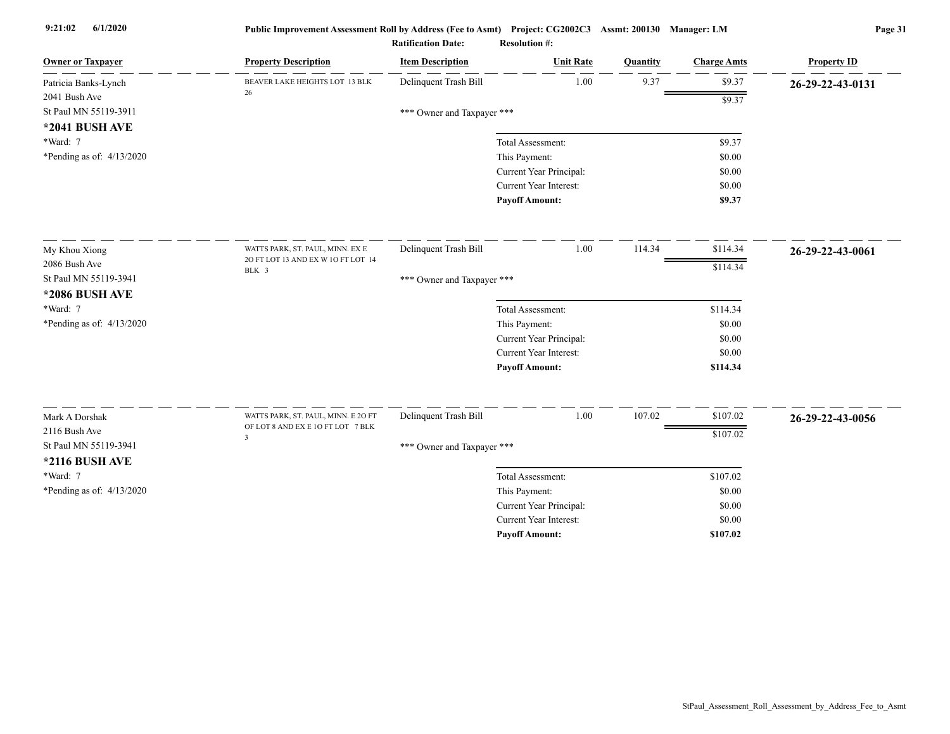| <b>Owner or Taxpayer</b>                | <b>Property Description</b>                 | <b>Item Description</b>    | <b>Unit Rate</b>              | Quantity | <b>Charge Amts</b> | <b>Property ID</b> |
|-----------------------------------------|---------------------------------------------|----------------------------|-------------------------------|----------|--------------------|--------------------|
| Patricia Banks-Lynch                    | BEAVER LAKE HEIGHTS LOT 13 BLK<br>26        | Delinquent Trash Bill      | 1.00                          | 9.37     | \$9.37             | 26-29-22-43-0131   |
| 2041 Bush Ave                           |                                             |                            |                               |          | \$9.37             |                    |
| St Paul MN 55119-3911                   |                                             | *** Owner and Taxpayer *** |                               |          |                    |                    |
| *2041 BUSH AVE                          |                                             |                            |                               |          |                    |                    |
| *Ward: 7                                |                                             |                            | Total Assessment:             |          | \$9.37             |                    |
| *Pending as of: $4/13/2020$             |                                             |                            | This Payment:                 |          | \$0.00             |                    |
|                                         |                                             |                            | Current Year Principal:       |          | \$0.00             |                    |
|                                         |                                             |                            | Current Year Interest:        |          | \$0.00<br>\$9.37   |                    |
|                                         |                                             |                            | <b>Payoff Amount:</b>         |          |                    |                    |
| My Khou Xiong                           | WATTS PARK, ST. PAUL, MINN. EX E            | Delinquent Trash Bill      | 1.00                          | 114.34   | \$114.34           | 26-29-22-43-0061   |
| 2086 Bush Ave                           | 20 FT LOT 13 AND EX W 10 FT LOT 14<br>BLK 3 |                            |                               |          | \$114.34           |                    |
| St Paul MN 55119-3941<br>*2086 BUSH AVE |                                             | *** Owner and Taxpayer *** |                               |          |                    |                    |
| *Ward: 7                                |                                             |                            | Total Assessment:             |          | \$114.34           |                    |
| *Pending as of: 4/13/2020               |                                             |                            | This Payment:                 |          | \$0.00             |                    |
|                                         |                                             |                            | Current Year Principal:       |          | \$0.00             |                    |
|                                         |                                             |                            | Current Year Interest:        |          | \$0.00             |                    |
|                                         |                                             |                            | <b>Payoff Amount:</b>         |          | \$114.34           |                    |
| Mark A Dorshak                          | WATTS PARK, ST. PAUL, MINN. E 20 FT         | Delinquent Trash Bill      | 1.00                          | 107.02   | \$107.02           | 26-29-22-43-0056   |
| 2116 Bush Ave                           | OF LOT 8 AND EX E 10 FT LOT 7 BLK           |                            |                               |          | \$107.02           |                    |
| St Paul MN 55119-3941                   | $\overline{\mathbf{3}}$                     | *** Owner and Taxpayer *** |                               |          |                    |                    |
| <b>*2116 BUSH AVE</b>                   |                                             |                            |                               |          |                    |                    |
| *Ward: 7                                |                                             |                            | Total Assessment:             |          | \$107.02           |                    |
| *Pending as of: 4/13/2020               |                                             |                            | This Payment:                 |          | \$0.00             |                    |
|                                         |                                             |                            | Current Year Principal:       |          | \$0.00             |                    |
|                                         |                                             |                            | <b>Current Year Interest:</b> |          | \$0.00             |                    |
|                                         |                                             |                            | <b>Pavoff Amount:</b>         |          | \$107.02           |                    |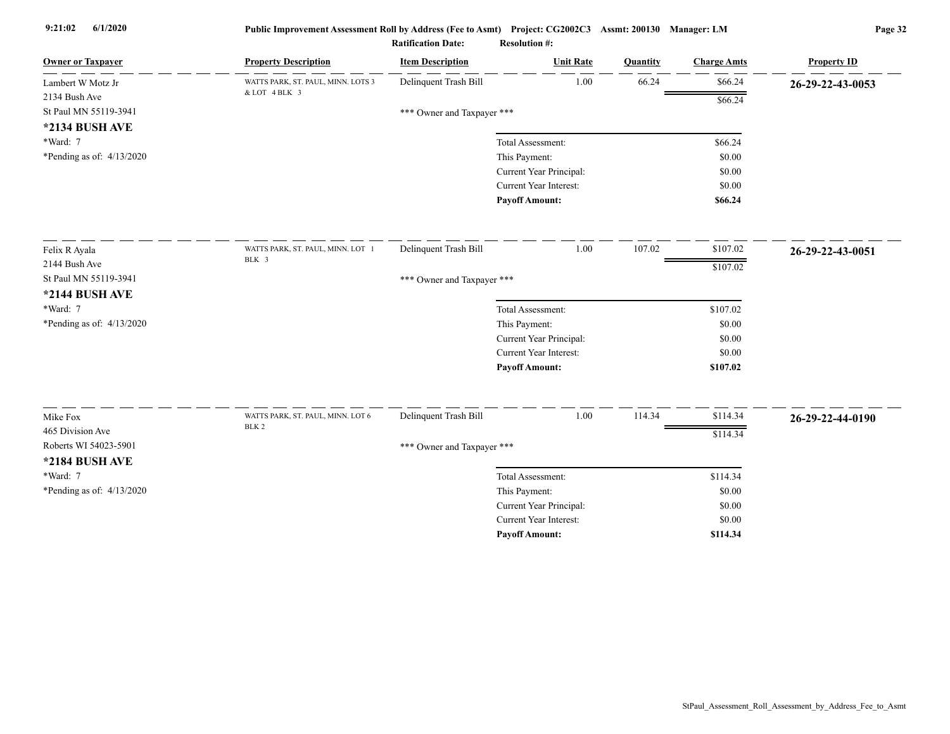| <b>Owner or Taxpayer</b>                  | <b>Property Description</b>        | <b>Item Description</b>    | <b>Unit Rate</b>        | Quantity | <b>Charge Amts</b> | <b>Property ID</b> |
|-------------------------------------------|------------------------------------|----------------------------|-------------------------|----------|--------------------|--------------------|
| Lambert W Motz Jr                         | WATTS PARK, ST. PAUL, MINN. LOTS 3 | Delinquent Trash Bill      | 1.00                    | 66.24    | \$66.24            | 26-29-22-43-0053   |
| 2134 Bush Ave                             | & LOT 4 BLK 3                      |                            |                         |          | \$66.24            |                    |
| St Paul MN 55119-3941                     |                                    | *** Owner and Taxpayer *** |                         |          |                    |                    |
| *2134 BUSH AVE                            |                                    |                            |                         |          |                    |                    |
| *Ward: 7                                  |                                    |                            | Total Assessment:       |          | \$66.24            |                    |
| *Pending as of: $4/13/2020$               |                                    |                            | This Payment:           |          | \$0.00             |                    |
|                                           |                                    |                            | Current Year Principal: |          | \$0.00             |                    |
|                                           |                                    |                            | Current Year Interest:  |          | \$0.00             |                    |
|                                           |                                    |                            | <b>Payoff Amount:</b>   |          | \$66.24            |                    |
| Felix R Ayala                             | WATTS PARK, ST. PAUL, MINN. LOT 1  | Delinquent Trash Bill      | 1.00                    | 107.02   | \$107.02           | 26-29-22-43-0051   |
| 2144 Bush Ave                             | BLK 3                              |                            |                         |          | \$107.02           |                    |
| St Paul MN 55119-3941                     |                                    | *** Owner and Taxpayer *** |                         |          |                    |                    |
| *2144 BUSH AVE                            |                                    |                            |                         |          |                    |                    |
| *Ward: 7                                  |                                    |                            | Total Assessment:       |          | \$107.02           |                    |
| *Pending as of: 4/13/2020                 |                                    |                            | This Payment:           |          | \$0.00             |                    |
|                                           |                                    |                            | Current Year Principal: |          | \$0.00             |                    |
|                                           |                                    |                            | Current Year Interest:  |          | \$0.00             |                    |
|                                           |                                    |                            | <b>Payoff Amount:</b>   |          | \$107.02           |                    |
|                                           | WATTS PARK, ST. PAUL, MINN. LOT 6  | Delinquent Trash Bill      | 1.00                    | 114.34   | \$114.34           |                    |
| Mike Fox                                  | BLK <sub>2</sub>                   |                            |                         |          |                    | 26-29-22-44-0190   |
| 465 Division Ave<br>Roberts WI 54023-5901 |                                    |                            |                         |          | \$114.34           |                    |
|                                           |                                    | *** Owner and Taxpayer *** |                         |          |                    |                    |
| *2184 BUSH AVE                            |                                    |                            |                         |          |                    |                    |
| *Ward: 7                                  |                                    |                            | Total Assessment:       |          | \$114.34           |                    |
| *Pending as of: 4/13/2020                 |                                    |                            | This Payment:           |          | \$0.00             |                    |
|                                           |                                    |                            | Current Year Principal: |          | \$0.00             |                    |
|                                           |                                    |                            | Current Year Interest:  |          | \$0.00             |                    |
|                                           |                                    |                            | <b>Payoff Amount:</b>   |          | \$114.34           |                    |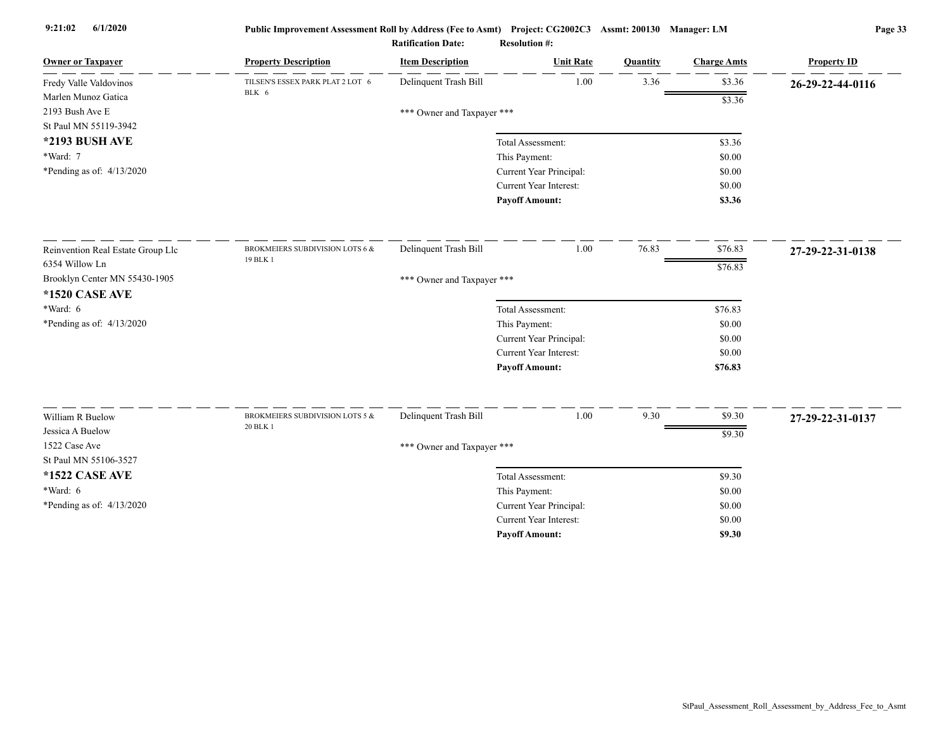| <b>Owner or Taxpayer</b>                                        | <b>Property Description</b>               | <b>Item Description</b>    | <b>Unit Rate</b>              | Quantity | <b>Charge Amts</b> | <b>Property ID</b> |
|-----------------------------------------------------------------|-------------------------------------------|----------------------------|-------------------------------|----------|--------------------|--------------------|
| Fredy Valle Valdovinos                                          | TILSEN'S ESSEX PARK PLAT 2 LOT 6<br>BLK 6 | Delinquent Trash Bill      | 1.00                          | 3.36     | \$3.36             | 26-29-22-44-0116   |
| Marlen Munoz Gatica<br>2193 Bush Ave E<br>St Paul MN 55119-3942 |                                           | *** Owner and Taxpayer *** |                               |          | \$3.36             |                    |
| *2193 BUSH AVE                                                  |                                           |                            | Total Assessment:             |          | \$3.36             |                    |
| *Ward: 7                                                        |                                           |                            | This Payment:                 |          | \$0.00             |                    |
| *Pending as of: 4/13/2020                                       |                                           |                            | Current Year Principal:       |          | \$0.00             |                    |
|                                                                 |                                           |                            | Current Year Interest:        |          | \$0.00             |                    |
|                                                                 |                                           |                            | <b>Payoff Amount:</b>         |          | \$3.36             |                    |
| Reinvention Real Estate Group Llc                               | BROKMEIERS SUBDIVISION LOTS 6 &           | Delinquent Trash Bill      | 1.00                          | 76.83    | \$76.83            | 27-29-22-31-0138   |
| 6354 Willow Ln                                                  | 19 BLK 1                                  |                            |                               |          | \$76.83            |                    |
| Brooklyn Center MN 55430-1905                                   |                                           | *** Owner and Taxpayer *** |                               |          |                    |                    |
| <b>*1520 CASE AVE</b>                                           |                                           |                            |                               |          |                    |                    |
| $*Ward: 6$                                                      |                                           |                            | Total Assessment:             |          | \$76.83            |                    |
| *Pending as of: 4/13/2020                                       |                                           |                            | This Payment:                 |          | \$0.00             |                    |
|                                                                 |                                           |                            | Current Year Principal:       |          | \$0.00             |                    |
|                                                                 |                                           |                            | <b>Current Year Interest:</b> |          | \$0.00             |                    |
|                                                                 |                                           |                            | <b>Payoff Amount:</b>         |          | \$76.83            |                    |
|                                                                 |                                           |                            |                               |          |                    |                    |
| William R Buelow                                                | BROKMEIERS SUBDIVISION LOTS 5 &           | Delinquent Trash Bill      | 1.00                          | 9.30     | \$9.30             | 27-29-22-31-0137   |
| Jessica A Buelow                                                | 20 BLK 1                                  |                            |                               |          | \$9.30             |                    |
| 1522 Case Ave                                                   |                                           | *** Owner and Taxpayer *** |                               |          |                    |                    |
| St Paul MN 55106-3527                                           |                                           |                            |                               |          |                    |                    |
| <b>*1522 CASE AVE</b>                                           |                                           |                            | Total Assessment:             |          | \$9.30             |                    |
| *Ward: 6                                                        |                                           |                            | This Payment:                 |          | \$0.00             |                    |
| *Pending as of: 4/13/2020                                       |                                           |                            | Current Year Principal:       |          | \$0.00             |                    |
|                                                                 |                                           |                            | Current Year Interest:        |          | \$0.00             |                    |
|                                                                 |                                           |                            | <b>Pavoff Amount:</b>         |          | \$9.30             |                    |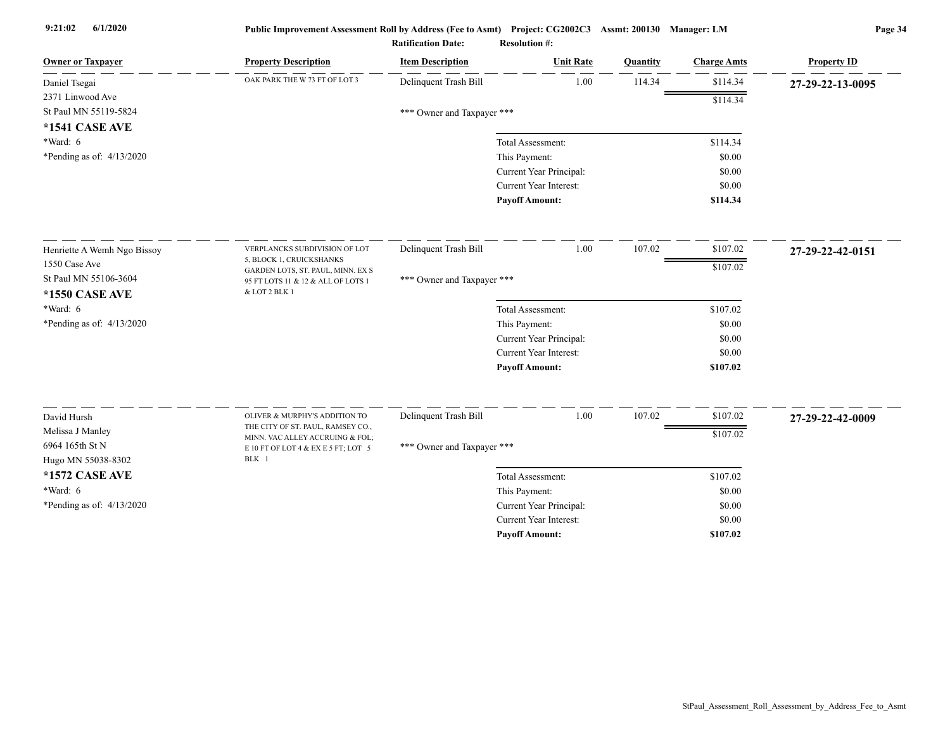| <b>Owner or Taxpayer</b>    | <b>Property Description</b>                                             | <b>Item Description</b>    | <b>Unit Rate</b>              | Quantity | <b>Charge Amts</b> | <b>Property ID</b> |
|-----------------------------|-------------------------------------------------------------------------|----------------------------|-------------------------------|----------|--------------------|--------------------|
| Daniel Tsegai               | OAK PARK THE W 73 FT OF LOT 3                                           | Delinquent Trash Bill      | 1.00                          | 114.34   | \$114.34           | 27-29-22-13-0095   |
| 2371 Linwood Ave            |                                                                         |                            |                               |          | \$114.34           |                    |
| St Paul MN 55119-5824       |                                                                         | *** Owner and Taxpayer *** |                               |          |                    |                    |
| <b>*1541 CASE AVE</b>       |                                                                         |                            |                               |          |                    |                    |
| $*Ward: 6$                  |                                                                         |                            | Total Assessment:             |          | \$114.34           |                    |
| *Pending as of: $4/13/2020$ |                                                                         |                            | This Payment:                 |          | \$0.00             |                    |
|                             |                                                                         |                            | Current Year Principal:       |          | \$0.00             |                    |
|                             |                                                                         |                            | <b>Current Year Interest:</b> |          | \$0.00             |                    |
|                             |                                                                         |                            | <b>Payoff Amount:</b>         |          | \$114.34           |                    |
| Henriette A Wemh Ngo Bissoy | VERPLANCKS SUBDIVISION OF LOT                                           | Delinquent Trash Bill      | 1.00                          | 107.02   | \$107.02           | 27-29-22-42-0151   |
| 1550 Case Ave               | 5, BLOCK 1, CRUICKSHANKS                                                |                            |                               |          | \$107.02           |                    |
| St Paul MN 55106-3604       | GARDEN LOTS, ST. PAUL, MINN. EX S<br>95 FT LOTS 11 & 12 & ALL OF LOTS 1 | *** Owner and Taxpayer *** |                               |          |                    |                    |
| <b>*1550 CASE AVE</b>       | & LOT 2 BLK 1                                                           |                            |                               |          |                    |                    |
| $*Ward: 6$                  |                                                                         |                            | Total Assessment:             |          | \$107.02           |                    |
| *Pending as of: 4/13/2020   |                                                                         |                            | This Payment:                 |          | \$0.00             |                    |
|                             |                                                                         |                            | Current Year Principal:       |          | \$0.00             |                    |
|                             |                                                                         |                            | Current Year Interest:        |          | \$0.00             |                    |
|                             |                                                                         |                            | <b>Payoff Amount:</b>         |          | \$107.02           |                    |
| David Hursh                 | OLIVER & MURPHY'S ADDITION TO                                           | Delinquent Trash Bill      | 1.00                          | 107.02   | \$107.02           |                    |
| Melissa J Manley            | THE CITY OF ST. PAUL, RAMSEY CO.,                                       |                            |                               |          |                    | 27-29-22-42-0009   |
| 6964 165th St N             | MINN. VAC ALLEY ACCRUING & FOL;                                         |                            |                               |          | \$107.02           |                    |
| Hugo MN 55038-8302          | E 10 FT OF LOT 4 & EX E 5 FT; LOT 5<br>BLK 1                            | *** Owner and Taxpayer *** |                               |          |                    |                    |
| *1572 CASE AVE              |                                                                         |                            | Total Assessment:             |          | \$107.02           |                    |
| *Ward: 6                    |                                                                         |                            | This Payment:                 |          | \$0.00             |                    |
| *Pending as of: 4/13/2020   |                                                                         |                            | Current Year Principal:       |          | \$0.00             |                    |
|                             |                                                                         |                            | Current Year Interest:        |          | \$0.00             |                    |
|                             |                                                                         |                            | <b>Payoff Amount:</b>         |          | \$107.02           |                    |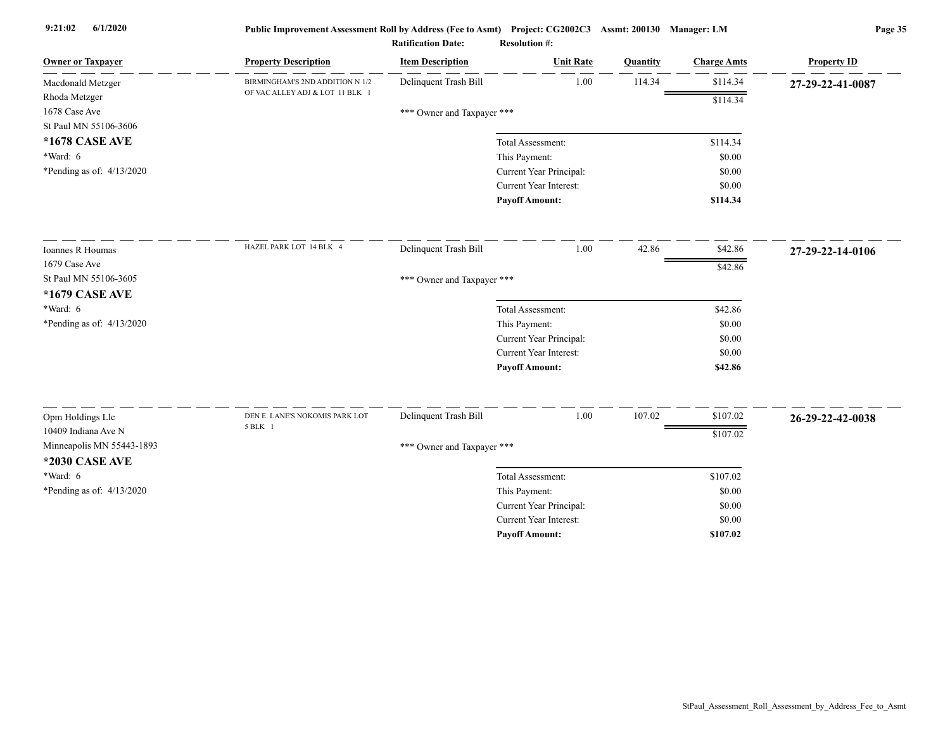| <b>Owner or Taxpayer</b>    | <b>Property Description</b>     | <b>Item Description</b>    | <b>Unit Rate</b>              | Quantity | <b>Charge Amts</b> | <b>Property ID</b> |
|-----------------------------|---------------------------------|----------------------------|-------------------------------|----------|--------------------|--------------------|
| Macdonald Metzger           | BIRMINGHAM'S 2ND ADDITION N 1/2 | Delinquent Trash Bill      | 1.00                          | 114.34   | \$114.34           | 27-29-22-41-0087   |
| Rhoda Metzger               | OF VAC ALLEY ADJ & LOT 11 BLK 1 |                            |                               |          | \$114.34           |                    |
| 1678 Case Ave               |                                 | *** Owner and Taxpayer *** |                               |          |                    |                    |
| St Paul MN 55106-3606       |                                 |                            |                               |          |                    |                    |
| *1678 CASE AVE              |                                 |                            | Total Assessment:             |          | \$114.34           |                    |
| $*Ward: 6$                  |                                 |                            | This Payment:                 |          | \$0.00             |                    |
| *Pending as of: $4/13/2020$ |                                 |                            | Current Year Principal:       |          | \$0.00             |                    |
|                             |                                 |                            | <b>Current Year Interest:</b> |          | \$0.00             |                    |
|                             |                                 |                            | <b>Payoff Amount:</b>         |          | \$114.34           |                    |
| Ioannes R Houmas            | HAZEL PARK LOT 14 BLK 4         | Delinquent Trash Bill      | 1.00                          | 42.86    | \$42.86            | 27-29-22-14-0106   |
| 1679 Case Ave               |                                 |                            |                               |          | \$42.86            |                    |
| St Paul MN 55106-3605       |                                 | *** Owner and Taxpayer *** |                               |          |                    |                    |
| *1679 CASE AVE              |                                 |                            |                               |          |                    |                    |
| $*Ward: 6$                  |                                 |                            | Total Assessment:             |          | \$42.86            |                    |
| *Pending as of: 4/13/2020   |                                 |                            | This Payment:                 |          | \$0.00             |                    |
|                             |                                 |                            | Current Year Principal:       |          | \$0.00             |                    |
|                             |                                 |                            | <b>Current Year Interest:</b> |          | \$0.00             |                    |
|                             |                                 |                            | <b>Payoff Amount:</b>         |          | \$42.86            |                    |
| Opm Holdings Llc            | DEN E. LANE'S NOKOMIS PARK LOT  | Delinquent Trash Bill      | 1.00                          | 107.02   | \$107.02           | 26-29-22-42-0038   |
| 10409 Indiana Ave N         | 5 BLK 1                         |                            |                               |          | \$107.02           |                    |
| Minneapolis MN 55443-1893   |                                 | *** Owner and Taxpayer *** |                               |          |                    |                    |
| <b>*2030 CASE AVE</b>       |                                 |                            |                               |          |                    |                    |
| *Ward: 6                    |                                 |                            | Total Assessment:             |          | \$107.02           |                    |
| *Pending as of: 4/13/2020   |                                 |                            | This Payment:                 |          | \$0.00             |                    |
|                             |                                 |                            | Current Year Principal:       |          | \$0.00             |                    |
|                             |                                 |                            | <b>Current Year Interest:</b> |          | \$0.00             |                    |
|                             |                                 |                            | <b>Pavoff Amount:</b>         |          | \$107.02           |                    |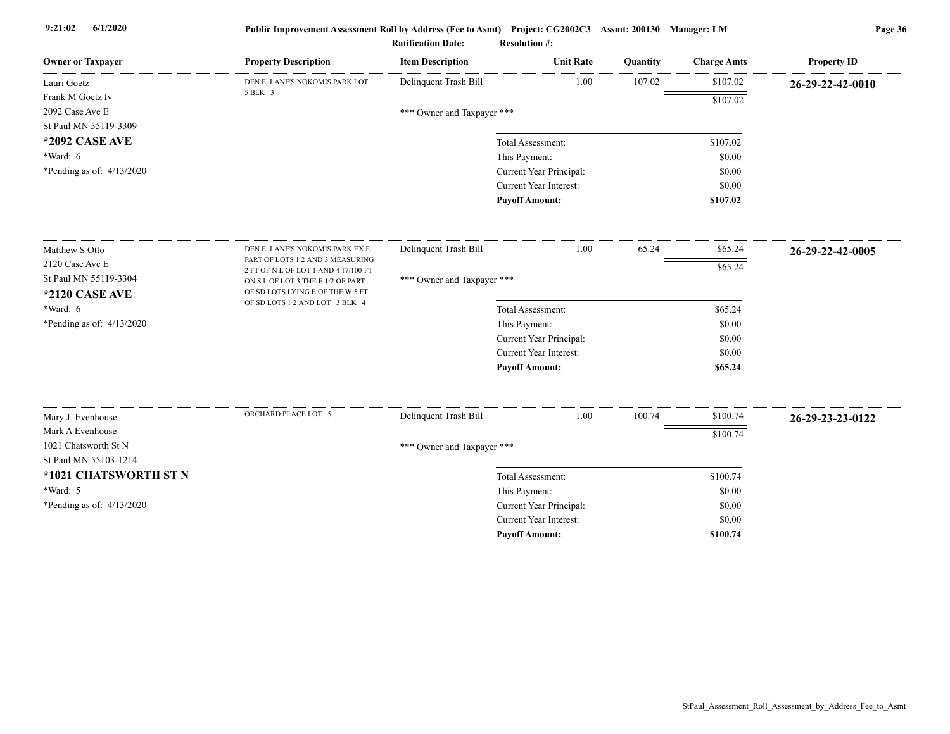| <b>Owner or Taxpaver</b>    | <b>Property Description</b>                                              | <b>Item Description</b>    | <b>Unit Rate</b>              | <b>Quantity</b> | <b>Charge Amts</b> | <b>Property ID</b> |
|-----------------------------|--------------------------------------------------------------------------|----------------------------|-------------------------------|-----------------|--------------------|--------------------|
| Lauri Goetz                 | DEN E. LANE'S NOKOMIS PARK LOT                                           | Delinquent Trash Bill      | 1.00                          | 107.02          | \$107.02           | 26-29-22-42-0010   |
| Frank M Goetz Iv            | 5 BLK 3                                                                  |                            |                               |                 | \$107.02           |                    |
| 2092 Case Ave E             |                                                                          | *** Owner and Taxpayer *** |                               |                 |                    |                    |
| St Paul MN 55119-3309       |                                                                          |                            |                               |                 |                    |                    |
| *2092 CASE AVE              |                                                                          |                            | Total Assessment:             |                 | \$107.02           |                    |
| *Ward: 6                    |                                                                          |                            | This Payment:                 |                 | \$0.00             |                    |
| *Pending as of: 4/13/2020   |                                                                          |                            | Current Year Principal:       |                 | \$0.00             |                    |
|                             |                                                                          |                            | <b>Current Year Interest:</b> |                 | \$0.00<br>\$107.02 |                    |
|                             |                                                                          |                            | <b>Payoff Amount:</b>         |                 |                    |                    |
| Matthew S Otto              | DEN E. LANE'S NOKOMIS PARK EX E                                          | Delinquent Trash Bill      | 1.00                          | 65.24           | \$65.24            | 26-29-22-42-0005   |
| 2120 Case Ave E             | PART OF LOTS 1 2 AND 3 MEASURING<br>2 FT OF N L OF LOT 1 AND 4 17/100 FT |                            |                               |                 | \$65.24            |                    |
| St Paul MN 55119-3304       | ON S L OF LOT 3 THE E 1/2 OF PART                                        | *** Owner and Taxpayer *** |                               |                 |                    |                    |
| <b>*2120 CASE AVE</b>       | OF SD LOTS LYING E OF THE W 5 FT<br>OF SD LOTS 1 2 AND LOT 3 BLK 4       |                            |                               |                 |                    |                    |
| $*Ward: 6$                  |                                                                          |                            | Total Assessment:             |                 | \$65.24            |                    |
| *Pending as of: 4/13/2020   |                                                                          |                            | This Payment:                 |                 | \$0.00             |                    |
|                             |                                                                          |                            | Current Year Principal:       |                 | \$0.00             |                    |
|                             |                                                                          |                            | Current Year Interest:        |                 | \$0.00             |                    |
|                             |                                                                          |                            | <b>Payoff Amount:</b>         |                 | \$65.24            |                    |
| Mary J Evenhouse            | ORCHARD PLACE LOT 5                                                      | Delinquent Trash Bill      | 1.00                          | 100.74          | \$100.74           | 26-29-23-23-0122   |
| Mark A Evenhouse            |                                                                          |                            |                               |                 | \$100.74           |                    |
| 1021 Chatsworth St N        |                                                                          | *** Owner and Taxpayer *** |                               |                 |                    |                    |
| St Paul MN 55103-1214       |                                                                          |                            |                               |                 |                    |                    |
| *1021 CHATSWORTH ST N       |                                                                          |                            | Total Assessment:             |                 | \$100.74           |                    |
| *Ward: 5                    |                                                                          |                            | This Payment:                 |                 | \$0.00             |                    |
| *Pending as of: $4/13/2020$ |                                                                          |                            | Current Year Principal:       |                 | \$0.00             |                    |
|                             |                                                                          |                            | Current Year Interest:        |                 | \$0.00             |                    |
|                             |                                                                          |                            | <b>Payoff Amount:</b>         |                 | \$100.74           |                    |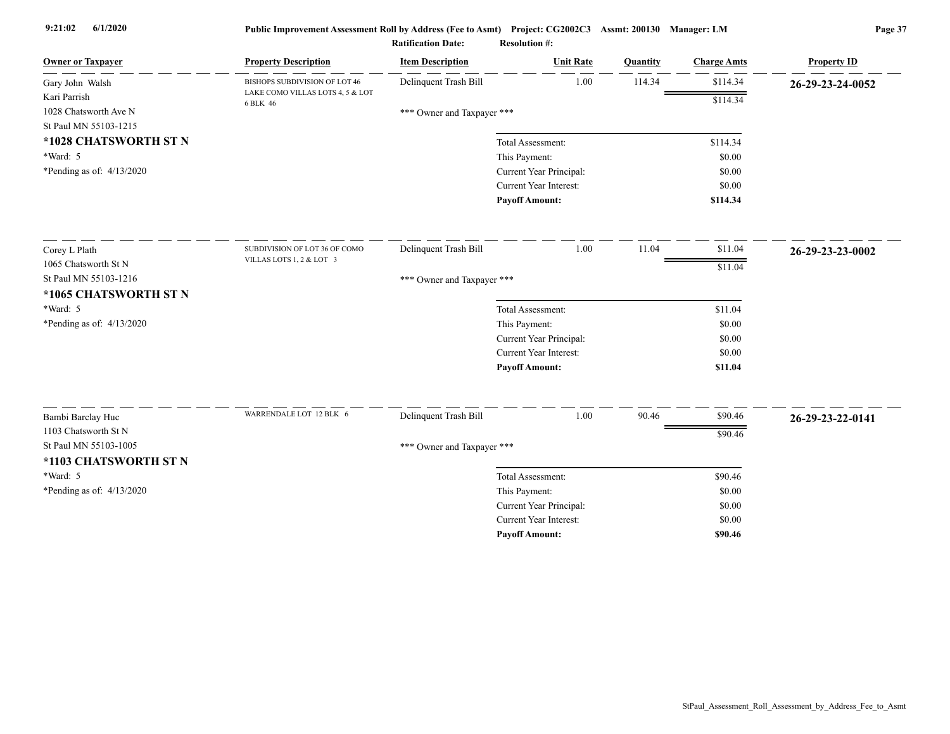| <b>Owner or Taxpayer</b>                       | <b>Property Description</b>                  | <b>Item Description</b>    | <b>Unit Rate</b>                                  | Quantity | <b>Charge Amts</b> | <b>Property ID</b> |
|------------------------------------------------|----------------------------------------------|----------------------------|---------------------------------------------------|----------|--------------------|--------------------|
| Gary John Walsh                                | BISHOPS SUBDIVISION OF LOT 46                | Delinquent Trash Bill      | 1.00                                              | 114.34   | \$114.34           | 26-29-23-24-0052   |
| Kari Parrish<br>1028 Chatsworth Ave N          | LAKE COMO VILLAS LOTS 4, 5 & LOT<br>6 BLK 46 | *** Owner and Taxpayer *** |                                                   |          | \$114.34           |                    |
| St Paul MN 55103-1215                          |                                              |                            |                                                   |          |                    |                    |
| *1028 CHATSWORTH ST N                          |                                              |                            | Total Assessment:                                 |          | \$114.34           |                    |
| *Ward: 5                                       |                                              |                            | This Payment:                                     |          | \$0.00             |                    |
| *Pending as of: 4/13/2020                      |                                              |                            | Current Year Principal:                           |          | \$0.00             |                    |
|                                                |                                              |                            | Current Year Interest:                            |          | \$0.00             |                    |
|                                                |                                              |                            | <b>Payoff Amount:</b>                             |          | \$114.34           |                    |
| Corey L Plath                                  | SUBDIVISION OF LOT 36 OF COMO                | Delinquent Trash Bill      | 1.00                                              | 11.04    | \$11.04            | 26-29-23-23-0002   |
| 1065 Chatsworth St N                           | VILLAS LOTS 1, 2 & LOT 3                     |                            |                                                   |          | \$11.04            |                    |
| St Paul MN 55103-1216<br>*1065 CHATSWORTH ST N |                                              | *** Owner and Taxpayer *** |                                                   |          |                    |                    |
| *Ward: 5                                       |                                              |                            | Total Assessment:                                 |          | \$11.04            |                    |
| *Pending as of: $4/13/2020$                    |                                              |                            | This Payment:                                     |          | \$0.00             |                    |
|                                                |                                              |                            | Current Year Principal:                           |          | \$0.00             |                    |
|                                                |                                              |                            | Current Year Interest:                            |          | \$0.00             |                    |
|                                                |                                              |                            | <b>Payoff Amount:</b>                             |          | \$11.04            |                    |
| Bambi Barclay Huc                              | WARRENDALE LOT 12 BLK 6                      | Delinquent Trash Bill      | 1.00                                              | 90.46    | \$90.46            |                    |
| 1103 Chatsworth St N                           |                                              |                            |                                                   |          |                    | 26-29-23-22-0141   |
| St Paul MN 55103-1005                          |                                              |                            |                                                   |          | \$90.46            |                    |
| *1103 CHATSWORTH ST N                          |                                              | *** Owner and Taxpayer *** |                                                   |          |                    |                    |
| *Ward: 5                                       |                                              |                            |                                                   |          |                    |                    |
|                                                |                                              |                            | Total Assessment:                                 |          | \$90.46            |                    |
| *Pending as of: 4/13/2020                      |                                              |                            | This Payment:                                     |          | \$0.00             |                    |
|                                                |                                              |                            | Current Year Principal:<br>Current Year Interest: |          | \$0.00<br>\$0.00   |                    |
|                                                |                                              |                            | <b>Payoff Amount:</b>                             |          | \$90.46            |                    |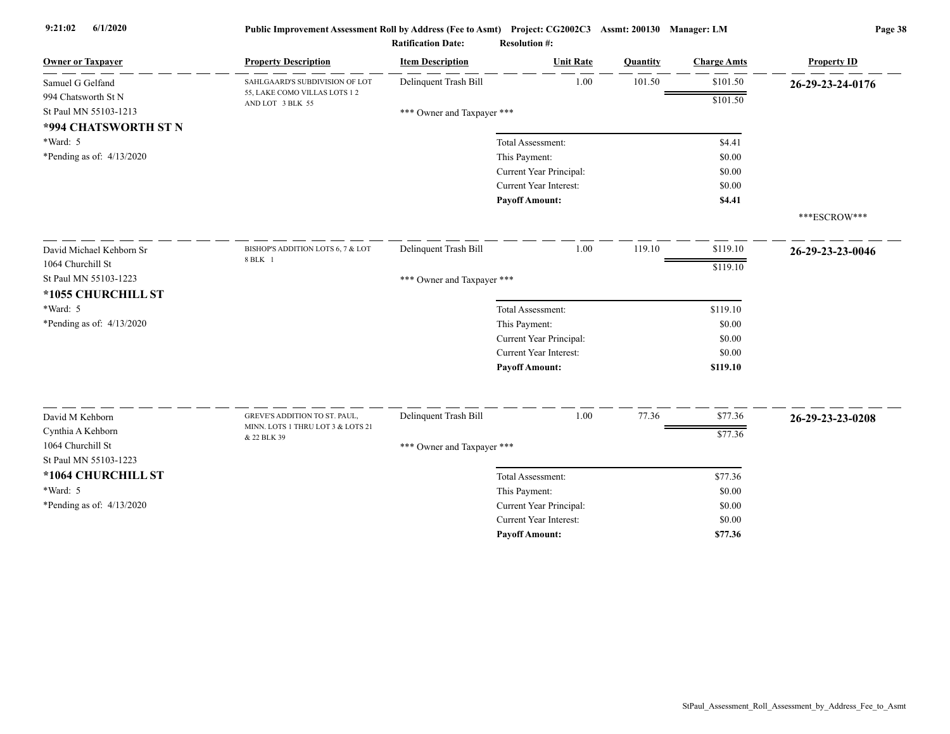| <b>Owner or Taxpayer</b>    | <b>Property Description</b>                                        | <b>Item Description</b>    | <b>Unit Rate</b>        | Quantity | <b>Charge Amts</b> | <b>Property ID</b> |
|-----------------------------|--------------------------------------------------------------------|----------------------------|-------------------------|----------|--------------------|--------------------|
| Samuel G Gelfand            | SAHLGAARD'S SUBDIVISION OF LOT                                     | Delinquent Trash Bill      | 1.00                    | 101.50   | \$101.50           | 26-29-23-24-0176   |
| 994 Chatsworth St N         | 55, LAKE COMO VILLAS LOTS 1 2<br>AND LOT 3 BLK 55                  |                            |                         |          | \$101.50           |                    |
| St Paul MN 55103-1213       |                                                                    | *** Owner and Taxpayer *** |                         |          |                    |                    |
| *994 CHATSWORTH ST N        |                                                                    |                            |                         |          |                    |                    |
| *Ward: 5                    |                                                                    |                            | Total Assessment:       |          | \$4.41             |                    |
| *Pending as of: $4/13/2020$ |                                                                    |                            | This Payment:           |          | \$0.00             |                    |
|                             |                                                                    |                            | Current Year Principal: |          | \$0.00             |                    |
|                             |                                                                    |                            | Current Year Interest:  |          | \$0.00             |                    |
|                             |                                                                    |                            | <b>Payoff Amount:</b>   |          | \$4.41             |                    |
|                             |                                                                    |                            |                         |          |                    | ***ESCROW***       |
| David Michael Kehborn Sr    | BISHOP'S ADDITION LOTS 6, 7 & LOT                                  | Delinquent Trash Bill      | 1.00                    | 119.10   | \$119.10           | 26-29-23-23-0046   |
| 1064 Churchill St           | 8 BLK 1                                                            |                            |                         |          | \$119.10           |                    |
| St Paul MN 55103-1223       |                                                                    | *** Owner and Taxpayer *** |                         |          |                    |                    |
| *1055 CHURCHILL ST          |                                                                    |                            |                         |          |                    |                    |
| *Ward: 5                    |                                                                    |                            | Total Assessment:       |          | \$119.10           |                    |
| *Pending as of: $4/13/2020$ |                                                                    |                            | This Payment:           |          | \$0.00             |                    |
|                             |                                                                    |                            | Current Year Principal: |          | \$0.00             |                    |
|                             |                                                                    |                            | Current Year Interest:  |          | \$0.00             |                    |
|                             |                                                                    |                            | <b>Payoff Amount:</b>   |          | \$119.10           |                    |
|                             |                                                                    |                            |                         |          |                    |                    |
| David M Kehborn             | GREVE'S ADDITION TO ST. PAUL,<br>MINN. LOTS 1 THRU LOT 3 & LOTS 21 | Delinquent Trash Bill      | 1.00                    | 77.36    | \$77.36            | 26-29-23-23-0208   |
| Cynthia A Kehborn           | & 22 BLK 39                                                        |                            |                         |          | \$77.36            |                    |
| 1064 Churchill St           |                                                                    | *** Owner and Taxpayer *** |                         |          |                    |                    |
| St Paul MN 55103-1223       |                                                                    |                            |                         |          |                    |                    |
| *1064 CHURCHILL ST          |                                                                    |                            | Total Assessment:       |          | \$77.36            |                    |
| *Ward: 5                    |                                                                    |                            | This Payment:           |          | \$0.00             |                    |
| *Pending as of: 4/13/2020   |                                                                    |                            | Current Year Principal: |          | \$0.00             |                    |
|                             |                                                                    |                            | Current Year Interest:  |          | \$0.00             |                    |
|                             |                                                                    |                            | <b>Pavoff Amount:</b>   |          | \$77.36            |                    |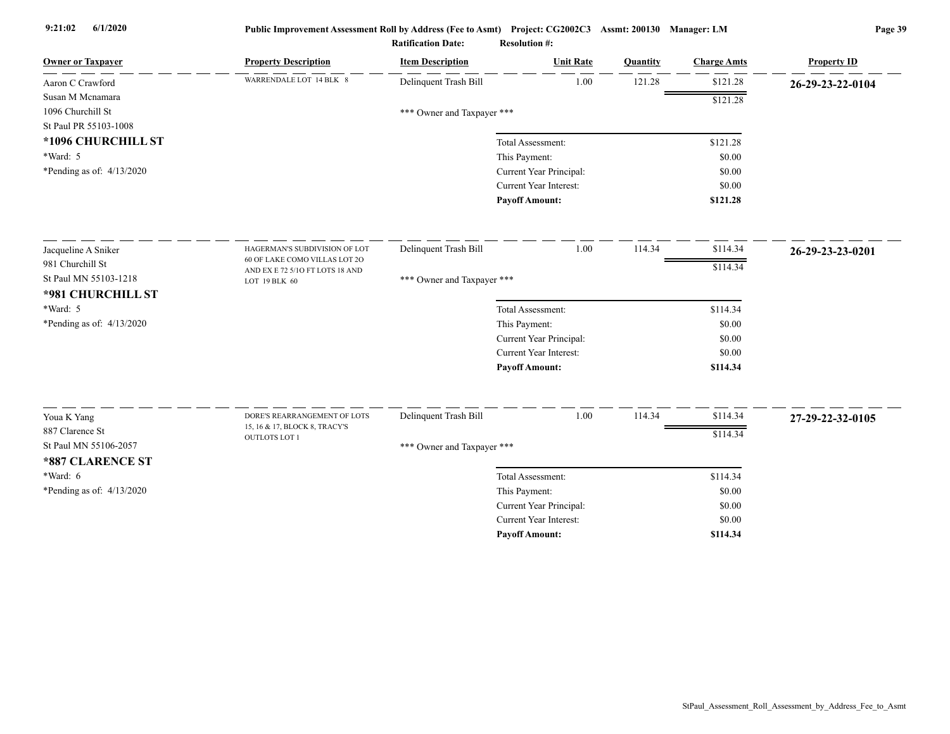| <b>Owner or Taxpayer</b>                 | <b>Property Description</b>                      | <b>Item Description</b>    | <b>Unit Rate</b>              | Quantity | <b>Charge Amts</b> | <b>Property ID</b> |
|------------------------------------------|--------------------------------------------------|----------------------------|-------------------------------|----------|--------------------|--------------------|
| Aaron C Crawford                         | WARRENDALE LOT 14 BLK 8                          | Delinquent Trash Bill      | 1.00                          | 121.28   | \$121.28           | 26-29-23-22-0104   |
| Susan M Mcnamara                         |                                                  |                            |                               |          | \$121.28           |                    |
| 1096 Churchill St                        |                                                  | *** Owner and Taxpayer *** |                               |          |                    |                    |
| St Paul PR 55103-1008                    |                                                  |                            |                               |          |                    |                    |
| *1096 CHURCHILL ST                       |                                                  |                            | Total Assessment:             |          | \$121.28           |                    |
| *Ward: 5                                 |                                                  |                            | This Payment:                 |          | \$0.00             |                    |
| *Pending as of: $4/13/2020$              |                                                  |                            | Current Year Principal:       |          | \$0.00             |                    |
|                                          |                                                  |                            | <b>Current Year Interest:</b> |          | \$0.00             |                    |
|                                          |                                                  |                            | <b>Payoff Amount:</b>         |          | \$121.28           |                    |
| Jacqueline A Sniker                      | HAGERMAN'S SUBDIVISION OF LOT                    | Delinquent Trash Bill      | 1.00                          | 114.34   | \$114.34           | 26-29-23-23-0201   |
| 981 Churchill St                         | 60 OF LAKE COMO VILLAS LOT 2O                    |                            |                               |          | \$114.34           |                    |
| St Paul MN 55103-1218                    | AND EX E 72 5/10 FT LOTS 18 AND<br>LOT 19 BLK 60 | *** Owner and Taxpayer *** |                               |          |                    |                    |
| *981 CHURCHILL ST                        |                                                  |                            |                               |          |                    |                    |
| *Ward: 5                                 |                                                  |                            | Total Assessment:             |          | \$114.34           |                    |
| *Pending as of: $4/13/2020$              |                                                  |                            | This Payment:                 |          | \$0.00             |                    |
|                                          |                                                  |                            | Current Year Principal:       |          | \$0.00             |                    |
|                                          |                                                  |                            | <b>Current Year Interest:</b> |          | \$0.00             |                    |
|                                          |                                                  |                            | <b>Payoff Amount:</b>         |          | \$114.34           |                    |
|                                          | DORE'S REARRANGEMENT OF LOTS                     | Delinquent Trash Bill      | 1.00                          | 114.34   | \$114.34           |                    |
| Youa K Yang                              | 15, 16 & 17, BLOCK 8, TRACY'S                    |                            |                               |          |                    | 27-29-22-32-0105   |
| 887 Clarence St<br>St Paul MN 55106-2057 | <b>OUTLOTS LOT 1</b>                             |                            |                               |          | \$114.34           |                    |
|                                          |                                                  | *** Owner and Taxpayer *** |                               |          |                    |                    |
| *887 CLARENCE ST                         |                                                  |                            |                               |          |                    |                    |
| $*Ward: 6$                               |                                                  |                            | Total Assessment:             |          | \$114.34           |                    |
| *Pending as of: $4/13/2020$              |                                                  |                            | This Payment:                 |          | \$0.00             |                    |
|                                          |                                                  |                            | Current Year Principal:       |          | \$0.00             |                    |
|                                          |                                                  |                            | Current Year Interest:        |          | \$0.00             |                    |
|                                          |                                                  |                            | <b>Payoff Amount:</b>         |          | \$114.34           |                    |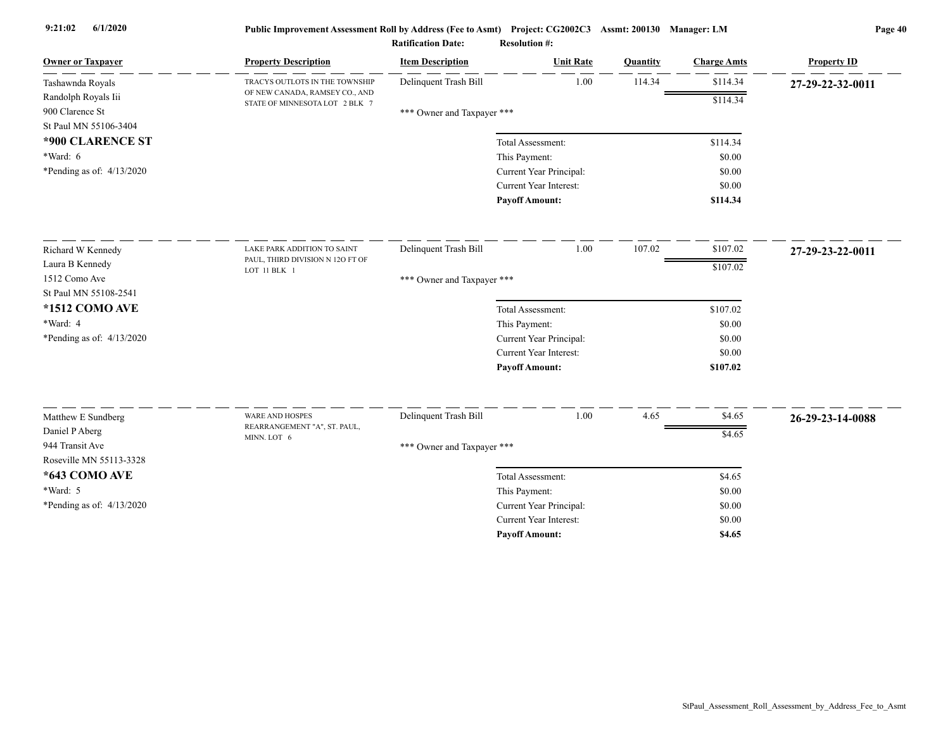| <b>Owner or Taxpayer</b>          | <b>Property Description</b>                                      | <b>Item Description</b>    | <b>Unit Rate</b>              | Quantity | <b>Charge Amts</b> | <b>Property ID</b> |
|-----------------------------------|------------------------------------------------------------------|----------------------------|-------------------------------|----------|--------------------|--------------------|
| Tashawnda Royals                  | TRACYS OUTLOTS IN THE TOWNSHIP                                   | Delinquent Trash Bill      | 1.00                          | 114.34   | \$114.34           | 27-29-22-32-0011   |
| Randolph Royals Iii               | OF NEW CANADA, RAMSEY CO., AND<br>STATE OF MINNESOTA LOT 2 BLK 7 |                            |                               |          | \$114.34           |                    |
| 900 Clarence St                   |                                                                  | *** Owner and Taxpayer *** |                               |          |                    |                    |
| St Paul MN 55106-3404             |                                                                  |                            |                               |          |                    |                    |
| *900 CLARENCE ST                  |                                                                  |                            | Total Assessment:             |          | \$114.34           |                    |
| $*Ward: 6$                        |                                                                  |                            | This Payment:                 |          | \$0.00             |                    |
| *Pending as of: $4/13/2020$       |                                                                  |                            | Current Year Principal:       |          | \$0.00             |                    |
|                                   |                                                                  |                            | Current Year Interest:        |          | \$0.00             |                    |
|                                   |                                                                  |                            | <b>Payoff Amount:</b>         |          | \$114.34           |                    |
| Richard W Kennedy                 | LAKE PARK ADDITION TO SAINT                                      | Delinquent Trash Bill      | 1.00                          | 107.02   | \$107.02           | 27-29-23-22-0011   |
| Laura B Kennedy                   | PAUL, THIRD DIVISION N 12O FT OF                                 |                            |                               |          | \$107.02           |                    |
| 1512 Como Ave                     | LOT 11 BLK 1                                                     | *** Owner and Taxpayer *** |                               |          |                    |                    |
| St Paul MN 55108-2541             |                                                                  |                            |                               |          |                    |                    |
| <b>*1512 COMO AVE</b>             |                                                                  |                            | Total Assessment:             |          | \$107.02           |                    |
| *Ward: 4                          |                                                                  |                            | This Payment:                 |          | \$0.00             |                    |
| *Pending as of: 4/13/2020         |                                                                  |                            | Current Year Principal:       |          | \$0.00             |                    |
|                                   |                                                                  |                            | Current Year Interest:        |          | \$0.00             |                    |
|                                   |                                                                  |                            | <b>Payoff Amount:</b>         |          | \$107.02           |                    |
|                                   | <b>WARE AND HOSPES</b>                                           |                            |                               |          |                    |                    |
| Matthew E Sundberg                | REARRANGEMENT "A", ST. PAUL,                                     | Delinquent Trash Bill      | 1.00                          | 4.65     | \$4.65             | 26-29-23-14-0088   |
| Daniel P Aberg<br>944 Transit Ave | MINN. LOT 6                                                      |                            |                               |          | \$4.65             |                    |
| Roseville MN 55113-3328           |                                                                  | *** Owner and Taxpayer *** |                               |          |                    |                    |
| *643 COMO AVE                     |                                                                  |                            | Total Assessment:             |          | \$4.65             |                    |
| *Ward: 5                          |                                                                  |                            | This Payment:                 |          | \$0.00             |                    |
| *Pending as of: 4/13/2020         |                                                                  |                            | Current Year Principal:       |          | \$0.00             |                    |
|                                   |                                                                  |                            | <b>Current Year Interest:</b> |          | \$0.00             |                    |
|                                   |                                                                  |                            | <b>Pavoff Amount:</b>         |          | \$4.65             |                    |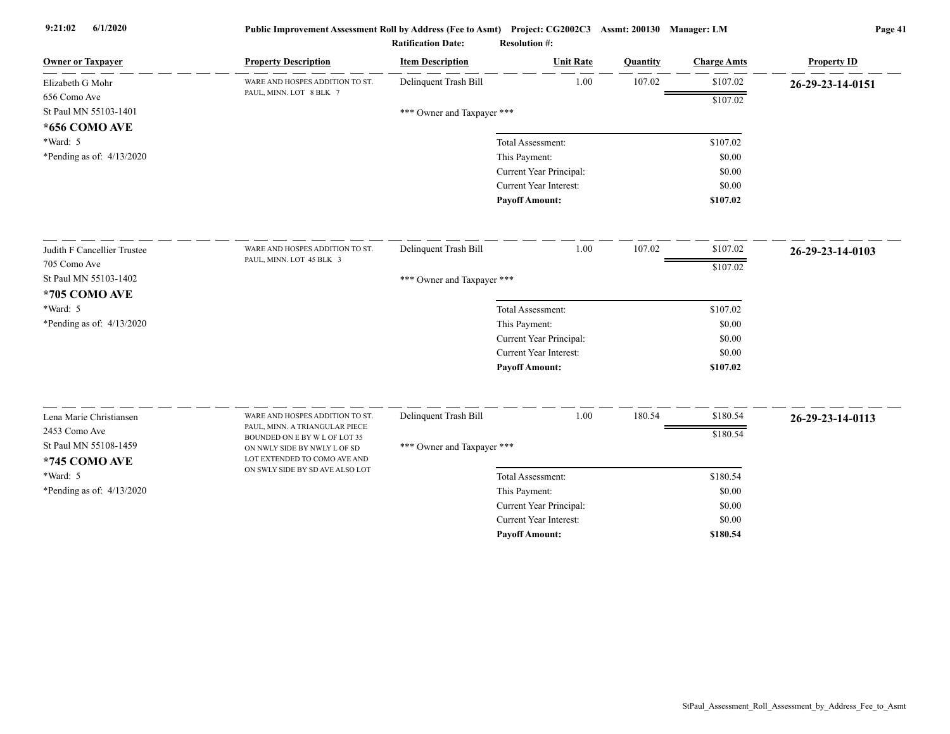| <b>Owner or Taxpayer</b>               | <b>Property Description</b>                                                                   | <b>Item Description</b>    | <b>Unit Rate</b>              | Quantity | <b>Charge Amts</b> | <b>Property ID</b> |
|----------------------------------------|-----------------------------------------------------------------------------------------------|----------------------------|-------------------------------|----------|--------------------|--------------------|
| Elizabeth G Mohr                       | WARE AND HOSPES ADDITION TO ST.                                                               | Delinquent Trash Bill      | 1.00                          | 107.02   | \$107.02           | 26-29-23-14-0151   |
| 656 Como Ave                           | PAUL, MINN. LOT 8 BLK 7                                                                       |                            |                               |          | \$107.02           |                    |
| St Paul MN 55103-1401                  |                                                                                               | *** Owner and Taxpayer *** |                               |          |                    |                    |
| *656 COMO AVE                          |                                                                                               |                            |                               |          |                    |                    |
| *Ward: 5                               |                                                                                               |                            | Total Assessment:             |          | \$107.02           |                    |
| *Pending as of: $4/13/2020$            |                                                                                               |                            | This Payment:                 |          | \$0.00             |                    |
|                                        |                                                                                               |                            | Current Year Principal:       |          | \$0.00             |                    |
|                                        |                                                                                               |                            | <b>Current Year Interest:</b> |          | \$0.00             |                    |
|                                        |                                                                                               |                            | <b>Payoff Amount:</b>         |          | \$107.02           |                    |
| Judith F Cancellier Trustee            | WARE AND HOSPES ADDITION TO ST.                                                               | Delinquent Trash Bill      | 1.00                          | 107.02   | \$107.02           | 26-29-23-14-0103   |
| 705 Como Ave                           | PAUL, MINN. LOT 45 BLK 3                                                                      |                            |                               |          | \$107.02           |                    |
| St Paul MN 55103-1402                  |                                                                                               | *** Owner and Taxpayer *** |                               |          |                    |                    |
| *705 COMO AVE                          |                                                                                               |                            |                               |          |                    |                    |
| $*Ward: 5$                             |                                                                                               |                            | Total Assessment:             |          | \$107.02           |                    |
| *Pending as of: 4/13/2020              |                                                                                               |                            | This Payment:                 |          | \$0.00             |                    |
|                                        |                                                                                               |                            | Current Year Principal:       |          | \$0.00             |                    |
|                                        |                                                                                               |                            | <b>Current Year Interest:</b> |          | \$0.00             |                    |
|                                        |                                                                                               |                            | <b>Payoff Amount:</b>         |          | \$107.02           |                    |
| Lena Marie Christiansen                | WARE AND HOSPES ADDITION TO ST.                                                               | Delinquent Trash Bill      | 1.00                          | 180.54   | \$180.54           | 26-29-23-14-0113   |
| 2453 Como Ave                          | PAUL, MINN. A TRIANGULAR PIECE                                                                |                            |                               |          |                    |                    |
| St Paul MN 55108-1459<br>*745 COMO AVE | BOUNDED ON E BY W L OF LOT 35<br>ON NWLY SIDE BY NWLY L OF SD<br>LOT EXTENDED TO COMO AVE AND | *** Owner and Taxpayer *** |                               |          | \$180.54           |                    |
| *Ward: 5                               | ON SWLY SIDE BY SD AVE ALSO LOT                                                               |                            | Total Assessment:             |          | \$180.54           |                    |
| *Pending as of: 4/13/2020              |                                                                                               |                            | This Payment:                 |          | \$0.00             |                    |
|                                        |                                                                                               |                            | Current Year Principal:       |          | \$0.00             |                    |
|                                        |                                                                                               |                            | <b>Current Year Interest:</b> |          | \$0.00             |                    |
|                                        |                                                                                               |                            | <b>Pavoff Amount:</b>         |          | \$180.54           |                    |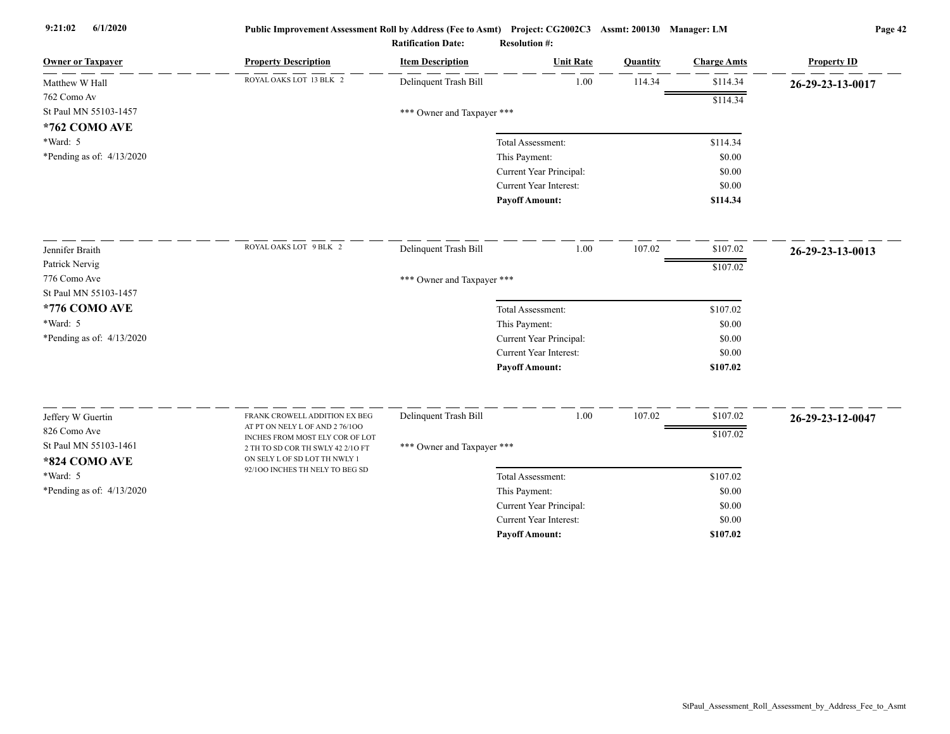| <b>Owner or Taxpayer</b>               | <b>Property Description</b>                                        | <b>Item Description</b>    | <b>Unit Rate</b>              | Quantity | <b>Charge Amts</b> | <b>Property ID</b> |
|----------------------------------------|--------------------------------------------------------------------|----------------------------|-------------------------------|----------|--------------------|--------------------|
| Matthew W Hall                         | ROYAL OAKS LOT 13 BLK 2                                            | Delinquent Trash Bill      | 1.00                          | 114.34   | \$114.34           | 26-29-23-13-0017   |
| 762 Como Av                            |                                                                    |                            |                               |          | \$114.34           |                    |
| St Paul MN 55103-1457                  |                                                                    | *** Owner and Taxpayer *** |                               |          |                    |                    |
| *762 COMO AVE                          |                                                                    |                            |                               |          |                    |                    |
| *Ward: 5                               |                                                                    |                            | Total Assessment:             |          | \$114.34           |                    |
| *Pending as of: 4/13/2020              |                                                                    |                            | This Payment:                 |          | \$0.00             |                    |
|                                        |                                                                    |                            | Current Year Principal:       |          | \$0.00             |                    |
|                                        |                                                                    |                            | <b>Current Year Interest:</b> |          | \$0.00             |                    |
|                                        |                                                                    |                            | <b>Payoff Amount:</b>         |          | \$114.34           |                    |
| Jennifer Braith                        | ROYAL OAKS LOT 9 BLK 2                                             | Delinquent Trash Bill      | 1.00                          | 107.02   | \$107.02           | 26-29-23-13-0013   |
| Patrick Nervig                         |                                                                    |                            |                               |          | \$107.02           |                    |
| 776 Como Ave                           |                                                                    | *** Owner and Taxpayer *** |                               |          |                    |                    |
| St Paul MN 55103-1457                  |                                                                    |                            |                               |          |                    |                    |
| *776 COMO AVE                          |                                                                    |                            | Total Assessment:             |          | \$107.02           |                    |
| *Ward: 5                               |                                                                    |                            | This Payment:                 |          | \$0.00             |                    |
| *Pending as of: 4/13/2020              |                                                                    |                            | Current Year Principal:       |          | \$0.00             |                    |
|                                        |                                                                    |                            | <b>Current Year Interest:</b> |          | \$0.00             |                    |
|                                        |                                                                    |                            | <b>Payoff Amount:</b>         |          | \$107.02           |                    |
|                                        | FRANK CROWELL ADDITION EX BEG                                      | Delinquent Trash Bill      | 1.00                          | 107.02   | \$107.02           |                    |
| Jeffery W Guertin                      | AT PT ON NELY L OF AND 2 76/100                                    |                            |                               |          |                    | 26-29-23-12-0047   |
| 826 Como Ave                           | INCHES FROM MOST ELY COR OF LOT                                    |                            |                               |          | \$107.02           |                    |
| St Paul MN 55103-1461<br>*824 COMO AVE | 2 TH TO SD COR TH SWLY 42 2/10 FT<br>ON SELY L OF SD LOT TH NWLY 1 | *** Owner and Taxpayer *** |                               |          |                    |                    |
| *Ward: 5                               | 92/100 INCHES TH NELY TO BEG SD                                    |                            | Total Assessment:             |          | \$107.02           |                    |
| *Pending as of: $4/13/2020$            |                                                                    |                            | This Payment:                 |          | \$0.00             |                    |
|                                        |                                                                    |                            | Current Year Principal:       |          | \$0.00             |                    |
|                                        |                                                                    |                            | <b>Current Year Interest:</b> |          | \$0.00             |                    |
|                                        |                                                                    |                            | <b>Payoff Amount:</b>         |          | \$107.02           |                    |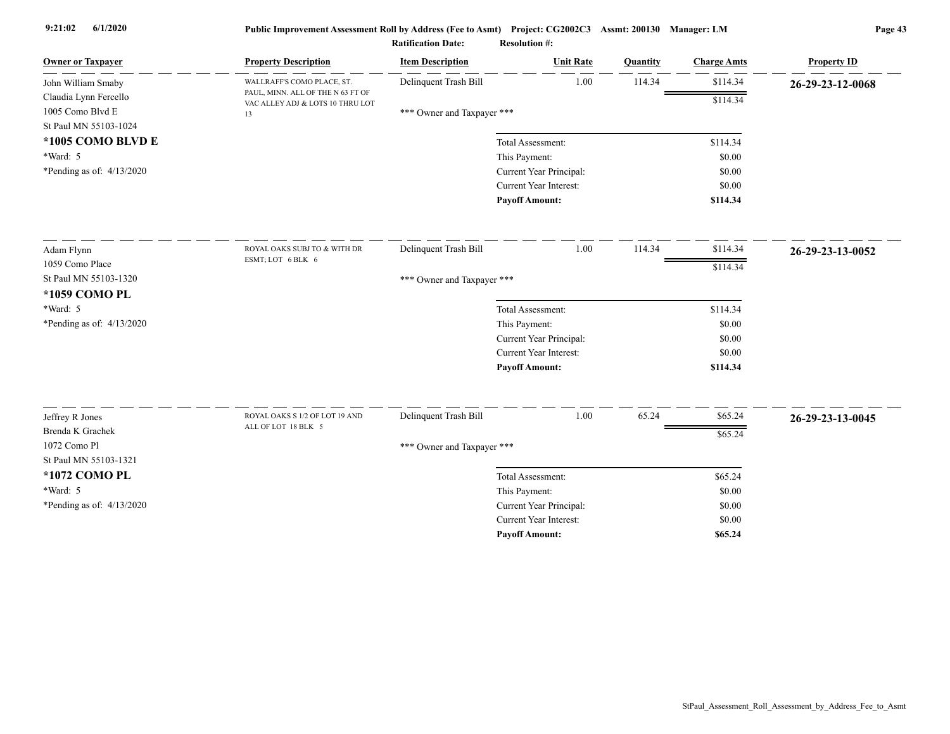| <b>Owner or Taxpayer</b>            | <b>Property Description</b>                                           | <b>Item Description</b>    | <b>Unit Rate</b>              | Quantity | <b>Charge Amts</b> | <b>Property ID</b> |
|-------------------------------------|-----------------------------------------------------------------------|----------------------------|-------------------------------|----------|--------------------|--------------------|
| John William Smaby                  | WALLRAFF'S COMO PLACE, ST.                                            | Delinquent Trash Bill      | 1.00                          | 114.34   | \$114.34           | 26-29-23-12-0068   |
| Claudia Lynn Fercello               | PAUL, MINN. ALL OF THE N 63 FT OF<br>VAC ALLEY ADJ & LOTS 10 THRU LOT |                            |                               |          | \$114.34           |                    |
| 1005 Como Blvd E                    | 13                                                                    | *** Owner and Taxpayer *** |                               |          |                    |                    |
| St Paul MN 55103-1024               |                                                                       |                            |                               |          |                    |                    |
| *1005 COMO BLVD E                   |                                                                       |                            | Total Assessment:             |          | \$114.34           |                    |
| *Ward: 5                            |                                                                       |                            | This Payment:                 |          | \$0.00             |                    |
| *Pending as of: $4/13/2020$         |                                                                       |                            | Current Year Principal:       |          | \$0.00             |                    |
|                                     |                                                                       |                            | <b>Current Year Interest:</b> |          | \$0.00             |                    |
|                                     |                                                                       |                            | <b>Payoff Amount:</b>         |          | \$114.34           |                    |
| Adam Flynn                          | ROYAL OAKS SUBJ TO & WITH DR                                          | Delinquent Trash Bill      | 1.00                          | 114.34   | \$114.34           | 26-29-23-13-0052   |
| 1059 Como Place                     | ESMT; LOT 6 BLK 6                                                     |                            |                               |          | \$114.34           |                    |
| St Paul MN 55103-1320               |                                                                       | *** Owner and Taxpayer *** |                               |          |                    |                    |
| *1059 COMO PL                       |                                                                       |                            |                               |          |                    |                    |
| *Ward: 5                            |                                                                       |                            | Total Assessment:             |          | \$114.34           |                    |
| *Pending as of: $4/13/2020$         |                                                                       |                            | This Payment:                 |          | \$0.00             |                    |
|                                     |                                                                       |                            | Current Year Principal:       |          | \$0.00             |                    |
|                                     |                                                                       |                            | <b>Current Year Interest:</b> |          | \$0.00             |                    |
|                                     |                                                                       |                            | <b>Payoff Amount:</b>         |          | \$114.34           |                    |
|                                     | ROYAL OAKS S 1/2 OF LOT 19 AND                                        | Delinquent Trash Bill      | 1.00                          | 65.24    | \$65.24            |                    |
| Jeffrey R Jones<br>Brenda K Grachek | ALL OF LOT 18 BLK 5                                                   |                            |                               |          |                    | 26-29-23-13-0045   |
| 1072 Como Pl                        |                                                                       |                            |                               |          | \$65.24            |                    |
| St Paul MN 55103-1321               |                                                                       | *** Owner and Taxpayer *** |                               |          |                    |                    |
| *1072 COMO PL                       |                                                                       |                            | Total Assessment:             |          | \$65.24            |                    |
| *Ward: 5                            |                                                                       |                            | This Payment:                 |          | \$0.00             |                    |
| *Pending as of: 4/13/2020           |                                                                       |                            | Current Year Principal:       |          | \$0.00             |                    |
|                                     |                                                                       |                            | Current Year Interest:        |          | \$0.00             |                    |
|                                     |                                                                       |                            | <b>Payoff Amount:</b>         |          | \$65.24            |                    |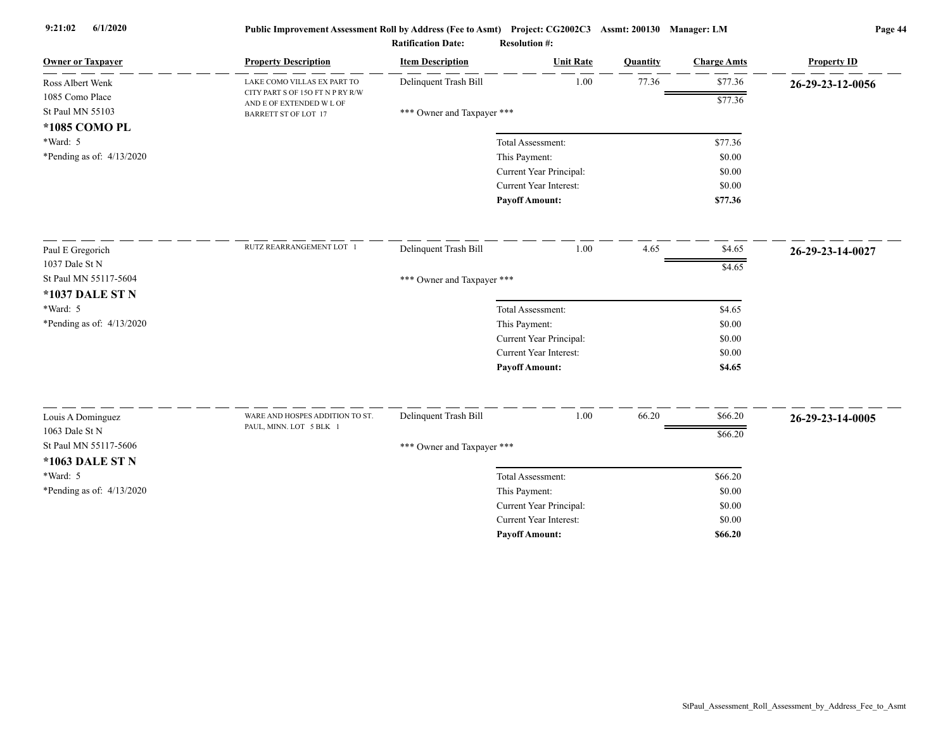| $\mathbf{D}_{\alpha\alpha}$ , $\mathbf{L}_{\alpha}$ , $\mathbf{H}_{\alpha}$ |  |  |
|-----------------------------------------------------------------------------|--|--|

|                                     |                                                              | <b>Ratification Date:</b>  | <b>Resolution #:</b>    |          |                    |                    |
|-------------------------------------|--------------------------------------------------------------|----------------------------|-------------------------|----------|--------------------|--------------------|
| <b>Owner or Taxpayer</b>            | <b>Property Description</b>                                  | <b>Item Description</b>    | <b>Unit Rate</b>        | Quantity | <b>Charge Amts</b> | <b>Property ID</b> |
| Ross Albert Wenk                    | LAKE COMO VILLAS EX PART TO                                  | Delinquent Trash Bill      | $1.00\,$                | 77.36    | \$77.36            | 26-29-23-12-0056   |
| 1085 Como Place                     | CITY PART S OF 15O FT N P RY R/W<br>AND E OF EXTENDED W L OF |                            |                         |          | \$77.36            |                    |
| St Paul MN 55103                    | <b>BARRETT ST OF LOT 17</b>                                  | *** Owner and Taxpayer *** |                         |          |                    |                    |
| *1085 COMO PL                       |                                                              |                            |                         |          |                    |                    |
| *Ward: 5                            |                                                              |                            | Total Assessment:       |          | \$77.36            |                    |
| *Pending as of: $4/13/2020$         |                                                              |                            | This Payment:           |          | \$0.00             |                    |
|                                     |                                                              |                            | Current Year Principal: |          | \$0.00             |                    |
|                                     |                                                              |                            | Current Year Interest:  |          | \$0.00             |                    |
|                                     |                                                              |                            | <b>Payoff Amount:</b>   |          | \$77.36            |                    |
| Paul E Gregorich                    | RUTZ REARRANGEMENT LOT 1                                     | Delinquent Trash Bill      | 1.00                    | 4.65     | \$4.65             | 26-29-23-14-0027   |
| 1037 Dale St N                      |                                                              |                            |                         |          |                    |                    |
| St Paul MN 55117-5604               |                                                              | *** Owner and Taxpayer *** |                         |          | $\overline{$4.65}$ |                    |
| *1037 DALE ST N                     |                                                              |                            |                         |          |                    |                    |
| *Ward: 5                            |                                                              |                            | Total Assessment:       |          | \$4.65             |                    |
| *Pending as of: $4/13/2020$         |                                                              |                            | This Payment:           |          | \$0.00             |                    |
|                                     |                                                              |                            | Current Year Principal: |          | \$0.00             |                    |
|                                     |                                                              |                            | Current Year Interest:  |          | \$0.00             |                    |
|                                     |                                                              |                            | <b>Payoff Amount:</b>   |          | \$4.65             |                    |
|                                     |                                                              |                            | 1.00                    |          |                    |                    |
| Louis A Dominguez<br>1063 Dale St N | WARE AND HOSPES ADDITION TO ST.<br>PAUL, MINN. LOT 5 BLK 1   | Delinquent Trash Bill      |                         | 66.20    | \$66.20            | 26-29-23-14-0005   |
| St Paul MN 55117-5606               |                                                              |                            |                         |          | \$66.20            |                    |
|                                     |                                                              | *** Owner and Taxpayer *** |                         |          |                    |                    |
| *1063 DALE ST N                     |                                                              |                            |                         |          |                    |                    |
| *Ward: 5                            |                                                              |                            | Total Assessment:       |          | \$66.20            |                    |
| *Pending as of: 4/13/2020           |                                                              |                            | This Payment:           |          | \$0.00             |                    |
|                                     |                                                              |                            | Current Year Principal: |          | \$0.00             |                    |
|                                     |                                                              |                            | Current Year Interest:  |          | \$0.00             |                    |
|                                     |                                                              |                            | <b>Payoff Amount:</b>   |          | \$66.20            |                    |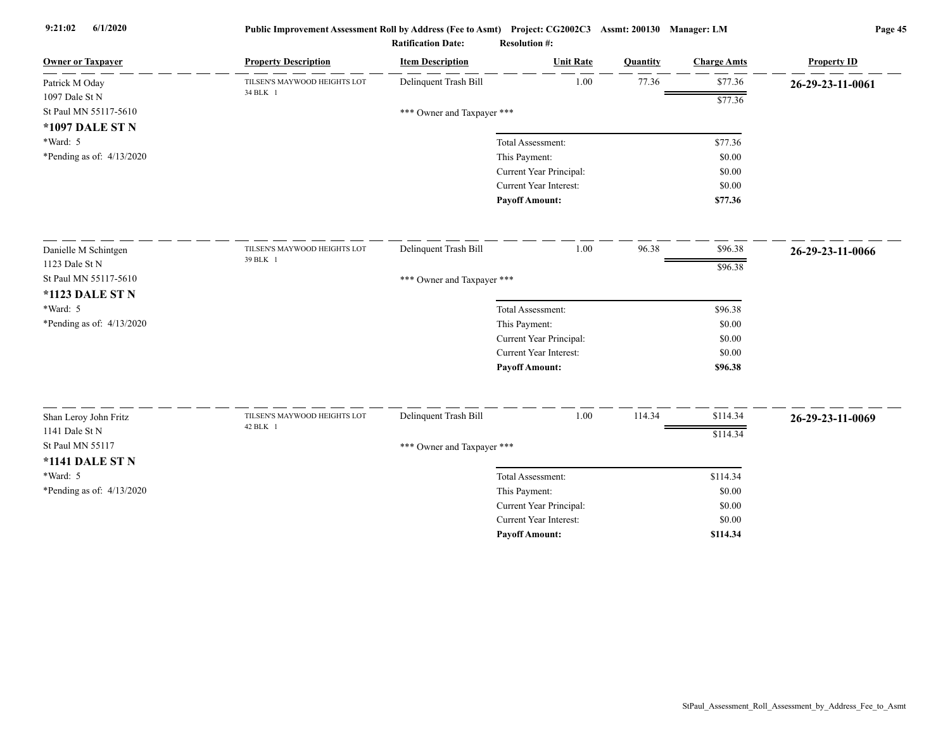| <b>Owner or Taxpayer</b>           | <b>Property Description</b>              | <b>Item Description</b>    | <b>Unit Rate</b>                                         | Quantity | <b>Charge Amts</b> | <b>Property ID</b> |
|------------------------------------|------------------------------------------|----------------------------|----------------------------------------------------------|----------|--------------------|--------------------|
| Patrick M Oday                     | TILSEN'S MAYWOOD HEIGHTS LOT             | Delinquent Trash Bill      | 1.00                                                     | 77.36    | \$77.36            | 26-29-23-11-0061   |
| 1097 Dale St N                     | 34 BLK 1                                 |                            |                                                          |          | \$77.36            |                    |
| St Paul MN 55117-5610              |                                          | *** Owner and Taxpayer *** |                                                          |          |                    |                    |
| *1097 DALE ST N                    |                                          |                            |                                                          |          |                    |                    |
| *Ward: 5                           |                                          |                            | Total Assessment:                                        |          | \$77.36            |                    |
| *Pending as of: $4/13/2020$        |                                          |                            | This Payment:                                            |          | \$0.00             |                    |
|                                    |                                          |                            | Current Year Principal:                                  |          | \$0.00             |                    |
|                                    |                                          |                            | Current Year Interest:                                   |          | \$0.00             |                    |
|                                    |                                          |                            | <b>Payoff Amount:</b>                                    |          | \$77.36            |                    |
| Danielle M Schintgen               | TILSEN'S MAYWOOD HEIGHTS LOT             | Delinquent Trash Bill      | 1.00                                                     | 96.38    | \$96.38            | 26-29-23-11-0066   |
| 1123 Dale St N                     | 39 BLK 1                                 |                            |                                                          |          | \$96.38            |                    |
| St Paul MN 55117-5610              |                                          | *** Owner and Taxpayer *** |                                                          |          |                    |                    |
| <b>*1123 DALE ST N</b>             |                                          |                            |                                                          |          |                    |                    |
| *Ward: 5                           |                                          |                            | Total Assessment:                                        |          | \$96.38            |                    |
| *Pending as of: 4/13/2020          |                                          |                            | This Payment:                                            |          | \$0.00             |                    |
|                                    |                                          |                            | Current Year Principal:                                  |          | \$0.00             |                    |
|                                    |                                          |                            | Current Year Interest:                                   |          | \$0.00             |                    |
|                                    |                                          |                            | <b>Payoff Amount:</b>                                    |          | \$96.38            |                    |
|                                    |                                          |                            |                                                          |          |                    |                    |
| Shan Leroy John Fritz              | TILSEN'S MAYWOOD HEIGHTS LOT<br>42 BLK 1 | Delinquent Trash Bill      | 1.00                                                     | 114.34   | \$114.34           | 26-29-23-11-0069   |
| 1141 Dale St N<br>St Paul MN 55117 |                                          |                            |                                                          |          | \$114.34           |                    |
|                                    |                                          | *** Owner and Taxpayer *** |                                                          |          |                    |                    |
| <b>*1141 DALE ST N</b>             |                                          |                            |                                                          |          |                    |                    |
| $*Ward: 5$                         |                                          |                            | Total Assessment:                                        |          | \$114.34           |                    |
| *Pending as of: $4/13/2020$        |                                          |                            | This Payment:                                            |          | \$0.00             |                    |
|                                    |                                          |                            | Current Year Principal:<br><b>Current Year Interest:</b> |          | \$0.00             |                    |
|                                    |                                          |                            |                                                          |          | \$0.00             |                    |
|                                    |                                          |                            | <b>Payoff Amount:</b>                                    |          | \$114.34           |                    |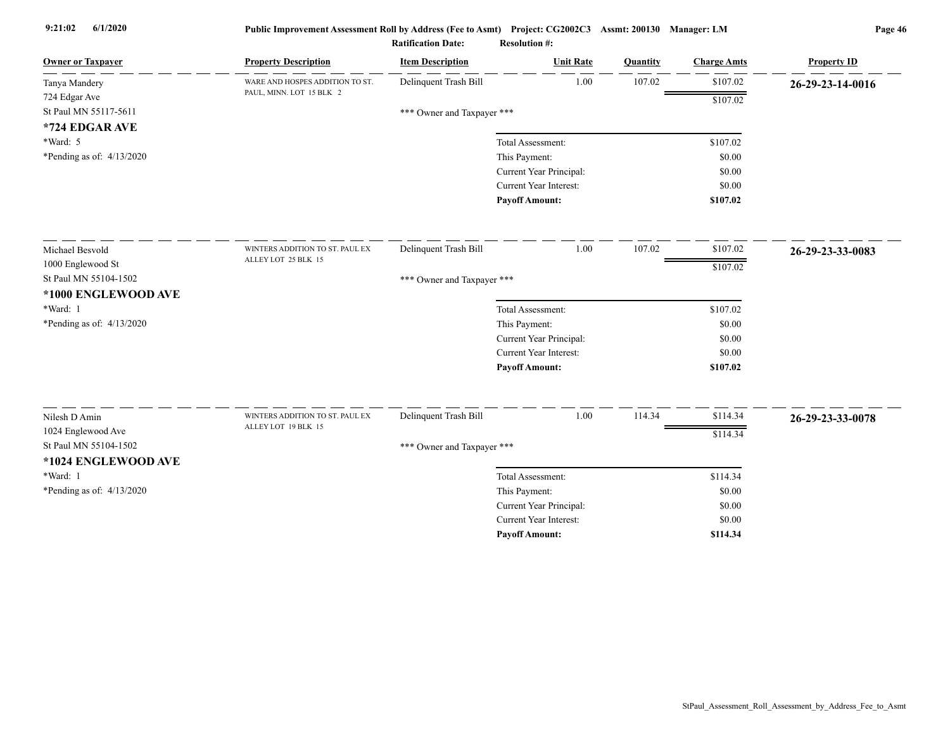| \$107.02<br>Delinquent Trash Bill<br>1.00<br>107.02<br>WARE AND HOSPES ADDITION TO ST.<br>Tanya Mandery<br>PAUL, MINN. LOT 15 BLK 2<br>724 Edgar Ave<br>\$107.02<br>St Paul MN 55117-5611<br>*** Owner and Taxpayer ***<br>*724 EDGAR AVE<br>*Ward: 5<br>Total Assessment:<br>\$107.02<br>*Pending as of: $4/13/2020$<br>This Payment:<br>\$0.00<br>Current Year Principal:<br>\$0.00<br>Current Year Interest:<br>\$0.00<br><b>Payoff Amount:</b><br>\$107.02<br>107.02<br>Delinquent Trash Bill<br>1.00<br>\$107.02<br>WINTERS ADDITION TO ST. PAUL EX<br>Michael Besvold<br>ALLEY LOT 25 BLK 15<br>1000 Englewood St<br>\$107.02<br>St Paul MN 55104-1502<br>*** Owner and Taxpayer ***<br>*1000 ENGLEWOOD AVE<br>*Ward: 1<br>\$107.02<br>Total Assessment:<br>*Pending as of: 4/13/2020<br>This Payment:<br>\$0.00<br>Current Year Principal:<br>\$0.00<br>Current Year Interest:<br>\$0.00<br><b>Payoff Amount:</b><br>\$107.02<br>Delinquent Trash Bill<br>1.00<br>114.34<br>\$114.34<br>Nilesh D Amin<br>WINTERS ADDITION TO ST. PAUL EX<br>26-29-23-33-0078<br>ALLEY LOT 19 BLK 15<br>1024 Englewood Ave<br>\$114.34 | <b>Owner or Taxpayer</b> | <b>Property Description</b> | <b>Item Description</b> | <b>Unit Rate</b> | Quantity | <b>Charge Amts</b> | <b>Property ID</b> |
|------------------------------------------------------------------------------------------------------------------------------------------------------------------------------------------------------------------------------------------------------------------------------------------------------------------------------------------------------------------------------------------------------------------------------------------------------------------------------------------------------------------------------------------------------------------------------------------------------------------------------------------------------------------------------------------------------------------------------------------------------------------------------------------------------------------------------------------------------------------------------------------------------------------------------------------------------------------------------------------------------------------------------------------------------------------------------------------------------------------------------|--------------------------|-----------------------------|-------------------------|------------------|----------|--------------------|--------------------|
|                                                                                                                                                                                                                                                                                                                                                                                                                                                                                                                                                                                                                                                                                                                                                                                                                                                                                                                                                                                                                                                                                                                              |                          |                             |                         |                  |          |                    | 26-29-23-14-0016   |
|                                                                                                                                                                                                                                                                                                                                                                                                                                                                                                                                                                                                                                                                                                                                                                                                                                                                                                                                                                                                                                                                                                                              |                          |                             |                         |                  |          |                    |                    |
|                                                                                                                                                                                                                                                                                                                                                                                                                                                                                                                                                                                                                                                                                                                                                                                                                                                                                                                                                                                                                                                                                                                              |                          |                             |                         |                  |          |                    |                    |
|                                                                                                                                                                                                                                                                                                                                                                                                                                                                                                                                                                                                                                                                                                                                                                                                                                                                                                                                                                                                                                                                                                                              |                          |                             |                         |                  |          |                    |                    |
|                                                                                                                                                                                                                                                                                                                                                                                                                                                                                                                                                                                                                                                                                                                                                                                                                                                                                                                                                                                                                                                                                                                              |                          |                             |                         |                  |          |                    |                    |
|                                                                                                                                                                                                                                                                                                                                                                                                                                                                                                                                                                                                                                                                                                                                                                                                                                                                                                                                                                                                                                                                                                                              |                          |                             |                         |                  |          |                    |                    |
|                                                                                                                                                                                                                                                                                                                                                                                                                                                                                                                                                                                                                                                                                                                                                                                                                                                                                                                                                                                                                                                                                                                              |                          |                             |                         |                  |          |                    |                    |
|                                                                                                                                                                                                                                                                                                                                                                                                                                                                                                                                                                                                                                                                                                                                                                                                                                                                                                                                                                                                                                                                                                                              |                          |                             |                         |                  |          |                    |                    |
|                                                                                                                                                                                                                                                                                                                                                                                                                                                                                                                                                                                                                                                                                                                                                                                                                                                                                                                                                                                                                                                                                                                              |                          |                             |                         |                  |          |                    |                    |
|                                                                                                                                                                                                                                                                                                                                                                                                                                                                                                                                                                                                                                                                                                                                                                                                                                                                                                                                                                                                                                                                                                                              |                          |                             |                         |                  |          |                    | 26-29-23-33-0083   |
|                                                                                                                                                                                                                                                                                                                                                                                                                                                                                                                                                                                                                                                                                                                                                                                                                                                                                                                                                                                                                                                                                                                              |                          |                             |                         |                  |          |                    |                    |
|                                                                                                                                                                                                                                                                                                                                                                                                                                                                                                                                                                                                                                                                                                                                                                                                                                                                                                                                                                                                                                                                                                                              |                          |                             |                         |                  |          |                    |                    |
|                                                                                                                                                                                                                                                                                                                                                                                                                                                                                                                                                                                                                                                                                                                                                                                                                                                                                                                                                                                                                                                                                                                              |                          |                             |                         |                  |          |                    |                    |
|                                                                                                                                                                                                                                                                                                                                                                                                                                                                                                                                                                                                                                                                                                                                                                                                                                                                                                                                                                                                                                                                                                                              |                          |                             |                         |                  |          |                    |                    |
|                                                                                                                                                                                                                                                                                                                                                                                                                                                                                                                                                                                                                                                                                                                                                                                                                                                                                                                                                                                                                                                                                                                              |                          |                             |                         |                  |          |                    |                    |
|                                                                                                                                                                                                                                                                                                                                                                                                                                                                                                                                                                                                                                                                                                                                                                                                                                                                                                                                                                                                                                                                                                                              |                          |                             |                         |                  |          |                    |                    |
|                                                                                                                                                                                                                                                                                                                                                                                                                                                                                                                                                                                                                                                                                                                                                                                                                                                                                                                                                                                                                                                                                                                              |                          |                             |                         |                  |          |                    |                    |
|                                                                                                                                                                                                                                                                                                                                                                                                                                                                                                                                                                                                                                                                                                                                                                                                                                                                                                                                                                                                                                                                                                                              |                          |                             |                         |                  |          |                    |                    |
|                                                                                                                                                                                                                                                                                                                                                                                                                                                                                                                                                                                                                                                                                                                                                                                                                                                                                                                                                                                                                                                                                                                              |                          |                             |                         |                  |          |                    |                    |
|                                                                                                                                                                                                                                                                                                                                                                                                                                                                                                                                                                                                                                                                                                                                                                                                                                                                                                                                                                                                                                                                                                                              |                          |                             |                         |                  |          |                    |                    |
| St Paul MN 55104-1502                                                                                                                                                                                                                                                                                                                                                                                                                                                                                                                                                                                                                                                                                                                                                                                                                                                                                                                                                                                                                                                                                                        |                          |                             |                         |                  |          |                    |                    |
| *** Owner and Taxpayer ***<br>*1024 ENGLEWOOD AVE                                                                                                                                                                                                                                                                                                                                                                                                                                                                                                                                                                                                                                                                                                                                                                                                                                                                                                                                                                                                                                                                            |                          |                             |                         |                  |          |                    |                    |
| *Ward: 1<br>\$114.34<br>Total Assessment:                                                                                                                                                                                                                                                                                                                                                                                                                                                                                                                                                                                                                                                                                                                                                                                                                                                                                                                                                                                                                                                                                    |                          |                             |                         |                  |          |                    |                    |
| *Pending as of: $4/13/2020$<br>\$0.00                                                                                                                                                                                                                                                                                                                                                                                                                                                                                                                                                                                                                                                                                                                                                                                                                                                                                                                                                                                                                                                                                        |                          |                             |                         |                  |          |                    |                    |
| This Payment:<br>Current Year Principal:<br>\$0.00                                                                                                                                                                                                                                                                                                                                                                                                                                                                                                                                                                                                                                                                                                                                                                                                                                                                                                                                                                                                                                                                           |                          |                             |                         |                  |          |                    |                    |
| Current Year Interest:<br>\$0.00                                                                                                                                                                                                                                                                                                                                                                                                                                                                                                                                                                                                                                                                                                                                                                                                                                                                                                                                                                                                                                                                                             |                          |                             |                         |                  |          |                    |                    |
| <b>Payoff Amount:</b><br>\$114.34                                                                                                                                                                                                                                                                                                                                                                                                                                                                                                                                                                                                                                                                                                                                                                                                                                                                                                                                                                                                                                                                                            |                          |                             |                         |                  |          |                    |                    |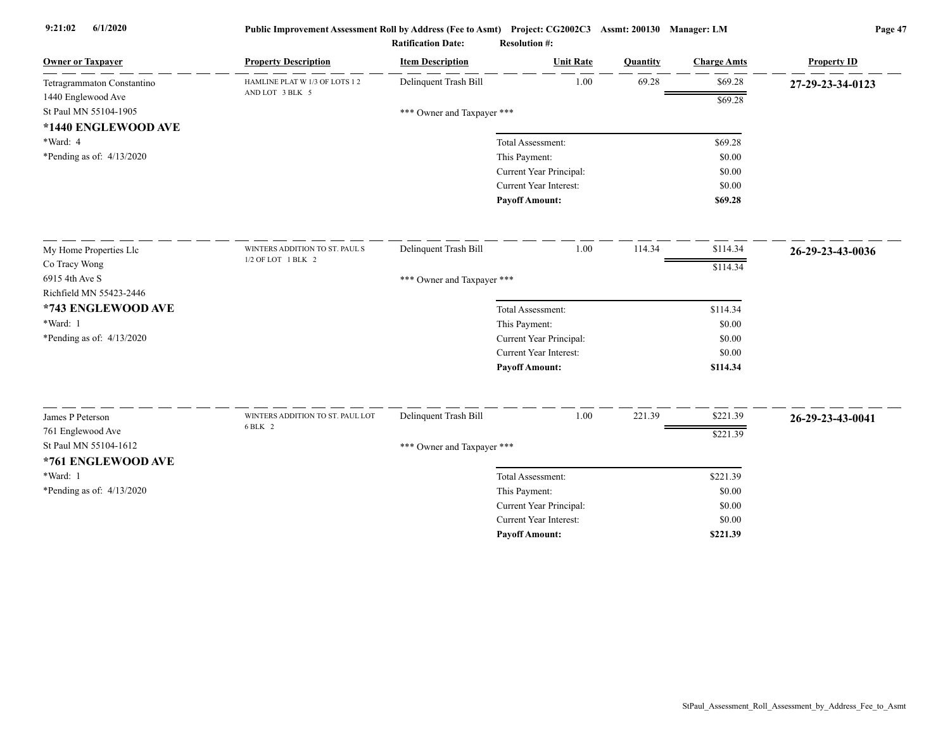| <b>Owner or Taxpayer</b>   | <b>Property Description</b>                 | <b>Item Description</b>    | <b>Unit Rate</b>        | Quantity | <b>Charge Amts</b> | <b>Property ID</b> |
|----------------------------|---------------------------------------------|----------------------------|-------------------------|----------|--------------------|--------------------|
| Tetragrammaton Constantino | HAMLINE PLAT W 1/3 OF LOTS 1 2              | Delinquent Trash Bill      | 1.00                    | 69.28    | \$69.28            | 27-29-23-34-0123   |
| 1440 Englewood Ave         | AND LOT 3 BLK 5                             |                            |                         |          | \$69.28            |                    |
| St Paul MN 55104-1905      |                                             | *** Owner and Taxpayer *** |                         |          |                    |                    |
| *1440 ENGLEWOOD AVE        |                                             |                            |                         |          |                    |                    |
| *Ward: 4                   |                                             |                            | Total Assessment:       |          | \$69.28            |                    |
| *Pending as of: 4/13/2020  |                                             |                            | This Payment:           |          | \$0.00             |                    |
|                            |                                             |                            | Current Year Principal: |          | \$0.00             |                    |
|                            |                                             |                            | Current Year Interest:  |          | \$0.00             |                    |
|                            |                                             |                            | <b>Payoff Amount:</b>   |          | \$69.28            |                    |
| My Home Properties Llc     | WINTERS ADDITION TO ST. PAUL S              | Delinquent Trash Bill      | 1.00                    | 114.34   | \$114.34           | 26-29-23-43-0036   |
| Co Tracy Wong              | 1/2 OF LOT 1 BLK 2                          |                            |                         |          | \$114.34           |                    |
| 6915 4th Ave S             |                                             | *** Owner and Taxpayer *** |                         |          |                    |                    |
| Richfield MN 55423-2446    |                                             |                            |                         |          |                    |                    |
| *743 ENGLEWOOD AVE         |                                             |                            | Total Assessment:       |          | \$114.34           |                    |
| *Ward: 1                   |                                             |                            | This Payment:           |          | \$0.00             |                    |
| *Pending as of: 4/13/2020  |                                             |                            | Current Year Principal: |          | \$0.00             |                    |
|                            |                                             |                            | Current Year Interest:  |          | \$0.00             |                    |
|                            |                                             |                            | <b>Payoff Amount:</b>   |          | \$114.34           |                    |
|                            |                                             |                            |                         |          |                    |                    |
| James P Peterson           | WINTERS ADDITION TO ST. PAUL LOT<br>6 BLK 2 | Delinquent Trash Bill      | 1.00                    | 221.39   | \$221.39           | 26-29-23-43-0041   |
| 761 Englewood Ave          |                                             |                            |                         |          | \$221.39           |                    |
| St Paul MN 55104-1612      |                                             | *** Owner and Taxpayer *** |                         |          |                    |                    |
| *761 ENGLEWOOD AVE         |                                             |                            |                         |          |                    |                    |
| *Ward: 1                   |                                             |                            | Total Assessment:       |          | \$221.39           |                    |
| *Pending as of: 4/13/2020  |                                             |                            | This Payment:           |          | \$0.00             |                    |
|                            |                                             |                            | Current Year Principal: |          | \$0.00             |                    |
|                            |                                             |                            | Current Year Interest:  |          | \$0.00             |                    |
|                            |                                             |                            | <b>Payoff Amount:</b>   |          | \$221.39           |                    |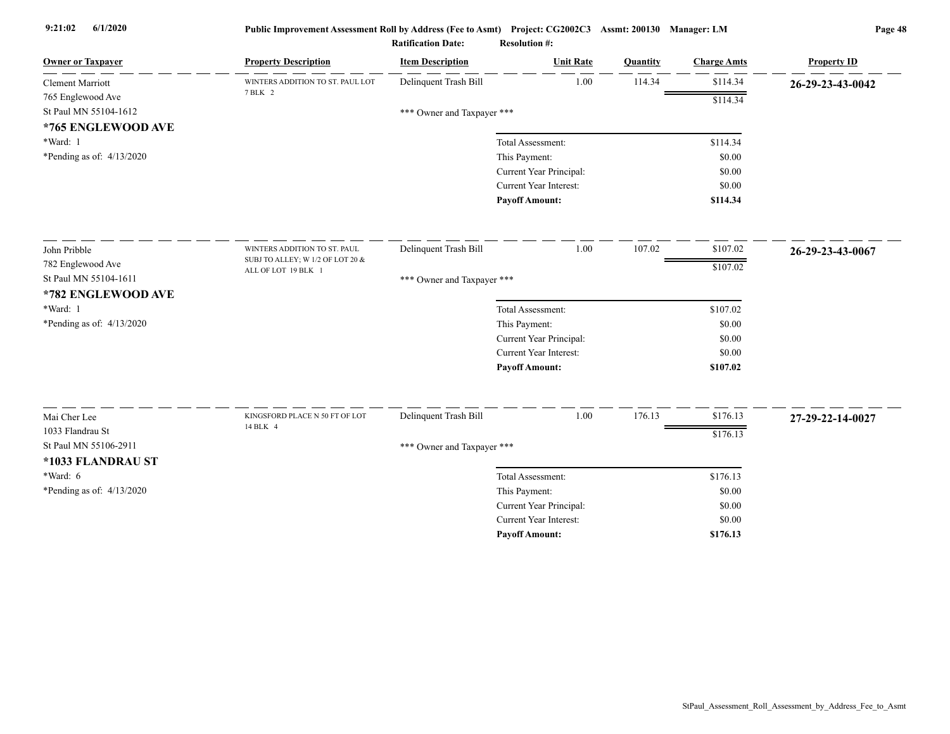| <b>Owner or Taxpayer</b>       | <b>Property Description</b>                             | <b>Item Description</b>    | <b>Unit Rate</b>                   | Quantity | <b>Charge Amts</b> | <b>Property ID</b> |
|--------------------------------|---------------------------------------------------------|----------------------------|------------------------------------|----------|--------------------|--------------------|
| <b>Clement Marriott</b>        | WINTERS ADDITION TO ST. PAUL LOT<br>7 BLK 2             | Delinquent Trash Bill      | 1.00                               | 114.34   | \$114.34           | 26-29-23-43-0042   |
| 765 Englewood Ave              |                                                         |                            |                                    |          | \$114.34           |                    |
| St Paul MN 55104-1612          |                                                         | *** Owner and Taxpayer *** |                                    |          |                    |                    |
| *765 ENGLEWOOD AVE<br>*Ward: 1 |                                                         |                            |                                    |          | \$114.34           |                    |
| *Pending as of: 4/13/2020      |                                                         |                            | Total Assessment:<br>This Payment: |          | \$0.00             |                    |
|                                |                                                         |                            | Current Year Principal:            |          | \$0.00             |                    |
|                                |                                                         |                            | Current Year Interest:             |          | \$0.00             |                    |
|                                |                                                         |                            | <b>Payoff Amount:</b>              |          | \$114.34           |                    |
|                                |                                                         |                            |                                    |          |                    |                    |
| John Pribble                   | WINTERS ADDITION TO ST. PAUL                            | Delinquent Trash Bill      | 1.00                               | 107.02   | \$107.02           | 26-29-23-43-0067   |
| 782 Englewood Ave              | SUBJ TO ALLEY; W 1/2 OF LOT 20 &<br>ALL OF LOT 19 BLK 1 |                            |                                    |          | \$107.02           |                    |
| St Paul MN 55104-1611          |                                                         | *** Owner and Taxpayer *** |                                    |          |                    |                    |
| *782 ENGLEWOOD AVE             |                                                         |                            |                                    |          |                    |                    |
| *Ward: 1                       |                                                         |                            | Total Assessment:                  |          | \$107.02           |                    |
| *Pending as of: 4/13/2020      |                                                         |                            | This Payment:                      |          | \$0.00             |                    |
|                                |                                                         |                            | Current Year Principal:            |          | \$0.00             |                    |
|                                |                                                         |                            | Current Year Interest:             |          | \$0.00             |                    |
|                                |                                                         |                            | <b>Payoff Amount:</b>              |          | \$107.02           |                    |
|                                |                                                         |                            |                                    |          |                    |                    |
| Mai Cher Lee                   | KINGSFORD PLACE N 50 FT OF LOT<br>14 BLK 4              | Delinquent Trash Bill      | 1.00                               | 176.13   | \$176.13           | 27-29-22-14-0027   |
| 1033 Flandrau St               |                                                         |                            |                                    |          | \$176.13           |                    |
| St Paul MN 55106-2911          |                                                         | *** Owner and Taxpayer *** |                                    |          |                    |                    |
| *1033 FLANDRAU ST              |                                                         |                            |                                    |          |                    |                    |
| *Ward: 6                       |                                                         |                            | Total Assessment:                  |          | \$176.13           |                    |
| *Pending as of: $4/13/2020$    |                                                         |                            | This Payment:                      |          | \$0.00             |                    |
|                                |                                                         |                            | Current Year Principal:            |          | \$0.00             |                    |
|                                |                                                         |                            | Current Year Interest:             |          | \$0.00             |                    |
|                                |                                                         |                            | <b>Payoff Amount:</b>              |          | \$176.13           |                    |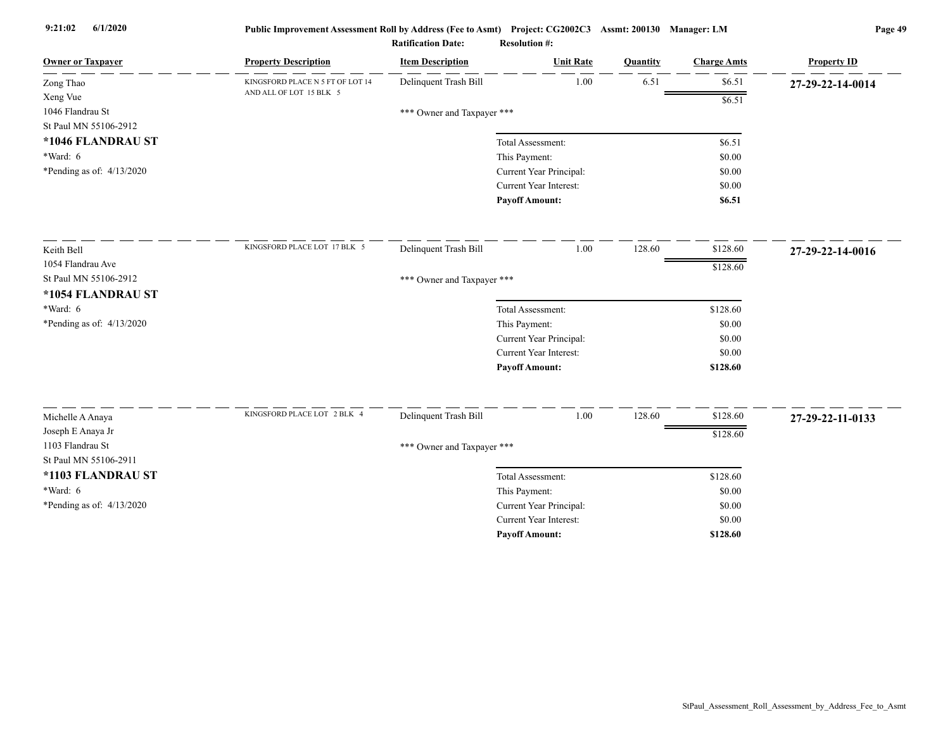| <b>Owner or Taxpayer</b>                  | <b>Property Description</b>      | <b>Item Description</b>    | <b>Unit Rate</b>                                  | Quantity | <b>Charge Amts</b> | <b>Property ID</b> |
|-------------------------------------------|----------------------------------|----------------------------|---------------------------------------------------|----------|--------------------|--------------------|
| Zong Thao                                 | KINGSFORD PLACE N 5 FT OF LOT 14 | Delinquent Trash Bill      | 1.00                                              | 6.51     | \$6.51             | 27-29-22-14-0014   |
| Xeng Vue                                  | AND ALL OF LOT 15 BLK 5          |                            |                                                   |          | \$6.51             |                    |
| 1046 Flandrau St                          |                                  | *** Owner and Taxpayer *** |                                                   |          |                    |                    |
| St Paul MN 55106-2912                     |                                  |                            |                                                   |          |                    |                    |
| *1046 FLANDRAU ST                         |                                  |                            | Total Assessment:                                 |          | \$6.51             |                    |
| *Ward: 6                                  |                                  |                            | This Payment:                                     |          | \$0.00             |                    |
| *Pending as of: 4/13/2020                 |                                  |                            | Current Year Principal:                           |          | \$0.00             |                    |
|                                           |                                  |                            | Current Year Interest:                            |          | \$0.00             |                    |
|                                           |                                  |                            | <b>Payoff Amount:</b>                             |          | \$6.51             |                    |
| Keith Bell                                | KINGSFORD PLACE LOT 17 BLK 5     | Delinquent Trash Bill      | 1.00                                              | 128.60   | \$128.60           | 27-29-22-14-0016   |
| 1054 Flandrau Ave                         |                                  |                            |                                                   |          |                    |                    |
| St Paul MN 55106-2912                     |                                  | *** Owner and Taxpayer *** |                                                   |          | \$128.60           |                    |
| *1054 FLANDRAU ST                         |                                  |                            |                                                   |          |                    |                    |
| $*Ward: 6$                                |                                  |                            | Total Assessment:                                 |          | \$128.60           |                    |
| *Pending as of: 4/13/2020                 |                                  |                            | This Payment:                                     |          | \$0.00             |                    |
|                                           |                                  |                            | Current Year Principal:                           |          | \$0.00             |                    |
|                                           |                                  |                            | Current Year Interest:                            |          | \$0.00             |                    |
|                                           |                                  |                            | <b>Payoff Amount:</b>                             |          | \$128.60           |                    |
|                                           |                                  |                            |                                                   |          |                    |                    |
| Michelle A Anaya                          | KINGSFORD PLACE LOT 2 BLK 4      | Delinquent Trash Bill      | 1.00                                              | 128.60   | \$128.60           | 27-29-22-11-0133   |
| Joseph E Anaya Jr                         |                                  |                            |                                                   |          | \$128.60           |                    |
| 1103 Flandrau St<br>St Paul MN 55106-2911 |                                  | *** Owner and Taxpayer *** |                                                   |          |                    |                    |
|                                           |                                  |                            |                                                   |          |                    |                    |
| *1103 FLANDRAU ST                         |                                  |                            | Total Assessment:                                 |          | \$128.60           |                    |
| *Ward: 6                                  |                                  |                            | This Payment:                                     |          | \$0.00             |                    |
| *Pending as of: 4/13/2020                 |                                  |                            | Current Year Principal:<br>Current Year Interest: |          | \$0.00<br>\$0.00   |                    |
|                                           |                                  |                            | <b>Payoff Amount:</b>                             |          | \$128.60           |                    |
|                                           |                                  |                            |                                                   |          |                    |                    |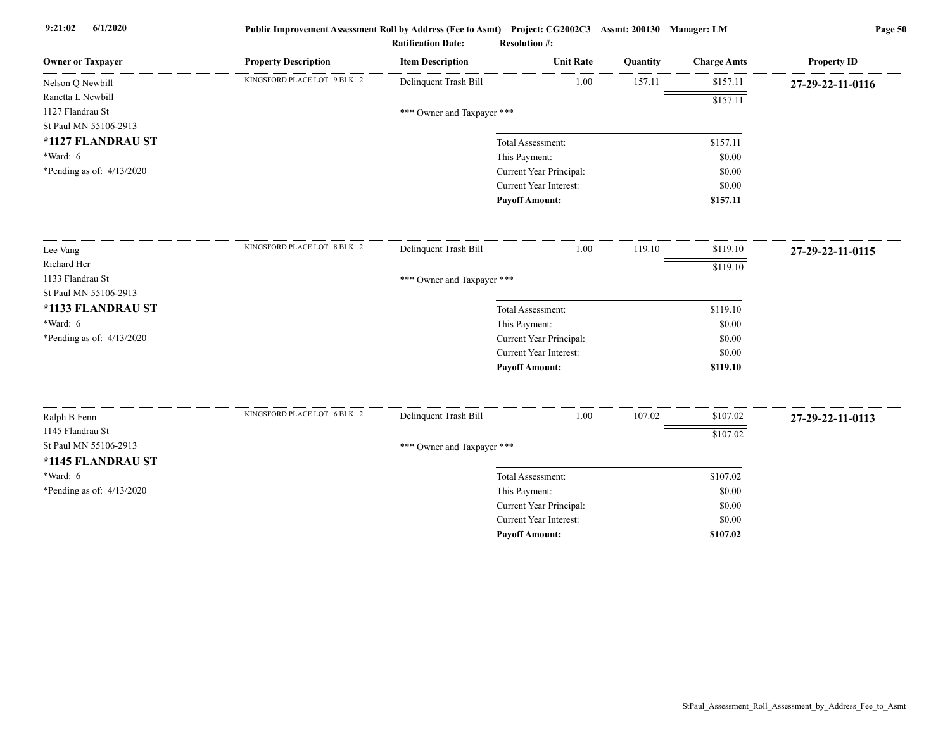| <b>Owner or Taxpayer</b>    | <b>Property Description</b> | <b>Item Description</b>    | <b>Unit Rate</b>        | Quantity | <b>Charge Amts</b> | <b>Property ID</b> |
|-----------------------------|-----------------------------|----------------------------|-------------------------|----------|--------------------|--------------------|
| Nelson Q Newbill            | KINGSFORD PLACE LOT 9 BLK 2 | Delinquent Trash Bill      | 1.00                    | 157.11   | \$157.11           | 27-29-22-11-0116   |
| Ranetta L Newbill           |                             |                            |                         |          | \$157.11           |                    |
| 1127 Flandrau St            |                             | *** Owner and Taxpayer *** |                         |          |                    |                    |
| St Paul MN 55106-2913       |                             |                            |                         |          |                    |                    |
| *1127 FLANDRAU ST           |                             |                            | Total Assessment:       |          | \$157.11           |                    |
| *Ward: 6                    |                             |                            | This Payment:           |          | \$0.00             |                    |
| *Pending as of: $4/13/2020$ |                             |                            | Current Year Principal: |          | \$0.00             |                    |
|                             |                             |                            | Current Year Interest:  |          | \$0.00             |                    |
|                             |                             |                            | <b>Payoff Amount:</b>   |          | \$157.11           |                    |
| Lee Vang                    | KINGSFORD PLACE LOT 8 BLK 2 | Delinquent Trash Bill      | 1.00                    | 119.10   | \$119.10           | 27-29-22-11-0115   |
| Richard Her                 |                             |                            |                         |          | \$119.10           |                    |
| 1133 Flandrau St            |                             | *** Owner and Taxpayer *** |                         |          |                    |                    |
| St Paul MN 55106-2913       |                             |                            |                         |          |                    |                    |
| *1133 FLANDRAU ST           |                             |                            | Total Assessment:       |          | \$119.10           |                    |
| $*Ward: 6$                  |                             |                            | This Payment:           |          | \$0.00             |                    |
| *Pending as of: $4/13/2020$ |                             |                            | Current Year Principal: |          | \$0.00             |                    |
|                             |                             |                            | Current Year Interest:  |          | \$0.00             |                    |
|                             |                             |                            | <b>Payoff Amount:</b>   |          | \$119.10           |                    |
|                             | KINGSFORD PLACE LOT 6 BLK 2 |                            |                         |          |                    |                    |
| Ralph B Fenn                |                             | Delinquent Trash Bill      | 1.00                    | 107.02   | \$107.02           | 27-29-22-11-0113   |
| 1145 Flandrau St            |                             |                            |                         |          | \$107.02           |                    |
| St Paul MN 55106-2913       |                             | *** Owner and Taxpayer *** |                         |          |                    |                    |
| *1145 FLANDRAU ST           |                             |                            |                         |          |                    |                    |
| *Ward: 6                    |                             |                            | Total Assessment:       |          | \$107.02           |                    |
| *Pending as of: $4/13/2020$ |                             |                            | This Payment:           |          | \$0.00             |                    |
|                             |                             |                            | Current Year Principal: |          | \$0.00             |                    |
|                             |                             |                            | Current Year Interest:  |          | \$0.00             |                    |
|                             |                             |                            | <b>Payoff Amount:</b>   |          | \$107.02           |                    |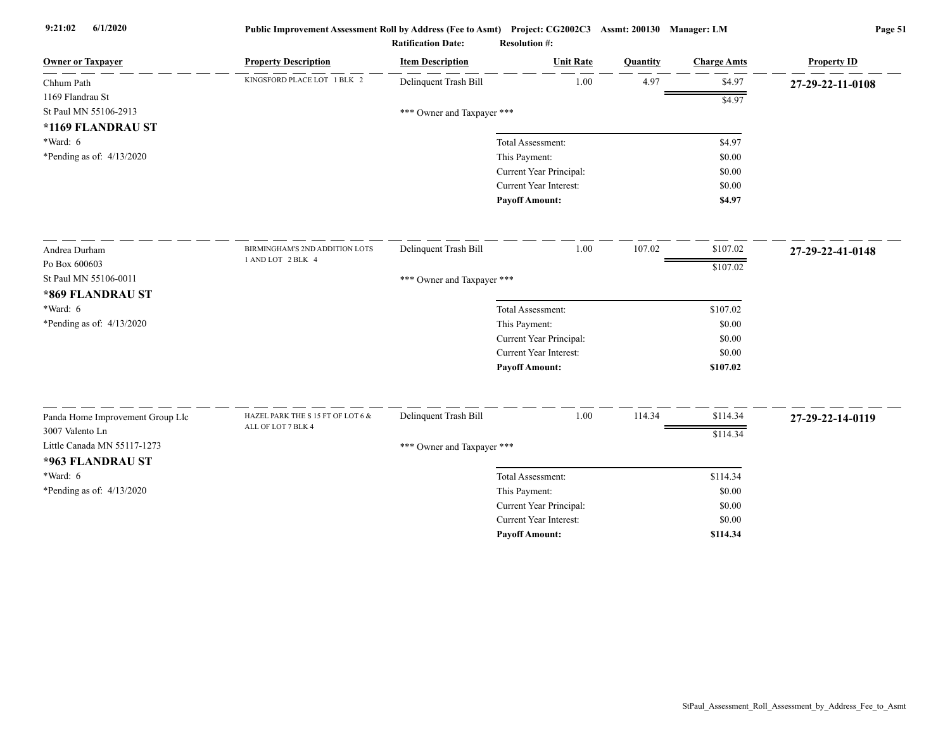| <b>Owner or Taxpayer</b>         | <b>Property Description</b>                                | <b>Item Description</b>    | <b>Unit Rate</b>              | <b>Quantity</b> | <b>Charge Amts</b> | <b>Property ID</b> |
|----------------------------------|------------------------------------------------------------|----------------------------|-------------------------------|-----------------|--------------------|--------------------|
| Chhum Path                       | KINGSFORD PLACE LOT 1 BLK 2                                | Delinquent Trash Bill      | 1.00                          | 4.97            | \$4.97             | 27-29-22-11-0108   |
| 1169 Flandrau St                 |                                                            |                            |                               |                 | \$4.97             |                    |
| St Paul MN 55106-2913            |                                                            | *** Owner and Taxpayer *** |                               |                 |                    |                    |
| *1169 FLANDRAU ST                |                                                            |                            |                               |                 |                    |                    |
| *Ward: 6                         |                                                            |                            | Total Assessment:             |                 | \$4.97             |                    |
| *Pending as of: $4/13/2020$      |                                                            |                            | This Payment:                 |                 | \$0.00             |                    |
|                                  |                                                            |                            | Current Year Principal:       |                 | \$0.00             |                    |
|                                  |                                                            |                            | Current Year Interest:        |                 | \$0.00             |                    |
|                                  |                                                            |                            | <b>Payoff Amount:</b>         |                 | \$4.97             |                    |
| Andrea Durham                    | BIRMINGHAM'S 2ND ADDITION LOTS                             | Delinquent Trash Bill      | 1.00                          | 107.02          | \$107.02           | 27-29-22-41-0148   |
| Po Box 600603                    | 1 AND LOT 2 BLK 4                                          |                            |                               |                 | \$107.02           |                    |
| St Paul MN 55106-0011            |                                                            | *** Owner and Taxpayer *** |                               |                 |                    |                    |
| *869 FLANDRAU ST                 |                                                            |                            |                               |                 |                    |                    |
| $*Ward: 6$                       |                                                            |                            | Total Assessment:             |                 | \$107.02           |                    |
| *Pending as of: $4/13/2020$      |                                                            |                            | This Payment:                 |                 | \$0.00             |                    |
|                                  |                                                            |                            | Current Year Principal:       |                 | \$0.00             |                    |
|                                  |                                                            |                            | Current Year Interest:        |                 | \$0.00             |                    |
|                                  |                                                            |                            | <b>Payoff Amount:</b>         |                 | \$107.02           |                    |
|                                  |                                                            |                            |                               |                 |                    |                    |
| Panda Home Improvement Group Llc | HAZEL PARK THE S 15 FT OF LOT 6 $\&$<br>ALL OF LOT 7 BLK 4 | Delinquent Trash Bill      | 1.00                          | 114.34          | \$114.34           | 27-29-22-14-0119   |
| 3007 Valento Ln                  |                                                            |                            |                               |                 | \$114.34           |                    |
| Little Canada MN 55117-1273      |                                                            | *** Owner and Taxpayer *** |                               |                 |                    |                    |
| *963 FLANDRAU ST                 |                                                            |                            |                               |                 |                    |                    |
| $*Ward: 6$                       |                                                            |                            | Total Assessment:             |                 | \$114.34           |                    |
| *Pending as of: $4/13/2020$      |                                                            |                            | This Payment:                 |                 | \$0.00             |                    |
|                                  |                                                            |                            | Current Year Principal:       |                 | \$0.00             |                    |
|                                  |                                                            |                            | <b>Current Year Interest:</b> |                 | \$0.00             |                    |
|                                  |                                                            |                            | <b>Payoff Amount:</b>         |                 | \$114.34           |                    |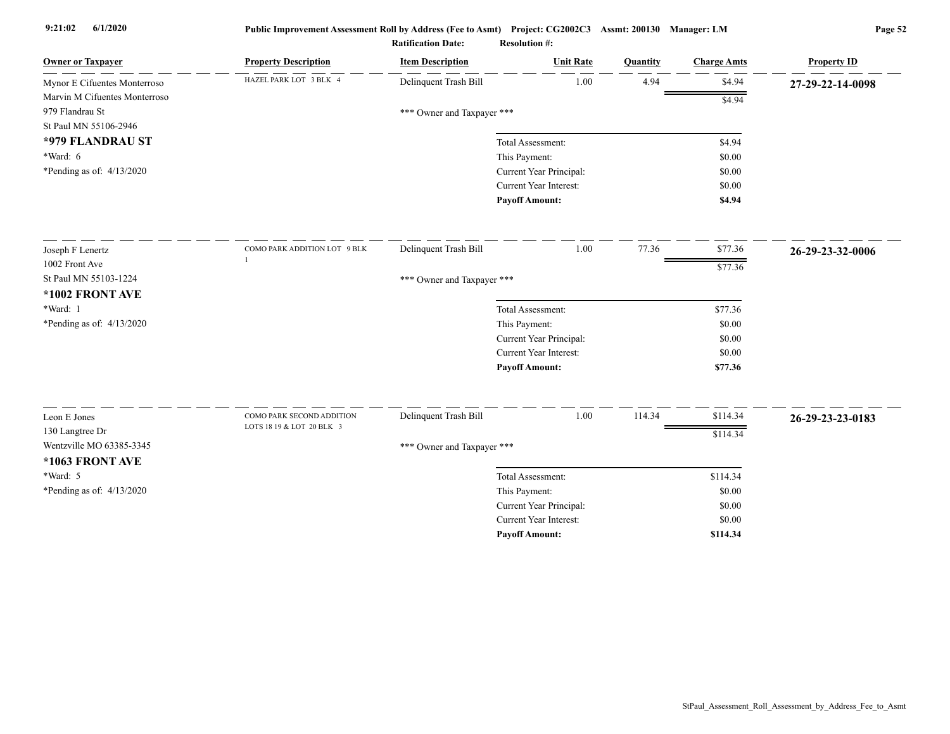| <b>Owner or Taxpayer</b>      | <b>Property Description</b>  | <b>Item Description</b>    | <b>Unit Rate</b>              | Quantity | <b>Charge Amts</b> | <b>Property ID</b> |
|-------------------------------|------------------------------|----------------------------|-------------------------------|----------|--------------------|--------------------|
| Mynor E Cifuentes Monterroso  | HAZEL PARK LOT 3 BLK 4       | Delinquent Trash Bill      | 1.00                          | 4.94     | \$4.94             | 27-29-22-14-0098   |
| Marvin M Cifuentes Monterroso |                              |                            |                               |          | \$4.94             |                    |
| 979 Flandrau St               |                              | *** Owner and Taxpayer *** |                               |          |                    |                    |
| St Paul MN 55106-2946         |                              |                            |                               |          |                    |                    |
| *979 FLANDRAU ST              |                              |                            | Total Assessment:             |          | \$4.94             |                    |
| *Ward: 6                      |                              |                            | This Payment:                 |          | \$0.00             |                    |
| *Pending as of: 4/13/2020     |                              |                            | Current Year Principal:       |          | \$0.00             |                    |
|                               |                              |                            | <b>Current Year Interest:</b> |          | \$0.00             |                    |
|                               |                              |                            | <b>Payoff Amount:</b>         |          | \$4.94             |                    |
| Joseph F Lenertz              | COMO PARK ADDITION LOT 9 BLK | Delinquent Trash Bill      | 1.00                          | 77.36    | \$77.36            | 26-29-23-32-0006   |
| 1002 Front Ave                |                              |                            |                               |          | \$77.36            |                    |
| St Paul MN 55103-1224         |                              | *** Owner and Taxpayer *** |                               |          |                    |                    |
| *1002 FRONT AVE               |                              |                            |                               |          |                    |                    |
| *Ward: 1                      |                              |                            | Total Assessment:             |          | \$77.36            |                    |
| *Pending as of: 4/13/2020     |                              |                            | This Payment:                 |          | \$0.00             |                    |
|                               |                              |                            | Current Year Principal:       |          | \$0.00             |                    |
|                               |                              |                            | Current Year Interest:        |          | \$0.00             |                    |
|                               |                              |                            | <b>Payoff Amount:</b>         |          | \$77.36            |                    |
|                               | COMO PARK SECOND ADDITION    |                            |                               |          |                    |                    |
| Leon E Jones                  | LOTS 18 19 & LOT 20 BLK 3    | Delinquent Trash Bill      | 1.00                          | 114.34   | \$114.34           | 26-29-23-23-0183   |
| 130 Langtree Dr               |                              |                            |                               |          | \$114.34           |                    |
| Wentzville MO 63385-3345      |                              | *** Owner and Taxpayer *** |                               |          |                    |                    |
| *1063 FRONT AVE               |                              |                            |                               |          |                    |                    |
| $*Ward: 5$                    |                              |                            | Total Assessment:             |          | \$114.34           |                    |
| *Pending as of: $4/13/2020$   |                              |                            | This Payment:                 |          | \$0.00             |                    |
|                               |                              |                            | Current Year Principal:       |          | \$0.00             |                    |
|                               |                              |                            | Current Year Interest:        |          | \$0.00             |                    |
|                               |                              |                            | <b>Payoff Amount:</b>         |          | \$114.34           |                    |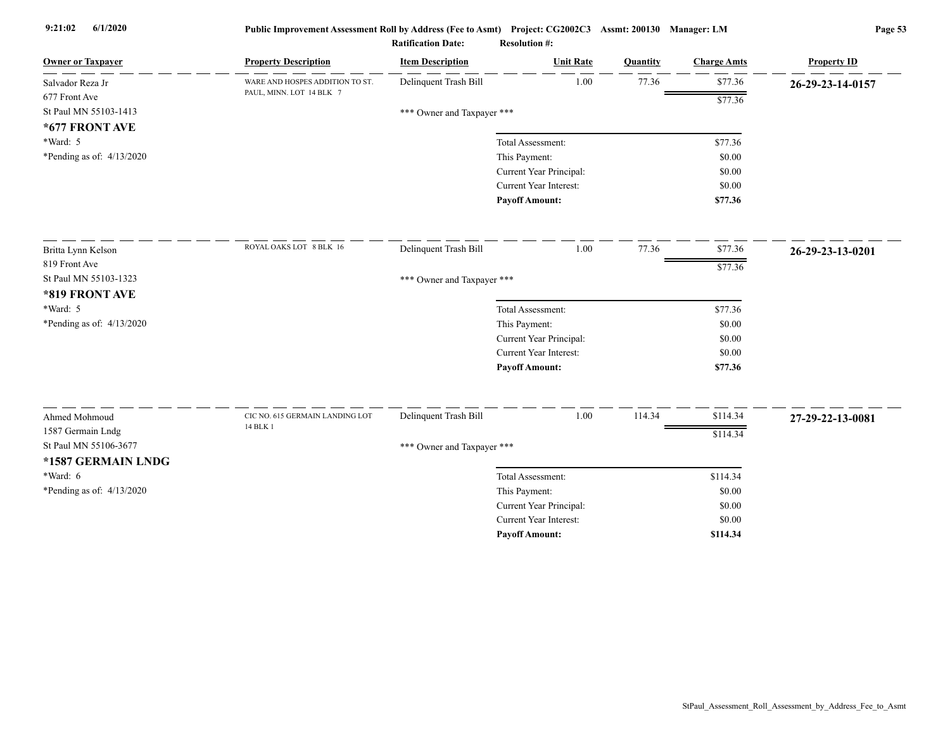| <b>Owner or Taxpayer</b>    | <b>Property Description</b>     | <b>Item Description</b>    | <b>Unit Rate</b>              | Quantity | <b>Charge Amts</b> | <b>Property ID</b> |
|-----------------------------|---------------------------------|----------------------------|-------------------------------|----------|--------------------|--------------------|
| Salvador Reza Jr            | WARE AND HOSPES ADDITION TO ST. | Delinquent Trash Bill      | 1.00                          | 77.36    | \$77.36            | 26-29-23-14-0157   |
| 677 Front Ave               | PAUL, MINN. LOT 14 BLK 7        |                            |                               |          | \$77.36            |                    |
| St Paul MN 55103-1413       |                                 | *** Owner and Taxpayer *** |                               |          |                    |                    |
| *677 FRONT AVE              |                                 |                            |                               |          |                    |                    |
| *Ward: 5                    |                                 |                            | Total Assessment:             |          | \$77.36            |                    |
| *Pending as of: 4/13/2020   |                                 |                            | This Payment:                 |          | \$0.00             |                    |
|                             |                                 |                            | Current Year Principal:       |          | \$0.00             |                    |
|                             |                                 |                            | Current Year Interest:        |          | \$0.00             |                    |
|                             |                                 |                            | <b>Payoff Amount:</b>         |          | \$77.36            |                    |
| Britta Lynn Kelson          | ROYAL OAKS LOT 8 BLK 16         | Delinquent Trash Bill      | 1.00                          | 77.36    | \$77.36            | 26-29-23-13-0201   |
| 819 Front Ave               |                                 |                            |                               |          | \$77.36            |                    |
| St Paul MN 55103-1323       |                                 | *** Owner and Taxpayer *** |                               |          |                    |                    |
| *819 FRONT AVE              |                                 |                            |                               |          |                    |                    |
| *Ward: 5                    |                                 |                            | Total Assessment:             |          | \$77.36            |                    |
| *Pending as of: $4/13/2020$ |                                 |                            | This Payment:                 |          | \$0.00             |                    |
|                             |                                 |                            | Current Year Principal:       |          | \$0.00             |                    |
|                             |                                 |                            | Current Year Interest:        |          | \$0.00             |                    |
|                             |                                 |                            | <b>Payoff Amount:</b>         |          | \$77.36            |                    |
| Ahmed Mohmoud               | CIC NO. 615 GERMAIN LANDING LOT | Delinquent Trash Bill      | 1.00                          | 114.34   | \$114.34           |                    |
| 1587 Germain Lndg           | 14 BLK 1                        |                            |                               |          |                    | 27-29-22-13-0081   |
| St Paul MN 55106-3677       |                                 | *** Owner and Taxpayer *** |                               |          | \$114.34           |                    |
| *1587 GERMAIN LNDG          |                                 |                            |                               |          |                    |                    |
| $*Ward: 6$                  |                                 |                            | Total Assessment:             |          | \$114.34           |                    |
| *Pending as of: 4/13/2020   |                                 |                            | This Payment:                 |          | \$0.00             |                    |
|                             |                                 |                            | Current Year Principal:       |          | \$0.00             |                    |
|                             |                                 |                            | <b>Current Year Interest:</b> |          | \$0.00             |                    |
|                             |                                 |                            | <b>Payoff Amount:</b>         |          | \$114.34           |                    |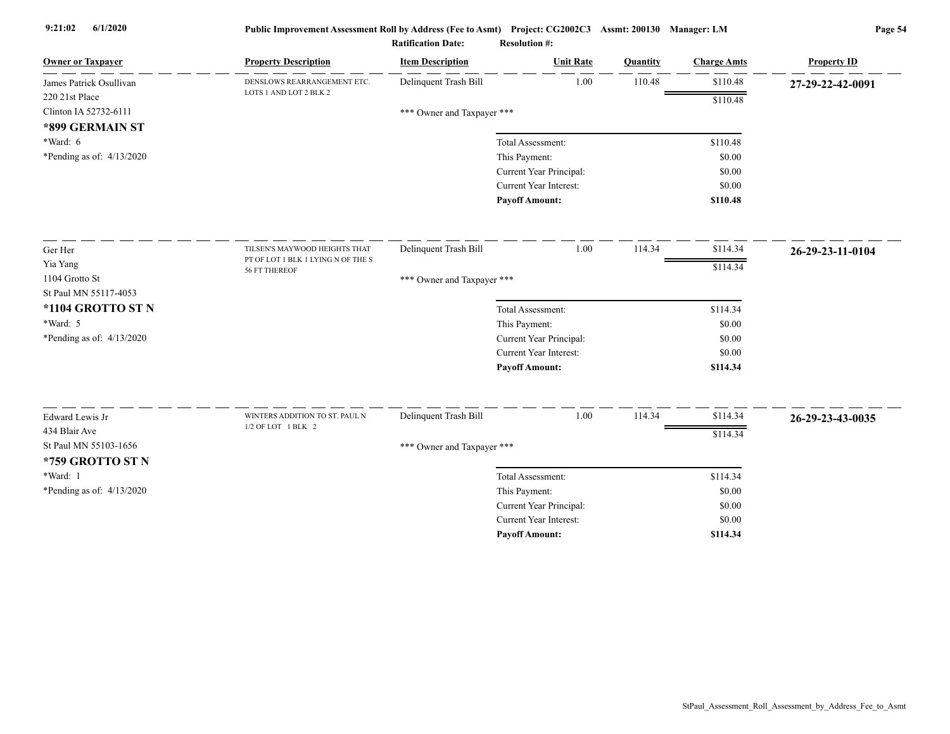| <b>Owner or Taxpayer</b>                  | <b>Property Description</b>                         | <b>Item Description</b>    | <b>Unit Rate</b>              | Quantity | <b>Charge Amts</b> | <b>Property ID</b> |
|-------------------------------------------|-----------------------------------------------------|----------------------------|-------------------------------|----------|--------------------|--------------------|
| James Patrick Osullivan                   | DENSLOWS REARRANGEMENT ETC.                         | Delinquent Trash Bill      | 1.00                          | 110.48   | \$110.48           | 27-29-22-42-0091   |
| 220 21st Place                            | LOTS 1 AND LOT 2 BLK 2                              |                            |                               |          | \$110.48           |                    |
| Clinton IA 52732-6111                     |                                                     | *** Owner and Taxpayer *** |                               |          |                    |                    |
| *899 GERMAIN ST                           |                                                     |                            |                               |          |                    |                    |
| *Ward: 6                                  |                                                     |                            | Total Assessment:             |          | \$110.48           |                    |
| *Pending as of: 4/13/2020                 |                                                     |                            | This Payment:                 |          | \$0.00             |                    |
|                                           |                                                     |                            | Current Year Principal:       |          | \$0.00             |                    |
|                                           |                                                     |                            | <b>Current Year Interest:</b> |          | \$0.00             |                    |
|                                           |                                                     |                            | <b>Pavoff Amount:</b>         |          | \$110.48           |                    |
| Ger Her                                   | TILSEN'S MAYWOOD HEIGHTS THAT                       | Delinquent Trash Bill      | 1.00                          | 114.34   | \$114.34           | 26-29-23-11-0104   |
| Yia Yang                                  | PT OF LOT 1 BLK 1 LYING N OF THE S<br>56 FT THEREOF |                            |                               |          | \$114.34           |                    |
| 1104 Grotto St                            |                                                     | *** Owner and Taxpayer *** |                               |          |                    |                    |
| St Paul MN 55117-4053                     |                                                     |                            |                               |          |                    |                    |
| *1104 GROTTO ST N                         |                                                     |                            | Total Assessment:             |          | \$114.34           |                    |
| *Ward: 5                                  |                                                     |                            | This Payment:                 |          | \$0.00             |                    |
| *Pending as of: $4/13/2020$               |                                                     |                            | Current Year Principal:       |          | \$0.00             |                    |
|                                           |                                                     |                            | Current Year Interest:        |          | \$0.00             |                    |
|                                           |                                                     |                            | <b>Payoff Amount:</b>         |          | \$114.34           |                    |
| Edward Lewis Jr                           | WINTERS ADDITION TO ST. PAUL N                      | Delinquent Trash Bill      | 1.00                          | 114.34   | \$114.34           | 26-29-23-43-0035   |
| 434 Blair Ave                             | 1/2 OF LOT 1 BLK 2                                  |                            |                               |          | \$114.34           |                    |
| St Paul MN 55103-1656<br>*759 GROTTO ST N |                                                     | *** Owner and Taxpayer *** |                               |          |                    |                    |
| *Ward: 1                                  |                                                     |                            | Total Assessment:             |          | \$114.34           |                    |
| *Pending as of: $4/13/2020$               |                                                     |                            | This Payment:                 |          | \$0.00             |                    |
|                                           |                                                     |                            | Current Year Principal:       |          | \$0.00             |                    |
|                                           |                                                     |                            | Current Year Interest:        |          | \$0.00             |                    |
|                                           |                                                     |                            | <b>Pavoff Amount:</b>         |          | \$114.34           |                    |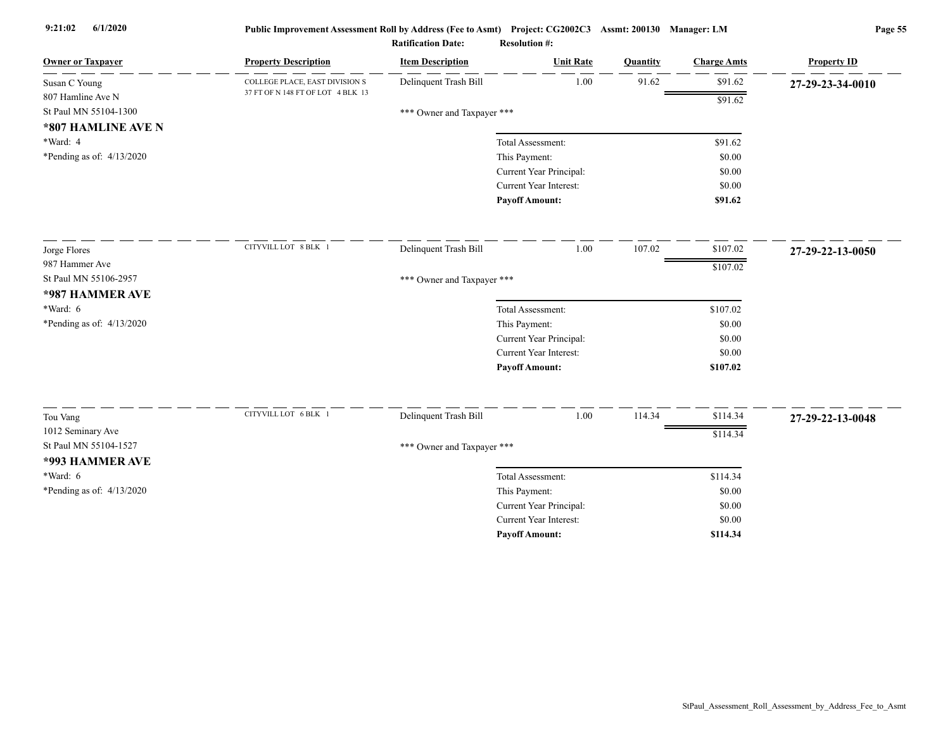| <b>Owner or Taxpayer</b>    | <b>Property Description</b>       | <b>Item Description</b>    | <b>Unit Rate</b>        | Quantity | <b>Charge Amts</b> | <b>Property ID</b> |
|-----------------------------|-----------------------------------|----------------------------|-------------------------|----------|--------------------|--------------------|
| Susan C Young               | COLLEGE PLACE, EAST DIVISION S    | Delinquent Trash Bill      | 1.00                    | 91.62    | \$91.62            | 27-29-23-34-0010   |
| 807 Hamline Ave N           | 37 FT OF N 148 FT OF LOT 4 BLK 13 |                            |                         |          | \$91.62            |                    |
| St Paul MN 55104-1300       |                                   | *** Owner and Taxpayer *** |                         |          |                    |                    |
| *807 HAMLINE AVE N          |                                   |                            |                         |          |                    |                    |
| *Ward: 4                    |                                   |                            | Total Assessment:       |          | \$91.62            |                    |
| *Pending as of: $4/13/2020$ |                                   |                            | This Payment:           |          | \$0.00             |                    |
|                             |                                   |                            | Current Year Principal: |          | \$0.00             |                    |
|                             |                                   |                            | Current Year Interest:  |          | \$0.00             |                    |
|                             |                                   |                            | <b>Payoff Amount:</b>   |          | \$91.62            |                    |
| Jorge Flores                | CITYVILL LOT 8 BLK 1              | Delinquent Trash Bill      | 1.00                    | 107.02   | \$107.02           | 27-29-22-13-0050   |
| 987 Hammer Ave              |                                   |                            |                         |          | \$107.02           |                    |
| St Paul MN 55106-2957       |                                   | *** Owner and Taxpayer *** |                         |          |                    |                    |
| *987 HAMMER AVE             |                                   |                            |                         |          |                    |                    |
| *Ward: 6                    |                                   |                            | Total Assessment:       |          | \$107.02           |                    |
| *Pending as of: $4/13/2020$ |                                   |                            | This Payment:           |          | \$0.00             |                    |
|                             |                                   |                            | Current Year Principal: |          | \$0.00             |                    |
|                             |                                   |                            | Current Year Interest:  |          | \$0.00             |                    |
|                             |                                   |                            | <b>Payoff Amount:</b>   |          | \$107.02           |                    |
|                             | CITYVILL LOT 6 BLK 1              | Delinquent Trash Bill      | 1.00                    | 114.34   | \$114.34           |                    |
| Tou Vang                    |                                   |                            |                         |          |                    | 27-29-22-13-0048   |
| 1012 Seminary Ave           |                                   |                            |                         |          | \$114.34           |                    |
| St Paul MN 55104-1527       |                                   | *** Owner and Taxpayer *** |                         |          |                    |                    |
| *993 HAMMER AVE             |                                   |                            |                         |          |                    |                    |
| $*Ward: 6$                  |                                   |                            | Total Assessment:       |          | \$114.34           |                    |
| *Pending as of: $4/13/2020$ |                                   |                            | This Payment:           |          | \$0.00             |                    |
|                             |                                   |                            | Current Year Principal: |          | \$0.00             |                    |
|                             |                                   |                            | Current Year Interest:  |          | \$0.00             |                    |
|                             |                                   |                            | <b>Payoff Amount:</b>   |          | \$114.34           |                    |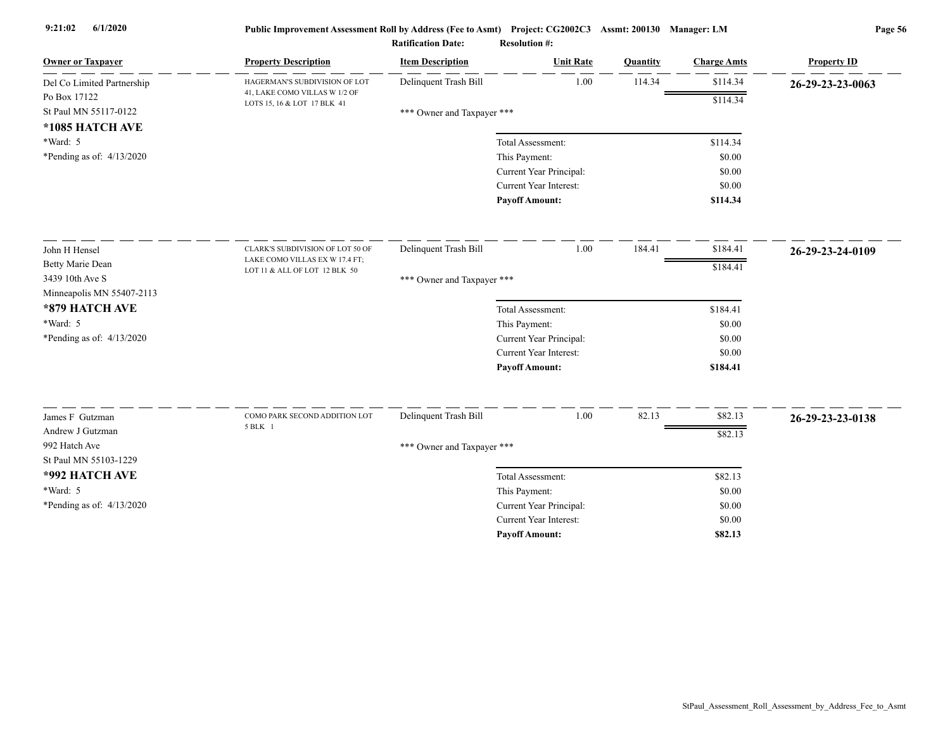| <b>Owner or Taxpayer</b>    | <b>Property Description</b>                                  | <b>Item Description</b>    | <b>Unit Rate</b>              | Quantity | <b>Charge Amts</b> | <b>Property ID</b> |
|-----------------------------|--------------------------------------------------------------|----------------------------|-------------------------------|----------|--------------------|--------------------|
| Del Co Limited Partnership  | HAGERMAN'S SUBDIVISION OF LOT                                | Delinquent Trash Bill      | 1.00                          | 114.34   | \$114.34           | 26-29-23-23-0063   |
| Po Box 17122                | 41, LAKE COMO VILLAS W 1/2 OF<br>LOTS 15, 16 & LOT 17 BLK 41 |                            |                               |          | \$114.34           |                    |
| St Paul MN 55117-0122       |                                                              | *** Owner and Taxpayer *** |                               |          |                    |                    |
| *1085 HATCH AVE             |                                                              |                            |                               |          |                    |                    |
| *Ward: 5                    |                                                              |                            | Total Assessment:             |          | \$114.34           |                    |
| *Pending as of: $4/13/2020$ |                                                              |                            | This Payment:                 |          | \$0.00             |                    |
|                             |                                                              |                            | Current Year Principal:       |          | \$0.00             |                    |
|                             |                                                              |                            | Current Year Interest:        |          | \$0.00             |                    |
|                             |                                                              |                            | <b>Payoff Amount:</b>         |          | \$114.34           |                    |
| John H Hensel               | CLARK'S SUBDIVISION OF LOT 50 OF                             | Delinquent Trash Bill      | 1.00                          | 184.41   | \$184.41           | 26-29-23-24-0109   |
| <b>Betty Marie Dean</b>     | LAKE COMO VILLAS EX W 17.4 FT;                               |                            |                               |          | \$184.41           |                    |
| 3439 10th Ave S             | LOT 11 & ALL OF LOT 12 BLK 50                                | *** Owner and Taxpayer *** |                               |          |                    |                    |
| Minneapolis MN 55407-2113   |                                                              |                            |                               |          |                    |                    |
| *879 HATCH AVE              |                                                              |                            | Total Assessment:             |          | \$184.41           |                    |
| *Ward: 5                    |                                                              |                            | This Payment:                 |          | \$0.00             |                    |
| *Pending as of: $4/13/2020$ |                                                              |                            | Current Year Principal:       |          | \$0.00             |                    |
|                             |                                                              |                            | Current Year Interest:        |          | \$0.00             |                    |
|                             |                                                              |                            | <b>Payoff Amount:</b>         |          | \$184.41           |                    |
|                             |                                                              |                            |                               |          |                    |                    |
| James F Gutzman             | COMO PARK SECOND ADDITION LOT<br>5 BLK 1                     | Delinquent Trash Bill      | 1.00                          | 82.13    | \$82.13            | 26-29-23-23-0138   |
| Andrew J Gutzman            |                                                              |                            |                               |          | \$82.13            |                    |
| 992 Hatch Ave               |                                                              | *** Owner and Taxpayer *** |                               |          |                    |                    |
| St Paul MN 55103-1229       |                                                              |                            |                               |          |                    |                    |
| *992 HATCH AVE              |                                                              |                            | Total Assessment:             |          | \$82.13            |                    |
| *Ward: 5                    |                                                              |                            | This Payment:                 |          | \$0.00             |                    |
| *Pending as of: $4/13/2020$ |                                                              |                            | Current Year Principal:       |          | \$0.00             |                    |
|                             |                                                              |                            | <b>Current Year Interest:</b> |          | \$0.00             |                    |
|                             |                                                              |                            | <b>Pavoff Amount:</b>         |          | \$82.13            |                    |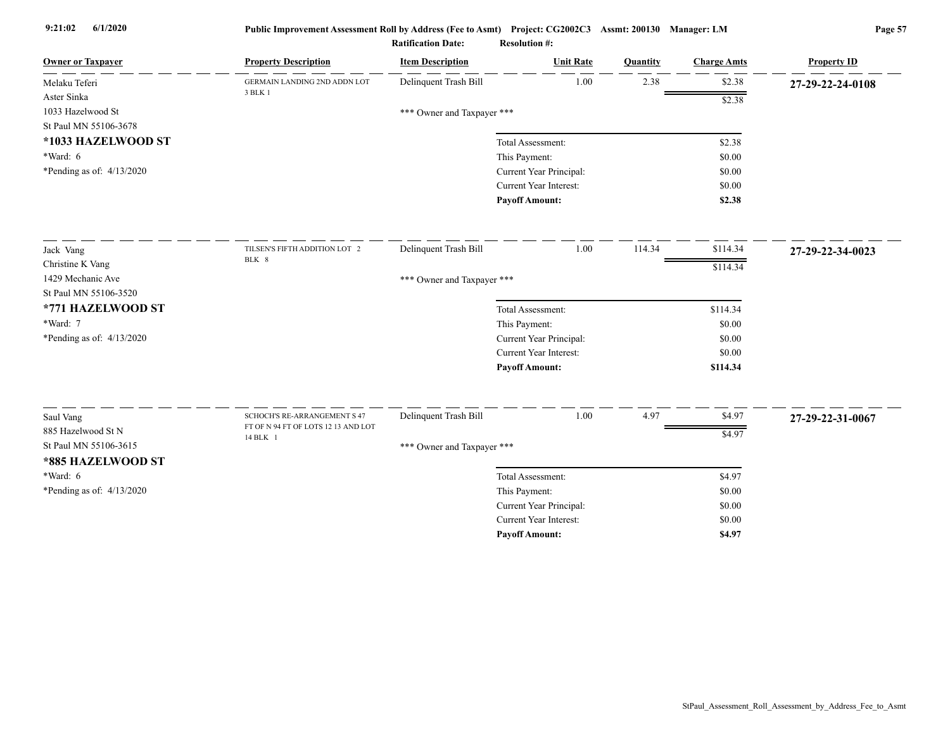| <b>Owner or Taxpayer</b>    | <b>Property Description</b>                                                | <b>Item Description</b>    | <b>Unit Rate</b>              | Quantity | <b>Charge Amts</b> | <b>Property ID</b> |
|-----------------------------|----------------------------------------------------------------------------|----------------------------|-------------------------------|----------|--------------------|--------------------|
| Melaku Teferi               | GERMAIN LANDING 2ND ADDN LOT                                               | Delinquent Trash Bill      | 1.00                          | 2.38     | \$2.38             | 27-29-22-24-0108   |
| Aster Sinka                 | 3 BLK 1                                                                    |                            |                               |          | \$2.38             |                    |
| 1033 Hazelwood St           |                                                                            | *** Owner and Taxpayer *** |                               |          |                    |                    |
| St Paul MN 55106-3678       |                                                                            |                            |                               |          |                    |                    |
| *1033 HAZELWOOD ST          |                                                                            |                            | Total Assessment:             |          | \$2.38             |                    |
| $*Ward: 6$                  |                                                                            |                            | This Payment:                 |          | \$0.00             |                    |
| *Pending as of: $4/13/2020$ |                                                                            |                            | Current Year Principal:       |          | \$0.00             |                    |
|                             |                                                                            |                            | Current Year Interest:        |          | \$0.00             |                    |
|                             |                                                                            |                            | <b>Payoff Amount:</b>         |          | \$2.38             |                    |
| Jack Vang                   | TILSEN'S FIFTH ADDITION LOT 2                                              | Delinquent Trash Bill      | 1.00                          | 114.34   | \$114.34           | 27-29-22-34-0023   |
| Christine K Vang            | BLK 8                                                                      |                            |                               |          | \$114.34           |                    |
| 1429 Mechanic Ave           |                                                                            | *** Owner and Taxpayer *** |                               |          |                    |                    |
| St Paul MN 55106-3520       |                                                                            |                            |                               |          |                    |                    |
| *771 HAZELWOOD ST           |                                                                            |                            | Total Assessment:             |          | \$114.34           |                    |
| *Ward: 7                    |                                                                            |                            | This Payment:                 |          | \$0.00             |                    |
| *Pending as of: $4/13/2020$ |                                                                            |                            | Current Year Principal:       |          | \$0.00             |                    |
|                             |                                                                            |                            | Current Year Interest:        |          | \$0.00             |                    |
|                             |                                                                            |                            | <b>Payoff Amount:</b>         |          | \$114.34           |                    |
|                             |                                                                            |                            |                               |          |                    |                    |
| Saul Vang                   | <b>SCHOCH'S RE-ARRANGEMENT S 47</b><br>FT OF N 94 FT OF LOTS 12 13 AND LOT | Delinquent Trash Bill      | 1.00                          | 4.97     | \$4.97             | 27-29-22-31-0067   |
| 885 Hazelwood St N          | 14 BLK 1                                                                   |                            |                               |          | \$4.97             |                    |
| St Paul MN 55106-3615       |                                                                            | *** Owner and Taxpayer *** |                               |          |                    |                    |
| *885 HAZELWOOD ST           |                                                                            |                            |                               |          |                    |                    |
| $*Ward: 6$                  |                                                                            |                            | Total Assessment:             |          | \$4.97             |                    |
| *Pending as of: 4/13/2020   |                                                                            |                            | This Payment:                 |          | \$0.00             |                    |
|                             |                                                                            |                            | Current Year Principal:       |          | \$0.00             |                    |
|                             |                                                                            |                            | <b>Current Year Interest:</b> |          | \$0.00             |                    |
|                             |                                                                            |                            | <b>Payoff Amount:</b>         |          | \$4.97             |                    |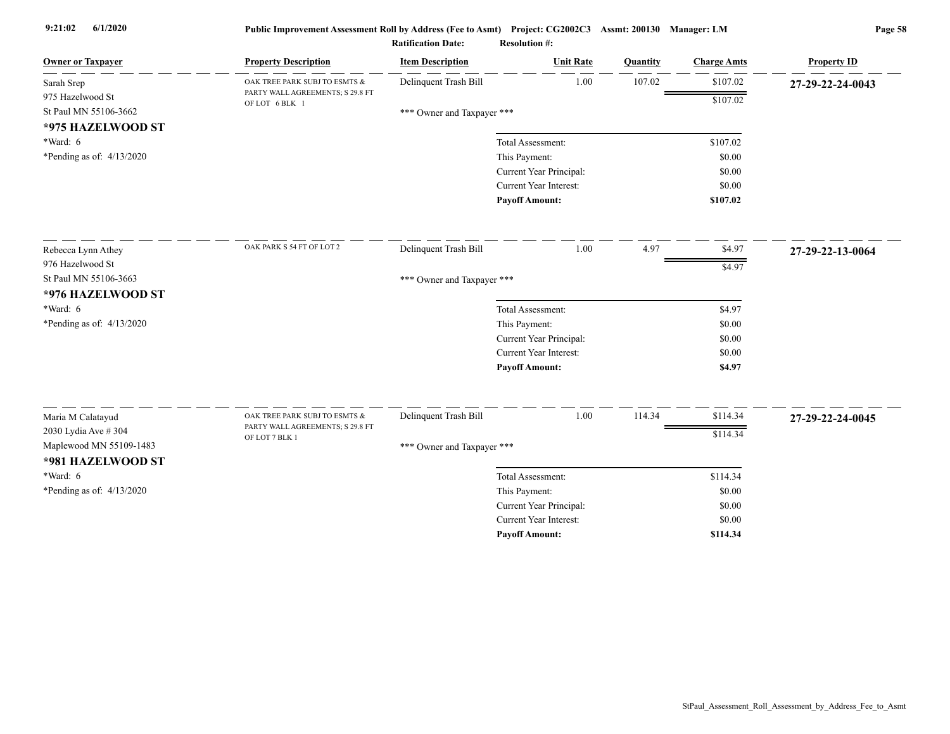| <b>Owner or Taxpayer</b>    | <b>Property Description</b>                        | <b>Item Description</b>    | <b>Unit Rate</b>              | Quantity | <b>Charge Amts</b> | <b>Property ID</b> |
|-----------------------------|----------------------------------------------------|----------------------------|-------------------------------|----------|--------------------|--------------------|
| Sarah Srep                  | OAK TREE PARK SUBJ TO ESMTS &                      | Delinquent Trash Bill      | 1.00                          | 107.02   | \$107.02           | 27-29-22-24-0043   |
| 975 Hazelwood St            | PARTY WALL AGREEMENTS; S 29.8 FT<br>OF LOT 6 BLK 1 |                            |                               |          | \$107.02           |                    |
| St Paul MN 55106-3662       |                                                    | *** Owner and Taxpayer *** |                               |          |                    |                    |
| *975 HAZELWOOD ST           |                                                    |                            |                               |          |                    |                    |
| $*Ward: 6$                  |                                                    |                            | Total Assessment:             |          | \$107.02           |                    |
| *Pending as of: $4/13/2020$ |                                                    |                            | This Payment:                 |          | \$0.00             |                    |
|                             |                                                    |                            | Current Year Principal:       |          | \$0.00             |                    |
|                             |                                                    |                            | Current Year Interest:        |          | \$0.00             |                    |
|                             |                                                    |                            | <b>Payoff Amount:</b>         |          | \$107.02           |                    |
| Rebecca Lynn Athey          | OAK PARK S 54 FT OF LOT 2                          | Delinquent Trash Bill      | 1.00                          | 4.97     | \$4.97             | 27-29-22-13-0064   |
| 976 Hazelwood St            |                                                    |                            |                               |          | \$4.97             |                    |
| St Paul MN 55106-3663       |                                                    | *** Owner and Taxpayer *** |                               |          |                    |                    |
| *976 HAZELWOOD ST           |                                                    |                            |                               |          |                    |                    |
| $*Ward: 6$                  |                                                    |                            | Total Assessment:             |          | \$4.97             |                    |
| *Pending as of: 4/13/2020   |                                                    |                            | This Payment:                 |          | \$0.00             |                    |
|                             |                                                    |                            | Current Year Principal:       |          | \$0.00             |                    |
|                             |                                                    |                            | Current Year Interest:        |          | \$0.00             |                    |
|                             |                                                    |                            | <b>Payoff Amount:</b>         |          | \$4.97             |                    |
| Maria M Calatayud           | OAK TREE PARK SUBJ TO ESMTS &                      | Delinquent Trash Bill      | 1.00                          | 114.34   | \$114.34           |                    |
| 2030 Lydia Ave # 304        | PARTY WALL AGREEMENTS; S 29.8 FT                   |                            |                               |          |                    | 27-29-22-24-0045   |
| Maplewood MN 55109-1483     | OF LOT 7 BLK 1                                     |                            |                               |          | \$114.34           |                    |
| *981 HAZELWOOD ST           |                                                    | *** Owner and Taxpayer *** |                               |          |                    |                    |
| $*Ward: 6$                  |                                                    |                            | Total Assessment:             |          | \$114.34           |                    |
| *Pending as of: 4/13/2020   |                                                    |                            | This Payment:                 |          | \$0.00             |                    |
|                             |                                                    |                            | Current Year Principal:       |          | \$0.00             |                    |
|                             |                                                    |                            | <b>Current Year Interest:</b> |          | \$0.00             |                    |
|                             |                                                    |                            | <b>Payoff Amount:</b>         |          | \$114.34           |                    |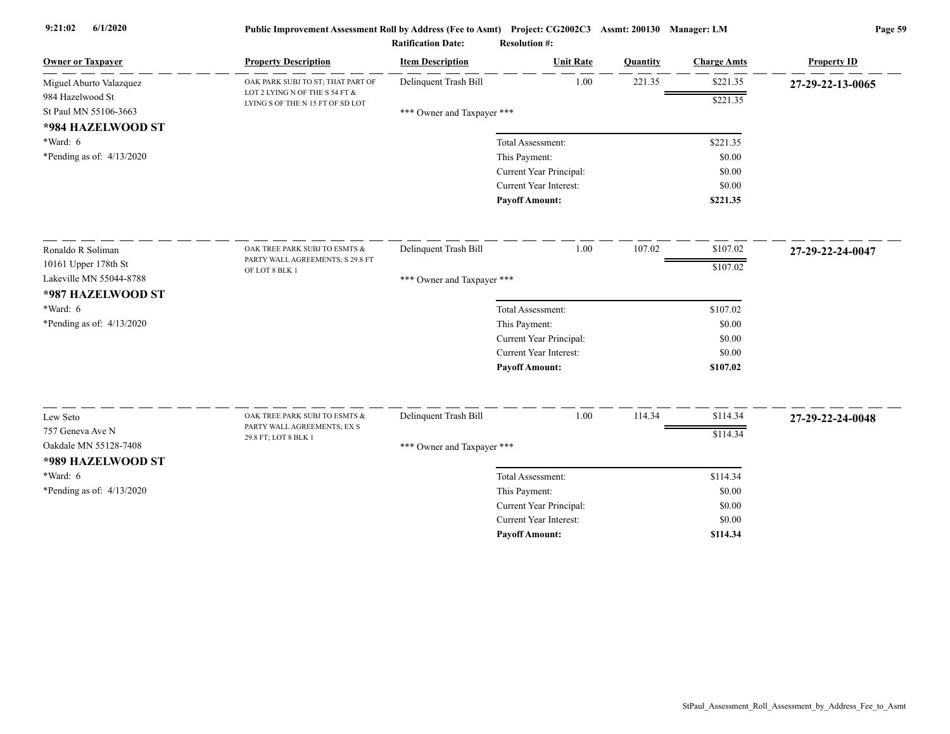| <b>Owner or Taxpayer</b>                    | <b>Property Description</b>                                         | <b>Item Description</b>    | <b>Unit Rate</b>              | Quantity | <b>Charge Amts</b> | <b>Property ID</b> |
|---------------------------------------------|---------------------------------------------------------------------|----------------------------|-------------------------------|----------|--------------------|--------------------|
| Miguel Aburto Valazquez<br>984 Hazelwood St | OAK PARK SUBJ TO ST; THAT PART OF<br>LOT 2 LYING N OF THE S 54 FT & | Delinquent Trash Bill      | 1.00                          | 221.35   | \$221.35           | 27-29-22-13-0065   |
| St Paul MN 55106-3663                       | LYING S OF THE N 15 FT OF SD LOT                                    | *** Owner and Taxpayer *** |                               |          | \$221.35           |                    |
| *984 HAZELWOOD ST                           |                                                                     |                            |                               |          |                    |                    |
| *Ward: 6                                    |                                                                     |                            | Total Assessment:             |          | \$221.35           |                    |
| *Pending as of: 4/13/2020                   |                                                                     |                            | This Payment:                 |          | \$0.00             |                    |
|                                             |                                                                     |                            | Current Year Principal:       |          | \$0.00             |                    |
|                                             |                                                                     |                            | Current Year Interest:        |          | \$0.00             |                    |
|                                             |                                                                     |                            | <b>Pavoff Amount:</b>         |          | \$221.35           |                    |
| Ronaldo R Soliman                           | OAK TREE PARK SUBJ TO ESMTS &                                       | Delinquent Trash Bill      | 1.00                          | 107.02   | \$107.02           | 27-29-22-24-0047   |
| 10161 Upper 178th St                        | PARTY WALL AGREEMENTS; S 29.8 FT                                    |                            |                               |          | \$107.02           |                    |
| Lakeville MN 55044-8788                     | OF LOT 8 BLK 1                                                      | *** Owner and Taxpayer *** |                               |          |                    |                    |
| *987 HAZELWOOD ST                           |                                                                     |                            |                               |          |                    |                    |
| *Ward: 6                                    |                                                                     |                            | Total Assessment:             |          | \$107.02           |                    |
| *Pending as of: 4/13/2020                   |                                                                     |                            | This Payment:                 |          | \$0.00             |                    |
|                                             |                                                                     |                            | Current Year Principal:       |          | \$0.00             |                    |
|                                             |                                                                     |                            | <b>Current Year Interest:</b> |          | \$0.00             |                    |
|                                             |                                                                     |                            | <b>Payoff Amount:</b>         |          | \$107.02           |                    |
| Lew Seto                                    | OAK TREE PARK SUBJ TO ESMTS &                                       | Delinquent Trash Bill      | 1.00                          | 114.34   | \$114.34           | 27-29-22-24-0048   |
| 757 Geneva Ave N                            | PARTY WALL AGREEMENTS; EX S                                         |                            |                               |          | \$114.34           |                    |
| Oakdale MN 55128-7408                       | 29.8 FT; LOT 8 BLK 1                                                | *** Owner and Taxpayer *** |                               |          |                    |                    |
| *989 HAZELWOOD ST                           |                                                                     |                            |                               |          |                    |                    |
| *Ward: 6                                    |                                                                     |                            | Total Assessment:             |          | \$114.34           |                    |
| *Pending as of: 4/13/2020                   |                                                                     |                            | This Payment:                 |          | \$0.00             |                    |
|                                             |                                                                     |                            | Current Year Principal:       |          | \$0.00             |                    |
|                                             |                                                                     |                            | <b>Current Year Interest:</b> |          | \$0.00             |                    |
|                                             |                                                                     |                            | <b>Pavoff Amount:</b>         |          | \$114.34           |                    |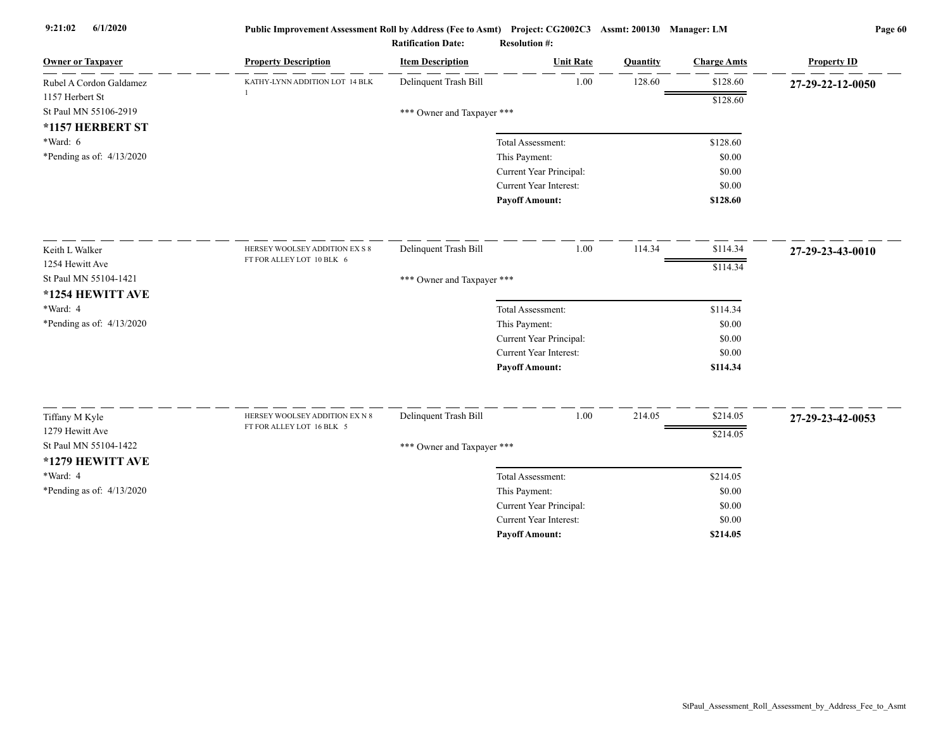| <b>Owner or Taxpayer</b>    | <b>Property Description</b>    | <b>Item Description</b>    | <b>Unit Rate</b>              | Quantity | <b>Charge Amts</b> | <b>Property ID</b> |
|-----------------------------|--------------------------------|----------------------------|-------------------------------|----------|--------------------|--------------------|
| Rubel A Cordon Galdamez     | KATHY-LYNN ADDITION LOT 14 BLK | Delinquent Trash Bill      | 1.00                          | 128.60   | \$128.60           | 27-29-22-12-0050   |
| 1157 Herbert St             |                                |                            |                               |          | \$128.60           |                    |
| St Paul MN 55106-2919       |                                | *** Owner and Taxpayer *** |                               |          |                    |                    |
| *1157 HERBERT ST            |                                |                            |                               |          |                    |                    |
| $*Ward: 6$                  |                                |                            | Total Assessment:             |          | \$128.60           |                    |
| *Pending as of: $4/13/2020$ |                                |                            | This Payment:                 |          | \$0.00             |                    |
|                             |                                |                            | Current Year Principal:       |          | \$0.00             |                    |
|                             |                                |                            | <b>Current Year Interest:</b> |          | \$0.00             |                    |
|                             |                                |                            | <b>Payoff Amount:</b>         |          | \$128.60           |                    |
| Keith L Walker              | HERSEY WOOLSEY ADDITION EX S 8 | Delinquent Trash Bill      | 1.00                          | 114.34   | \$114.34           | 27-29-23-43-0010   |
| 1254 Hewitt Ave             | FT FOR ALLEY LOT 10 BLK 6      |                            |                               |          | \$114.34           |                    |
| St Paul MN 55104-1421       |                                | *** Owner and Taxpayer *** |                               |          |                    |                    |
| *1254 HEWITT AVE            |                                |                            |                               |          |                    |                    |
| *Ward: 4                    |                                |                            | Total Assessment:             |          | \$114.34           |                    |
| *Pending as of: 4/13/2020   |                                |                            | This Payment:                 |          | \$0.00             |                    |
|                             |                                |                            | Current Year Principal:       |          | \$0.00             |                    |
|                             |                                |                            | Current Year Interest:        |          | \$0.00             |                    |
|                             |                                |                            | <b>Payoff Amount:</b>         |          | \$114.34           |                    |
| Tiffany M Kyle              | HERSEY WOOLSEY ADDITION EX N 8 | Delinquent Trash Bill      | 1.00                          | 214.05   | \$214.05           | 27-29-23-42-0053   |
| 1279 Hewitt Ave             | FT FOR ALLEY LOT 16 BLK 5      |                            |                               |          |                    |                    |
| St Paul MN 55104-1422       |                                | *** Owner and Taxpayer *** |                               |          | \$214.05           |                    |
| *1279 HEWITT AVE            |                                |                            |                               |          |                    |                    |
| *Ward: 4                    |                                |                            | Total Assessment:             |          | \$214.05           |                    |
| *Pending as of: $4/13/2020$ |                                |                            | This Payment:                 |          | \$0.00             |                    |
|                             |                                |                            | Current Year Principal:       |          | \$0.00             |                    |
|                             |                                |                            | <b>Current Year Interest:</b> |          | \$0.00             |                    |
|                             |                                |                            | <b>Pavoff Amount:</b>         |          | \$214.05           |                    |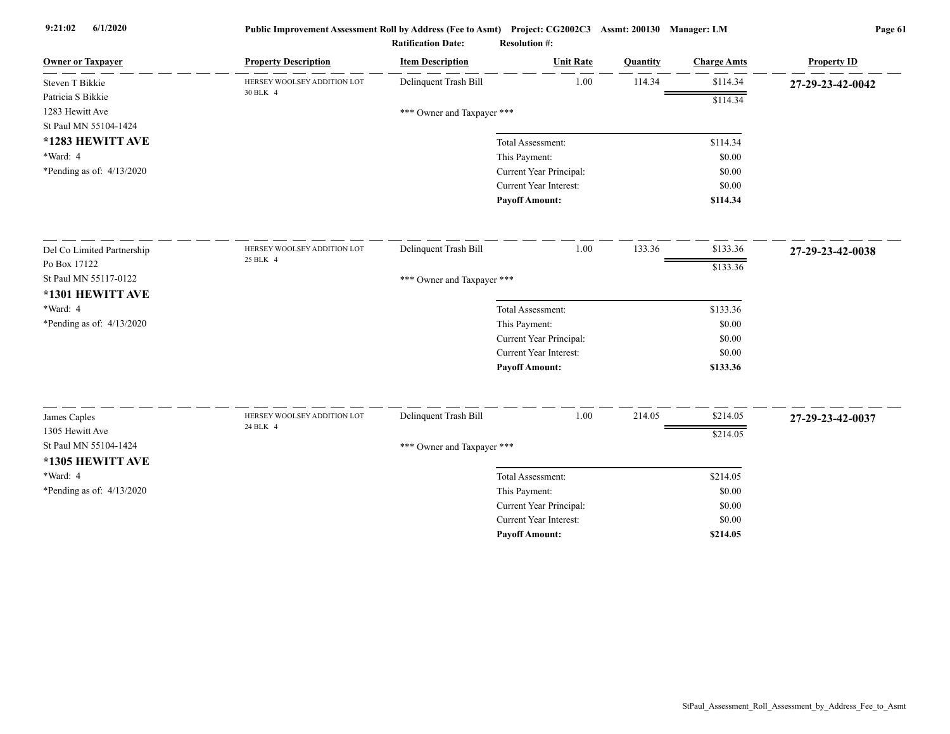| <b>Owner or Taxpayer</b>   | <b>Property Description</b> | <b>Item Description</b>    | <b>Unit Rate</b>              | Quantity | <b>Charge Amts</b> | <b>Property ID</b> |
|----------------------------|-----------------------------|----------------------------|-------------------------------|----------|--------------------|--------------------|
| Steven T Bikkie            | HERSEY WOOLSEY ADDITION LOT | Delinquent Trash Bill      | 1.00                          | 114.34   | \$114.34           | 27-29-23-42-0042   |
| Patricia S Bikkie          | 30 BLK 4                    |                            |                               |          | \$114.34           |                    |
| 1283 Hewitt Ave            |                             | *** Owner and Taxpayer *** |                               |          |                    |                    |
| St Paul MN 55104-1424      |                             |                            |                               |          |                    |                    |
| *1283 HEWITT AVE           |                             |                            | Total Assessment:             |          | \$114.34           |                    |
| *Ward: 4                   |                             |                            | This Payment:                 |          | \$0.00             |                    |
| *Pending as of: 4/13/2020  |                             |                            | Current Year Principal:       |          | \$0.00             |                    |
|                            |                             |                            | Current Year Interest:        |          | \$0.00             |                    |
|                            |                             |                            | <b>Payoff Amount:</b>         |          | \$114.34           |                    |
| Del Co Limited Partnership | HERSEY WOOLSEY ADDITION LOT | Delinquent Trash Bill      | 1.00                          | 133.36   | \$133.36           | 27-29-23-42-0038   |
| Po Box 17122               | 25 BLK 4                    |                            |                               |          | \$133.36           |                    |
| St Paul MN 55117-0122      |                             | *** Owner and Taxpayer *** |                               |          |                    |                    |
| *1301 HEWITT AVE           |                             |                            |                               |          |                    |                    |
| *Ward: 4                   |                             |                            | Total Assessment:             |          | \$133.36           |                    |
| *Pending as of: 4/13/2020  |                             |                            | This Payment:                 |          | \$0.00             |                    |
|                            |                             |                            | Current Year Principal:       |          | \$0.00             |                    |
|                            |                             |                            | <b>Current Year Interest:</b> |          | \$0.00             |                    |
|                            |                             |                            | <b>Payoff Amount:</b>         |          | \$133.36           |                    |
| James Caples               | HERSEY WOOLSEY ADDITION LOT | Delinquent Trash Bill      | 1.00                          | 214.05   | \$214.05           |                    |
| 1305 Hewitt Ave            | 24 BLK 4                    |                            |                               |          |                    | 27-29-23-42-0037   |
| St Paul MN 55104-1424      |                             | *** Owner and Taxpayer *** |                               |          | \$214.05           |                    |
| *1305 HEWITT AVE           |                             |                            |                               |          |                    |                    |
| *Ward: 4                   |                             |                            | Total Assessment:             |          | \$214.05           |                    |
| *Pending as of: 4/13/2020  |                             |                            | This Payment:                 |          | \$0.00             |                    |
|                            |                             |                            | Current Year Principal:       |          | \$0.00             |                    |
|                            |                             |                            | <b>Current Year Interest:</b> |          | \$0.00             |                    |
|                            |                             |                            | <b>Pavoff Amount:</b>         |          | \$214.05           |                    |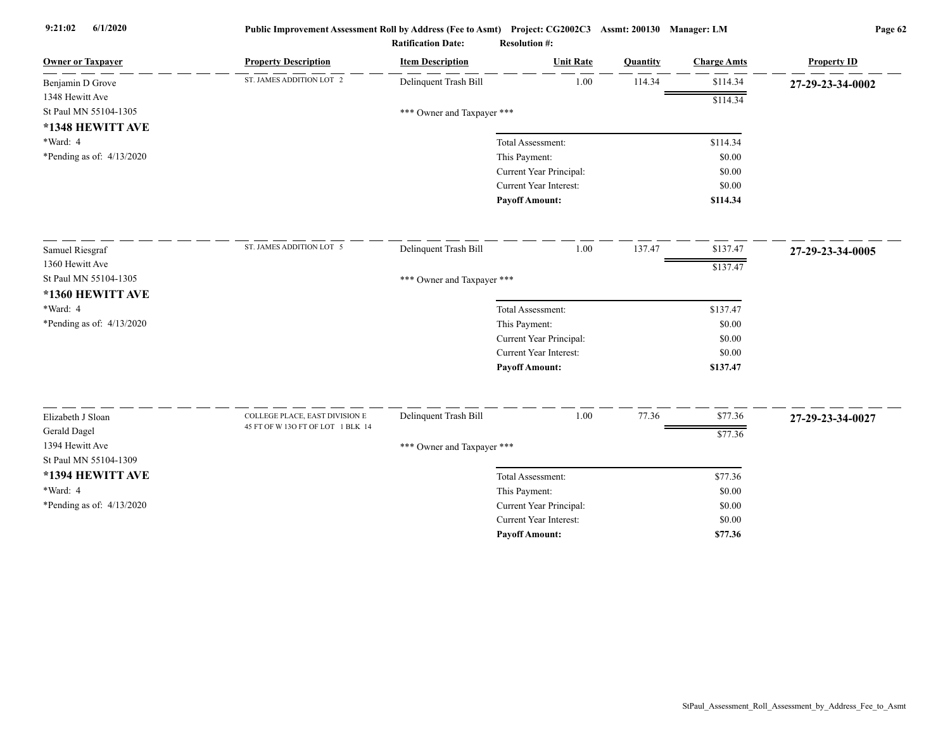| ST. JAMES ADDITION LOT 2<br>1.00<br>Delinquent Trash Bill<br>114.34<br>\$114.34<br>Benjamin D Grove      | 27-29-23-34-0002 |
|----------------------------------------------------------------------------------------------------------|------------------|
|                                                                                                          |                  |
| 1348 Hewitt Ave<br>\$114.34                                                                              |                  |
| St Paul MN 55104-1305<br>*** Owner and Taxpayer ***                                                      |                  |
| *1348 HEWITT AVE                                                                                         |                  |
| *Ward: 4<br>Total Assessment:<br>\$114.34                                                                |                  |
| *Pending as of: 4/13/2020<br>This Payment:<br>\$0.00                                                     |                  |
| Current Year Principal:<br>\$0.00                                                                        |                  |
| Current Year Interest:<br>\$0.00                                                                         |                  |
| <b>Payoff Amount:</b><br>\$114.34                                                                        |                  |
| ST. JAMES ADDITION LOT 5<br>Delinquent Trash Bill<br>1.00<br>137.47<br>\$137.47<br>Samuel Riesgraf       | 27-29-23-34-0005 |
| 1360 Hewitt Ave<br>\$137.47                                                                              |                  |
| St Paul MN 55104-1305<br>*** Owner and Taxpayer ***                                                      |                  |
| *1360 HEWITT AVE                                                                                         |                  |
| *Ward: 4<br>\$137.47<br>Total Assessment:                                                                |                  |
| *Pending as of: 4/13/2020<br>This Payment:<br>\$0.00                                                     |                  |
| Current Year Principal:<br>\$0.00                                                                        |                  |
| Current Year Interest:<br>\$0.00                                                                         |                  |
| <b>Payoff Amount:</b><br>\$137.47                                                                        |                  |
| Delinquent Trash Bill<br>1.00<br>77.36<br>\$77.36<br>Elizabeth J Sloan<br>COLLEGE PLACE, EAST DIVISION E |                  |
| 45 FT OF W 13O FT OF LOT 1 BLK 14                                                                        | 27-29-23-34-0027 |
| Gerald Dagel<br>\$77.36<br>1394 Hewitt Ave                                                               |                  |
| *** Owner and Taxpayer ***<br>St Paul MN 55104-1309                                                      |                  |
| *1394 HEWITT AVE                                                                                         |                  |
| Total Assessment:<br>\$77.36                                                                             |                  |
| *Ward: 4<br>This Payment:<br>\$0.00                                                                      |                  |
| *Pending as of: 4/13/2020<br>Current Year Principal:<br>\$0.00<br>Current Year Interest:<br>\$0.00       |                  |
| <b>Payoff Amount:</b><br>\$77.36                                                                         |                  |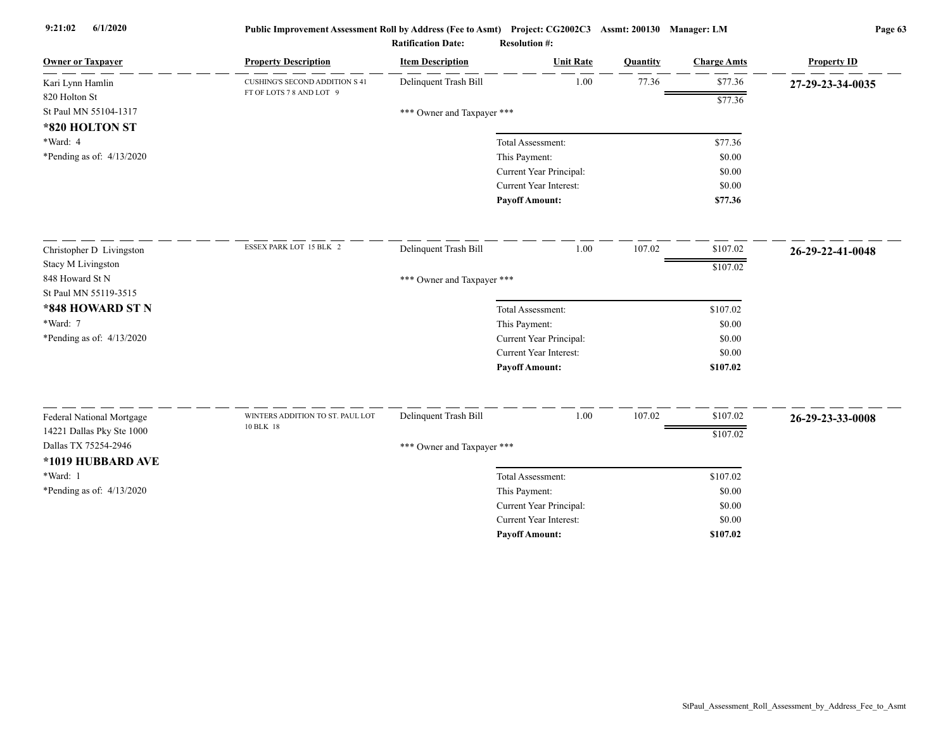| 1.00<br>77.36<br>\$77.36<br>Delinquent Trash Bill<br><b>CUSHING'S SECOND ADDITION S 41</b><br>27-29-23-34-0035<br>FT OF LOTS 7 8 AND LOT 9<br>820 Holton St<br>\$77.36<br>St Paul MN 55104-1317<br>*** Owner and Taxpayer ***<br>*820 HOLTON ST<br>*Ward: 4<br>\$77.36<br>Total Assessment:<br>*Pending as of: $4/13/2020$<br>This Payment:<br>\$0.00<br>Current Year Principal:<br>\$0.00<br><b>Current Year Interest:</b><br>\$0.00<br><b>Payoff Amount:</b><br>\$77.36<br>ESSEX PARK LOT 15 BLK 2<br>Delinquent Trash Bill<br>1.00<br>107.02<br>\$107.02<br>26-29-22-41-0048<br>\$107.02<br>*** Owner and Taxpayer ***<br>\$107.02<br>Total Assessment:<br>*Ward: 7<br>This Payment:<br>\$0.00<br>*Pending as of: 4/13/2020<br>Current Year Principal:<br>\$0.00<br><b>Current Year Interest:</b><br>\$0.00<br><b>Payoff Amount:</b><br>\$107.02<br>Delinquent Trash Bill<br>1.00<br>107.02<br>\$107.02<br>WINTERS ADDITION TO ST. PAUL LOT<br>Federal National Mortgage<br>26-29-23-33-0008<br>10 BLK 18<br>14221 Dallas Pky Ste 1000<br>\$107.02<br>Dallas TX 75254-2946<br>*** Owner and Taxpayer ***<br>*1019 HUBBARD AVE<br>*Ward: 1<br>\$107.02<br>Total Assessment:<br>*Pending as of: 4/13/2020<br>This Payment:<br>\$0.00<br>Current Year Principal:<br>\$0.00<br><b>Current Year Interest:</b><br>\$0.00<br><b>Pavoff Amount:</b><br>\$107.02 | <b>Owner or Taxpayer</b> | <b>Property Description</b> | <b>Item Description</b> | <b>Unit Rate</b> | Quantity | <b>Charge Amts</b> | <b>Property ID</b> |
|------------------------------------------------------------------------------------------------------------------------------------------------------------------------------------------------------------------------------------------------------------------------------------------------------------------------------------------------------------------------------------------------------------------------------------------------------------------------------------------------------------------------------------------------------------------------------------------------------------------------------------------------------------------------------------------------------------------------------------------------------------------------------------------------------------------------------------------------------------------------------------------------------------------------------------------------------------------------------------------------------------------------------------------------------------------------------------------------------------------------------------------------------------------------------------------------------------------------------------------------------------------------------------------------------------------------------------------------------------|--------------------------|-----------------------------|-------------------------|------------------|----------|--------------------|--------------------|
|                                                                                                                                                                                                                                                                                                                                                                                                                                                                                                                                                                                                                                                                                                                                                                                                                                                                                                                                                                                                                                                                                                                                                                                                                                                                                                                                                            | Kari Lynn Hamlin         |                             |                         |                  |          |                    |                    |
|                                                                                                                                                                                                                                                                                                                                                                                                                                                                                                                                                                                                                                                                                                                                                                                                                                                                                                                                                                                                                                                                                                                                                                                                                                                                                                                                                            |                          |                             |                         |                  |          |                    |                    |
|                                                                                                                                                                                                                                                                                                                                                                                                                                                                                                                                                                                                                                                                                                                                                                                                                                                                                                                                                                                                                                                                                                                                                                                                                                                                                                                                                            |                          |                             |                         |                  |          |                    |                    |
|                                                                                                                                                                                                                                                                                                                                                                                                                                                                                                                                                                                                                                                                                                                                                                                                                                                                                                                                                                                                                                                                                                                                                                                                                                                                                                                                                            |                          |                             |                         |                  |          |                    |                    |
|                                                                                                                                                                                                                                                                                                                                                                                                                                                                                                                                                                                                                                                                                                                                                                                                                                                                                                                                                                                                                                                                                                                                                                                                                                                                                                                                                            |                          |                             |                         |                  |          |                    |                    |
|                                                                                                                                                                                                                                                                                                                                                                                                                                                                                                                                                                                                                                                                                                                                                                                                                                                                                                                                                                                                                                                                                                                                                                                                                                                                                                                                                            |                          |                             |                         |                  |          |                    |                    |
|                                                                                                                                                                                                                                                                                                                                                                                                                                                                                                                                                                                                                                                                                                                                                                                                                                                                                                                                                                                                                                                                                                                                                                                                                                                                                                                                                            |                          |                             |                         |                  |          |                    |                    |
|                                                                                                                                                                                                                                                                                                                                                                                                                                                                                                                                                                                                                                                                                                                                                                                                                                                                                                                                                                                                                                                                                                                                                                                                                                                                                                                                                            |                          |                             |                         |                  |          |                    |                    |
|                                                                                                                                                                                                                                                                                                                                                                                                                                                                                                                                                                                                                                                                                                                                                                                                                                                                                                                                                                                                                                                                                                                                                                                                                                                                                                                                                            |                          |                             |                         |                  |          |                    |                    |
|                                                                                                                                                                                                                                                                                                                                                                                                                                                                                                                                                                                                                                                                                                                                                                                                                                                                                                                                                                                                                                                                                                                                                                                                                                                                                                                                                            | Christopher D Livingston |                             |                         |                  |          |                    |                    |
|                                                                                                                                                                                                                                                                                                                                                                                                                                                                                                                                                                                                                                                                                                                                                                                                                                                                                                                                                                                                                                                                                                                                                                                                                                                                                                                                                            | Stacy M Livingston       |                             |                         |                  |          |                    |                    |
|                                                                                                                                                                                                                                                                                                                                                                                                                                                                                                                                                                                                                                                                                                                                                                                                                                                                                                                                                                                                                                                                                                                                                                                                                                                                                                                                                            | 848 Howard St N          |                             |                         |                  |          |                    |                    |
|                                                                                                                                                                                                                                                                                                                                                                                                                                                                                                                                                                                                                                                                                                                                                                                                                                                                                                                                                                                                                                                                                                                                                                                                                                                                                                                                                            | St Paul MN 55119-3515    |                             |                         |                  |          |                    |                    |
|                                                                                                                                                                                                                                                                                                                                                                                                                                                                                                                                                                                                                                                                                                                                                                                                                                                                                                                                                                                                                                                                                                                                                                                                                                                                                                                                                            | *848 HOWARD ST N         |                             |                         |                  |          |                    |                    |
|                                                                                                                                                                                                                                                                                                                                                                                                                                                                                                                                                                                                                                                                                                                                                                                                                                                                                                                                                                                                                                                                                                                                                                                                                                                                                                                                                            |                          |                             |                         |                  |          |                    |                    |
|                                                                                                                                                                                                                                                                                                                                                                                                                                                                                                                                                                                                                                                                                                                                                                                                                                                                                                                                                                                                                                                                                                                                                                                                                                                                                                                                                            |                          |                             |                         |                  |          |                    |                    |
|                                                                                                                                                                                                                                                                                                                                                                                                                                                                                                                                                                                                                                                                                                                                                                                                                                                                                                                                                                                                                                                                                                                                                                                                                                                                                                                                                            |                          |                             |                         |                  |          |                    |                    |
|                                                                                                                                                                                                                                                                                                                                                                                                                                                                                                                                                                                                                                                                                                                                                                                                                                                                                                                                                                                                                                                                                                                                                                                                                                                                                                                                                            |                          |                             |                         |                  |          |                    |                    |
|                                                                                                                                                                                                                                                                                                                                                                                                                                                                                                                                                                                                                                                                                                                                                                                                                                                                                                                                                                                                                                                                                                                                                                                                                                                                                                                                                            |                          |                             |                         |                  |          |                    |                    |
|                                                                                                                                                                                                                                                                                                                                                                                                                                                                                                                                                                                                                                                                                                                                                                                                                                                                                                                                                                                                                                                                                                                                                                                                                                                                                                                                                            |                          |                             |                         |                  |          |                    |                    |
|                                                                                                                                                                                                                                                                                                                                                                                                                                                                                                                                                                                                                                                                                                                                                                                                                                                                                                                                                                                                                                                                                                                                                                                                                                                                                                                                                            |                          |                             |                         |                  |          |                    |                    |
|                                                                                                                                                                                                                                                                                                                                                                                                                                                                                                                                                                                                                                                                                                                                                                                                                                                                                                                                                                                                                                                                                                                                                                                                                                                                                                                                                            |                          |                             |                         |                  |          |                    |                    |
|                                                                                                                                                                                                                                                                                                                                                                                                                                                                                                                                                                                                                                                                                                                                                                                                                                                                                                                                                                                                                                                                                                                                                                                                                                                                                                                                                            |                          |                             |                         |                  |          |                    |                    |
|                                                                                                                                                                                                                                                                                                                                                                                                                                                                                                                                                                                                                                                                                                                                                                                                                                                                                                                                                                                                                                                                                                                                                                                                                                                                                                                                                            |                          |                             |                         |                  |          |                    |                    |
|                                                                                                                                                                                                                                                                                                                                                                                                                                                                                                                                                                                                                                                                                                                                                                                                                                                                                                                                                                                                                                                                                                                                                                                                                                                                                                                                                            |                          |                             |                         |                  |          |                    |                    |
|                                                                                                                                                                                                                                                                                                                                                                                                                                                                                                                                                                                                                                                                                                                                                                                                                                                                                                                                                                                                                                                                                                                                                                                                                                                                                                                                                            |                          |                             |                         |                  |          |                    |                    |
|                                                                                                                                                                                                                                                                                                                                                                                                                                                                                                                                                                                                                                                                                                                                                                                                                                                                                                                                                                                                                                                                                                                                                                                                                                                                                                                                                            |                          |                             |                         |                  |          |                    |                    |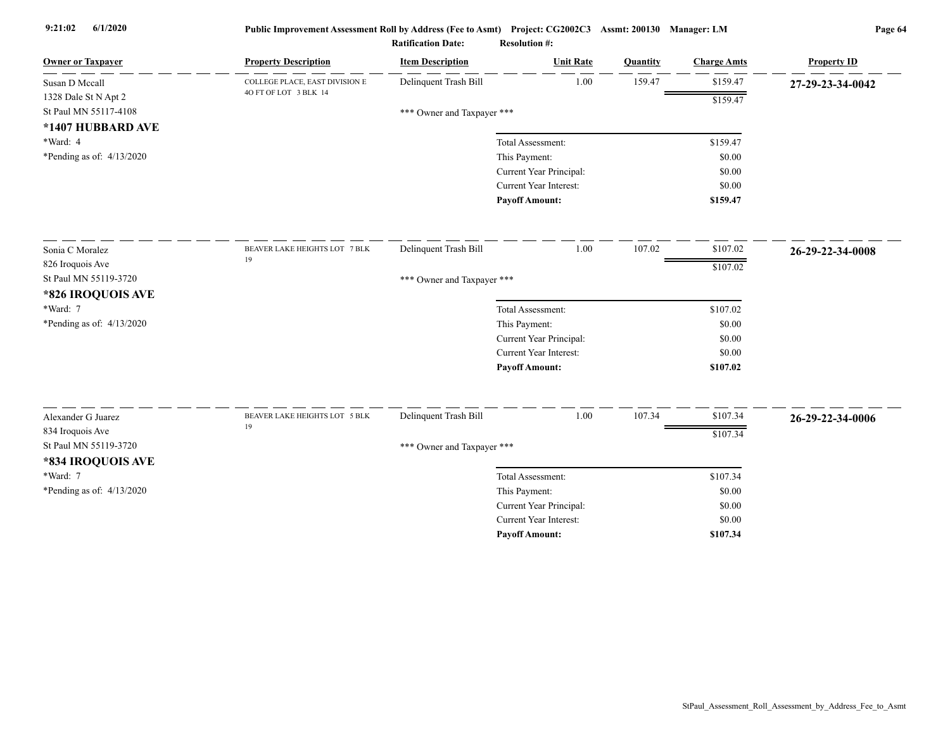| <b>Owner or Taxpayer</b>                  | <b>Property Description</b>    | <b>Item Description</b>    | <b>Unit Rate</b>                                         | Quantity | <b>Charge Amts</b> | <b>Property ID</b> |
|-------------------------------------------|--------------------------------|----------------------------|----------------------------------------------------------|----------|--------------------|--------------------|
| Susan D Mccall                            | COLLEGE PLACE, EAST DIVISION E | Delinquent Trash Bill      | 1.00                                                     | 159.47   | \$159.47           | 27-29-23-34-0042   |
| 1328 Dale St N Apt 2                      | 40 FT OF LOT 3 BLK 14          |                            |                                                          |          | \$159.47           |                    |
| St Paul MN 55117-4108                     |                                | *** Owner and Taxpayer *** |                                                          |          |                    |                    |
| *1407 HUBBARD AVE                         |                                |                            |                                                          |          |                    |                    |
| *Ward: 4                                  |                                |                            | Total Assessment:                                        |          | \$159.47           |                    |
| *Pending as of: $4/13/2020$               |                                |                            | This Payment:                                            |          | \$0.00             |                    |
|                                           |                                |                            | Current Year Principal:                                  |          | \$0.00             |                    |
|                                           |                                |                            | Current Year Interest:                                   |          | \$0.00             |                    |
|                                           |                                |                            | <b>Pavoff Amount:</b>                                    |          | \$159.47           |                    |
| Sonia C Moralez                           | BEAVER LAKE HEIGHTS LOT 7 BLK  | Delinquent Trash Bill      | 1.00                                                     | 107.02   | \$107.02           | 26-29-22-34-0008   |
| 826 Iroquois Ave                          | 19                             |                            |                                                          |          | \$107.02           |                    |
| St Paul MN 55119-3720                     |                                | *** Owner and Taxpayer *** |                                                          |          |                    |                    |
| *826 IROQUOIS AVE                         |                                |                            |                                                          |          |                    |                    |
| *Ward: 7                                  |                                |                            | Total Assessment:                                        |          | \$107.02           |                    |
| *Pending as of: 4/13/2020                 |                                |                            | This Payment:                                            |          | \$0.00             |                    |
|                                           |                                |                            | Current Year Principal:                                  |          | \$0.00             |                    |
|                                           |                                |                            | Current Year Interest:                                   |          | \$0.00             |                    |
|                                           |                                |                            | <b>Payoff Amount:</b>                                    |          | \$107.02           |                    |
| Alexander G Juarez                        | BEAVER LAKE HEIGHTS LOT 5 BLK  | Delinquent Trash Bill      | 1.00                                                     | 107.34   | \$107.34           |                    |
|                                           | 19                             |                            |                                                          |          |                    | 26-29-22-34-0006   |
| 834 Iroquois Ave<br>St Paul MN 55119-3720 |                                |                            |                                                          |          | \$107.34           |                    |
|                                           |                                | *** Owner and Taxpayer *** |                                                          |          |                    |                    |
| *834 IROQUOIS AVE                         |                                |                            |                                                          |          |                    |                    |
| *Ward: 7                                  |                                |                            | Total Assessment:                                        |          | \$107.34           |                    |
| *Pending as of: 4/13/2020                 |                                |                            | This Payment:                                            |          | \$0.00             |                    |
|                                           |                                |                            | Current Year Principal:<br><b>Current Year Interest:</b> |          | \$0.00<br>\$0.00   |                    |
|                                           |                                |                            | <b>Pavoff Amount:</b>                                    |          | \$107.34           |                    |
|                                           |                                |                            |                                                          |          |                    |                    |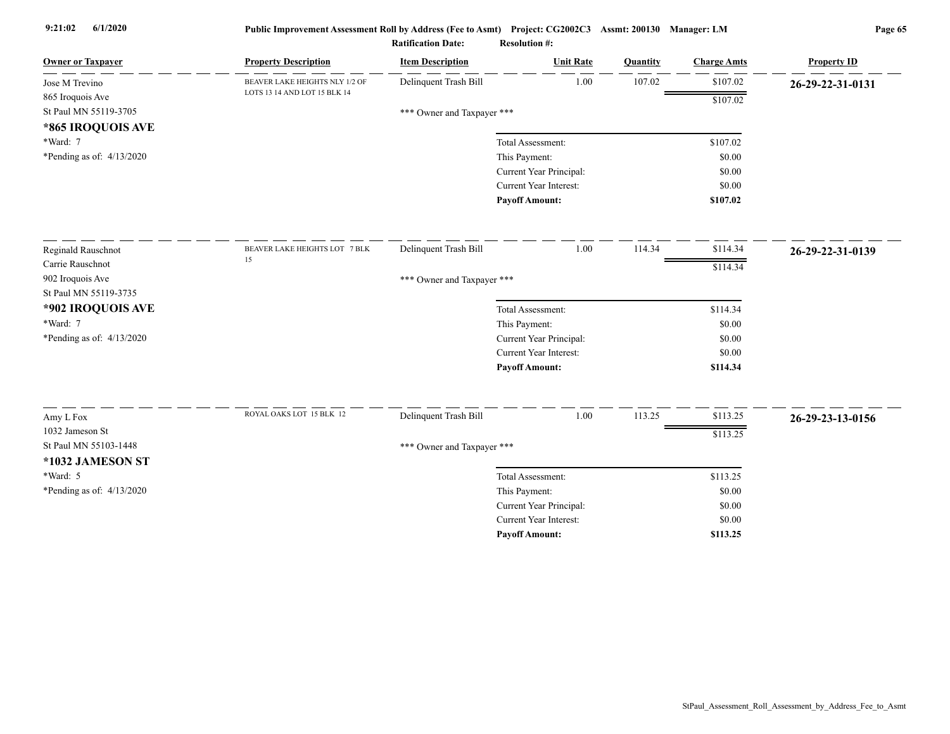| <b>Owner or Taxpayer</b>                 | <b>Property Description</b>    | <b>Item Description</b>    | <b>Unit Rate</b>              | Quantity | <b>Charge Amts</b> | <b>Property ID</b> |
|------------------------------------------|--------------------------------|----------------------------|-------------------------------|----------|--------------------|--------------------|
| Jose M Trevino                           | BEAVER LAKE HEIGHTS NLY 1/2 OF | Delinquent Trash Bill      | 1.00                          | 107.02   | \$107.02           | 26-29-22-31-0131   |
| 865 Iroquois Ave                         | LOTS 13 14 AND LOT 15 BLK 14   |                            |                               |          | \$107.02           |                    |
| St Paul MN 55119-3705                    |                                | *** Owner and Taxpayer *** |                               |          |                    |                    |
| *865 IROQUOIS AVE                        |                                |                            |                               |          |                    |                    |
| *Ward: 7                                 |                                |                            | Total Assessment:             |          | \$107.02           |                    |
| *Pending as of: 4/13/2020                |                                |                            | This Payment:                 |          | \$0.00             |                    |
|                                          |                                |                            | Current Year Principal:       |          | \$0.00             |                    |
|                                          |                                |                            | Current Year Interest:        |          | \$0.00             |                    |
|                                          |                                |                            | <b>Payoff Amount:</b>         |          | \$107.02           |                    |
| Reginald Rauschnot                       | BEAVER LAKE HEIGHTS LOT 7 BLK  | Delinquent Trash Bill      | 1.00                          | 114.34   | \$114.34           | 26-29-22-31-0139   |
| Carrie Rauschnot                         | 15                             |                            |                               |          | \$114.34           |                    |
| 902 Iroquois Ave                         |                                | *** Owner and Taxpayer *** |                               |          |                    |                    |
| St Paul MN 55119-3735                    |                                |                            |                               |          |                    |                    |
| *902 IROQUOIS AVE                        |                                |                            | Total Assessment:             |          | \$114.34           |                    |
| *Ward: 7                                 |                                |                            | This Payment:                 |          | \$0.00             |                    |
| *Pending as of: $4/13/2020$              |                                |                            | Current Year Principal:       |          | \$0.00             |                    |
|                                          |                                |                            | <b>Current Year Interest:</b> |          | \$0.00             |                    |
|                                          |                                |                            | <b>Payoff Amount:</b>         |          | \$114.34           |                    |
|                                          | ROYAL OAKS LOT 15 BLK 12       |                            |                               |          |                    |                    |
| Amy L Fox                                |                                | Delinquent Trash Bill      | 1.00                          | 113.25   | \$113.25           | 26-29-23-13-0156   |
| 1032 Jameson St<br>St Paul MN 55103-1448 |                                |                            |                               |          | \$113.25           |                    |
|                                          |                                | *** Owner and Taxpayer *** |                               |          |                    |                    |
| *1032 JAMESON ST                         |                                |                            |                               |          |                    |                    |
| *Ward: 5                                 |                                |                            | Total Assessment:             |          | \$113.25           |                    |
| *Pending as of: $4/13/2020$              |                                |                            | This Payment:                 |          | \$0.00             |                    |
|                                          |                                |                            | Current Year Principal:       |          | \$0.00             |                    |
|                                          |                                |                            | Current Year Interest:        |          | \$0.00             |                    |
|                                          |                                |                            | <b>Payoff Amount:</b>         |          | \$113.25           |                    |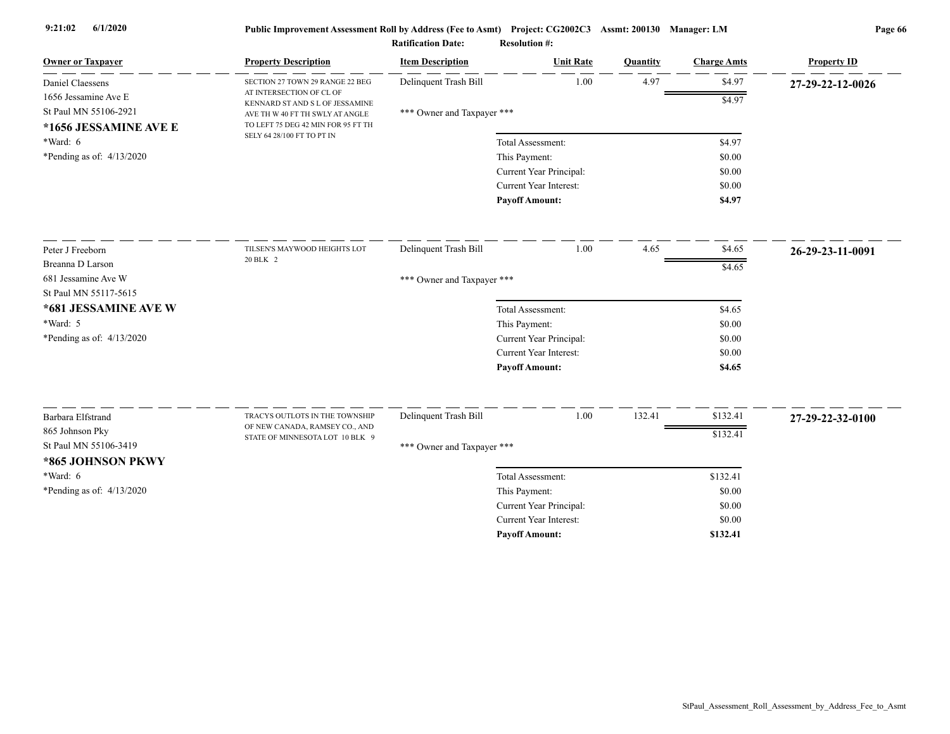| <b>Owner or Taxpayer</b>    | <b>Property Description</b>                                      | <b>Item Description</b>    | <b>Unit Rate</b>              | Quantity | <b>Charge Amts</b> | <b>Property ID</b> |
|-----------------------------|------------------------------------------------------------------|----------------------------|-------------------------------|----------|--------------------|--------------------|
| Daniel Claessens            | SECTION 27 TOWN 29 RANGE 22 BEG                                  | Delinquent Trash Bill      | 1.00                          | 4.97     | \$4.97             | 27-29-22-12-0026   |
| 1656 Jessamine Ave E        | AT INTERSECTION OF CL OF<br>KENNARD ST AND S L OF JESSAMINE      |                            |                               |          | \$4.97             |                    |
| St Paul MN 55106-2921       | AVE TH W 40 FT TH SWLY AT ANGLE                                  | *** Owner and Taxpayer *** |                               |          |                    |                    |
| *1656 JESSAMINE AVE E       | TO LEFT 75 DEG 42 MIN FOR 95 FT TH<br>SELY 64 28/100 FT TO PT IN |                            |                               |          |                    |                    |
| *Ward: 6                    |                                                                  |                            | Total Assessment:             |          | \$4.97             |                    |
| *Pending as of: $4/13/2020$ |                                                                  |                            | This Payment:                 |          | \$0.00             |                    |
|                             |                                                                  |                            | Current Year Principal:       |          | \$0.00             |                    |
|                             |                                                                  |                            | Current Year Interest:        |          | \$0.00             |                    |
|                             |                                                                  |                            | <b>Payoff Amount:</b>         |          | \$4.97             |                    |
| Peter J Freeborn            | TILSEN'S MAYWOOD HEIGHTS LOT                                     | Delinquent Trash Bill      | 1.00                          | 4.65     | \$4.65             | 26-29-23-11-0091   |
| Breanna D Larson            | 20 BLK 2                                                         |                            |                               |          | \$4.65             |                    |
| 681 Jessamine Ave W         |                                                                  | *** Owner and Taxpayer *** |                               |          |                    |                    |
| St Paul MN 55117-5615       |                                                                  |                            |                               |          |                    |                    |
| *681 JESSAMINE AVE W        |                                                                  |                            | Total Assessment:             |          | \$4.65             |                    |
| *Ward: 5                    |                                                                  |                            | This Payment:                 |          | \$0.00             |                    |
| *Pending as of: $4/13/2020$ |                                                                  |                            | Current Year Principal:       |          | \$0.00             |                    |
|                             |                                                                  |                            | <b>Current Year Interest:</b> |          | \$0.00             |                    |
|                             |                                                                  |                            | <b>Payoff Amount:</b>         |          | \$4.65             |                    |
| Barbara Elfstrand           | TRACYS OUTLOTS IN THE TOWNSHIP                                   | Delinquent Trash Bill      | 1.00                          | 132.41   | \$132.41           | 27-29-22-32-0100   |
| 865 Johnson Pky             | OF NEW CANADA, RAMSEY CO., AND                                   |                            |                               |          |                    |                    |
| St Paul MN 55106-3419       | STATE OF MINNESOTA LOT 10 BLK 9                                  | *** Owner and Taxpayer *** |                               |          | \$132.41           |                    |
| *865 JOHNSON PKWY           |                                                                  |                            |                               |          |                    |                    |
| *Ward: 6                    |                                                                  |                            | Total Assessment:             |          | \$132.41           |                    |
| *Pending as of: $4/13/2020$ |                                                                  |                            | This Payment:                 |          | \$0.00             |                    |
|                             |                                                                  |                            | Current Year Principal:       |          | \$0.00             |                    |
|                             |                                                                  |                            | Current Year Interest:        |          | \$0.00             |                    |
|                             |                                                                  |                            | <b>Payoff Amount:</b>         |          | \$132.41           |                    |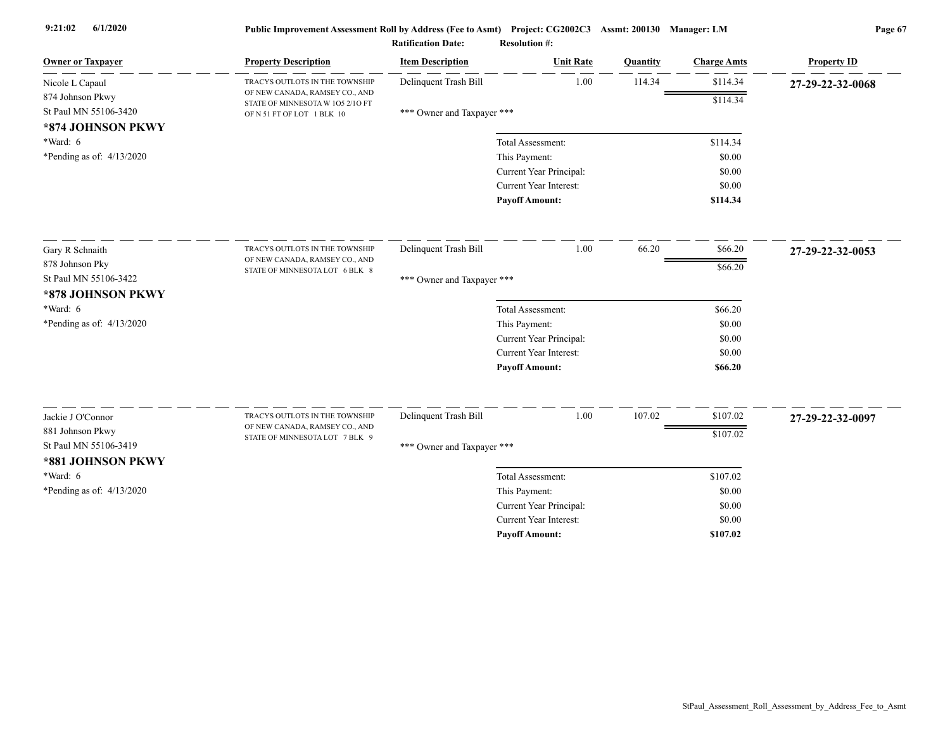| Delinquent Trash Bill<br>1.00<br>114.34<br>\$114.34<br>Nicole L Capaul<br>TRACYS OUTLOTS IN THE TOWNSHIP<br>27-29-22-32-0068<br>OF NEW CANADA, RAMSEY CO., AND<br>874 Johnson Pkwy<br>\$114.34<br>STATE OF MINNESOTA W 105 2/10 FT<br>St Paul MN 55106-3420<br>*** Owner and Taxpayer ***<br>OF N 51 FT OF LOT 1 BLK 10<br>*874 JOHNSON PKWY<br>$*Ward: 6$<br>\$114.34<br>Total Assessment:<br>*Pending as of: $4/13/2020$<br>This Payment:<br>\$0.00<br>Current Year Principal:<br>\$0.00<br>Current Year Interest:<br>\$0.00<br><b>Payoff Amount:</b><br>\$114.34<br>1.00<br>66.20<br>Delinquent Trash Bill<br>\$66.20<br>TRACYS OUTLOTS IN THE TOWNSHIP<br>Gary R Schnaith<br>27-29-22-32-0053<br>OF NEW CANADA, RAMSEY CO., AND<br>878 Johnson Pky<br>\$66.20<br>STATE OF MINNESOTA LOT 6 BLK 8<br>St Paul MN 55106-3422<br>*** Owner and Taxpayer ***<br>*878 JOHNSON PKWY<br>*Ward: 6<br>Total Assessment:<br>\$66.20<br>*Pending as of: 4/13/2020<br>This Payment:<br>\$0.00<br>Current Year Principal:<br>\$0.00<br><b>Current Year Interest:</b><br>\$0.00<br><b>Payoff Amount:</b><br>\$66.20<br>107.02<br>Delinquent Trash Bill<br>1.00<br>\$107.02<br>Jackie J O'Connor<br>TRACYS OUTLOTS IN THE TOWNSHIP<br>27-29-22-32-0097<br>OF NEW CANADA, RAMSEY CO., AND<br>881 Johnson Pkwy<br>\$107.02<br>STATE OF MINNESOTA LOT 7 BLK 9<br>St Paul MN 55106-3419<br>*** Owner and Taxpayer ***<br>*881 JOHNSON PKWY<br>$*Ward: 6$<br>\$107.02<br>Total Assessment:<br>*Pending as of: $4/13/2020$<br>This Payment:<br>\$0.00<br>Current Year Principal:<br>\$0.00 | <b>Owner or Taxpayer</b> | <b>Property Description</b> | <b>Item Description</b> | <b>Unit Rate</b> | Quantity | <b>Charge Amts</b> | <b>Property ID</b> |
|-------------------------------------------------------------------------------------------------------------------------------------------------------------------------------------------------------------------------------------------------------------------------------------------------------------------------------------------------------------------------------------------------------------------------------------------------------------------------------------------------------------------------------------------------------------------------------------------------------------------------------------------------------------------------------------------------------------------------------------------------------------------------------------------------------------------------------------------------------------------------------------------------------------------------------------------------------------------------------------------------------------------------------------------------------------------------------------------------------------------------------------------------------------------------------------------------------------------------------------------------------------------------------------------------------------------------------------------------------------------------------------------------------------------------------------------------------------------------------------------------------------------------------------------------------------------------|--------------------------|-----------------------------|-------------------------|------------------|----------|--------------------|--------------------|
|                                                                                                                                                                                                                                                                                                                                                                                                                                                                                                                                                                                                                                                                                                                                                                                                                                                                                                                                                                                                                                                                                                                                                                                                                                                                                                                                                                                                                                                                                                                                                                         |                          |                             |                         |                  |          |                    |                    |
|                                                                                                                                                                                                                                                                                                                                                                                                                                                                                                                                                                                                                                                                                                                                                                                                                                                                                                                                                                                                                                                                                                                                                                                                                                                                                                                                                                                                                                                                                                                                                                         |                          |                             |                         |                  |          |                    |                    |
|                                                                                                                                                                                                                                                                                                                                                                                                                                                                                                                                                                                                                                                                                                                                                                                                                                                                                                                                                                                                                                                                                                                                                                                                                                                                                                                                                                                                                                                                                                                                                                         |                          |                             |                         |                  |          |                    |                    |
|                                                                                                                                                                                                                                                                                                                                                                                                                                                                                                                                                                                                                                                                                                                                                                                                                                                                                                                                                                                                                                                                                                                                                                                                                                                                                                                                                                                                                                                                                                                                                                         |                          |                             |                         |                  |          |                    |                    |
|                                                                                                                                                                                                                                                                                                                                                                                                                                                                                                                                                                                                                                                                                                                                                                                                                                                                                                                                                                                                                                                                                                                                                                                                                                                                                                                                                                                                                                                                                                                                                                         |                          |                             |                         |                  |          |                    |                    |
|                                                                                                                                                                                                                                                                                                                                                                                                                                                                                                                                                                                                                                                                                                                                                                                                                                                                                                                                                                                                                                                                                                                                                                                                                                                                                                                                                                                                                                                                                                                                                                         |                          |                             |                         |                  |          |                    |                    |
|                                                                                                                                                                                                                                                                                                                                                                                                                                                                                                                                                                                                                                                                                                                                                                                                                                                                                                                                                                                                                                                                                                                                                                                                                                                                                                                                                                                                                                                                                                                                                                         |                          |                             |                         |                  |          |                    |                    |
|                                                                                                                                                                                                                                                                                                                                                                                                                                                                                                                                                                                                                                                                                                                                                                                                                                                                                                                                                                                                                                                                                                                                                                                                                                                                                                                                                                                                                                                                                                                                                                         |                          |                             |                         |                  |          |                    |                    |
|                                                                                                                                                                                                                                                                                                                                                                                                                                                                                                                                                                                                                                                                                                                                                                                                                                                                                                                                                                                                                                                                                                                                                                                                                                                                                                                                                                                                                                                                                                                                                                         |                          |                             |                         |                  |          |                    |                    |
|                                                                                                                                                                                                                                                                                                                                                                                                                                                                                                                                                                                                                                                                                                                                                                                                                                                                                                                                                                                                                                                                                                                                                                                                                                                                                                                                                                                                                                                                                                                                                                         |                          |                             |                         |                  |          |                    |                    |
|                                                                                                                                                                                                                                                                                                                                                                                                                                                                                                                                                                                                                                                                                                                                                                                                                                                                                                                                                                                                                                                                                                                                                                                                                                                                                                                                                                                                                                                                                                                                                                         |                          |                             |                         |                  |          |                    |                    |
|                                                                                                                                                                                                                                                                                                                                                                                                                                                                                                                                                                                                                                                                                                                                                                                                                                                                                                                                                                                                                                                                                                                                                                                                                                                                                                                                                                                                                                                                                                                                                                         |                          |                             |                         |                  |          |                    |                    |
|                                                                                                                                                                                                                                                                                                                                                                                                                                                                                                                                                                                                                                                                                                                                                                                                                                                                                                                                                                                                                                                                                                                                                                                                                                                                                                                                                                                                                                                                                                                                                                         |                          |                             |                         |                  |          |                    |                    |
|                                                                                                                                                                                                                                                                                                                                                                                                                                                                                                                                                                                                                                                                                                                                                                                                                                                                                                                                                                                                                                                                                                                                                                                                                                                                                                                                                                                                                                                                                                                                                                         |                          |                             |                         |                  |          |                    |                    |
|                                                                                                                                                                                                                                                                                                                                                                                                                                                                                                                                                                                                                                                                                                                                                                                                                                                                                                                                                                                                                                                                                                                                                                                                                                                                                                                                                                                                                                                                                                                                                                         |                          |                             |                         |                  |          |                    |                    |
|                                                                                                                                                                                                                                                                                                                                                                                                                                                                                                                                                                                                                                                                                                                                                                                                                                                                                                                                                                                                                                                                                                                                                                                                                                                                                                                                                                                                                                                                                                                                                                         |                          |                             |                         |                  |          |                    |                    |
|                                                                                                                                                                                                                                                                                                                                                                                                                                                                                                                                                                                                                                                                                                                                                                                                                                                                                                                                                                                                                                                                                                                                                                                                                                                                                                                                                                                                                                                                                                                                                                         |                          |                             |                         |                  |          |                    |                    |
|                                                                                                                                                                                                                                                                                                                                                                                                                                                                                                                                                                                                                                                                                                                                                                                                                                                                                                                                                                                                                                                                                                                                                                                                                                                                                                                                                                                                                                                                                                                                                                         |                          |                             |                         |                  |          |                    |                    |
|                                                                                                                                                                                                                                                                                                                                                                                                                                                                                                                                                                                                                                                                                                                                                                                                                                                                                                                                                                                                                                                                                                                                                                                                                                                                                                                                                                                                                                                                                                                                                                         |                          |                             |                         |                  |          |                    |                    |
|                                                                                                                                                                                                                                                                                                                                                                                                                                                                                                                                                                                                                                                                                                                                                                                                                                                                                                                                                                                                                                                                                                                                                                                                                                                                                                                                                                                                                                                                                                                                                                         |                          |                             |                         |                  |          |                    |                    |
|                                                                                                                                                                                                                                                                                                                                                                                                                                                                                                                                                                                                                                                                                                                                                                                                                                                                                                                                                                                                                                                                                                                                                                                                                                                                                                                                                                                                                                                                                                                                                                         |                          |                             |                         |                  |          |                    |                    |
|                                                                                                                                                                                                                                                                                                                                                                                                                                                                                                                                                                                                                                                                                                                                                                                                                                                                                                                                                                                                                                                                                                                                                                                                                                                                                                                                                                                                                                                                                                                                                                         |                          |                             |                         |                  |          |                    |                    |
|                                                                                                                                                                                                                                                                                                                                                                                                                                                                                                                                                                                                                                                                                                                                                                                                                                                                                                                                                                                                                                                                                                                                                                                                                                                                                                                                                                                                                                                                                                                                                                         |                          |                             |                         |                  |          |                    |                    |
|                                                                                                                                                                                                                                                                                                                                                                                                                                                                                                                                                                                                                                                                                                                                                                                                                                                                                                                                                                                                                                                                                                                                                                                                                                                                                                                                                                                                                                                                                                                                                                         |                          |                             |                         |                  |          |                    |                    |
|                                                                                                                                                                                                                                                                                                                                                                                                                                                                                                                                                                                                                                                                                                                                                                                                                                                                                                                                                                                                                                                                                                                                                                                                                                                                                                                                                                                                                                                                                                                                                                         |                          |                             |                         |                  |          |                    |                    |
| <b>Current Year Interest:</b><br>\$0.00                                                                                                                                                                                                                                                                                                                                                                                                                                                                                                                                                                                                                                                                                                                                                                                                                                                                                                                                                                                                                                                                                                                                                                                                                                                                                                                                                                                                                                                                                                                                 |                          |                             |                         |                  |          |                    |                    |
| <b>Pavoff Amount:</b><br>\$107.02                                                                                                                                                                                                                                                                                                                                                                                                                                                                                                                                                                                                                                                                                                                                                                                                                                                                                                                                                                                                                                                                                                                                                                                                                                                                                                                                                                                                                                                                                                                                       |                          |                             |                         |                  |          |                    |                    |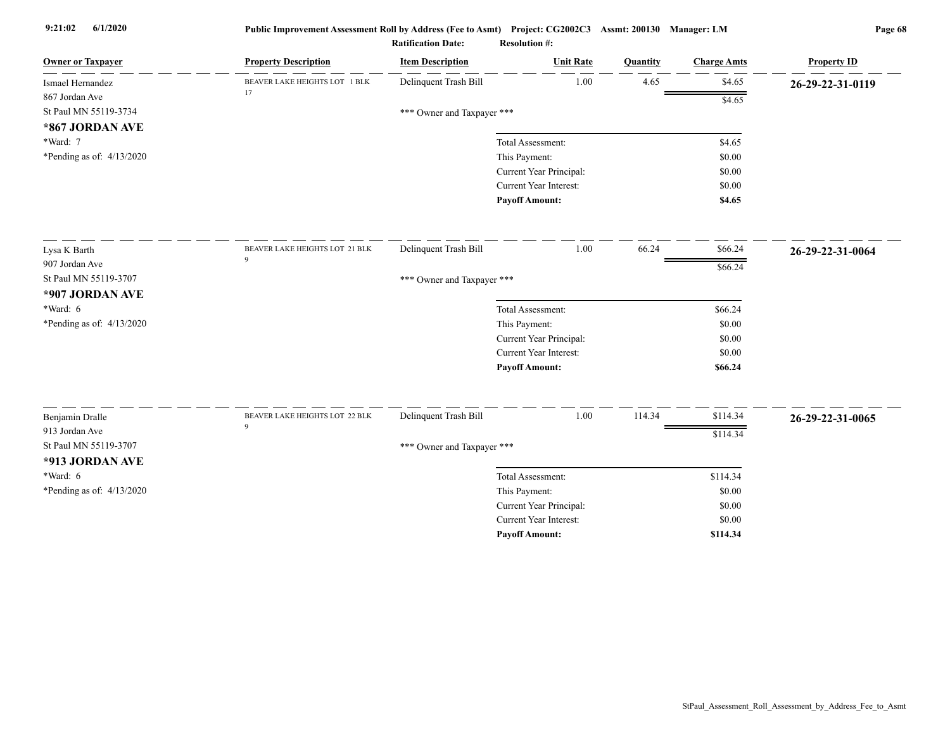| <b>Owner or Taxpayer</b>    | <b>Property Description</b>    | <b>Item Description</b>    | <b>Unit Rate</b>              | <b>Quantity</b> | <b>Charge Amts</b> | <b>Property ID</b> |
|-----------------------------|--------------------------------|----------------------------|-------------------------------|-----------------|--------------------|--------------------|
| Ismael Hernandez            | BEAVER LAKE HEIGHTS LOT 1 BLK  | Delinquent Trash Bill      | 1.00                          | 4.65            | \$4.65             | 26-29-22-31-0119   |
| 867 Jordan Ave              | 17                             |                            |                               |                 | \$4.65             |                    |
| St Paul MN 55119-3734       |                                | *** Owner and Taxpayer *** |                               |                 |                    |                    |
| *867 JORDAN AVE             |                                |                            |                               |                 |                    |                    |
| *Ward: 7                    |                                |                            | Total Assessment:             |                 | \$4.65             |                    |
| *Pending as of: $4/13/2020$ |                                |                            | This Payment:                 |                 | \$0.00             |                    |
|                             |                                |                            | Current Year Principal:       |                 | \$0.00             |                    |
|                             |                                |                            | Current Year Interest:        |                 | \$0.00             |                    |
|                             |                                |                            | <b>Payoff Amount:</b>         |                 | \$4.65             |                    |
| Lysa K Barth                | BEAVER LAKE HEIGHTS LOT 21 BLK | Delinquent Trash Bill      | 1.00                          | 66.24           | \$66.24            | 26-29-22-31-0064   |
| 907 Jordan Ave              | $\mathbf{Q}$                   |                            |                               |                 | \$66.24            |                    |
| St Paul MN 55119-3707       |                                | *** Owner and Taxpayer *** |                               |                 |                    |                    |
| *907 JORDAN AVE             |                                |                            |                               |                 |                    |                    |
| *Ward: $6$                  |                                |                            | Total Assessment:             |                 | \$66.24            |                    |
| *Pending as of: 4/13/2020   |                                |                            | This Payment:                 |                 | \$0.00             |                    |
|                             |                                |                            | Current Year Principal:       |                 | \$0.00             |                    |
|                             |                                |                            | <b>Current Year Interest:</b> |                 | \$0.00             |                    |
|                             |                                |                            | <b>Payoff Amount:</b>         |                 | \$66.24            |                    |
| Benjamin Dralle             | BEAVER LAKE HEIGHTS LOT 22 BLK | Delinquent Trash Bill      | 1.00                          | 114.34          | \$114.34           | 26-29-22-31-0065   |
| 913 Jordan Ave              | $\mathbf Q$                    |                            |                               |                 |                    |                    |
| St Paul MN 55119-3707       |                                | *** Owner and Taxpayer *** |                               |                 | \$114.34           |                    |
| *913 JORDAN AVE             |                                |                            |                               |                 |                    |                    |
| $*Ward: 6$                  |                                |                            | Total Assessment:             |                 | \$114.34           |                    |
| *Pending as of: $4/13/2020$ |                                |                            | This Payment:                 |                 | \$0.00             |                    |
|                             |                                |                            | Current Year Principal:       |                 | \$0.00             |                    |
|                             |                                |                            | Current Year Interest:        |                 | \$0.00             |                    |
|                             |                                |                            | <b>Payoff Amount:</b>         |                 | \$114.34           |                    |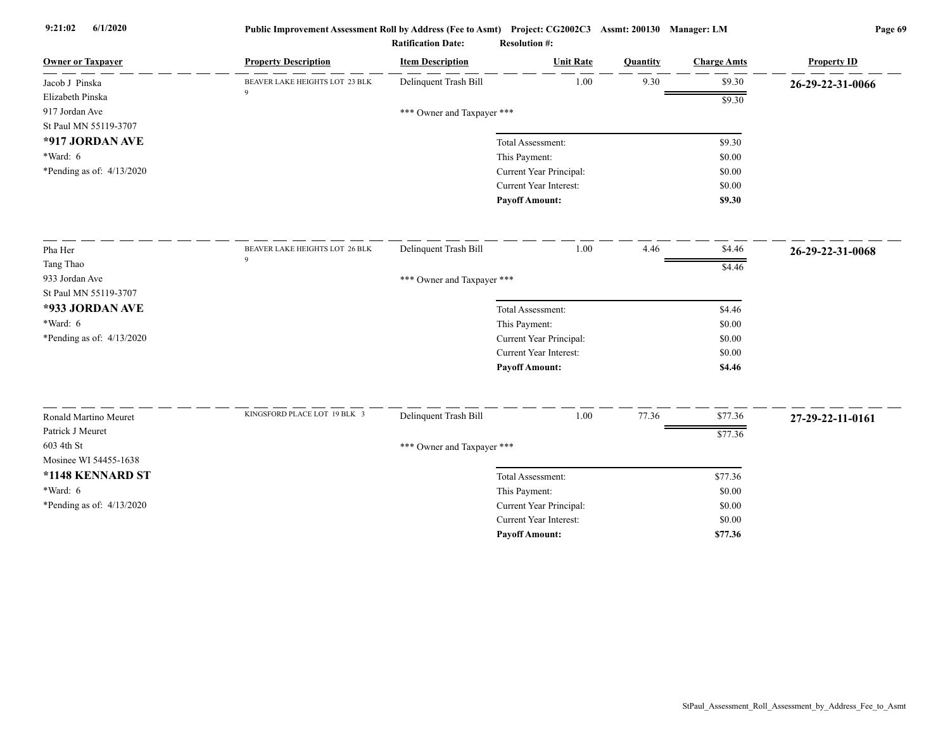| <b>Owner or Taxpayer</b>  | <b>Property Description</b>    | <b>Item Description</b>    | <b>Unit Rate</b>                         | Quantity | <b>Charge Amts</b> | <b>Property ID</b> |
|---------------------------|--------------------------------|----------------------------|------------------------------------------|----------|--------------------|--------------------|
| Jacob J Pinska            | BEAVER LAKE HEIGHTS LOT 23 BLK | Delinquent Trash Bill      | 1.00                                     | 9.30     | \$9.30             | 26-29-22-31-0066   |
| Elizabeth Pinska          | $\mathbf Q$                    |                            |                                          |          | \$9.30             |                    |
| 917 Jordan Ave            |                                | *** Owner and Taxpayer *** |                                          |          |                    |                    |
| St Paul MN 55119-3707     |                                |                            |                                          |          |                    |                    |
| *917 JORDAN AVE           |                                |                            | Total Assessment:                        |          | \$9.30             |                    |
| *Ward: 6                  |                                |                            | This Payment:                            |          | \$0.00             |                    |
| *Pending as of: 4/13/2020 |                                |                            | Current Year Principal:                  |          | \$0.00             |                    |
|                           |                                |                            | <b>Current Year Interest:</b>            |          | \$0.00             |                    |
|                           |                                |                            | <b>Payoff Amount:</b>                    |          | \$9.30             |                    |
| Pha Her                   | BEAVER LAKE HEIGHTS LOT 26 BLK | Delinquent Trash Bill      | 1.00                                     | 4.46     | \$4.46             | 26-29-22-31-0068   |
| Tang Thao                 | 9                              |                            |                                          |          | \$4.46             |                    |
| 933 Jordan Ave            |                                | *** Owner and Taxpayer *** |                                          |          |                    |                    |
| St Paul MN 55119-3707     |                                |                            |                                          |          |                    |                    |
| *933 JORDAN AVE           |                                |                            | Total Assessment:                        |          | \$4.46             |                    |
| *Ward: 6                  |                                |                            | This Payment:                            |          | \$0.00             |                    |
| *Pending as of: 4/13/2020 |                                |                            | Current Year Principal:                  |          | \$0.00             |                    |
|                           |                                |                            | Current Year Interest:                   |          | \$0.00             |                    |
|                           |                                |                            | <b>Payoff Amount:</b>                    |          | \$4.46             |                    |
| Ronald Martino Meuret     | KINGSFORD PLACE LOT 19 BLK 3   | Delinquent Trash Bill      | 1.00                                     | 77.36    | \$77.36            | 27-29-22-11-0161   |
| Patrick J Meuret          |                                |                            |                                          |          |                    |                    |
| 603 4th St                |                                | *** Owner and Taxpayer *** |                                          |          | \$77.36            |                    |
| Mosinee WI 54455-1638     |                                |                            |                                          |          |                    |                    |
| *1148 KENNARD ST          |                                |                            | Total Assessment:                        |          | \$77.36            |                    |
| $*Ward: 6$                |                                |                            |                                          |          | \$0.00             |                    |
| *Pending as of: 4/13/2020 |                                |                            | This Payment:<br>Current Year Principal: |          | \$0.00             |                    |
|                           |                                |                            | <b>Current Year Interest:</b>            |          | \$0.00             |                    |
|                           |                                |                            | <b>Payoff Amount:</b>                    |          | \$77.36            |                    |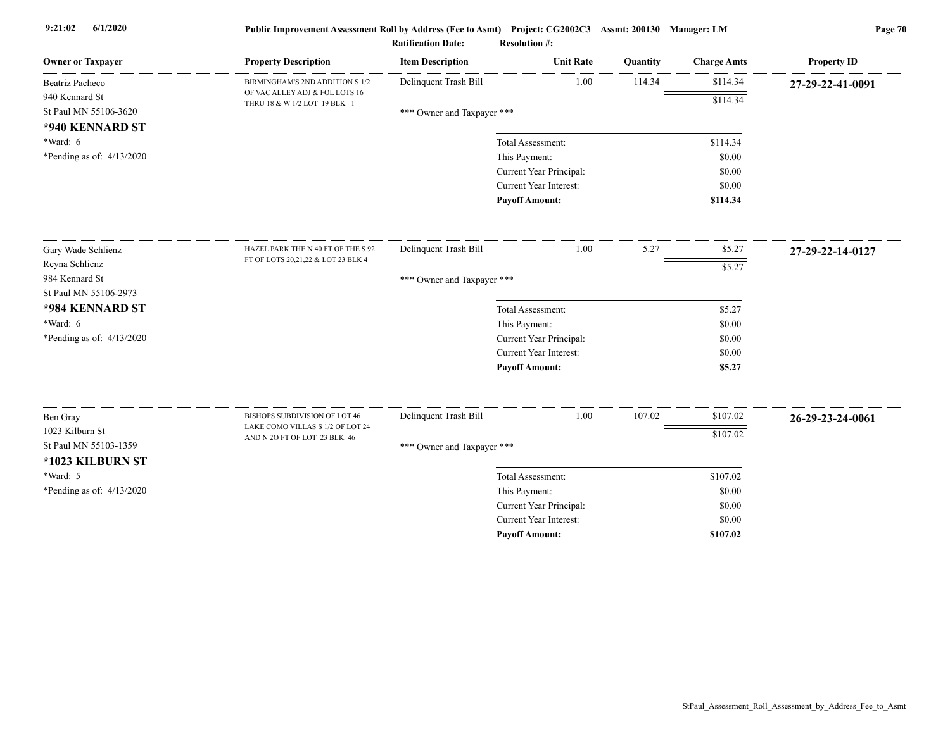| Delinquent Trash Bill<br>1.00<br>114.34<br>\$114.34<br>Beatriz Pacheco<br>BIRMINGHAM'S 2ND ADDITION S 1/2<br>27-29-22-41-0091<br>OF VAC ALLEY ADJ & FOL LOTS 16<br>\$114.34<br>THRU 18 & W 1/2 LOT 19 BLK 1<br>*** Owner and Taxpayer ***<br>Total Assessment:<br>\$114.34<br>This Payment:<br>\$0.00<br>Current Year Principal:<br>\$0.00<br>Current Year Interest:<br>\$0.00<br><b>Payoff Amount:</b><br>\$114.34<br>1.00<br>5.27<br>\$5.27<br>Delinquent Trash Bill<br>Gary Wade Schlienz<br>HAZEL PARK THE N 40 FT OF THE S 92<br>27-29-22-14-0127<br>FT OF LOTS 20,21,22 & LOT 23 BLK 4<br>Reyna Schlienz<br>\$5.27<br>984 Kennard St<br>*** Owner and Taxpayer ***<br>*984 KENNARD ST<br>Total Assessment:<br>\$5.27<br>$*Ward: 6$<br>This Payment:<br>\$0.00<br>*Pending as of: $4/13/2020$<br>Current Year Principal:<br>\$0.00<br><b>Current Year Interest:</b><br>\$0.00<br><b>Payoff Amount:</b><br>\$5.27<br>$1.00\,$<br>107.02<br>Delinquent Trash Bill<br>\$107.02<br>BISHOPS SUBDIVISION OF LOT 46<br>Ben Gray<br>26-29-23-24-0061<br>LAKE COMO VILLAS S 1/2 OF LOT 24<br>1023 Kilburn St<br>\$107.02<br>AND N 2O FT OF LOT 23 BLK 46<br>St Paul MN 55103-1359<br>*** Owner and Taxpayer ***<br>*1023 KILBURN ST<br>*Ward: 5<br>\$107.02<br>Total Assessment:<br>*Pending as of: 4/13/2020<br>This Payment:<br>\$0.00<br>Current Year Principal:<br>\$0.00<br><b>Current Year Interest:</b><br>\$0.00<br><b>Payoff Amount:</b><br>\$107.02 | <b>Owner or Taxpayer</b>  | <b>Property Description</b> | <b>Item Description</b> | <b>Unit Rate</b> | Quantity | <b>Charge Amts</b> | <b>Property ID</b> |
|-----------------------------------------------------------------------------------------------------------------------------------------------------------------------------------------------------------------------------------------------------------------------------------------------------------------------------------------------------------------------------------------------------------------------------------------------------------------------------------------------------------------------------------------------------------------------------------------------------------------------------------------------------------------------------------------------------------------------------------------------------------------------------------------------------------------------------------------------------------------------------------------------------------------------------------------------------------------------------------------------------------------------------------------------------------------------------------------------------------------------------------------------------------------------------------------------------------------------------------------------------------------------------------------------------------------------------------------------------------------------------------------------------------------------------------------------------------|---------------------------|-----------------------------|-------------------------|------------------|----------|--------------------|--------------------|
|                                                                                                                                                                                                                                                                                                                                                                                                                                                                                                                                                                                                                                                                                                                                                                                                                                                                                                                                                                                                                                                                                                                                                                                                                                                                                                                                                                                                                                                           |                           |                             |                         |                  |          |                    |                    |
|                                                                                                                                                                                                                                                                                                                                                                                                                                                                                                                                                                                                                                                                                                                                                                                                                                                                                                                                                                                                                                                                                                                                                                                                                                                                                                                                                                                                                                                           | 940 Kennard St            |                             |                         |                  |          |                    |                    |
|                                                                                                                                                                                                                                                                                                                                                                                                                                                                                                                                                                                                                                                                                                                                                                                                                                                                                                                                                                                                                                                                                                                                                                                                                                                                                                                                                                                                                                                           | St Paul MN 55106-3620     |                             |                         |                  |          |                    |                    |
|                                                                                                                                                                                                                                                                                                                                                                                                                                                                                                                                                                                                                                                                                                                                                                                                                                                                                                                                                                                                                                                                                                                                                                                                                                                                                                                                                                                                                                                           | *940 KENNARD ST           |                             |                         |                  |          |                    |                    |
|                                                                                                                                                                                                                                                                                                                                                                                                                                                                                                                                                                                                                                                                                                                                                                                                                                                                                                                                                                                                                                                                                                                                                                                                                                                                                                                                                                                                                                                           | $*Ward: 6$                |                             |                         |                  |          |                    |                    |
|                                                                                                                                                                                                                                                                                                                                                                                                                                                                                                                                                                                                                                                                                                                                                                                                                                                                                                                                                                                                                                                                                                                                                                                                                                                                                                                                                                                                                                                           | *Pending as of: 4/13/2020 |                             |                         |                  |          |                    |                    |
|                                                                                                                                                                                                                                                                                                                                                                                                                                                                                                                                                                                                                                                                                                                                                                                                                                                                                                                                                                                                                                                                                                                                                                                                                                                                                                                                                                                                                                                           |                           |                             |                         |                  |          |                    |                    |
|                                                                                                                                                                                                                                                                                                                                                                                                                                                                                                                                                                                                                                                                                                                                                                                                                                                                                                                                                                                                                                                                                                                                                                                                                                                                                                                                                                                                                                                           |                           |                             |                         |                  |          |                    |                    |
|                                                                                                                                                                                                                                                                                                                                                                                                                                                                                                                                                                                                                                                                                                                                                                                                                                                                                                                                                                                                                                                                                                                                                                                                                                                                                                                                                                                                                                                           |                           |                             |                         |                  |          |                    |                    |
|                                                                                                                                                                                                                                                                                                                                                                                                                                                                                                                                                                                                                                                                                                                                                                                                                                                                                                                                                                                                                                                                                                                                                                                                                                                                                                                                                                                                                                                           |                           |                             |                         |                  |          |                    |                    |
|                                                                                                                                                                                                                                                                                                                                                                                                                                                                                                                                                                                                                                                                                                                                                                                                                                                                                                                                                                                                                                                                                                                                                                                                                                                                                                                                                                                                                                                           |                           |                             |                         |                  |          |                    |                    |
|                                                                                                                                                                                                                                                                                                                                                                                                                                                                                                                                                                                                                                                                                                                                                                                                                                                                                                                                                                                                                                                                                                                                                                                                                                                                                                                                                                                                                                                           |                           |                             |                         |                  |          |                    |                    |
|                                                                                                                                                                                                                                                                                                                                                                                                                                                                                                                                                                                                                                                                                                                                                                                                                                                                                                                                                                                                                                                                                                                                                                                                                                                                                                                                                                                                                                                           | St Paul MN 55106-2973     |                             |                         |                  |          |                    |                    |
|                                                                                                                                                                                                                                                                                                                                                                                                                                                                                                                                                                                                                                                                                                                                                                                                                                                                                                                                                                                                                                                                                                                                                                                                                                                                                                                                                                                                                                                           |                           |                             |                         |                  |          |                    |                    |
|                                                                                                                                                                                                                                                                                                                                                                                                                                                                                                                                                                                                                                                                                                                                                                                                                                                                                                                                                                                                                                                                                                                                                                                                                                                                                                                                                                                                                                                           |                           |                             |                         |                  |          |                    |                    |
|                                                                                                                                                                                                                                                                                                                                                                                                                                                                                                                                                                                                                                                                                                                                                                                                                                                                                                                                                                                                                                                                                                                                                                                                                                                                                                                                                                                                                                                           |                           |                             |                         |                  |          |                    |                    |
|                                                                                                                                                                                                                                                                                                                                                                                                                                                                                                                                                                                                                                                                                                                                                                                                                                                                                                                                                                                                                                                                                                                                                                                                                                                                                                                                                                                                                                                           |                           |                             |                         |                  |          |                    |                    |
|                                                                                                                                                                                                                                                                                                                                                                                                                                                                                                                                                                                                                                                                                                                                                                                                                                                                                                                                                                                                                                                                                                                                                                                                                                                                                                                                                                                                                                                           |                           |                             |                         |                  |          |                    |                    |
|                                                                                                                                                                                                                                                                                                                                                                                                                                                                                                                                                                                                                                                                                                                                                                                                                                                                                                                                                                                                                                                                                                                                                                                                                                                                                                                                                                                                                                                           |                           |                             |                         |                  |          |                    |                    |
|                                                                                                                                                                                                                                                                                                                                                                                                                                                                                                                                                                                                                                                                                                                                                                                                                                                                                                                                                                                                                                                                                                                                                                                                                                                                                                                                                                                                                                                           |                           |                             |                         |                  |          |                    |                    |
|                                                                                                                                                                                                                                                                                                                                                                                                                                                                                                                                                                                                                                                                                                                                                                                                                                                                                                                                                                                                                                                                                                                                                                                                                                                                                                                                                                                                                                                           |                           |                             |                         |                  |          |                    |                    |
|                                                                                                                                                                                                                                                                                                                                                                                                                                                                                                                                                                                                                                                                                                                                                                                                                                                                                                                                                                                                                                                                                                                                                                                                                                                                                                                                                                                                                                                           |                           |                             |                         |                  |          |                    |                    |
|                                                                                                                                                                                                                                                                                                                                                                                                                                                                                                                                                                                                                                                                                                                                                                                                                                                                                                                                                                                                                                                                                                                                                                                                                                                                                                                                                                                                                                                           |                           |                             |                         |                  |          |                    |                    |
|                                                                                                                                                                                                                                                                                                                                                                                                                                                                                                                                                                                                                                                                                                                                                                                                                                                                                                                                                                                                                                                                                                                                                                                                                                                                                                                                                                                                                                                           |                           |                             |                         |                  |          |                    |                    |
|                                                                                                                                                                                                                                                                                                                                                                                                                                                                                                                                                                                                                                                                                                                                                                                                                                                                                                                                                                                                                                                                                                                                                                                                                                                                                                                                                                                                                                                           |                           |                             |                         |                  |          |                    |                    |
|                                                                                                                                                                                                                                                                                                                                                                                                                                                                                                                                                                                                                                                                                                                                                                                                                                                                                                                                                                                                                                                                                                                                                                                                                                                                                                                                                                                                                                                           |                           |                             |                         |                  |          |                    |                    |
|                                                                                                                                                                                                                                                                                                                                                                                                                                                                                                                                                                                                                                                                                                                                                                                                                                                                                                                                                                                                                                                                                                                                                                                                                                                                                                                                                                                                                                                           |                           |                             |                         |                  |          |                    |                    |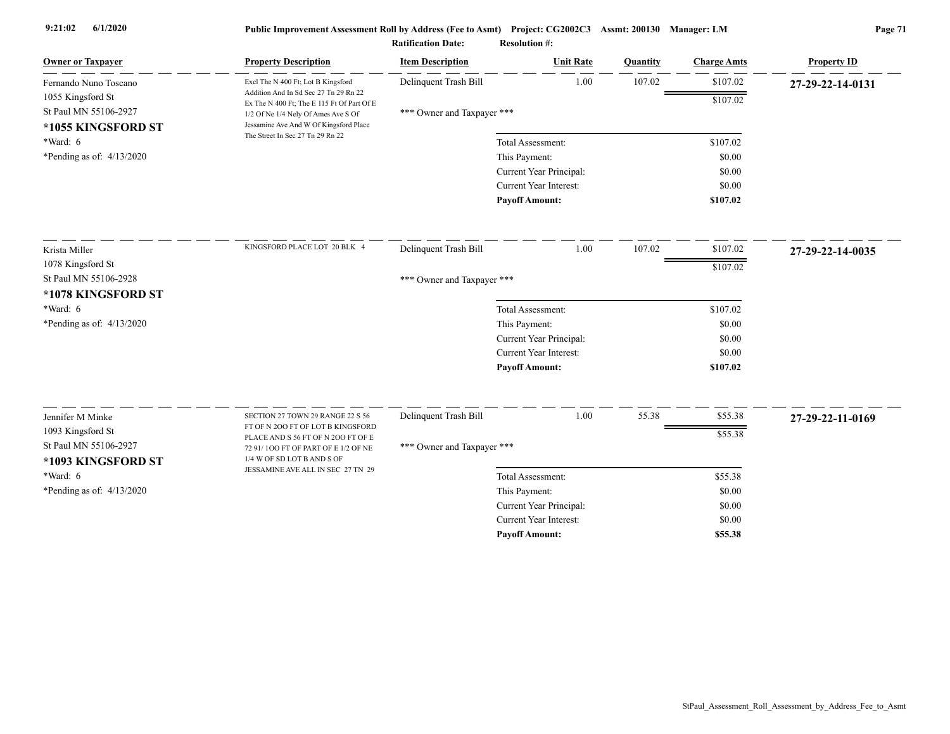| <b>Owner or Taxpayer</b>                                                                  | <b>Property Description</b>                                                         | <b>Item Description</b>    | <b>Unit Rate</b>        | Quantity | <b>Charge Amts</b> | <b>Property ID</b> |
|-------------------------------------------------------------------------------------------|-------------------------------------------------------------------------------------|----------------------------|-------------------------|----------|--------------------|--------------------|
| Fernando Nuno Toscano<br>1055 Kingsford St<br>St Paul MN 55106-2927<br>*1055 KINGSFORD ST | Excl The N 400 Ft; Lot B Kingsford                                                  | Delinquent Trash Bill      | 1.00                    | 107.02   | \$107.02           | 27-29-22-14-0131   |
|                                                                                           | Addition And In Sd Sec 27 Tn 29 Rn 22<br>Ex The N 400 Ft; The E 115 Ft Of Part Of E |                            |                         |          | \$107.02           |                    |
|                                                                                           | 1/2 Of Ne 1/4 Nely Of Ames Ave S Of                                                 | *** Owner and Taxpayer *** |                         |          |                    |                    |
|                                                                                           | Jessamine Ave And W Of Kingsford Place<br>The Street In Sec 27 Tn 29 Rn 22          |                            |                         |          |                    |                    |
| $*Ward: 6$                                                                                |                                                                                     |                            | Total Assessment:       |          | \$107.02           |                    |
| *Pending as of: $4/13/2020$                                                               |                                                                                     |                            | This Payment:           |          | \$0.00             |                    |
|                                                                                           |                                                                                     |                            | Current Year Principal: |          | \$0.00             |                    |
|                                                                                           |                                                                                     |                            | Current Year Interest:  |          | \$0.00             |                    |
|                                                                                           |                                                                                     |                            | <b>Payoff Amount:</b>   |          | \$107.02           |                    |
| Krista Miller                                                                             | KINGSFORD PLACE LOT 20 BLK 4                                                        | Delinquent Trash Bill      | 1.00                    | 107.02   | \$107.02           | 27-29-22-14-0035   |
| 1078 Kingsford St                                                                         |                                                                                     |                            |                         |          | \$107.02           |                    |
| St Paul MN 55106-2928                                                                     |                                                                                     | *** Owner and Taxpayer *** |                         |          |                    |                    |
| *1078 KINGSFORD ST                                                                        |                                                                                     |                            |                         |          |                    |                    |
| $*Ward: 6$                                                                                |                                                                                     |                            | Total Assessment:       |          | \$107.02           |                    |
| *Pending as of: $4/13/2020$                                                               |                                                                                     |                            | This Payment:           |          | \$0.00             |                    |
|                                                                                           |                                                                                     |                            | Current Year Principal: |          | \$0.00             |                    |
|                                                                                           |                                                                                     |                            | Current Year Interest:  |          | \$0.00             |                    |
|                                                                                           |                                                                                     |                            | <b>Payoff Amount:</b>   |          | \$107.02           |                    |
|                                                                                           |                                                                                     |                            |                         |          |                    |                    |
| Jennifer M Minke                                                                          | SECTION 27 TOWN 29 RANGE 22 S 56<br>FT OF N 200 FT OF LOT B KINGSFORD               | Delinquent Trash Bill      | 1.00                    | 55.38    | \$55.38            | 27-29-22-11-0169   |
| 1093 Kingsford St                                                                         | PLACE AND S 56 FT OF N 200 FT OF E                                                  |                            |                         |          | \$55.38            |                    |
| St Paul MN 55106-2927                                                                     | 72 91/100 FT OF PART OF E 1/2 OF NE                                                 | *** Owner and Taxpayer *** |                         |          |                    |                    |
| *1093 KINGSFORD ST                                                                        | 1/4 W OF SD LOT B AND S OF<br>JESSAMINE AVE ALL IN SEC 27 TN 29                     |                            |                         |          |                    |                    |
| $*Ward: 6$                                                                                |                                                                                     |                            | Total Assessment:       |          | \$55.38            |                    |
| *Pending as of: $4/13/2020$                                                               |                                                                                     |                            | This Payment:           |          | \$0.00             |                    |
|                                                                                           |                                                                                     |                            | Current Year Principal: |          | \$0.00             |                    |
|                                                                                           |                                                                                     |                            | Current Year Interest:  |          | \$0.00             |                    |
|                                                                                           |                                                                                     |                            | <b>Payoff Amount:</b>   |          | \$55.38            |                    |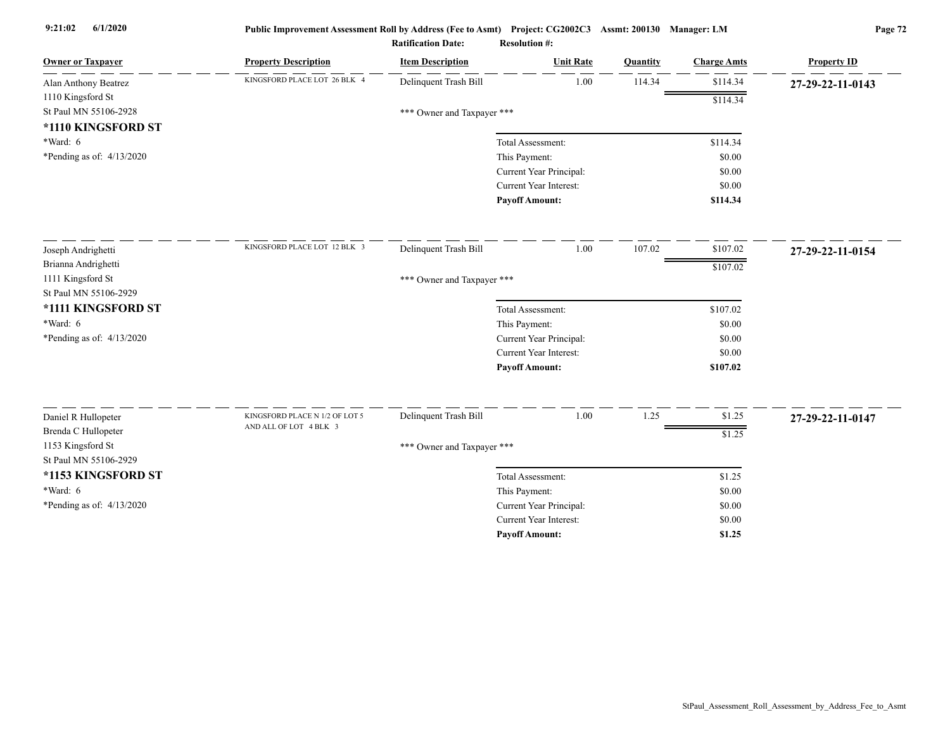| <b>Owner or Taxpayer</b>                 | <b>Property Description</b>    | <b>Item Description</b> | <b>Unit Rate</b>                         | Quantity | <b>Charge Amts</b> | <b>Property ID</b> |
|------------------------------------------|--------------------------------|-------------------------|------------------------------------------|----------|--------------------|--------------------|
| Alan Anthony Beatrez                     | KINGSFORD PLACE LOT 26 BLK 4   | Delinquent Trash Bill   | 1.00                                     | 114.34   | \$114.34           | 27-29-22-11-0143   |
| 1110 Kingsford St                        |                                |                         |                                          |          | \$114.34           |                    |
| St Paul MN 55106-2928                    | *** Owner and Taxpayer ***     |                         |                                          |          |                    |                    |
| *1110 KINGSFORD ST                       |                                |                         |                                          |          |                    |                    |
| *Ward: 6                                 |                                |                         | Total Assessment:                        |          | \$114.34           |                    |
| *Pending as of: 4/13/2020                |                                |                         | This Payment:                            |          | \$0.00             |                    |
|                                          |                                |                         | Current Year Principal:                  |          | \$0.00             |                    |
|                                          |                                |                         | <b>Current Year Interest:</b>            |          | \$0.00             |                    |
|                                          |                                |                         | <b>Payoff Amount:</b>                    |          | \$114.34           |                    |
| Joseph Andrighetti                       | KINGSFORD PLACE LOT 12 BLK 3   | Delinquent Trash Bill   | 1.00                                     | 107.02   | \$107.02           | 27-29-22-11-0154   |
| Brianna Andrighetti                      |                                |                         |                                          |          | \$107.02           |                    |
| 1111 Kingsford St                        | *** Owner and Taxpayer ***     |                         |                                          |          |                    |                    |
| St Paul MN 55106-2929                    |                                |                         |                                          |          |                    |                    |
| *1111 KINGSFORD ST                       |                                |                         | Total Assessment:                        |          | \$107.02           |                    |
| *Ward: 6                                 |                                |                         | This Payment:                            |          | \$0.00             |                    |
| *Pending as of: 4/13/2020                |                                |                         | Current Year Principal:                  |          | \$0.00             |                    |
|                                          |                                |                         | <b>Current Year Interest:</b>            |          | \$0.00             |                    |
|                                          |                                |                         | <b>Payoff Amount:</b>                    |          | \$107.02           |                    |
|                                          | KINGSFORD PLACE N 1/2 OF LOT 5 | Delinquent Trash Bill   | 1.00                                     | 1.25     | \$1.25             |                    |
| Daniel R Hullopeter                      | AND ALL OF LOT 4 BLK 3         |                         |                                          |          |                    | 27-29-22-11-0147   |
| Brenda C Hullopeter<br>1153 Kingsford St | \$1.25                         |                         |                                          |          |                    |                    |
| St Paul MN 55106-2929                    | *** Owner and Taxpayer ***     |                         |                                          |          |                    |                    |
| *1153 KINGSFORD ST                       |                                |                         | Total Assessment:                        |          | \$1.25             |                    |
| *Ward: 6                                 |                                |                         |                                          |          | \$0.00             |                    |
| *Pending as of: 4/13/2020                |                                |                         | This Payment:<br>Current Year Principal: |          | \$0.00             |                    |
|                                          |                                |                         | Current Year Interest:                   |          | \$0.00             |                    |
|                                          |                                |                         | <b>Payoff Amount:</b>                    |          | \$1.25             |                    |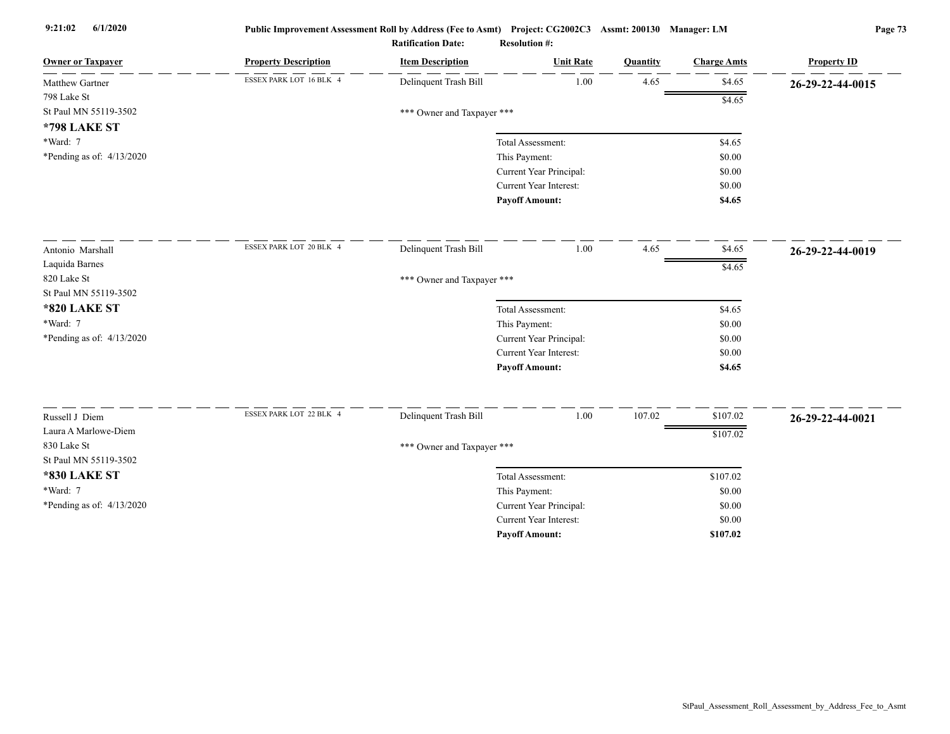| <b>Owner or Taxpayer</b>    | <b>Property Description</b> | <b>Item Description</b>    | <b>Unit Rate</b>              | Quantity | <b>Charge Amts</b> | <b>Property ID</b> |
|-----------------------------|-----------------------------|----------------------------|-------------------------------|----------|--------------------|--------------------|
| Matthew Gartner             | ESSEX PARK LOT 16 BLK 4     | Delinquent Trash Bill      | 1.00                          | 4.65     | \$4.65             | 26-29-22-44-0015   |
| 798 Lake St                 |                             |                            |                               |          | \$4.65             |                    |
| St Paul MN 55119-3502       |                             | *** Owner and Taxpayer *** |                               |          |                    |                    |
| <b>*798 LAKE ST</b>         |                             |                            |                               |          |                    |                    |
| *Ward: 7                    |                             |                            | Total Assessment:             |          | \$4.65             |                    |
| *Pending as of: $4/13/2020$ |                             |                            | This Payment:                 |          | \$0.00             |                    |
|                             |                             |                            | Current Year Principal:       |          | \$0.00             |                    |
|                             |                             |                            | Current Year Interest:        |          | \$0.00             |                    |
|                             |                             |                            | <b>Payoff Amount:</b>         |          | \$4.65             |                    |
| Antonio Marshall            | ESSEX PARK LOT 20 BLK 4     | Delinquent Trash Bill      | 1.00                          | 4.65     | \$4.65             | 26-29-22-44-0019   |
| Laquida Barnes              |                             |                            |                               |          | \$4.65             |                    |
| 820 Lake St                 |                             | *** Owner and Taxpayer *** |                               |          |                    |                    |
| St Paul MN 55119-3502       |                             |                            |                               |          |                    |                    |
| <b>*820 LAKE ST</b>         |                             |                            | Total Assessment:             |          | \$4.65             |                    |
| *Ward: 7                    |                             |                            | This Payment:                 |          | \$0.00             |                    |
| *Pending as of: $4/13/2020$ |                             |                            | Current Year Principal:       |          | \$0.00             |                    |
|                             |                             |                            | <b>Current Year Interest:</b> |          | \$0.00             |                    |
|                             |                             |                            | <b>Payoff Amount:</b>         |          | \$4.65             |                    |
|                             | ESSEX PARK LOT 22 BLK 4     |                            |                               |          |                    |                    |
| Russell J Diem              |                             | Delinquent Trash Bill      | 1.00                          | 107.02   | \$107.02           | 26-29-22-44-0021   |
| Laura A Marlowe-Diem        |                             |                            |                               |          | \$107.02           |                    |
| 830 Lake St                 |                             | *** Owner and Taxpayer *** |                               |          |                    |                    |
| St Paul MN 55119-3502       |                             |                            |                               |          |                    |                    |
| <b>*830 LAKE ST</b>         |                             |                            | Total Assessment:             |          | \$107.02           |                    |
| *Ward: 7                    |                             |                            | This Payment:                 |          | \$0.00             |                    |
| *Pending as of: $4/13/2020$ |                             |                            | Current Year Principal:       |          | \$0.00             |                    |
|                             |                             |                            | Current Year Interest:        |          | \$0.00             |                    |
|                             |                             |                            | <b>Payoff Amount:</b>         |          | \$107.02           |                    |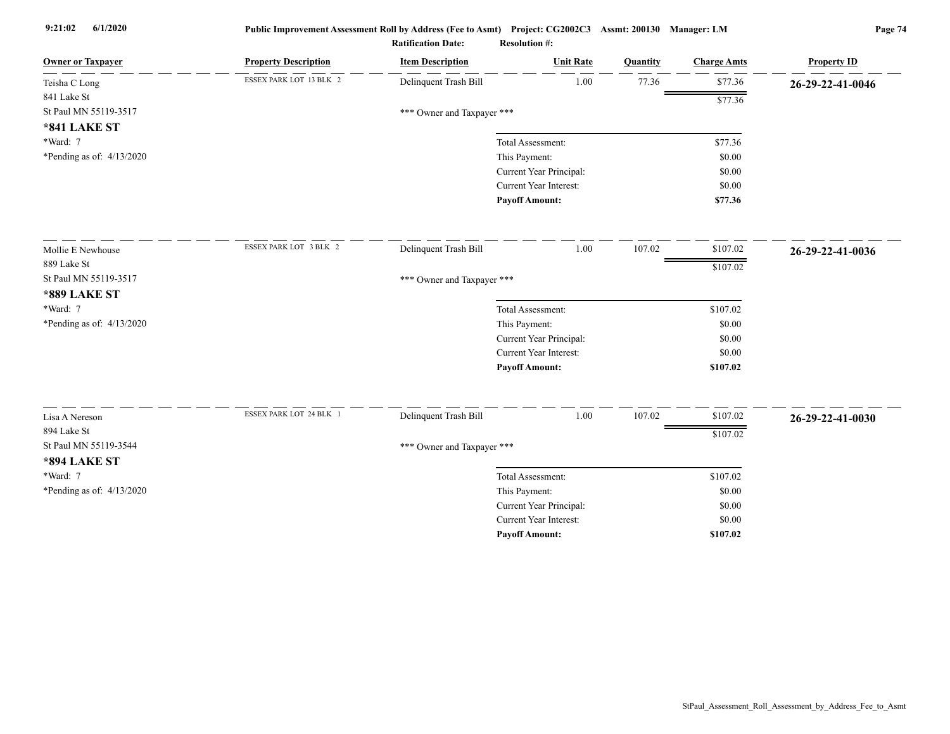| <b>Owner or Taxpayer</b>    | <b>Property Description</b> | <b>Item Description</b>    | <b>Unit Rate</b>              | Quantity | <b>Charge Amts</b> | <b>Property ID</b> |
|-----------------------------|-----------------------------|----------------------------|-------------------------------|----------|--------------------|--------------------|
| Teisha C Long               | ESSEX PARK LOT 13 BLK 2     | Delinquent Trash Bill      | 1.00                          | 77.36    | \$77.36            | 26-29-22-41-0046   |
| 841 Lake St                 |                             |                            |                               |          | \$77.36            |                    |
| St Paul MN 55119-3517       |                             | *** Owner and Taxpayer *** |                               |          |                    |                    |
| <b>*841 LAKE ST</b>         |                             |                            |                               |          |                    |                    |
| *Ward: 7                    |                             |                            | Total Assessment:             |          | \$77.36            |                    |
| *Pending as of: $4/13/2020$ |                             |                            | This Payment:                 |          | \$0.00             |                    |
|                             |                             |                            | Current Year Principal:       |          | \$0.00             |                    |
|                             |                             |                            | <b>Current Year Interest:</b> |          | \$0.00             |                    |
|                             |                             |                            | <b>Payoff Amount:</b>         |          | \$77.36            |                    |
| Mollie E Newhouse           | ESSEX PARK LOT 3 BLK 2      | Delinquent Trash Bill      | 1.00                          | 107.02   | \$107.02           | 26-29-22-41-0036   |
| 889 Lake St                 |                             |                            |                               |          | \$107.02           |                    |
| St Paul MN 55119-3517       |                             | *** Owner and Taxpayer *** |                               |          |                    |                    |
| <b>*889 LAKE ST</b>         |                             |                            |                               |          |                    |                    |
| *Ward: 7                    |                             |                            | Total Assessment:             |          | \$107.02           |                    |
| *Pending as of: 4/13/2020   |                             |                            | This Payment:                 |          | \$0.00             |                    |
|                             |                             |                            | Current Year Principal:       |          | \$0.00             |                    |
|                             |                             |                            | Current Year Interest:        |          | \$0.00             |                    |
|                             |                             |                            | <b>Payoff Amount:</b>         |          | \$107.02           |                    |
| Lisa A Nereson              | ESSEX PARK LOT 24 BLK 1     | Delinquent Trash Bill      | 1.00                          | 107.02   | \$107.02           | 26-29-22-41-0030   |
| 894 Lake St                 |                             |                            |                               |          |                    |                    |
| St Paul MN 55119-3544       |                             | *** Owner and Taxpayer *** |                               |          | \$107.02           |                    |
| <b>*894 LAKE ST</b>         |                             |                            |                               |          |                    |                    |
| *Ward: 7                    |                             |                            | Total Assessment:             |          | \$107.02           |                    |
| *Pending as of: 4/13/2020   |                             |                            | This Payment:                 |          | \$0.00             |                    |
|                             |                             |                            | Current Year Principal:       |          | \$0.00             |                    |
|                             |                             |                            | <b>Current Year Interest:</b> |          | \$0.00             |                    |
|                             |                             |                            | <b>Payoff Amount:</b>         |          | \$107.02           |                    |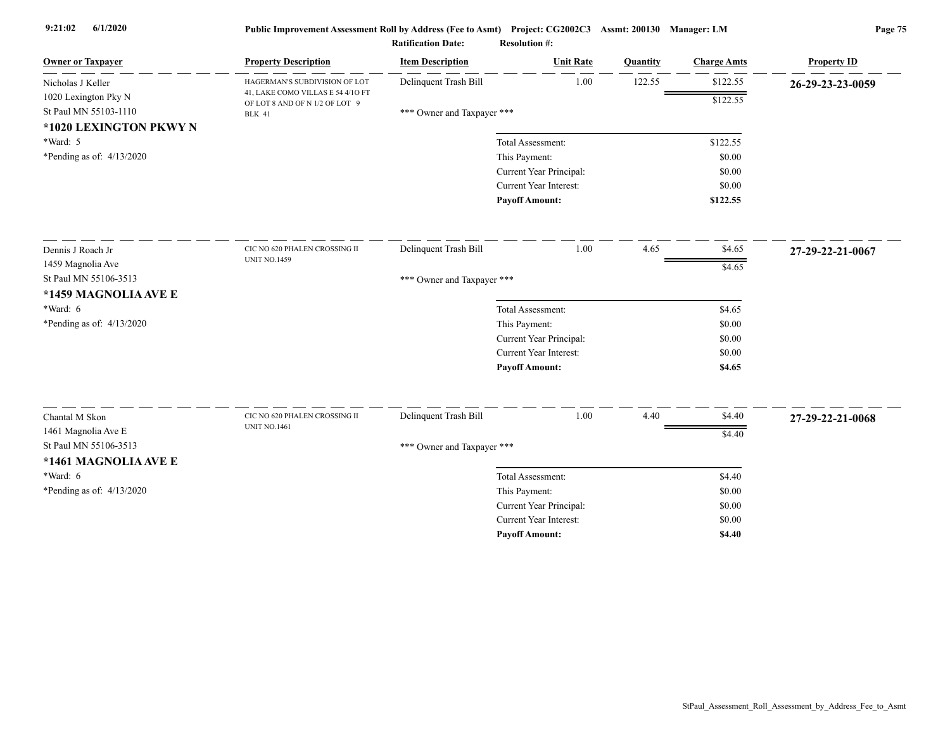| <b>Owner or Taxpayer</b>    | <b>Property Description</b>                                         | <b>Item Description</b>    | <b>Unit Rate</b>              | Quantity | <b>Charge Amts</b> | <b>Property ID</b> |
|-----------------------------|---------------------------------------------------------------------|----------------------------|-------------------------------|----------|--------------------|--------------------|
| Nicholas J Keller           | HAGERMAN'S SUBDIVISION OF LOT                                       | Delinquent Trash Bill      | 1.00                          | 122.55   | \$122.55           | 26-29-23-23-0059   |
| 1020 Lexington Pky N        | 41, LAKE COMO VILLAS E 54 4/10 FT<br>OF LOT 8 AND OF N 1/2 OF LOT 9 |                            |                               |          | \$122.55           |                    |
| St Paul MN 55103-1110       | <b>BLK 41</b>                                                       | *** Owner and Taxpayer *** |                               |          |                    |                    |
| *1020 LEXINGTON PKWY N      |                                                                     |                            |                               |          |                    |                    |
| *Ward: 5                    |                                                                     |                            | Total Assessment:             |          | \$122.55           |                    |
| *Pending as of: $4/13/2020$ |                                                                     |                            | This Payment:                 |          | \$0.00             |                    |
|                             |                                                                     |                            | Current Year Principal:       |          | \$0.00             |                    |
|                             |                                                                     |                            | Current Year Interest:        |          | \$0.00             |                    |
|                             |                                                                     |                            | <b>Payoff Amount:</b>         |          | \$122.55           |                    |
| Dennis J Roach Jr           | CIC NO 620 PHALEN CROSSING II                                       | Delinquent Trash Bill      | 1.00                          | 4.65     | \$4.65             | 27-29-22-21-0067   |
| 1459 Magnolia Ave           | <b>UNIT NO.1459</b>                                                 |                            |                               |          | \$4.65             |                    |
| St Paul MN 55106-3513       |                                                                     | *** Owner and Taxpayer *** |                               |          |                    |                    |
| *1459 MAGNOLIA AVE E        |                                                                     |                            |                               |          |                    |                    |
| *Ward: 6                    |                                                                     |                            | Total Assessment:             |          | \$4.65             |                    |
| *Pending as of: $4/13/2020$ |                                                                     |                            | This Payment:                 |          | \$0.00             |                    |
|                             |                                                                     |                            | Current Year Principal:       |          | \$0.00             |                    |
|                             |                                                                     |                            | Current Year Interest:        |          | \$0.00             |                    |
|                             |                                                                     |                            | <b>Payoff Amount:</b>         |          | \$4.65             |                    |
|                             | CIC NO 620 PHALEN CROSSING II                                       | Delinquent Trash Bill      | 1.00                          | 4.40     |                    |                    |
| Chantal M Skon              | <b>UNIT NO.1461</b>                                                 |                            |                               |          | \$4.40             | 27-29-22-21-0068   |
| 1461 Magnolia Ave E         |                                                                     |                            |                               |          | \$4.40             |                    |
| St Paul MN 55106-3513       |                                                                     | *** Owner and Taxpayer *** |                               |          |                    |                    |
| *1461 MAGNOLIA AVE E        |                                                                     |                            |                               |          |                    |                    |
| *Ward: 6                    |                                                                     |                            | Total Assessment:             |          | \$4.40             |                    |
| *Pending as of: $4/13/2020$ |                                                                     |                            | This Payment:                 |          | \$0.00             |                    |
|                             |                                                                     |                            | Current Year Principal:       |          | \$0.00             |                    |
|                             |                                                                     |                            | <b>Current Year Interest:</b> |          | \$0.00             |                    |
|                             |                                                                     |                            | <b>Pavoff Amount:</b>         |          | \$4.40             |                    |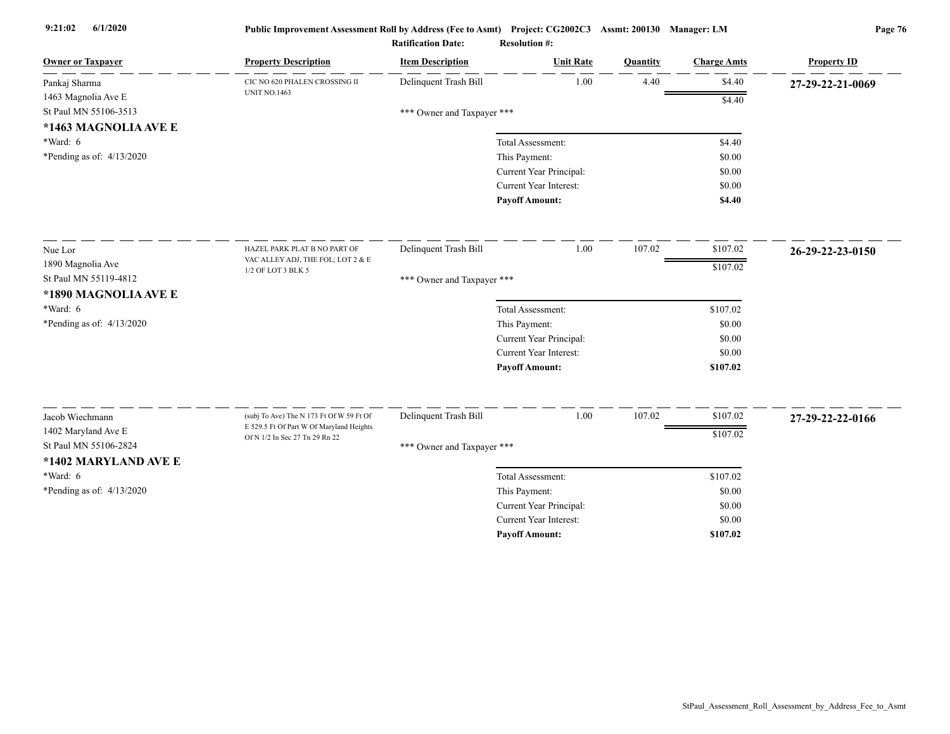| <b>Owner or Taxpayer</b>                     | <b>Property Description</b>                                                          | <b>Item Description</b>    | <b>Unit Rate</b>                         | Quantity | <b>Charge Amts</b> | <b>Property ID</b> |
|----------------------------------------------|--------------------------------------------------------------------------------------|----------------------------|------------------------------------------|----------|--------------------|--------------------|
| Pankaj Sharma                                | CIC NO 620 PHALEN CROSSING II<br><b>UNIT NO.1463</b>                                 | Delinquent Trash Bill      | 1.00                                     | 4.40     | \$4.40             | 27-29-22-21-0069   |
| 1463 Magnolia Ave E                          |                                                                                      |                            |                                          |          | \$4.40             |                    |
| St Paul MN 55106-3513                        |                                                                                      | *** Owner and Taxpayer *** |                                          |          |                    |                    |
| *1463 MAGNOLIA AVE E                         |                                                                                      |                            |                                          |          |                    |                    |
| $*Ward: 6$                                   |                                                                                      |                            | Total Assessment:                        |          | \$4.40             |                    |
| *Pending as of: $4/13/2020$                  |                                                                                      |                            | This Payment:<br>Current Year Principal: |          | \$0.00<br>\$0.00   |                    |
|                                              |                                                                                      |                            | Current Year Interest:                   |          | \$0.00             |                    |
|                                              |                                                                                      |                            | <b>Payoff Amount:</b>                    |          | \$4.40             |                    |
| Nue Lor                                      | HAZEL PARK PLAT B NO PART OF                                                         | Delinquent Trash Bill      | 1.00                                     | 107.02   | \$107.02           | 26-29-22-23-0150   |
| 1890 Magnolia Ave                            | VAC ALLEY ADJ, THE FOL; LOT 2 & E                                                    |                            |                                          |          |                    |                    |
| St Paul MN 55119-4812                        | 1/2 OF LOT 3 BLK 5                                                                   | *** Owner and Taxpayer *** |                                          |          | \$107.02           |                    |
| *1890 MAGNOLIA AVE E                         |                                                                                      |                            |                                          |          |                    |                    |
| *Ward: 6                                     |                                                                                      |                            | Total Assessment:                        |          | \$107.02           |                    |
| *Pending as of: 4/13/2020                    |                                                                                      |                            | This Payment:                            |          | \$0.00             |                    |
|                                              |                                                                                      |                            | Current Year Principal:                  |          | \$0.00             |                    |
|                                              |                                                                                      |                            | <b>Current Year Interest:</b>            |          | \$0.00             |                    |
|                                              |                                                                                      |                            | <b>Payoff Amount:</b>                    |          | \$107.02           |                    |
|                                              |                                                                                      |                            |                                          |          |                    |                    |
| Jacob Wiechmann                              | (subj To Ave) The N 173 Ft Of W 59 Ft Of<br>E 529.5 Ft Of Part W Of Maryland Heights | Delinquent Trash Bill      | 1.00                                     | 107.02   | \$107.02           | 27-29-22-22-0166   |
| 1402 Maryland Ave E<br>St Paul MN 55106-2824 | Of N 1/2 In Sec 27 Tn 29 Rn 22                                                       |                            |                                          |          | \$107.02           |                    |
| *1402 MARYLAND AVE E                         |                                                                                      | *** Owner and Taxpayer *** |                                          |          |                    |                    |
| *Ward: 6                                     |                                                                                      |                            | Total Assessment:                        |          | \$107.02           |                    |
| *Pending as of: $4/13/2020$                  |                                                                                      |                            | This Payment:                            |          | \$0.00             |                    |
|                                              |                                                                                      |                            | Current Year Principal:                  |          | \$0.00             |                    |
|                                              |                                                                                      |                            | <b>Current Year Interest:</b>            |          | \$0.00             |                    |
|                                              |                                                                                      |                            | <b>Pavoff Amount:</b>                    |          | \$107.02           |                    |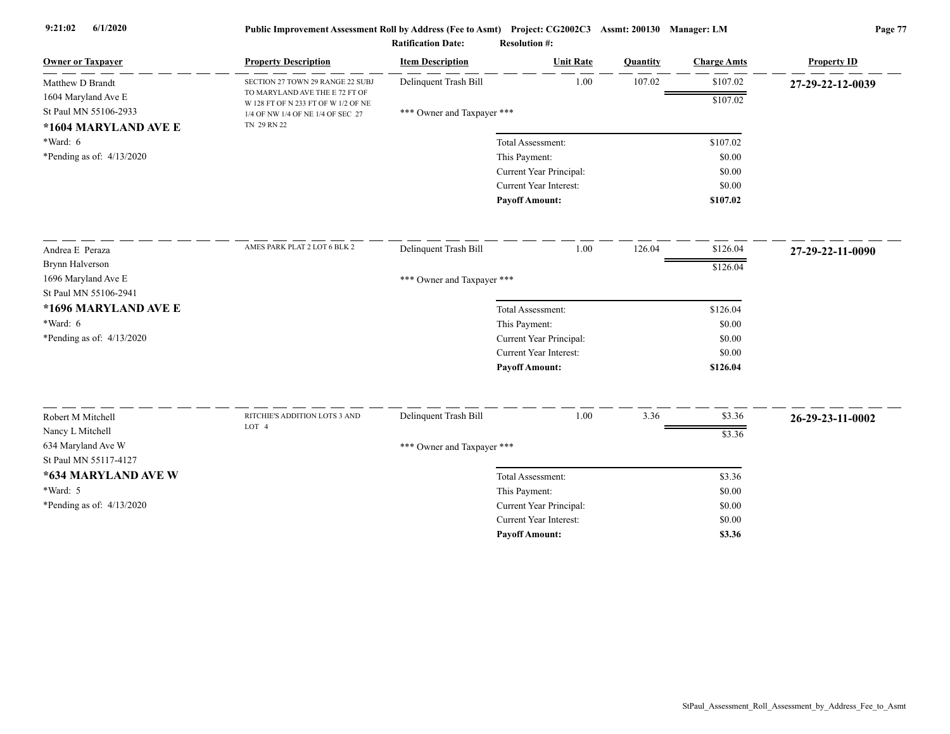| <b><i>LOUISO</i></b> Manager: LIM |  |
|-----------------------------------|--|
|                                   |  |

|                                        |                                                                       | <b>Ratification Date:</b>  | <b>Resolution #:</b>          |          |                    |                    |
|----------------------------------------|-----------------------------------------------------------------------|----------------------------|-------------------------------|----------|--------------------|--------------------|
| <b>Owner or Taxpayer</b>               | <b>Property Description</b>                                           | <b>Item Description</b>    | <b>Unit Rate</b>              | Quantity | <b>Charge Amts</b> | <b>Property ID</b> |
| Matthew D Brandt                       | SECTION 27 TOWN 29 RANGE 22 SUBJ                                      | Delinquent Trash Bill      | 1.00                          | 107.02   | \$107.02           | 27-29-22-12-0039   |
| 1604 Maryland Ave E                    | TO MARYLAND AVE THE E 72 FT OF<br>W 128 FT OF N 233 FT OF W 1/2 OF NE |                            |                               |          | \$107.02           |                    |
| St Paul MN 55106-2933                  | 1/4 OF NW 1/4 OF NE 1/4 OF SEC 27                                     | *** Owner and Taxpayer *** |                               |          |                    |                    |
| *1604 MARYLAND AVE E                   | TN 29 RN 22                                                           |                            |                               |          |                    |                    |
| $*Ward: 6$                             |                                                                       |                            | Total Assessment:             |          | \$107.02           |                    |
| *Pending as of: 4/13/2020              |                                                                       |                            | This Payment:                 |          | \$0.00             |                    |
|                                        |                                                                       |                            | Current Year Principal:       |          | \$0.00             |                    |
|                                        |                                                                       |                            | <b>Current Year Interest:</b> |          | \$0.00             |                    |
|                                        |                                                                       |                            | <b>Payoff Amount:</b>         |          | \$107.02           |                    |
| Andrea E Peraza                        | AMES PARK PLAT 2 LOT 6 BLK 2                                          | Delinquent Trash Bill      | 1.00                          | 126.04   | \$126.04           | 27-29-22-11-0090   |
| Brynn Halverson                        |                                                                       |                            |                               |          | \$126.04           |                    |
| 1696 Maryland Ave E                    |                                                                       | *** Owner and Taxpayer *** |                               |          |                    |                    |
| St Paul MN 55106-2941                  |                                                                       |                            |                               |          |                    |                    |
| *1696 MARYLAND AVE E                   |                                                                       |                            | Total Assessment:             |          | \$126.04           |                    |
| *Ward: 6                               |                                                                       |                            | This Payment:                 |          | \$0.00             |                    |
| *Pending as of: 4/13/2020              |                                                                       |                            | Current Year Principal:       |          | \$0.00             |                    |
|                                        |                                                                       |                            | <b>Current Year Interest:</b> |          | \$0.00             |                    |
|                                        |                                                                       |                            | <b>Payoff Amount:</b>         |          | \$126.04           |                    |
| Robert M Mitchell                      | RITCHIE'S ADDITION LOTS 3 AND                                         |                            | 1.00                          | 3.36     | \$3.36             |                    |
|                                        | LOT 4                                                                 | Delinquent Trash Bill      |                               |          |                    | 26-29-23-11-0002   |
| Nancy L Mitchell<br>634 Maryland Ave W |                                                                       |                            |                               |          | \$3.36             |                    |
| St Paul MN 55117-4127                  |                                                                       | *** Owner and Taxpayer *** |                               |          |                    |                    |
| *634 MARYLAND AVE W                    |                                                                       |                            | Total Assessment:             |          | \$3.36             |                    |
| $*Ward: 5$                             |                                                                       |                            | This Payment:                 |          | \$0.00             |                    |
| *Pending as of: $4/13/2020$            |                                                                       |                            | Current Year Principal:       |          | \$0.00             |                    |
|                                        |                                                                       |                            | <b>Current Year Interest:</b> |          | \$0.00             |                    |
|                                        |                                                                       |                            | <b>Payoff Amount:</b>         |          | \$3.36             |                    |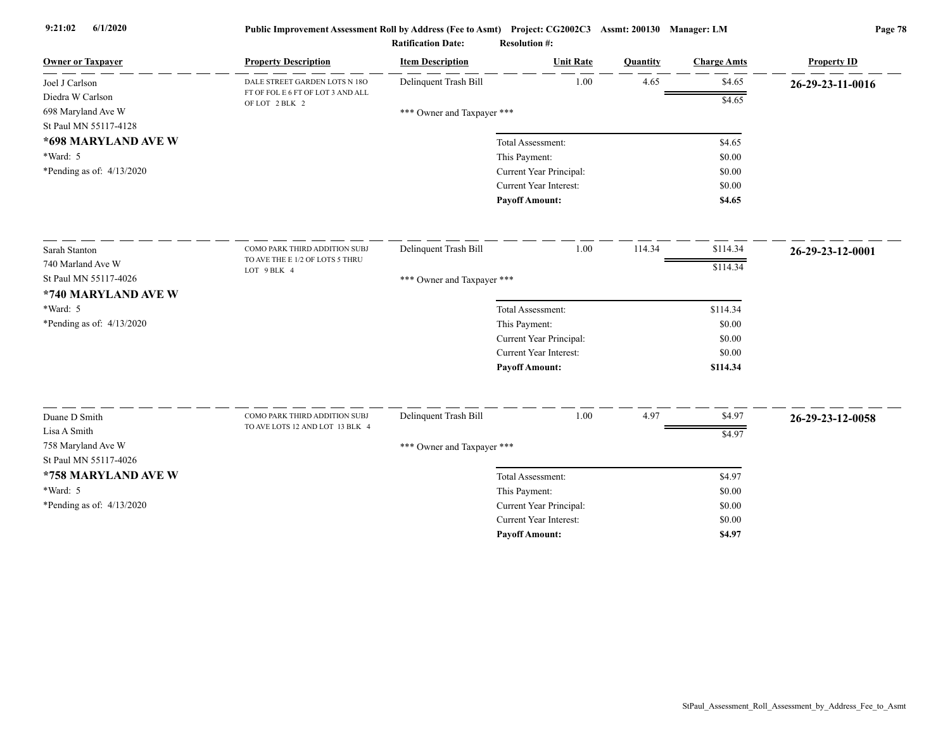| <b>Owner or Taxpayer</b>                                        | <b>Property Description</b>                         | <b>Item Description</b>    | <b>Unit Rate</b>              | Quantity | <b>Charge Amts</b> | <b>Property ID</b> |
|-----------------------------------------------------------------|-----------------------------------------------------|----------------------------|-------------------------------|----------|--------------------|--------------------|
| Joel J Carlson                                                  | DALE STREET GARDEN LOTS N 18O                       | Delinquent Trash Bill      | 1.00                          | 4.65     | \$4.65             | 26-29-23-11-0016   |
| Diedra W Carlson<br>698 Maryland Ave W<br>St Paul MN 55117-4128 | FT OF FOL E 6 FT OF LOT 3 AND ALL<br>OF LOT 2 BLK 2 | *** Owner and Taxpayer *** |                               |          | \$4.65             |                    |
| *698 MARYLAND AVE W                                             |                                                     |                            | Total Assessment:             |          | \$4.65             |                    |
| $*Ward: 5$                                                      |                                                     |                            | This Payment:                 |          | \$0.00             |                    |
| *Pending as of: $4/13/2020$                                     |                                                     |                            | Current Year Principal:       |          | \$0.00             |                    |
|                                                                 |                                                     |                            | <b>Current Year Interest:</b> |          | \$0.00             |                    |
|                                                                 |                                                     |                            | <b>Payoff Amount:</b>         |          | \$4.65             |                    |
| Sarah Stanton                                                   | COMO PARK THIRD ADDITION SUBJ                       | Delinquent Trash Bill      | 1.00                          | 114.34   | \$114.34           | 26-29-23-12-0001   |
| 740 Marland Ave W                                               | TO AVE THE E 1/2 OF LOTS 5 THRU                     |                            |                               |          | \$114.34           |                    |
| St Paul MN 55117-4026                                           | LOT 9 BLK 4                                         | *** Owner and Taxpayer *** |                               |          |                    |                    |
| *740 MARYLAND AVE W                                             |                                                     |                            |                               |          |                    |                    |
| *Ward: 5                                                        |                                                     |                            | Total Assessment:             |          | \$114.34           |                    |
| *Pending as of: 4/13/2020                                       |                                                     |                            | This Payment:                 |          | \$0.00             |                    |
|                                                                 |                                                     |                            | Current Year Principal:       |          | \$0.00             |                    |
|                                                                 |                                                     |                            | <b>Current Year Interest:</b> |          | \$0.00             |                    |
|                                                                 |                                                     |                            | <b>Payoff Amount:</b>         |          | \$114.34           |                    |
|                                                                 | COMO PARK THIRD ADDITION SUBJ                       | Delinquent Trash Bill      | 1.00                          | 4.97     |                    |                    |
| Duane D Smith<br>Lisa A Smith                                   | TO AVE LOTS 12 AND LOT 13 BLK 4                     |                            |                               |          | \$4.97             | 26-29-23-12-0058   |
| 758 Maryland Ave W                                              |                                                     |                            |                               |          | \$4.97             |                    |
| St Paul MN 55117-4026                                           |                                                     | *** Owner and Taxpayer *** |                               |          |                    |                    |
| *758 MARYLAND AVE W                                             |                                                     |                            | Total Assessment:             |          | \$4.97             |                    |
| *Ward: 5                                                        |                                                     |                            | This Payment:                 |          | \$0.00             |                    |
| *Pending as of: 4/13/2020                                       |                                                     |                            | Current Year Principal:       |          | \$0.00             |                    |
|                                                                 |                                                     |                            | <b>Current Year Interest:</b> |          | \$0.00             |                    |
|                                                                 |                                                     |                            | <b>Pavoff Amount:</b>         |          | \$4.97             |                    |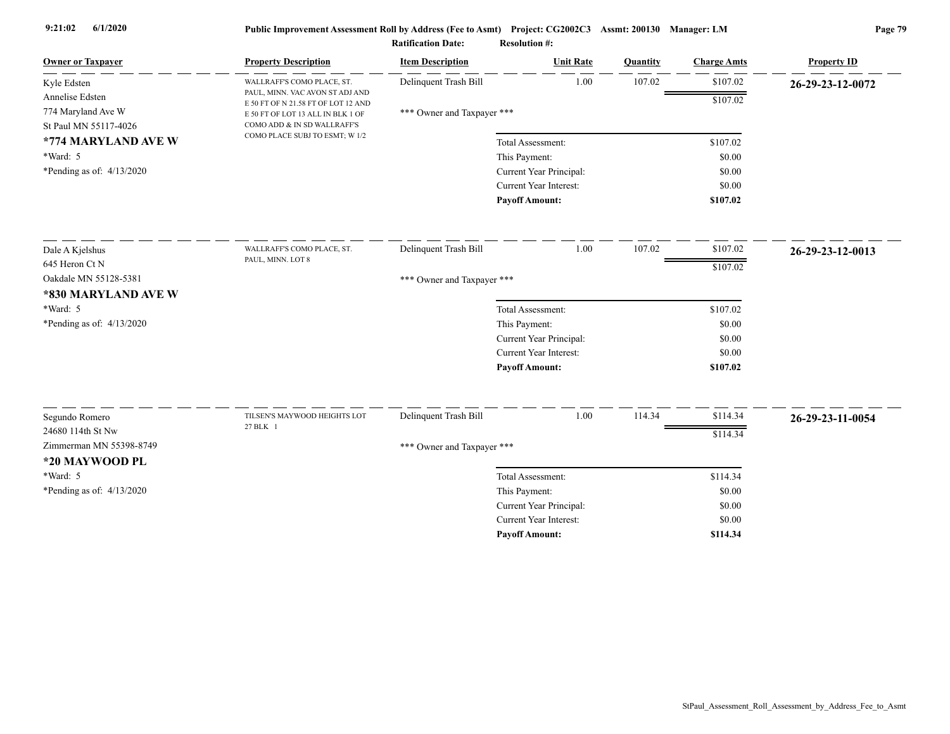| <b>Owner or Taxpayer</b>    | <b>Property Description</b>                                            | <b>Item Description</b>    | <b>Unit Rate</b>                         | Quantity | <b>Charge Amts</b> | <b>Property ID</b> |
|-----------------------------|------------------------------------------------------------------------|----------------------------|------------------------------------------|----------|--------------------|--------------------|
| Kyle Edsten                 | WALLRAFF'S COMO PLACE, ST.                                             | Delinquent Trash Bill      | 1.00                                     | 107.02   | \$107.02           | 26-29-23-12-0072   |
| Annelise Edsten             | PAUL, MINN. VAC AVON ST ADJ AND<br>E 50 FT OF N 21.58 FT OF LOT 12 AND |                            |                                          |          | \$107.02           |                    |
| 774 Maryland Ave W          | E 50 FT OF LOT 13 ALL IN BLK 1 OF                                      | *** Owner and Taxpayer *** |                                          |          |                    |                    |
| St Paul MN 55117-4026       | COMO ADD & IN SD WALLRAFF'S                                            |                            |                                          |          |                    |                    |
| *774 MARYLAND AVE W         | COMO PLACE SUBJ TO ESMT; W 1/2                                         |                            | Total Assessment:                        |          | \$107.02           |                    |
| *Ward: 5                    |                                                                        |                            | This Payment:                            |          | \$0.00             |                    |
| *Pending as of: 4/13/2020   |                                                                        |                            | Current Year Principal:                  |          | \$0.00             |                    |
|                             |                                                                        |                            | Current Year Interest:                   |          | \$0.00             |                    |
|                             |                                                                        |                            | <b>Payoff Amount:</b>                    |          | \$107.02           |                    |
| Dale A Kjelshus             | WALLRAFF'S COMO PLACE, ST.                                             | Delinquent Trash Bill      | 1.00                                     | 107.02   | \$107.02           | 26-29-23-12-0013   |
| 645 Heron Ct N              | PAUL, MINN. LOT 8                                                      |                            |                                          |          | \$107.02           |                    |
| Oakdale MN 55128-5381       |                                                                        | *** Owner and Taxpayer *** |                                          |          |                    |                    |
| *830 MARYLAND AVE W         |                                                                        |                            |                                          |          |                    |                    |
| *Ward: 5                    |                                                                        |                            | Total Assessment:                        |          | \$107.02           |                    |
| *Pending as of: 4/13/2020   |                                                                        |                            | This Payment:                            |          | \$0.00             |                    |
|                             |                                                                        |                            | Current Year Principal:                  |          | \$0.00             |                    |
|                             |                                                                        |                            | <b>Current Year Interest:</b>            |          | \$0.00             |                    |
|                             |                                                                        |                            | <b>Payoff Amount:</b>                    |          | \$107.02           |                    |
| Segundo Romero              | TILSEN'S MAYWOOD HEIGHTS LOT                                           | Delinquent Trash Bill      | 1.00                                     | 114.34   | \$114.34           |                    |
| 24680 114th St Nw           | 27 BLK 1                                                               |                            |                                          |          |                    | 26-29-23-11-0054   |
| Zimmerman MN 55398-8749     |                                                                        |                            |                                          |          | \$114.34           |                    |
| *20 MAYWOOD PL              |                                                                        | *** Owner and Taxpayer *** |                                          |          |                    |                    |
| *Ward: 5                    |                                                                        |                            | Total Assessment:                        |          | \$114.34           |                    |
|                             |                                                                        |                            |                                          |          | \$0.00             |                    |
| *Pending as of: $4/13/2020$ |                                                                        |                            | This Payment:<br>Current Year Principal: |          | \$0.00             |                    |
|                             |                                                                        |                            | <b>Current Year Interest:</b>            |          | \$0.00             |                    |
|                             |                                                                        |                            | <b>Pavoff Amount:</b>                    |          | \$114.34           |                    |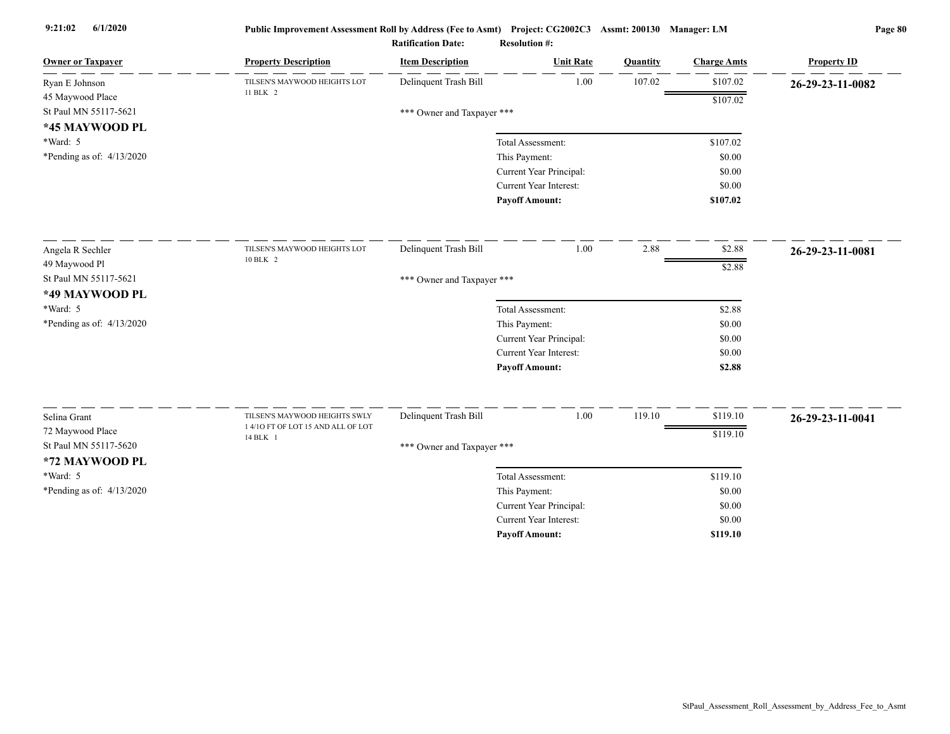| <b>Owner or Taxpayer</b>    | <b>Property Description</b>                                         | <b>Item Description</b>    | <b>Unit Rate</b>              | <b>Quantity</b> | <b>Charge Amts</b> | <b>Property ID</b> |
|-----------------------------|---------------------------------------------------------------------|----------------------------|-------------------------------|-----------------|--------------------|--------------------|
| Ryan E Johnson              | TILSEN'S MAYWOOD HEIGHTS LOT                                        | Delinquent Trash Bill      | 1.00                          | 107.02          | \$107.02           | 26-29-23-11-0082   |
| 45 Maywood Place            | 11 BLK 2                                                            |                            |                               |                 | \$107.02           |                    |
| St Paul MN 55117-5621       |                                                                     | *** Owner and Taxpayer *** |                               |                 |                    |                    |
| *45 MAYWOOD PL              |                                                                     |                            |                               |                 |                    |                    |
| *Ward: 5                    |                                                                     |                            | Total Assessment:             |                 | \$107.02           |                    |
| *Pending as of: $4/13/2020$ |                                                                     |                            | This Payment:                 |                 | \$0.00             |                    |
|                             |                                                                     |                            | Current Year Principal:       |                 | \$0.00             |                    |
|                             |                                                                     |                            | <b>Current Year Interest:</b> |                 | \$0.00             |                    |
|                             |                                                                     |                            | <b>Payoff Amount:</b>         |                 | \$107.02           |                    |
| Angela R Sechler            | TILSEN'S MAYWOOD HEIGHTS LOT                                        | Delinquent Trash Bill      | 1.00                          | 2.88            | \$2.88             | 26-29-23-11-0081   |
| 49 Maywood Pl               | 10 BLK 2                                                            |                            |                               |                 | \$2.88             |                    |
| St Paul MN 55117-5621       |                                                                     | *** Owner and Taxpayer *** |                               |                 |                    |                    |
| *49 MAYWOOD PL              |                                                                     |                            |                               |                 |                    |                    |
| *Ward: 5                    |                                                                     |                            | Total Assessment:             |                 | \$2.88             |                    |
| *Pending as of: $4/13/2020$ |                                                                     |                            | This Payment:                 |                 | \$0.00             |                    |
|                             |                                                                     |                            | Current Year Principal:       |                 | \$0.00             |                    |
|                             |                                                                     |                            | Current Year Interest:        |                 | \$0.00             |                    |
|                             |                                                                     |                            | <b>Payoff Amount:</b>         |                 | \$2.88             |                    |
|                             |                                                                     |                            | 1.00                          | 119.10          |                    |                    |
| Selina Grant                | TILSEN'S MAYWOOD HEIGHTS SWLY<br>1 4/10 FT OF LOT 15 AND ALL OF LOT | Delinquent Trash Bill      |                               |                 | \$119.10           | 26-29-23-11-0041   |
| 72 Maywood Place            | 14 BLK 1                                                            |                            |                               |                 | \$119.10           |                    |
| St Paul MN 55117-5620       |                                                                     | *** Owner and Taxpayer *** |                               |                 |                    |                    |
| *72 MAYWOOD PL              |                                                                     |                            |                               |                 |                    |                    |
| *Ward: 5                    |                                                                     |                            | Total Assessment:             |                 | \$119.10           |                    |
| *Pending as of: $4/13/2020$ |                                                                     |                            | This Payment:                 |                 | \$0.00             |                    |
|                             |                                                                     |                            | Current Year Principal:       |                 | \$0.00             |                    |
|                             |                                                                     |                            | <b>Current Year Interest:</b> |                 | \$0.00             |                    |
|                             |                                                                     |                            | <b>Pavoff Amount:</b>         |                 | \$119.10           |                    |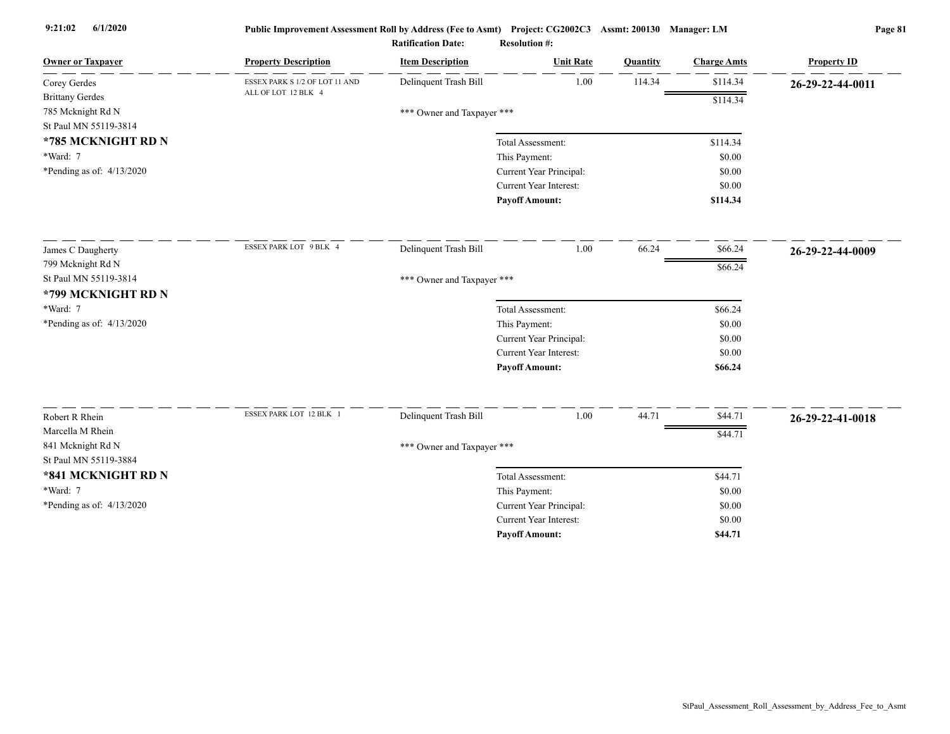| <b>Owner or Taxpayer</b>                   | <b>Property Description</b>    | <b>Item Description</b>    | <b>Unit Rate</b>        | Quantity | <b>Charge Amts</b> | <b>Property ID</b> |
|--------------------------------------------|--------------------------------|----------------------------|-------------------------|----------|--------------------|--------------------|
| Corey Gerdes                               | ESSEX PARK S 1/2 OF LOT 11 AND | Delinquent Trash Bill      | 1.00                    | 114.34   | \$114.34           | 26-29-22-44-0011   |
| <b>Brittany Gerdes</b>                     | ALL OF LOT 12 BLK 4            |                            |                         |          | \$114.34           |                    |
| 785 Mcknight Rd N                          |                                | *** Owner and Taxpayer *** |                         |          |                    |                    |
| St Paul MN 55119-3814                      |                                |                            |                         |          |                    |                    |
| *785 MCKNIGHT RD N                         |                                |                            | Total Assessment:       |          | \$114.34           |                    |
| *Ward: 7                                   |                                |                            | This Payment:           |          | \$0.00             |                    |
| *Pending as of: $4/13/2020$                |                                |                            | Current Year Principal: |          | \$0.00             |                    |
|                                            |                                |                            | Current Year Interest:  |          | \$0.00             |                    |
|                                            |                                |                            | <b>Payoff Amount:</b>   |          | \$114.34           |                    |
| James C Daugherty                          | ESSEX PARK LOT 9 BLK 4         | Delinquent Trash Bill      | 1.00                    | 66.24    | \$66.24            | 26-29-22-44-0009   |
| 799 Mcknight Rd N                          |                                |                            |                         |          | \$66.24            |                    |
| St Paul MN 55119-3814                      |                                | *** Owner and Taxpayer *** |                         |          |                    |                    |
| *799 MCKNIGHT RD N                         |                                |                            |                         |          |                    |                    |
| *Ward: 7                                   |                                |                            | Total Assessment:       |          | \$66.24            |                    |
| *Pending as of: $4/13/2020$                |                                |                            | This Payment:           |          | \$0.00             |                    |
|                                            |                                |                            | Current Year Principal: |          | \$0.00             |                    |
|                                            |                                |                            | Current Year Interest:  |          | \$0.00             |                    |
|                                            |                                |                            | <b>Payoff Amount:</b>   |          | \$66.24            |                    |
|                                            | ESSEX PARK LOT 12 BLK 1        |                            |                         |          |                    |                    |
| Robert R Rhein                             |                                | Delinquent Trash Bill      | $1.00\,$                | 44.71    | \$44.71            | 26-29-22-41-0018   |
| Marcella M Rhein                           |                                |                            |                         |          | \$44.71            |                    |
| 841 Mcknight Rd N<br>St Paul MN 55119-3884 |                                | *** Owner and Taxpayer *** |                         |          |                    |                    |
|                                            |                                |                            |                         |          |                    |                    |
| *841 MCKNIGHT RD N                         |                                |                            | Total Assessment:       |          | \$44.71            |                    |
| *Ward: 7                                   |                                |                            | This Payment:           |          | \$0.00             |                    |
| *Pending as of: $4/13/2020$                |                                |                            | Current Year Principal: |          | \$0.00             |                    |
|                                            |                                |                            | Current Year Interest:  |          | \$0.00             |                    |
|                                            |                                |                            | <b>Payoff Amount:</b>   |          | \$44.71            |                    |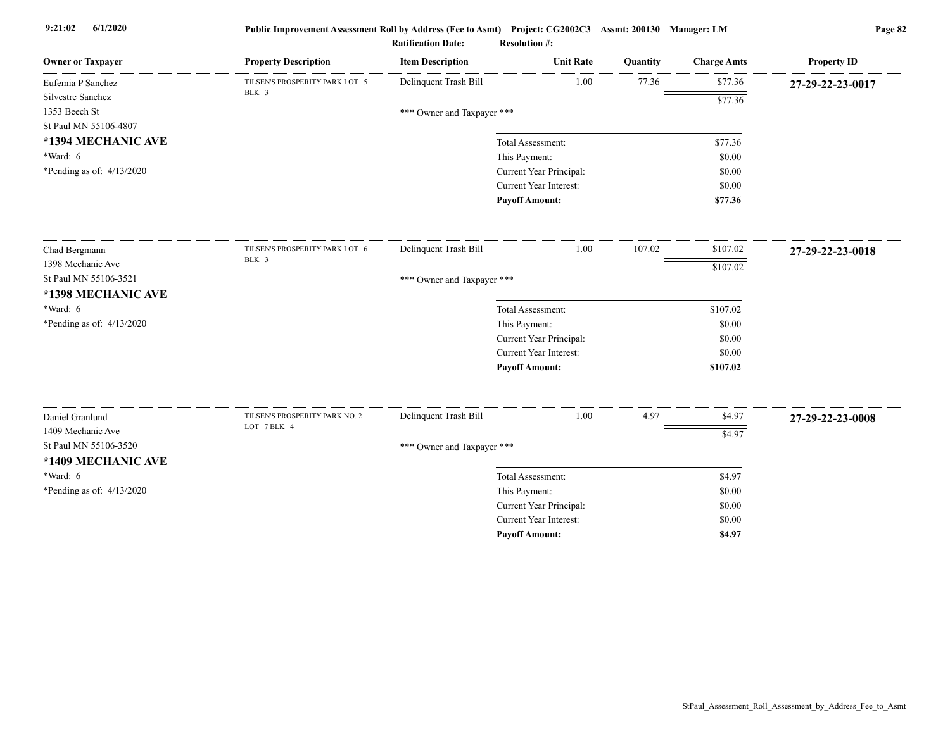| <b>Owner or Taxpayer</b>    | <b>Property Description</b>                   | <b>Item Description</b>    | <b>Unit Rate</b>              | Quantity | <b>Charge Amts</b> | <b>Property ID</b> |
|-----------------------------|-----------------------------------------------|----------------------------|-------------------------------|----------|--------------------|--------------------|
| Eufemia P Sanchez           | TILSEN'S PROSPERITY PARK LOT 5<br>BLK 3       | Delinquent Trash Bill      | 1.00                          | 77.36    | \$77.36            | 27-29-22-23-0017   |
| Silvestre Sanchez           |                                               |                            |                               |          | \$77.36            |                    |
| 1353 Beech St               |                                               | *** Owner and Taxpayer *** |                               |          |                    |                    |
| St Paul MN 55106-4807       |                                               |                            |                               |          |                    |                    |
| *1394 MECHANIC AVE          |                                               |                            | Total Assessment:             |          | \$77.36            |                    |
| *Ward: 6                    |                                               |                            | This Payment:                 |          | \$0.00             |                    |
| *Pending as of: 4/13/2020   |                                               |                            | Current Year Principal:       |          | \$0.00             |                    |
|                             |                                               |                            | <b>Current Year Interest:</b> |          | \$0.00             |                    |
|                             |                                               |                            | <b>Payoff Amount:</b>         |          | \$77.36            |                    |
| Chad Bergmann               | TILSEN'S PROSPERITY PARK LOT 6                | Delinquent Trash Bill      | 1.00                          | 107.02   | \$107.02           | 27-29-22-23-0018   |
| 1398 Mechanic Ave           | BLK 3                                         |                            |                               |          | \$107.02           |                    |
| St Paul MN 55106-3521       |                                               | *** Owner and Taxpayer *** |                               |          |                    |                    |
| *1398 MECHANIC AVE          |                                               |                            |                               |          |                    |                    |
| *Ward: 6                    |                                               |                            | Total Assessment:             |          | \$107.02           |                    |
| *Pending as of: $4/13/2020$ |                                               |                            | This Payment:                 |          | \$0.00             |                    |
|                             |                                               |                            | Current Year Principal:       |          | \$0.00             |                    |
|                             |                                               |                            | <b>Current Year Interest:</b> |          | \$0.00             |                    |
|                             |                                               |                            | <b>Payoff Amount:</b>         |          | \$107.02           |                    |
|                             |                                               |                            |                               |          |                    |                    |
| Daniel Granlund             | TILSEN'S PROSPERITY PARK NO. 2<br>LOT 7 BLK 4 | Delinquent Trash Bill      | $1.00\,$                      | 4.97     | \$4.97             | 27-29-22-23-0008   |
| 1409 Mechanic Ave           |                                               |                            |                               |          | \$4.97             |                    |
| St Paul MN 55106-3520       |                                               | *** Owner and Taxpayer *** |                               |          |                    |                    |
| *1409 MECHANIC AVE          |                                               |                            |                               |          |                    |                    |
| *Ward: 6                    |                                               |                            | Total Assessment:             |          | \$4.97             |                    |
| *Pending as of: $4/13/2020$ |                                               |                            | This Payment:                 |          | \$0.00             |                    |
|                             |                                               |                            | Current Year Principal:       |          | \$0.00             |                    |
|                             |                                               |                            | <b>Current Year Interest:</b> |          | \$0.00             |                    |
|                             |                                               |                            | <b>Payoff Amount:</b>         |          | \$4.97             |                    |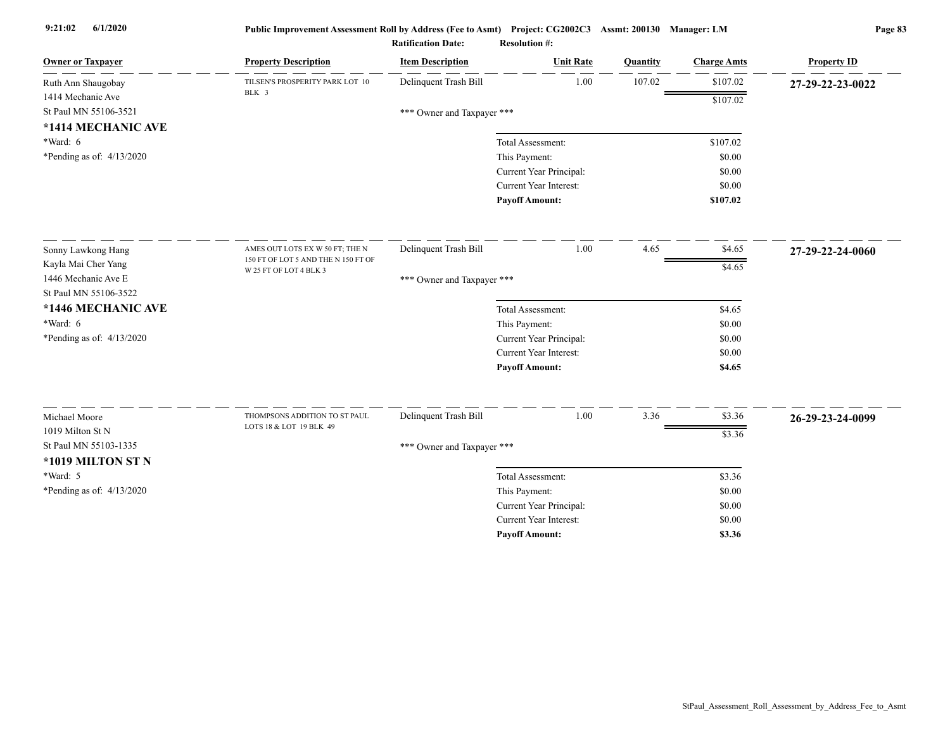| <b>Owner or Taxpayer</b>                  | <b>Property Description</b>         | <b>Item Description</b>    | <b>Unit Rate</b>              | Quantity | <b>Charge Amts</b> | <b>Property ID</b> |
|-------------------------------------------|-------------------------------------|----------------------------|-------------------------------|----------|--------------------|--------------------|
| Ruth Ann Shaugobay                        | TILSEN'S PROSPERITY PARK LOT 10     | Delinquent Trash Bill      | 1.00                          | 107.02   | \$107.02           | 27-29-22-23-0022   |
| 1414 Mechanic Ave                         | BLK 3                               |                            |                               |          | \$107.02           |                    |
| St Paul MN 55106-3521                     |                                     | *** Owner and Taxpayer *** |                               |          |                    |                    |
| *1414 MECHANIC AVE                        |                                     |                            |                               |          |                    |                    |
| *Ward: 6                                  |                                     |                            | Total Assessment:             |          | \$107.02           |                    |
| *Pending as of: $4/13/2020$               |                                     |                            | This Payment:                 |          | \$0.00             |                    |
|                                           |                                     |                            | Current Year Principal:       |          | \$0.00             |                    |
|                                           |                                     |                            | <b>Current Year Interest:</b> |          | \$0.00             |                    |
|                                           |                                     |                            | <b>Payoff Amount:</b>         |          | \$107.02           |                    |
|                                           | AMES OUT LOTS EX W 50 FT; THE N     | Delinquent Trash Bill      | 1.00                          | 4.65     | \$4.65             |                    |
| Sonny Lawkong Hang<br>Kayla Mai Cher Yang | 150 FT OF LOT 5 AND THE N 150 FT OF |                            |                               |          |                    | 27-29-22-24-0060   |
| 1446 Mechanic Ave E                       | W 25 FT OF LOT 4 BLK 3              | *** Owner and Taxpayer *** |                               |          | \$4.65             |                    |
| St Paul MN 55106-3522                     |                                     |                            |                               |          |                    |                    |
| *1446 MECHANIC AVE                        |                                     |                            | Total Assessment:             |          | \$4.65             |                    |
| *Ward: 6                                  |                                     |                            | This Payment:                 |          | \$0.00             |                    |
| *Pending as of: 4/13/2020                 |                                     |                            | Current Year Principal:       |          | \$0.00             |                    |
|                                           |                                     |                            | <b>Current Year Interest:</b> |          | \$0.00             |                    |
|                                           |                                     |                            | <b>Payoff Amount:</b>         |          | \$4.65             |                    |
|                                           |                                     |                            |                               |          |                    |                    |
| Michael Moore                             | THOMPSONS ADDITION TO ST PAUL       | Delinquent Trash Bill      | 1.00                          | 3.36     | \$3.36             | 26-29-23-24-0099   |
| 1019 Milton St N                          | LOTS 18 & LOT 19 BLK 49             |                            |                               |          | \$3.36             |                    |
| St Paul MN 55103-1335                     |                                     | *** Owner and Taxpayer *** |                               |          |                    |                    |
| *1019 MILTON ST N                         |                                     |                            |                               |          |                    |                    |
| *Ward: 5                                  |                                     |                            | Total Assessment:             |          | \$3.36             |                    |
| *Pending as of: 4/13/2020                 |                                     |                            | This Payment:                 |          | \$0.00             |                    |
|                                           |                                     |                            | Current Year Principal:       |          | \$0.00             |                    |
|                                           |                                     |                            | Current Year Interest:        |          | \$0.00             |                    |
|                                           |                                     |                            | <b>Pavoff Amount:</b>         |          | \$3.36             |                    |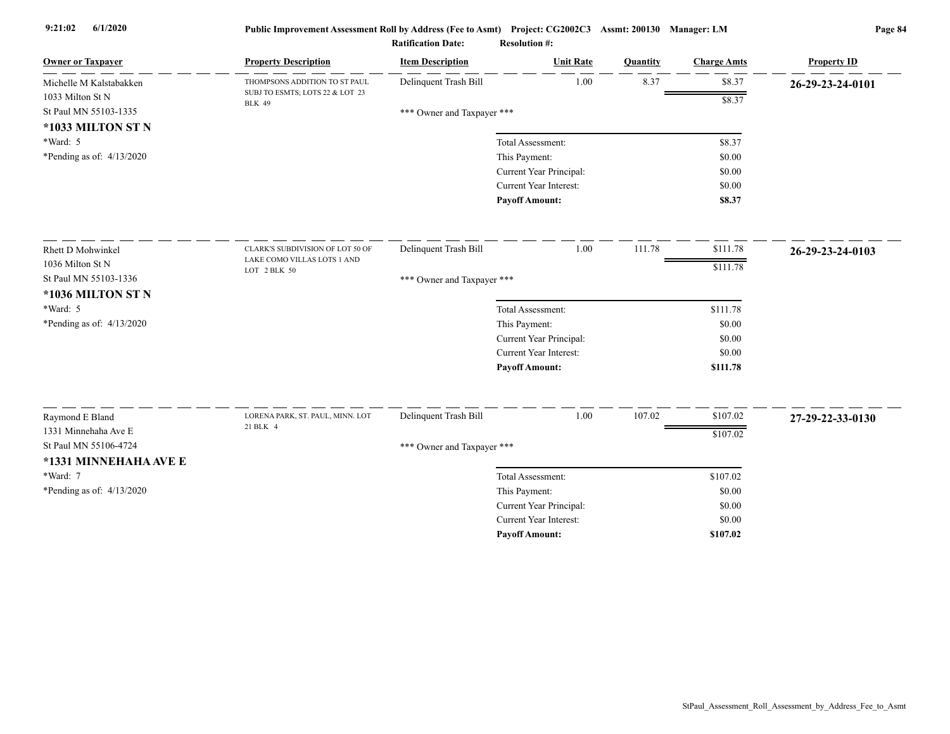| <b>Owner or Taxpayer</b>                                       | <b>Property Description</b>                      | <b>Item Description</b>    | <b>Unit Rate</b>              | Quantity | <b>Charge Amts</b> | <b>Property ID</b> |
|----------------------------------------------------------------|--------------------------------------------------|----------------------------|-------------------------------|----------|--------------------|--------------------|
| Michelle M Kalstabakken                                        | THOMPSONS ADDITION TO ST PAUL                    | Delinquent Trash Bill      | 1.00                          | 8.37     | \$8.37             | 26-29-23-24-0101   |
| 1033 Milton St N<br>St Paul MN 55103-1335<br>*1033 MILTON ST N | SUBJ TO ESMTS; LOTS 22 & LOT 23<br><b>BLK 49</b> | *** Owner and Taxpayer *** |                               |          | \$8.37             |                    |
| $*Ward: 5$                                                     |                                                  |                            | Total Assessment:             |          | \$8.37             |                    |
| *Pending as of: $4/13/2020$                                    |                                                  |                            | This Payment:                 |          | \$0.00             |                    |
|                                                                |                                                  |                            | Current Year Principal:       |          | \$0.00             |                    |
|                                                                |                                                  |                            | Current Year Interest:        |          | \$0.00             |                    |
|                                                                |                                                  |                            | <b>Payoff Amount:</b>         |          | \$8.37             |                    |
| <b>Rhett D Mohwinkel</b>                                       | CLARK'S SUBDIVISION OF LOT 50 OF                 | Delinquent Trash Bill      | 1.00                          | 111.78   | \$111.78           | 26-29-23-24-0103   |
| 1036 Milton St N                                               | LAKE COMO VILLAS LOTS 1 AND                      |                            |                               |          | \$111.78           |                    |
| St Paul MN 55103-1336<br>*1036 MILTON ST N                     | LOT 2 BLK 50                                     | *** Owner and Taxpayer *** |                               |          |                    |                    |
| *Ward: 5                                                       |                                                  |                            | Total Assessment:             |          | \$111.78           |                    |
| *Pending as of: $4/13/2020$                                    |                                                  |                            | This Payment:                 |          | \$0.00             |                    |
|                                                                |                                                  |                            | Current Year Principal:       |          | \$0.00             |                    |
|                                                                |                                                  |                            | <b>Current Year Interest:</b> |          | \$0.00             |                    |
|                                                                |                                                  |                            | <b>Payoff Amount:</b>         |          | \$111.78           |                    |
| Raymond E Bland                                                | LORENA PARK, ST. PAUL, MINN. LOT                 | Delinquent Trash Bill      | 1.00                          | 107.02   | \$107.02           | 27-29-22-33-0130   |
| 1331 Minnehaha Ave E                                           | 21 BLK 4                                         |                            |                               |          | \$107.02           |                    |
| St Paul MN 55106-4724                                          |                                                  | *** Owner and Taxpayer *** |                               |          |                    |                    |
| *1331 MINNEHAHA AVE E                                          |                                                  |                            |                               |          |                    |                    |
| *Ward: 7                                                       |                                                  |                            | Total Assessment:             |          | \$107.02           |                    |
| *Pending as of: 4/13/2020                                      |                                                  |                            | This Payment:                 |          | \$0.00             |                    |
|                                                                |                                                  |                            | Current Year Principal:       |          | \$0.00             |                    |
|                                                                |                                                  |                            | <b>Current Year Interest:</b> |          | \$0.00             |                    |
|                                                                |                                                  |                            | <b>Pavoff Amount:</b>         |          | \$107.02           |                    |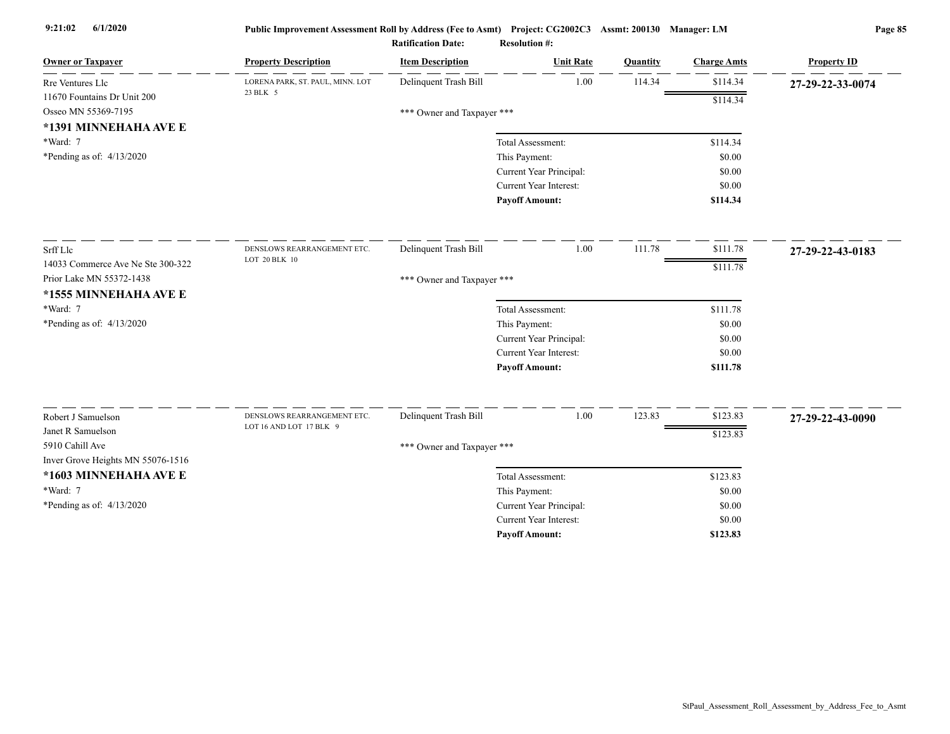| Delinquent Trash Bill<br>1.00<br>114.34<br>\$114.34<br>LORENA PARK, ST. PAUL, MINN. LOT<br>Rre Ventures Llc<br>27-29-22-33-0074<br>23 BLK 5<br>11670 Fountains Dr Unit 200<br>\$114.34<br>Osseo MN 55369-7195<br>*** Owner and Taxpayer ***<br>*1391 MINNEHAHA AVE E<br>*Ward: 7<br>Total Assessment:<br>\$114.34<br>*Pending as of: $4/13/2020$<br>This Payment:<br>\$0.00<br>Current Year Principal:<br>\$0.00<br>Current Year Interest:<br>\$0.00<br><b>Payoff Amount:</b><br>\$114.34<br>1.00<br>111.78<br>Delinquent Trash Bill<br>\$111.78<br>DENSLOWS REARRANGEMENT ETC.<br>27-29-22-43-0183<br>LOT 20 BLK 10<br>14033 Commerce Ave Ne Ste 300-322<br>\$111.78<br>Prior Lake MN 55372-1438<br>*** Owner and Taxpayer ***<br>*1555 MINNEHAHA AVE E<br>*Ward: 7<br>\$111.78<br>Total Assessment:<br>*Pending as of: 4/13/2020<br>This Payment:<br>\$0.00<br>Current Year Principal:<br>\$0.00<br>Current Year Interest:<br>\$0.00<br><b>Payoff Amount:</b><br>\$111.78<br>Delinquent Trash Bill<br>123.83<br>1.00<br>\$123.83<br>Robert J Samuelson<br>DENSLOWS REARRANGEMENT ETC.<br>27-29-22-43-0090<br>LOT 16 AND LOT 17 BLK 9<br>Janet R Samuelson<br>\$123.83<br>5910 Cahill Ave<br>*** Owner and Taxpayer ***<br>Inver Grove Heights MN 55076-1516<br>*1603 MINNEHAHA AVE E<br>Total Assessment:<br>\$123.83<br>*Ward: 7<br>This Payment:<br>\$0.00<br>*Pending as of: $4/13/2020$<br>Current Year Principal:<br>\$0.00<br><b>Current Year Interest:</b><br>\$0.00 | <b>Owner or Taxpayer</b> | <b>Property Description</b> | <b>Item Description</b> | <b>Unit Rate</b>      | Quantity | <b>Charge Amts</b> | <b>Property ID</b> |
|-------------------------------------------------------------------------------------------------------------------------------------------------------------------------------------------------------------------------------------------------------------------------------------------------------------------------------------------------------------------------------------------------------------------------------------------------------------------------------------------------------------------------------------------------------------------------------------------------------------------------------------------------------------------------------------------------------------------------------------------------------------------------------------------------------------------------------------------------------------------------------------------------------------------------------------------------------------------------------------------------------------------------------------------------------------------------------------------------------------------------------------------------------------------------------------------------------------------------------------------------------------------------------------------------------------------------------------------------------------------------------------------------------------------------------------------------------------------------------|--------------------------|-----------------------------|-------------------------|-----------------------|----------|--------------------|--------------------|
|                                                                                                                                                                                                                                                                                                                                                                                                                                                                                                                                                                                                                                                                                                                                                                                                                                                                                                                                                                                                                                                                                                                                                                                                                                                                                                                                                                                                                                                                               |                          |                             |                         |                       |          |                    |                    |
|                                                                                                                                                                                                                                                                                                                                                                                                                                                                                                                                                                                                                                                                                                                                                                                                                                                                                                                                                                                                                                                                                                                                                                                                                                                                                                                                                                                                                                                                               |                          |                             |                         |                       |          |                    |                    |
|                                                                                                                                                                                                                                                                                                                                                                                                                                                                                                                                                                                                                                                                                                                                                                                                                                                                                                                                                                                                                                                                                                                                                                                                                                                                                                                                                                                                                                                                               |                          |                             |                         |                       |          |                    |                    |
|                                                                                                                                                                                                                                                                                                                                                                                                                                                                                                                                                                                                                                                                                                                                                                                                                                                                                                                                                                                                                                                                                                                                                                                                                                                                                                                                                                                                                                                                               |                          |                             |                         |                       |          |                    |                    |
|                                                                                                                                                                                                                                                                                                                                                                                                                                                                                                                                                                                                                                                                                                                                                                                                                                                                                                                                                                                                                                                                                                                                                                                                                                                                                                                                                                                                                                                                               |                          |                             |                         |                       |          |                    |                    |
|                                                                                                                                                                                                                                                                                                                                                                                                                                                                                                                                                                                                                                                                                                                                                                                                                                                                                                                                                                                                                                                                                                                                                                                                                                                                                                                                                                                                                                                                               |                          |                             |                         |                       |          |                    |                    |
|                                                                                                                                                                                                                                                                                                                                                                                                                                                                                                                                                                                                                                                                                                                                                                                                                                                                                                                                                                                                                                                                                                                                                                                                                                                                                                                                                                                                                                                                               |                          |                             |                         |                       |          |                    |                    |
|                                                                                                                                                                                                                                                                                                                                                                                                                                                                                                                                                                                                                                                                                                                                                                                                                                                                                                                                                                                                                                                                                                                                                                                                                                                                                                                                                                                                                                                                               |                          |                             |                         |                       |          |                    |                    |
|                                                                                                                                                                                                                                                                                                                                                                                                                                                                                                                                                                                                                                                                                                                                                                                                                                                                                                                                                                                                                                                                                                                                                                                                                                                                                                                                                                                                                                                                               |                          |                             |                         |                       |          |                    |                    |
|                                                                                                                                                                                                                                                                                                                                                                                                                                                                                                                                                                                                                                                                                                                                                                                                                                                                                                                                                                                                                                                                                                                                                                                                                                                                                                                                                                                                                                                                               | Srff Llc                 |                             |                         |                       |          |                    |                    |
|                                                                                                                                                                                                                                                                                                                                                                                                                                                                                                                                                                                                                                                                                                                                                                                                                                                                                                                                                                                                                                                                                                                                                                                                                                                                                                                                                                                                                                                                               |                          |                             |                         |                       |          |                    |                    |
|                                                                                                                                                                                                                                                                                                                                                                                                                                                                                                                                                                                                                                                                                                                                                                                                                                                                                                                                                                                                                                                                                                                                                                                                                                                                                                                                                                                                                                                                               |                          |                             |                         |                       |          |                    |                    |
|                                                                                                                                                                                                                                                                                                                                                                                                                                                                                                                                                                                                                                                                                                                                                                                                                                                                                                                                                                                                                                                                                                                                                                                                                                                                                                                                                                                                                                                                               |                          |                             |                         |                       |          |                    |                    |
|                                                                                                                                                                                                                                                                                                                                                                                                                                                                                                                                                                                                                                                                                                                                                                                                                                                                                                                                                                                                                                                                                                                                                                                                                                                                                                                                                                                                                                                                               |                          |                             |                         |                       |          |                    |                    |
|                                                                                                                                                                                                                                                                                                                                                                                                                                                                                                                                                                                                                                                                                                                                                                                                                                                                                                                                                                                                                                                                                                                                                                                                                                                                                                                                                                                                                                                                               |                          |                             |                         |                       |          |                    |                    |
|                                                                                                                                                                                                                                                                                                                                                                                                                                                                                                                                                                                                                                                                                                                                                                                                                                                                                                                                                                                                                                                                                                                                                                                                                                                                                                                                                                                                                                                                               |                          |                             |                         |                       |          |                    |                    |
|                                                                                                                                                                                                                                                                                                                                                                                                                                                                                                                                                                                                                                                                                                                                                                                                                                                                                                                                                                                                                                                                                                                                                                                                                                                                                                                                                                                                                                                                               |                          |                             |                         |                       |          |                    |                    |
|                                                                                                                                                                                                                                                                                                                                                                                                                                                                                                                                                                                                                                                                                                                                                                                                                                                                                                                                                                                                                                                                                                                                                                                                                                                                                                                                                                                                                                                                               |                          |                             |                         |                       |          |                    |                    |
|                                                                                                                                                                                                                                                                                                                                                                                                                                                                                                                                                                                                                                                                                                                                                                                                                                                                                                                                                                                                                                                                                                                                                                                                                                                                                                                                                                                                                                                                               |                          |                             |                         |                       |          |                    |                    |
|                                                                                                                                                                                                                                                                                                                                                                                                                                                                                                                                                                                                                                                                                                                                                                                                                                                                                                                                                                                                                                                                                                                                                                                                                                                                                                                                                                                                                                                                               |                          |                             |                         |                       |          |                    |                    |
|                                                                                                                                                                                                                                                                                                                                                                                                                                                                                                                                                                                                                                                                                                                                                                                                                                                                                                                                                                                                                                                                                                                                                                                                                                                                                                                                                                                                                                                                               |                          |                             |                         |                       |          |                    |                    |
|                                                                                                                                                                                                                                                                                                                                                                                                                                                                                                                                                                                                                                                                                                                                                                                                                                                                                                                                                                                                                                                                                                                                                                                                                                                                                                                                                                                                                                                                               |                          |                             |                         |                       |          |                    |                    |
|                                                                                                                                                                                                                                                                                                                                                                                                                                                                                                                                                                                                                                                                                                                                                                                                                                                                                                                                                                                                                                                                                                                                                                                                                                                                                                                                                                                                                                                                               |                          |                             |                         |                       |          |                    |                    |
|                                                                                                                                                                                                                                                                                                                                                                                                                                                                                                                                                                                                                                                                                                                                                                                                                                                                                                                                                                                                                                                                                                                                                                                                                                                                                                                                                                                                                                                                               |                          |                             |                         |                       |          |                    |                    |
|                                                                                                                                                                                                                                                                                                                                                                                                                                                                                                                                                                                                                                                                                                                                                                                                                                                                                                                                                                                                                                                                                                                                                                                                                                                                                                                                                                                                                                                                               |                          |                             |                         |                       |          |                    |                    |
|                                                                                                                                                                                                                                                                                                                                                                                                                                                                                                                                                                                                                                                                                                                                                                                                                                                                                                                                                                                                                                                                                                                                                                                                                                                                                                                                                                                                                                                                               |                          |                             |                         |                       |          |                    |                    |
|                                                                                                                                                                                                                                                                                                                                                                                                                                                                                                                                                                                                                                                                                                                                                                                                                                                                                                                                                                                                                                                                                                                                                                                                                                                                                                                                                                                                                                                                               |                          |                             |                         | <b>Payoff Amount:</b> |          | \$123.83           |                    |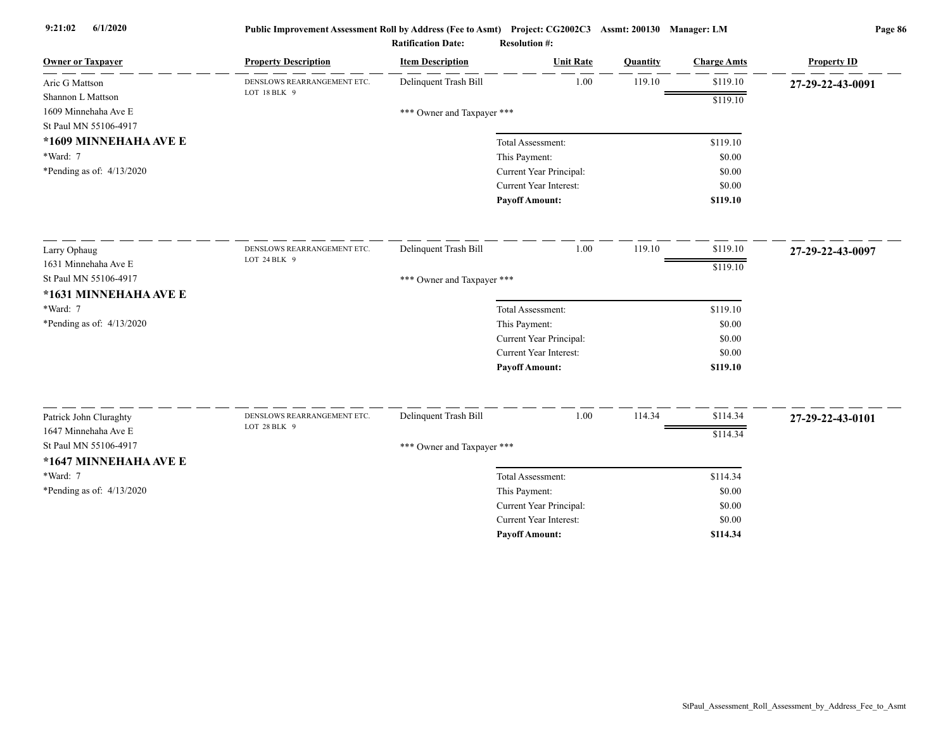| <b>Owner or Taxpayer</b>    | <b>Property Description</b> | <b>Item Description</b>    | <b>Unit Rate</b>              | Quantity | <b>Charge Amts</b> | <b>Property ID</b> |
|-----------------------------|-----------------------------|----------------------------|-------------------------------|----------|--------------------|--------------------|
| Aric G Mattson              | DENSLOWS REARRANGEMENT ETC. | Delinquent Trash Bill      | 1.00                          | 119.10   | \$119.10           | 27-29-22-43-0091   |
| Shannon L Mattson           | LOT 18 BLK 9                |                            |                               |          | \$119.10           |                    |
| 1609 Minnehaha Ave E        |                             | *** Owner and Taxpayer *** |                               |          |                    |                    |
| St Paul MN 55106-4917       |                             |                            |                               |          |                    |                    |
| *1609 MINNEHAHA AVE E       |                             |                            | Total Assessment:             |          | \$119.10           |                    |
| *Ward: 7                    |                             |                            | This Payment:                 |          | \$0.00             |                    |
| *Pending as of: $4/13/2020$ |                             |                            | Current Year Principal:       |          | \$0.00             |                    |
|                             |                             |                            | Current Year Interest:        |          | \$0.00             |                    |
|                             |                             |                            | <b>Payoff Amount:</b>         |          | \$119.10           |                    |
| Larry Ophaug                | DENSLOWS REARRANGEMENT ETC. | Delinquent Trash Bill      | 1.00                          | 119.10   | \$119.10           | 27-29-22-43-0097   |
| 1631 Minnehaha Ave E        | LOT 24 BLK 9                |                            |                               |          | \$119.10           |                    |
| St Paul MN 55106-4917       |                             | *** Owner and Taxpayer *** |                               |          |                    |                    |
| *1631 MINNEHAHA AVE E       |                             |                            |                               |          |                    |                    |
| *Ward: 7                    |                             |                            | Total Assessment:             |          | \$119.10           |                    |
| *Pending as of: 4/13/2020   |                             |                            | This Payment:                 |          | \$0.00             |                    |
|                             |                             |                            | Current Year Principal:       |          | \$0.00             |                    |
|                             |                             |                            | <b>Current Year Interest:</b> |          | \$0.00             |                    |
|                             |                             |                            | <b>Payoff Amount:</b>         |          | \$119.10           |                    |
| Patrick John Cluraghty      | DENSLOWS REARRANGEMENT ETC. | Delinquent Trash Bill      | 1.00                          | 114.34   | \$114.34           | 27-29-22-43-0101   |
| 1647 Minnehaha Ave E        | LOT 28 BLK 9                |                            |                               |          | \$114.34           |                    |
| St Paul MN 55106-4917       |                             | *** Owner and Taxpayer *** |                               |          |                    |                    |
| *1647 MINNEHAHA AVE E       |                             |                            |                               |          |                    |                    |
| *Ward: 7                    |                             |                            | Total Assessment:             |          | \$114.34           |                    |
| *Pending as of: $4/13/2020$ |                             |                            | This Payment:                 |          | \$0.00             |                    |
|                             |                             |                            | Current Year Principal:       |          | \$0.00             |                    |
|                             |                             |                            | Current Year Interest:        |          | \$0.00             |                    |
|                             |                             |                            | <b>Payoff Amount:</b>         |          | \$114.34           |                    |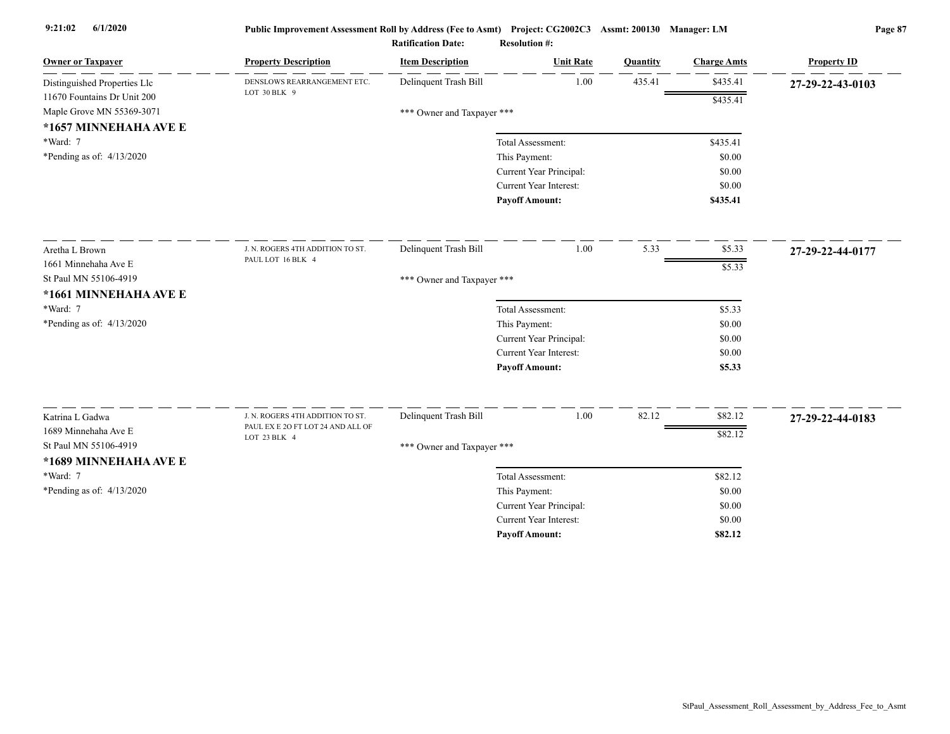| <b>Owner or Taxpayer</b>                           | <b>Property Description</b>                 | <b>Item Description</b>    | <b>Unit Rate</b>        | Quantity | <b>Charge Amts</b> | <b>Property ID</b> |
|----------------------------------------------------|---------------------------------------------|----------------------------|-------------------------|----------|--------------------|--------------------|
| Distinguished Properties Llc                       | DENSLOWS REARRANGEMENT ETC.<br>LOT 30 BLK 9 | Delinquent Trash Bill      | 1.00                    | 435.41   | \$435.41           | 27-29-22-43-0103   |
| 11670 Fountains Dr Unit 200                        |                                             |                            |                         |          | \$435.41           |                    |
| Maple Grove MN 55369-3071<br>*1657 MINNEHAHA AVE E |                                             | *** Owner and Taxpayer *** |                         |          |                    |                    |
| *Ward: 7                                           |                                             |                            | Total Assessment:       |          | \$435.41           |                    |
| *Pending as of: 4/13/2020                          |                                             |                            | This Payment:           |          | \$0.00             |                    |
|                                                    |                                             |                            | Current Year Principal: |          | \$0.00             |                    |
|                                                    |                                             |                            | Current Year Interest:  |          | \$0.00             |                    |
|                                                    |                                             |                            | <b>Payoff Amount:</b>   |          | \$435.41           |                    |
| Aretha L Brown                                     | J. N. ROGERS 4TH ADDITION TO ST.            | Delinquent Trash Bill      | 1.00                    | 5.33     | \$5.33             | 27-29-22-44-0177   |
| 1661 Minnehaha Ave E                               | PAUL LOT 16 BLK 4                           |                            |                         |          | \$5.33             |                    |
| St Paul MN 55106-4919                              |                                             | *** Owner and Taxpayer *** |                         |          |                    |                    |
| *1661 MINNEHAHA AVE E                              |                                             |                            |                         |          |                    |                    |
| *Ward: 7                                           |                                             |                            | Total Assessment:       |          | \$5.33             |                    |
| *Pending as of: $4/13/2020$                        |                                             |                            | This Payment:           |          | \$0.00             |                    |
|                                                    |                                             |                            | Current Year Principal: |          | \$0.00             |                    |
|                                                    |                                             |                            | Current Year Interest:  |          | \$0.00             |                    |
|                                                    |                                             |                            | <b>Payoff Amount:</b>   |          | \$5.33             |                    |
| Katrina L Gadwa                                    | J. N. ROGERS 4TH ADDITION TO ST.            | Delinquent Trash Bill      | 1.00                    | 82.12    | \$82.12            | 27-29-22-44-0183   |
| 1689 Minnehaha Ave E                               | PAUL EX E 2O FT LOT 24 AND ALL OF           |                            |                         |          | \$82.12            |                    |
| St Paul MN 55106-4919                              | LOT 23 BLK 4                                | *** Owner and Taxpayer *** |                         |          |                    |                    |
| *1689 MINNEHAHA AVE E                              |                                             |                            |                         |          |                    |                    |
| *Ward: 7                                           |                                             |                            | Total Assessment:       |          | \$82.12            |                    |
| *Pending as of: 4/13/2020                          |                                             |                            | This Payment:           |          | \$0.00             |                    |
|                                                    |                                             |                            | Current Year Principal: |          | \$0.00             |                    |
|                                                    |                                             |                            | Current Year Interest:  |          | \$0.00             |                    |
|                                                    |                                             |                            | <b>Payoff Amount:</b>   |          | \$82.12            |                    |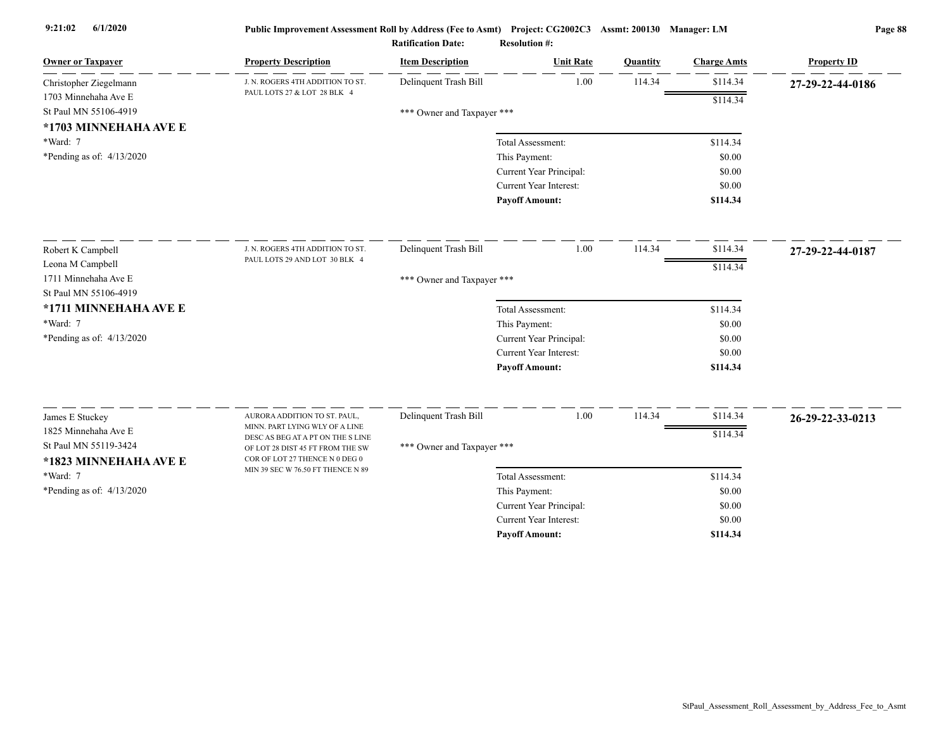| <b>Owner or Taxpayer</b>                       | <b>Property Description</b>                                                                             | <b>Item Description</b>    | <b>Unit Rate</b>                                         | Quantity | <b>Charge Amts</b> | <b>Property ID</b> |
|------------------------------------------------|---------------------------------------------------------------------------------------------------------|----------------------------|----------------------------------------------------------|----------|--------------------|--------------------|
| Christopher Ziegelmann                         | J. N. ROGERS 4TH ADDITION TO ST.<br>PAUL LOTS 27 & LOT 28 BLK 4                                         | Delinquent Trash Bill      | 1.00                                                     | 114.34   | \$114.34           | 27-29-22-44-0186   |
| 1703 Minnehaha Ave E                           |                                                                                                         |                            |                                                          |          | \$114.34           |                    |
| St Paul MN 55106-4919                          |                                                                                                         | *** Owner and Taxpayer *** |                                                          |          |                    |                    |
| *1703 MINNEHAHA AVE E                          |                                                                                                         |                            |                                                          |          |                    |                    |
| *Ward: 7                                       |                                                                                                         |                            | Total Assessment:                                        |          | \$114.34           |                    |
| *Pending as of: $4/13/2020$                    |                                                                                                         |                            | This Payment:                                            |          | \$0.00             |                    |
|                                                |                                                                                                         |                            | Current Year Principal:<br><b>Current Year Interest:</b> |          | \$0.00             |                    |
|                                                |                                                                                                         |                            |                                                          |          | \$0.00<br>\$114.34 |                    |
|                                                |                                                                                                         |                            | <b>Payoff Amount:</b>                                    |          |                    |                    |
| Robert K Campbell                              | J. N. ROGERS 4TH ADDITION TO ST.                                                                        | Delinquent Trash Bill      | 1.00                                                     | 114.34   | \$114.34           | 27-29-22-44-0187   |
| Leona M Campbell                               | PAUL LOTS 29 AND LOT 30 BLK 4                                                                           |                            |                                                          |          | \$114.34           |                    |
| 1711 Minnehaha Ave E                           |                                                                                                         | *** Owner and Taxpayer *** |                                                          |          |                    |                    |
| St Paul MN 55106-4919                          |                                                                                                         |                            |                                                          |          |                    |                    |
| *1711 MINNEHAHA AVE E                          |                                                                                                         |                            | Total Assessment:                                        |          | \$114.34           |                    |
| *Ward: 7                                       |                                                                                                         |                            | This Payment:                                            |          | \$0.00             |                    |
| *Pending as of: $4/13/2020$                    |                                                                                                         |                            | Current Year Principal:                                  |          | \$0.00             |                    |
|                                                |                                                                                                         |                            | <b>Current Year Interest:</b>                            |          | \$0.00             |                    |
|                                                |                                                                                                         |                            | <b>Payoff Amount:</b>                                    |          | \$114.34           |                    |
| James E Stuckey                                | AURORA ADDITION TO ST. PAUL,                                                                            | Delinquent Trash Bill      | 1.00                                                     | 114.34   | \$114.34           | 26-29-22-33-0213   |
| 1825 Minnehaha Ave E                           | MINN. PART LYING WLY OF A LINE                                                                          |                            |                                                          |          | \$114.34           |                    |
| St Paul MN 55119-3424<br>*1823 MINNEHAHA AVE E | DESC AS BEG AT A PT ON THE S LINE<br>OF LOT 28 DIST 45 FT FROM THE SW<br>COR OF LOT 27 THENCE N 0 DEG 0 | *** Owner and Taxpayer *** |                                                          |          |                    |                    |
| *Ward: 7                                       | MIN 39 SEC W 76.50 FT THENCE N 89                                                                       |                            | Total Assessment:                                        |          | \$114.34           |                    |
| *Pending as of: $4/13/2020$                    |                                                                                                         |                            | This Payment:                                            |          | \$0.00             |                    |
|                                                |                                                                                                         |                            | Current Year Principal:                                  |          | \$0.00             |                    |
|                                                |                                                                                                         |                            | <b>Current Year Interest:</b>                            |          | \$0.00             |                    |
|                                                |                                                                                                         |                            | <b>Pavoff Amount:</b>                                    |          | \$114.34           |                    |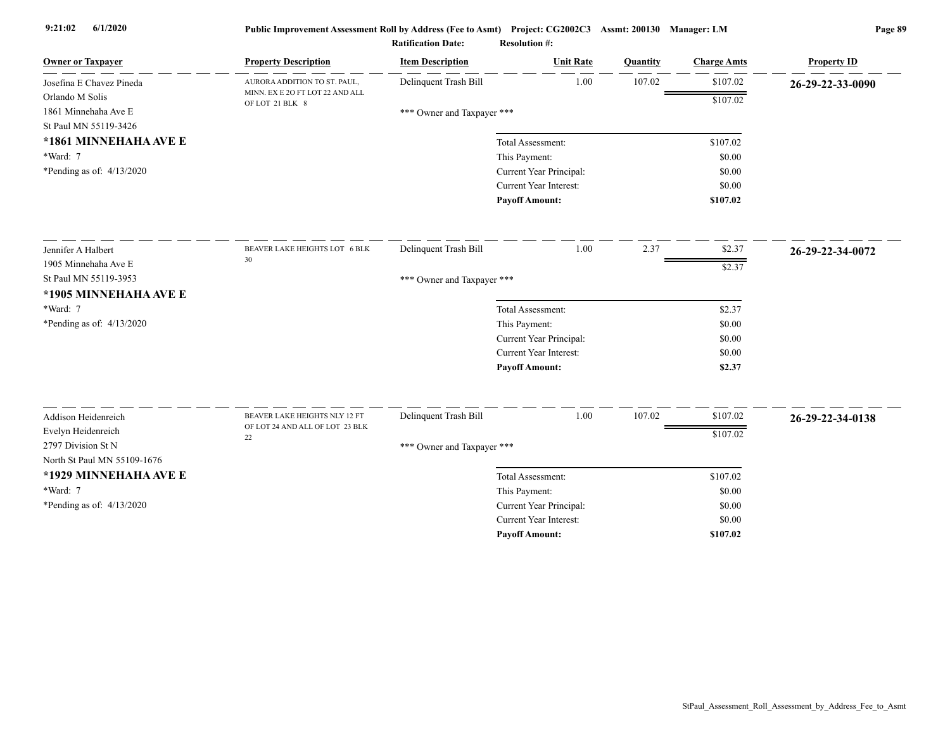| <b>Owner or Taxpayer</b>                                         | <b>Property Description</b>                        | <b>Item Description</b>    | <b>Unit Rate</b>              | Quantity | <b>Charge Amts</b> | <b>Property ID</b> |
|------------------------------------------------------------------|----------------------------------------------------|----------------------------|-------------------------------|----------|--------------------|--------------------|
| Josefina E Chavez Pineda                                         | AURORA ADDITION TO ST. PAUL,                       | Delinquent Trash Bill      | 1.00                          | 107.02   | \$107.02           | 26-29-22-33-0090   |
| Orlando M Solis<br>1861 Minnehaha Ave E<br>St Paul MN 55119-3426 | MINN. EX E 2O FT LOT 22 AND ALL<br>OF LOT 21 BLK 8 | *** Owner and Taxpayer *** |                               |          | \$107.02           |                    |
| *1861 MINNEHAHA AVE E                                            |                                                    |                            | Total Assessment:             |          | \$107.02           |                    |
| *Ward: 7                                                         |                                                    |                            | This Payment:                 |          | \$0.00             |                    |
| *Pending as of: $4/13/2020$                                      |                                                    |                            | Current Year Principal:       |          | \$0.00             |                    |
|                                                                  |                                                    |                            | Current Year Interest:        |          | \$0.00             |                    |
|                                                                  |                                                    |                            | <b>Payoff Amount:</b>         |          | \$107.02           |                    |
| Jennifer A Halbert                                               | BEAVER LAKE HEIGHTS LOT 6 BLK                      | Delinquent Trash Bill      | 1.00                          | 2.37     | \$2.37             | 26-29-22-34-0072   |
| 1905 Minnehaha Ave E                                             | 30                                                 |                            |                               |          | $\sqrt{$2.37}$     |                    |
| St Paul MN 55119-3953                                            |                                                    | *** Owner and Taxpayer *** |                               |          |                    |                    |
| *1905 MINNEHAHA AVE E                                            |                                                    |                            |                               |          |                    |                    |
| *Ward: 7                                                         |                                                    |                            | Total Assessment:             |          | \$2.37             |                    |
| *Pending as of: 4/13/2020                                        |                                                    |                            | This Payment:                 |          | \$0.00             |                    |
|                                                                  |                                                    |                            | Current Year Principal:       |          | \$0.00             |                    |
|                                                                  |                                                    |                            | Current Year Interest:        |          | \$0.00             |                    |
|                                                                  |                                                    |                            | <b>Payoff Amount:</b>         |          | \$2.37             |                    |
| Addison Heidenreich                                              | BEAVER LAKE HEIGHTS NLY 12 FT                      | Delinquent Trash Bill      | 1.00                          | 107.02   | \$107.02           |                    |
| Evelyn Heidenreich                                               | OF LOT 24 AND ALL OF LOT 23 BLK                    |                            |                               |          |                    | 26-29-22-34-0138   |
| 2797 Division St N                                               | 22                                                 | *** Owner and Taxpayer *** |                               |          | \$107.02           |                    |
| North St Paul MN 55109-1676                                      |                                                    |                            |                               |          |                    |                    |
| *1929 MINNEHAHA AVE E                                            |                                                    |                            | Total Assessment:             |          | \$107.02           |                    |
| *Ward: 7                                                         |                                                    |                            | This Payment:                 |          | \$0.00             |                    |
| *Pending as of: 4/13/2020                                        |                                                    |                            | Current Year Principal:       |          | \$0.00             |                    |
|                                                                  |                                                    |                            | <b>Current Year Interest:</b> |          | \$0.00             |                    |
|                                                                  |                                                    |                            | <b>Pavoff Amount:</b>         |          | \$107.02           |                    |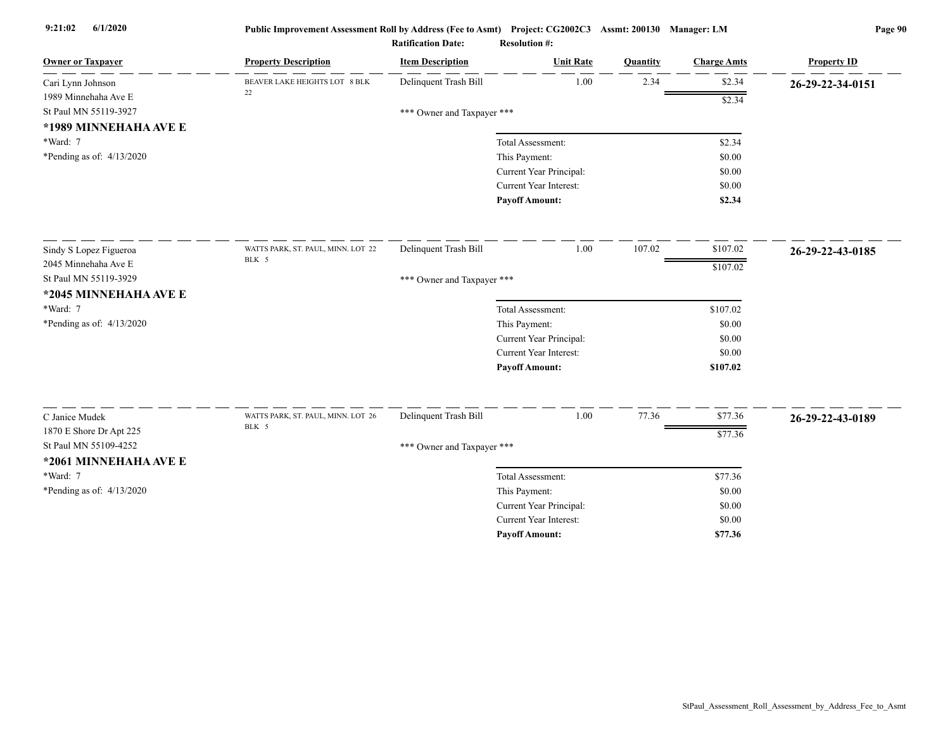| <b>Owner or Taxpayer</b>          | <b>Property Description</b>                 | <b>Item Description</b>    | <b>Unit Rate</b>                   | Quantity | <b>Charge Amts</b> | <b>Property ID</b> |
|-----------------------------------|---------------------------------------------|----------------------------|------------------------------------|----------|--------------------|--------------------|
| Cari Lynn Johnson                 | BEAVER LAKE HEIGHTS LOT 8 BLK<br>22         | Delinquent Trash Bill      | 1.00                               | 2.34     | \$2.34             | 26-29-22-34-0151   |
| 1989 Minnehaha Ave E              |                                             |                            |                                    |          | \$2.34             |                    |
| St Paul MN 55119-3927             |                                             | *** Owner and Taxpayer *** |                                    |          |                    |                    |
| *1989 MINNEHAHA AVE E<br>*Ward: 7 |                                             |                            | Total Assessment:                  |          | \$2.34             |                    |
| *Pending as of: 4/13/2020         |                                             |                            | This Payment:                      |          | \$0.00             |                    |
|                                   |                                             |                            | Current Year Principal:            |          | \$0.00             |                    |
|                                   |                                             |                            | Current Year Interest:             |          | \$0.00             |                    |
|                                   |                                             |                            | <b>Payoff Amount:</b>              |          | \$2.34             |                    |
| Sindy S Lopez Figueroa            | WATTS PARK, ST. PAUL, MINN. LOT 22          | Delinquent Trash Bill      | 1.00                               | 107.02   | \$107.02           | 26-29-22-43-0185   |
| 2045 Minnehaha Ave E              | BLK 5                                       |                            |                                    |          |                    |                    |
| St Paul MN 55119-3929             |                                             | *** Owner and Taxpayer *** |                                    |          | \$107.02           |                    |
| *2045 MINNEHAHA AVE E             |                                             |                            |                                    |          |                    |                    |
| *Ward: 7                          |                                             |                            | Total Assessment:                  |          | \$107.02           |                    |
| *Pending as of: 4/13/2020         |                                             |                            | This Payment:                      |          | \$0.00             |                    |
|                                   |                                             |                            | Current Year Principal:            |          | \$0.00             |                    |
|                                   |                                             |                            | <b>Current Year Interest:</b>      |          | \$0.00             |                    |
|                                   |                                             |                            | <b>Payoff Amount:</b>              |          | \$107.02           |                    |
|                                   |                                             |                            |                                    |          |                    |                    |
| C Janice Mudek                    | WATTS PARK, ST. PAUL, MINN. LOT 26<br>BLK 5 | Delinquent Trash Bill      | 1.00                               | 77.36    | \$77.36            | 26-29-22-43-0189   |
| 1870 E Shore Dr Apt 225           |                                             |                            |                                    |          | \$77.36            |                    |
| St Paul MN 55109-4252             |                                             | *** Owner and Taxpayer *** |                                    |          |                    |                    |
| *2061 MINNEHAHA AVE E<br>*Ward: 7 |                                             |                            |                                    |          |                    |                    |
| *Pending as of: $4/13/2020$       |                                             |                            | Total Assessment:<br>This Payment: |          | \$77.36<br>\$0.00  |                    |
|                                   |                                             |                            | Current Year Principal:            |          | \$0.00             |                    |
|                                   |                                             |                            | Current Year Interest:             |          | \$0.00             |                    |
|                                   |                                             |                            | <b>Payoff Amount:</b>              |          | \$77.36            |                    |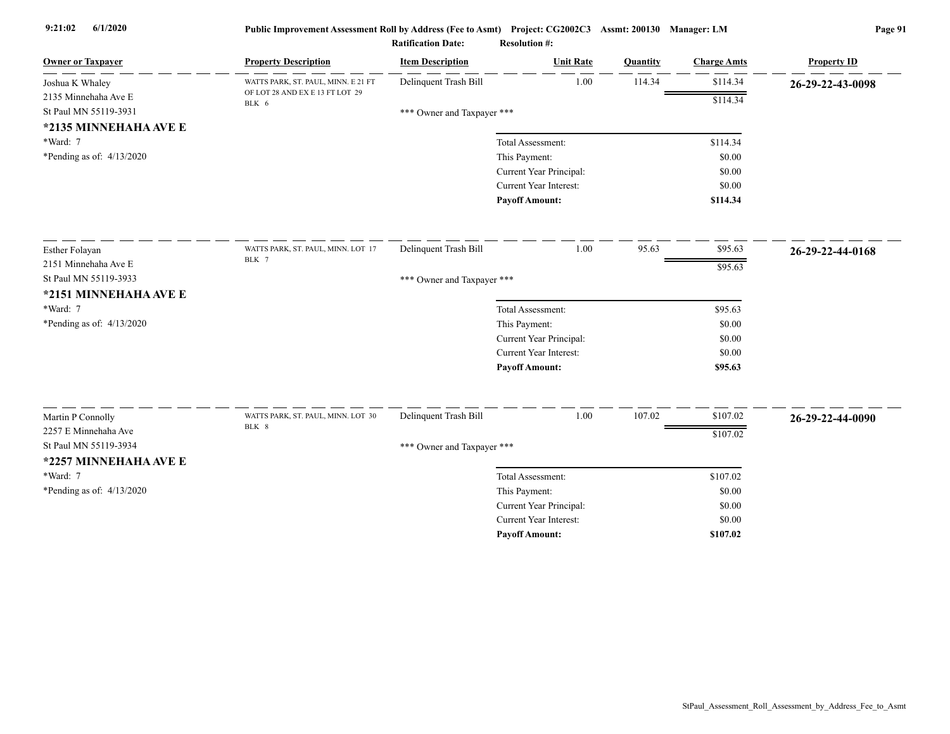| <b>Owner or Taxpayer</b>                  | <b>Property Description</b>              | <b>Item Description</b>    | <b>Unit Rate</b>        | Quantity | <b>Charge Amts</b> | <b>Property ID</b> |
|-------------------------------------------|------------------------------------------|----------------------------|-------------------------|----------|--------------------|--------------------|
| Joshua K Whaley                           | WATTS PARK, ST. PAUL, MINN. E 21 FT      | Delinquent Trash Bill      | 1.00                    | 114.34   | \$114.34           | 26-29-22-43-0098   |
| 2135 Minnehaha Ave E                      | OF LOT 28 AND EX E 13 FT LOT 29<br>BLK 6 |                            |                         |          | \$114.34           |                    |
| St Paul MN 55119-3931                     |                                          | *** Owner and Taxpayer *** |                         |          |                    |                    |
| *2135 MINNEHAHA AVE E                     |                                          |                            |                         |          |                    |                    |
| *Ward: 7                                  |                                          |                            | Total Assessment:       |          | \$114.34           |                    |
| *Pending as of: $4/13/2020$               |                                          |                            | This Payment:           |          | \$0.00             |                    |
|                                           |                                          |                            | Current Year Principal: |          | \$0.00             |                    |
|                                           |                                          |                            | Current Year Interest:  |          | \$0.00             |                    |
|                                           |                                          |                            | <b>Payoff Amount:</b>   |          | \$114.34           |                    |
| Esther Folayan                            | WATTS PARK, ST. PAUL, MINN. LOT 17       | Delinquent Trash Bill      | 1.00                    | 95.63    | \$95.63            | 26-29-22-44-0168   |
| 2151 Minnehaha Ave E                      | BLK 7                                    |                            |                         |          | \$95.63            |                    |
| St Paul MN 55119-3933                     |                                          | *** Owner and Taxpayer *** |                         |          |                    |                    |
| *2151 MINNEHAHA AVE E                     |                                          |                            |                         |          |                    |                    |
| *Ward: 7                                  |                                          |                            | Total Assessment:       |          | \$95.63            |                    |
| *Pending as of: $4/13/2020$               |                                          |                            | This Payment:           |          | \$0.00             |                    |
|                                           |                                          |                            | Current Year Principal: |          | \$0.00             |                    |
|                                           |                                          |                            | Current Year Interest:  |          | \$0.00             |                    |
|                                           |                                          |                            | <b>Payoff Amount:</b>   |          | \$95.63            |                    |
|                                           | WATTS PARK, ST. PAUL, MINN. LOT 30       | Delinquent Trash Bill      | 1.00                    | 107.02   | \$107.02           |                    |
| Martin P Connolly<br>2257 E Minnehaha Ave | BLK 8                                    |                            |                         |          |                    | 26-29-22-44-0090   |
| St Paul MN 55119-3934                     |                                          |                            |                         |          | \$107.02           |                    |
|                                           |                                          | *** Owner and Taxpayer *** |                         |          |                    |                    |
| *2257 MINNEHAHA AVE E                     |                                          |                            |                         |          |                    |                    |
| *Ward: 7                                  |                                          |                            | Total Assessment:       |          | \$107.02           |                    |
| *Pending as of: $4/13/2020$               |                                          |                            | This Payment:           |          | \$0.00             |                    |
|                                           |                                          |                            | Current Year Principal: |          | \$0.00             |                    |
|                                           |                                          |                            | Current Year Interest:  |          | \$0.00             |                    |
|                                           |                                          |                            | <b>Pavoff Amount:</b>   |          | \$107.02           |                    |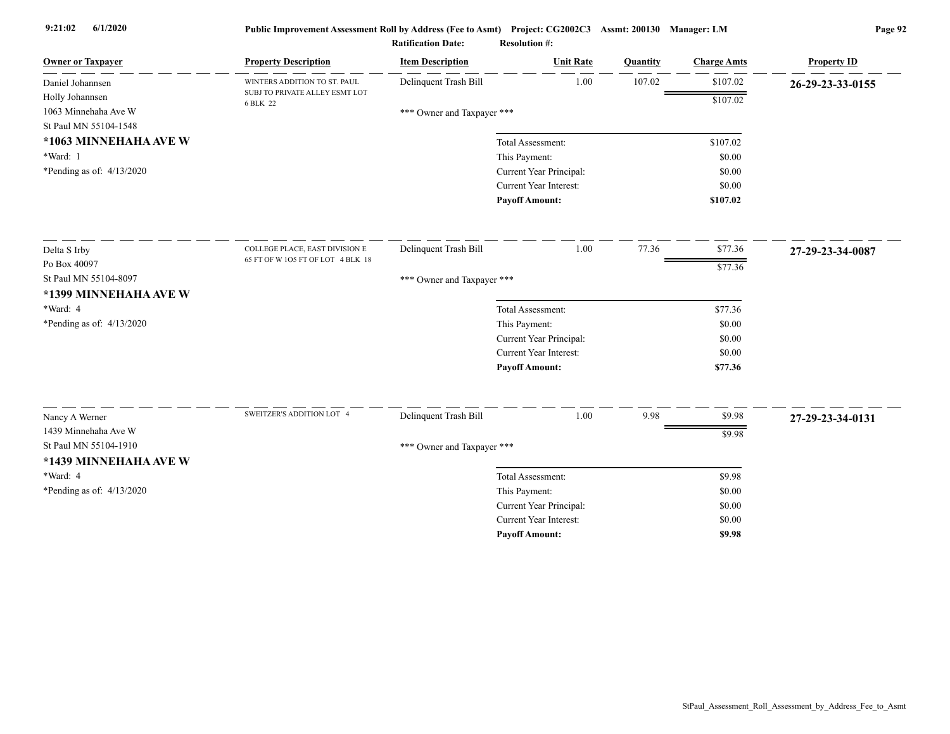| <b>Owner or Taxpayer</b>    | <b>Property Description</b>                | <b>Item Description</b>    | <b>Unit Rate</b>                         | Quantity | <b>Charge Amts</b> | <b>Property ID</b> |
|-----------------------------|--------------------------------------------|----------------------------|------------------------------------------|----------|--------------------|--------------------|
| Daniel Johannsen            | WINTERS ADDITION TO ST. PAUL               | Delinquent Trash Bill      | 1.00                                     | 107.02   | \$107.02           | 26-29-23-33-0155   |
| Holly Johannsen             | SUBJ TO PRIVATE ALLEY ESMT LOT<br>6 BLK 22 |                            |                                          |          | \$107.02           |                    |
| 1063 Minnehaha Ave W        |                                            | *** Owner and Taxpayer *** |                                          |          |                    |                    |
| St Paul MN 55104-1548       |                                            |                            |                                          |          |                    |                    |
| *1063 MINNEHAHA AVE W       |                                            |                            | Total Assessment:                        |          | \$107.02           |                    |
| *Ward: 1                    |                                            |                            | This Payment:                            |          | \$0.00             |                    |
| *Pending as of: $4/13/2020$ |                                            |                            | Current Year Principal:                  |          | \$0.00             |                    |
|                             |                                            |                            | Current Year Interest:                   |          | \$0.00             |                    |
|                             |                                            |                            | <b>Payoff Amount:</b>                    |          | \$107.02           |                    |
| Delta S Irby                | COLLEGE PLACE, EAST DIVISION E             | Delinquent Trash Bill      | 1.00                                     | 77.36    | \$77.36            | 27-29-23-34-0087   |
| Po Box 40097                | 65 FT OF W 105 FT OF LOT 4 BLK 18          |                            |                                          |          | \$77.36            |                    |
| St Paul MN 55104-8097       |                                            | *** Owner and Taxpayer *** |                                          |          |                    |                    |
| *1399 MINNEHAHA AVE W       |                                            |                            |                                          |          |                    |                    |
| *Ward: 4                    |                                            |                            | Total Assessment:                        |          | \$77.36            |                    |
| *Pending as of: $4/13/2020$ |                                            |                            | This Payment:                            |          | \$0.00             |                    |
|                             |                                            |                            | Current Year Principal:                  |          | \$0.00             |                    |
|                             |                                            |                            | Current Year Interest:                   |          | \$0.00             |                    |
|                             |                                            |                            | <b>Payoff Amount:</b>                    |          | \$77.36            |                    |
| Nancy A Werner              | SWEITZER'S ADDITION LOT 4                  | Delinquent Trash Bill      | 1.00                                     | 9.98     | \$9.98             |                    |
| 1439 Minnehaha Ave W        |                                            |                            |                                          |          |                    | 27-29-23-34-0131   |
| St Paul MN 55104-1910       |                                            | *** Owner and Taxpayer *** |                                          |          | \$9.98             |                    |
| *1439 MINNEHAHA AVE W       |                                            |                            |                                          |          |                    |                    |
| *Ward: 4                    |                                            |                            | Total Assessment:                        |          |                    |                    |
| *Pending as of: 4/13/2020   |                                            |                            |                                          |          | \$9.98<br>\$0.00   |                    |
|                             |                                            |                            | This Payment:<br>Current Year Principal: |          | \$0.00             |                    |
|                             |                                            |                            | Current Year Interest:                   |          | \$0.00             |                    |
|                             |                                            |                            | <b>Payoff Amount:</b>                    |          | \$9.98             |                    |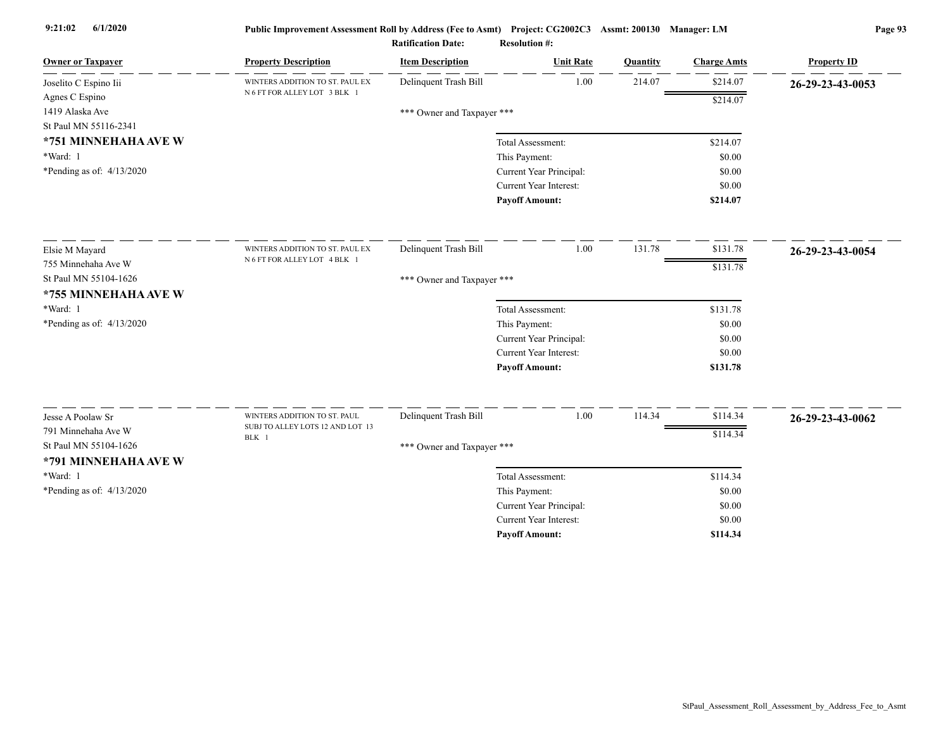| <b>Owner or Taxpayer</b>                     | <b>Property Description</b>      | <b>Item Description</b>    | <b>Unit Rate</b>                                         | Quantity | <b>Charge Amts</b> | <b>Property ID</b> |
|----------------------------------------------|----------------------------------|----------------------------|----------------------------------------------------------|----------|--------------------|--------------------|
| Joselito C Espino Iii                        | WINTERS ADDITION TO ST. PAUL EX  | Delinquent Trash Bill      | 1.00                                                     | 214.07   | \$214.07           | 26-29-23-43-0053   |
| Agnes C Espino                               | N 6 FT FOR ALLEY LOT 3 BLK 1     |                            |                                                          |          | \$214.07           |                    |
| 1419 Alaska Ave                              |                                  | *** Owner and Taxpayer *** |                                                          |          |                    |                    |
| St Paul MN 55116-2341                        |                                  |                            |                                                          |          |                    |                    |
| *751 MINNEHAHA AVE W                         |                                  |                            | Total Assessment:                                        |          | \$214.07           |                    |
| *Ward: 1                                     |                                  |                            | This Payment:                                            |          | \$0.00             |                    |
| *Pending as of: 4/13/2020                    |                                  |                            | Current Year Principal:                                  |          | \$0.00             |                    |
|                                              |                                  |                            | Current Year Interest:                                   |          | \$0.00             |                    |
|                                              |                                  |                            | <b>Payoff Amount:</b>                                    |          | \$214.07           |                    |
| Elsie M Mayard                               | WINTERS ADDITION TO ST. PAUL EX  | Delinquent Trash Bill      | 1.00                                                     | 131.78   | \$131.78           | 26-29-23-43-0054   |
| 755 Minnehaha Ave W                          | N 6 FT FOR ALLEY LOT 4 BLK 1     |                            |                                                          |          |                    |                    |
| St Paul MN 55104-1626                        |                                  | *** Owner and Taxpayer *** |                                                          |          | \$131.78           |                    |
| *755 MINNEHAHA AVE W                         |                                  |                            |                                                          |          |                    |                    |
| *Ward: 1                                     |                                  |                            | Total Assessment:                                        |          | \$131.78           |                    |
| *Pending as of: 4/13/2020                    |                                  |                            | This Payment:                                            |          | \$0.00             |                    |
|                                              |                                  |                            | Current Year Principal:                                  |          | \$0.00             |                    |
|                                              |                                  |                            | <b>Current Year Interest:</b>                            |          | \$0.00             |                    |
|                                              |                                  |                            | <b>Payoff Amount:</b>                                    |          | \$131.78           |                    |
| Jesse A Poolaw Sr                            | WINTERS ADDITION TO ST. PAUL     | Delinquent Trash Bill      | 1.00                                                     | 114.34   | \$114.34           |                    |
|                                              | SUBJ TO ALLEY LOTS 12 AND LOT 13 |                            |                                                          |          |                    | 26-29-23-43-0062   |
| 791 Minnehaha Ave W<br>St Paul MN 55104-1626 | BLK 1                            |                            |                                                          |          | \$114.34           |                    |
|                                              |                                  | *** Owner and Taxpayer *** |                                                          |          |                    |                    |
| *791 MINNEHAHA AVE W                         |                                  |                            |                                                          |          |                    |                    |
| *Ward: 1                                     |                                  |                            | Total Assessment:                                        |          | \$114.34           |                    |
| *Pending as of: 4/13/2020                    |                                  |                            | This Payment:                                            |          | \$0.00             |                    |
|                                              |                                  |                            | Current Year Principal:<br><b>Current Year Interest:</b> |          | \$0.00             |                    |
|                                              |                                  |                            | <b>Pavoff Amount:</b>                                    |          | \$0.00<br>\$114.34 |                    |
|                                              |                                  |                            |                                                          |          |                    |                    |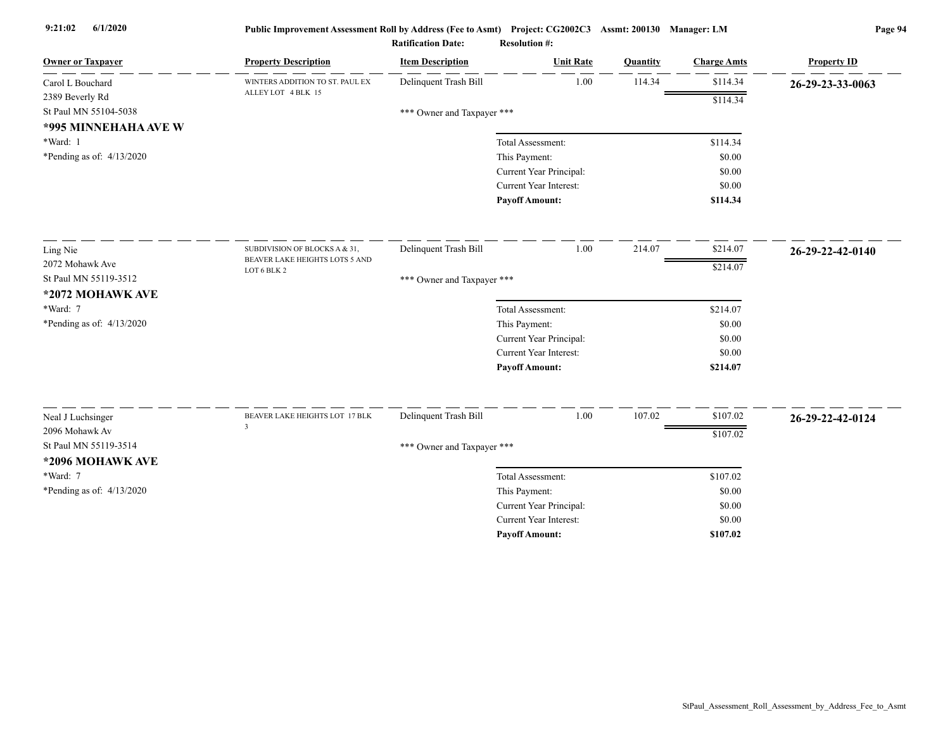| <b>Owner or Taxpayer</b>    | <b>Property Description</b>     | <b>Item Description</b>    | <b>Unit Rate</b>              | Quantity | <b>Charge Amts</b> | <b>Property ID</b> |
|-----------------------------|---------------------------------|----------------------------|-------------------------------|----------|--------------------|--------------------|
| Carol L Bouchard            | WINTERS ADDITION TO ST. PAUL EX | Delinquent Trash Bill      | 1.00                          | 114.34   | \$114.34           | 26-29-23-33-0063   |
| 2389 Beverly Rd             | ALLEY LOT 4 BLK 15              |                            |                               |          | \$114.34           |                    |
| St Paul MN 55104-5038       |                                 | *** Owner and Taxpayer *** |                               |          |                    |                    |
| *995 MINNEHAHA AVE W        |                                 |                            |                               |          |                    |                    |
| *Ward: 1                    |                                 |                            | Total Assessment:             |          | \$114.34           |                    |
| *Pending as of: $4/13/2020$ |                                 |                            | This Payment:                 |          | \$0.00             |                    |
|                             |                                 |                            | Current Year Principal:       |          | \$0.00             |                    |
|                             |                                 |                            | <b>Current Year Interest:</b> |          | \$0.00             |                    |
|                             |                                 |                            | <b>Payoff Amount:</b>         |          | \$114.34           |                    |
| Ling Nie                    | SUBDIVISION OF BLOCKS A & 31,   | Delinquent Trash Bill      | 1.00                          | 214.07   | \$214.07           | 26-29-22-42-0140   |
| 2072 Mohawk Ave             | BEAVER LAKE HEIGHTS LOTS 5 AND  |                            |                               |          | \$214.07           |                    |
| St Paul MN 55119-3512       | LOT 6 BLK 2                     | *** Owner and Taxpayer *** |                               |          |                    |                    |
| *2072 MOHAWK AVE            |                                 |                            |                               |          |                    |                    |
| *Ward: 7                    |                                 |                            | Total Assessment:             |          | \$214.07           |                    |
| *Pending as of: $4/13/2020$ |                                 |                            | This Payment:                 |          | \$0.00             |                    |
|                             |                                 |                            | Current Year Principal:       |          | \$0.00             |                    |
|                             |                                 |                            | Current Year Interest:        |          | \$0.00             |                    |
|                             |                                 |                            | <b>Payoff Amount:</b>         |          | \$214.07           |                    |
| Neal J Luchsinger           | BEAVER LAKE HEIGHTS LOT 17 BLK  | Delinquent Trash Bill      | 1.00                          | 107.02   | \$107.02           | 26-29-22-42-0124   |
| 2096 Mohawk Av              | $\overline{\mathbf{3}}$         |                            |                               |          | \$107.02           |                    |
| St Paul MN 55119-3514       |                                 | *** Owner and Taxpayer *** |                               |          |                    |                    |
| *2096 MOHAWK AVE            |                                 |                            |                               |          |                    |                    |
| *Ward: 7                    |                                 |                            | Total Assessment:             |          | \$107.02           |                    |
| *Pending as of: 4/13/2020   |                                 |                            | This Payment:                 |          | \$0.00             |                    |
|                             |                                 |                            | Current Year Principal:       |          | \$0.00             |                    |
|                             |                                 |                            | <b>Current Year Interest:</b> |          | \$0.00             |                    |
|                             |                                 |                            | <b>Pavoff Amount:</b>         |          | \$107.02           |                    |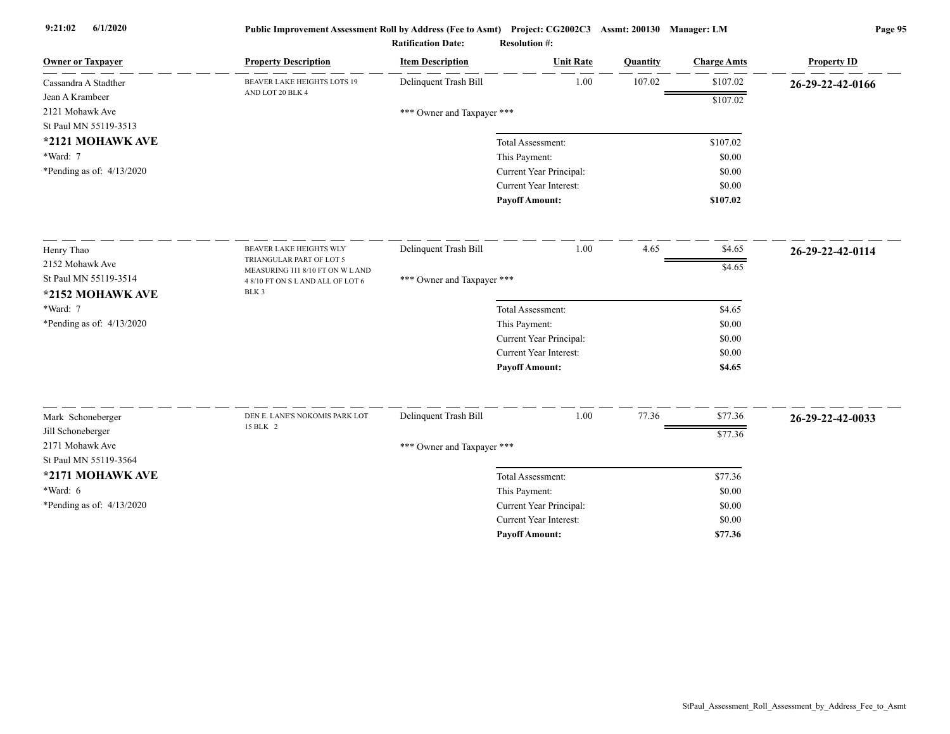| <b>Owner or Taxpayer</b>                  | <b>Property Description</b>                                 | <b>Item Description</b>    | <b>Unit Rate</b>                         | Quantity | <b>Charge Amts</b> | <b>Property ID</b> |
|-------------------------------------------|-------------------------------------------------------------|----------------------------|------------------------------------------|----------|--------------------|--------------------|
| Cassandra A Stadther                      | <b>BEAVER LAKE HEIGHTS LOTS 19</b><br>AND LOT 20 BLK 4      | Delinquent Trash Bill      | 1.00                                     | 107.02   | \$107.02           | 26-29-22-42-0166   |
| Jean A Krambeer                           |                                                             |                            |                                          |          | \$107.02           |                    |
| 2121 Mohawk Ave                           |                                                             | *** Owner and Taxpayer *** |                                          |          |                    |                    |
| St Paul MN 55119-3513                     |                                                             |                            |                                          |          |                    |                    |
| *2121 MOHAWK AVE<br>*Ward: 7              |                                                             |                            | Total Assessment:                        |          | \$107.02<br>\$0.00 |                    |
| *Pending as of: $4/13/2020$               |                                                             |                            | This Payment:<br>Current Year Principal: |          | \$0.00             |                    |
|                                           |                                                             |                            | Current Year Interest:                   |          | \$0.00             |                    |
|                                           |                                                             |                            | <b>Payoff Amount:</b>                    |          | \$107.02           |                    |
|                                           |                                                             |                            |                                          |          |                    |                    |
| Henry Thao                                | <b>BEAVER LAKE HEIGHTS WLY</b>                              | Delinquent Trash Bill      | 1.00                                     | 4.65     | \$4.65             | 26-29-22-42-0114   |
| 2152 Mohawk Ave                           | TRIANGULAR PART OF LOT 5<br>MEASURING 111 8/10 FT ON W LAND |                            |                                          |          | \$4.65             |                    |
| St Paul MN 55119-3514<br>*2152 MOHAWK AVE | 4 8/10 FT ON S L AND ALL OF LOT 6<br>BLK 3                  | *** Owner and Taxpayer *** |                                          |          |                    |                    |
| *Ward: 7                                  |                                                             |                            | Total Assessment:                        |          | \$4.65             |                    |
| *Pending as of: $4/13/2020$               |                                                             |                            | This Payment:                            |          | \$0.00             |                    |
|                                           |                                                             |                            | Current Year Principal:                  |          | \$0.00             |                    |
|                                           |                                                             |                            | <b>Current Year Interest:</b>            |          | \$0.00             |                    |
|                                           |                                                             |                            | <b>Payoff Amount:</b>                    |          | \$4.65             |                    |
| Mark Schoneberger                         | DEN E. LANE'S NOKOMIS PARK LOT                              | Delinquent Trash Bill      | 1.00                                     | 77.36    | \$77.36            | 26-29-22-42-0033   |
| Jill Schoneberger                         | 15 BLK 2                                                    |                            |                                          |          |                    |                    |
| 2171 Mohawk Ave                           |                                                             | *** Owner and Taxpayer *** |                                          |          | \$77.36            |                    |
| St Paul MN 55119-3564                     |                                                             |                            |                                          |          |                    |                    |
| *2171 MOHAWK AVE                          |                                                             |                            | Total Assessment:                        |          | \$77.36            |                    |
| *Ward: 6                                  |                                                             |                            | This Payment:                            |          | \$0.00             |                    |
| *Pending as of: 4/13/2020                 |                                                             |                            | Current Year Principal:                  |          | \$0.00             |                    |
|                                           |                                                             |                            | Current Year Interest:                   |          | \$0.00             |                    |
|                                           |                                                             |                            | <b>Payoff Amount:</b>                    |          | \$77.36            |                    |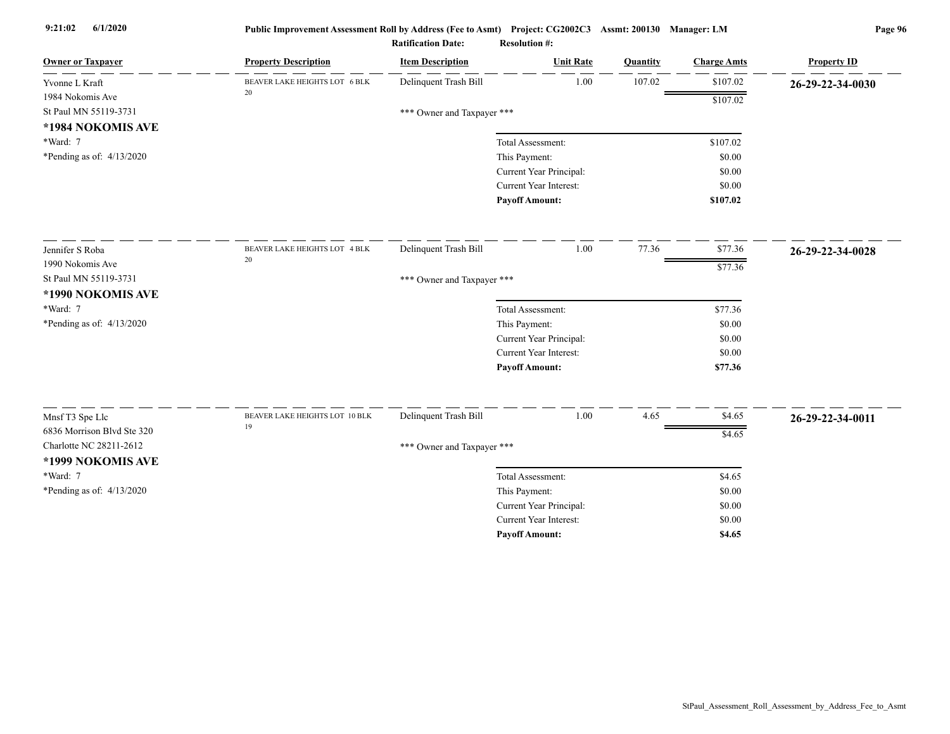| <b>Owner or Taxpayer</b>    | <b>Property Description</b>          | <b>Item Description</b>    | <b>Unit Rate</b>              | Quantity | <b>Charge Amts</b> | <b>Property ID</b> |
|-----------------------------|--------------------------------------|----------------------------|-------------------------------|----------|--------------------|--------------------|
| Yvonne L Kraft              | BEAVER LAKE HEIGHTS LOT 6 BLK        | Delinquent Trash Bill      | 1.00                          | 107.02   | \$107.02           | 26-29-22-34-0030   |
| 1984 Nokomis Ave            | 20                                   |                            |                               |          | \$107.02           |                    |
| St Paul MN 55119-3731       |                                      | *** Owner and Taxpayer *** |                               |          |                    |                    |
| *1984 NOKOMIS AVE           |                                      |                            |                               |          |                    |                    |
| *Ward: 7                    |                                      |                            | Total Assessment:             |          | \$107.02           |                    |
| *Pending as of: $4/13/2020$ |                                      |                            | This Payment:                 |          | \$0.00             |                    |
|                             |                                      |                            | Current Year Principal:       |          | \$0.00             |                    |
|                             |                                      |                            | Current Year Interest:        |          | \$0.00             |                    |
|                             |                                      |                            | <b>Payoff Amount:</b>         |          | \$107.02           |                    |
| Jennifer S Roba             | BEAVER LAKE HEIGHTS LOT 4 BLK        | Delinquent Trash Bill      | 1.00                          | 77.36    | \$77.36            | 26-29-22-34-0028   |
| 1990 Nokomis Ave            | $20\,$                               |                            |                               |          | \$77.36            |                    |
| St Paul MN 55119-3731       |                                      | *** Owner and Taxpayer *** |                               |          |                    |                    |
| *1990 NOKOMIS AVE           |                                      |                            |                               |          |                    |                    |
| *Ward: 7                    |                                      |                            | Total Assessment:             |          | \$77.36            |                    |
| *Pending as of: 4/13/2020   |                                      |                            | This Payment:                 |          | \$0.00             |                    |
|                             |                                      |                            | Current Year Principal:       |          | \$0.00             |                    |
|                             |                                      |                            | <b>Current Year Interest:</b> |          | \$0.00             |                    |
|                             |                                      |                            | <b>Payoff Amount:</b>         |          | \$77.36            |                    |
|                             |                                      |                            |                               |          |                    |                    |
| Mnsf T3 Spe Llc             | BEAVER LAKE HEIGHTS LOT 10 BLK<br>19 | Delinquent Trash Bill      | 1.00                          | 4.65     | \$4.65             | 26-29-22-34-0011   |
| 6836 Morrison Blvd Ste 320  |                                      |                            |                               |          | \$4.65             |                    |
| Charlotte NC 28211-2612     |                                      | *** Owner and Taxpayer *** |                               |          |                    |                    |
| *1999 NOKOMIS AVE           |                                      |                            |                               |          |                    |                    |
| *Ward: 7                    |                                      |                            | Total Assessment:             |          | \$4.65             |                    |
| *Pending as of: $4/13/2020$ |                                      |                            | This Payment:                 |          | \$0.00             |                    |
|                             |                                      |                            | Current Year Principal:       |          | \$0.00             |                    |
|                             |                                      |                            | Current Year Interest:        |          | \$0.00             |                    |
|                             |                                      |                            | <b>Payoff Amount:</b>         |          | \$4.65             |                    |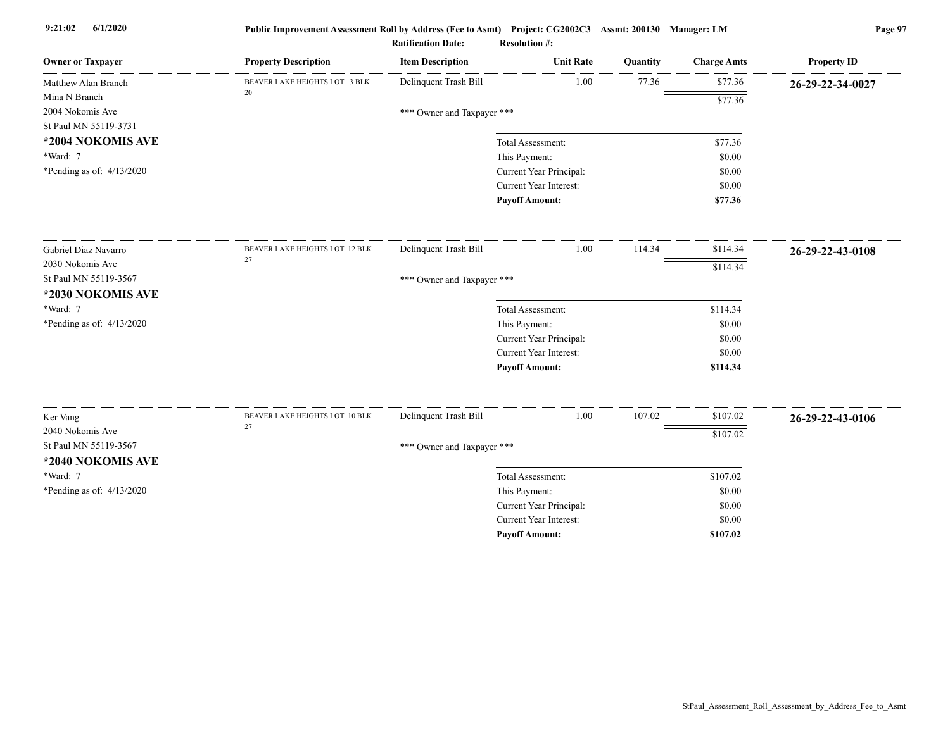| <b>Owner or Taxpayer</b>    | <b>Property Description</b>    | <b>Item Description</b>    | <b>Unit Rate</b>                         | Quantity | <b>Charge Amts</b> | <b>Property ID</b> |  |  |  |  |
|-----------------------------|--------------------------------|----------------------------|------------------------------------------|----------|--------------------|--------------------|--|--|--|--|
| Matthew Alan Branch         | BEAVER LAKE HEIGHTS LOT 3 BLK  | Delinquent Trash Bill      | 1.00                                     | 77.36    | \$77.36            | 26-29-22-34-0027   |  |  |  |  |
| Mina N Branch               | 20                             |                            |                                          |          | \$77.36            |                    |  |  |  |  |
| 2004 Nokomis Ave            |                                | *** Owner and Taxpayer *** |                                          |          |                    |                    |  |  |  |  |
| St Paul MN 55119-3731       |                                |                            |                                          |          |                    |                    |  |  |  |  |
| *2004 NOKOMIS AVE           |                                |                            | Total Assessment:                        |          | \$77.36            |                    |  |  |  |  |
| *Ward: 7                    |                                |                            | This Payment:                            |          | \$0.00             |                    |  |  |  |  |
| *Pending as of: 4/13/2020   |                                |                            | Current Year Principal:                  |          | \$0.00             |                    |  |  |  |  |
|                             |                                |                            | Current Year Interest:                   |          | \$0.00             |                    |  |  |  |  |
|                             |                                |                            | <b>Payoff Amount:</b>                    |          | \$77.36            |                    |  |  |  |  |
| Gabriel Diaz Navarro        | BEAVER LAKE HEIGHTS LOT 12 BLK | Delinquent Trash Bill      | 1.00                                     | 114.34   | \$114.34           | 26-29-22-43-0108   |  |  |  |  |
| 2030 Nokomis Ave            | 27                             |                            |                                          |          | \$114.34           |                    |  |  |  |  |
| St Paul MN 55119-3567       |                                |                            | *** Owner and Taxpayer ***               |          |                    |                    |  |  |  |  |
| *2030 NOKOMIS AVE           |                                |                            |                                          |          |                    |                    |  |  |  |  |
| *Ward: 7                    |                                |                            | Total Assessment:                        |          | \$114.34           |                    |  |  |  |  |
| *Pending as of: $4/13/2020$ |                                |                            | This Payment:                            |          | \$0.00             |                    |  |  |  |  |
|                             |                                |                            | Current Year Principal:                  |          | \$0.00             |                    |  |  |  |  |
|                             |                                |                            | <b>Current Year Interest:</b>            |          | \$0.00             |                    |  |  |  |  |
|                             |                                |                            | <b>Payoff Amount:</b>                    |          | \$114.34           |                    |  |  |  |  |
| Ker Vang                    | BEAVER LAKE HEIGHTS LOT 10 BLK | Delinquent Trash Bill      | 1.00                                     | 107.02   | \$107.02           |                    |  |  |  |  |
| 2040 Nokomis Ave            | 27                             |                            |                                          |          |                    | 26-29-22-43-0106   |  |  |  |  |
| St Paul MN 55119-3567       |                                |                            |                                          |          | \$107.02           |                    |  |  |  |  |
| *2040 NOKOMIS AVE           |                                | *** Owner and Taxpayer *** |                                          |          |                    |                    |  |  |  |  |
| *Ward: 7                    |                                |                            | Total Assessment:                        |          | \$107.02           |                    |  |  |  |  |
| *Pending as of: $4/13/2020$ |                                |                            |                                          |          | \$0.00             |                    |  |  |  |  |
|                             |                                |                            | This Payment:<br>Current Year Principal: |          | \$0.00             |                    |  |  |  |  |
|                             |                                |                            | Current Year Interest:                   |          | \$0.00             |                    |  |  |  |  |
|                             |                                |                            | <b>Payoff Amount:</b>                    |          | \$107.02           |                    |  |  |  |  |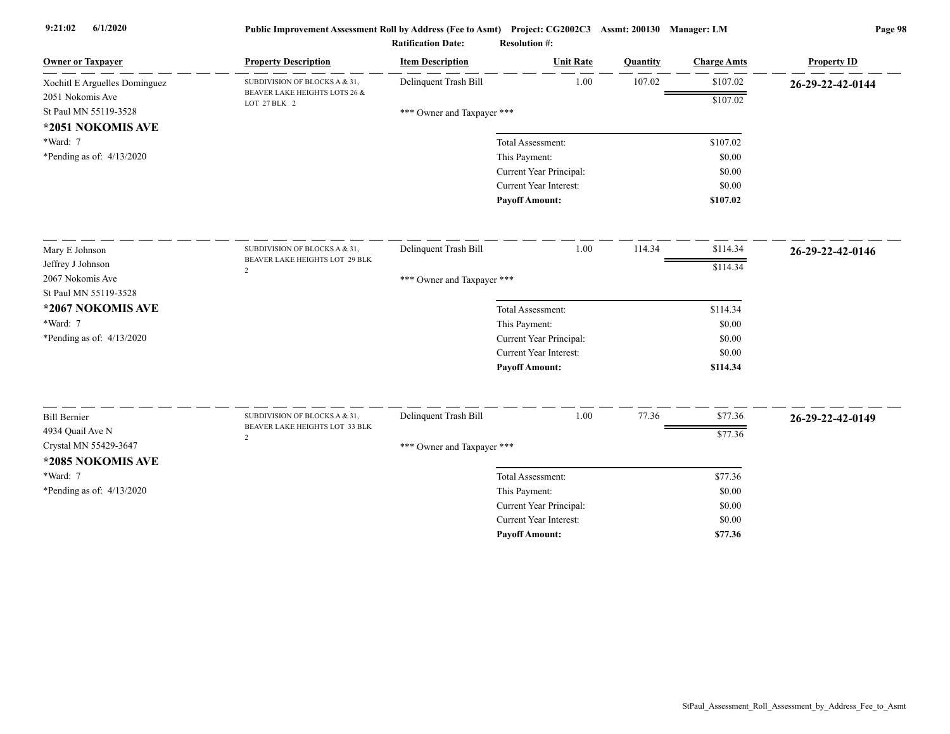| <b>Owner or Taxpayer</b>                                       | <b>Property Description</b>                   | <b>Item Description</b>    | <b>Unit Rate</b>              | Quantity | <b>Charge Amts</b> | <b>Property ID</b> |
|----------------------------------------------------------------|-----------------------------------------------|----------------------------|-------------------------------|----------|--------------------|--------------------|
| Xochitl E Arguelles Dominguez                                  | SUBDIVISION OF BLOCKS A & 31,                 | Delinquent Trash Bill      | 1.00                          | 107.02   | \$107.02           | 26-29-22-42-0144   |
| 2051 Nokomis Ave<br>St Paul MN 55119-3528<br>*2051 NOKOMIS AVE | BEAVER LAKE HEIGHTS LOTS 26 &<br>LOT 27 BLK 2 | *** Owner and Taxpayer *** |                               |          | \$107.02           |                    |
| *Ward: 7                                                       |                                               |                            | Total Assessment:             |          | \$107.02           |                    |
| *Pending as of: $4/13/2020$                                    |                                               |                            | This Payment:                 |          | \$0.00             |                    |
|                                                                |                                               |                            | Current Year Principal:       |          | \$0.00             |                    |
|                                                                |                                               |                            | Current Year Interest:        |          | \$0.00             |                    |
|                                                                |                                               |                            | <b>Payoff Amount:</b>         |          | \$107.02           |                    |
| Mary E Johnson                                                 | SUBDIVISION OF BLOCKS A & 31,                 | Delinquent Trash Bill      | 1.00                          | 114.34   | \$114.34           | 26-29-22-42-0146   |
| Jeffrey J Johnson                                              | BEAVER LAKE HEIGHTS LOT 29 BLK                |                            |                               |          | \$114.34           |                    |
| 2067 Nokomis Ave                                               | 2                                             | *** Owner and Taxpayer *** |                               |          |                    |                    |
| St Paul MN 55119-3528                                          |                                               |                            |                               |          |                    |                    |
| *2067 NOKOMIS AVE                                              |                                               |                            | Total Assessment:             |          | \$114.34           |                    |
| *Ward: 7                                                       |                                               |                            | This Payment:                 |          | \$0.00             |                    |
| *Pending as of: $4/13/2020$                                    |                                               |                            | Current Year Principal:       |          | \$0.00             |                    |
|                                                                |                                               |                            | <b>Current Year Interest:</b> |          | \$0.00             |                    |
|                                                                |                                               |                            | <b>Payoff Amount:</b>         |          | \$114.34           |                    |
| <b>Bill Bernier</b>                                            | SUBDIVISION OF BLOCKS A & 31,                 | Delinquent Trash Bill      | 1.00                          | 77.36    | \$77.36            | 26-29-22-42-0149   |
| 4934 Quail Ave N                                               | BEAVER LAKE HEIGHTS LOT 33 BLK                |                            |                               |          | \$77.36            |                    |
| Crystal MN 55429-3647                                          | 2                                             | *** Owner and Taxpayer *** |                               |          |                    |                    |
| *2085 NOKOMIS AVE                                              |                                               |                            |                               |          |                    |                    |
| *Ward: 7                                                       |                                               |                            | Total Assessment:             |          | \$77.36            |                    |
| *Pending as of: 4/13/2020                                      |                                               |                            | This Payment:                 |          | \$0.00             |                    |
|                                                                |                                               |                            | Current Year Principal:       |          | \$0.00             |                    |
|                                                                |                                               |                            | <b>Current Year Interest:</b> |          | \$0.00             |                    |
|                                                                |                                               |                            | <b>Pavoff Amount:</b>         |          | \$77.36            |                    |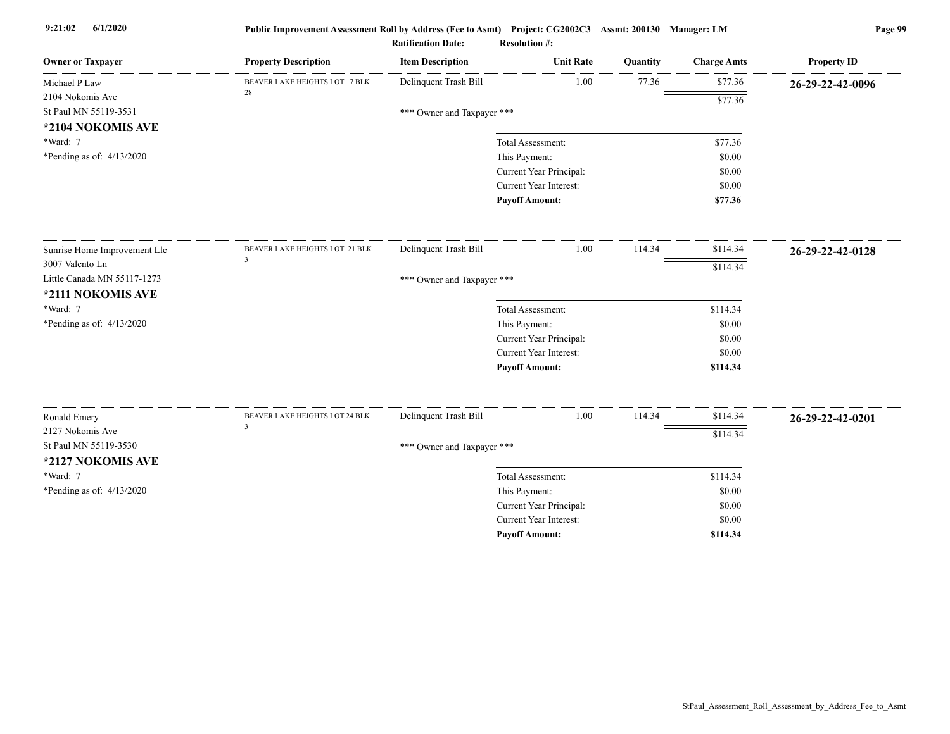| <b>Owner or Taxpayer</b>     | <b>Property Description</b>                               | <b>Item Description</b>    | <b>Unit Rate</b>              | Quantity | <b>Charge Amts</b> | <b>Property ID</b> |
|------------------------------|-----------------------------------------------------------|----------------------------|-------------------------------|----------|--------------------|--------------------|
| Michael P Law                | BEAVER LAKE HEIGHTS LOT 7 BLK                             | Delinquent Trash Bill      | 1.00                          | 77.36    | \$77.36            | 26-29-22-42-0096   |
| 2104 Nokomis Ave             | 28                                                        |                            |                               |          | \$77.36            |                    |
| St Paul MN 55119-3531        |                                                           | *** Owner and Taxpayer *** |                               |          |                    |                    |
| *2104 NOKOMIS AVE            |                                                           |                            |                               |          |                    |                    |
| *Ward: 7                     |                                                           |                            | Total Assessment:             |          | \$77.36            |                    |
| *Pending as of: $4/13/2020$  |                                                           |                            | This Payment:                 |          | \$0.00             |                    |
|                              |                                                           |                            | Current Year Principal:       |          | \$0.00             |                    |
|                              |                                                           |                            | Current Year Interest:        |          | \$0.00             |                    |
|                              |                                                           |                            | <b>Payoff Amount:</b>         |          | \$77.36            |                    |
| Sunrise Home Improvement Llc | BEAVER LAKE HEIGHTS LOT 21 BLK                            | Delinquent Trash Bill      | 1.00                          | 114.34   | \$114.34           | 26-29-22-42-0128   |
| 3007 Valento Ln              | $\overline{3}$                                            |                            |                               |          | \$114.34           |                    |
| Little Canada MN 55117-1273  |                                                           | *** Owner and Taxpayer *** |                               |          |                    |                    |
| *2111 NOKOMIS AVE            |                                                           |                            |                               |          |                    |                    |
| *Ward: 7                     |                                                           |                            | Total Assessment:             |          | \$114.34           |                    |
| *Pending as of: $4/13/2020$  |                                                           |                            | This Payment:                 |          | \$0.00             |                    |
|                              |                                                           |                            | Current Year Principal:       |          | \$0.00             |                    |
|                              |                                                           |                            | <b>Current Year Interest:</b> |          | \$0.00             |                    |
|                              |                                                           |                            | <b>Payoff Amount:</b>         |          | \$114.34           |                    |
|                              |                                                           |                            |                               |          |                    |                    |
| Ronald Emery                 | BEAVER LAKE HEIGHTS LOT 24 BLK<br>$\overline{\mathbf{3}}$ | Delinquent Trash Bill      | 1.00                          | 114.34   | \$114.34           | 26-29-22-42-0201   |
| 2127 Nokomis Ave             |                                                           |                            |                               |          | \$114.34           |                    |
| St Paul MN 55119-3530        |                                                           | *** Owner and Taxpayer *** |                               |          |                    |                    |
| *2127 NOKOMIS AVE            |                                                           |                            |                               |          |                    |                    |
| *Ward: 7                     |                                                           |                            | Total Assessment:             |          | \$114.34           |                    |
| *Pending as of: 4/13/2020    |                                                           |                            | This Payment:                 |          | \$0.00             |                    |
|                              |                                                           |                            | Current Year Principal:       |          | \$0.00             |                    |
|                              |                                                           |                            | <b>Current Year Interest:</b> |          | \$0.00             |                    |
|                              |                                                           |                            | <b>Payoff Amount:</b>         |          | \$114.34           |                    |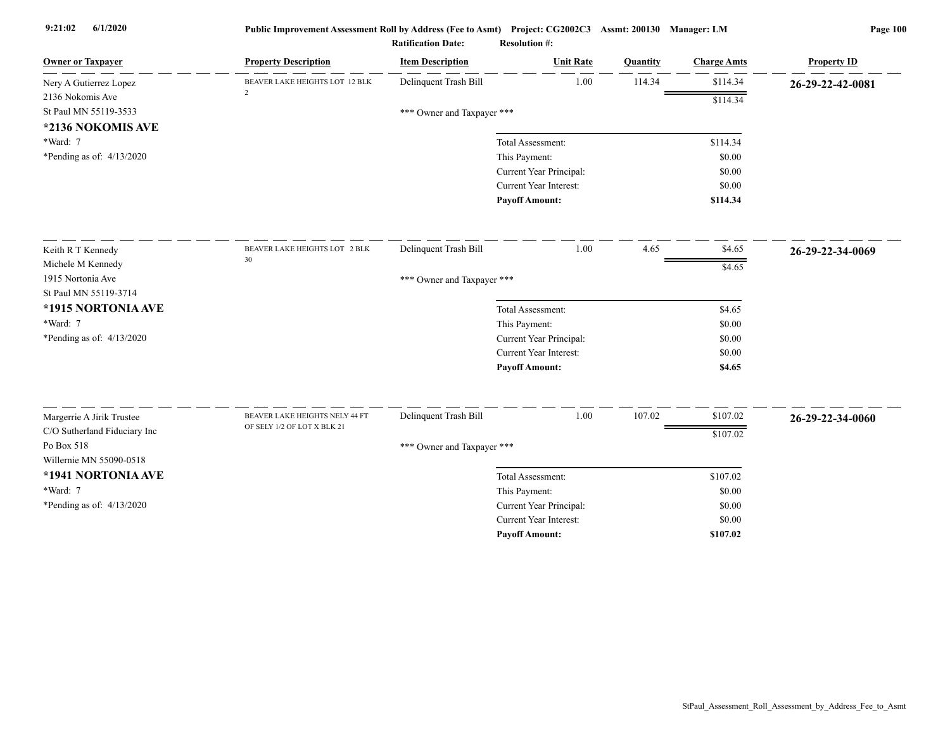| <b>Owner or Taxpayer</b>     | <b>Property Description</b>    | <b>Item Description</b>    | <b>Unit Rate</b>              | <b>Ouantity</b> | <b>Charge Amts</b> | <b>Property ID</b> |
|------------------------------|--------------------------------|----------------------------|-------------------------------|-----------------|--------------------|--------------------|
| Nery A Gutierrez Lopez       | BEAVER LAKE HEIGHTS LOT 12 BLK | Delinquent Trash Bill      | 1.00                          | 114.34          | \$114.34           | 26-29-22-42-0081   |
| 2136 Nokomis Ave             | $\overline{2}$                 |                            |                               |                 | \$114.34           |                    |
| St Paul MN 55119-3533        |                                | *** Owner and Taxpayer *** |                               |                 |                    |                    |
| *2136 NOKOMIS AVE            |                                |                            |                               |                 |                    |                    |
| *Ward: 7                     |                                |                            | Total Assessment:             |                 | \$114.34           |                    |
| *Pending as of: 4/13/2020    |                                |                            | This Payment:                 |                 | \$0.00             |                    |
|                              |                                |                            | Current Year Principal:       |                 | \$0.00             |                    |
|                              |                                |                            | <b>Current Year Interest:</b> |                 | \$0.00             |                    |
|                              |                                |                            | <b>Payoff Amount:</b>         |                 | \$114.34           |                    |
| Keith R T Kennedy            | BEAVER LAKE HEIGHTS LOT 2 BLK  | Delinquent Trash Bill      | 1.00                          | 4.65            | \$4.65             | 26-29-22-34-0069   |
| Michele M Kennedy            | 30                             |                            |                               |                 | \$4.65             |                    |
| 1915 Nortonia Ave            |                                | *** Owner and Taxpayer *** |                               |                 |                    |                    |
| St Paul MN 55119-3714        |                                |                            |                               |                 |                    |                    |
| *1915 NORTONIA AVE           |                                |                            | Total Assessment:             |                 | \$4.65             |                    |
| *Ward: 7                     |                                |                            | This Payment:                 |                 | \$0.00             |                    |
| *Pending as of: 4/13/2020    |                                |                            | Current Year Principal:       |                 | \$0.00             |                    |
|                              |                                |                            | Current Year Interest:        |                 | \$0.00             |                    |
|                              |                                |                            | <b>Payoff Amount:</b>         |                 | \$4.65             |                    |
| Margerrie A Jirik Trustee    | BEAVER LAKE HEIGHTS NELY 44 FT | Delinquent Trash Bill      | 1.00                          | 107.02          | \$107.02           |                    |
| C/O Sutherland Fiduciary Inc | OF SELY 1/2 OF LOT X BLK 21    |                            |                               |                 |                    | 26-29-22-34-0060   |
| Po Box 518                   |                                | *** Owner and Taxpayer *** |                               |                 | \$107.02           |                    |
| Willernie MN 55090-0518      |                                |                            |                               |                 |                    |                    |
| *1941 NORTONIA AVE           |                                |                            | Total Assessment:             |                 | \$107.02           |                    |
| *Ward: 7                     |                                |                            | This Payment:                 |                 | \$0.00             |                    |
| *Pending as of: 4/13/2020    |                                |                            | Current Year Principal:       |                 | \$0.00             |                    |
|                              |                                |                            | Current Year Interest:        |                 | \$0.00             |                    |
|                              |                                |                            | <b>Payoff Amount:</b>         |                 | \$107.02           |                    |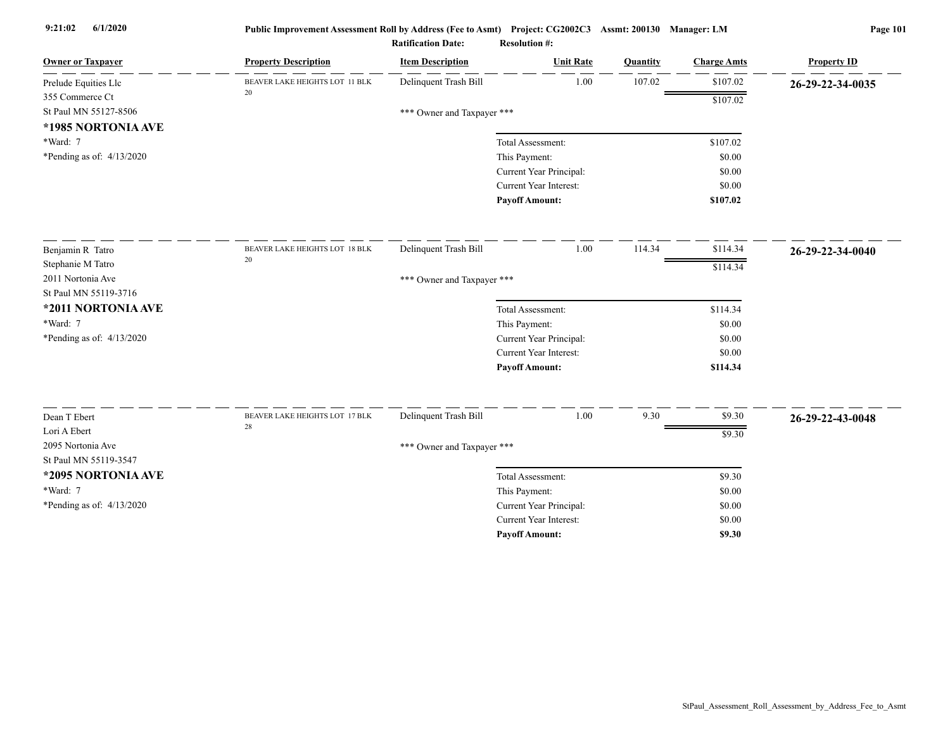| <b>Owner or Taxpayer</b>    | <b>Property Description</b>    | <b>Item Description</b>    | <b>Unit Rate</b>              | <b>Ouantity</b> | <b>Charge Amts</b> | <b>Property ID</b> |
|-----------------------------|--------------------------------|----------------------------|-------------------------------|-----------------|--------------------|--------------------|
| Prelude Equities Llc        | BEAVER LAKE HEIGHTS LOT 11 BLK | Delinquent Trash Bill      | 1.00                          | 107.02          | \$107.02           | 26-29-22-34-0035   |
| 355 Commerce Ct             | 20                             |                            |                               |                 | \$107.02           |                    |
| St Paul MN 55127-8506       |                                | *** Owner and Taxpayer *** |                               |                 |                    |                    |
| *1985 NORTONIA AVE          |                                |                            |                               |                 |                    |                    |
| *Ward: 7                    |                                |                            | Total Assessment:             |                 | \$107.02           |                    |
| *Pending as of: 4/13/2020   |                                |                            | This Payment:                 |                 | \$0.00             |                    |
|                             |                                |                            | Current Year Principal:       |                 | \$0.00             |                    |
|                             |                                |                            | Current Year Interest:        |                 | \$0.00             |                    |
|                             |                                |                            | <b>Payoff Amount:</b>         |                 | \$107.02           |                    |
| Benjamin R Tatro            | BEAVER LAKE HEIGHTS LOT 18 BLK | Delinquent Trash Bill      | 1.00                          | 114.34          | \$114.34           | 26-29-22-34-0040   |
| Stephanie M Tatro           | $20\,$                         |                            |                               |                 | \$114.34           |                    |
| 2011 Nortonia Ave           |                                | *** Owner and Taxpayer *** |                               |                 |                    |                    |
| St Paul MN 55119-3716       |                                |                            |                               |                 |                    |                    |
| *2011 NORTONIA AVE          |                                |                            | Total Assessment:             |                 | \$114.34           |                    |
| *Ward: 7                    |                                |                            | This Payment:                 |                 | \$0.00             |                    |
| *Pending as of: 4/13/2020   |                                |                            | Current Year Principal:       |                 | \$0.00             |                    |
|                             |                                |                            | Current Year Interest:        |                 | \$0.00             |                    |
|                             |                                |                            | <b>Payoff Amount:</b>         |                 | \$114.34           |                    |
| Dean T Ebert                | BEAVER LAKE HEIGHTS LOT 17 BLK | Delinquent Trash Bill      | 1.00                          | 9.30            | \$9.30             | 26-29-22-43-0048   |
| Lori A Ebert                | 28                             |                            |                               |                 |                    |                    |
| 2095 Nortonia Ave           |                                | *** Owner and Taxpayer *** |                               |                 | \$9.30             |                    |
| St Paul MN 55119-3547       |                                |                            |                               |                 |                    |                    |
| *2095 NORTONIA AVE          |                                |                            | Total Assessment:             |                 | \$9.30             |                    |
| *Ward: 7                    |                                |                            | This Payment:                 |                 | \$0.00             |                    |
| *Pending as of: $4/13/2020$ |                                |                            | Current Year Principal:       |                 | \$0.00             |                    |
|                             |                                |                            | <b>Current Year Interest:</b> |                 | \$0.00             |                    |
|                             |                                |                            | <b>Pavoff Amount:</b>         |                 | \$9.30             |                    |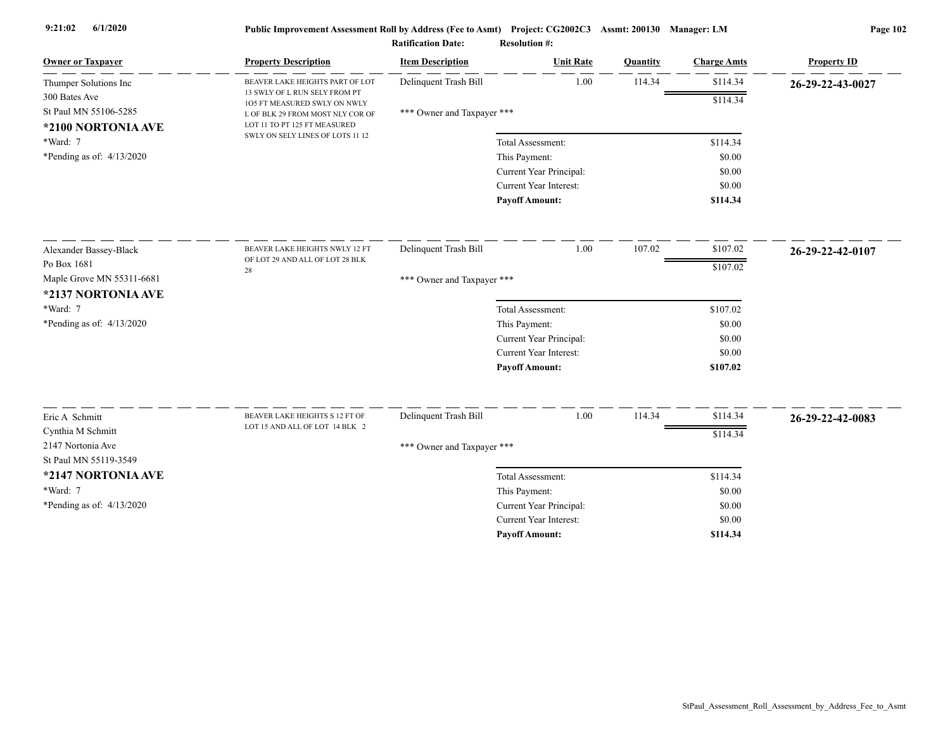|                                             |                                                                  | <b>Ratification Date:</b>  | <b>Resolution #:</b>          |          |                    |                    |
|---------------------------------------------|------------------------------------------------------------------|----------------------------|-------------------------------|----------|--------------------|--------------------|
| <b>Owner or Taxpayer</b>                    | <b>Property Description</b>                                      | <b>Item Description</b>    | <b>Unit Rate</b>              | Quantity | <b>Charge Amts</b> | <b>Property ID</b> |
| Thumper Solutions Inc                       | BEAVER LAKE HEIGHTS PART OF LOT                                  | Delinquent Trash Bill      | 1.00                          | 114.34   | \$114.34           | 26-29-22-43-0027   |
| 300 Bates Ave                               | 13 SWLY OF L RUN SELY FROM PT<br>105 FT MEASURED SWLY ON NWLY    |                            |                               |          | \$114.34           |                    |
| St Paul MN 55106-5285<br>*2100 NORTONIA AVE | L OF BLK 29 FROM MOST NLY COR OF<br>LOT 11 TO PT 125 FT MEASURED | *** Owner and Taxpayer *** |                               |          |                    |                    |
| *Ward: 7                                    | SWLY ON SELY LINES OF LOTS 11 12                                 |                            | Total Assessment:             |          | \$114.34           |                    |
| *Pending as of: $4/13/2020$                 |                                                                  |                            | This Payment:                 |          | \$0.00             |                    |
|                                             |                                                                  |                            | Current Year Principal:       |          | \$0.00             |                    |
|                                             |                                                                  |                            | <b>Current Year Interest:</b> |          | \$0.00             |                    |
|                                             |                                                                  |                            | <b>Payoff Amount:</b>         |          | \$114.34           |                    |
| Alexander Bassey-Black                      | BEAVER LAKE HEIGHTS NWLY 12 FT                                   | Delinquent Trash Bill      | 1.00                          | 107.02   | \$107.02           |                    |
| Po Box 1681                                 | OF LOT 29 AND ALL OF LOT 28 BLK                                  |                            |                               |          |                    | 26-29-22-42-0107   |
| Maple Grove MN 55311-6681                   | 28                                                               | *** Owner and Taxpayer *** |                               |          | \$107.02           |                    |
| *2137 NORTONIA AVE                          |                                                                  |                            |                               |          |                    |                    |
| *Ward: 7                                    |                                                                  |                            | Total Assessment:             |          | \$107.02           |                    |
| *Pending as of: $4/13/2020$                 |                                                                  |                            | This Payment:                 |          | \$0.00             |                    |
|                                             |                                                                  |                            | Current Year Principal:       |          | \$0.00             |                    |
|                                             |                                                                  |                            | <b>Current Year Interest:</b> |          | \$0.00             |                    |
|                                             |                                                                  |                            | <b>Payoff Amount:</b>         |          | \$107.02           |                    |
|                                             |                                                                  |                            | 1.00                          |          |                    |                    |
| Eric A Schmitt                              | BEAVER LAKE HEIGHTS S 12 FT OF<br>LOT 15 AND ALL OF LOT 14 BLK 2 | Delinquent Trash Bill      |                               | 114.34   | \$114.34           | 26-29-22-42-0083   |
| Cynthia M Schmitt<br>2147 Nortonia Ave      |                                                                  |                            |                               |          | \$114.34           |                    |
| St Paul MN 55119-3549                       |                                                                  | *** Owner and Taxpayer *** |                               |          |                    |                    |
| *2147 NORTONIA AVE                          |                                                                  |                            | Total Assessment:             |          | \$114.34           |                    |
| *Ward: 7                                    |                                                                  |                            | This Payment:                 |          | \$0.00             |                    |
| *Pending as of: $4/13/2020$                 |                                                                  |                            | Current Year Principal:       |          | \$0.00             |                    |
|                                             |                                                                  |                            | <b>Current Year Interest:</b> |          | \$0.00             |                    |
|                                             |                                                                  |                            |                               |          |                    |                    |

**Payoff Amount:**

**\$114.34**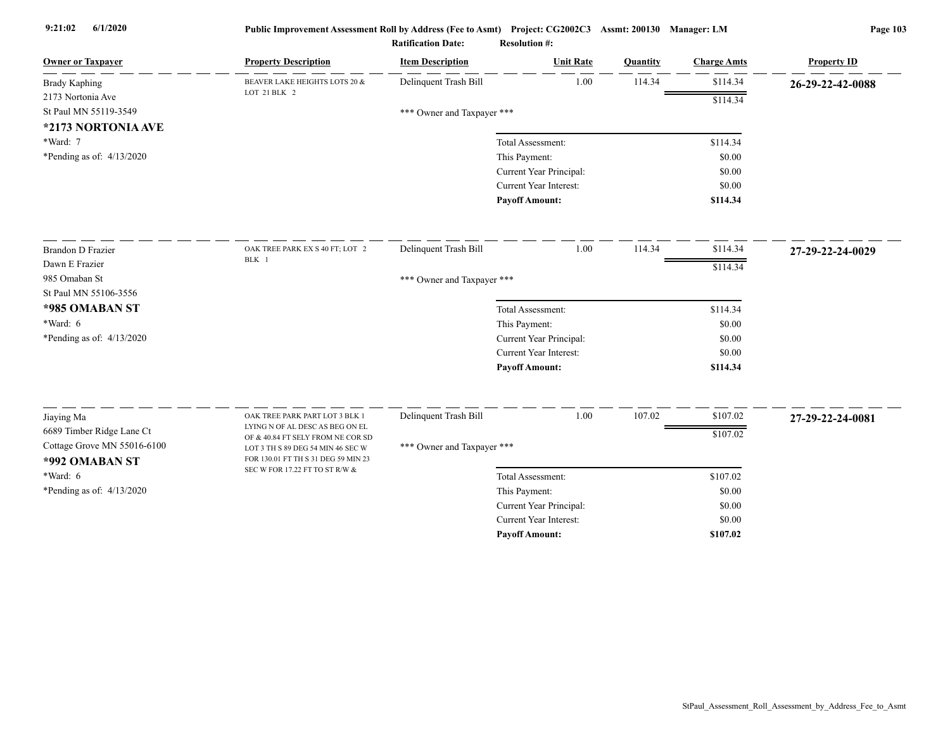| <b>Owner or Taxpayer</b>                      | <b>Property Description</b>                                                                                   | <b>Item Description</b>    | <b>Unit Rate</b>              | Quantity | <b>Charge Amts</b> | <b>Property ID</b> |
|-----------------------------------------------|---------------------------------------------------------------------------------------------------------------|----------------------------|-------------------------------|----------|--------------------|--------------------|
| <b>Brady Kaphing</b>                          | BEAVER LAKE HEIGHTS LOTS 20 &                                                                                 | Delinquent Trash Bill      | 1.00                          | 114.34   | \$114.34           | 26-29-22-42-0088   |
| 2173 Nortonia Ave                             | LOT 21 BLK 2                                                                                                  |                            |                               |          | \$114.34           |                    |
| St Paul MN 55119-3549                         |                                                                                                               | *** Owner and Taxpayer *** |                               |          |                    |                    |
| *2173 NORTONIA AVE                            |                                                                                                               |                            |                               |          |                    |                    |
| *Ward: 7                                      |                                                                                                               |                            | Total Assessment:             |          | \$114.34           |                    |
| *Pending as of: $4/13/2020$                   |                                                                                                               |                            | This Payment:                 |          | \$0.00             |                    |
|                                               |                                                                                                               |                            | Current Year Principal:       |          | \$0.00             |                    |
|                                               |                                                                                                               |                            | <b>Current Year Interest:</b> |          | \$0.00             |                    |
|                                               |                                                                                                               |                            | <b>Payoff Amount:</b>         |          | \$114.34           |                    |
| <b>Brandon D Frazier</b>                      | OAK TREE PARK EX S 40 FT; LOT 2                                                                               | Delinquent Trash Bill      | 1.00                          | 114.34   | \$114.34           | 27-29-22-24-0029   |
| Dawn E Frazier                                | BLK 1                                                                                                         |                            |                               |          | \$114.34           |                    |
| 985 Omaban St                                 |                                                                                                               | *** Owner and Taxpayer *** |                               |          |                    |                    |
| St Paul MN 55106-3556                         |                                                                                                               |                            |                               |          |                    |                    |
| *985 OMABAN ST                                |                                                                                                               |                            | Total Assessment:             |          | \$114.34           |                    |
| *Ward: 6                                      |                                                                                                               |                            | This Payment:                 |          | \$0.00             |                    |
| *Pending as of: $4/13/2020$                   |                                                                                                               |                            | Current Year Principal:       |          | \$0.00             |                    |
|                                               |                                                                                                               |                            | <b>Current Year Interest:</b> |          | \$0.00             |                    |
|                                               |                                                                                                               |                            | <b>Payoff Amount:</b>         |          | \$114.34           |                    |
| Jiaying Ma                                    | OAK TREE PARK PART LOT 3 BLK 1                                                                                | Delinquent Trash Bill      | 1.00                          | 107.02   | \$107.02           | 27-29-22-24-0081   |
| 6689 Timber Ridge Lane Ct                     | LYING N OF AL DESC AS BEG ON EL                                                                               |                            |                               |          |                    |                    |
| Cottage Grove MN 55016-6100<br>*992 OMABAN ST | OF & 40.84 FT SELY FROM NE COR SD<br>LOT 3 TH S 89 DEG 54 MIN 46 SEC W<br>FOR 130.01 FT TH S 31 DEG 59 MIN 23 | *** Owner and Taxpayer *** |                               |          | \$107.02           |                    |
| *Ward: 6                                      | SEC W FOR 17.22 FT TO ST R/W &                                                                                |                            | Total Assessment:             |          | \$107.02           |                    |
| *Pending as of: $4/13/2020$                   |                                                                                                               |                            | This Payment:                 |          | \$0.00             |                    |
|                                               |                                                                                                               |                            | Current Year Principal:       |          | \$0.00             |                    |
|                                               |                                                                                                               |                            | <b>Current Year Interest:</b> |          | \$0.00             |                    |
|                                               |                                                                                                               |                            | <b>Pavoff Amount:</b>         |          | \$107.02           |                    |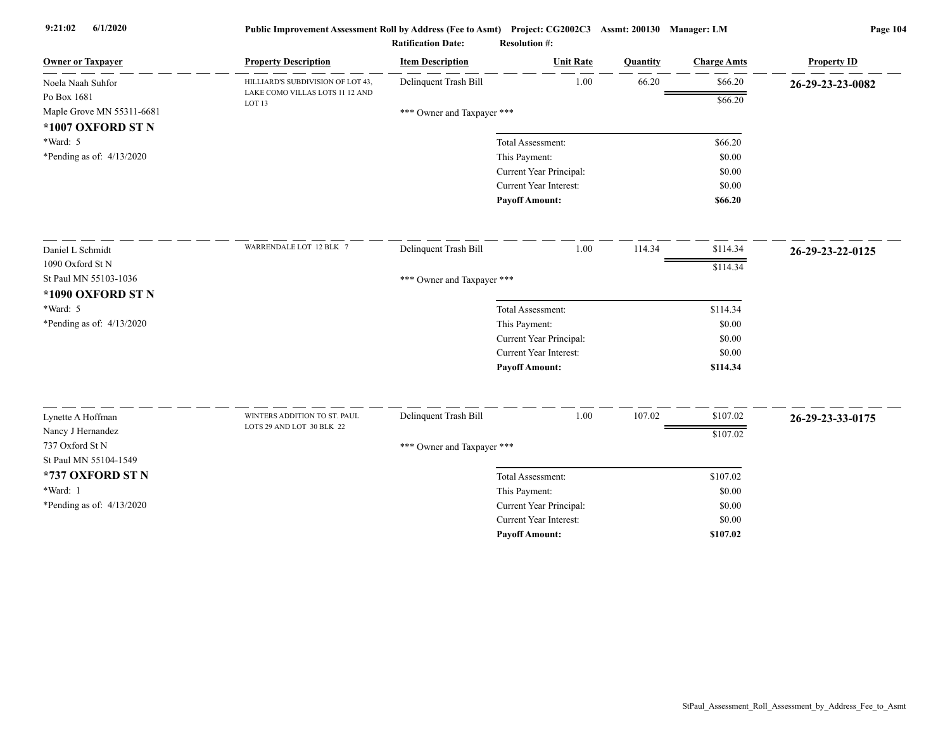| <b>Owner or Taxpayer</b>                                      | <b>Property Description</b>                          | <b>Item Description</b>    | <b>Unit Rate</b>              | Quantity | <b>Charge Amts</b> | <b>Property ID</b> |
|---------------------------------------------------------------|------------------------------------------------------|----------------------------|-------------------------------|----------|--------------------|--------------------|
| Noela Naah Suhfor                                             | HILLIARD'S SUBDIVISION OF LOT 43,                    | Delinquent Trash Bill      | 1.00                          | 66.20    | \$66.20            | 26-29-23-23-0082   |
| Po Box 1681<br>Maple Grove MN 55311-6681<br>*1007 OXFORD ST N | LAKE COMO VILLAS LOTS 11 12 AND<br>LOT <sub>13</sub> | *** Owner and Taxpayer *** |                               |          | \$66.20            |                    |
| *Ward: 5                                                      |                                                      |                            | Total Assessment:             |          | \$66.20            |                    |
| *Pending as of: $4/13/2020$                                   |                                                      |                            | This Payment:                 |          | \$0.00             |                    |
|                                                               |                                                      |                            | Current Year Principal:       |          | \$0.00             |                    |
|                                                               |                                                      |                            | <b>Current Year Interest:</b> |          | \$0.00             |                    |
|                                                               |                                                      |                            | <b>Payoff Amount:</b>         |          | \$66.20            |                    |
| Daniel L Schmidt                                              | WARRENDALE LOT 12 BLK 7                              | Delinquent Trash Bill      | 1.00                          | 114.34   | \$114.34           | 26-29-23-22-0125   |
| 1090 Oxford St N                                              |                                                      |                            |                               |          | \$114.34           |                    |
| St Paul MN 55103-1036                                         |                                                      | *** Owner and Taxpayer *** |                               |          |                    |                    |
| *1090 OXFORD ST N                                             |                                                      |                            |                               |          |                    |                    |
| *Ward: 5                                                      |                                                      |                            | Total Assessment:             |          | \$114.34           |                    |
| *Pending as of: $4/13/2020$                                   |                                                      |                            | This Payment:                 |          | \$0.00             |                    |
|                                                               |                                                      |                            | Current Year Principal:       |          | \$0.00             |                    |
|                                                               |                                                      |                            | Current Year Interest:        |          | \$0.00             |                    |
|                                                               |                                                      |                            | <b>Payoff Amount:</b>         |          | \$114.34           |                    |
| Lynette A Hoffman                                             | WINTERS ADDITION TO ST. PAUL                         | Delinquent Trash Bill      | 1.00                          | 107.02   | \$107.02           | 26-29-23-33-0175   |
| Nancy J Hernandez                                             | LOTS 29 AND LOT 30 BLK 22                            |                            |                               |          |                    |                    |
| 737 Oxford St N                                               |                                                      | *** Owner and Taxpayer *** |                               |          | \$107.02           |                    |
| St Paul MN 55104-1549                                         |                                                      |                            |                               |          |                    |                    |
| *737 OXFORD ST N                                              |                                                      |                            | Total Assessment:             |          | \$107.02           |                    |
| *Ward: 1                                                      |                                                      |                            | This Payment:                 |          | \$0.00             |                    |
| *Pending as of: 4/13/2020                                     |                                                      |                            | Current Year Principal:       |          | \$0.00             |                    |
|                                                               |                                                      |                            | <b>Current Year Interest:</b> |          | \$0.00             |                    |
|                                                               |                                                      |                            | <b>Pavoff Amount:</b>         |          | \$107.02           |                    |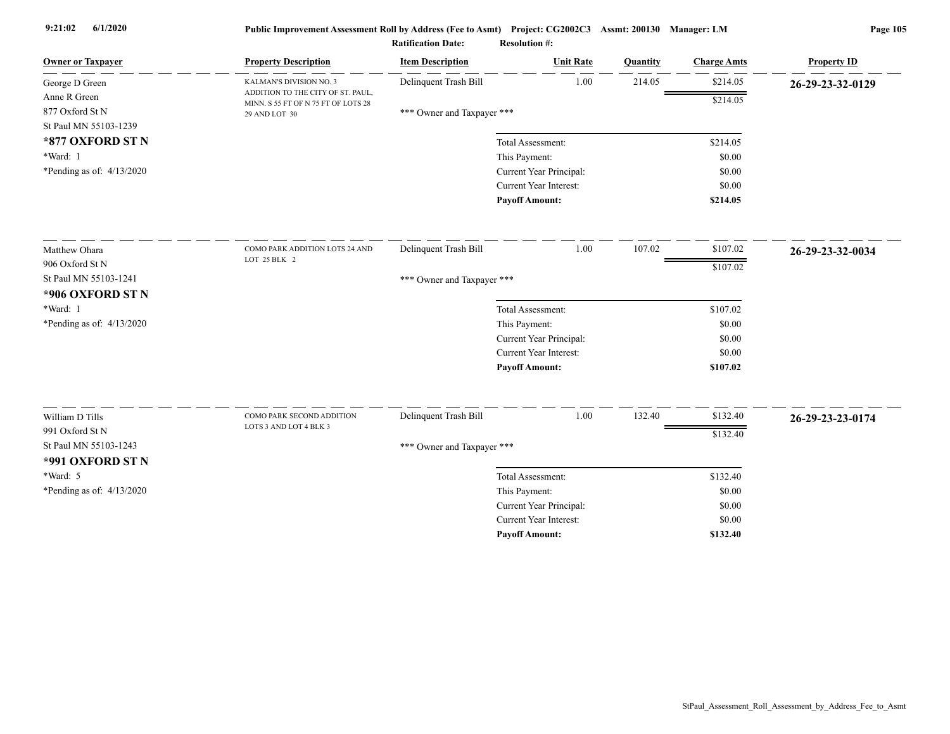|                             |                                                                          | <b>Ratification Date:</b>  | <b>Resolution #:</b>    |          |                    |                    |
|-----------------------------|--------------------------------------------------------------------------|----------------------------|-------------------------|----------|--------------------|--------------------|
| <b>Owner or Taxpayer</b>    | <b>Property Description</b>                                              | <b>Item Description</b>    | <b>Unit Rate</b>        | Quantity | <b>Charge Amts</b> | <b>Property ID</b> |
| George D Green              | KALMAN'S DIVISION NO. 3                                                  | Delinquent Trash Bill      | 1.00                    | 214.05   | \$214.05           | 26-29-23-32-0129   |
| Anne R Green                | ADDITION TO THE CITY OF ST. PAUL,<br>MINN. S 55 FT OF N 75 FT OF LOTS 28 |                            |                         |          | \$214.05           |                    |
| 877 Oxford St N             | 29 AND LOT 30                                                            | *** Owner and Taxpayer *** |                         |          |                    |                    |
| St Paul MN 55103-1239       |                                                                          |                            |                         |          |                    |                    |
| *877 OXFORD ST N            |                                                                          |                            | Total Assessment:       |          | \$214.05           |                    |
| *Ward: 1                    |                                                                          |                            | This Payment:           |          | \$0.00             |                    |
| *Pending as of: 4/13/2020   |                                                                          |                            | Current Year Principal: |          | \$0.00             |                    |
|                             |                                                                          |                            | Current Year Interest:  |          | \$0.00             |                    |
|                             |                                                                          |                            | <b>Payoff Amount:</b>   |          | \$214.05           |                    |
| Matthew Ohara               | COMO PARK ADDITION LOTS 24 AND                                           | Delinquent Trash Bill      | 1.00                    | 107.02   | \$107.02           | 26-29-23-32-0034   |
| 906 Oxford St N             | LOT 25 BLK 2                                                             |                            |                         |          | \$107.02           |                    |
| St Paul MN 55103-1241       |                                                                          | *** Owner and Taxpayer *** |                         |          |                    |                    |
| *906 OXFORD ST N            |                                                                          |                            |                         |          |                    |                    |
| *Ward: 1                    |                                                                          |                            | Total Assessment:       |          | \$107.02           |                    |
| *Pending as of: $4/13/2020$ |                                                                          |                            | This Payment:           |          | \$0.00             |                    |
|                             |                                                                          |                            | Current Year Principal: |          | \$0.00             |                    |
|                             |                                                                          |                            | Current Year Interest:  |          | \$0.00             |                    |
|                             |                                                                          |                            | <b>Payoff Amount:</b>   |          | \$107.02           |                    |
| William D Tills             | COMO PARK SECOND ADDITION                                                | Delinquent Trash Bill      | 1.00                    | 132.40   | \$132.40           | 26-29-23-23-0174   |
| 991 Oxford St N             | LOTS 3 AND LOT 4 BLK 3                                                   |                            |                         |          | \$132.40           |                    |
| St Paul MN 55103-1243       |                                                                          | *** Owner and Taxpayer *** |                         |          |                    |                    |
| *991 OXFORD ST N            |                                                                          |                            |                         |          |                    |                    |
| $*Ward: 5$                  |                                                                          |                            | Total Assessment:       |          | \$132.40           |                    |
| *Pending as of: $4/13/2020$ |                                                                          |                            | This Payment:           |          | \$0.00             |                    |
|                             |                                                                          |                            | Current Year Principal: |          | \$0.00             |                    |
|                             |                                                                          |                            | Current Year Interest:  |          | \$0.00             |                    |

**Payoff Amount:**

**\$132.40**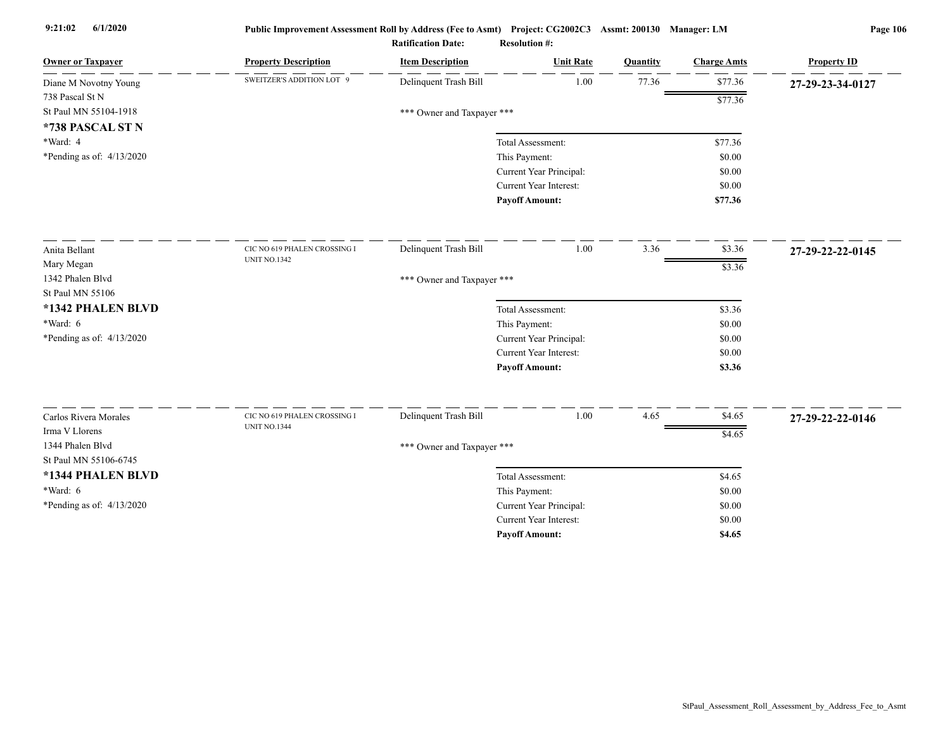| <b>Owner or Taxpayer</b>    | <b>Property Description</b>  | <b>Item Description</b>    | <b>Unit Rate</b>              | Quantity | <b>Charge Amts</b> | <b>Property ID</b> |
|-----------------------------|------------------------------|----------------------------|-------------------------------|----------|--------------------|--------------------|
| Diane M Novotny Young       | SWEITZER'S ADDITION LOT 9    | Delinquent Trash Bill      | 1.00                          | 77.36    | \$77.36            | 27-29-23-34-0127   |
| 738 Pascal St N             |                              |                            |                               |          | \$77.36            |                    |
| St Paul MN 55104-1918       |                              | *** Owner and Taxpayer *** |                               |          |                    |                    |
| *738 PASCAL ST N            |                              |                            |                               |          |                    |                    |
| *Ward: 4                    |                              |                            | Total Assessment:             |          | \$77.36            |                    |
| *Pending as of: $4/13/2020$ |                              |                            | This Payment:                 |          | \$0.00             |                    |
|                             |                              |                            | Current Year Principal:       |          | \$0.00             |                    |
|                             |                              |                            | Current Year Interest:        |          | \$0.00             |                    |
|                             |                              |                            | <b>Payoff Amount:</b>         |          | \$77.36            |                    |
| Anita Bellant               | CIC NO 619 PHALEN CROSSING I | Delinquent Trash Bill      | 1.00                          | 3.36     | \$3.36             | 27-29-22-22-0145   |
| Mary Megan                  | <b>UNIT NO.1342</b>          |                            |                               |          | \$3.36             |                    |
| 1342 Phalen Blvd            |                              | *** Owner and Taxpayer *** |                               |          |                    |                    |
| St Paul MN 55106            |                              |                            |                               |          |                    |                    |
| *1342 PHALEN BLVD           |                              |                            | Total Assessment:             |          | \$3.36             |                    |
| *Ward: 6                    |                              |                            | This Payment:                 |          | \$0.00             |                    |
| *Pending as of: $4/13/2020$ |                              |                            | Current Year Principal:       |          | \$0.00             |                    |
|                             |                              |                            | Current Year Interest:        |          | \$0.00             |                    |
|                             |                              |                            | <b>Payoff Amount:</b>         |          | \$3.36             |                    |
| Carlos Rivera Morales       | CIC NO 619 PHALEN CROSSING I | Delinquent Trash Bill      | 1.00                          | 4.65     | \$4.65             |                    |
| Irma V Llorens              | <b>UNIT NO.1344</b>          |                            |                               |          |                    | 27-29-22-22-0146   |
| 1344 Phalen Blvd            |                              |                            |                               |          | \$4.65             |                    |
| St Paul MN 55106-6745       |                              | *** Owner and Taxpayer *** |                               |          |                    |                    |
| *1344 PHALEN BLVD           |                              |                            | Total Assessment:             |          | \$4.65             |                    |
| $*Ward: 6$                  |                              |                            | This Payment:                 |          | \$0.00             |                    |
| *Pending as of: $4/13/2020$ |                              |                            | Current Year Principal:       |          | \$0.00             |                    |
|                             |                              |                            | <b>Current Year Interest:</b> |          | \$0.00             |                    |
|                             |                              |                            | <b>Payoff Amount:</b>         |          | \$4.65             |                    |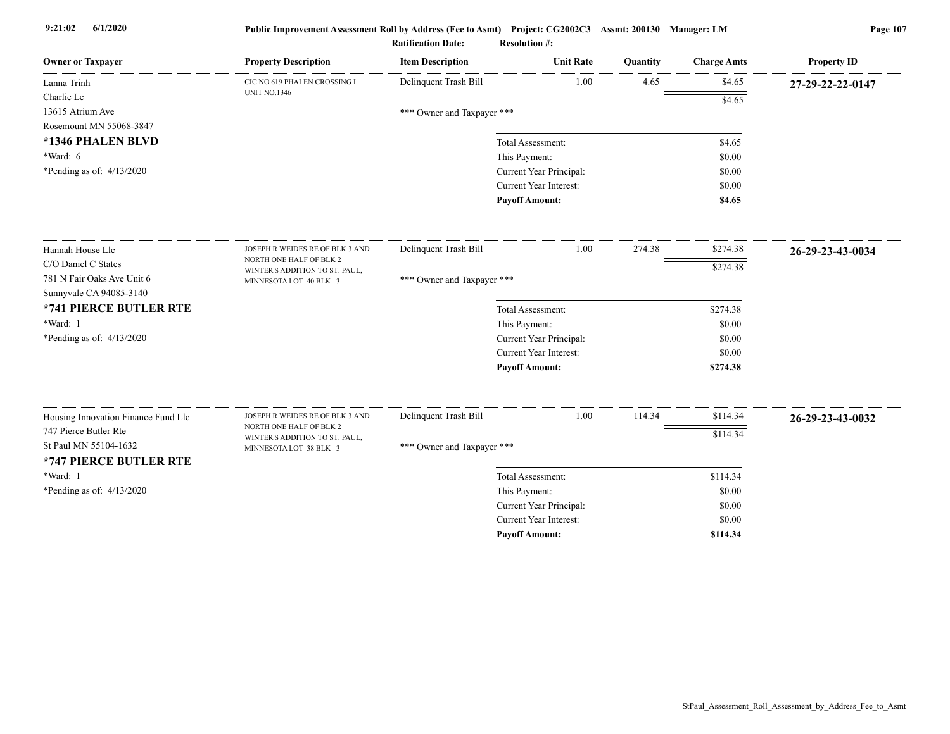| Delinquent Trash Bill<br>1.00<br>4.65<br>\$4.65<br>Lanna Trinh<br>CIC NO 619 PHALEN CROSSING I<br>27-29-22-22-0147<br><b>UNIT NO.1346</b><br>Charlie Le<br>\$4.65<br>13615 Atrium Ave<br>*** Owner and Taxpayer ***<br>Rosemount MN 55068-3847<br>*1346 PHALEN BLVD<br>Total Assessment:<br>\$4.65<br>*Ward: 6<br>This Payment:<br>\$0.00<br>*Pending as of: $4/13/2020$<br>Current Year Principal:<br>\$0.00<br>Current Year Interest:<br>\$0.00<br><b>Payoff Amount:</b><br>\$4.65<br>Delinquent Trash Bill<br>1.00<br>274.38<br>\$274.38<br>Hannah House Llc<br>JOSEPH R WEIDES RE OF BLK 3 AND<br>26-29-23-43-0034<br>NORTH ONE HALF OF BLK 2<br>C/O Daniel C States<br>\$274.38<br>WINTER'S ADDITION TO ST. PAUL,<br>781 N Fair Oaks Ave Unit 6<br>*** Owner and Taxpayer ***<br>MINNESOTA LOT 40 BLK 3<br>Sunnyvale CA 94085-3140<br>*741 PIERCE BUTLER RTE<br>\$274.38<br>Total Assessment:<br>*Ward: 1<br>This Payment:<br>\$0.00<br>*Pending as of: $4/13/2020$<br>Current Year Principal:<br>\$0.00<br>Current Year Interest:<br>\$0.00<br><b>Payoff Amount:</b><br>\$274.38<br>Delinquent Trash Bill<br>1.00<br>114.34<br>\$114.34<br>Housing Innovation Finance Fund Llc<br>JOSEPH R WEIDES RE OF BLK 3 AND<br>26-29-23-43-0032<br>NORTH ONE HALF OF BLK 2<br>747 Pierce Butler Rte<br>\$114.34<br>WINTER'S ADDITION TO ST. PAUL,<br>St Paul MN 55104-1632<br>*** Owner and Taxpayer ***<br>MINNESOTA LOT 38 BLK 3<br>*747 PIERCE BUTLER RTE<br>*Ward: 1<br>\$114.34<br>Total Assessment:<br>*Pending as of: $4/13/2020$<br>This Payment:<br>\$0.00<br>Current Year Principal:<br>\$0.00<br>Current Year Interest:<br>\$0.00<br>\$114.34<br><b>Pavoff Amount:</b> | <b>Owner or Taxpayer</b> | <b>Property Description</b> | <b>Item Description</b> | <b>Unit Rate</b> | Quantity | <b>Charge Amts</b> | <b>Property ID</b> |
|-------------------------------------------------------------------------------------------------------------------------------------------------------------------------------------------------------------------------------------------------------------------------------------------------------------------------------------------------------------------------------------------------------------------------------------------------------------------------------------------------------------------------------------------------------------------------------------------------------------------------------------------------------------------------------------------------------------------------------------------------------------------------------------------------------------------------------------------------------------------------------------------------------------------------------------------------------------------------------------------------------------------------------------------------------------------------------------------------------------------------------------------------------------------------------------------------------------------------------------------------------------------------------------------------------------------------------------------------------------------------------------------------------------------------------------------------------------------------------------------------------------------------------------------------------------------------------------------------------------------------------------------------------------------------------|--------------------------|-----------------------------|-------------------------|------------------|----------|--------------------|--------------------|
|                                                                                                                                                                                                                                                                                                                                                                                                                                                                                                                                                                                                                                                                                                                                                                                                                                                                                                                                                                                                                                                                                                                                                                                                                                                                                                                                                                                                                                                                                                                                                                                                                                                                               |                          |                             |                         |                  |          |                    |                    |
|                                                                                                                                                                                                                                                                                                                                                                                                                                                                                                                                                                                                                                                                                                                                                                                                                                                                                                                                                                                                                                                                                                                                                                                                                                                                                                                                                                                                                                                                                                                                                                                                                                                                               |                          |                             |                         |                  |          |                    |                    |
|                                                                                                                                                                                                                                                                                                                                                                                                                                                                                                                                                                                                                                                                                                                                                                                                                                                                                                                                                                                                                                                                                                                                                                                                                                                                                                                                                                                                                                                                                                                                                                                                                                                                               |                          |                             |                         |                  |          |                    |                    |
|                                                                                                                                                                                                                                                                                                                                                                                                                                                                                                                                                                                                                                                                                                                                                                                                                                                                                                                                                                                                                                                                                                                                                                                                                                                                                                                                                                                                                                                                                                                                                                                                                                                                               |                          |                             |                         |                  |          |                    |                    |
|                                                                                                                                                                                                                                                                                                                                                                                                                                                                                                                                                                                                                                                                                                                                                                                                                                                                                                                                                                                                                                                                                                                                                                                                                                                                                                                                                                                                                                                                                                                                                                                                                                                                               |                          |                             |                         |                  |          |                    |                    |
|                                                                                                                                                                                                                                                                                                                                                                                                                                                                                                                                                                                                                                                                                                                                                                                                                                                                                                                                                                                                                                                                                                                                                                                                                                                                                                                                                                                                                                                                                                                                                                                                                                                                               |                          |                             |                         |                  |          |                    |                    |
|                                                                                                                                                                                                                                                                                                                                                                                                                                                                                                                                                                                                                                                                                                                                                                                                                                                                                                                                                                                                                                                                                                                                                                                                                                                                                                                                                                                                                                                                                                                                                                                                                                                                               |                          |                             |                         |                  |          |                    |                    |
|                                                                                                                                                                                                                                                                                                                                                                                                                                                                                                                                                                                                                                                                                                                                                                                                                                                                                                                                                                                                                                                                                                                                                                                                                                                                                                                                                                                                                                                                                                                                                                                                                                                                               |                          |                             |                         |                  |          |                    |                    |
|                                                                                                                                                                                                                                                                                                                                                                                                                                                                                                                                                                                                                                                                                                                                                                                                                                                                                                                                                                                                                                                                                                                                                                                                                                                                                                                                                                                                                                                                                                                                                                                                                                                                               |                          |                             |                         |                  |          |                    |                    |
|                                                                                                                                                                                                                                                                                                                                                                                                                                                                                                                                                                                                                                                                                                                                                                                                                                                                                                                                                                                                                                                                                                                                                                                                                                                                                                                                                                                                                                                                                                                                                                                                                                                                               |                          |                             |                         |                  |          |                    |                    |
|                                                                                                                                                                                                                                                                                                                                                                                                                                                                                                                                                                                                                                                                                                                                                                                                                                                                                                                                                                                                                                                                                                                                                                                                                                                                                                                                                                                                                                                                                                                                                                                                                                                                               |                          |                             |                         |                  |          |                    |                    |
|                                                                                                                                                                                                                                                                                                                                                                                                                                                                                                                                                                                                                                                                                                                                                                                                                                                                                                                                                                                                                                                                                                                                                                                                                                                                                                                                                                                                                                                                                                                                                                                                                                                                               |                          |                             |                         |                  |          |                    |                    |
|                                                                                                                                                                                                                                                                                                                                                                                                                                                                                                                                                                                                                                                                                                                                                                                                                                                                                                                                                                                                                                                                                                                                                                                                                                                                                                                                                                                                                                                                                                                                                                                                                                                                               |                          |                             |                         |                  |          |                    |                    |
|                                                                                                                                                                                                                                                                                                                                                                                                                                                                                                                                                                                                                                                                                                                                                                                                                                                                                                                                                                                                                                                                                                                                                                                                                                                                                                                                                                                                                                                                                                                                                                                                                                                                               |                          |                             |                         |                  |          |                    |                    |
|                                                                                                                                                                                                                                                                                                                                                                                                                                                                                                                                                                                                                                                                                                                                                                                                                                                                                                                                                                                                                                                                                                                                                                                                                                                                                                                                                                                                                                                                                                                                                                                                                                                                               |                          |                             |                         |                  |          |                    |                    |
|                                                                                                                                                                                                                                                                                                                                                                                                                                                                                                                                                                                                                                                                                                                                                                                                                                                                                                                                                                                                                                                                                                                                                                                                                                                                                                                                                                                                                                                                                                                                                                                                                                                                               |                          |                             |                         |                  |          |                    |                    |
|                                                                                                                                                                                                                                                                                                                                                                                                                                                                                                                                                                                                                                                                                                                                                                                                                                                                                                                                                                                                                                                                                                                                                                                                                                                                                                                                                                                                                                                                                                                                                                                                                                                                               |                          |                             |                         |                  |          |                    |                    |
|                                                                                                                                                                                                                                                                                                                                                                                                                                                                                                                                                                                                                                                                                                                                                                                                                                                                                                                                                                                                                                                                                                                                                                                                                                                                                                                                                                                                                                                                                                                                                                                                                                                                               |                          |                             |                         |                  |          |                    |                    |
|                                                                                                                                                                                                                                                                                                                                                                                                                                                                                                                                                                                                                                                                                                                                                                                                                                                                                                                                                                                                                                                                                                                                                                                                                                                                                                                                                                                                                                                                                                                                                                                                                                                                               |                          |                             |                         |                  |          |                    |                    |
|                                                                                                                                                                                                                                                                                                                                                                                                                                                                                                                                                                                                                                                                                                                                                                                                                                                                                                                                                                                                                                                                                                                                                                                                                                                                                                                                                                                                                                                                                                                                                                                                                                                                               |                          |                             |                         |                  |          |                    |                    |
|                                                                                                                                                                                                                                                                                                                                                                                                                                                                                                                                                                                                                                                                                                                                                                                                                                                                                                                                                                                                                                                                                                                                                                                                                                                                                                                                                                                                                                                                                                                                                                                                                                                                               |                          |                             |                         |                  |          |                    |                    |
|                                                                                                                                                                                                                                                                                                                                                                                                                                                                                                                                                                                                                                                                                                                                                                                                                                                                                                                                                                                                                                                                                                                                                                                                                                                                                                                                                                                                                                                                                                                                                                                                                                                                               |                          |                             |                         |                  |          |                    |                    |
|                                                                                                                                                                                                                                                                                                                                                                                                                                                                                                                                                                                                                                                                                                                                                                                                                                                                                                                                                                                                                                                                                                                                                                                                                                                                                                                                                                                                                                                                                                                                                                                                                                                                               |                          |                             |                         |                  |          |                    |                    |
|                                                                                                                                                                                                                                                                                                                                                                                                                                                                                                                                                                                                                                                                                                                                                                                                                                                                                                                                                                                                                                                                                                                                                                                                                                                                                                                                                                                                                                                                                                                                                                                                                                                                               |                          |                             |                         |                  |          |                    |                    |
|                                                                                                                                                                                                                                                                                                                                                                                                                                                                                                                                                                                                                                                                                                                                                                                                                                                                                                                                                                                                                                                                                                                                                                                                                                                                                                                                                                                                                                                                                                                                                                                                                                                                               |                          |                             |                         |                  |          |                    |                    |
|                                                                                                                                                                                                                                                                                                                                                                                                                                                                                                                                                                                                                                                                                                                                                                                                                                                                                                                                                                                                                                                                                                                                                                                                                                                                                                                                                                                                                                                                                                                                                                                                                                                                               |                          |                             |                         |                  |          |                    |                    |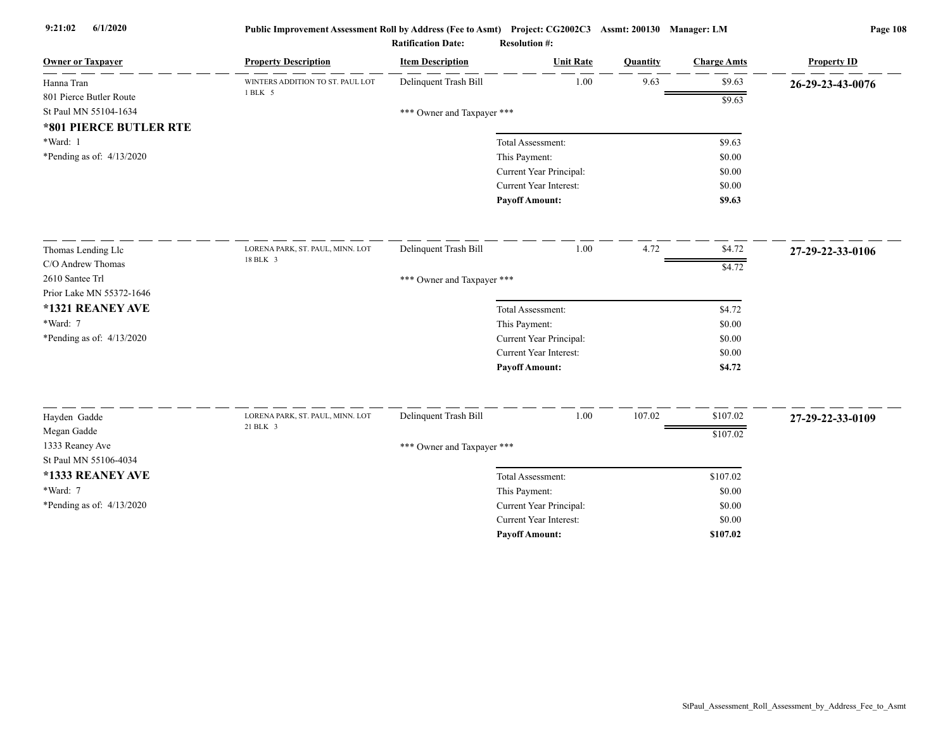| <b>Ratification Date:</b> | <b>Resolution #:</b> |
|---------------------------|----------------------|
|---------------------------|----------------------|

| <b>Owner or Taxpayer</b>                | <b>Property Description</b>                  | <b>Item Description</b>    | <b>Unit Rate</b>              | Quantity | <b>Charge Amts</b> | <b>Property ID</b> |  |  |
|-----------------------------------------|----------------------------------------------|----------------------------|-------------------------------|----------|--------------------|--------------------|--|--|
| Hanna Tran                              | WINTERS ADDITION TO ST. PAUL LOT<br>1 BLK 5  | Delinquent Trash Bill      | 1.00                          | 9.63     | \$9.63             | 26-29-23-43-0076   |  |  |
| 801 Pierce Butler Route                 |                                              |                            |                               |          | \$9.63             |                    |  |  |
| St Paul MN 55104-1634                   | *** Owner and Taxpayer ***                   |                            |                               |          |                    |                    |  |  |
| *801 PIERCE BUTLER RTE                  |                                              |                            |                               |          |                    |                    |  |  |
| *Ward: 1<br>*Pending as of: $4/13/2020$ |                                              |                            | Total Assessment:             |          | \$9.63             |                    |  |  |
|                                         |                                              |                            | This Payment:                 |          | \$0.00             |                    |  |  |
|                                         |                                              |                            | Current Year Principal:       |          | \$0.00             |                    |  |  |
|                                         |                                              |                            | Current Year Interest:        |          | \$0.00             |                    |  |  |
|                                         |                                              |                            | <b>Payoff Amount:</b>         |          | \$9.63             |                    |  |  |
| Thomas Lending Llc                      | LORENA PARK, ST. PAUL, MINN. LOT             | Delinquent Trash Bill      | 1.00                          | 4.72     | \$4.72             | 27-29-22-33-0106   |  |  |
| C/O Andrew Thomas                       | 18 BLK 3                                     |                            |                               |          | $\sqrt{34.72}$     |                    |  |  |
| 2610 Santee Trl                         |                                              |                            | *** Owner and Taxpayer ***    |          |                    |                    |  |  |
| Prior Lake MN 55372-1646                |                                              |                            |                               |          |                    |                    |  |  |
| *1321 REANEY AVE                        |                                              |                            | Total Assessment:             |          | \$4.72             |                    |  |  |
| *Ward: 7                                |                                              |                            | This Payment:                 |          | \$0.00             |                    |  |  |
| *Pending as of: $4/13/2020$             |                                              |                            | Current Year Principal:       |          | \$0.00             |                    |  |  |
|                                         |                                              |                            | Current Year Interest:        |          | \$0.00             |                    |  |  |
|                                         |                                              |                            | <b>Payoff Amount:</b>         |          | \$4.72             |                    |  |  |
| Hayden Gadde                            | LORENA PARK, ST. PAUL, MINN. LOT<br>21 BLK 3 | Delinquent Trash Bill      | 1.00                          | 107.02   | \$107.02           | 27-29-22-33-0109   |  |  |
| Megan Gadde                             |                                              |                            |                               |          | \$107.02           |                    |  |  |
| 1333 Reaney Ave                         |                                              |                            |                               |          |                    |                    |  |  |
| St Paul MN 55106-4034                   |                                              | *** Owner and Taxpayer *** |                               |          |                    |                    |  |  |
| *1333 REANEY AVE                        |                                              |                            | Total Assessment:             |          | \$107.02           |                    |  |  |
| *Ward: 7                                |                                              |                            | This Payment:                 |          | \$0.00             |                    |  |  |
| *Pending as of: 4/13/2020               |                                              |                            | Current Year Principal:       |          | \$0.00             |                    |  |  |
|                                         |                                              |                            | <b>Current Year Interest:</b> |          | \$0.00             |                    |  |  |
|                                         |                                              |                            | <b>Pavoff Amount:</b>         |          | \$107.02           |                    |  |  |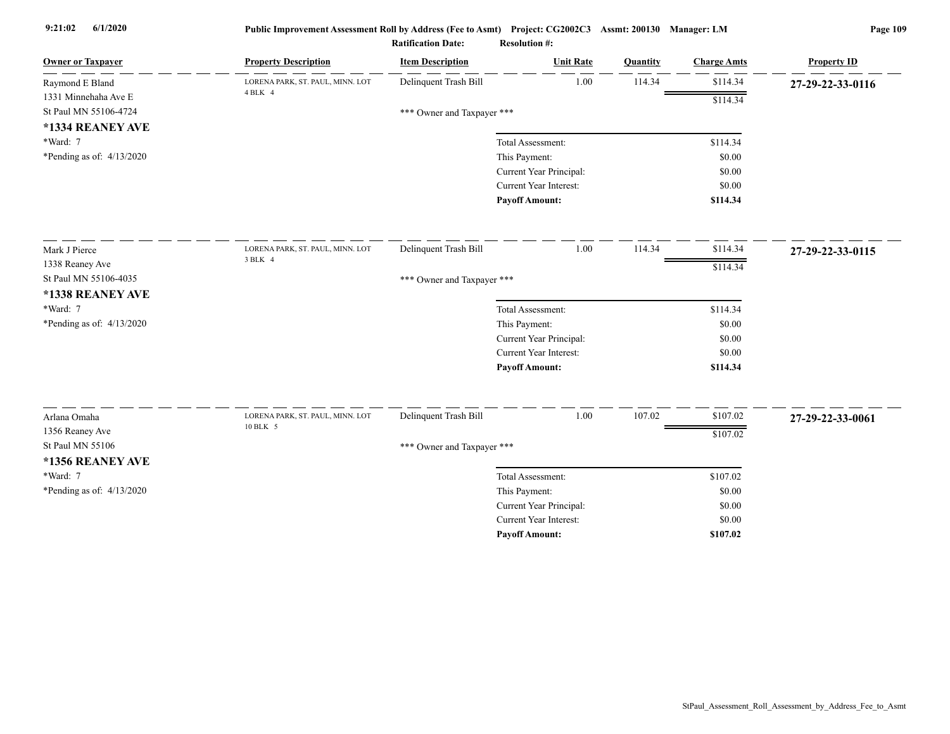| <b>Owner or Taxpayer</b>    | <b>Property Description</b>                 | <b>Item Description</b>    | <b>Unit Rate</b>              | Quantity | <b>Charge Amts</b> | <b>Property ID</b> |
|-----------------------------|---------------------------------------------|----------------------------|-------------------------------|----------|--------------------|--------------------|
| Raymond E Bland             | LORENA PARK, ST. PAUL, MINN. LOT<br>4 BLK 4 | Delinquent Trash Bill      | 1.00                          | 114.34   | \$114.34           | 27-29-22-33-0116   |
| 1331 Minnehaha Ave E        |                                             |                            |                               |          | \$114.34           |                    |
| St Paul MN 55106-4724       |                                             | *** Owner and Taxpayer *** |                               |          |                    |                    |
| *1334 REANEY AVE            |                                             |                            |                               |          |                    |                    |
| *Ward: 7                    |                                             |                            | Total Assessment:             |          | \$114.34           |                    |
| *Pending as of: $4/13/2020$ |                                             |                            | This Payment:                 |          | \$0.00             |                    |
|                             |                                             |                            | Current Year Principal:       |          | \$0.00             |                    |
|                             |                                             |                            | Current Year Interest:        |          | \$0.00             |                    |
|                             |                                             |                            | <b>Payoff Amount:</b>         |          | \$114.34           |                    |
| Mark J Pierce               | LORENA PARK, ST. PAUL, MINN. LOT            | Delinquent Trash Bill      | 1.00                          | 114.34   | \$114.34           | 27-29-22-33-0115   |
| 1338 Reaney Ave             | 3 BLK 4                                     |                            |                               |          | \$114.34           |                    |
| St Paul MN 55106-4035       |                                             | *** Owner and Taxpayer *** |                               |          |                    |                    |
| *1338 REANEY AVE            |                                             |                            |                               |          |                    |                    |
| *Ward: 7                    |                                             |                            | Total Assessment:             |          | \$114.34           |                    |
| *Pending as of: 4/13/2020   |                                             |                            | This Payment:                 |          | \$0.00             |                    |
|                             |                                             |                            | Current Year Principal:       |          | \$0.00             |                    |
|                             |                                             |                            | Current Year Interest:        |          | \$0.00             |                    |
|                             |                                             |                            | <b>Payoff Amount:</b>         |          | \$114.34           |                    |
| Arlana Omaha                | LORENA PARK, ST. PAUL, MINN. LOT            | Delinquent Trash Bill      | 1.00                          | 107.02   | \$107.02           | 27-29-22-33-0061   |
| 1356 Reaney Ave             | 10 BLK 5                                    |                            |                               |          | \$107.02           |                    |
| St Paul MN 55106            |                                             | *** Owner and Taxpayer *** |                               |          |                    |                    |
| *1356 REANEY AVE            |                                             |                            |                               |          |                    |                    |
| *Ward: 7                    |                                             |                            | Total Assessment:             |          | \$107.02           |                    |
| *Pending as of: 4/13/2020   |                                             |                            | This Payment:                 |          | \$0.00             |                    |
|                             |                                             |                            | Current Year Principal:       |          | \$0.00             |                    |
|                             |                                             |                            | <b>Current Year Interest:</b> |          | \$0.00             |                    |
|                             |                                             |                            | <b>Payoff Amount:</b>         |          | \$107.02           |                    |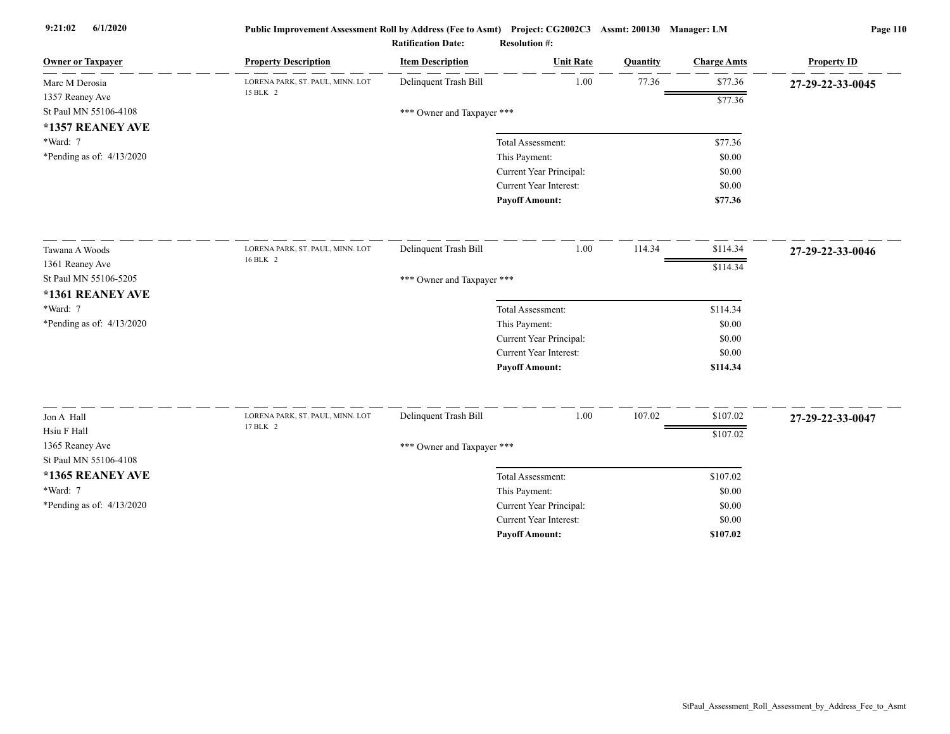| <b>Owner or Taxpayer</b>    | <b>Property Description</b>      | <b>Item Description</b>    | <b>Unit Rate</b>              | Quantity | <b>Charge Amts</b> | <b>Property ID</b> |
|-----------------------------|----------------------------------|----------------------------|-------------------------------|----------|--------------------|--------------------|
| Marc M Derosia              | LORENA PARK, ST. PAUL, MINN. LOT | Delinquent Trash Bill      | 1.00                          | 77.36    | \$77.36            | 27-29-22-33-0045   |
| 1357 Reaney Ave             | 15 BLK 2                         |                            |                               |          | \$77.36            |                    |
| St Paul MN 55106-4108       |                                  | *** Owner and Taxpayer *** |                               |          |                    |                    |
| *1357 REANEY AVE            |                                  |                            |                               |          |                    |                    |
| *Ward: 7                    |                                  |                            | Total Assessment:             |          | \$77.36            |                    |
| *Pending as of: $4/13/2020$ |                                  |                            | This Payment:                 |          | \$0.00             |                    |
|                             |                                  |                            | Current Year Principal:       |          | \$0.00             |                    |
|                             |                                  |                            | Current Year Interest:        |          | \$0.00             |                    |
|                             |                                  |                            | <b>Payoff Amount:</b>         |          | \$77.36            |                    |
| Tawana A Woods              | LORENA PARK, ST. PAUL, MINN. LOT | Delinquent Trash Bill      | 1.00                          | 114.34   | \$114.34           | 27-29-22-33-0046   |
| 1361 Reaney Ave             | 16 BLK 2                         |                            |                               |          | \$114.34           |                    |
| St Paul MN 55106-5205       |                                  | *** Owner and Taxpayer *** |                               |          |                    |                    |
| *1361 REANEY AVE            |                                  |                            |                               |          |                    |                    |
| *Ward: 7                    |                                  |                            | Total Assessment:             |          | \$114.34           |                    |
| *Pending as of: 4/13/2020   |                                  |                            | This Payment:                 |          | \$0.00             |                    |
|                             |                                  |                            | Current Year Principal:       |          | \$0.00             |                    |
|                             |                                  |                            | <b>Current Year Interest:</b> |          | \$0.00             |                    |
|                             |                                  |                            | <b>Payoff Amount:</b>         |          | \$114.34           |                    |
| Jon A Hall                  | LORENA PARK, ST. PAUL, MINN. LOT | Delinquent Trash Bill      | 1.00                          | 107.02   | \$107.02           |                    |
| Hsiu F Hall                 | 17 BLK 2                         |                            |                               |          |                    | 27-29-22-33-0047   |
| 1365 Reaney Ave             |                                  |                            |                               |          | \$107.02           |                    |
| St Paul MN 55106-4108       |                                  | *** Owner and Taxpayer *** |                               |          |                    |                    |
| *1365 REANEY AVE            |                                  |                            | Total Assessment:             |          | \$107.02           |                    |
| *Ward: 7                    |                                  |                            | This Payment:                 |          | \$0.00             |                    |
| *Pending as of: 4/13/2020   |                                  |                            | Current Year Principal:       |          | \$0.00             |                    |
|                             |                                  |                            | <b>Current Year Interest:</b> |          | \$0.00             |                    |
|                             |                                  |                            | <b>Pavoff Amount:</b>         |          | \$107.02           |                    |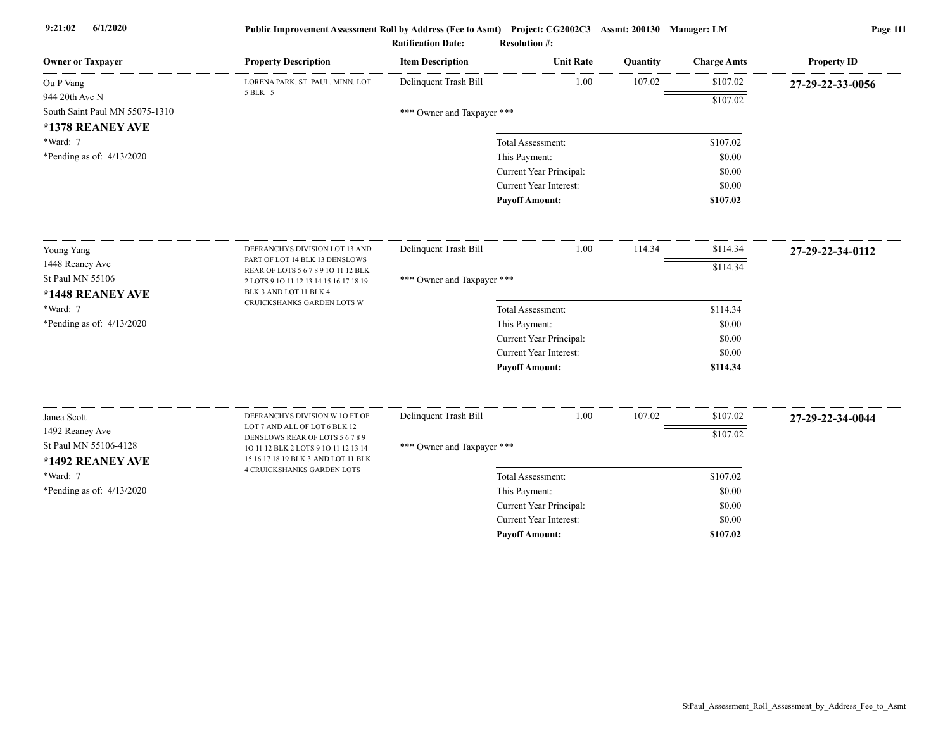| <b>Owner or Taxpayer</b>                  | <b>Property Description</b>                                                 | <b>Item Description</b>    | <b>Unit Rate</b>              | Quantity | <b>Charge Amts</b> | <b>Property ID</b> |
|-------------------------------------------|-----------------------------------------------------------------------------|----------------------------|-------------------------------|----------|--------------------|--------------------|
| Ou P Vang                                 | LORENA PARK, ST. PAUL, MINN. LOT                                            | Delinquent Trash Bill      | 1.00                          | 107.02   | \$107.02           | 27-29-22-33-0056   |
| 944 20th Ave N                            | 5 BLK 5                                                                     |                            |                               |          | \$107.02           |                    |
| South Saint Paul MN 55075-1310            |                                                                             | *** Owner and Taxpayer *** |                               |          |                    |                    |
| *1378 REANEY AVE                          |                                                                             |                            |                               |          |                    |                    |
| *Ward: 7                                  |                                                                             |                            | Total Assessment:             |          | \$107.02           |                    |
| *Pending as of: $4/13/2020$               |                                                                             |                            | This Payment:                 |          | \$0.00             |                    |
|                                           |                                                                             |                            | Current Year Principal:       |          | \$0.00             |                    |
|                                           |                                                                             |                            | Current Year Interest:        |          | \$0.00             |                    |
|                                           |                                                                             |                            | <b>Payoff Amount:</b>         |          | \$107.02           |                    |
| Young Yang                                | DEFRANCHYS DIVISION LOT 13 AND                                              | Delinquent Trash Bill      | 1.00                          | 114.34   | \$114.34           | 27-29-22-34-0112   |
| 1448 Reaney Ave                           | PART OF LOT 14 BLK 13 DENSLOWS                                              |                            |                               |          |                    |                    |
| St Paul MN 55106                          | REAR OF LOTS 5 6 7 8 9 10 11 12 BLK                                         | *** Owner and Taxpayer *** |                               |          | \$114.34           |                    |
| *1448 REANEY AVE                          | 2 LOTS 9 10 11 12 13 14 15 16 17 18 19<br>BLK 3 AND LOT 11 BLK 4            |                            |                               |          |                    |                    |
| *Ward: 7                                  | CRUICKSHANKS GARDEN LOTS W                                                  |                            | Total Assessment:             |          | \$114.34           |                    |
| *Pending as of: 4/13/2020                 |                                                                             |                            | This Payment:                 |          | \$0.00             |                    |
|                                           |                                                                             |                            | Current Year Principal:       |          | \$0.00             |                    |
|                                           |                                                                             |                            | Current Year Interest:        |          | \$0.00             |                    |
|                                           |                                                                             |                            | <b>Payoff Amount:</b>         |          | \$114.34           |                    |
|                                           |                                                                             |                            |                               |          |                    |                    |
| Janea Scott                               | DEFRANCHYS DIVISION W 10 FT OF                                              | Delinquent Trash Bill      | 1.00                          | 107.02   | \$107.02           | 27-29-22-34-0044   |
| 1492 Reaney Ave                           | LOT 7 AND ALL OF LOT 6 BLK 12<br>DENSLOWS REAR OF LOTS 5 6 7 8 9            |                            |                               |          | \$107.02           |                    |
| St Paul MN 55106-4128<br>*1492 REANEY AVE | 10 11 12 BLK 2 LOTS 9 10 11 12 13 14<br>15 16 17 18 19 BLK 3 AND LOT 11 BLK | *** Owner and Taxpayer *** |                               |          |                    |                    |
| *Ward: 7                                  | 4 CRUICKSHANKS GARDEN LOTS                                                  |                            | Total Assessment:             |          | \$107.02           |                    |
| *Pending as of: $4/13/2020$               |                                                                             |                            | This Payment:                 |          | \$0.00             |                    |
|                                           |                                                                             |                            | Current Year Principal:       |          | \$0.00             |                    |
|                                           |                                                                             |                            | <b>Current Year Interest:</b> |          | \$0.00             |                    |
|                                           |                                                                             |                            | <b>Pavoff Amount:</b>         |          | \$107.02           |                    |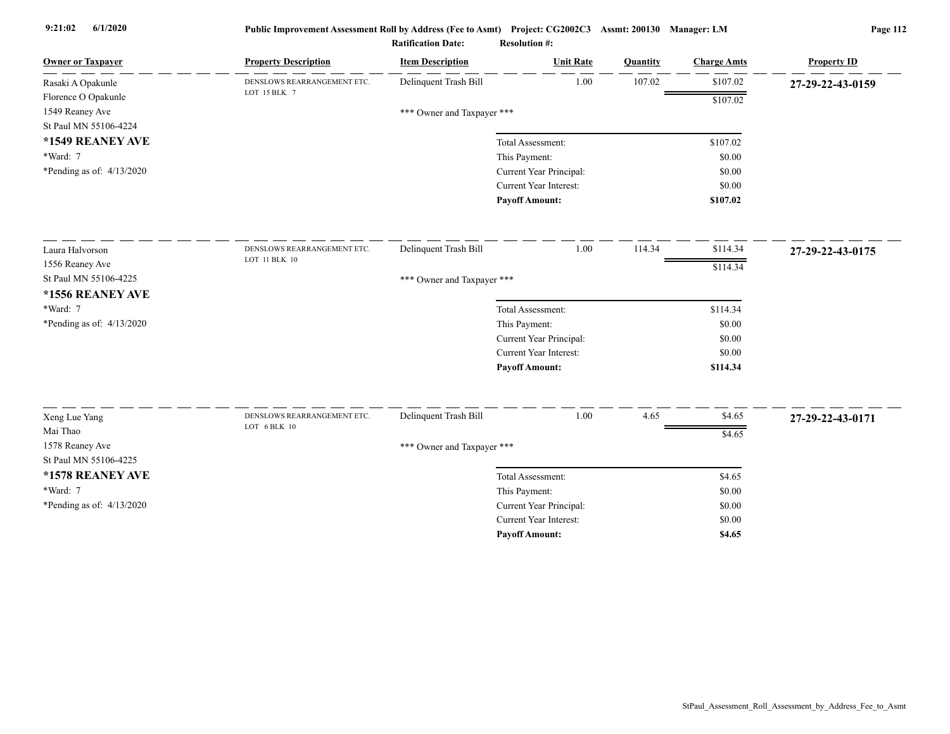| <b>Owner or Taxpayer</b>  | <b>Property Description</b> | <b>Item Description</b>    | <b>Unit Rate</b>        | <b>Quantity</b> | <b>Charge Amts</b> | <b>Property ID</b> |
|---------------------------|-----------------------------|----------------------------|-------------------------|-----------------|--------------------|--------------------|
| Rasaki A Opakunle         | DENSLOWS REARRANGEMENT ETC. | Delinquent Trash Bill      | 1.00                    | 107.02          | \$107.02           | 27-29-22-43-0159   |
| Florence O Opakunle       | LOT 15 BLK 7                |                            |                         |                 | \$107.02           |                    |
| 1549 Reaney Ave           |                             | *** Owner and Taxpayer *** |                         |                 |                    |                    |
| St Paul MN 55106-4224     |                             |                            |                         |                 |                    |                    |
| *1549 REANEY AVE          |                             |                            | Total Assessment:       |                 | \$107.02           |                    |
| *Ward: 7                  |                             |                            | This Payment:           |                 | \$0.00             |                    |
| *Pending as of: 4/13/2020 |                             |                            | Current Year Principal: |                 | \$0.00             |                    |
|                           |                             |                            | Current Year Interest:  |                 | \$0.00             |                    |
|                           |                             |                            | <b>Payoff Amount:</b>   |                 | \$107.02           |                    |
| Laura Halvorson           | DENSLOWS REARRANGEMENT ETC. | Delinquent Trash Bill      | 1.00                    | 114.34          | \$114.34           | 27-29-22-43-0175   |
| 1556 Reaney Ave           | LOT 11 BLK 10               |                            |                         |                 | \$114.34           |                    |
| St Paul MN 55106-4225     |                             | *** Owner and Taxpayer *** |                         |                 |                    |                    |
| *1556 REANEY AVE          |                             |                            |                         |                 |                    |                    |
| *Ward: 7                  |                             |                            | Total Assessment:       |                 | \$114.34           |                    |
| *Pending as of: 4/13/2020 |                             |                            | This Payment:           |                 | \$0.00             |                    |
|                           |                             |                            | Current Year Principal: |                 | \$0.00             |                    |
|                           |                             |                            | Current Year Interest:  |                 | \$0.00             |                    |
|                           |                             |                            | <b>Payoff Amount:</b>   |                 | \$114.34           |                    |
| Xeng Lue Yang             | DENSLOWS REARRANGEMENT ETC. | Delinquent Trash Bill      | 1.00                    | 4.65            | \$4.65             | 27-29-22-43-0171   |
| Mai Thao                  | LOT 6 BLK 10                |                            |                         |                 |                    |                    |
| 1578 Reaney Ave           |                             | *** Owner and Taxpayer *** |                         |                 | \$4.65             |                    |
| St Paul MN 55106-4225     |                             |                            |                         |                 |                    |                    |
| *1578 REANEY AVE          |                             |                            | Total Assessment:       |                 | \$4.65             |                    |
| *Ward: 7                  |                             |                            | This Payment:           |                 | \$0.00             |                    |
| *Pending as of: 4/13/2020 |                             |                            | Current Year Principal: |                 | \$0.00             |                    |
|                           |                             |                            | Current Year Interest:  |                 | \$0.00             |                    |
|                           |                             |                            | <b>Pavoff Amount:</b>   |                 | \$4.65             |                    |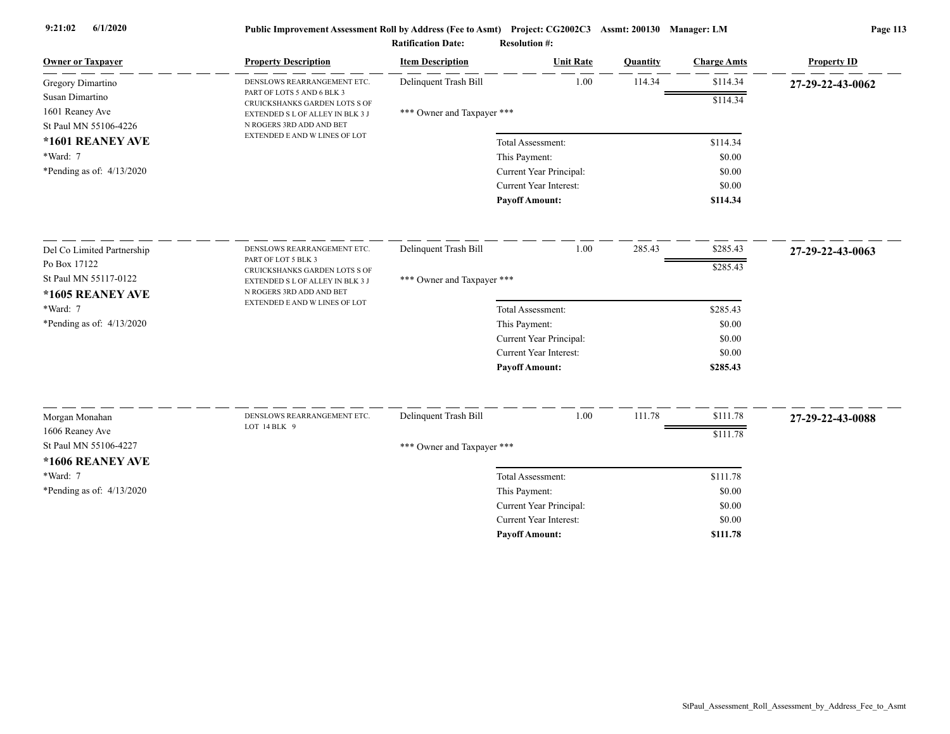| <b>Owner or Taxpayer</b>                | <b>Property Description</b>                                                                   | <b>Item Description</b>    | <b>Unit Rate</b>        | Quantity | <b>Charge Amts</b> | <b>Property ID</b> |
|-----------------------------------------|-----------------------------------------------------------------------------------------------|----------------------------|-------------------------|----------|--------------------|--------------------|
| Gregory Dimartino                       | DENSLOWS REARRANGEMENT ETC.                                                                   | Delinquent Trash Bill      | 1.00                    | 114.34   | \$114.34           | 27-29-22-43-0062   |
| Susan Dimartino                         | PART OF LOTS 5 AND 6 BLK 3<br>CRUICKSHANKS GARDEN LOTS S OF                                   |                            |                         |          | \$114.34           |                    |
| 1601 Reaney Ave                         | EXTENDED S L OF ALLEY IN BLK 3 J<br>N ROGERS 3RD ADD AND BET<br>EXTENDED E AND W LINES OF LOT | *** Owner and Taxpayer *** |                         |          |                    |                    |
| St Paul MN 55106-4226                   |                                                                                               |                            |                         |          |                    |                    |
| *1601 REANEY AVE                        |                                                                                               |                            | Total Assessment:       |          | \$114.34           |                    |
| *Ward: 7<br>*Pending as of: $4/13/2020$ |                                                                                               |                            | This Payment:           |          | \$0.00             |                    |
|                                         |                                                                                               |                            | Current Year Principal: |          | \$0.00             |                    |
|                                         |                                                                                               |                            | Current Year Interest:  |          | \$0.00             |                    |
|                                         |                                                                                               |                            | <b>Payoff Amount:</b>   |          | \$114.34           |                    |
| Del Co Limited Partnership              | DENSLOWS REARRANGEMENT ETC.                                                                   | Delinquent Trash Bill      | 1.00                    | 285.43   | \$285.43           | 27-29-22-43-0063   |
| Po Box 17122                            | PART OF LOT 5 BLK 3                                                                           |                            |                         |          | \$285.43           |                    |
| St Paul MN 55117-0122                   | CRUICKSHANKS GARDEN LOTS S OF<br>EXTENDED S L OF ALLEY IN BLK 3 J                             | *** Owner and Taxpayer *** |                         |          |                    |                    |
| *1605 REANEY AVE                        | N ROGERS 3RD ADD AND BET                                                                      |                            |                         |          |                    |                    |
| *Ward: 7                                | EXTENDED E AND W LINES OF LOT                                                                 |                            | Total Assessment:       |          | \$285.43           |                    |
| *Pending as of: $4/13/2020$             |                                                                                               |                            | This Payment:           |          | \$0.00             |                    |
|                                         |                                                                                               |                            | Current Year Principal: |          | \$0.00             |                    |
|                                         |                                                                                               |                            | Current Year Interest:  |          | \$0.00             |                    |
|                                         |                                                                                               |                            | <b>Payoff Amount:</b>   |          | \$285.43           |                    |
|                                         |                                                                                               |                            |                         |          |                    |                    |
| Morgan Monahan                          | DENSLOWS REARRANGEMENT ETC.<br>LOT 14 BLK 9                                                   | Delinquent Trash Bill      | 1.00                    | 111.78   | \$111.78           | 27-29-22-43-0088   |
| 1606 Reaney Ave                         |                                                                                               |                            |                         |          | \$111.78           |                    |
| St Paul MN 55106-4227                   |                                                                                               | *** Owner and Taxpayer *** |                         |          |                    |                    |
| *1606 REANEY AVE                        |                                                                                               |                            |                         |          |                    |                    |
| *Ward: 7                                |                                                                                               |                            | Total Assessment:       |          | \$111.78           |                    |
| *Pending as of: 4/13/2020               |                                                                                               |                            | This Payment:           |          | \$0.00             |                    |
|                                         |                                                                                               |                            | Current Year Principal: |          | \$0.00             |                    |
|                                         |                                                                                               |                            | Current Year Interest:  |          | \$0.00             |                    |
|                                         |                                                                                               |                            | <b>Pavoff Amount:</b>   |          | \$111.78           |                    |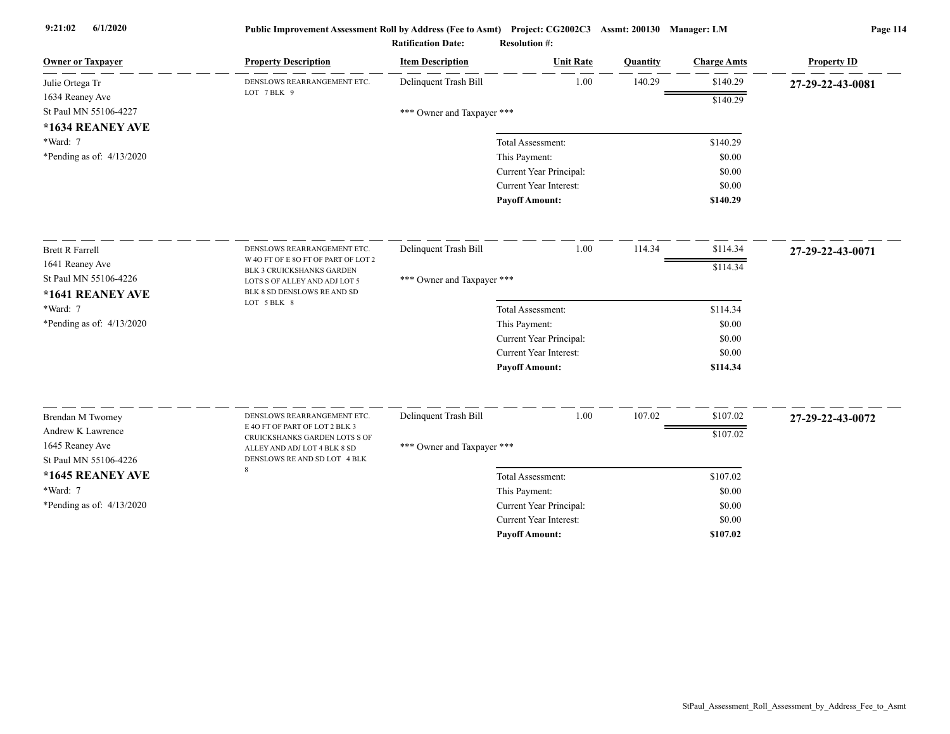| <b>Owner or Taxpayer</b>              | <b>Property Description</b>                                   | <b>Item Description</b>    | <b>Unit Rate</b>              | Quantity | <b>Charge Amts</b> | <b>Property ID</b> |
|---------------------------------------|---------------------------------------------------------------|----------------------------|-------------------------------|----------|--------------------|--------------------|
| Julie Ortega Tr                       | DENSLOWS REARRANGEMENT ETC.                                   | Delinquent Trash Bill      | 1.00                          | 140.29   | \$140.29           | 27-29-22-43-0081   |
| 1634 Reaney Ave                       | LOT 7BLK 9                                                    |                            |                               |          | \$140.29           |                    |
| St Paul MN 55106-4227                 |                                                               | *** Owner and Taxpayer *** |                               |          |                    |                    |
| *1634 REANEY AVE                      |                                                               |                            |                               |          |                    |                    |
| *Ward: 7                              |                                                               |                            | Total Assessment:             |          | \$140.29           |                    |
| *Pending as of: 4/13/2020             |                                                               |                            | This Payment:                 |          | \$0.00             |                    |
|                                       |                                                               |                            | Current Year Principal:       |          | \$0.00             |                    |
|                                       |                                                               |                            | <b>Current Year Interest:</b> |          | \$0.00             |                    |
|                                       |                                                               |                            | <b>Payoff Amount:</b>         |          | \$140.29           |                    |
| <b>Brett R Farrell</b>                | DENSLOWS REARRANGEMENT ETC.                                   | Delinquent Trash Bill      | 1.00                          | 114.34   | \$114.34           | 27-29-22-43-0071   |
| 1641 Reaney Ave                       | W 4O FT OF E 8O FT OF PART OF LOT 2                           |                            |                               |          | \$114.34           |                    |
| St Paul MN 55106-4226                 | BLK 3 CRUICKSHANKS GARDEN<br>LOTS S OF ALLEY AND ADJ LOT 5    | *** Owner and Taxpayer *** |                               |          |                    |                    |
| *1641 REANEY AVE                      | BLK 8 SD DENSLOWS RE AND SD                                   |                            |                               |          |                    |                    |
| *Ward: 7                              | LOT 5 BLK 8                                                   |                            | Total Assessment:             |          | \$114.34           |                    |
| *Pending as of: 4/13/2020             |                                                               |                            | This Payment:                 |          | \$0.00             |                    |
|                                       |                                                               |                            | Current Year Principal:       |          | \$0.00             |                    |
|                                       |                                                               |                            | <b>Current Year Interest:</b> |          | \$0.00             |                    |
|                                       |                                                               |                            | <b>Payoff Amount:</b>         |          | \$114.34           |                    |
|                                       |                                                               | Delinquent Trash Bill      | 1.00                          | 107.02   | \$107.02           |                    |
| Brendan M Twomey<br>Andrew K Lawrence | DENSLOWS REARRANGEMENT ETC.<br>E 4O FT OF PART OF LOT 2 BLK 3 |                            |                               |          |                    | 27-29-22-43-0072   |
| 1645 Reaney Ave                       | CRUICKSHANKS GARDEN LOTS S OF                                 |                            |                               |          | \$107.02           |                    |
| St Paul MN 55106-4226                 | ALLEY AND ADJ LOT 4 BLK 8 SD<br>DENSLOWS RE AND SD LOT 4 BLK  | *** Owner and Taxpayer *** |                               |          |                    |                    |
| *1645 REANEY AVE                      | 8                                                             |                            | Total Assessment:             |          | \$107.02           |                    |
| *Ward: 7                              |                                                               |                            | This Payment:                 |          | \$0.00             |                    |
| *Pending as of: 4/13/2020             |                                                               |                            | Current Year Principal:       |          | \$0.00             |                    |
|                                       |                                                               |                            | <b>Current Year Interest:</b> |          | \$0.00             |                    |
|                                       |                                                               |                            | <b>Pavoff Amount:</b>         |          | \$107.02           |                    |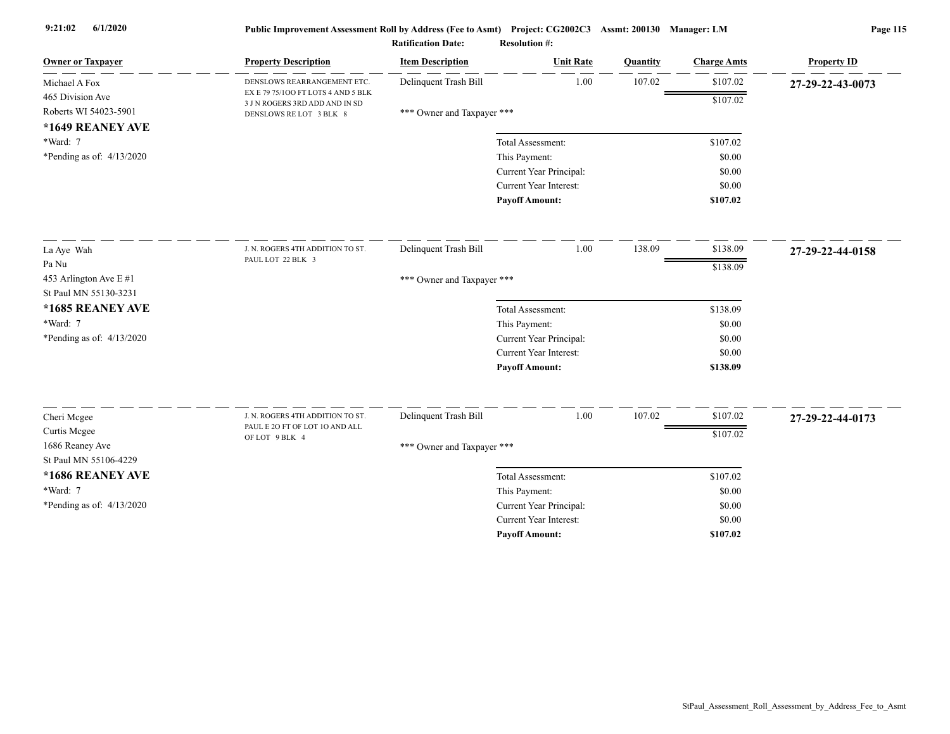|                                                 |                                                                      | <b>Ratification Date:</b>  | <b>Resolution #:</b>                              |                 |                    |                    |
|-------------------------------------------------|----------------------------------------------------------------------|----------------------------|---------------------------------------------------|-----------------|--------------------|--------------------|
| <b>Owner or Taxpayer</b>                        | <b>Property Description</b>                                          | <b>Item Description</b>    | <b>Unit Rate</b>                                  | <b>Quantity</b> | <b>Charge Amts</b> | <b>Property ID</b> |
| Michael A Fox                                   | DENSLOWS REARRANGEMENT ETC.                                          | Delinquent Trash Bill      | 1.00                                              | 107.02          | \$107.02           | 27-29-22-43-0073   |
| 465 Division Ave                                | EX E 79 75/100 FT LOTS 4 AND 5 BLK<br>3 J N ROGERS 3RD ADD AND IN SD |                            |                                                   |                 | \$107.02           |                    |
| Roberts WI 54023-5901                           | DENSLOWS RE LOT 3 BLK 8                                              | *** Owner and Taxpayer *** |                                                   |                 |                    |                    |
| *1649 REANEY AVE<br>*Ward: 7                    |                                                                      |                            | Total Assessment:                                 |                 | \$107.02           |                    |
| *Pending as of: $4/13/2020$                     |                                                                      |                            | This Payment:                                     |                 | \$0.00             |                    |
|                                                 |                                                                      |                            | Current Year Principal:                           |                 | \$0.00             |                    |
|                                                 |                                                                      |                            | <b>Current Year Interest:</b>                     |                 | \$0.00             |                    |
|                                                 |                                                                      |                            | <b>Payoff Amount:</b>                             |                 | \$107.02           |                    |
|                                                 |                                                                      |                            | 1.00                                              | 138.09          | \$138.09           |                    |
| La Aye Wah                                      | J. N. ROGERS 4TH ADDITION TO ST.<br>PAUL LOT 22 BLK 3                | Delinquent Trash Bill      |                                                   |                 |                    | 27-29-22-44-0158   |
| Pa Nu                                           |                                                                      |                            |                                                   |                 | \$138.09           |                    |
| 453 Arlington Ave E #1<br>St Paul MN 55130-3231 |                                                                      | *** Owner and Taxpayer *** |                                                   |                 |                    |                    |
| *1685 REANEY AVE                                |                                                                      |                            | Total Assessment:                                 |                 | \$138.09           |                    |
| *Ward: 7                                        |                                                                      |                            | This Payment:                                     |                 | \$0.00             |                    |
| *Pending as of: $4/13/2020$                     |                                                                      |                            | Current Year Principal:                           |                 | \$0.00             |                    |
|                                                 |                                                                      |                            | Current Year Interest:                            |                 | \$0.00             |                    |
|                                                 |                                                                      |                            | <b>Payoff Amount:</b>                             |                 | \$138.09           |                    |
|                                                 |                                                                      |                            |                                                   |                 |                    |                    |
| Cheri Mcgee                                     | J. N. ROGERS 4TH ADDITION TO ST.<br>PAUL E 20 FT OF LOT 10 AND ALL   | Delinquent Trash Bill      | 1.00                                              | 107.02          | \$107.02           | 27-29-22-44-0173   |
| Curtis Mcgee                                    | OF LOT 9 BLK 4                                                       |                            |                                                   |                 | \$107.02           |                    |
| 1686 Reaney Ave<br>St Paul MN 55106-4229        |                                                                      | *** Owner and Taxpayer *** |                                                   |                 |                    |                    |
|                                                 |                                                                      |                            |                                                   |                 |                    |                    |
| *1686 REANEY AVE<br>*Ward: 7                    |                                                                      |                            | Total Assessment:                                 |                 | \$107.02           |                    |
|                                                 |                                                                      |                            | This Payment:                                     |                 | \$0.00<br>\$0.00   |                    |
| *Pending as of: 4/13/2020                       |                                                                      |                            | Current Year Principal:<br>Current Year Interest: |                 | \$0.00             |                    |
|                                                 |                                                                      |                            | <b>Pavoff Amount:</b>                             |                 | \$107.02           |                    |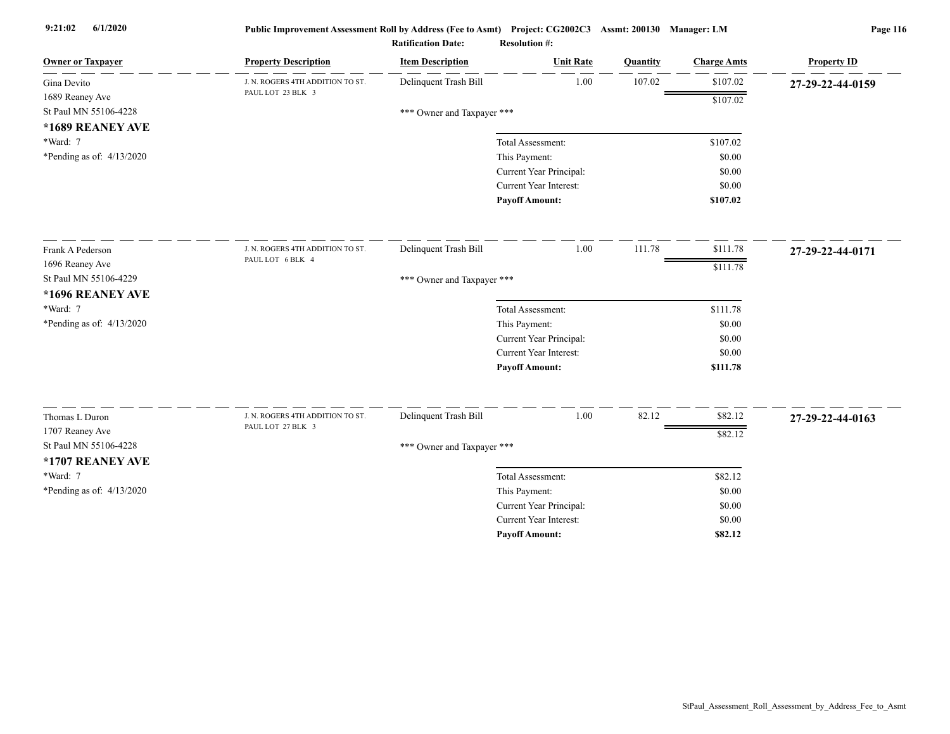| <b>Owner or Taxpayer</b>    | <b>Property Description</b>      | <b>Item Description</b>    | <b>Unit Rate</b>                                         | Quantity | <b>Charge Amts</b> | <b>Property ID</b> |
|-----------------------------|----------------------------------|----------------------------|----------------------------------------------------------|----------|--------------------|--------------------|
| Gina Devito                 | J. N. ROGERS 4TH ADDITION TO ST. | Delinquent Trash Bill      | 1.00                                                     | 107.02   | \$107.02           | 27-29-22-44-0159   |
| 1689 Reaney Ave             | PAUL LOT 23 BLK 3                |                            |                                                          |          | \$107.02           |                    |
| St Paul MN 55106-4228       |                                  | *** Owner and Taxpayer *** |                                                          |          |                    |                    |
| *1689 REANEY AVE            |                                  |                            |                                                          |          |                    |                    |
| *Ward: 7                    |                                  |                            | Total Assessment:                                        |          | \$107.02           |                    |
| *Pending as of: $4/13/2020$ |                                  |                            | This Payment:                                            |          | \$0.00             |                    |
|                             |                                  |                            | Current Year Principal:                                  |          | \$0.00             |                    |
|                             |                                  |                            | <b>Current Year Interest:</b>                            |          | \$0.00             |                    |
|                             |                                  |                            | <b>Payoff Amount:</b>                                    |          | \$107.02           |                    |
| Frank A Pederson            | J. N. ROGERS 4TH ADDITION TO ST. | Delinquent Trash Bill      | 1.00                                                     | 111.78   | \$111.78           | 27-29-22-44-0171   |
| 1696 Reaney Ave             | PAUL LOT 6 BLK 4                 |                            |                                                          |          | \$111.78           |                    |
| St Paul MN 55106-4229       |                                  | *** Owner and Taxpayer *** |                                                          |          |                    |                    |
| *1696 REANEY AVE            |                                  |                            |                                                          |          |                    |                    |
| *Ward: 7                    |                                  |                            | Total Assessment:                                        |          | \$111.78           |                    |
| *Pending as of: 4/13/2020   |                                  |                            | This Payment:                                            |          | \$0.00             |                    |
|                             |                                  |                            | Current Year Principal:                                  |          | \$0.00             |                    |
|                             |                                  |                            | Current Year Interest:                                   |          | \$0.00             |                    |
|                             |                                  |                            | <b>Payoff Amount:</b>                                    |          | \$111.78           |                    |
|                             | J. N. ROGERS 4TH ADDITION TO ST. |                            |                                                          |          |                    |                    |
| Thomas L Duron              | PAUL LOT 27 BLK 3                | Delinquent Trash Bill      | 1.00                                                     | 82.12    | \$82.12            | 27-29-22-44-0163   |
| 1707 Reaney Ave             |                                  |                            |                                                          |          | \$82.12            |                    |
| St Paul MN 55106-4228       |                                  | *** Owner and Taxpayer *** |                                                          |          |                    |                    |
| *1707 REANEY AVE            |                                  |                            |                                                          |          |                    |                    |
| *Ward: 7                    |                                  |                            | Total Assessment:                                        |          | \$82.12            |                    |
| *Pending as of: 4/13/2020   |                                  |                            | This Payment:                                            |          | \$0.00             |                    |
|                             |                                  |                            | Current Year Principal:<br><b>Current Year Interest:</b> |          | \$0.00             |                    |
|                             |                                  |                            |                                                          |          | \$0.00             |                    |
|                             |                                  |                            | <b>Payoff Amount:</b>                                    |          | \$82.12            |                    |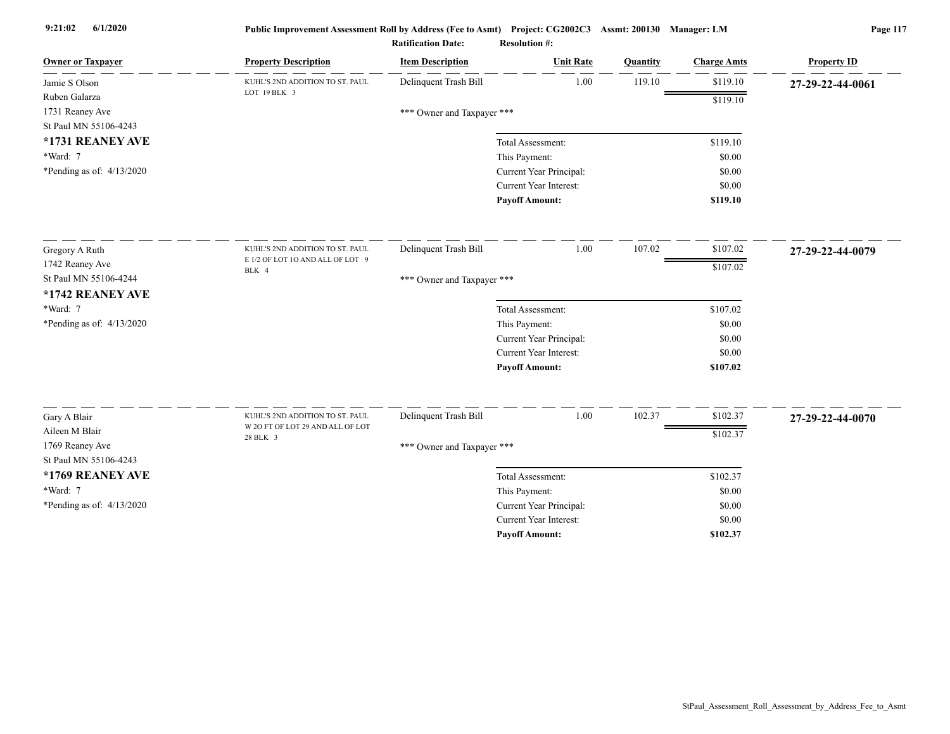| <b>Owner or Taxpayer</b>     | <b>Property Description</b>               | <b>Item Description</b>    | <b>Unit Rate</b>                                         | Quantity | <b>Charge Amts</b> | <b>Property ID</b> |
|------------------------------|-------------------------------------------|----------------------------|----------------------------------------------------------|----------|--------------------|--------------------|
| Jamie S Olson                | KUHL'S 2ND ADDITION TO ST. PAUL           | Delinquent Trash Bill      | 1.00                                                     | 119.10   | \$119.10           | 27-29-22-44-0061   |
| Ruben Galarza                | LOT 19 BLK 3                              |                            |                                                          |          | \$119.10           |                    |
| 1731 Reaney Ave              |                                           | *** Owner and Taxpayer *** |                                                          |          |                    |                    |
| St Paul MN 55106-4243        |                                           |                            |                                                          |          |                    |                    |
| *1731 REANEY AVE<br>*Ward: 7 |                                           |                            | Total Assessment:                                        |          | \$119.10           |                    |
|                              |                                           |                            | This Payment:                                            |          | \$0.00<br>\$0.00   |                    |
| *Pending as of: $4/13/2020$  |                                           |                            | Current Year Principal:<br><b>Current Year Interest:</b> |          | \$0.00             |                    |
|                              |                                           |                            | <b>Payoff Amount:</b>                                    |          | \$119.10           |                    |
|                              |                                           |                            |                                                          |          |                    |                    |
| Gregory A Ruth               | KUHL'S 2ND ADDITION TO ST. PAUL           | Delinquent Trash Bill      | 1.00                                                     | 107.02   | \$107.02           | 27-29-22-44-0079   |
| 1742 Reaney Ave              | E 1/2 OF LOT 1O AND ALL OF LOT 9<br>BLK 4 |                            |                                                          |          | \$107.02           |                    |
| St Paul MN 55106-4244        |                                           | *** Owner and Taxpayer *** |                                                          |          |                    |                    |
| *1742 REANEY AVE             |                                           |                            |                                                          |          |                    |                    |
| *Ward: 7                     |                                           |                            | Total Assessment:                                        |          | \$107.02           |                    |
| *Pending as of: 4/13/2020    |                                           |                            | This Payment:                                            |          | \$0.00             |                    |
|                              |                                           |                            | Current Year Principal:                                  |          | \$0.00             |                    |
|                              |                                           |                            | <b>Current Year Interest:</b>                            |          | \$0.00             |                    |
|                              |                                           |                            | <b>Payoff Amount:</b>                                    |          | \$107.02           |                    |
| Gary A Blair                 | KUHL'S 2ND ADDITION TO ST. PAUL           | Delinquent Trash Bill      | 1.00                                                     | 102.37   | \$102.37           | 27-29-22-44-0070   |
| Aileen M Blair               | W 2O FT OF LOT 29 AND ALL OF LOT          |                            |                                                          |          | \$102.37           |                    |
| 1769 Reaney Ave              | 28 BLK 3                                  | *** Owner and Taxpayer *** |                                                          |          |                    |                    |
| St Paul MN 55106-4243        |                                           |                            |                                                          |          |                    |                    |
| *1769 REANEY AVE             |                                           |                            | Total Assessment:                                        |          | \$102.37           |                    |
| *Ward: 7                     |                                           |                            | This Payment:                                            |          | \$0.00             |                    |
| *Pending as of: 4/13/2020    |                                           |                            | Current Year Principal:                                  |          | \$0.00             |                    |
|                              |                                           |                            | <b>Current Year Interest:</b>                            |          | \$0.00             |                    |
|                              |                                           |                            | <b>Pavoff Amount:</b>                                    |          | \$102.37           |                    |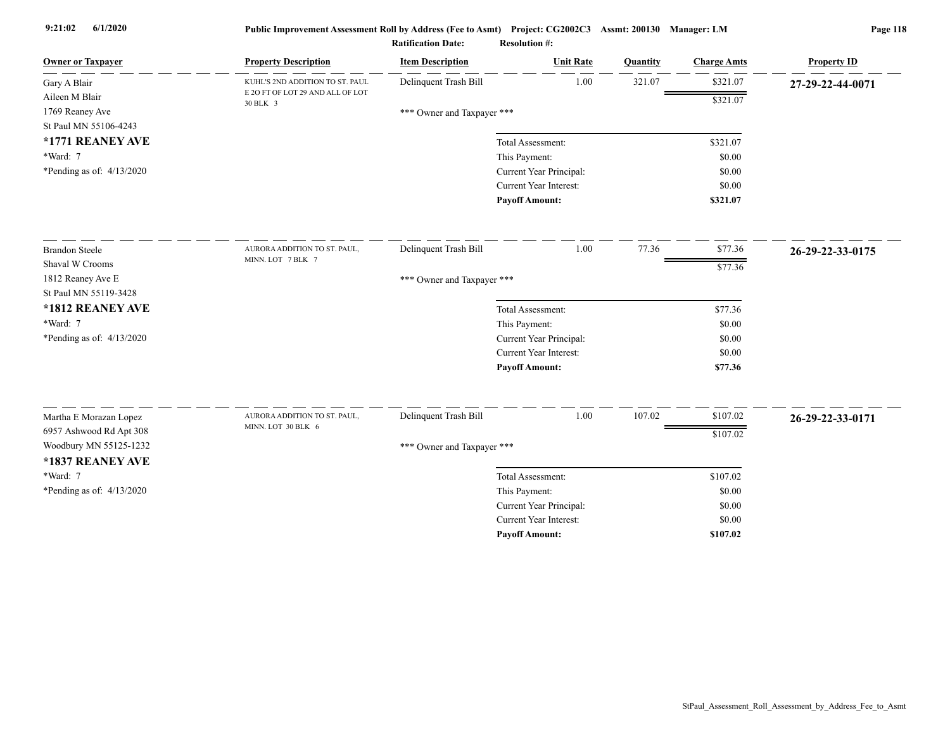| <b>Owner or Taxpayer</b>    | <b>Property Description</b>                  | <b>Item Description</b>    | <b>Unit Rate</b>              | Quantity | <b>Charge Amts</b> | <b>Property ID</b> |
|-----------------------------|----------------------------------------------|----------------------------|-------------------------------|----------|--------------------|--------------------|
| Gary A Blair                | KUHL'S 2ND ADDITION TO ST. PAUL              | Delinquent Trash Bill      | 1.00                          | 321.07   | \$321.07           | 27-29-22-44-0071   |
| Aileen M Blair              | E 2O FT OF LOT 29 AND ALL OF LOT<br>30 BLK 3 |                            |                               |          | \$321.07           |                    |
| 1769 Reaney Ave             |                                              | *** Owner and Taxpayer *** |                               |          |                    |                    |
| St Paul MN 55106-4243       |                                              |                            |                               |          |                    |                    |
| *1771 REANEY AVE            |                                              |                            | Total Assessment:             |          | \$321.07           |                    |
| *Ward: 7                    |                                              |                            | This Payment:                 |          | \$0.00             |                    |
| *Pending as of: $4/13/2020$ |                                              |                            | Current Year Principal:       |          | \$0.00             |                    |
|                             |                                              |                            | <b>Current Year Interest:</b> |          | \$0.00             |                    |
|                             |                                              |                            | <b>Payoff Amount:</b>         |          | \$321.07           |                    |
| <b>Brandon Steele</b>       | AURORA ADDITION TO ST. PAUL,                 | Delinquent Trash Bill      | 1.00                          | 77.36    | \$77.36            | 26-29-22-33-0175   |
| Shaval W Crooms             | MINN. LOT 7 BLK 7                            |                            |                               |          | \$77.36            |                    |
| 1812 Reaney Ave E           |                                              | *** Owner and Taxpayer *** |                               |          |                    |                    |
| St Paul MN 55119-3428       |                                              |                            |                               |          |                    |                    |
| *1812 REANEY AVE            |                                              |                            | Total Assessment:             |          | \$77.36            |                    |
| *Ward: 7                    |                                              |                            | This Payment:                 |          | \$0.00             |                    |
| *Pending as of: $4/13/2020$ |                                              |                            | Current Year Principal:       |          | \$0.00             |                    |
|                             |                                              |                            | <b>Current Year Interest:</b> |          | \$0.00             |                    |
|                             |                                              |                            | <b>Payoff Amount:</b>         |          | \$77.36            |                    |
| Martha E Morazan Lopez      | AURORA ADDITION TO ST. PAUL,                 | Delinquent Trash Bill      | 1.00                          | 107.02   | \$107.02           | 26-29-22-33-0171   |
| 6957 Ashwood Rd Apt 308     | MINN. LOT 30 BLK 6                           |                            |                               |          | \$107.02           |                    |
| Woodbury MN 55125-1232      |                                              | *** Owner and Taxpayer *** |                               |          |                    |                    |
| *1837 REANEY AVE            |                                              |                            |                               |          |                    |                    |
| *Ward: 7                    |                                              |                            | Total Assessment:             |          | \$107.02           |                    |
| *Pending as of: $4/13/2020$ |                                              |                            | This Payment:                 |          | \$0.00             |                    |
|                             |                                              |                            | Current Year Principal:       |          | \$0.00             |                    |
|                             |                                              |                            | <b>Current Year Interest:</b> |          | \$0.00             |                    |
|                             |                                              |                            | <b>Payoff Amount:</b>         |          | \$107.02           |                    |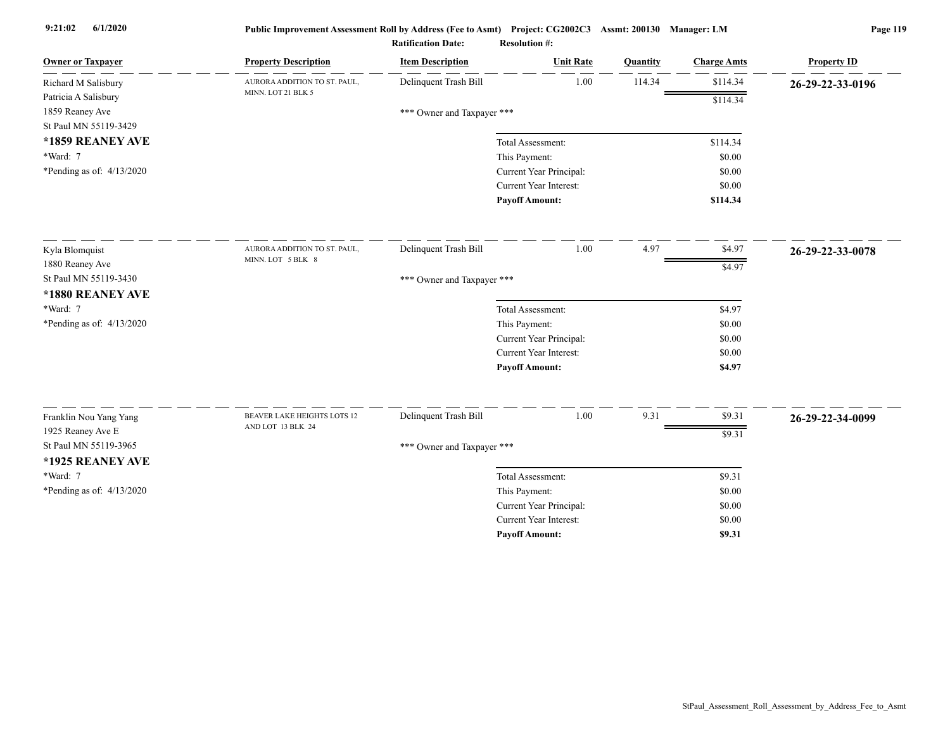| <b>Owner or Taxpayer</b>    | <b>Property Description</b>                      | <b>Item Description</b>    | <b>Unit Rate</b>              | Quantity | <b>Charge Amts</b> | <b>Property ID</b> |
|-----------------------------|--------------------------------------------------|----------------------------|-------------------------------|----------|--------------------|--------------------|
| Richard M Salisbury         | AURORA ADDITION TO ST. PAUL,                     | Delinquent Trash Bill      | 1.00                          | 114.34   | \$114.34           | 26-29-22-33-0196   |
| Patricia A Salisbury        | MINN. LOT 21 BLK 5                               |                            |                               |          | \$114.34           |                    |
| 1859 Reaney Ave             |                                                  | *** Owner and Taxpayer *** |                               |          |                    |                    |
| St Paul MN 55119-3429       |                                                  |                            |                               |          |                    |                    |
| *1859 REANEY AVE            |                                                  |                            | Total Assessment:             |          | \$114.34           |                    |
| *Ward: 7                    |                                                  |                            | This Payment:                 |          | \$0.00             |                    |
| *Pending as of: $4/13/2020$ |                                                  |                            | Current Year Principal:       |          | \$0.00             |                    |
|                             |                                                  |                            | <b>Current Year Interest:</b> |          | \$0.00             |                    |
|                             |                                                  |                            | <b>Payoff Amount:</b>         |          | \$114.34           |                    |
| Kyla Blomquist              | AURORA ADDITION TO ST. PAUL,                     | Delinquent Trash Bill      | 1.00                          | 4.97     | \$4.97             | 26-29-22-33-0078   |
| 1880 Reaney Ave             | MINN. LOT 5 BLK 8                                |                            |                               |          | \$4.97             |                    |
| St Paul MN 55119-3430       |                                                  | *** Owner and Taxpayer *** |                               |          |                    |                    |
| *1880 REANEY AVE            |                                                  |                            |                               |          |                    |                    |
| *Ward: 7                    |                                                  |                            | Total Assessment:             |          | \$4.97             |                    |
| *Pending as of: $4/13/2020$ |                                                  |                            | This Payment:                 |          | \$0.00             |                    |
|                             |                                                  |                            | Current Year Principal:       |          | \$0.00             |                    |
|                             |                                                  |                            | Current Year Interest:        |          | \$0.00             |                    |
|                             |                                                  |                            | <b>Payoff Amount:</b>         |          | \$4.97             |                    |
|                             |                                                  |                            |                               |          |                    |                    |
| Franklin Nou Yang Yang      | BEAVER LAKE HEIGHTS LOTS 12<br>AND LOT 13 BLK 24 | Delinquent Trash Bill      | 1.00                          | 9.31     | \$9.31             | 26-29-22-34-0099   |
| 1925 Reaney Ave E           |                                                  |                            |                               |          | \$9.31             |                    |
| St Paul MN 55119-3965       |                                                  | *** Owner and Taxpayer *** |                               |          |                    |                    |
| *1925 REANEY AVE            |                                                  |                            |                               |          |                    |                    |
| *Ward: 7                    |                                                  |                            | Total Assessment:             |          | \$9.31             |                    |
| *Pending as of: $4/13/2020$ |                                                  |                            | This Payment:                 |          | \$0.00             |                    |
|                             |                                                  |                            | Current Year Principal:       |          | \$0.00             |                    |
|                             |                                                  |                            | Current Year Interest:        |          | \$0.00             |                    |
|                             |                                                  |                            | <b>Payoff Amount:</b>         |          | \$9.31             |                    |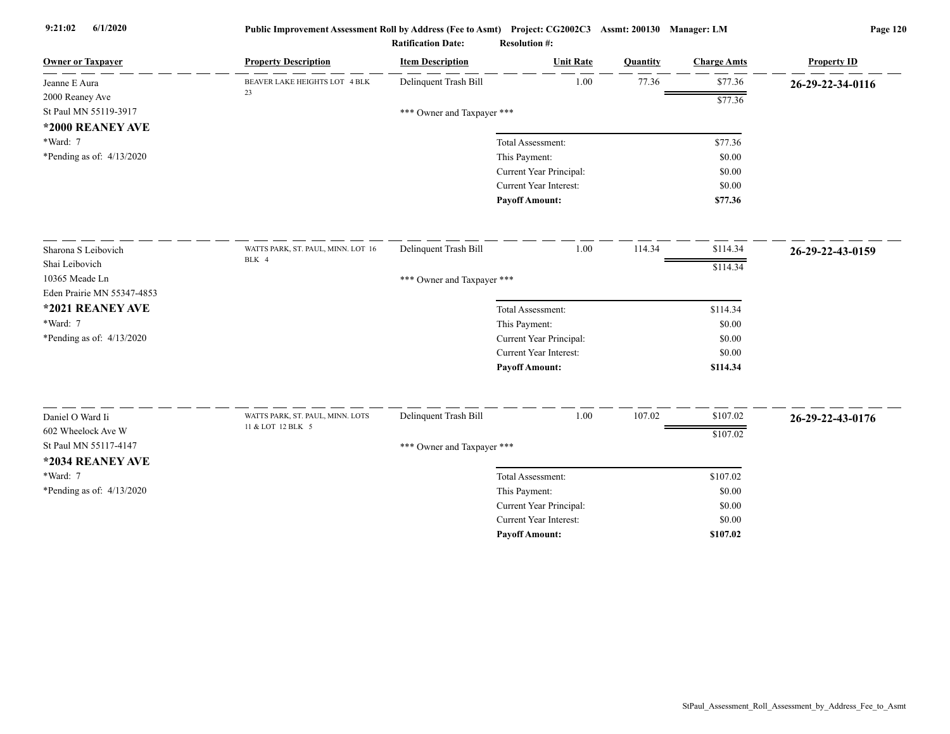| <b>Owner or Taxpayer</b>    | <b>Property Description</b>        | <b>Item Description</b>    | <b>Unit Rate</b>                         | <b>Quantity</b> | <b>Charge Amts</b> | <b>Property ID</b> |
|-----------------------------|------------------------------------|----------------------------|------------------------------------------|-----------------|--------------------|--------------------|
| Jeanne E Aura               | BEAVER LAKE HEIGHTS LOT 4 BLK      | Delinquent Trash Bill      | 1.00                                     | 77.36           | \$77.36            | 26-29-22-34-0116   |
| 2000 Reaney Ave             | 23                                 |                            |                                          |                 | \$77.36            |                    |
| St Paul MN 55119-3917       |                                    | *** Owner and Taxpayer *** |                                          |                 |                    |                    |
| *2000 REANEY AVE            |                                    |                            |                                          |                 |                    |                    |
| *Ward: 7                    |                                    |                            | Total Assessment:                        |                 | \$77.36            |                    |
| *Pending as of: $4/13/2020$ |                                    |                            | This Payment:                            |                 | \$0.00             |                    |
|                             |                                    |                            | Current Year Principal:                  |                 | \$0.00             |                    |
|                             |                                    |                            | <b>Current Year Interest:</b>            |                 | \$0.00             |                    |
|                             |                                    |                            | <b>Payoff Amount:</b>                    |                 | \$77.36            |                    |
| Sharona S Leibovich         | WATTS PARK, ST. PAUL, MINN. LOT 16 | Delinquent Trash Bill      | 1.00                                     | 114.34          | \$114.34           | 26-29-22-43-0159   |
| Shai Leibovich              | BLK 4                              |                            |                                          |                 | \$114.34           |                    |
| 10365 Meade Ln              |                                    | *** Owner and Taxpayer *** |                                          |                 |                    |                    |
| Eden Prairie MN 55347-4853  |                                    |                            |                                          |                 |                    |                    |
| *2021 REANEY AVE            |                                    |                            | Total Assessment:                        |                 | \$114.34           |                    |
| *Ward: 7                    |                                    |                            | This Payment:                            |                 | \$0.00             |                    |
| *Pending as of: $4/13/2020$ |                                    |                            | Current Year Principal:                  |                 | \$0.00             |                    |
|                             |                                    |                            | <b>Current Year Interest:</b>            |                 | \$0.00             |                    |
|                             |                                    |                            | <b>Payoff Amount:</b>                    |                 | \$114.34           |                    |
| Daniel O Ward Ii            | WATTS PARK, ST. PAUL, MINN. LOTS   | Delinquent Trash Bill      | 1.00                                     | 107.02          | \$107.02           |                    |
| 602 Wheelock Ave W          | 11 & LOT 12 BLK 5                  |                            |                                          |                 |                    | 26-29-22-43-0176   |
| St Paul MN 55117-4147       |                                    |                            |                                          |                 | \$107.02           |                    |
| *2034 REANEY AVE            |                                    | *** Owner and Taxpayer *** |                                          |                 |                    |                    |
| *Ward: 7                    |                                    |                            |                                          |                 |                    |                    |
|                             |                                    |                            | Total Assessment:                        |                 | \$107.02           |                    |
| *Pending as of: 4/13/2020   |                                    |                            | This Payment:<br>Current Year Principal: |                 | \$0.00<br>\$0.00   |                    |
|                             |                                    |                            | <b>Current Year Interest:</b>            |                 | \$0.00             |                    |
|                             |                                    |                            | <b>Pavoff Amount:</b>                    |                 | \$107.02           |                    |
|                             |                                    |                            |                                          |                 |                    |                    |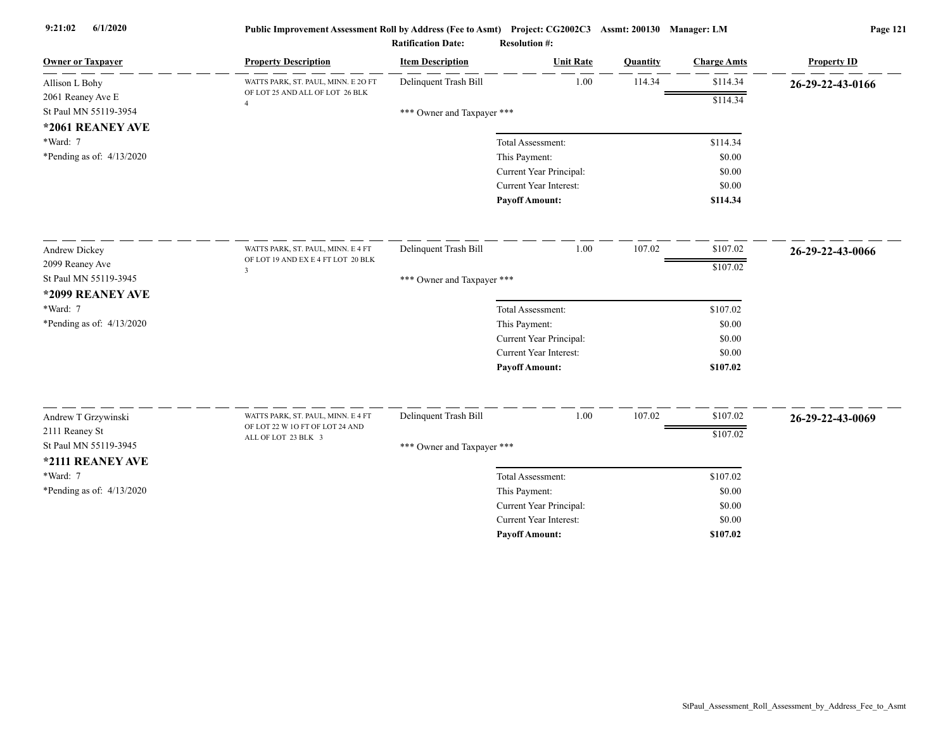| <b>Owner or Taxpayer</b>              | <b>Property Description</b>         | <b>Item Description</b>    | <b>Unit Rate</b>                         | Quantity | <b>Charge Amts</b> | <b>Property ID</b> |
|---------------------------------------|-------------------------------------|----------------------------|------------------------------------------|----------|--------------------|--------------------|
| Allison L Bohy                        | WATTS PARK, ST. PAUL, MINN. E 2O FT | Delinquent Trash Bill      | 1.00                                     | 114.34   | \$114.34           | 26-29-22-43-0166   |
| 2061 Reaney Ave E                     | OF LOT 25 AND ALL OF LOT 26 BLK     |                            |                                          |          | \$114.34           |                    |
| St Paul MN 55119-3954                 |                                     | *** Owner and Taxpayer *** |                                          |          |                    |                    |
| *2061 REANEY AVE                      |                                     |                            |                                          |          |                    |                    |
| *Ward: 7                              |                                     |                            | Total Assessment:                        |          | \$114.34           |                    |
| *Pending as of: $4/13/2020$           |                                     |                            | This Payment:                            |          | \$0.00             |                    |
|                                       |                                     |                            | Current Year Principal:                  |          | \$0.00             |                    |
|                                       |                                     |                            | Current Year Interest:                   |          | \$0.00             |                    |
|                                       |                                     |                            | <b>Payoff Amount:</b>                    |          | \$114.34           |                    |
| Andrew Dickey                         | WATTS PARK, ST. PAUL, MINN. E 4 FT  | Delinquent Trash Bill      | 1.00                                     | 107.02   | \$107.02           | 26-29-22-43-0066   |
| 2099 Reaney Ave                       | OF LOT 19 AND EX E 4 FT LOT 20 BLK  |                            |                                          |          | \$107.02           |                    |
| St Paul MN 55119-3945                 | $\overline{\mathbf{3}}$             | *** Owner and Taxpayer *** |                                          |          |                    |                    |
| *2099 REANEY AVE                      |                                     |                            |                                          |          |                    |                    |
| *Ward: 7                              |                                     |                            | Total Assessment:                        |          | \$107.02           |                    |
| *Pending as of: 4/13/2020             |                                     |                            | This Payment:                            |          | \$0.00             |                    |
|                                       |                                     |                            | Current Year Principal:                  |          | \$0.00             |                    |
|                                       |                                     |                            | Current Year Interest:                   |          | \$0.00             |                    |
|                                       |                                     |                            | <b>Payoff Amount:</b>                    |          | \$107.02           |                    |
|                                       | WATTS PARK, ST. PAUL, MINN. E 4 FT  | Delinquent Trash Bill      | 1.00                                     | 107.02   | \$107.02           |                    |
| Andrew T Grzywinski<br>2111 Reaney St | OF LOT 22 W 1O FT OF LOT 24 AND     |                            |                                          |          |                    | 26-29-22-43-0069   |
| St Paul MN 55119-3945                 | ALL OF LOT 23 BLK 3                 |                            |                                          |          | \$107.02           |                    |
| *2111 REANEY AVE                      |                                     | *** Owner and Taxpayer *** |                                          |          |                    |                    |
| *Ward: 7                              |                                     |                            |                                          |          |                    |                    |
|                                       |                                     |                            | Total Assessment:                        |          | \$107.02           |                    |
| *Pending as of: $4/13/2020$           |                                     |                            | This Payment:<br>Current Year Principal: |          | \$0.00<br>\$0.00   |                    |
|                                       |                                     |                            | Current Year Interest:                   |          | \$0.00             |                    |
|                                       |                                     |                            | <b>Payoff Amount:</b>                    |          | \$107.02           |                    |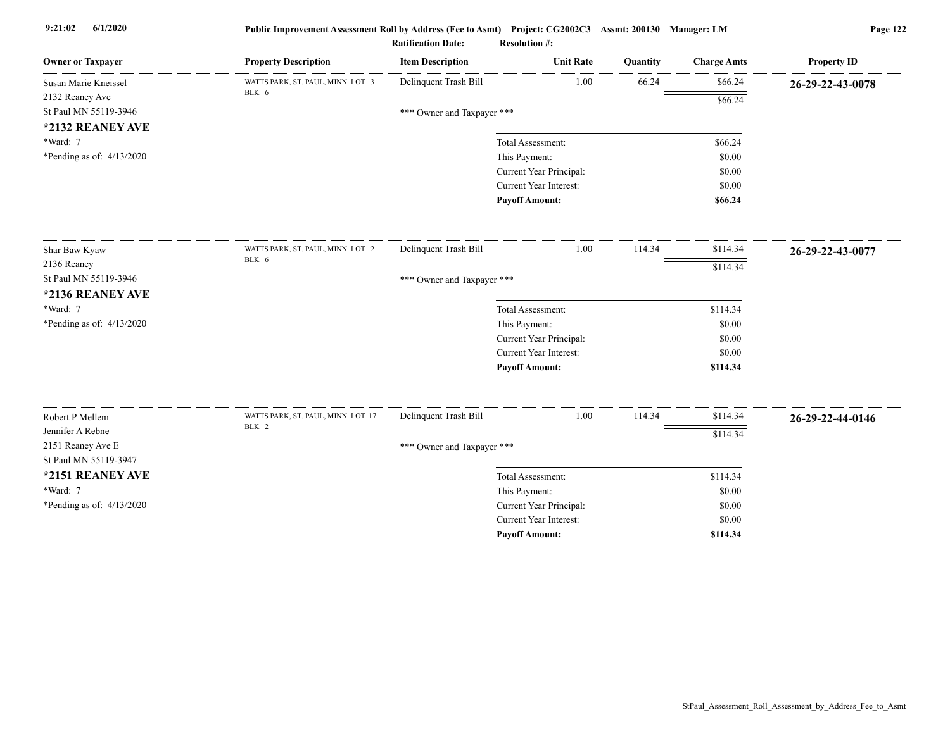| <b>Owner or Taxpayer</b>    | <b>Property Description</b>        | <b>Item Description</b>    | <b>Unit Rate</b>        | Quantity | <b>Charge Amts</b> | <b>Property ID</b> |
|-----------------------------|------------------------------------|----------------------------|-------------------------|----------|--------------------|--------------------|
| Susan Marie Kneissel        | WATTS PARK, ST. PAUL, MINN. LOT 3  | Delinquent Trash Bill      | 1.00                    | 66.24    | \$66.24            | 26-29-22-43-0078   |
| 2132 Reaney Ave             | BLK 6                              |                            |                         |          | \$66.24            |                    |
| St Paul MN 55119-3946       |                                    | *** Owner and Taxpayer *** |                         |          |                    |                    |
| *2132 REANEY AVE            |                                    |                            |                         |          |                    |                    |
| *Ward: 7                    |                                    |                            | Total Assessment:       |          | \$66.24            |                    |
| *Pending as of: $4/13/2020$ |                                    |                            | This Payment:           |          | \$0.00             |                    |
|                             |                                    |                            | Current Year Principal: |          | \$0.00             |                    |
|                             |                                    |                            | Current Year Interest:  |          | \$0.00             |                    |
|                             |                                    |                            | <b>Payoff Amount:</b>   |          | \$66.24            |                    |
| Shar Baw Kyaw               | WATTS PARK, ST. PAUL, MINN. LOT 2  | Delinquent Trash Bill      | 1.00                    | 114.34   | \$114.34           | 26-29-22-43-0077   |
| 2136 Reaney                 | BLK 6                              |                            |                         |          | \$114.34           |                    |
| St Paul MN 55119-3946       |                                    | *** Owner and Taxpayer *** |                         |          |                    |                    |
| *2136 REANEY AVE            |                                    |                            |                         |          |                    |                    |
| *Ward: 7                    |                                    |                            | Total Assessment:       |          | \$114.34           |                    |
| *Pending as of: 4/13/2020   |                                    |                            | This Payment:           |          | \$0.00             |                    |
|                             |                                    |                            | Current Year Principal: |          | \$0.00             |                    |
|                             |                                    |                            | Current Year Interest:  |          | \$0.00             |                    |
|                             |                                    |                            | <b>Payoff Amount:</b>   |          | \$114.34           |                    |
| Robert P Mellem             | WATTS PARK, ST. PAUL, MINN. LOT 17 | Delinquent Trash Bill      | 1.00                    | 114.34   | \$114.34           |                    |
| Jennifer A Rebne            | BLK 2                              |                            |                         |          |                    | 26-29-22-44-0146   |
| 2151 Reaney Ave E           |                                    | *** Owner and Taxpayer *** |                         |          | \$114.34           |                    |
| St Paul MN 55119-3947       |                                    |                            |                         |          |                    |                    |
| *2151 REANEY AVE            |                                    |                            | Total Assessment:       |          | \$114.34           |                    |
| *Ward: 7                    |                                    |                            | This Payment:           |          | \$0.00             |                    |
| *Pending as of: 4/13/2020   |                                    |                            | Current Year Principal: |          | \$0.00             |                    |
|                             |                                    |                            | Current Year Interest:  |          | \$0.00             |                    |
|                             |                                    |                            | <b>Payoff Amount:</b>   |          | \$114.34           |                    |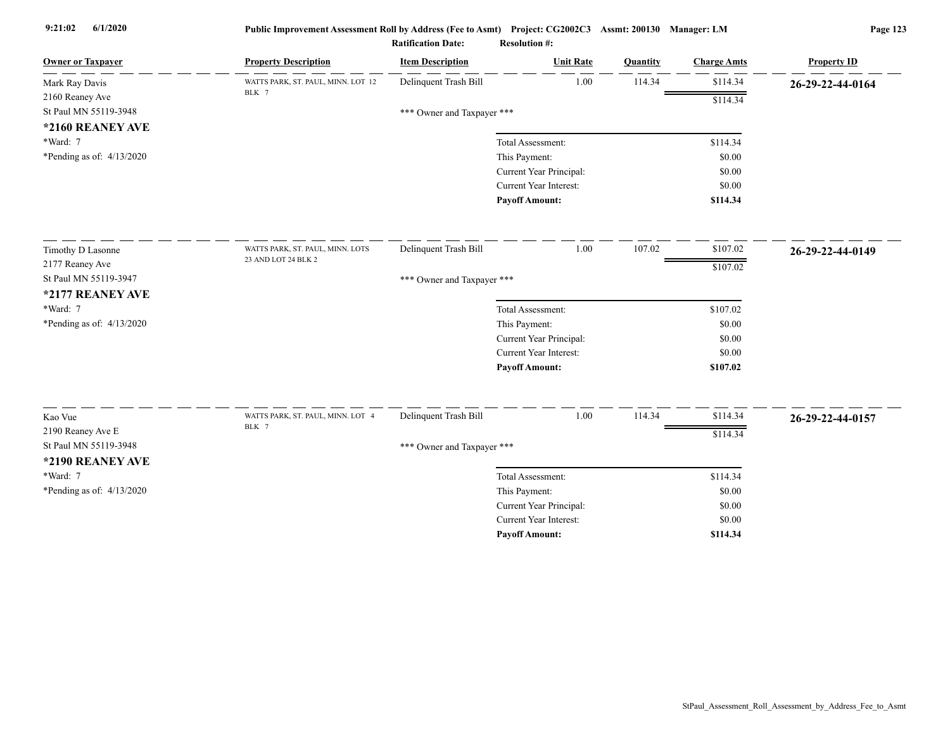| <b>Owner or Taxpayer</b>                  | <b>Property Description</b>                 | <b>Item Description</b>    | <b>Unit Rate</b>              | Quantity | <b>Charge Amts</b> | <b>Property ID</b> |
|-------------------------------------------|---------------------------------------------|----------------------------|-------------------------------|----------|--------------------|--------------------|
| Mark Ray Davis                            | WATTS PARK, ST. PAUL, MINN. LOT 12<br>BLK 7 | Delinquent Trash Bill      | 1.00                          | 114.34   | \$114.34           | 26-29-22-44-0164   |
| 2160 Reaney Ave                           |                                             |                            |                               |          | \$114.34           |                    |
| St Paul MN 55119-3948                     |                                             | *** Owner and Taxpayer *** |                               |          |                    |                    |
| *2160 REANEY AVE                          |                                             |                            |                               |          |                    |                    |
| *Ward: 7                                  |                                             |                            | Total Assessment:             |          | \$114.34           |                    |
| *Pending as of: 4/13/2020                 |                                             |                            | This Payment:                 |          | \$0.00             |                    |
|                                           |                                             |                            | Current Year Principal:       |          | \$0.00             |                    |
|                                           |                                             |                            | <b>Current Year Interest:</b> |          | \$0.00             |                    |
|                                           |                                             |                            | <b>Payoff Amount:</b>         |          | \$114.34           |                    |
| Timothy D Lasonne                         | WATTS PARK, ST. PAUL, MINN. LOTS            | Delinquent Trash Bill      | 1.00                          | 107.02   | \$107.02           | 26-29-22-44-0149   |
| 2177 Reaney Ave                           | 23 AND LOT 24 BLK 2                         |                            |                               |          | \$107.02           |                    |
| St Paul MN 55119-3947                     |                                             | *** Owner and Taxpayer *** |                               |          |                    |                    |
| *2177 REANEY AVE                          |                                             |                            |                               |          |                    |                    |
| *Ward: 7                                  |                                             |                            | Total Assessment:             |          | \$107.02           |                    |
| *Pending as of: $4/13/2020$               |                                             |                            | This Payment:                 |          | \$0.00             |                    |
|                                           |                                             |                            | Current Year Principal:       |          | \$0.00             |                    |
|                                           |                                             |                            | <b>Current Year Interest:</b> |          | \$0.00             |                    |
|                                           |                                             |                            | <b>Payoff Amount:</b>         |          | \$107.02           |                    |
| Kao Vue                                   | WATTS PARK, ST. PAUL, MINN. LOT 4           | Delinquent Trash Bill      | $1.00\,$                      | 114.34   | \$114.34           | 26-29-22-44-0157   |
| 2190 Reaney Ave E                         | BLK 7                                       |                            |                               |          | \$114.34           |                    |
| St Paul MN 55119-3948<br>*2190 REANEY AVE |                                             | *** Owner and Taxpayer *** |                               |          |                    |                    |
| *Ward: 7                                  |                                             |                            | Total Assessment:             |          | \$114.34           |                    |
| *Pending as of: $4/13/2020$               |                                             |                            | This Payment:                 |          | \$0.00             |                    |
|                                           |                                             |                            | Current Year Principal:       |          | \$0.00             |                    |
|                                           |                                             |                            | <b>Current Year Interest:</b> |          | \$0.00             |                    |
|                                           |                                             |                            | <b>Payoff Amount:</b>         |          | \$114.34           |                    |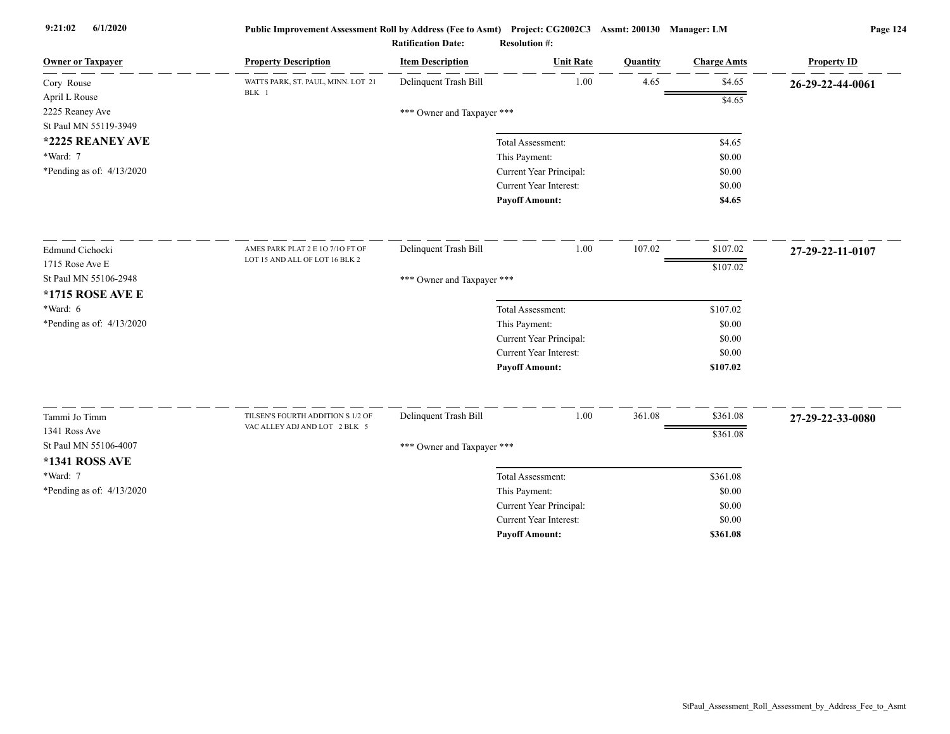| <b>Owner or Taxpayer</b>    | <b>Property Description</b>                                        | <b>Item Description</b>    | <b>Unit Rate</b>              | Quantity | <b>Charge Amts</b> | <b>Property ID</b> |
|-----------------------------|--------------------------------------------------------------------|----------------------------|-------------------------------|----------|--------------------|--------------------|
| Cory Rouse                  | WATTS PARK, ST. PAUL, MINN. LOT 21<br>BLK 1                        | Delinquent Trash Bill      | 1.00                          | 4.65     | \$4.65             | 26-29-22-44-0061   |
| April L Rouse               |                                                                    |                            |                               |          | \$4.65             |                    |
| 2225 Reaney Ave             |                                                                    | *** Owner and Taxpayer *** |                               |          |                    |                    |
| St Paul MN 55119-3949       |                                                                    |                            |                               |          |                    |                    |
| *2225 REANEY AVE            |                                                                    |                            | Total Assessment:             |          | \$4.65             |                    |
| *Ward: 7                    |                                                                    |                            | This Payment:                 |          | \$0.00             |                    |
| *Pending as of: 4/13/2020   |                                                                    |                            | Current Year Principal:       |          | \$0.00             |                    |
|                             |                                                                    |                            | Current Year Interest:        |          | \$0.00             |                    |
|                             |                                                                    |                            | <b>Payoff Amount:</b>         |          | \$4.65             |                    |
| Edmund Cichocki             | AMES PARK PLAT 2 E 10 7/10 FT OF                                   | Delinquent Trash Bill      | 1.00                          | 107.02   | \$107.02           | 27-29-22-11-0107   |
| 1715 Rose Ave E             | LOT 15 AND ALL OF LOT 16 BLK 2                                     |                            |                               |          |                    |                    |
| St Paul MN 55106-2948       |                                                                    | *** Owner and Taxpayer *** |                               |          | \$107.02           |                    |
| *1715 ROSE AVE E            |                                                                    |                            |                               |          |                    |                    |
| *Ward: 6                    |                                                                    |                            | Total Assessment:             |          | \$107.02           |                    |
| *Pending as of: $4/13/2020$ |                                                                    |                            | This Payment:                 |          | \$0.00             |                    |
|                             |                                                                    |                            | Current Year Principal:       |          | \$0.00             |                    |
|                             |                                                                    |                            | Current Year Interest:        |          | \$0.00             |                    |
|                             |                                                                    |                            | <b>Payoff Amount:</b>         |          | \$107.02           |                    |
|                             |                                                                    |                            |                               |          |                    |                    |
| Tammi Jo Timm               | TILSEN'S FOURTH ADDITION S 1/2 OF<br>VAC ALLEY ADJ AND LOT 2 BLK 5 | Delinquent Trash Bill      | 1.00                          | 361.08   | \$361.08           | 27-29-22-33-0080   |
| 1341 Ross Ave               |                                                                    |                            |                               |          | \$361.08           |                    |
| St Paul MN 55106-4007       |                                                                    | *** Owner and Taxpayer *** |                               |          |                    |                    |
| <b>*1341 ROSS AVE</b>       |                                                                    |                            |                               |          |                    |                    |
| *Ward: 7                    |                                                                    |                            | Total Assessment:             |          | \$361.08           |                    |
| *Pending as of: 4/13/2020   |                                                                    |                            | This Payment:                 |          | \$0.00             |                    |
|                             |                                                                    |                            | Current Year Principal:       |          | \$0.00             |                    |
|                             |                                                                    |                            | <b>Current Year Interest:</b> |          | \$0.00             |                    |
|                             |                                                                    |                            | <b>Payoff Amount:</b>         |          | \$361.08           |                    |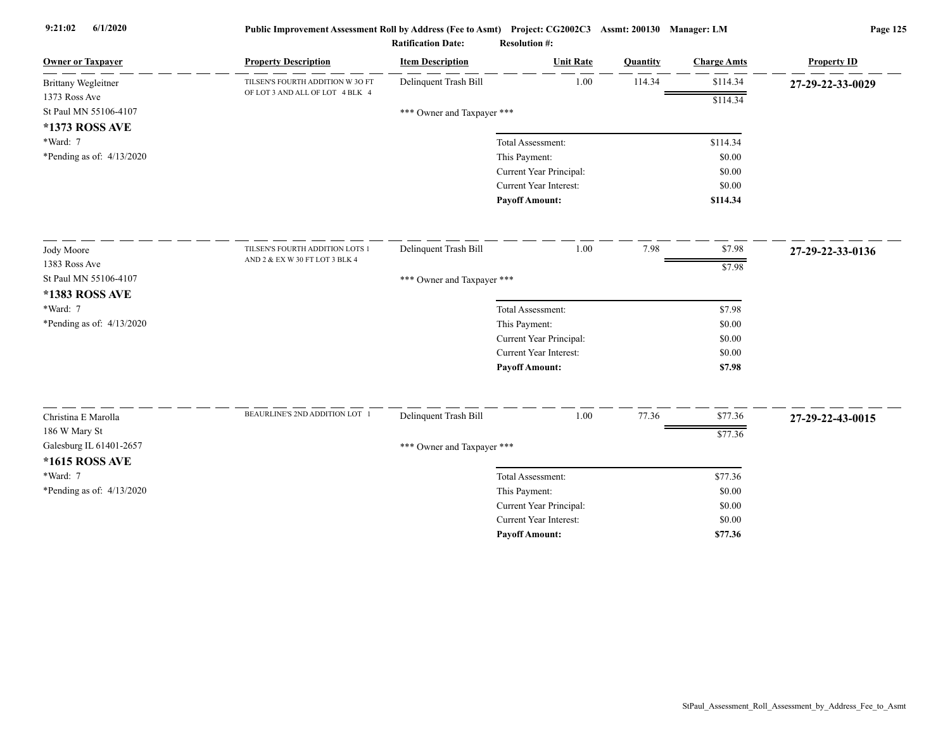| <b>Owner or Taxpayer</b>    | <b>Property Description</b>      | <b>Item Description</b>    | <b>Unit Rate</b>              | Quantity | <b>Charge Amts</b> | <b>Property ID</b> |
|-----------------------------|----------------------------------|----------------------------|-------------------------------|----------|--------------------|--------------------|
| <b>Brittany Wegleitner</b>  | TILSEN'S FOURTH ADDITION W 3O FT | Delinquent Trash Bill      | 1.00                          | 114.34   | \$114.34           | 27-29-22-33-0029   |
| 1373 Ross Ave               | OF LOT 3 AND ALL OF LOT 4 BLK 4  |                            |                               |          | \$114.34           |                    |
| St Paul MN 55106-4107       |                                  | *** Owner and Taxpayer *** |                               |          |                    |                    |
| *1373 ROSS AVE              |                                  |                            |                               |          |                    |                    |
| *Ward: 7                    |                                  |                            | Total Assessment:             |          | \$114.34           |                    |
| *Pending as of: $4/13/2020$ |                                  |                            | This Payment:                 |          | \$0.00             |                    |
|                             |                                  |                            | Current Year Principal:       |          | \$0.00             |                    |
|                             |                                  |                            | Current Year Interest:        |          | \$0.00             |                    |
|                             |                                  |                            | <b>Payoff Amount:</b>         |          | \$114.34           |                    |
| Jody Moore                  | TILSEN'S FOURTH ADDITION LOTS 1  | Delinquent Trash Bill      | 1.00                          | 7.98     | \$7.98             | 27-29-22-33-0136   |
| 1383 Ross Ave               | AND 2 & EX W 30 FT LOT 3 BLK 4   |                            |                               |          | \$7.98             |                    |
| St Paul MN 55106-4107       |                                  | *** Owner and Taxpayer *** |                               |          |                    |                    |
| *1383 ROSS AVE              |                                  |                            |                               |          |                    |                    |
| *Ward: 7                    |                                  |                            | Total Assessment:             |          | \$7.98             |                    |
| *Pending as of: 4/13/2020   |                                  |                            | This Payment:                 |          | \$0.00             |                    |
|                             |                                  |                            | Current Year Principal:       |          | \$0.00             |                    |
|                             |                                  |                            | Current Year Interest:        |          | \$0.00             |                    |
|                             |                                  |                            | Payoff Amount:                |          | \$7.98             |                    |
|                             | BEAURLINE'S 2ND ADDITION LOT 1   |                            |                               |          |                    |                    |
| Christina E Marolla         |                                  | Delinquent Trash Bill      | 1.00                          | 77.36    | \$77.36            | 27-29-22-43-0015   |
| 186 W Mary St               |                                  |                            |                               |          | \$77.36            |                    |
| Galesburg IL 61401-2657     |                                  | *** Owner and Taxpayer *** |                               |          |                    |                    |
| *1615 ROSS AVE              |                                  |                            |                               |          |                    |                    |
| *Ward: 7                    |                                  |                            | Total Assessment:             |          | \$77.36            |                    |
| *Pending as of: $4/13/2020$ |                                  |                            | This Payment:                 |          | \$0.00             |                    |
|                             |                                  |                            | Current Year Principal:       |          | \$0.00             |                    |
|                             |                                  |                            | <b>Current Year Interest:</b> |          | \$0.00             |                    |
|                             |                                  |                            | <b>Pavoff Amount:</b>         |          | \$77.36            |                    |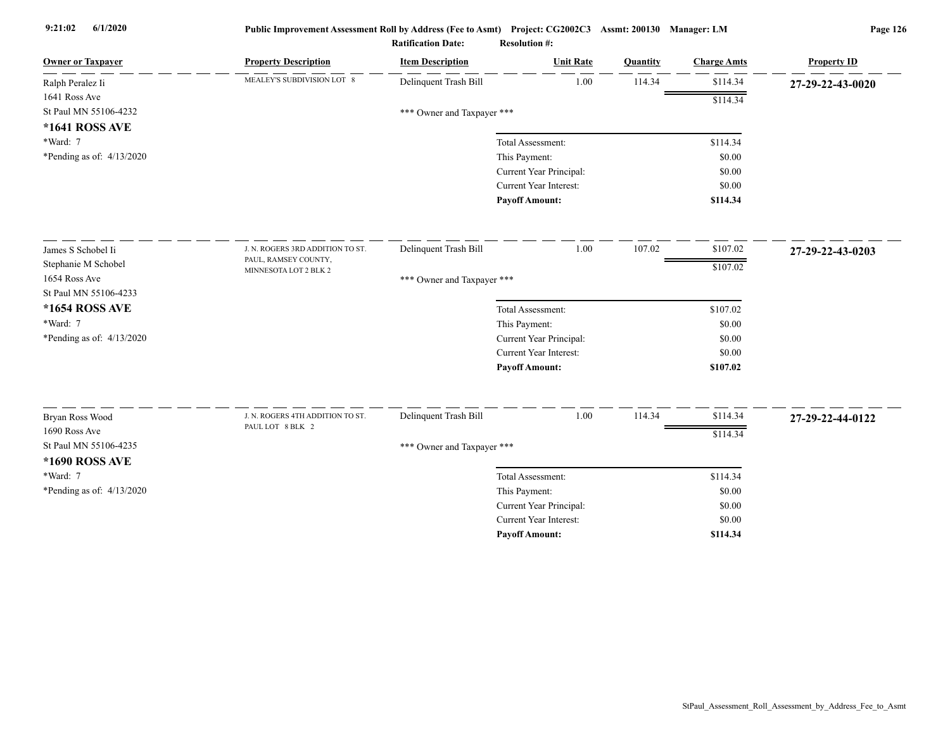| <b>Owner or Taxpayer</b>    | <b>Property Description</b>                          | <b>Item Description</b>    | <b>Unit Rate</b>              | Quantity | <b>Charge Amts</b> | <b>Property ID</b> |
|-----------------------------|------------------------------------------------------|----------------------------|-------------------------------|----------|--------------------|--------------------|
| Ralph Peralez Ii            | MEALEY'S SUBDIVISION LOT 8                           | Delinquent Trash Bill      | 1.00                          | 114.34   | \$114.34           | 27-29-22-43-0020   |
| 1641 Ross Ave               |                                                      |                            |                               |          | \$114.34           |                    |
| St Paul MN 55106-4232       |                                                      | *** Owner and Taxpayer *** |                               |          |                    |                    |
| *1641 ROSS AVE              |                                                      |                            |                               |          |                    |                    |
| *Ward: 7                    |                                                      |                            | Total Assessment:             |          | \$114.34           |                    |
| *Pending as of: 4/13/2020   |                                                      |                            | This Payment:                 |          | \$0.00             |                    |
|                             |                                                      |                            | Current Year Principal:       |          | \$0.00             |                    |
|                             |                                                      |                            | <b>Current Year Interest:</b> |          | \$0.00             |                    |
|                             |                                                      |                            | <b>Payoff Amount:</b>         |          | \$114.34           |                    |
| James S Schobel Ii          | J. N. ROGERS 3RD ADDITION TO ST.                     | Delinquent Trash Bill      | 1.00                          | 107.02   | \$107.02           | 27-29-22-43-0203   |
| Stephanie M Schobel         | PAUL, RAMSEY COUNTY,                                 |                            |                               |          | \$107.02           |                    |
| 1654 Ross Ave               | MINNESOTA LOT 2 BLK 2                                | *** Owner and Taxpayer *** |                               |          |                    |                    |
| St Paul MN 55106-4233       |                                                      |                            |                               |          |                    |                    |
| *1654 ROSS AVE              |                                                      |                            | Total Assessment:             |          | \$107.02           |                    |
| *Ward: 7                    |                                                      |                            | This Payment:                 |          | \$0.00             |                    |
| *Pending as of: $4/13/2020$ |                                                      |                            | Current Year Principal:       |          | \$0.00             |                    |
|                             |                                                      |                            | <b>Current Year Interest:</b> |          | \$0.00             |                    |
|                             |                                                      |                            | <b>Payoff Amount:</b>         |          | \$107.02           |                    |
|                             |                                                      |                            |                               |          |                    |                    |
| Bryan Ross Wood             | J. N. ROGERS 4TH ADDITION TO ST.<br>PAUL LOT 8 BLK 2 | Delinquent Trash Bill      | 1.00                          | 114.34   | \$114.34           | 27-29-22-44-0122   |
| 1690 Ross Ave               |                                                      |                            |                               |          | \$114.34           |                    |
| St Paul MN 55106-4235       |                                                      | *** Owner and Taxpayer *** |                               |          |                    |                    |
| *1690 ROSS AVE              |                                                      |                            |                               |          |                    |                    |
| *Ward: 7                    |                                                      |                            | Total Assessment:             |          | \$114.34           |                    |
| *Pending as of: $4/13/2020$ |                                                      |                            | This Payment:                 |          | \$0.00             |                    |
|                             |                                                      |                            | Current Year Principal:       |          | \$0.00             |                    |
|                             |                                                      |                            | Current Year Interest:        |          | \$0.00             |                    |
|                             |                                                      |                            | <b>Payoff Amount:</b>         |          | \$114.34           |                    |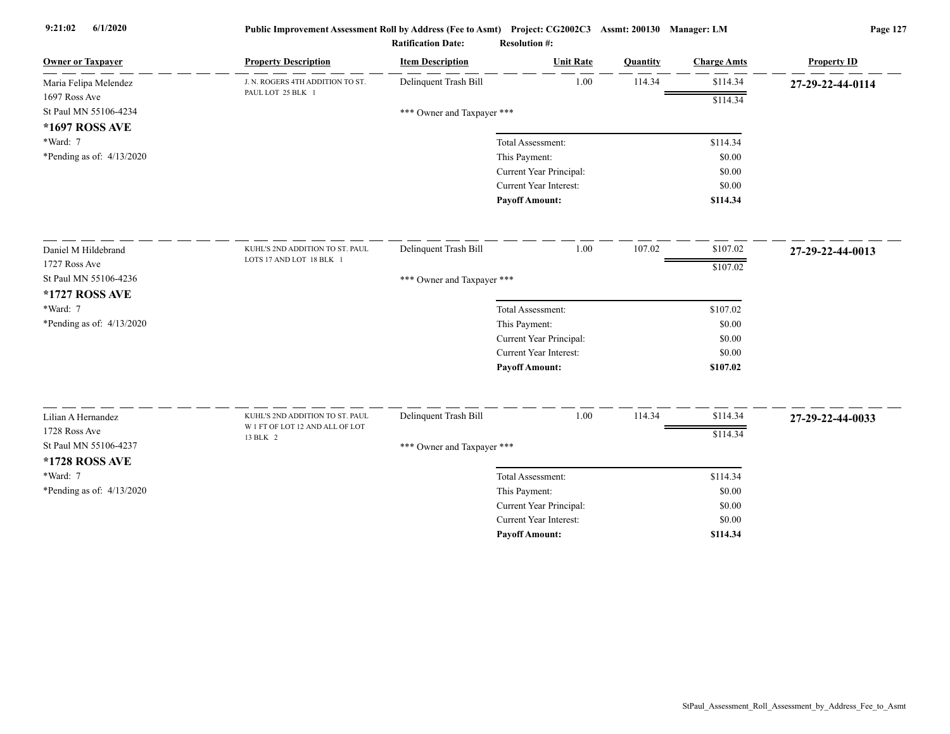| <b>Owner or Taxpayer</b>    | <b>Property Description</b>                                        | <b>Item Description</b>    | <b>Unit Rate</b>              | Quantity | <b>Charge Amts</b> | <b>Property ID</b> |
|-----------------------------|--------------------------------------------------------------------|----------------------------|-------------------------------|----------|--------------------|--------------------|
| Maria Felipa Melendez       | J. N. ROGERS 4TH ADDITION TO ST.                                   | Delinquent Trash Bill      | 1.00                          | 114.34   | \$114.34           | 27-29-22-44-0114   |
| 1697 Ross Ave               | PAUL LOT 25 BLK 1                                                  |                            |                               |          | \$114.34           |                    |
| St Paul MN 55106-4234       |                                                                    | *** Owner and Taxpayer *** |                               |          |                    |                    |
| *1697 ROSS AVE              |                                                                    |                            |                               |          |                    |                    |
| *Ward: 7                    |                                                                    |                            | Total Assessment:             |          | \$114.34           |                    |
| *Pending as of: $4/13/2020$ |                                                                    |                            | This Payment:                 |          | \$0.00             |                    |
|                             |                                                                    |                            | Current Year Principal:       |          | \$0.00             |                    |
|                             |                                                                    |                            | Current Year Interest:        |          | \$0.00             |                    |
|                             |                                                                    |                            | <b>Payoff Amount:</b>         |          | \$114.34           |                    |
| Daniel M Hildebrand         | KUHL'S 2ND ADDITION TO ST. PAUL                                    | Delinquent Trash Bill      | 1.00                          | 107.02   | \$107.02           | 27-29-22-44-0013   |
| 1727 Ross Ave               | LOTS 17 AND LOT 18 BLK 1                                           |                            |                               |          | \$107.02           |                    |
| St Paul MN 55106-4236       |                                                                    | *** Owner and Taxpayer *** |                               |          |                    |                    |
| *1727 ROSS AVE              |                                                                    |                            |                               |          |                    |                    |
| *Ward: 7                    |                                                                    |                            | Total Assessment:             |          | \$107.02           |                    |
| *Pending as of: $4/13/2020$ |                                                                    |                            | This Payment:                 |          | \$0.00             |                    |
|                             |                                                                    |                            | Current Year Principal:       |          | \$0.00             |                    |
|                             |                                                                    |                            | Current Year Interest:        |          | \$0.00             |                    |
|                             |                                                                    |                            | <b>Payoff Amount:</b>         |          | \$107.02           |                    |
|                             |                                                                    |                            |                               |          |                    |                    |
| Lilian A Hernandez          | KUHL'S 2ND ADDITION TO ST. PAUL<br>W 1 FT OF LOT 12 AND ALL OF LOT | Delinquent Trash Bill      | 1.00                          | 114.34   | \$114.34           | 27-29-22-44-0033   |
| 1728 Ross Ave               | 13 BLK 2                                                           |                            |                               |          | \$114.34           |                    |
| St Paul MN 55106-4237       |                                                                    | *** Owner and Taxpayer *** |                               |          |                    |                    |
| *1728 ROSS AVE              |                                                                    |                            |                               |          |                    |                    |
| *Ward: 7                    |                                                                    |                            | Total Assessment:             |          | \$114.34           |                    |
| *Pending as of: 4/13/2020   |                                                                    |                            | This Payment:                 |          | \$0.00             |                    |
|                             |                                                                    |                            | Current Year Principal:       |          | \$0.00             |                    |
|                             |                                                                    |                            | <b>Current Year Interest:</b> |          | \$0.00             |                    |
|                             |                                                                    |                            | <b>Pavoff Amount:</b>         |          | \$114.34           |                    |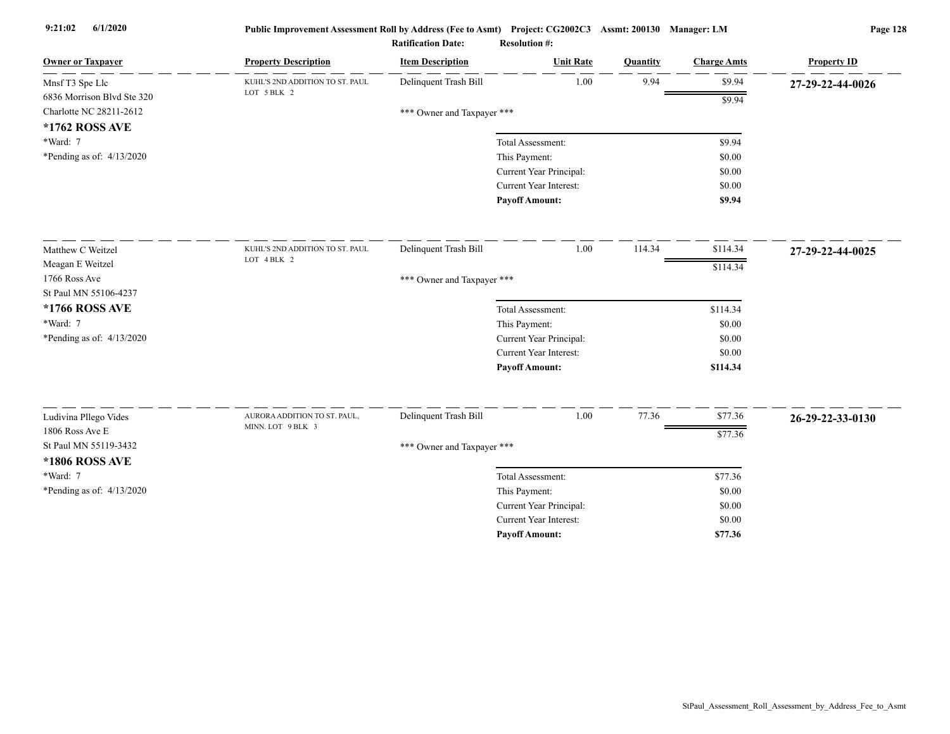| <b>Owner or Taxpayer</b>                 | <b>Property Description</b>                       | <b>Item Description</b>    | <b>Unit Rate</b>              | <b>Quantity</b> | <b>Charge Amts</b> | <b>Property ID</b> |
|------------------------------------------|---------------------------------------------------|----------------------------|-------------------------------|-----------------|--------------------|--------------------|
| Mnsf T3 Spe Llc                          | KUHL'S 2ND ADDITION TO ST. PAUL                   | Delinquent Trash Bill      | $1.00\,$                      | 9.94            | \$9.94             | 27-29-22-44-0026   |
| 6836 Morrison Blvd Ste 320               | LOT 5 BLK 2                                       |                            |                               |                 | \$9.94             |                    |
| Charlotte NC 28211-2612                  |                                                   | *** Owner and Taxpayer *** |                               |                 |                    |                    |
| *1762 ROSS AVE<br>*Ward: 7               |                                                   |                            | Total Assessment:             |                 | \$9.94             |                    |
| *Pending as of: $4/13/2020$              |                                                   |                            | This Payment:                 |                 | \$0.00             |                    |
|                                          |                                                   |                            | Current Year Principal:       |                 | \$0.00             |                    |
|                                          |                                                   |                            | <b>Current Year Interest:</b> |                 | \$0.00             |                    |
|                                          |                                                   |                            | <b>Payoff Amount:</b>         |                 | \$9.94             |                    |
| Matthew C Weitzel                        | KUHL'S 2ND ADDITION TO ST. PAUL                   | Delinquent Trash Bill      | 1.00                          | 114.34          | \$114.34           | 27-29-22-44-0025   |
| Meagan E Weitzel                         | LOT 4 BLK 2                                       |                            |                               |                 |                    |                    |
| 1766 Ross Ave                            |                                                   | *** Owner and Taxpayer *** |                               |                 | \$114.34           |                    |
| St Paul MN 55106-4237                    |                                                   |                            |                               |                 |                    |                    |
| *1766 ROSS AVE                           |                                                   |                            | Total Assessment:             |                 | \$114.34           |                    |
| $*Ward: 7$                               |                                                   |                            | This Payment:                 |                 | \$0.00             |                    |
| *Pending as of: $4/13/2020$              |                                                   |                            | Current Year Principal:       |                 | \$0.00             |                    |
|                                          |                                                   |                            | <b>Current Year Interest:</b> |                 | \$0.00             |                    |
|                                          |                                                   |                            | <b>Payoff Amount:</b>         |                 | \$114.34           |                    |
|                                          |                                                   |                            |                               |                 |                    |                    |
| Ludivina Pllego Vides                    | AURORA ADDITION TO ST. PAUL,<br>MINN. LOT 9 BLK 3 | Delinquent Trash Bill      | 1.00                          | 77.36           | \$77.36            | 26-29-22-33-0130   |
| 1806 Ross Ave E<br>St Paul MN 55119-3432 |                                                   |                            |                               |                 | \$77.36            |                    |
| *1806 ROSS AVE                           |                                                   | *** Owner and Taxpayer *** |                               |                 |                    |                    |
| *Ward: 7                                 |                                                   |                            | Total Assessment:             |                 | \$77.36            |                    |
| *Pending as of: $4/13/2020$              |                                                   |                            | This Payment:                 |                 | \$0.00             |                    |
|                                          |                                                   |                            | Current Year Principal:       |                 | \$0.00             |                    |
|                                          |                                                   |                            | Current Year Interest:        |                 | \$0.00             |                    |
|                                          |                                                   |                            | <b>Payoff Amount:</b>         |                 | \$77.36            |                    |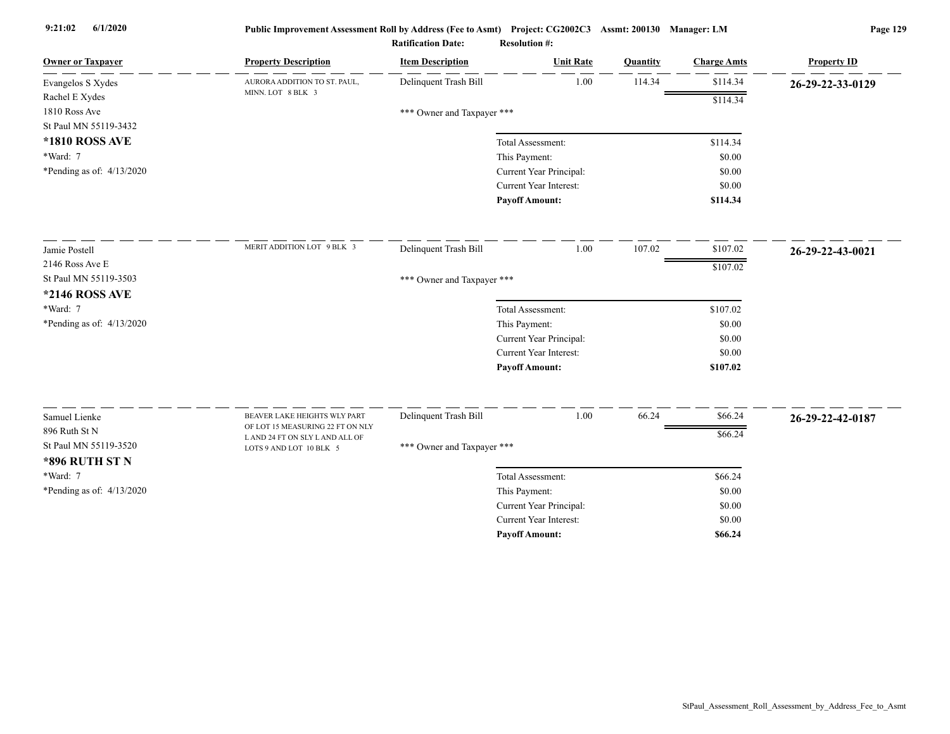| <b>Owner or Taxpayer</b>    | <b>Property Description</b>                                      | <b>Item Description</b>    | <b>Unit Rate</b>        | Quantity | <b>Charge Amts</b> | <b>Property ID</b> |
|-----------------------------|------------------------------------------------------------------|----------------------------|-------------------------|----------|--------------------|--------------------|
| Evangelos S Xydes           | AURORA ADDITION TO ST. PAUL,                                     | Delinquent Trash Bill      | 1.00                    | 114.34   | \$114.34           | 26-29-22-33-0129   |
| Rachel E Xydes              | MINN. LOT 8 BLK 3                                                |                            |                         |          | \$114.34           |                    |
| 1810 Ross Ave               |                                                                  | *** Owner and Taxpayer *** |                         |          |                    |                    |
| St Paul MN 55119-3432       |                                                                  |                            |                         |          |                    |                    |
| <b>*1810 ROSS AVE</b>       |                                                                  |                            | Total Assessment:       |          | \$114.34           |                    |
| *Ward: 7                    |                                                                  |                            | This Payment:           |          | \$0.00             |                    |
| *Pending as of: $4/13/2020$ |                                                                  |                            | Current Year Principal: |          | \$0.00             |                    |
|                             |                                                                  |                            | Current Year Interest:  |          | \$0.00             |                    |
|                             |                                                                  |                            | <b>Payoff Amount:</b>   |          | \$114.34           |                    |
| Jamie Postell               | MERIT ADDITION LOT 9 BLK 3                                       | Delinquent Trash Bill      | 1.00                    | 107.02   | \$107.02           | 26-29-22-43-0021   |
| 2146 Ross Ave E             |                                                                  |                            |                         |          |                    |                    |
| St Paul MN 55119-3503       |                                                                  | *** Owner and Taxpayer *** |                         |          | \$107.02           |                    |
| *2146 ROSS AVE              |                                                                  |                            |                         |          |                    |                    |
| *Ward: 7                    |                                                                  |                            | Total Assessment:       |          | \$107.02           |                    |
| *Pending as of: 4/13/2020   |                                                                  |                            | This Payment:           |          | \$0.00             |                    |
|                             |                                                                  |                            | Current Year Principal: |          | \$0.00             |                    |
|                             |                                                                  |                            | Current Year Interest:  |          | \$0.00             |                    |
|                             |                                                                  |                            | <b>Payoff Amount:</b>   |          | \$107.02           |                    |
|                             |                                                                  |                            |                         |          |                    |                    |
| Samuel Lienke               | BEAVER LAKE HEIGHTS WLY PART<br>OF LOT 15 MEASURING 22 FT ON NLY | Delinquent Trash Bill      | 1.00                    | 66.24    | \$66.24            | 26-29-22-42-0187   |
| 896 Ruth St N               | LAND 24 FT ON SLY LAND ALL OF                                    |                            |                         |          | \$66.24            |                    |
| St Paul MN 55119-3520       | LOTS 9 AND LOT 10 BLK 5                                          | *** Owner and Taxpayer *** |                         |          |                    |                    |
| <b>*896 RUTH ST N</b>       |                                                                  |                            |                         |          |                    |                    |
| *Ward: 7                    |                                                                  |                            | Total Assessment:       |          | \$66.24            |                    |
| *Pending as of: $4/13/2020$ |                                                                  |                            | This Payment:           |          | \$0.00             |                    |
|                             |                                                                  |                            | Current Year Principal: |          | \$0.00             |                    |
|                             |                                                                  |                            | Current Year Interest:  |          | \$0.00             |                    |
|                             |                                                                  |                            | <b>Payoff Amount:</b>   |          | \$66.24            |                    |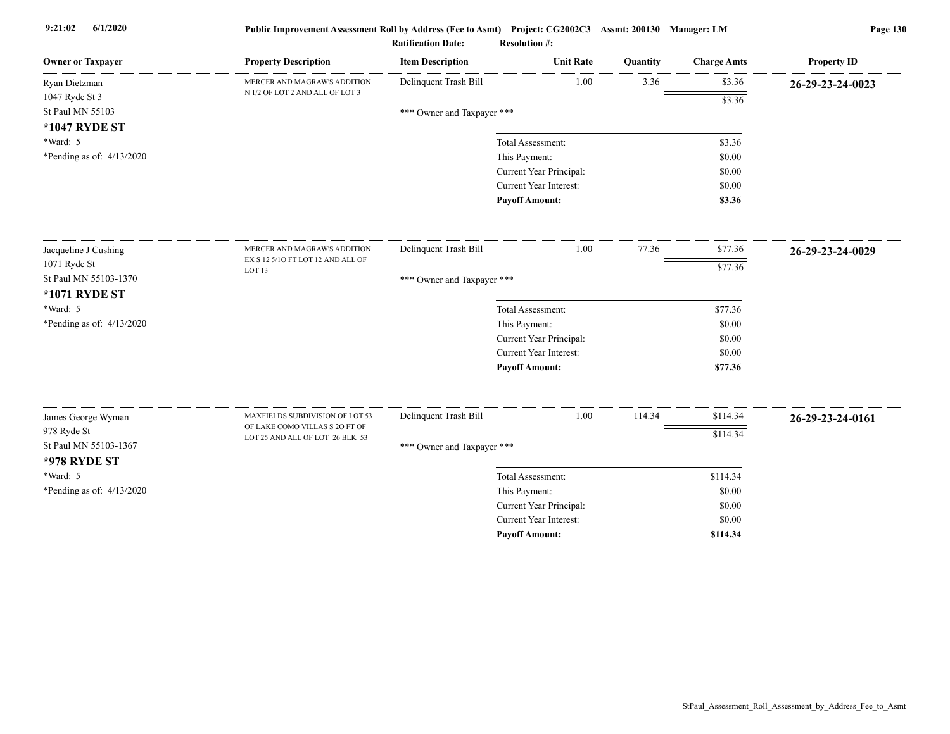| <b>Owner or Taxpayer</b>    | <b>Property Description</b>                                       | <b>Item Description</b>    | <b>Unit Rate</b>        | Quantity | <b>Charge Amts</b> | <b>Property ID</b> |
|-----------------------------|-------------------------------------------------------------------|----------------------------|-------------------------|----------|--------------------|--------------------|
| Ryan Dietzman               | MERCER AND MAGRAW'S ADDITION                                      | Delinquent Trash Bill      | 1.00                    | 3.36     | \$3.36             | 26-29-23-24-0023   |
| 1047 Ryde St 3              | N 1/2 OF LOT 2 AND ALL OF LOT 3                                   |                            |                         |          | \$3.36             |                    |
| St Paul MN 55103            |                                                                   | *** Owner and Taxpayer *** |                         |          |                    |                    |
| *1047 RYDE ST               |                                                                   |                            |                         |          |                    |                    |
| *Ward: 5                    |                                                                   |                            | Total Assessment:       |          | \$3.36             |                    |
| *Pending as of: $4/13/2020$ |                                                                   |                            | This Payment:           |          | \$0.00             |                    |
|                             |                                                                   |                            | Current Year Principal: |          | \$0.00             |                    |
|                             |                                                                   |                            | Current Year Interest:  |          | \$0.00             |                    |
|                             |                                                                   |                            | <b>Payoff Amount:</b>   |          | \$3.36             |                    |
| Jacqueline J Cushing        | MERCER AND MAGRAW'S ADDITION                                      | Delinquent Trash Bill      | 1.00                    | 77.36    | \$77.36            | 26-29-23-24-0029   |
| 1071 Ryde St                | EX S 12 5/10 FT LOT 12 AND ALL OF                                 |                            |                         |          | \$77.36            |                    |
| St Paul MN 55103-1370       | LOT <sub>13</sub>                                                 | *** Owner and Taxpayer *** |                         |          |                    |                    |
| *1071 RYDE ST               |                                                                   |                            |                         |          |                    |                    |
| *Ward: 5                    |                                                                   |                            | Total Assessment:       |          | \$77.36            |                    |
| *Pending as of: $4/13/2020$ |                                                                   |                            | This Payment:           |          | \$0.00             |                    |
|                             |                                                                   |                            | Current Year Principal: |          | \$0.00             |                    |
|                             |                                                                   |                            | Current Year Interest:  |          | \$0.00             |                    |
|                             |                                                                   |                            | <b>Payoff Amount:</b>   |          | \$77.36            |                    |
|                             |                                                                   |                            |                         |          |                    |                    |
| James George Wyman          | MAXFIELDS SUBDIVISION OF LOT 53<br>OF LAKE COMO VILLAS S 20 FT OF | Delinquent Trash Bill      | 1.00                    | 114.34   | \$114.34           | 26-29-23-24-0161   |
| 978 Ryde St                 | LOT 25 AND ALL OF LOT 26 BLK 53                                   |                            |                         |          | \$114.34           |                    |
| St Paul MN 55103-1367       |                                                                   | *** Owner and Taxpayer *** |                         |          |                    |                    |
| <b>*978 RYDE ST</b>         |                                                                   |                            |                         |          |                    |                    |
| *Ward: 5                    |                                                                   |                            | Total Assessment:       |          | \$114.34           |                    |
| *Pending as of: $4/13/2020$ |                                                                   |                            | This Payment:           |          | \$0.00             |                    |
|                             |                                                                   |                            | Current Year Principal: |          | \$0.00             |                    |
|                             |                                                                   |                            | Current Year Interest:  |          | \$0.00             |                    |
|                             |                                                                   |                            | <b>Pavoff Amount:</b>   |          | \$114.34           |                    |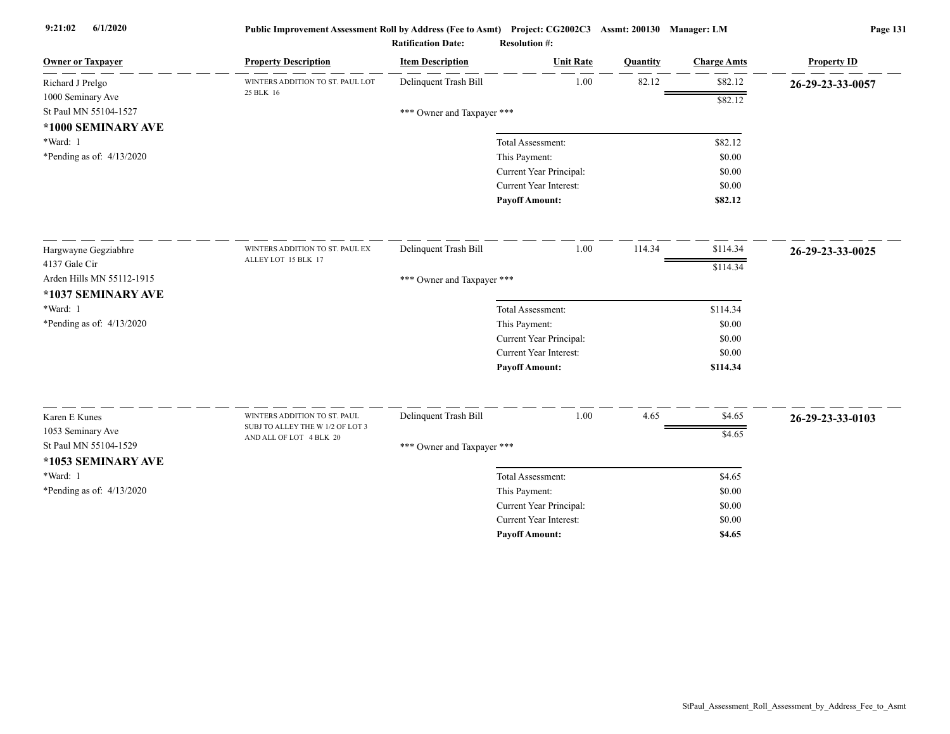| <b>Owner or Taxpayer</b>                   | <b>Property Description</b>                                      | <b>Item Description</b>    | <b>Unit Rate</b>                                         | Quantity | <b>Charge Amts</b> | <b>Property ID</b> |
|--------------------------------------------|------------------------------------------------------------------|----------------------------|----------------------------------------------------------|----------|--------------------|--------------------|
| Richard J Prelgo                           | WINTERS ADDITION TO ST. PAUL LOT                                 | Delinquent Trash Bill      | 1.00                                                     | 82.12    | \$82.12            | 26-29-23-33-0057   |
| 1000 Seminary Ave                          | 25 BLK 16                                                        |                            |                                                          |          | \$82.12            |                    |
| St Paul MN 55104-1527                      |                                                                  | *** Owner and Taxpayer *** |                                                          |          |                    |                    |
| *1000 SEMINARY AVE                         |                                                                  |                            |                                                          |          |                    |                    |
| *Ward: 1                                   |                                                                  |                            | Total Assessment:                                        |          | \$82.12            |                    |
| *Pending as of: 4/13/2020                  |                                                                  |                            | This Payment:                                            |          | \$0.00             |                    |
|                                            |                                                                  |                            | Current Year Principal:                                  |          | \$0.00             |                    |
|                                            |                                                                  |                            | <b>Current Year Interest:</b>                            |          | \$0.00             |                    |
|                                            |                                                                  |                            | <b>Payoff Amount:</b>                                    |          | \$82.12            |                    |
| Hargwayne Gegziabhre                       | WINTERS ADDITION TO ST. PAUL EX                                  | Delinquent Trash Bill      | 1.00                                                     | 114.34   | \$114.34           | 26-29-23-33-0025   |
| 4137 Gale Cir                              | ALLEY LOT 15 BLK 17                                              |                            |                                                          |          | \$114.34           |                    |
| Arden Hills MN 55112-1915                  |                                                                  | *** Owner and Taxpayer *** |                                                          |          |                    |                    |
| *1037 SEMINARY AVE                         |                                                                  |                            |                                                          |          |                    |                    |
| *Ward: 1                                   |                                                                  |                            | Total Assessment:                                        |          | \$114.34           |                    |
| *Pending as of: 4/13/2020                  |                                                                  |                            | This Payment:                                            |          | \$0.00             |                    |
|                                            |                                                                  |                            | Current Year Principal:                                  |          | \$0.00             |                    |
|                                            |                                                                  |                            | Current Year Interest:                                   |          | \$0.00             |                    |
|                                            |                                                                  |                            | <b>Payoff Amount:</b>                                    |          | \$114.34           |                    |
|                                            |                                                                  | Delinquent Trash Bill      | 1.00                                                     |          |                    |                    |
| Karen E Kunes                              | WINTERS ADDITION TO ST. PAUL<br>SUBJ TO ALLEY THE W 1/2 OF LOT 3 |                            |                                                          | 4.65     | \$4.65             | 26-29-23-33-0103   |
| 1053 Seminary Ave<br>St Paul MN 55104-1529 | AND ALL OF LOT 4 BLK 20                                          |                            |                                                          |          | \$4.65             |                    |
|                                            |                                                                  | *** Owner and Taxpayer *** |                                                          |          |                    |                    |
| *1053 SEMINARY AVE                         |                                                                  |                            |                                                          |          |                    |                    |
| *Ward: 1                                   |                                                                  |                            | Total Assessment:                                        |          | \$4.65             |                    |
| *Pending as of: 4/13/2020                  |                                                                  |                            | This Payment:                                            |          | \$0.00<br>\$0.00   |                    |
|                                            |                                                                  |                            | Current Year Principal:<br><b>Current Year Interest:</b> |          | \$0.00             |                    |
|                                            |                                                                  |                            | <b>Payoff Amount:</b>                                    |          | \$4.65             |                    |
|                                            |                                                                  |                            |                                                          |          |                    |                    |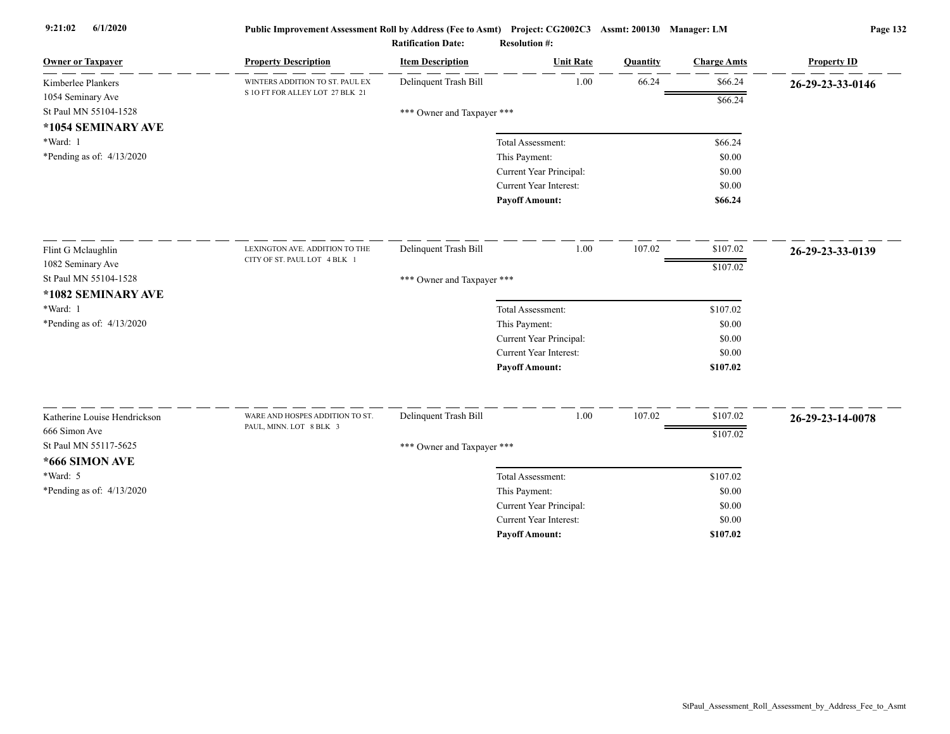| <b>Owner or Taxpayer</b>     | <b>Property Description</b>     | <b>Item Description</b>    | <b>Unit Rate</b>                         | Quantity | <b>Charge Amts</b> | <b>Property ID</b> |
|------------------------------|---------------------------------|----------------------------|------------------------------------------|----------|--------------------|--------------------|
| Kimberlee Plankers           | WINTERS ADDITION TO ST. PAUL EX | Delinquent Trash Bill      | 1.00                                     | 66.24    | \$66.24            | 26-29-23-33-0146   |
| 1054 Seminary Ave            | S 10 FT FOR ALLEY LOT 27 BLK 21 |                            |                                          |          | \$66.24            |                    |
| St Paul MN 55104-1528        |                                 | *** Owner and Taxpayer *** |                                          |          |                    |                    |
| *1054 SEMINARY AVE           |                                 |                            |                                          |          |                    |                    |
| *Ward: 1                     |                                 |                            | Total Assessment:                        |          | \$66.24            |                    |
| *Pending as of: $4/13/2020$  |                                 |                            | This Payment:                            |          | \$0.00             |                    |
|                              |                                 |                            | Current Year Principal:                  |          | \$0.00             |                    |
|                              |                                 |                            | Current Year Interest:                   |          | \$0.00             |                    |
|                              |                                 |                            | <b>Payoff Amount:</b>                    |          | \$66.24            |                    |
| Flint G Mclaughlin           | LEXINGTON AVE. ADDITION TO THE  | Delinquent Trash Bill      | 1.00                                     | 107.02   | \$107.02           | 26-29-23-33-0139   |
| 1082 Seminary Ave            | CITY OF ST. PAUL LOT 4 BLK 1    |                            |                                          |          | \$107.02           |                    |
| St Paul MN 55104-1528        |                                 | *** Owner and Taxpayer *** |                                          |          |                    |                    |
| *1082 SEMINARY AVE           |                                 |                            |                                          |          |                    |                    |
| *Ward: 1                     |                                 |                            | Total Assessment:                        |          | \$107.02           |                    |
| *Pending as of: 4/13/2020    |                                 |                            | This Payment:                            |          | \$0.00             |                    |
|                              |                                 |                            | Current Year Principal:                  |          | \$0.00             |                    |
|                              |                                 |                            | Current Year Interest:                   |          | \$0.00             |                    |
|                              |                                 |                            | <b>Payoff Amount:</b>                    |          | \$107.02           |                    |
| Katherine Louise Hendrickson | WARE AND HOSPES ADDITION TO ST. | Delinquent Trash Bill      | 1.00                                     | 107.02   | \$107.02           |                    |
| 666 Simon Ave                | PAUL, MINN. LOT 8 BLK 3         |                            |                                          |          |                    | 26-29-23-14-0078   |
| St Paul MN 55117-5625        |                                 |                            |                                          |          | \$107.02           |                    |
| *666 SIMON AVE               |                                 | *** Owner and Taxpayer *** |                                          |          |                    |                    |
| *Ward: 5                     |                                 |                            | Total Assessment:                        |          | \$107.02           |                    |
| *Pending as of: $4/13/2020$  |                                 |                            |                                          |          | \$0.00             |                    |
|                              |                                 |                            | This Payment:<br>Current Year Principal: |          | \$0.00             |                    |
|                              |                                 |                            | <b>Current Year Interest:</b>            |          | \$0.00             |                    |
|                              |                                 |                            | <b>Pavoff Amount:</b>                    |          | \$107.02           |                    |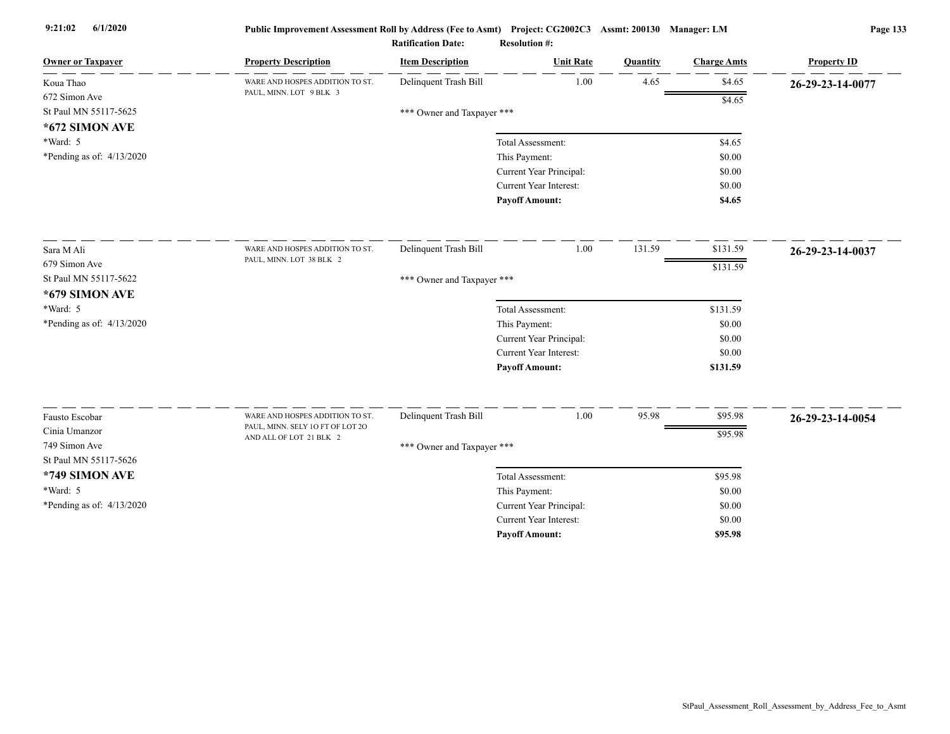| <b>Owner or Taxpayer</b>  | <b>Property Description</b>                                | <b>Item Description</b>    | <b>Unit Rate</b>              | Quantity | <b>Charge Amts</b> | <b>Property ID</b> |
|---------------------------|------------------------------------------------------------|----------------------------|-------------------------------|----------|--------------------|--------------------|
| Koua Thao                 | WARE AND HOSPES ADDITION TO ST.<br>PAUL, MINN. LOT 9 BLK 3 | Delinquent Trash Bill      | 1.00                          | 4.65     | \$4.65             | 26-29-23-14-0077   |
| 672 Simon Ave             |                                                            |                            |                               |          | \$4.65             |                    |
| St Paul MN 55117-5625     |                                                            | *** Owner and Taxpayer *** |                               |          |                    |                    |
| *672 SIMON AVE            |                                                            |                            |                               |          |                    |                    |
| *Ward: 5                  |                                                            |                            | Total Assessment:             |          | \$4.65             |                    |
| *Pending as of: 4/13/2020 |                                                            |                            | This Payment:                 |          | \$0.00             |                    |
|                           |                                                            |                            | Current Year Principal:       |          | \$0.00             |                    |
|                           |                                                            |                            | Current Year Interest:        |          | \$0.00             |                    |
|                           |                                                            |                            | <b>Payoff Amount:</b>         |          | \$4.65             |                    |
| Sara M Ali                | WARE AND HOSPES ADDITION TO ST.                            | Delinquent Trash Bill      | 1.00                          | 131.59   | \$131.59           | 26-29-23-14-0037   |
| 679 Simon Ave             | PAUL, MINN. LOT 38 BLK 2                                   |                            |                               |          | \$131.59           |                    |
| St Paul MN 55117-5622     |                                                            | *** Owner and Taxpayer *** |                               |          |                    |                    |
| *679 SIMON AVE            |                                                            |                            |                               |          |                    |                    |
| *Ward: 5                  |                                                            |                            | Total Assessment:             |          | \$131.59           |                    |
| *Pending as of: 4/13/2020 |                                                            |                            | This Payment:                 |          | \$0.00             |                    |
|                           |                                                            |                            | Current Year Principal:       |          | \$0.00             |                    |
|                           |                                                            |                            | <b>Current Year Interest:</b> |          | \$0.00             |                    |
|                           |                                                            |                            | <b>Payoff Amount:</b>         |          | \$131.59           |                    |
| Fausto Escobar            | WARE AND HOSPES ADDITION TO ST.                            | Delinquent Trash Bill      | 1.00                          | 95.98    | \$95.98            | 26-29-23-14-0054   |
| Cinia Umanzor             | PAUL, MINN. SELY 10 FT OF LOT 20                           |                            |                               |          | \$95.98            |                    |
| 749 Simon Ave             | AND ALL OF LOT 21 BLK 2                                    | *** Owner and Taxpayer *** |                               |          |                    |                    |
| St Paul MN 55117-5626     |                                                            |                            |                               |          |                    |                    |
| *749 SIMON AVE            |                                                            |                            | Total Assessment:             |          | \$95.98            |                    |
| *Ward: 5                  |                                                            |                            | This Payment:                 |          | \$0.00             |                    |
| *Pending as of: 4/13/2020 |                                                            |                            | Current Year Principal:       |          | \$0.00             |                    |
|                           |                                                            |                            | <b>Current Year Interest:</b> |          | \$0.00             |                    |
|                           |                                                            |                            | <b>Pavoff Amount:</b>         |          | \$95.98            |                    |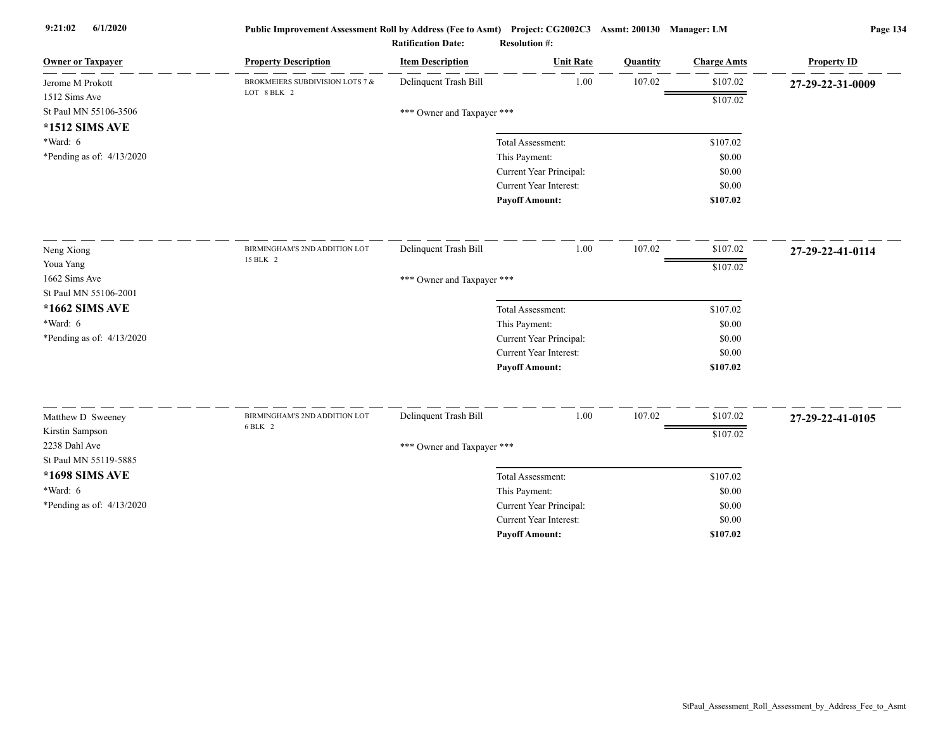| <b>Owner or Taxpayer</b>         | <b>Property Description</b>     | <b>Item Description</b>    | <b>Unit Rate</b>              | Quantity | <b>Charge Amts</b> | <b>Property ID</b> |
|----------------------------------|---------------------------------|----------------------------|-------------------------------|----------|--------------------|--------------------|
| Jerome M Prokott                 | BROKMEIERS SUBDIVISION LOTS 7 & | Delinquent Trash Bill      | 1.00                          | 107.02   | \$107.02           | 27-29-22-31-0009   |
| 1512 Sims Ave                    | LOT 8 BLK 2                     |                            |                               |          | \$107.02           |                    |
| St Paul MN 55106-3506            |                                 | *** Owner and Taxpayer *** |                               |          |                    |                    |
| *1512 SIMS AVE                   |                                 |                            |                               |          |                    |                    |
| *Ward: 6                         |                                 |                            | Total Assessment:             |          | \$107.02           |                    |
| *Pending as of: $4/13/2020$      |                                 |                            | This Payment:                 |          | \$0.00             |                    |
|                                  |                                 |                            | Current Year Principal:       |          | \$0.00             |                    |
|                                  |                                 |                            | Current Year Interest:        |          | \$0.00             |                    |
|                                  |                                 |                            | <b>Pavoff Amount:</b>         |          | \$107.02           |                    |
| Neng Xiong                       | BIRMINGHAM'S 2ND ADDITION LOT   | Delinquent Trash Bill      | 1.00                          | 107.02   | \$107.02           | 27-29-22-41-0114   |
| Youa Yang                        | 15 BLK 2                        |                            |                               |          | \$107.02           |                    |
| 1662 Sims Ave                    |                                 | *** Owner and Taxpayer *** |                               |          |                    |                    |
| St Paul MN 55106-2001            |                                 |                            |                               |          |                    |                    |
| *1662 SIMS AVE                   |                                 |                            | Total Assessment:             |          | \$107.02           |                    |
| $*Ward: 6$                       |                                 |                            | This Payment:                 |          | \$0.00             |                    |
| *Pending as of: $4/13/2020$      |                                 |                            | Current Year Principal:       |          | \$0.00             |                    |
|                                  |                                 |                            | <b>Current Year Interest:</b> |          | \$0.00             |                    |
|                                  |                                 |                            | <b>Payoff Amount:</b>         |          | \$107.02           |                    |
|                                  | BIRMINGHAM'S 2ND ADDITION LOT   | Delinquent Trash Bill      | 1.00                          | 107.02   | \$107.02           |                    |
| Matthew D Sweeney                | 6 BLK 2                         |                            |                               |          |                    | 27-29-22-41-0105   |
| Kirstin Sampson<br>2238 Dahl Ave |                                 |                            |                               |          | \$107.02           |                    |
| St Paul MN 55119-5885            |                                 | *** Owner and Taxpayer *** |                               |          |                    |                    |
| *1698 SIMS AVE                   |                                 |                            | Total Assessment:             |          | \$107.02           |                    |
| *Ward: 6                         |                                 |                            | This Payment:                 |          | \$0.00             |                    |
| *Pending as of: 4/13/2020        |                                 |                            | Current Year Principal:       |          | \$0.00             |                    |
|                                  |                                 |                            | <b>Current Year Interest:</b> |          | \$0.00             |                    |
|                                  |                                 |                            | <b>Pavoff Amount:</b>         |          | \$107.02           |                    |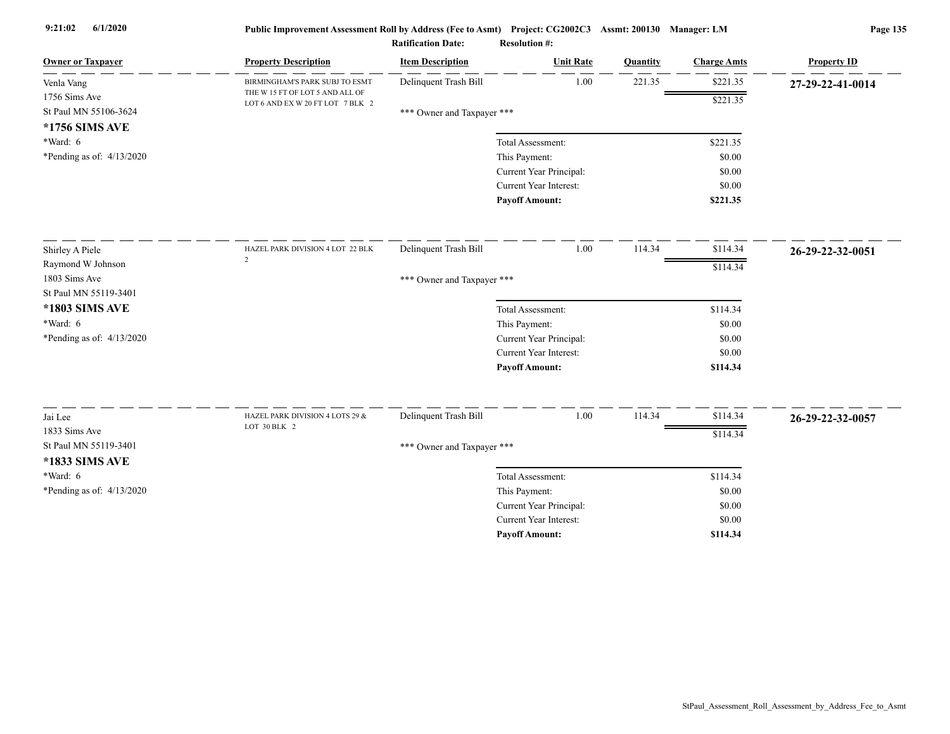| <b>Owner or Taxpayer</b>    | <b>Property Description</b>                                         | <b>Item Description</b>    | <b>Unit Rate</b>        | Quantity | <b>Charge Amts</b> | <b>Property ID</b> |
|-----------------------------|---------------------------------------------------------------------|----------------------------|-------------------------|----------|--------------------|--------------------|
| Venla Vang                  | BIRMINGHAM'S PARK SUBJ TO ESMT                                      | Delinquent Trash Bill      | 1.00                    | 221.35   | \$221.35           | 27-29-22-41-0014   |
| 1756 Sims Ave               | THE W 15 FT OF LOT 5 AND ALL OF<br>LOT 6 AND EX W 20 FT LOT 7 BLK 2 |                            |                         |          | \$221.35           |                    |
| St Paul MN 55106-3624       |                                                                     | *** Owner and Taxpayer *** |                         |          |                    |                    |
| *1756 SIMS AVE              |                                                                     |                            |                         |          |                    |                    |
| *Ward: 6                    |                                                                     |                            | Total Assessment:       |          | \$221.35           |                    |
| *Pending as of: $4/13/2020$ |                                                                     |                            | This Payment:           |          | \$0.00             |                    |
|                             |                                                                     |                            | Current Year Principal: |          | \$0.00             |                    |
|                             |                                                                     |                            | Current Year Interest:  |          | \$0.00             |                    |
|                             |                                                                     |                            | <b>Payoff Amount:</b>   |          | \$221.35           |                    |
| Shirley A Piele             | HAZEL PARK DIVISION 4 LOT 22 BLK                                    | Delinquent Trash Bill      | 1.00                    | 114.34   | \$114.34           | 26-29-22-32-0051   |
| Raymond W Johnson           | 2                                                                   |                            |                         |          | \$114.34           |                    |
| 1803 Sims Ave               |                                                                     | *** Owner and Taxpayer *** |                         |          |                    |                    |
| St Paul MN 55119-3401       |                                                                     |                            |                         |          |                    |                    |
| *1803 SIMS AVE              |                                                                     |                            | Total Assessment:       |          | \$114.34           |                    |
| *Ward: 6                    |                                                                     |                            | This Payment:           |          | \$0.00             |                    |
| *Pending as of: $4/13/2020$ |                                                                     |                            | Current Year Principal: |          | \$0.00             |                    |
|                             |                                                                     |                            | Current Year Interest:  |          | \$0.00             |                    |
|                             |                                                                     |                            | <b>Payoff Amount:</b>   |          | \$114.34           |                    |
| Jai Lee                     | HAZEL PARK DIVISION 4 LOTS 29 &                                     | Delinquent Trash Bill      | 1.00                    | 114.34   | \$114.34           | 26-29-22-32-0057   |
| 1833 Sims Ave               | LOT 30 BLK 2                                                        |                            |                         |          |                    |                    |
| St Paul MN 55119-3401       |                                                                     | *** Owner and Taxpayer *** |                         |          | \$114.34           |                    |
| *1833 SIMS AVE              |                                                                     |                            |                         |          |                    |                    |
| *Ward: 6                    |                                                                     |                            | Total Assessment:       |          | \$114.34           |                    |
| *Pending as of: 4/13/2020   |                                                                     |                            | This Payment:           |          | \$0.00             |                    |
|                             |                                                                     |                            | Current Year Principal: |          | \$0.00             |                    |
|                             |                                                                     |                            | Current Year Interest:  |          | \$0.00             |                    |
|                             |                                                                     |                            | <b>Payoff Amount:</b>   |          | \$114.34           |                    |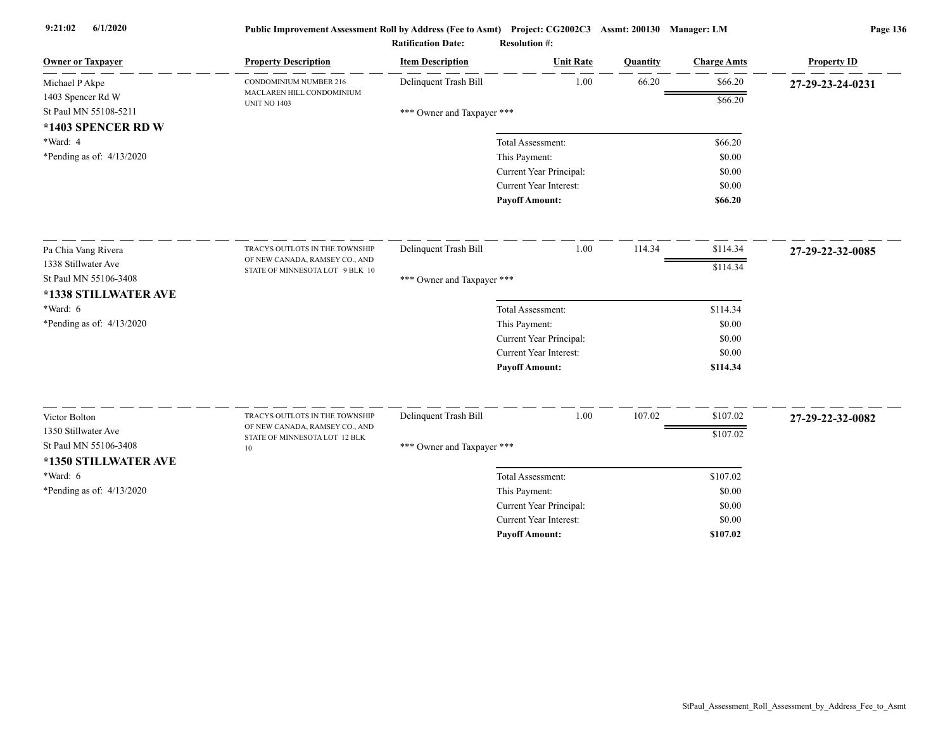| <b>Owner or Taxpayer</b>                      | <b>Property Description</b>                                       | <b>Item Description</b>    | <b>Unit Rate</b>                                  | Quantity | <b>Charge Amts</b> | <b>Property ID</b> |
|-----------------------------------------------|-------------------------------------------------------------------|----------------------------|---------------------------------------------------|----------|--------------------|--------------------|
| Michael P Akpe                                | CONDOMINIUM NUMBER 216                                            | Delinquent Trash Bill      | 1.00                                              | 66.20    | \$66.20            | 27-29-23-24-0231   |
| 1403 Spencer Rd W                             | MACLAREN HILL CONDOMINIUM<br><b>UNIT NO 1403</b>                  |                            |                                                   |          | \$66.20            |                    |
| St Paul MN 55108-5211                         |                                                                   | *** Owner and Taxpayer *** |                                                   |          |                    |                    |
| *1403 SPENCER RD W                            |                                                                   |                            |                                                   |          |                    |                    |
| *Ward: 4                                      |                                                                   |                            | Total Assessment:                                 |          | \$66.20            |                    |
| *Pending as of: $4/13/2020$                   |                                                                   |                            | This Payment:                                     |          | \$0.00             |                    |
|                                               |                                                                   |                            | Current Year Principal:<br>Current Year Interest: |          | \$0.00<br>\$0.00   |                    |
|                                               |                                                                   |                            | <b>Payoff Amount:</b>                             |          | \$66.20            |                    |
|                                               |                                                                   |                            |                                                   |          |                    |                    |
| Pa Chia Vang Rivera                           | TRACYS OUTLOTS IN THE TOWNSHIP                                    | Delinquent Trash Bill      | 1.00                                              | 114.34   | \$114.34           | 27-29-22-32-0085   |
| 1338 Stillwater Ave                           | OF NEW CANADA, RAMSEY CO., AND<br>STATE OF MINNESOTA LOT 9 BLK 10 |                            |                                                   |          | \$114.34           |                    |
| St Paul MN 55106-3408<br>*1338 STILLWATER AVE |                                                                   | *** Owner and Taxpayer *** |                                                   |          |                    |                    |
| *Ward: 6                                      |                                                                   |                            | Total Assessment:                                 |          | \$114.34           |                    |
| *Pending as of: 4/13/2020                     |                                                                   |                            | This Payment:                                     |          | \$0.00             |                    |
|                                               |                                                                   |                            | Current Year Principal:                           |          | \$0.00             |                    |
|                                               |                                                                   |                            | <b>Current Year Interest:</b>                     |          | \$0.00             |                    |
|                                               |                                                                   |                            | <b>Payoff Amount:</b>                             |          | \$114.34           |                    |
| Victor Bolton                                 | TRACYS OUTLOTS IN THE TOWNSHIP                                    | Delinquent Trash Bill      | 1.00                                              | 107.02   | \$107.02           | 27-29-22-32-0082   |
| 1350 Stillwater Ave                           | OF NEW CANADA, RAMSEY CO., AND                                    |                            |                                                   |          | \$107.02           |                    |
| St Paul MN 55106-3408                         | STATE OF MINNESOTA LOT 12 BLK<br>10                               | *** Owner and Taxpayer *** |                                                   |          |                    |                    |
| *1350 STILLWATER AVE                          |                                                                   |                            |                                                   |          |                    |                    |
| $*Ward: 6$                                    |                                                                   |                            | Total Assessment:                                 |          | \$107.02           |                    |
| *Pending as of: 4/13/2020                     |                                                                   |                            | This Payment:                                     |          | \$0.00             |                    |
|                                               |                                                                   |                            | Current Year Principal:                           |          | \$0.00             |                    |
|                                               |                                                                   |                            | <b>Current Year Interest:</b>                     |          | \$0.00             |                    |
|                                               |                                                                   |                            | <b>Pavoff Amount:</b>                             |          | \$107.02           |                    |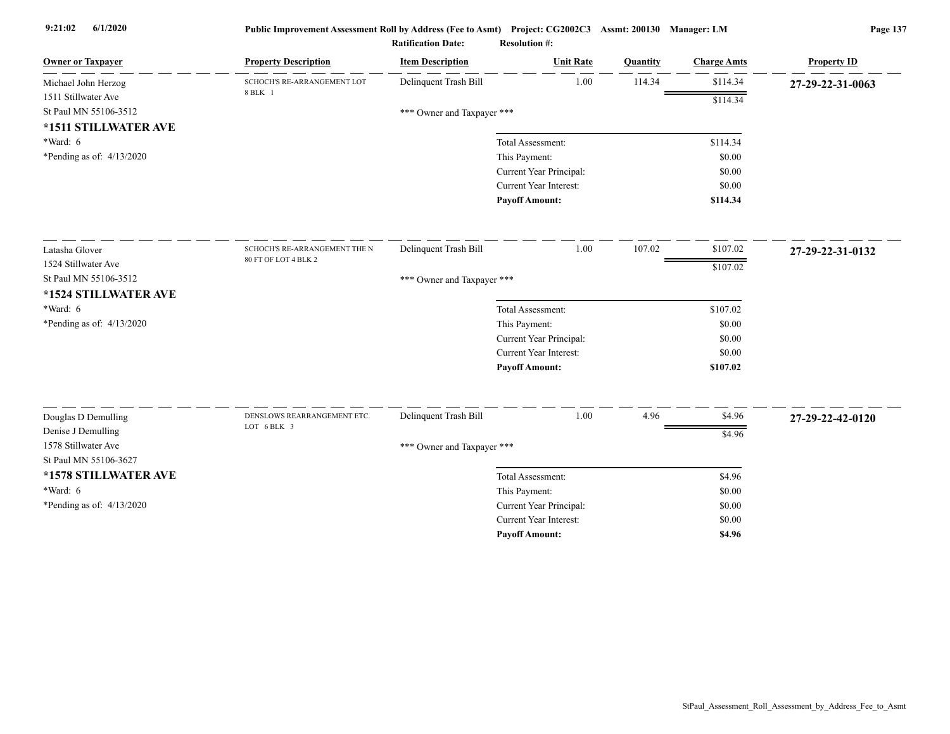| <b>Owner or Taxpayer</b>                  | <b>Property Description</b>                | <b>Item Description</b>    | <b>Unit Rate</b>                   | Quantity | <b>Charge Amts</b> | <b>Property ID</b> |
|-------------------------------------------|--------------------------------------------|----------------------------|------------------------------------|----------|--------------------|--------------------|
| Michael John Herzog                       | SCHOCH'S RE-ARRANGEMENT LOT<br>8 BLK 1     | Delinquent Trash Bill      | 1.00                               | 114.34   | \$114.34           | 27-29-22-31-0063   |
| 1511 Stillwater Ave                       |                                            |                            |                                    |          | \$114.34           |                    |
| St Paul MN 55106-3512                     |                                            | *** Owner and Taxpayer *** |                                    |          |                    |                    |
| *1511 STILLWATER AVE<br>*Ward: 6          |                                            |                            |                                    |          |                    |                    |
| *Pending as of: 4/13/2020                 |                                            |                            | Total Assessment:<br>This Payment: |          | \$114.34<br>\$0.00 |                    |
|                                           |                                            |                            | Current Year Principal:            |          | \$0.00             |                    |
|                                           |                                            |                            | <b>Current Year Interest:</b>      |          | \$0.00             |                    |
|                                           |                                            |                            | <b>Payoff Amount:</b>              |          | \$114.34           |                    |
|                                           |                                            |                            |                                    |          |                    |                    |
| Latasha Glover                            | SCHOCH'S RE-ARRANGEMENT THE N              | Delinquent Trash Bill      | 1.00                               | 107.02   | \$107.02           | 27-29-22-31-0132   |
| 1524 Stillwater Ave                       | 80 FT OF LOT 4 BLK 2                       |                            |                                    |          | \$107.02           |                    |
| St Paul MN 55106-3512                     |                                            | *** Owner and Taxpayer *** |                                    |          |                    |                    |
| *1524 STILLWATER AVE                      |                                            |                            |                                    |          |                    |                    |
| *Ward: 6                                  |                                            |                            | Total Assessment:                  |          | \$107.02           |                    |
| *Pending as of: 4/13/2020                 |                                            |                            | This Payment:                      |          | \$0.00             |                    |
|                                           |                                            |                            | Current Year Principal:            |          | \$0.00             |                    |
|                                           |                                            |                            | <b>Current Year Interest:</b>      |          | \$0.00             |                    |
|                                           |                                            |                            | <b>Payoff Amount:</b>              |          | \$107.02           |                    |
|                                           |                                            |                            |                                    |          |                    |                    |
| Douglas D Demulling                       | DENSLOWS REARRANGEMENT ETC.<br>LOT 6 BLK 3 | Delinquent Trash Bill      | 1.00                               | 4.96     | \$4.96             | 27-29-22-42-0120   |
| Denise J Demulling<br>1578 Stillwater Ave |                                            |                            |                                    |          | \$4.96             |                    |
| St Paul MN 55106-3627                     |                                            | *** Owner and Taxpayer *** |                                    |          |                    |                    |
| *1578 STILLWATER AVE                      |                                            |                            | Total Assessment:                  |          | \$4.96             |                    |
| *Ward: 6                                  |                                            |                            | This Payment:                      |          | \$0.00             |                    |
| *Pending as of: $4/13/2020$               |                                            |                            | Current Year Principal:            |          | \$0.00             |                    |
|                                           |                                            |                            | <b>Current Year Interest:</b>      |          | \$0.00             |                    |
|                                           |                                            |                            | <b>Pavoff Amount:</b>              |          | \$4.96             |                    |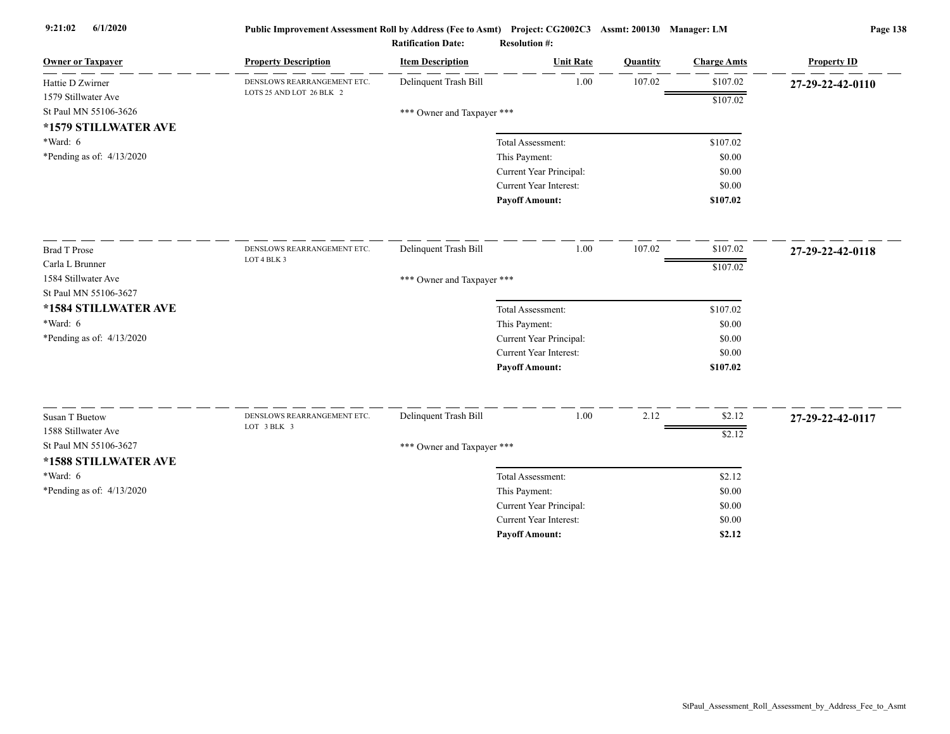| <b>Owner or Taxpayer</b>    | <b>Property Description</b>                | <b>Item Description</b>    | <b>Unit Rate</b>              | Quantity | <b>Charge Amts</b> | <b>Property ID</b> |
|-----------------------------|--------------------------------------------|----------------------------|-------------------------------|----------|--------------------|--------------------|
| Hattie D Zwirner            | DENSLOWS REARRANGEMENT ETC.                | Delinquent Trash Bill      | 1.00                          | 107.02   | \$107.02           | 27-29-22-42-0110   |
| 1579 Stillwater Ave         | LOTS 25 AND LOT 26 BLK 2                   |                            |                               |          | \$107.02           |                    |
| St Paul MN 55106-3626       |                                            | *** Owner and Taxpayer *** |                               |          |                    |                    |
| *1579 STILLWATER AVE        |                                            |                            |                               |          |                    |                    |
| *Ward: 6                    |                                            |                            | Total Assessment:             |          | \$107.02           |                    |
| *Pending as of: 4/13/2020   |                                            |                            | This Payment:                 |          | \$0.00             |                    |
|                             |                                            |                            | Current Year Principal:       |          | \$0.00             |                    |
|                             |                                            |                            | Current Year Interest:        |          | \$0.00             |                    |
|                             |                                            |                            | <b>Payoff Amount:</b>         |          | \$107.02           |                    |
| <b>Brad T Prose</b>         | DENSLOWS REARRANGEMENT ETC.                | Delinquent Trash Bill      | 1.00                          | 107.02   | \$107.02           | 27-29-22-42-0118   |
| Carla L Brunner             | LOT 4 BLK 3                                |                            |                               |          | \$107.02           |                    |
| 1584 Stillwater Ave         |                                            | *** Owner and Taxpayer *** |                               |          |                    |                    |
| St Paul MN 55106-3627       |                                            |                            |                               |          |                    |                    |
| *1584 STILLWATER AVE        |                                            |                            | Total Assessment:             |          | \$107.02           |                    |
| *Ward: 6                    |                                            |                            | This Payment:                 |          | \$0.00             |                    |
| *Pending as of: $4/13/2020$ |                                            |                            | Current Year Principal:       |          | \$0.00             |                    |
|                             |                                            |                            | <b>Current Year Interest:</b> |          | \$0.00             |                    |
|                             |                                            |                            | <b>Payoff Amount:</b>         |          | \$107.02           |                    |
|                             |                                            |                            |                               |          |                    |                    |
| <b>Susan T Buetow</b>       | DENSLOWS REARRANGEMENT ETC.<br>LOT 3 BLK 3 | Delinquent Trash Bill      | 1.00                          | 2.12     | \$2.12             | 27-29-22-42-0117   |
| 1588 Stillwater Ave         |                                            |                            |                               |          | \$2.12             |                    |
| St Paul MN 55106-3627       |                                            | *** Owner and Taxpayer *** |                               |          |                    |                    |
| *1588 STILLWATER AVE        |                                            |                            |                               |          |                    |                    |
| *Ward: 6                    |                                            |                            | Total Assessment:             |          | \$2.12             |                    |
| *Pending as of: $4/13/2020$ |                                            |                            | This Payment:                 |          | \$0.00             |                    |
|                             |                                            |                            | Current Year Principal:       |          | \$0.00             |                    |
|                             |                                            |                            | Current Year Interest:        |          | \$0.00             |                    |
|                             |                                            |                            | <b>Pavoff Amount:</b>         |          | \$2.12             |                    |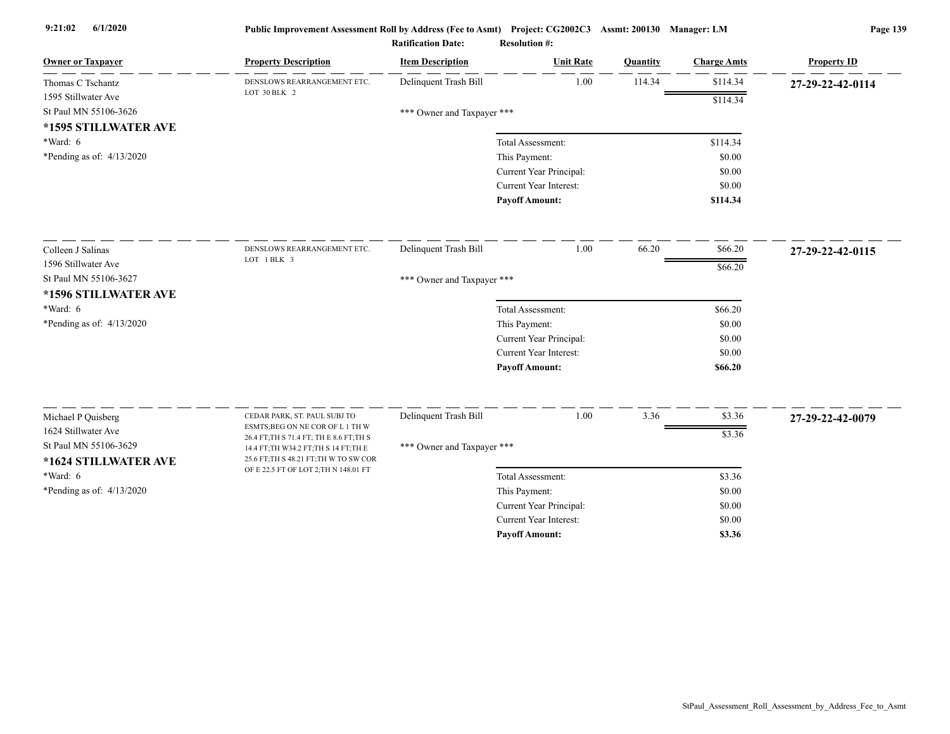| <b>Owner or Taxpayer</b>                      | <b>Property Description</b>                                                                                                  | <b>Item Description</b>    | <b>Unit Rate</b>              | Quantity | <b>Charge Amts</b> | <b>Property ID</b> |
|-----------------------------------------------|------------------------------------------------------------------------------------------------------------------------------|----------------------------|-------------------------------|----------|--------------------|--------------------|
| Thomas C Tschantz                             | DENSLOWS REARRANGEMENT ETC.<br>LOT 30 BLK 2                                                                                  | Delinquent Trash Bill      | 1.00                          | 114.34   | \$114.34           | 27-29-22-42-0114   |
| 1595 Stillwater Ave                           |                                                                                                                              |                            |                               |          | \$114.34           |                    |
| St Paul MN 55106-3626                         |                                                                                                                              | *** Owner and Taxpayer *** |                               |          |                    |                    |
| *1595 STILLWATER AVE                          |                                                                                                                              |                            |                               |          |                    |                    |
| *Ward: 6                                      |                                                                                                                              |                            | Total Assessment:             |          | \$114.34           |                    |
| *Pending as of: 4/13/2020                     |                                                                                                                              |                            | This Payment:                 |          | \$0.00             |                    |
|                                               |                                                                                                                              |                            | Current Year Principal:       |          | \$0.00             |                    |
|                                               |                                                                                                                              |                            | <b>Current Year Interest:</b> |          | \$0.00             |                    |
|                                               |                                                                                                                              |                            | <b>Payoff Amount:</b>         |          | \$114.34           |                    |
| Colleen J Salinas                             | DENSLOWS REARRANGEMENT ETC.                                                                                                  | Delinquent Trash Bill      | 1.00                          | 66.20    | \$66.20            | 27-29-22-42-0115   |
| 1596 Stillwater Ave                           | LOT 1 BLK 3                                                                                                                  |                            |                               |          | \$66.20            |                    |
| St Paul MN 55106-3627                         |                                                                                                                              | *** Owner and Taxpayer *** |                               |          |                    |                    |
| *1596 STILLWATER AVE                          |                                                                                                                              |                            |                               |          |                    |                    |
| *Ward: 6                                      |                                                                                                                              |                            | Total Assessment:             |          | \$66.20            |                    |
| *Pending as of: 4/13/2020                     |                                                                                                                              |                            | This Payment:                 |          | \$0.00             |                    |
|                                               |                                                                                                                              |                            | Current Year Principal:       |          | \$0.00             |                    |
|                                               |                                                                                                                              |                            | Current Year Interest:        |          | \$0.00             |                    |
|                                               |                                                                                                                              |                            | <b>Payoff Amount:</b>         |          | \$66.20            |                    |
| Michael P Quisberg                            | CEDAR PARK, ST. PAUL SUBJ TO                                                                                                 | Delinquent Trash Bill      | 1.00                          | 3.36     | \$3.36             | 27-29-22-42-0079   |
| 1624 Stillwater Ave                           | ESMTS; BEG ON NE COR OF L 1 TH W                                                                                             |                            |                               |          | \$3.36             |                    |
| St Paul MN 55106-3629<br>*1624 STILLWATER AVE | 26.4 FT; TH S 71.4 FT; TH E 8.6 FT; TH S<br>14.4 FT; TH W34.2 FT; TH S 14 FT; TH E<br>25.6 FT; TH S 48.21 FT; TH W TO SW COR | *** Owner and Taxpayer *** |                               |          |                    |                    |
| *Ward: 6                                      | OF E 22.5 FT OF LOT 2; TH N 148.01 FT                                                                                        |                            | Total Assessment:             |          | \$3.36             |                    |
| *Pending as of: $4/13/2020$                   |                                                                                                                              |                            | This Payment:                 |          | \$0.00             |                    |
|                                               |                                                                                                                              |                            | Current Year Principal:       |          | \$0.00             |                    |
|                                               |                                                                                                                              |                            | <b>Current Year Interest:</b> |          | \$0.00             |                    |
|                                               |                                                                                                                              |                            | <b>Pavoff Amount:</b>         |          | \$3.36             |                    |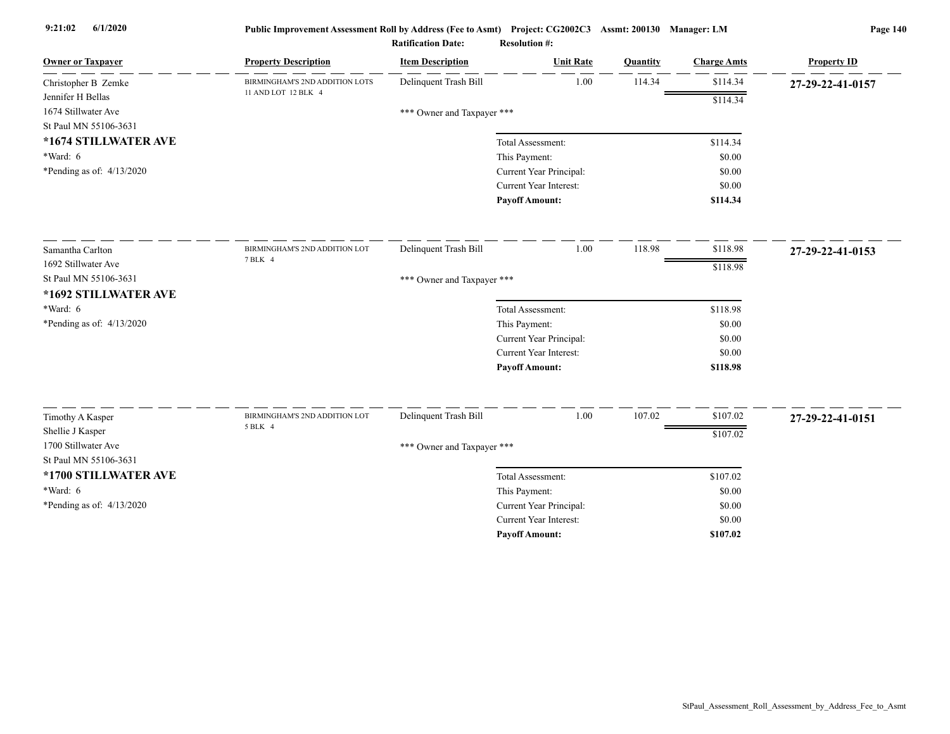| <b>Owner or Taxpayer</b>  | <b>Property Description</b>    | <b>Item Description</b>    | <b>Unit Rate</b>              | Quantity | <b>Charge Amts</b> | <b>Property ID</b> |
|---------------------------|--------------------------------|----------------------------|-------------------------------|----------|--------------------|--------------------|
| Christopher B Zemke       | BIRMINGHAM'S 2ND ADDITION LOTS | Delinquent Trash Bill      | 1.00                          | 114.34   | \$114.34           | 27-29-22-41-0157   |
| Jennifer H Bellas         | 11 AND LOT 12 BLK 4            |                            |                               |          | \$114.34           |                    |
| 1674 Stillwater Ave       |                                | *** Owner and Taxpayer *** |                               |          |                    |                    |
| St Paul MN 55106-3631     |                                |                            |                               |          |                    |                    |
| *1674 STILLWATER AVE      |                                |                            | Total Assessment:             |          | \$114.34           |                    |
| *Ward: 6                  |                                |                            | This Payment:                 |          | \$0.00             |                    |
| *Pending as of: 4/13/2020 |                                |                            | Current Year Principal:       |          | \$0.00             |                    |
|                           |                                |                            | Current Year Interest:        |          | \$0.00             |                    |
|                           |                                |                            | <b>Payoff Amount:</b>         |          | \$114.34           |                    |
| Samantha Carlton          | BIRMINGHAM'S 2ND ADDITION LOT  | Delinquent Trash Bill      | 1.00                          | 118.98   | \$118.98           | 27-29-22-41-0153   |
| 1692 Stillwater Ave       | 7 BLK 4                        |                            |                               |          | \$118.98           |                    |
| St Paul MN 55106-3631     |                                | *** Owner and Taxpayer *** |                               |          |                    |                    |
| *1692 STILLWATER AVE      |                                |                            |                               |          |                    |                    |
| *Ward: 6                  |                                |                            | Total Assessment:             |          | \$118.98           |                    |
| *Pending as of: 4/13/2020 |                                |                            | This Payment:                 |          | \$0.00             |                    |
|                           |                                |                            | Current Year Principal:       |          | \$0.00             |                    |
|                           |                                |                            | <b>Current Year Interest:</b> |          | \$0.00             |                    |
|                           |                                |                            | <b>Payoff Amount:</b>         |          | \$118.98           |                    |
| Timothy A Kasper          | BIRMINGHAM'S 2ND ADDITION LOT  | Delinquent Trash Bill      | 1.00                          | 107.02   | \$107.02           | 27-29-22-41-0151   |
| Shellie J Kasper          | 5 BLK 4                        |                            |                               |          |                    |                    |
| 1700 Stillwater Ave       |                                | *** Owner and Taxpayer *** |                               |          | \$107.02           |                    |
| St Paul MN 55106-3631     |                                |                            |                               |          |                    |                    |
| *1700 STILLWATER AVE      |                                |                            | Total Assessment:             |          | \$107.02           |                    |
| *Ward: 6                  |                                |                            | This Payment:                 |          | \$0.00             |                    |
| *Pending as of: 4/13/2020 |                                |                            | Current Year Principal:       |          | \$0.00             |                    |
|                           |                                |                            | <b>Current Year Interest:</b> |          | \$0.00             |                    |
|                           |                                |                            | <b>Pavoff Amount:</b>         |          | \$107.02           |                    |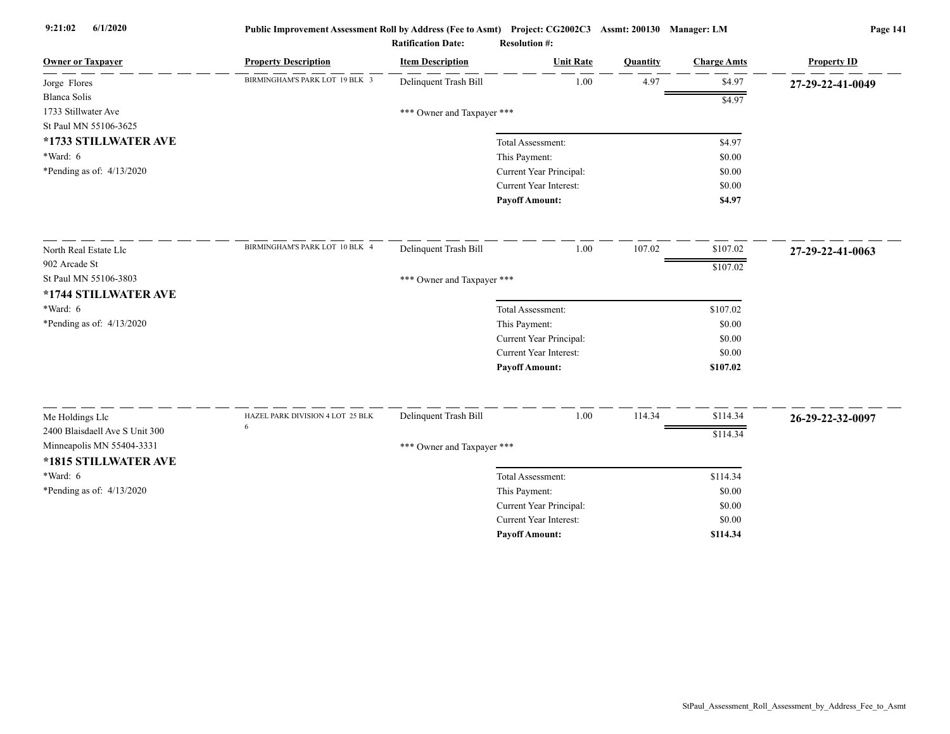| BIRMINGHAM'S PARK LOT 19 BLK 3<br>Delinquent Trash Bill<br>1.00<br>4.97<br>\$4.97<br>Jorge Flores<br>27-29-22-41-0049<br><b>Blanca Solis</b><br>\$4.97<br>1733 Stillwater Ave<br>*** Owner and Taxpayer ***<br>St Paul MN 55106-3625<br>*1733 STILLWATER AVE<br>Total Assessment:<br>\$4.97<br>$*Ward: 6$<br>This Payment:<br>\$0.00<br>*Pending as of: $4/13/2020$<br>Current Year Principal:<br>\$0.00 |  |
|----------------------------------------------------------------------------------------------------------------------------------------------------------------------------------------------------------------------------------------------------------------------------------------------------------------------------------------------------------------------------------------------------------|--|
|                                                                                                                                                                                                                                                                                                                                                                                                          |  |
|                                                                                                                                                                                                                                                                                                                                                                                                          |  |
|                                                                                                                                                                                                                                                                                                                                                                                                          |  |
|                                                                                                                                                                                                                                                                                                                                                                                                          |  |
|                                                                                                                                                                                                                                                                                                                                                                                                          |  |
|                                                                                                                                                                                                                                                                                                                                                                                                          |  |
|                                                                                                                                                                                                                                                                                                                                                                                                          |  |
| Current Year Interest:<br>\$0.00                                                                                                                                                                                                                                                                                                                                                                         |  |
| <b>Payoff Amount:</b><br>\$4.97                                                                                                                                                                                                                                                                                                                                                                          |  |
| BIRMINGHAM'S PARK LOT 10 BLK 4<br>107.02<br>Delinquent Trash Bill<br>1.00<br>\$107.02<br>North Real Estate Llc<br>27-29-22-41-0063                                                                                                                                                                                                                                                                       |  |
| 902 Arcade St<br>\$107.02                                                                                                                                                                                                                                                                                                                                                                                |  |
| St Paul MN 55106-3803<br>*** Owner and Taxpayer ***                                                                                                                                                                                                                                                                                                                                                      |  |
| *1744 STILLWATER AVE                                                                                                                                                                                                                                                                                                                                                                                     |  |
| *Ward: 6<br>\$107.02<br>Total Assessment:                                                                                                                                                                                                                                                                                                                                                                |  |
| *Pending as of: 4/13/2020<br>This Payment:<br>\$0.00                                                                                                                                                                                                                                                                                                                                                     |  |
| Current Year Principal:<br>\$0.00                                                                                                                                                                                                                                                                                                                                                                        |  |
| Current Year Interest:<br>\$0.00                                                                                                                                                                                                                                                                                                                                                                         |  |
| <b>Payoff Amount:</b><br>\$107.02                                                                                                                                                                                                                                                                                                                                                                        |  |
| Delinquent Trash Bill<br>1.00<br>114.34<br>\$114.34<br>HAZEL PARK DIVISION 4 LOT 25 BLK                                                                                                                                                                                                                                                                                                                  |  |
| Me Holdings Llc<br>26-29-22-32-0097<br>2400 Blaisdaell Ave S Unit 300                                                                                                                                                                                                                                                                                                                                    |  |
| \$114.34<br>Minneapolis MN 55404-3331                                                                                                                                                                                                                                                                                                                                                                    |  |
| *** Owner and Taxpayer ***                                                                                                                                                                                                                                                                                                                                                                               |  |
| *1815 STILLWATER AVE                                                                                                                                                                                                                                                                                                                                                                                     |  |
| *Ward: 6<br>\$114.34<br>Total Assessment:                                                                                                                                                                                                                                                                                                                                                                |  |
| *Pending as of: 4/13/2020<br>This Payment:<br>\$0.00                                                                                                                                                                                                                                                                                                                                                     |  |
| Current Year Principal:<br>\$0.00<br><b>Current Year Interest:</b><br>\$0.00                                                                                                                                                                                                                                                                                                                             |  |
| <b>Pavoff Amount:</b><br>\$114.34                                                                                                                                                                                                                                                                                                                                                                        |  |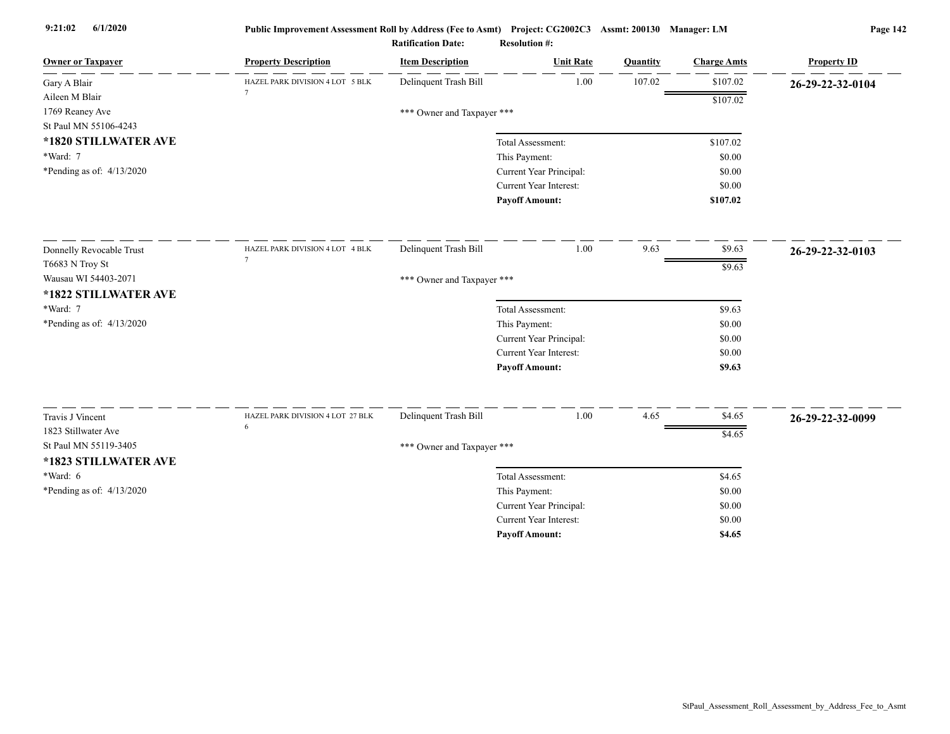| <b>Owner or Taxpayer</b>  | <b>Property Description</b>      | <b>Item Description</b>    | <b>Unit Rate</b>              | Quantity | <b>Charge Amts</b> | <b>Property ID</b> |
|---------------------------|----------------------------------|----------------------------|-------------------------------|----------|--------------------|--------------------|
| Gary A Blair              | HAZEL PARK DIVISION 4 LOT 5 BLK  | Delinquent Trash Bill      | 1.00                          | 107.02   | \$107.02           | 26-29-22-32-0104   |
| Aileen M Blair            |                                  |                            |                               |          | \$107.02           |                    |
| 1769 Reaney Ave           |                                  | *** Owner and Taxpayer *** |                               |          |                    |                    |
| St Paul MN 55106-4243     |                                  |                            |                               |          |                    |                    |
| *1820 STILLWATER AVE      |                                  |                            | Total Assessment:             |          | \$107.02           |                    |
| *Ward: 7                  |                                  |                            | This Payment:                 |          | \$0.00             |                    |
| *Pending as of: 4/13/2020 |                                  |                            | Current Year Principal:       |          | \$0.00             |                    |
|                           |                                  |                            | <b>Current Year Interest:</b> |          | \$0.00             |                    |
|                           |                                  |                            | <b>Payoff Amount:</b>         |          | \$107.02           |                    |
| Donnelly Revocable Trust  | HAZEL PARK DIVISION 4 LOT 4 BLK  | Delinquent Trash Bill      | 1.00                          | 9.63     | \$9.63             | 26-29-22-32-0103   |
| T6683 N Troy St           | $\overline{7}$                   |                            |                               |          | \$9.63             |                    |
| Wausau WI 54403-2071      |                                  | *** Owner and Taxpayer *** |                               |          |                    |                    |
| *1822 STILLWATER AVE      |                                  |                            |                               |          |                    |                    |
| *Ward: 7                  |                                  |                            | Total Assessment:             |          | \$9.63             |                    |
| *Pending as of: 4/13/2020 |                                  |                            | This Payment:                 |          | \$0.00             |                    |
|                           |                                  |                            | Current Year Principal:       |          | \$0.00             |                    |
|                           |                                  |                            | Current Year Interest:        |          | \$0.00             |                    |
|                           |                                  |                            | <b>Payoff Amount:</b>         |          | \$9.63             |                    |
|                           |                                  |                            |                               |          |                    |                    |
| Travis J Vincent          | HAZEL PARK DIVISION 4 LOT 27 BLK | Delinquent Trash Bill      | $1.00\,$                      | 4.65     | \$4.65             | 26-29-22-32-0099   |
| 1823 Stillwater Ave       | 6                                |                            |                               |          | \$4.65             |                    |
| St Paul MN 55119-3405     |                                  | *** Owner and Taxpayer *** |                               |          |                    |                    |
| *1823 STILLWATER AVE      |                                  |                            |                               |          |                    |                    |
| *Ward: 6                  |                                  |                            | Total Assessment:             |          | \$4.65             |                    |
| *Pending as of: 4/13/2020 |                                  |                            | This Payment:                 |          | \$0.00             |                    |
|                           |                                  |                            | Current Year Principal:       |          | \$0.00             |                    |
|                           |                                  |                            | Current Year Interest:        |          | \$0.00             |                    |
|                           |                                  |                            | <b>Payoff Amount:</b>         |          | \$4.65             |                    |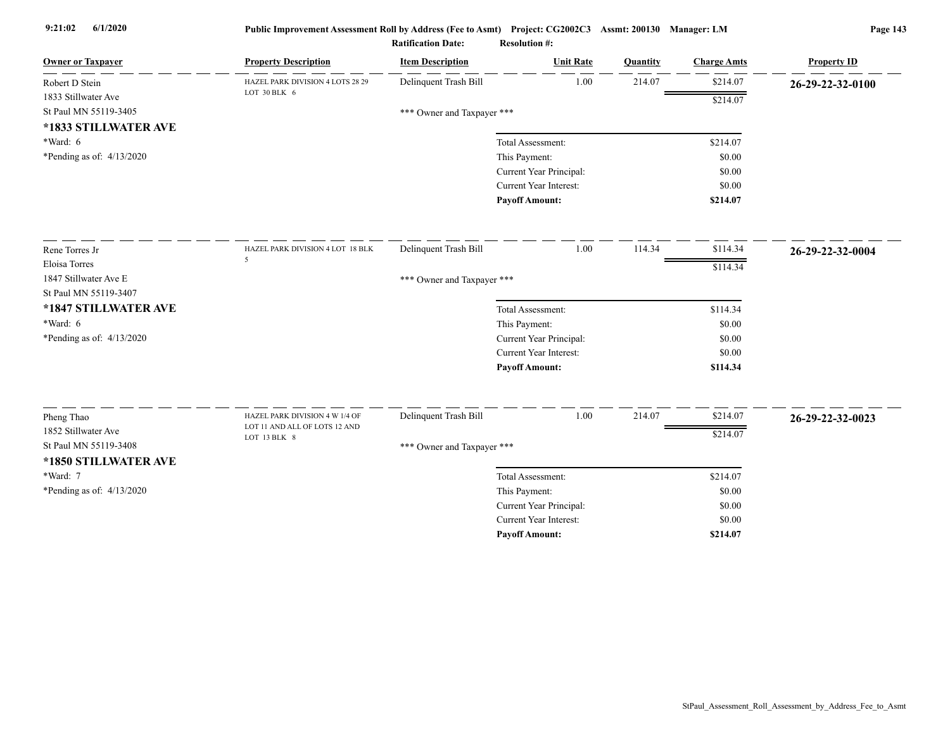| <b>Owner or Taxpayer</b>    | <b>Property Description</b>                   | <b>Item Description</b>    | <b>Unit Rate</b>        | <b>Quantity</b> | <b>Charge Amts</b> | <b>Property ID</b> |
|-----------------------------|-----------------------------------------------|----------------------------|-------------------------|-----------------|--------------------|--------------------|
| Robert D Stein              | HAZEL PARK DIVISION 4 LOTS 28 29              | Delinquent Trash Bill      | 1.00                    | 214.07          | \$214.07           | 26-29-22-32-0100   |
| 1833 Stillwater Ave         | LOT 30 BLK 6                                  |                            |                         |                 | \$214.07           |                    |
| St Paul MN 55119-3405       |                                               | *** Owner and Taxpayer *** |                         |                 |                    |                    |
| *1833 STILLWATER AVE        |                                               |                            |                         |                 |                    |                    |
| *Ward: 6                    |                                               |                            | Total Assessment:       |                 | \$214.07           |                    |
| *Pending as of: 4/13/2020   |                                               |                            | This Payment:           |                 | \$0.00             |                    |
|                             |                                               |                            | Current Year Principal: |                 | \$0.00             |                    |
|                             |                                               |                            | Current Year Interest:  |                 | \$0.00             |                    |
|                             |                                               |                            | <b>Payoff Amount:</b>   |                 | \$214.07           |                    |
| Rene Torres Jr              | HAZEL PARK DIVISION 4 LOT 18 BLK              | Delinquent Trash Bill      | 1.00                    | 114.34          | \$114.34           | 26-29-22-32-0004   |
| Eloisa Torres               | 5                                             |                            |                         |                 |                    |                    |
| 1847 Stillwater Ave E       |                                               | *** Owner and Taxpayer *** |                         |                 | \$114.34           |                    |
| St Paul MN 55119-3407       |                                               |                            |                         |                 |                    |                    |
| *1847 STILLWATER AVE        |                                               |                            | Total Assessment:       |                 | \$114.34           |                    |
| *Ward: 6                    |                                               |                            | This Payment:           |                 | \$0.00             |                    |
| *Pending as of: 4/13/2020   |                                               |                            | Current Year Principal: |                 | \$0.00             |                    |
|                             |                                               |                            | Current Year Interest:  |                 | \$0.00             |                    |
|                             |                                               |                            | <b>Payoff Amount:</b>   |                 | \$114.34           |                    |
|                             |                                               |                            |                         |                 |                    |                    |
| Pheng Thao                  | HAZEL PARK DIVISION 4 W 1/4 OF                | Delinquent Trash Bill      | 1.00                    | 214.07          | \$214.07           | 26-29-22-32-0023   |
| 1852 Stillwater Ave         | LOT 11 AND ALL OF LOTS 12 AND<br>LOT 13 BLK 8 |                            |                         |                 | \$214.07           |                    |
| St Paul MN 55119-3408       |                                               | *** Owner and Taxpayer *** |                         |                 |                    |                    |
| *1850 STILLWATER AVE        |                                               |                            |                         |                 |                    |                    |
| *Ward: 7                    |                                               |                            | Total Assessment:       |                 | \$214.07           |                    |
| *Pending as of: $4/13/2020$ |                                               |                            | This Payment:           |                 | \$0.00             |                    |
|                             |                                               |                            | Current Year Principal: |                 | \$0.00             |                    |
|                             |                                               |                            | Current Year Interest:  |                 | \$0.00             |                    |
|                             |                                               |                            | <b>Pavoff Amount:</b>   |                 | \$214.07           |                    |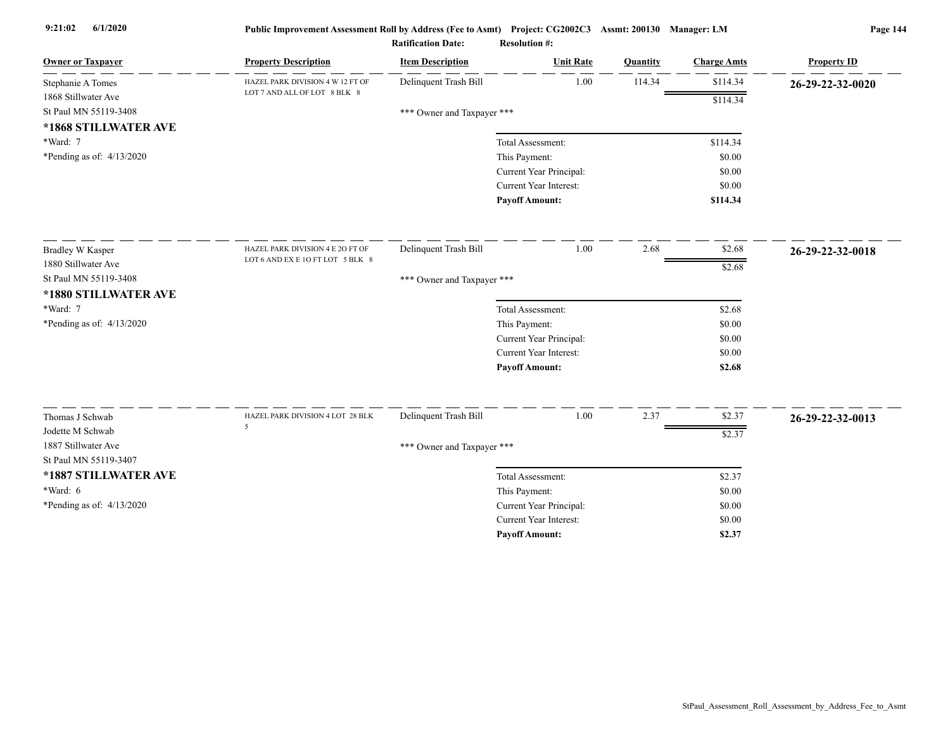| <b>Owner or Taxpayer</b>    | <b>Property Description</b>           | <b>Item Description</b>    | <b>Unit Rate</b>        | Quantity | <b>Charge Amts</b> | <b>Property ID</b> |
|-----------------------------|---------------------------------------|----------------------------|-------------------------|----------|--------------------|--------------------|
| Stephanie A Tomes           | HAZEL PARK DIVISION 4 W 12 FT OF      | Delinquent Trash Bill      | 1.00                    | 114.34   | \$114.34           | 26-29-22-32-0020   |
| 1868 Stillwater Ave         | LOT 7 AND ALL OF LOT 8 BLK 8          |                            |                         |          | \$114.34           |                    |
| St Paul MN 55119-3408       |                                       | *** Owner and Taxpayer *** |                         |          |                    |                    |
| *1868 STILLWATER AVE        |                                       |                            |                         |          |                    |                    |
| *Ward: 7                    |                                       |                            | Total Assessment:       |          | \$114.34           |                    |
| *Pending as of: $4/13/2020$ |                                       |                            | This Payment:           |          | \$0.00             |                    |
|                             |                                       |                            | Current Year Principal: |          | \$0.00             |                    |
|                             |                                       |                            | Current Year Interest:  |          | \$0.00             |                    |
|                             |                                       |                            | <b>Payoff Amount:</b>   |          | \$114.34           |                    |
| <b>Bradley W Kasper</b>     | HAZEL PARK DIVISION 4 E 20 FT OF      | Delinquent Trash Bill      | 1.00                    | 2.68     | \$2.68             | 26-29-22-32-0018   |
| 1880 Stillwater Ave         | LOT 6 AND EX E 10 FT LOT 5 BLK 8      |                            |                         |          | \$2.68             |                    |
| St Paul MN 55119-3408       |                                       | *** Owner and Taxpayer *** |                         |          |                    |                    |
| *1880 STILLWATER AVE        |                                       |                            |                         |          |                    |                    |
| *Ward: 7                    |                                       |                            | Total Assessment:       |          | \$2.68             |                    |
| *Pending as of: $4/13/2020$ |                                       |                            | This Payment:           |          | \$0.00             |                    |
|                             |                                       |                            | Current Year Principal: |          | \$0.00             |                    |
|                             |                                       |                            | Current Year Interest:  |          | \$0.00             |                    |
|                             |                                       |                            | <b>Payoff Amount:</b>   |          | \$2.68             |                    |
|                             |                                       |                            |                         |          |                    |                    |
| Thomas J Schwab             | HAZEL PARK DIVISION 4 LOT 28 BLK<br>5 | Delinquent Trash Bill      | 1.00                    | 2.37     | \$2.37             | 26-29-22-32-0013   |
| Jodette M Schwab            |                                       |                            |                         |          | \$2.37             |                    |
| 1887 Stillwater Ave         |                                       | *** Owner and Taxpayer *** |                         |          |                    |                    |
| St Paul MN 55119-3407       |                                       |                            |                         |          |                    |                    |
| *1887 STILLWATER AVE        |                                       |                            | Total Assessment:       |          | \$2.37             |                    |
| *Ward: $6$                  |                                       |                            | This Payment:           |          | \$0.00             |                    |
| *Pending as of: 4/13/2020   |                                       |                            | Current Year Principal: |          | \$0.00             |                    |
|                             |                                       |                            | Current Year Interest:  |          | \$0.00             |                    |
|                             |                                       |                            | <b>Payoff Amount:</b>   |          | \$2.37             |                    |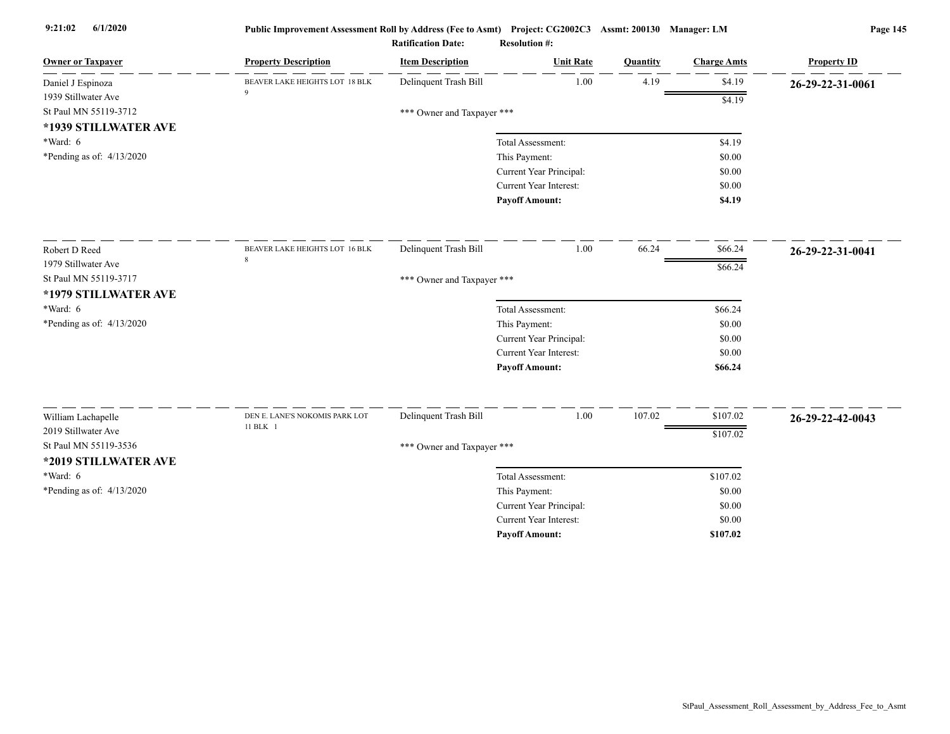| <b>Owner or Taxpayer</b>                  | <b>Property Description</b>    | <b>Item Description</b>    | <b>Unit Rate</b>                                         | Quantity | <b>Charge Amts</b> | <b>Property ID</b> |
|-------------------------------------------|--------------------------------|----------------------------|----------------------------------------------------------|----------|--------------------|--------------------|
| Daniel J Espinoza                         | BEAVER LAKE HEIGHTS LOT 18 BLK | Delinquent Trash Bill      | 1.00                                                     | 4.19     | \$4.19             | 26-29-22-31-0061   |
| 1939 Stillwater Ave                       |                                |                            |                                                          |          | \$4.19             |                    |
| St Paul MN 55119-3712                     |                                | *** Owner and Taxpayer *** |                                                          |          |                    |                    |
| *1939 STILLWATER AVE                      |                                |                            |                                                          |          |                    |                    |
| *Ward: 6                                  |                                |                            | Total Assessment:                                        |          | \$4.19             |                    |
| *Pending as of: $4/13/2020$               |                                |                            | This Payment:                                            |          | \$0.00             |                    |
|                                           |                                |                            | Current Year Principal:                                  |          | \$0.00             |                    |
|                                           |                                |                            | <b>Current Year Interest:</b>                            |          | \$0.00             |                    |
|                                           |                                |                            | <b>Payoff Amount:</b>                                    |          | \$4.19             |                    |
| Robert D Reed                             | BEAVER LAKE HEIGHTS LOT 16 BLK | Delinquent Trash Bill      | 1.00                                                     | 66.24    | \$66.24            | 26-29-22-31-0041   |
| 1979 Stillwater Ave                       | 8                              |                            |                                                          |          | \$66.24            |                    |
| St Paul MN 55119-3717                     |                                | *** Owner and Taxpayer *** |                                                          |          |                    |                    |
| *1979 STILLWATER AVE                      |                                |                            |                                                          |          |                    |                    |
| $*Ward: 6$                                |                                |                            | Total Assessment:                                        |          | \$66.24            |                    |
| *Pending as of: 4/13/2020                 |                                |                            | This Payment:                                            |          | \$0.00             |                    |
|                                           |                                |                            | Current Year Principal:                                  |          | \$0.00             |                    |
|                                           |                                |                            | Current Year Interest:                                   |          | \$0.00             |                    |
|                                           |                                |                            | <b>Payoff Amount:</b>                                    |          | \$66.24            |                    |
|                                           | DEN E. LANE'S NOKOMIS PARK LOT | Delinquent Trash Bill      | 1.00                                                     | 107.02   | \$107.02           |                    |
| William Lachapelle<br>2019 Stillwater Ave | 11 BLK 1                       |                            |                                                          |          |                    | 26-29-22-42-0043   |
| St Paul MN 55119-3536                     |                                |                            |                                                          |          | \$107.02           |                    |
|                                           |                                | *** Owner and Taxpayer *** |                                                          |          |                    |                    |
| *2019 STILLWATER AVE                      |                                |                            |                                                          |          |                    |                    |
| *Ward: 6                                  |                                |                            | Total Assessment:                                        |          | \$107.02           |                    |
| *Pending as of: 4/13/2020                 |                                |                            | This Payment:                                            |          | \$0.00             |                    |
|                                           |                                |                            | Current Year Principal:<br><b>Current Year Interest:</b> |          | \$0.00             |                    |
|                                           |                                |                            |                                                          |          | \$0.00             |                    |
|                                           |                                |                            | <b>Payoff Amount:</b>                                    |          | \$107.02           |                    |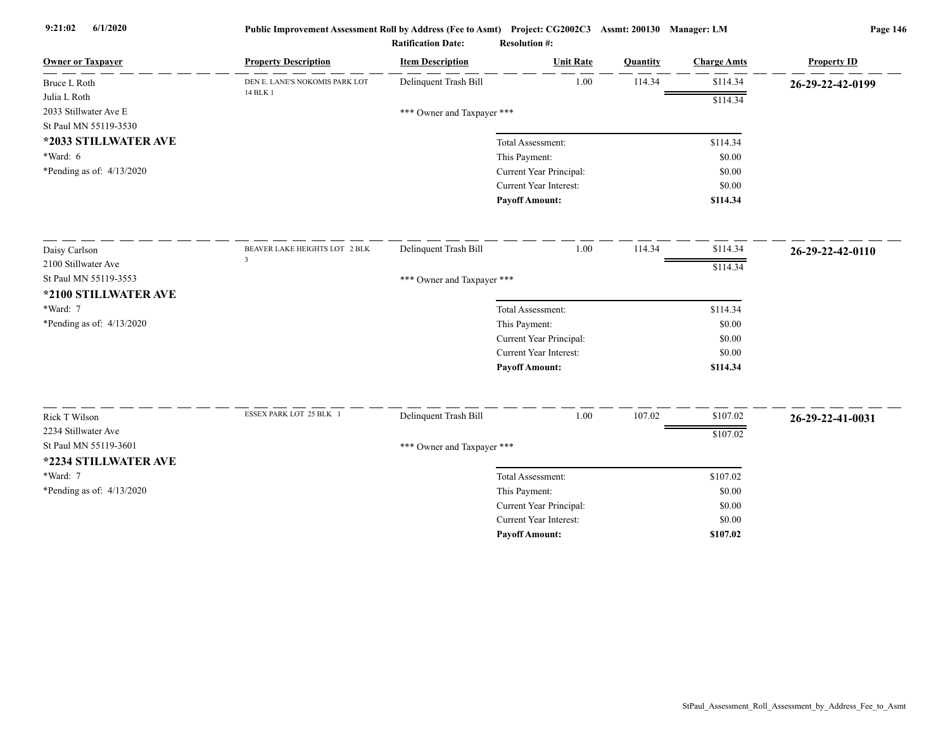| <b>Owner or Taxpayer</b>                     | <b>Property Description</b>    | <b>Item Description</b>    | <b>Unit Rate</b>                                         | Quantity | <b>Charge Amts</b> | <b>Property ID</b> |
|----------------------------------------------|--------------------------------|----------------------------|----------------------------------------------------------|----------|--------------------|--------------------|
| Bruce L Roth                                 | DEN E. LANE'S NOKOMIS PARK LOT | Delinquent Trash Bill      | 1.00                                                     | 114.34   | \$114.34           | 26-29-22-42-0199   |
| Julia L Roth                                 | 14 BLK 1                       |                            |                                                          |          | \$114.34           |                    |
| 2033 Stillwater Ave E                        |                                | *** Owner and Taxpayer *** |                                                          |          |                    |                    |
| St Paul MN 55119-3530                        |                                |                            |                                                          |          |                    |                    |
| *2033 STILLWATER AVE                         |                                |                            | Total Assessment:                                        |          | \$114.34           |                    |
| $*Ward: 6$                                   |                                |                            | This Payment:                                            |          | \$0.00             |                    |
| *Pending as of: $4/13/2020$                  |                                |                            | Current Year Principal:                                  |          | \$0.00             |                    |
|                                              |                                |                            | Current Year Interest:                                   |          | \$0.00             |                    |
|                                              |                                |                            | <b>Payoff Amount:</b>                                    |          | \$114.34           |                    |
| Daisy Carlson                                | BEAVER LAKE HEIGHTS LOT 2 BLK  | Delinquent Trash Bill      | 1.00                                                     | 114.34   | \$114.34           | 26-29-22-42-0110   |
| 2100 Stillwater Ave                          | $\overline{3}$                 |                            |                                                          |          | \$114.34           |                    |
| St Paul MN 55119-3553                        |                                | *** Owner and Taxpayer *** |                                                          |          |                    |                    |
| *2100 STILLWATER AVE                         |                                |                            |                                                          |          |                    |                    |
| *Ward: 7                                     |                                |                            | Total Assessment:                                        |          | \$114.34           |                    |
| *Pending as of: 4/13/2020                    |                                |                            | This Payment:                                            |          | \$0.00             |                    |
|                                              |                                |                            | Current Year Principal:                                  |          | \$0.00             |                    |
|                                              |                                |                            | Current Year Interest:                                   |          | \$0.00             |                    |
|                                              |                                |                            | <b>Payoff Amount:</b>                                    |          | \$114.34           |                    |
|                                              | ESSEX PARK LOT 25 BLK 1        | Delinquent Trash Bill      | $1.00\,$                                                 | 107.02   | \$107.02           |                    |
| Rick T Wilson                                |                                |                            |                                                          |          |                    | 26-29-22-41-0031   |
| 2234 Stillwater Ave<br>St Paul MN 55119-3601 |                                |                            |                                                          |          | \$107.02           |                    |
|                                              |                                | *** Owner and Taxpayer *** |                                                          |          |                    |                    |
| *2234 STILLWATER AVE                         |                                |                            |                                                          |          |                    |                    |
| *Ward: 7                                     |                                |                            | Total Assessment:                                        |          | \$107.02           |                    |
| *Pending as of: 4/13/2020                    |                                |                            | This Payment:                                            |          | \$0.00             |                    |
|                                              |                                |                            | Current Year Principal:<br><b>Current Year Interest:</b> |          | \$0.00             |                    |
|                                              |                                |                            |                                                          |          | \$0.00             |                    |
|                                              |                                |                            | <b>Payoff Amount:</b>                                    |          | \$107.02           |                    |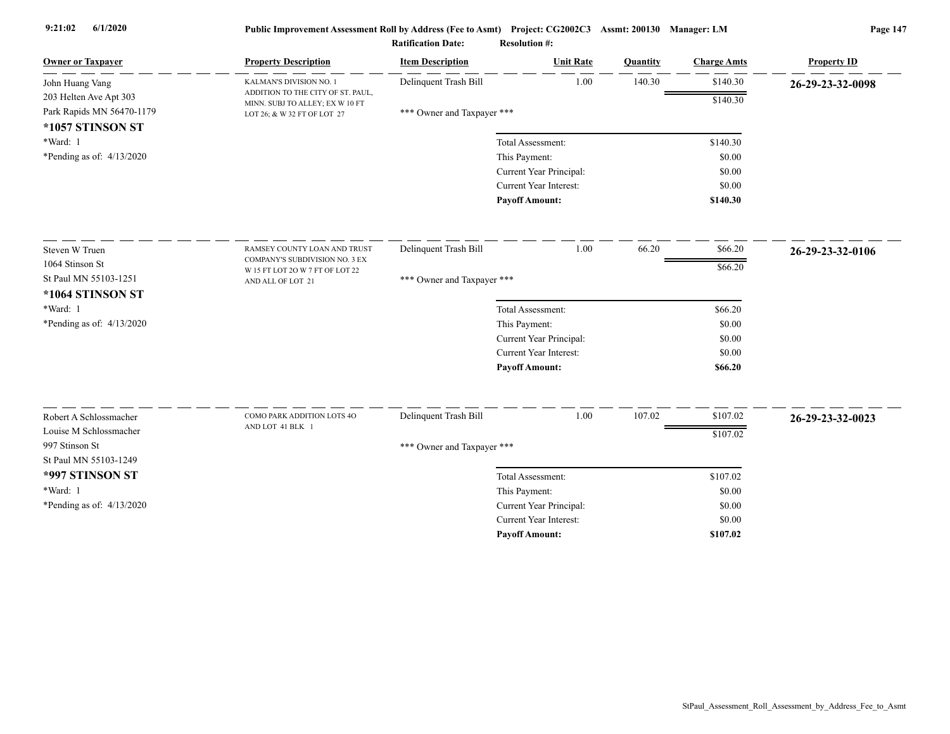|                                               |                                                                      | <b>Ratification Date:</b>  | <b>Resolution #:</b>          |          |                    |                    |
|-----------------------------------------------|----------------------------------------------------------------------|----------------------------|-------------------------------|----------|--------------------|--------------------|
| <b>Owner or Taxpayer</b>                      | <b>Property Description</b>                                          | <b>Item Description</b>    | <b>Unit Rate</b>              | Quantity | <b>Charge Amts</b> | <b>Property ID</b> |
| John Huang Vang                               | KALMAN'S DIVISION NO. 1                                              | Delinquent Trash Bill      | 1.00                          | 140.30   | \$140.30           | 26-29-23-32-0098   |
| 203 Helten Ave Apt 303                        | ADDITION TO THE CITY OF ST. PAUL,<br>MINN. SUBJ TO ALLEY; EX W 10 FT |                            |                               |          | \$140.30           |                    |
| Park Rapids MN 56470-1179<br>*1057 STINSON ST | LOT 26; & W 32 FT OF LOT 27                                          | *** Owner and Taxpayer *** |                               |          |                    |                    |
| *Ward: 1                                      |                                                                      |                            | Total Assessment:             |          | \$140.30           |                    |
| *Pending as of: $4/13/2020$                   |                                                                      |                            | This Payment:                 |          | \$0.00             |                    |
|                                               |                                                                      |                            | Current Year Principal:       |          | \$0.00             |                    |
|                                               |                                                                      |                            | <b>Current Year Interest:</b> |          | \$0.00             |                    |
|                                               |                                                                      |                            | <b>Payoff Amount:</b>         |          | \$140.30           |                    |
| Steven W Truen                                | RAMSEY COUNTY LOAN AND TRUST                                         | Delinquent Trash Bill      | 1.00                          | 66.20    | \$66.20            | 26-29-23-32-0106   |
| 1064 Stinson St                               | COMPANY'S SUBDIVISION NO. 3 EX                                       |                            |                               |          | \$66.20            |                    |
| St Paul MN 55103-1251                         | W 15 FT LOT 2O W 7 FT OF LOT 22<br>AND ALL OF LOT 21                 | *** Owner and Taxpayer *** |                               |          |                    |                    |
| *1064 STINSON ST                              |                                                                      |                            |                               |          |                    |                    |
| *Ward: 1                                      |                                                                      |                            | Total Assessment:             |          | \$66.20            |                    |
| *Pending as of: $4/13/2020$                   |                                                                      |                            | This Payment:                 |          | \$0.00             |                    |
|                                               |                                                                      |                            | Current Year Principal:       |          | \$0.00             |                    |
|                                               |                                                                      |                            | Current Year Interest:        |          | \$0.00             |                    |
|                                               |                                                                      |                            | <b>Payoff Amount:</b>         |          | \$66.20            |                    |
| Robert A Schlossmacher                        | COMO PARK ADDITION LOTS 4O                                           | Delinquent Trash Bill      | 1.00                          | 107.02   | \$107.02           | 26-29-23-32-0023   |
| Louise M Schlossmacher                        | AND LOT 41 BLK 1                                                     |                            |                               |          |                    |                    |
| 997 Stinson St                                |                                                                      | *** Owner and Taxpayer *** |                               |          | \$107.02           |                    |
| St Paul MN 55103-1249                         |                                                                      |                            |                               |          |                    |                    |
| *997 STINSON ST                               |                                                                      |                            | Total Assessment:             |          | \$107.02           |                    |
| *Ward: 1                                      |                                                                      |                            | This Payment:                 |          | \$0.00             |                    |
| *Pending as of: 4/13/2020                     |                                                                      |                            | Current Year Principal:       |          | \$0.00             |                    |
|                                               |                                                                      |                            | Current Year Interest:        |          | \$0.00             |                    |
|                                               |                                                                      |                            | <b>Payoff Amount:</b>         |          | \$107.02           |                    |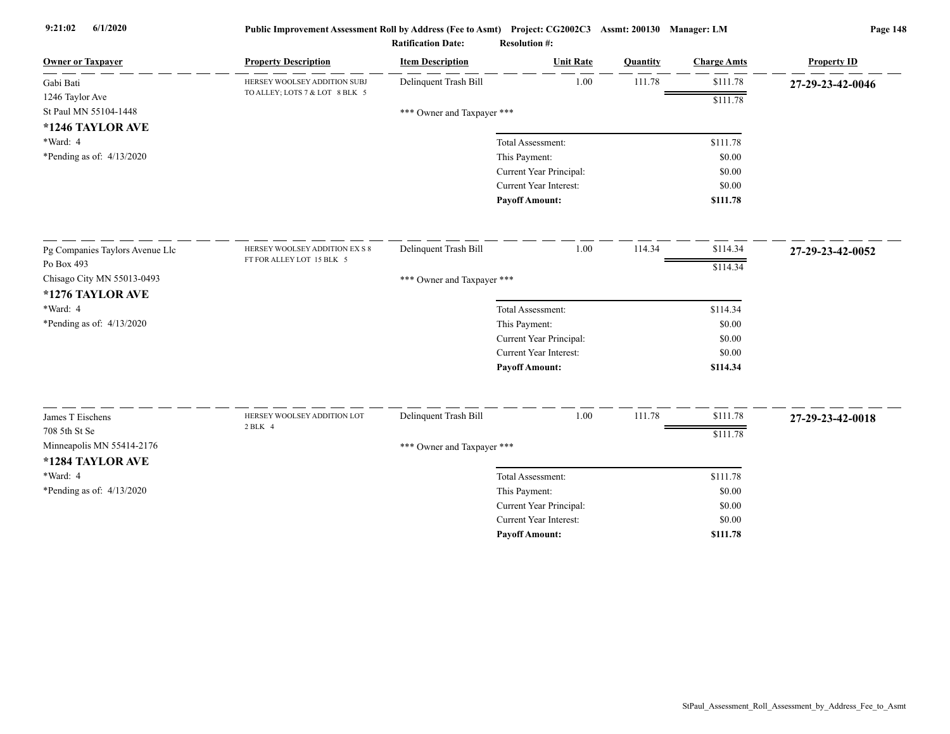| <b>Owner or Taxpayer</b>        | <b>Property Description</b>    | <b>Item Description</b>    | <b>Unit Rate</b>                         | Quantity | <b>Charge Amts</b> | <b>Property ID</b> |
|---------------------------------|--------------------------------|----------------------------|------------------------------------------|----------|--------------------|--------------------|
| Gabi Bati                       | HERSEY WOOLSEY ADDITION SUBJ   | Delinquent Trash Bill      | 1.00                                     | 111.78   | \$111.78           | 27-29-23-42-0046   |
| 1246 Taylor Ave                 | TO ALLEY; LOTS 7 & LOT 8 BLK 5 |                            |                                          |          | \$111.78           |                    |
| St Paul MN 55104-1448           |                                | *** Owner and Taxpayer *** |                                          |          |                    |                    |
| *1246 TAYLOR AVE                |                                |                            |                                          |          |                    |                    |
| *Ward: 4                        |                                |                            | Total Assessment:                        |          | \$111.78           |                    |
| *Pending as of: $4/13/2020$     |                                |                            | This Payment:                            |          | \$0.00             |                    |
|                                 |                                |                            | Current Year Principal:                  |          | \$0.00             |                    |
|                                 |                                |                            | Current Year Interest:                   |          | \$0.00             |                    |
|                                 |                                |                            | <b>Payoff Amount:</b>                    |          | \$111.78           |                    |
| Pg Companies Taylors Avenue Llc | HERSEY WOOLSEY ADDITION EX S 8 | Delinquent Trash Bill      | 1.00                                     | 114.34   | \$114.34           | 27-29-23-42-0052   |
| Po Box 493                      | FT FOR ALLEY LOT 15 BLK 5      |                            |                                          |          | \$114.34           |                    |
| Chisago City MN 55013-0493      |                                | *** Owner and Taxpayer *** |                                          |          |                    |                    |
| *1276 TAYLOR AVE                |                                |                            |                                          |          |                    |                    |
| *Ward: 4                        |                                |                            | Total Assessment:                        |          | \$114.34           |                    |
| *Pending as of: 4/13/2020       |                                |                            | This Payment:                            |          | \$0.00             |                    |
|                                 |                                |                            | Current Year Principal:                  |          | \$0.00             |                    |
|                                 |                                |                            | <b>Current Year Interest:</b>            |          | \$0.00             |                    |
|                                 |                                |                            | <b>Payoff Amount:</b>                    |          | \$114.34           |                    |
| James T Eischens                | HERSEY WOOLSEY ADDITION LOT    | Delinquent Trash Bill      | $1.00\,$                                 | 111.78   | \$111.78           |                    |
| 708 5th St Se                   | 2 BLK 4                        |                            |                                          |          |                    | 27-29-23-42-0018   |
| Minneapolis MN 55414-2176       |                                |                            |                                          |          | \$111.78           |                    |
| *1284 TAYLOR AVE                |                                | *** Owner and Taxpayer *** |                                          |          |                    |                    |
| *Ward: 4                        |                                |                            | Total Assessment:                        |          | \$111.78           |                    |
| *Pending as of: 4/13/2020       |                                |                            |                                          |          | \$0.00             |                    |
|                                 |                                |                            | This Payment:<br>Current Year Principal: |          | \$0.00             |                    |
|                                 |                                |                            | <b>Current Year Interest:</b>            |          | \$0.00             |                    |
|                                 |                                |                            | <b>Pavoff Amount:</b>                    |          | \$111.78           |                    |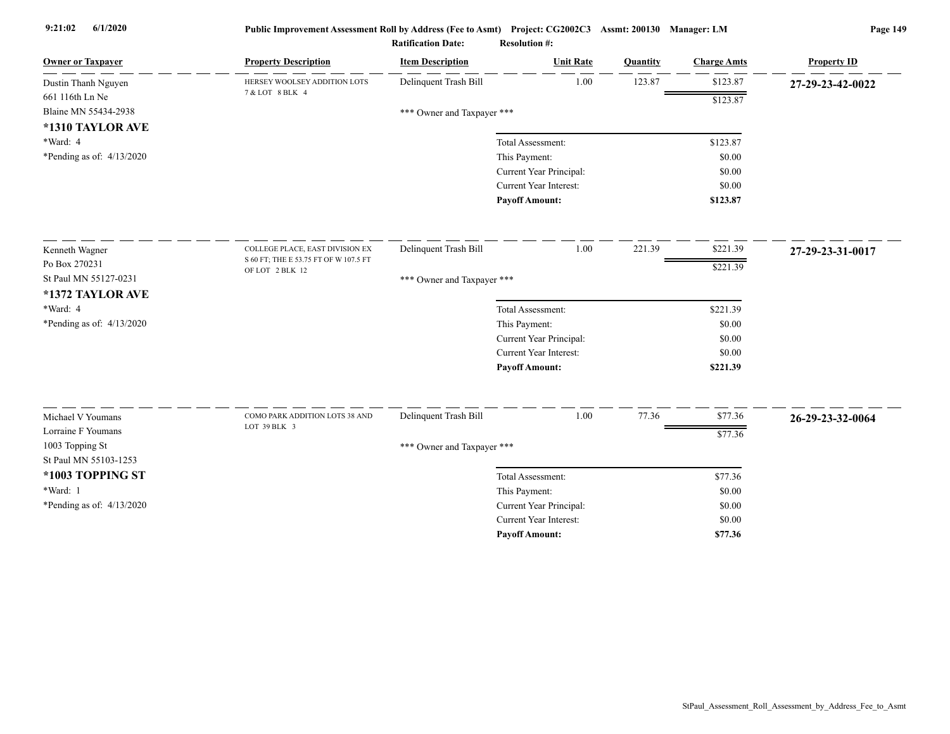| <b>Owner or Taxpayer</b>    | <b>Property Description</b>           | <b>Item Description</b>    | <b>Unit Rate</b>        | Quantity | <b>Charge Amts</b> | <b>Property ID</b> |
|-----------------------------|---------------------------------------|----------------------------|-------------------------|----------|--------------------|--------------------|
| Dustin Thanh Nguyen         | HERSEY WOOLSEY ADDITION LOTS          | Delinquent Trash Bill      | 1.00                    | 123.87   | \$123.87           | 27-29-23-42-0022   |
| 661 116th Ln Ne             | 7 & LOT 8 BLK 4                       |                            |                         |          | \$123.87           |                    |
| Blaine MN 55434-2938        |                                       | *** Owner and Taxpayer *** |                         |          |                    |                    |
| *1310 TAYLOR AVE            |                                       |                            |                         |          |                    |                    |
| *Ward: 4                    |                                       |                            | Total Assessment:       |          | \$123.87           |                    |
| *Pending as of: 4/13/2020   |                                       |                            | This Payment:           |          | \$0.00             |                    |
|                             |                                       |                            | Current Year Principal: |          | \$0.00             |                    |
|                             |                                       |                            | Current Year Interest:  |          | \$0.00             |                    |
|                             |                                       |                            | <b>Pavoff Amount:</b>   |          | \$123.87           |                    |
| Kenneth Wagner              | COLLEGE PLACE, EAST DIVISION EX       | Delinquent Trash Bill      | 1.00                    | 221.39   | \$221.39           | 27-29-23-31-0017   |
| Po Box 270231               | S 60 FT; THE E 53.75 FT OF W 107.5 FT |                            |                         |          | \$221.39           |                    |
| St Paul MN 55127-0231       | OF LOT 2 BLK 12                       | *** Owner and Taxpayer *** |                         |          |                    |                    |
| *1372 TAYLOR AVE            |                                       |                            |                         |          |                    |                    |
| *Ward: 4                    |                                       |                            | Total Assessment:       |          | \$221.39           |                    |
| *Pending as of: $4/13/2020$ |                                       |                            | This Payment:           |          | \$0.00             |                    |
|                             |                                       |                            | Current Year Principal: |          | \$0.00             |                    |
|                             |                                       |                            | Current Year Interest:  |          | \$0.00             |                    |
|                             |                                       |                            | <b>Payoff Amount:</b>   |          | \$221.39           |                    |
| Michael V Youmans           | COMO PARK ADDITION LOTS 38 AND        | Delinquent Trash Bill      | 1.00                    | 77.36    | \$77.36            |                    |
| Lorraine F Youmans          | LOT 39 BLK 3                          |                            |                         |          |                    | 26-29-23-32-0064   |
| 1003 Topping St             |                                       |                            |                         |          | \$77.36            |                    |
| St Paul MN 55103-1253       |                                       | *** Owner and Taxpayer *** |                         |          |                    |                    |
| *1003 TOPPING ST            |                                       |                            | Total Assessment:       |          | \$77.36            |                    |
| *Ward: 1                    |                                       |                            | This Payment:           |          | \$0.00             |                    |
| *Pending as of: 4/13/2020   |                                       |                            | Current Year Principal: |          | \$0.00             |                    |
|                             |                                       |                            | Current Year Interest:  |          | \$0.00             |                    |
|                             |                                       |                            | <b>Payoff Amount:</b>   |          | \$77.36            |                    |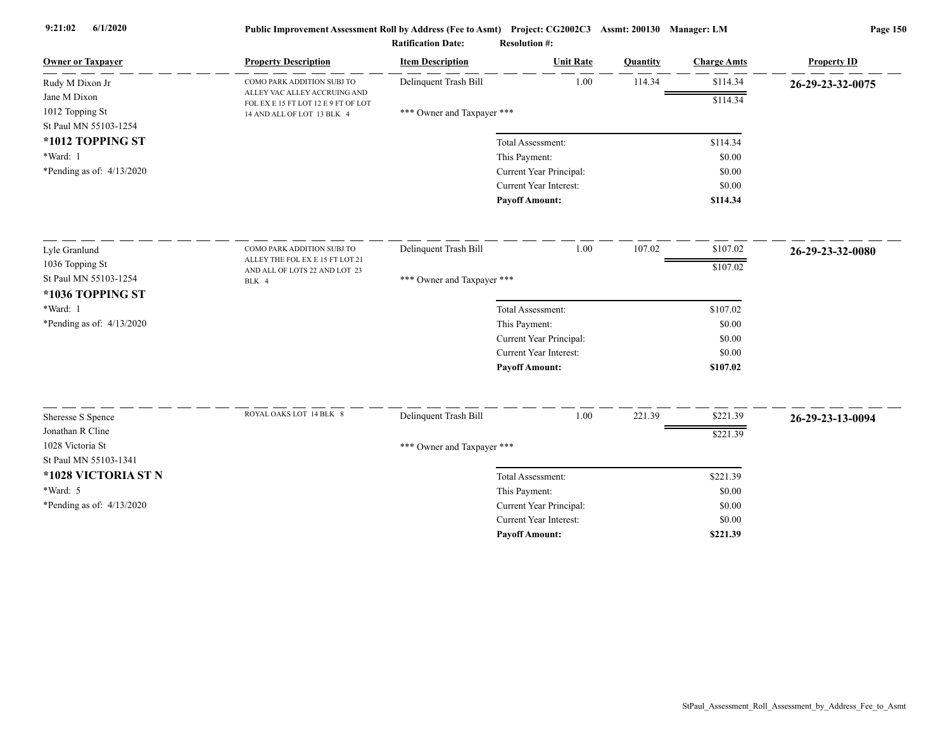|                                          |                                                            | <b>Ratification Date:</b>  | <b>Resolution #:</b>          |          |                    |                    |
|------------------------------------------|------------------------------------------------------------|----------------------------|-------------------------------|----------|--------------------|--------------------|
| <b>Owner or Taxpayer</b>                 | <b>Property Description</b>                                | <b>Item Description</b>    | <b>Unit Rate</b>              | Quantity | <b>Charge Amts</b> | <b>Property ID</b> |
| Rudy M Dixon Jr                          | COMO PARK ADDITION SUBJ TO<br>ALLEY VAC ALLEY ACCRUING AND | Delinquent Trash Bill      | 1.00                          | 114.34   | \$114.34           | 26-29-23-32-0075   |
| Jane M Dixon                             | FOL EX E 15 FT LOT 12 E 9 FT OF LOT                        |                            |                               |          | \$114.34           |                    |
| 1012 Topping St<br>St Paul MN 55103-1254 | 14 AND ALL OF LOT 13 BLK 4                                 | *** Owner and Taxpayer *** |                               |          |                    |                    |
| *1012 TOPPING ST                         |                                                            |                            | Total Assessment:             |          | \$114.34           |                    |
| *Ward: 1                                 |                                                            |                            | This Payment:                 |          | \$0.00             |                    |
| *Pending as of: $4/13/2020$              |                                                            |                            | Current Year Principal:       |          | \$0.00             |                    |
|                                          |                                                            |                            | <b>Current Year Interest:</b> |          | \$0.00             |                    |
|                                          |                                                            |                            | <b>Payoff Amount:</b>         |          | \$114.34           |                    |
| Lyle Granlund                            | COMO PARK ADDITION SUBJ TO                                 | Delinquent Trash Bill      | 1.00                          | 107.02   | \$107.02           | 26-29-23-32-0080   |
| 1036 Topping St                          | ALLEY THE FOL EX E 15 FT LOT 21                            |                            |                               |          |                    |                    |
| St Paul MN 55103-1254                    | AND ALL OF LOTS 22 AND LOT 23<br>BLK 4                     | *** Owner and Taxpayer *** |                               |          | \$107.02           |                    |
| *1036 TOPPING ST                         |                                                            |                            |                               |          |                    |                    |
| *Ward: 1                                 |                                                            |                            | Total Assessment:             |          | \$107.02           |                    |
| *Pending as of: $4/13/2020$              |                                                            |                            | This Payment:                 |          | \$0.00             |                    |
|                                          |                                                            |                            | Current Year Principal:       |          | \$0.00             |                    |
|                                          |                                                            |                            | Current Year Interest:        |          | \$0.00             |                    |
|                                          |                                                            |                            | <b>Payoff Amount:</b>         |          | \$107.02           |                    |
|                                          | ROYAL OAKS LOT 14 BLK 8                                    |                            |                               |          | \$221.39           |                    |
| Sheresse S Spence                        |                                                            | Delinquent Trash Bill      | 1.00                          | 221.39   |                    | 26-29-23-13-0094   |
| Jonathan R Cline<br>1028 Victoria St     |                                                            |                            |                               |          | \$221.39           |                    |
| St Paul MN 55103-1341                    |                                                            | *** Owner and Taxpayer *** |                               |          |                    |                    |
| *1028 VICTORIA ST N                      |                                                            |                            | Total Assessment:             |          | \$221.39           |                    |
| *Ward: 5                                 |                                                            |                            | This Payment:                 |          | \$0.00             |                    |
| *Pending as of: $4/13/2020$              |                                                            |                            | Current Year Principal:       |          | \$0.00             |                    |
|                                          |                                                            |                            | Current Year Interest:        |          | \$0.00             |                    |
|                                          |                                                            |                            | <b>Pavoff Amount:</b>         |          | \$221.39           |                    |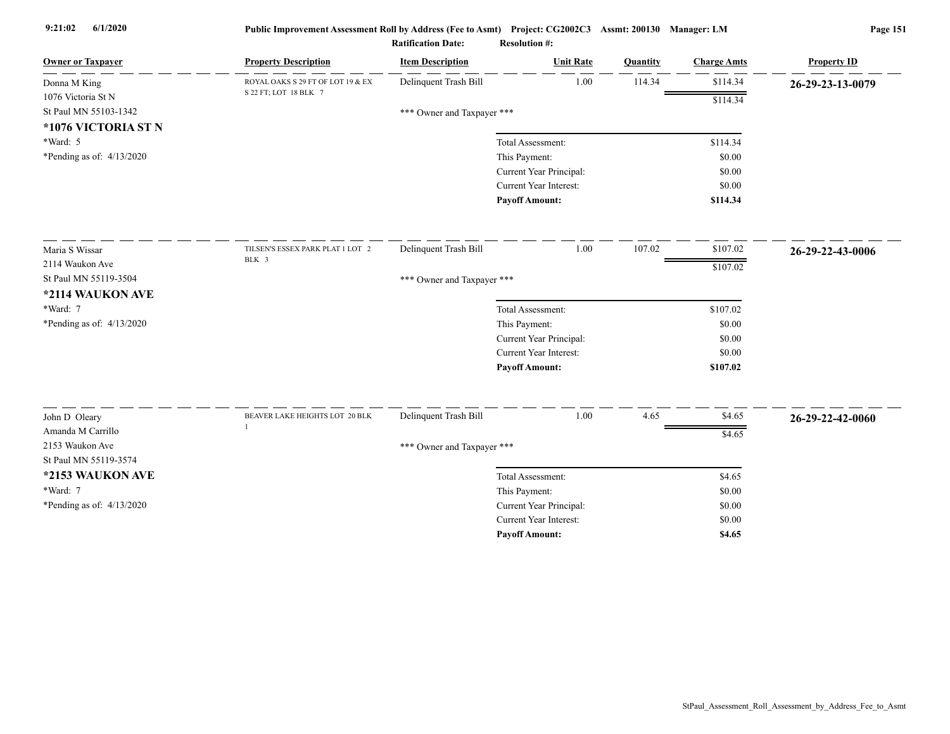| <b>Owner or Taxpayer</b>                 | <b>Property Description</b>       | <b>Item Description</b>    | <b>Unit Rate</b>        | Quantity | <b>Charge Amts</b> | <b>Property ID</b> |
|------------------------------------------|-----------------------------------|----------------------------|-------------------------|----------|--------------------|--------------------|
| Donna M King                             | ROYAL OAKS S 29 FT OF LOT 19 & EX | Delinquent Trash Bill      | 1.00                    | 114.34   | \$114.34           | 26-29-23-13-0079   |
| 1076 Victoria St N                       | S 22 FT; LOT 18 BLK 7             |                            |                         |          | \$114.34           |                    |
| St Paul MN 55103-1342                    |                                   | *** Owner and Taxpayer *** |                         |          |                    |                    |
| *1076 VICTORIA ST N                      |                                   |                            |                         |          |                    |                    |
| *Ward: 5                                 |                                   |                            | Total Assessment:       |          | \$114.34           |                    |
| *Pending as of: $4/13/2020$              |                                   |                            | This Payment:           |          | \$0.00             |                    |
|                                          |                                   |                            | Current Year Principal: |          | \$0.00             |                    |
|                                          |                                   |                            | Current Year Interest:  |          | \$0.00             |                    |
|                                          |                                   |                            | <b>Payoff Amount:</b>   |          | \$114.34           |                    |
| Maria S Wissar                           | TILSEN'S ESSEX PARK PLAT 1 LOT 2  | Delinquent Trash Bill      | 1.00                    | 107.02   | \$107.02           | 26-29-22-43-0006   |
| 2114 Waukon Ave                          | BLK 3                             |                            |                         |          | \$107.02           |                    |
| St Paul MN 55119-3504                    |                                   | *** Owner and Taxpayer *** |                         |          |                    |                    |
| *2114 WAUKON AVE                         |                                   |                            |                         |          |                    |                    |
| *Ward: 7                                 |                                   |                            | Total Assessment:       |          | \$107.02           |                    |
| *Pending as of: $4/13/2020$              |                                   |                            | This Payment:           |          | \$0.00             |                    |
|                                          |                                   |                            | Current Year Principal: |          | \$0.00             |                    |
|                                          |                                   |                            | Current Year Interest:  |          | \$0.00             |                    |
|                                          |                                   |                            | <b>Payoff Amount:</b>   |          | \$107.02           |                    |
|                                          |                                   |                            |                         |          |                    |                    |
| John D Oleary                            | BEAVER LAKE HEIGHTS LOT 20 BLK    | Delinquent Trash Bill      | 1.00                    | 4.65     | \$4.65             | 26-29-22-42-0060   |
| Amanda M Carrillo                        |                                   |                            |                         |          | \$4.65             |                    |
| 2153 Waukon Ave<br>St Paul MN 55119-3574 |                                   | *** Owner and Taxpayer *** |                         |          |                    |                    |
|                                          |                                   |                            |                         |          |                    |                    |
| *2153 WAUKON AVE                         |                                   |                            | Total Assessment:       |          | \$4.65             |                    |
| *Ward: 7                                 |                                   |                            | This Payment:           |          | \$0.00             |                    |
| *Pending as of: 4/13/2020                |                                   |                            | Current Year Principal: |          | \$0.00             |                    |
|                                          |                                   |                            | Current Year Interest:  |          | \$0.00             |                    |
|                                          |                                   |                            | <b>Payoff Amount:</b>   |          | \$4.65             |                    |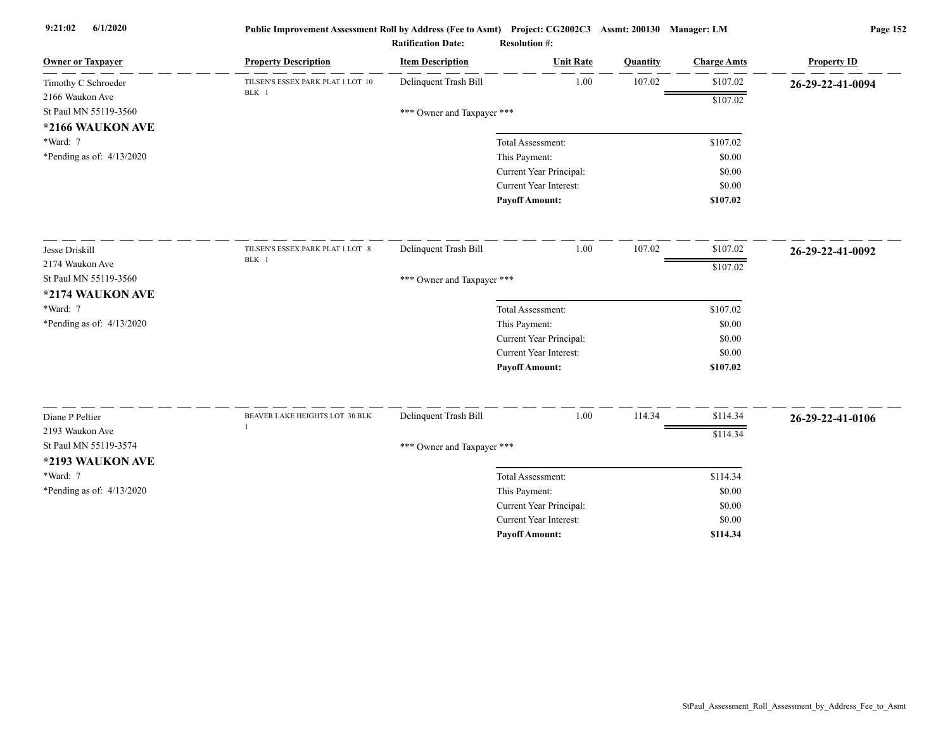| <b>Owner or Taxpayer</b>    | <b>Property Description</b>                | <b>Item Description</b>    | <b>Unit Rate</b>              | Quantity | <b>Charge Amts</b> | <b>Property ID</b> |
|-----------------------------|--------------------------------------------|----------------------------|-------------------------------|----------|--------------------|--------------------|
| Timothy C Schroeder         | TILSEN'S ESSEX PARK PLAT 1 LOT 10<br>BLK 1 | Delinquent Trash Bill      | 1.00                          | 107.02   | \$107.02           | 26-29-22-41-0094   |
| 2166 Waukon Ave             |                                            |                            |                               |          | \$107.02           |                    |
| St Paul MN 55119-3560       |                                            | *** Owner and Taxpayer *** |                               |          |                    |                    |
| *2166 WAUKON AVE            |                                            |                            |                               |          |                    |                    |
| *Ward: 7                    |                                            |                            | Total Assessment:             |          | \$107.02           |                    |
| *Pending as of: $4/13/2020$ |                                            |                            | This Payment:                 |          | \$0.00             |                    |
|                             |                                            |                            | Current Year Principal:       |          | \$0.00             |                    |
|                             |                                            |                            | Current Year Interest:        |          | \$0.00             |                    |
|                             |                                            |                            | <b>Payoff Amount:</b>         |          | \$107.02           |                    |
| Jesse Driskill              | TILSEN'S ESSEX PARK PLAT 1 LOT 8           | Delinquent Trash Bill      | 1.00                          | 107.02   | \$107.02           | 26-29-22-41-0092   |
| 2174 Waukon Ave             | BLK 1                                      |                            |                               |          | \$107.02           |                    |
| St Paul MN 55119-3560       |                                            | *** Owner and Taxpayer *** |                               |          |                    |                    |
| *2174 WAUKON AVE            |                                            |                            |                               |          |                    |                    |
| *Ward: 7                    |                                            |                            | Total Assessment:             |          | \$107.02           |                    |
| *Pending as of: 4/13/2020   |                                            |                            | This Payment:                 |          | \$0.00             |                    |
|                             |                                            |                            | Current Year Principal:       |          | \$0.00             |                    |
|                             |                                            |                            | Current Year Interest:        |          | \$0.00             |                    |
|                             |                                            |                            | <b>Payoff Amount:</b>         |          | \$107.02           |                    |
| Diane P Peltier             | BEAVER LAKE HEIGHTS LOT 30 BLK             | Delinquent Trash Bill      | 1.00                          | 114.34   | \$114.34           | 26-29-22-41-0106   |
| 2193 Waukon Ave             |                                            |                            |                               |          | \$114.34           |                    |
| St Paul MN 55119-3574       |                                            | *** Owner and Taxpayer *** |                               |          |                    |                    |
| *2193 WAUKON AVE            |                                            |                            |                               |          |                    |                    |
| *Ward: 7                    |                                            |                            | Total Assessment:             |          | \$114.34           |                    |
| *Pending as of: 4/13/2020   |                                            |                            | This Payment:                 |          | \$0.00             |                    |
|                             |                                            |                            | Current Year Principal:       |          | \$0.00             |                    |
|                             |                                            |                            | <b>Current Year Interest:</b> |          | \$0.00             |                    |
|                             |                                            |                            | <b>Payoff Amount:</b>         |          | \$114.34           |                    |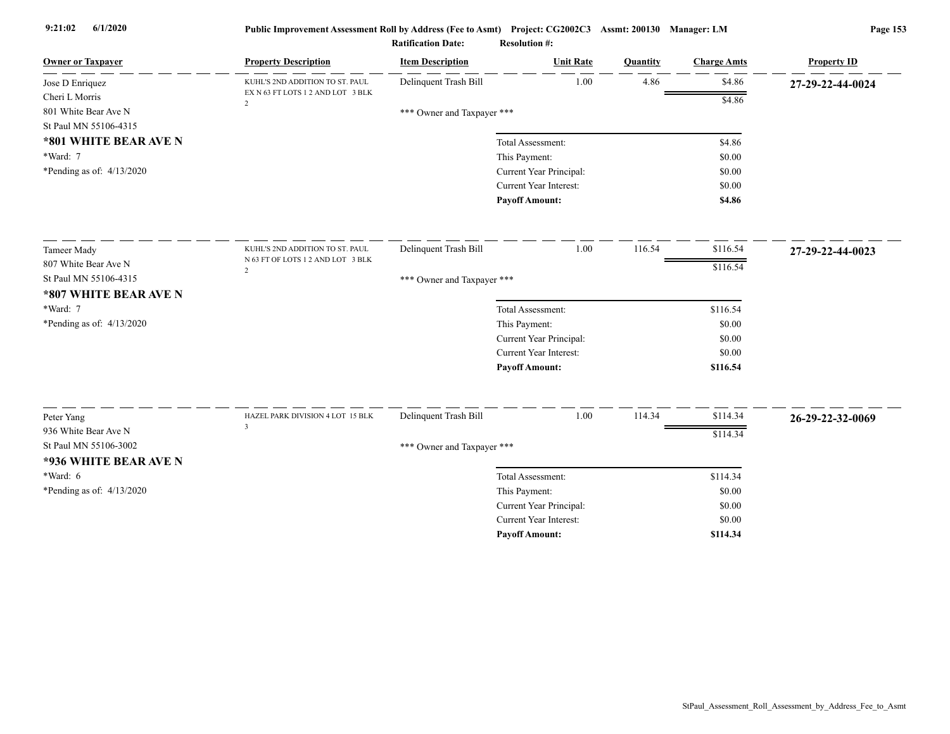| <b>Owner or Taxpayer</b>    | <b>Property Description</b>                         | <b>Item Description</b>    | <b>Unit Rate</b>              | Quantity | <b>Charge Amts</b> | <b>Property ID</b> |
|-----------------------------|-----------------------------------------------------|----------------------------|-------------------------------|----------|--------------------|--------------------|
| Jose D Enriquez             | KUHL'S 2ND ADDITION TO ST. PAUL                     | Delinquent Trash Bill      | 1.00                          | 4.86     | \$4.86             | 27-29-22-44-0024   |
| Cheri L Morris              | EX N 63 FT LOTS 1 2 AND LOT 3 BLK<br>$\overline{2}$ |                            |                               |          | \$4.86             |                    |
| 801 White Bear Ave N        |                                                     | *** Owner and Taxpayer *** |                               |          |                    |                    |
| St Paul MN 55106-4315       |                                                     |                            |                               |          |                    |                    |
| *801 WHITE BEAR AVE N       |                                                     |                            | Total Assessment:             |          | \$4.86             |                    |
| *Ward: 7                    |                                                     |                            | This Payment:                 |          | \$0.00             |                    |
| *Pending as of: 4/13/2020   |                                                     |                            | Current Year Principal:       |          | \$0.00             |                    |
|                             |                                                     |                            | Current Year Interest:        |          | \$0.00             |                    |
|                             |                                                     |                            | <b>Payoff Amount:</b>         |          | \$4.86             |                    |
| <b>Tameer Mady</b>          | KUHL'S 2ND ADDITION TO ST. PAUL                     | Delinquent Trash Bill      | 1.00                          | 116.54   | \$116.54           | 27-29-22-44-0023   |
| 807 White Bear Ave N        | N 63 FT OF LOTS 1 2 AND LOT 3 BLK                   |                            |                               |          | \$116.54           |                    |
| St Paul MN 55106-4315       | $\overline{2}$                                      | *** Owner and Taxpayer *** |                               |          |                    |                    |
| *807 WHITE BEAR AVE N       |                                                     |                            |                               |          |                    |                    |
| *Ward: 7                    |                                                     |                            | Total Assessment:             |          | \$116.54           |                    |
| *Pending as of: $4/13/2020$ |                                                     |                            | This Payment:                 |          | \$0.00             |                    |
|                             |                                                     |                            | Current Year Principal:       |          | \$0.00             |                    |
|                             |                                                     |                            | <b>Current Year Interest:</b> |          | \$0.00             |                    |
|                             |                                                     |                            | <b>Payoff Amount:</b>         |          | \$116.54           |                    |
|                             |                                                     |                            |                               |          |                    |                    |
| Peter Yang                  | HAZEL PARK DIVISION 4 LOT 15 BLK<br>$\overline{3}$  | Delinquent Trash Bill      | 1.00                          | 114.34   | \$114.34           | 26-29-22-32-0069   |
| 936 White Bear Ave N        |                                                     |                            |                               |          | \$114.34           |                    |
| St Paul MN 55106-3002       |                                                     | *** Owner and Taxpayer *** |                               |          |                    |                    |
| *936 WHITE BEAR AVE N       |                                                     |                            |                               |          |                    |                    |
| *Ward: 6                    |                                                     |                            | Total Assessment:             |          | \$114.34           |                    |
| *Pending as of: $4/13/2020$ |                                                     |                            | This Payment:                 |          | \$0.00             |                    |
|                             |                                                     |                            | Current Year Principal:       |          | \$0.00             |                    |
|                             |                                                     |                            | <b>Current Year Interest:</b> |          | \$0.00             |                    |
|                             |                                                     |                            | <b>Pavoff Amount:</b>         |          | \$114.34           |                    |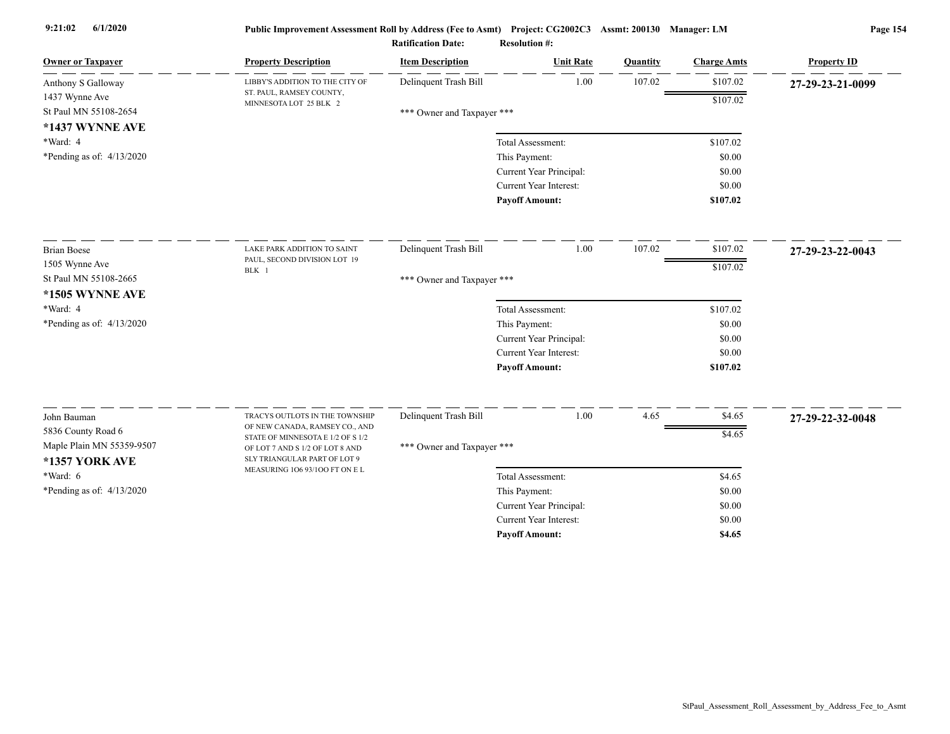| <b>Owner or Taxpayer</b>                                          | <b>Property Description</b>                                                                          | <b>Item Description</b>    | <b>Unit Rate</b>              | Quantity | <b>Charge Amts</b> | <b>Property ID</b> |
|-------------------------------------------------------------------|------------------------------------------------------------------------------------------------------|----------------------------|-------------------------------|----------|--------------------|--------------------|
| Anthony S Galloway                                                | LIBBY'S ADDITION TO THE CITY OF                                                                      | Delinquent Trash Bill      | 1.00                          | 107.02   | \$107.02           | 27-29-23-21-0099   |
| 1437 Wynne Ave<br>St Paul MN 55108-2654<br>*1437 WYNNE AVE        | ST. PAUL, RAMSEY COUNTY,<br>MINNESOTA LOT 25 BLK 2                                                   | *** Owner and Taxpayer *** |                               |          | \$107.02           |                    |
| *Ward: 4                                                          |                                                                                                      |                            | Total Assessment:             |          | \$107.02           |                    |
| *Pending as of: $4/13/2020$                                       |                                                                                                      |                            | This Payment:                 |          | \$0.00             |                    |
|                                                                   |                                                                                                      |                            | Current Year Principal:       |          | \$0.00             |                    |
|                                                                   |                                                                                                      |                            | <b>Current Year Interest:</b> |          | \$0.00             |                    |
|                                                                   |                                                                                                      |                            | <b>Payoff Amount:</b>         |          | \$107.02           |                    |
| <b>Brian Boese</b>                                                | LAKE PARK ADDITION TO SAINT                                                                          | Delinquent Trash Bill      | 1.00                          | 107.02   | \$107.02           | 27-29-23-22-0043   |
| 1505 Wynne Ave                                                    | PAUL, SECOND DIVISION LOT 19                                                                         |                            |                               |          | \$107.02           |                    |
| St Paul MN 55108-2665                                             | BLK 1                                                                                                | *** Owner and Taxpayer *** |                               |          |                    |                    |
| *1505 WYNNE AVE                                                   |                                                                                                      |                            |                               |          |                    |                    |
| *Ward: 4                                                          |                                                                                                      |                            | Total Assessment:             |          | \$107.02           |                    |
| *Pending as of: 4/13/2020                                         |                                                                                                      |                            | This Payment:                 |          | \$0.00             |                    |
|                                                                   |                                                                                                      |                            | Current Year Principal:       |          | \$0.00             |                    |
|                                                                   |                                                                                                      |                            | <b>Current Year Interest:</b> |          | \$0.00             |                    |
|                                                                   |                                                                                                      |                            | <b>Payoff Amount:</b>         |          | \$107.02           |                    |
|                                                                   |                                                                                                      |                            | 1.00                          |          |                    |                    |
| John Bauman                                                       | TRACYS OUTLOTS IN THE TOWNSHIP<br>OF NEW CANADA, RAMSEY CO., AND                                     | Delinquent Trash Bill      |                               | 4.65     | \$4.65             | 27-29-22-32-0048   |
| 5836 County Road 6<br>Maple Plain MN 55359-9507<br>*1357 YORK AVE | STATE OF MINNESOTA E 1/2 OF S 1/2<br>OF LOT 7 AND S 1/2 OF LOT 8 AND<br>SLY TRIANGULAR PART OF LOT 9 | *** Owner and Taxpayer *** |                               |          | \$4.65             |                    |
| $*Ward: 6$                                                        | MEASURING 106 93/100 FT ON EL                                                                        |                            | Total Assessment:             |          | \$4.65             |                    |
| *Pending as of: $4/13/2020$                                       |                                                                                                      |                            | This Payment:                 |          | \$0.00             |                    |
|                                                                   |                                                                                                      |                            | Current Year Principal:       |          | \$0.00             |                    |
|                                                                   |                                                                                                      |                            | Current Year Interest:        |          | \$0.00             |                    |
|                                                                   |                                                                                                      |                            | <b>Payoff Amount:</b>         |          | \$4.65             |                    |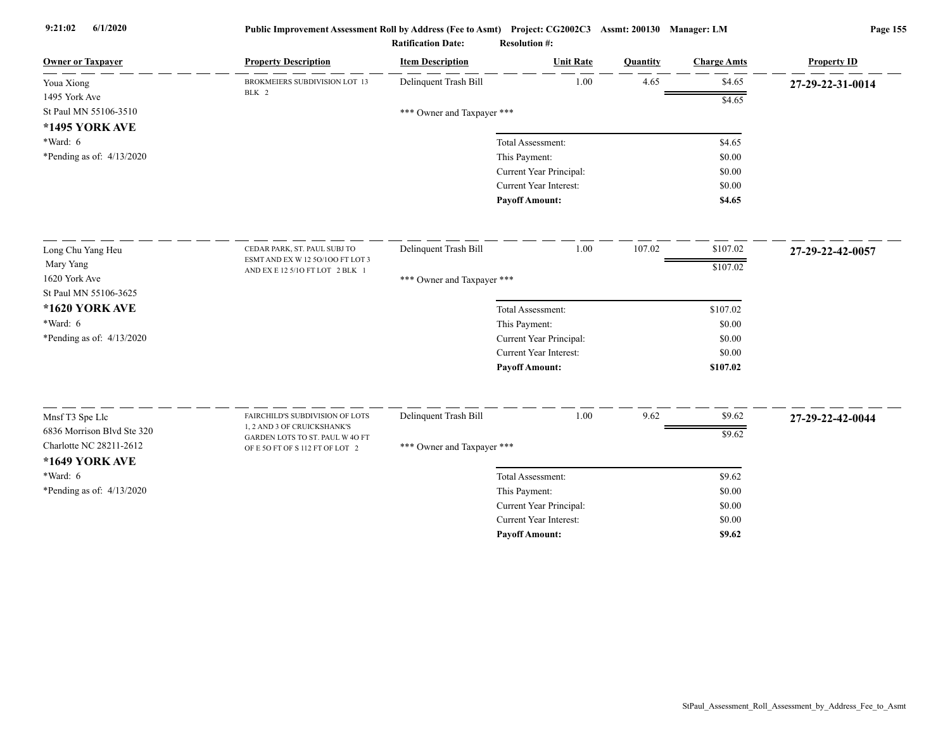| <b>Owner or Taxpayer</b>   | <b>Property Description</b>                                    | <b>Item Description</b>    | <b>Unit Rate</b>              | Quantity | <b>Charge Amts</b> | <b>Property ID</b> |
|----------------------------|----------------------------------------------------------------|----------------------------|-------------------------------|----------|--------------------|--------------------|
| Youa Xiong                 | BROKMEIERS SUBDIVISION LOT 13<br>BLK 2                         | Delinquent Trash Bill      | 1.00                          | 4.65     | \$4.65             | 27-29-22-31-0014   |
| 1495 York Ave              |                                                                |                            |                               |          | \$4.65             |                    |
| St Paul MN 55106-3510      |                                                                | *** Owner and Taxpayer *** |                               |          |                    |                    |
| <b>*1495 YORK AVE</b>      |                                                                |                            |                               |          |                    |                    |
| $*Ward: 6$                 |                                                                |                            | Total Assessment:             |          | \$4.65             |                    |
| *Pending as of: 4/13/2020  |                                                                |                            | This Payment:                 |          | \$0.00             |                    |
|                            |                                                                |                            | Current Year Principal:       |          | \$0.00             |                    |
|                            |                                                                |                            | Current Year Interest:        |          | \$0.00             |                    |
|                            |                                                                |                            | <b>Payoff Amount:</b>         |          | \$4.65             |                    |
| Long Chu Yang Heu          | CEDAR PARK, ST. PAUL SUBJ TO                                   | Delinquent Trash Bill      | 1.00                          | 107.02   | \$107.02           | 27-29-22-42-0057   |
| Mary Yang                  | ESMT AND EX W 12 50/100 FT LOT 3                               |                            |                               |          | \$107.02           |                    |
| 1620 York Ave              | AND EX E 12 5/10 FT LOT 2 BLK 1                                | *** Owner and Taxpayer *** |                               |          |                    |                    |
| St Paul MN 55106-3625      |                                                                |                            |                               |          |                    |                    |
| *1620 YORK AVE             |                                                                |                            | Total Assessment:             |          | \$107.02           |                    |
| $*Ward: 6$                 |                                                                |                            | This Payment:                 |          | \$0.00             |                    |
| *Pending as of: 4/13/2020  |                                                                |                            | Current Year Principal:       |          | \$0.00             |                    |
|                            |                                                                |                            | <b>Current Year Interest:</b> |          | \$0.00             |                    |
|                            |                                                                |                            | <b>Payoff Amount:</b>         |          | \$107.02           |                    |
|                            |                                                                |                            |                               |          |                    |                    |
| Mnsf T3 Spe Llc            | FAIRCHILD'S SUBDIVISION OF LOTS                                | Delinquent Trash Bill      | 1.00                          | 9.62     | \$9.62             | 27-29-22-42-0044   |
| 6836 Morrison Blvd Ste 320 | 1, 2 AND 3 OF CRUICKSHANK'S<br>GARDEN LOTS TO ST. PAUL W 4O FT |                            |                               |          | \$9.62             |                    |
| Charlotte NC 28211-2612    | OF E 5O FT OF S 112 FT OF LOT 2                                | *** Owner and Taxpayer *** |                               |          |                    |                    |
| *1649 YORK AVE             |                                                                |                            |                               |          |                    |                    |
| $*Ward: 6$                 |                                                                |                            | Total Assessment:             |          | \$9.62             |                    |
| *Pending as of: 4/13/2020  |                                                                |                            | This Payment:                 |          | \$0.00             |                    |
|                            |                                                                |                            | Current Year Principal:       |          | \$0.00             |                    |
|                            |                                                                |                            | <b>Current Year Interest:</b> |          | \$0.00             |                    |
|                            |                                                                |                            | <b>Pavoff Amount:</b>         |          | \$9.62             |                    |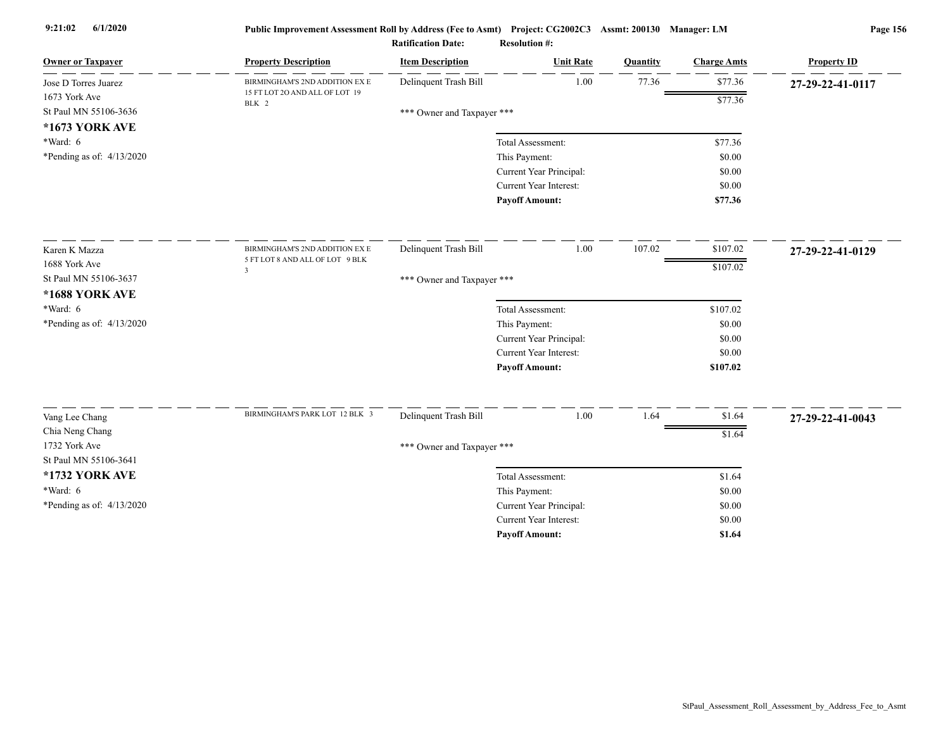| <b>Owner or Taxpayer</b>                | <b>Property Description</b>                                | <b>Item Description</b>    | <b>Unit Rate</b>                                  | Quantity | <b>Charge Amts</b> | <b>Property ID</b> |
|-----------------------------------------|------------------------------------------------------------|----------------------------|---------------------------------------------------|----------|--------------------|--------------------|
| Jose D Torres Juarez                    | BIRMINGHAM'S 2ND ADDITION EX E                             | Delinquent Trash Bill      | 1.00                                              | 77.36    | \$77.36            | 27-29-22-41-0117   |
| 1673 York Ave                           | 15 FT LOT 20 AND ALL OF LOT 19<br>BLK 2                    |                            |                                                   |          | \$77.36            |                    |
| St Paul MN 55106-3636                   |                                                            | *** Owner and Taxpayer *** |                                                   |          |                    |                    |
| *1673 YORK AVE                          |                                                            |                            |                                                   |          |                    |                    |
| $*Ward: 6$                              |                                                            |                            | Total Assessment:                                 |          | \$77.36            |                    |
| *Pending as of: 4/13/2020               |                                                            |                            | This Payment:                                     |          | \$0.00<br>\$0.00   |                    |
|                                         |                                                            |                            | Current Year Principal:<br>Current Year Interest: |          | \$0.00             |                    |
|                                         |                                                            |                            | <b>Payoff Amount:</b>                             |          | \$77.36            |                    |
|                                         |                                                            |                            |                                                   |          |                    |                    |
| Karen K Mazza                           | BIRMINGHAM'S 2ND ADDITION EX E                             | Delinquent Trash Bill      | 1.00                                              | 107.02   | \$107.02           | 27-29-22-41-0129   |
| 1688 York Ave                           | 5 FT LOT 8 AND ALL OF LOT 9 BLK<br>$\overline{\mathbf{3}}$ |                            |                                                   |          | \$107.02           |                    |
| St Paul MN 55106-3637<br>*1688 YORK AVE |                                                            | *** Owner and Taxpayer *** |                                                   |          |                    |                    |
| *Ward: $6$                              |                                                            |                            | Total Assessment:                                 |          | \$107.02           |                    |
| *Pending as of: $4/13/2020$             |                                                            |                            | This Payment:                                     |          | \$0.00             |                    |
|                                         |                                                            |                            | Current Year Principal:                           |          | \$0.00             |                    |
|                                         |                                                            |                            | Current Year Interest:                            |          | \$0.00             |                    |
|                                         |                                                            |                            | <b>Payoff Amount:</b>                             |          | \$107.02           |                    |
|                                         | BIRMINGHAM'S PARK LOT 12 BLK 3                             |                            |                                                   |          |                    |                    |
| Vang Lee Chang                          |                                                            | Delinquent Trash Bill      | $1.00\,$                                          | 1.64     | \$1.64             | 27-29-22-41-0043   |
| Chia Neng Chang                         |                                                            |                            |                                                   |          | \$1.64             |                    |
| 1732 York Ave<br>St Paul MN 55106-3641  |                                                            | *** Owner and Taxpayer *** |                                                   |          |                    |                    |
| *1732 YORK AVE                          |                                                            |                            | Total Assessment:                                 |          | \$1.64             |                    |
| $*Ward: 6$                              |                                                            |                            | This Payment:                                     |          | \$0.00             |                    |
| *Pending as of: 4/13/2020               |                                                            |                            | Current Year Principal:                           |          | \$0.00             |                    |
|                                         |                                                            |                            | <b>Current Year Interest:</b>                     |          | \$0.00             |                    |
|                                         |                                                            |                            | <b>Pavoff Amount:</b>                             |          | \$1.64             |                    |